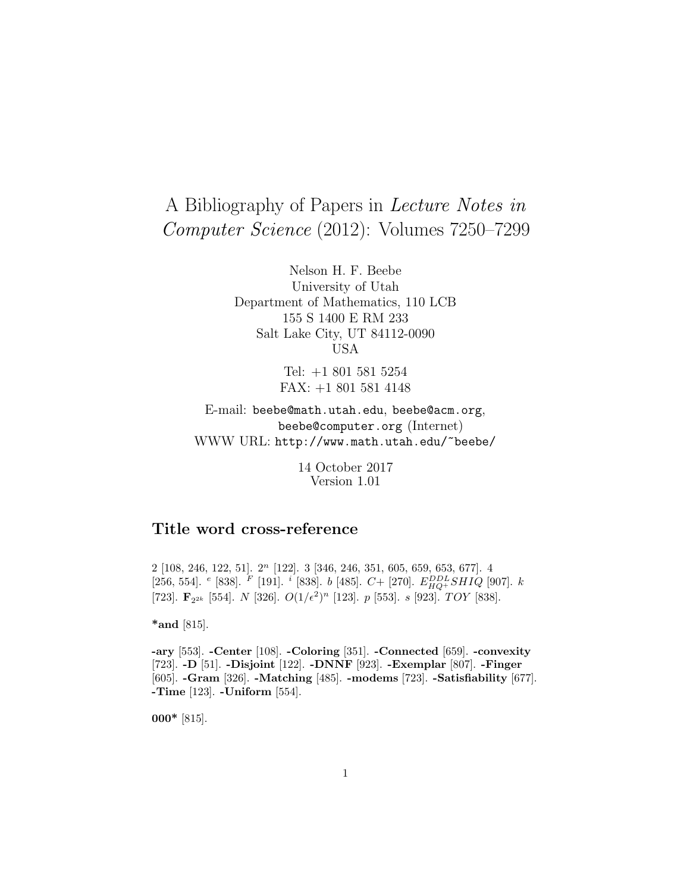# A Bibliography of Papers in Lecture Notes in Computer Science (2012): Volumes 7250–7299

Nelson H. F. Beebe University of Utah Department of Mathematics, 110 LCB 155 S 1400 E RM 233 Salt Lake City, UT 84112-0090 USA

> Tel: +1 801 581 5254 FAX: +1 801 581 4148

E-mail: beebe@math.utah.edu, beebe@acm.org, beebe@computer.org (Internet) WWW URL: http://www.math.utah.edu/~beebe/

> 14 October 2017 Version 1.01

## **Title word cross-reference**

2 [108, 246, 122, 51].  $2^n$  [122]. 3 [346, 246, 351, 605, 659, 653, 677]. 4 [256, 554].  $e$  [838].  $F$  [191].  $i$  [838].  $b$  [485].  $C +$  [270].  $E_{HQ}^{DDL}SHIQ$  [907].  $k$ [723]. **F**<sub>22k</sub> [554]. N [326].  $O(1/\epsilon^2)^n$  [123]. p [553]. s [923]. TOY [838].

**\*and** [815].

**-ary** [553]. **-Center** [108]. **-Coloring** [351]. **-Connected** [659]. **-convexity** [723]. **-D** [51]. **-Disjoint** [122]. **-DNNF** [923]. **-Exemplar** [807]. **-Finger** [605]. **-Gram** [326]. **-Matching** [485]. **-modems** [723]. **-Satisfiability** [677]. **-Time** [123]. **-Uniform** [554].

**000\*** [815].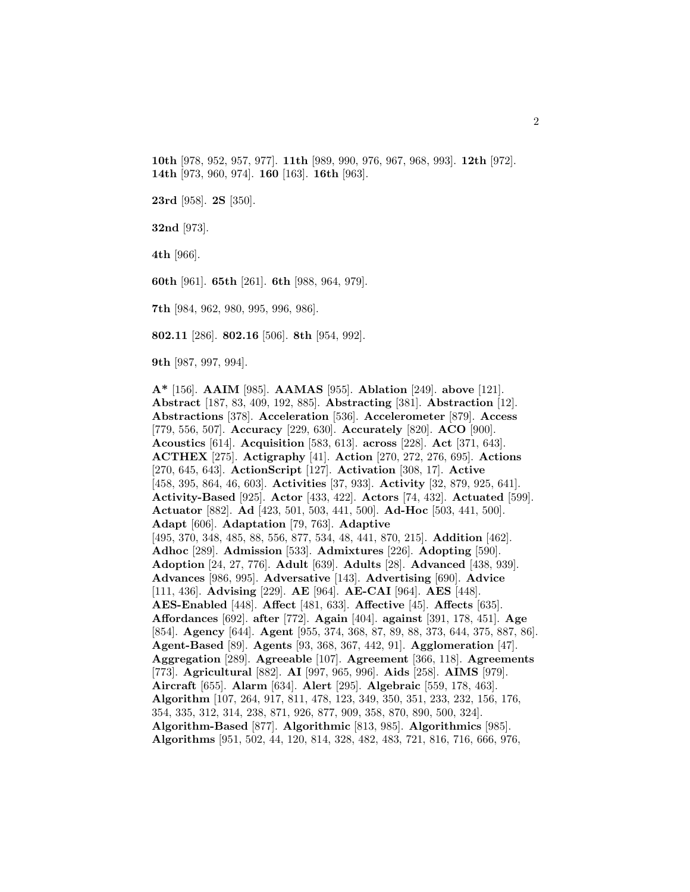**10th** [978, 952, 957, 977]. **11th** [989, 990, 976, 967, 968, 993]. **12th** [972]. **14th** [973, 960, 974]. **160** [163]. **16th** [963].

**23rd** [958]. **2S** [350].

**32nd** [973].

**4th** [966].

**60th** [961]. **65th** [261]. **6th** [988, 964, 979].

**7th** [984, 962, 980, 995, 996, 986].

**802.11** [286]. **802.16** [506]. **8th** [954, 992].

**9th** [987, 997, 994].

**A\*** [156]. **AAIM** [985]. **AAMAS** [955]. **Ablation** [249]. **above** [121]. **Abstract** [187, 83, 409, 192, 885]. **Abstracting** [381]. **Abstraction** [12]. **Abstractions** [378]. **Acceleration** [536]. **Accelerometer** [879]. **Access** [779, 556, 507]. **Accuracy** [229, 630]. **Accurately** [820]. **ACO** [900]. **Acoustics** [614]. **Acquisition** [583, 613]. **across** [228]. **Act** [371, 643]. **ACTHEX** [275]. **Actigraphy** [41]. **Action** [270, 272, 276, 695]. **Actions** [270, 645, 643]. **ActionScript** [127]. **Activation** [308, 17]. **Active** [458, 395, 864, 46, 603]. **Activities** [37, 933]. **Activity** [32, 879, 925, 641]. **Activity-Based** [925]. **Actor** [433, 422]. **Actors** [74, 432]. **Actuated** [599]. **Actuator** [882]. **Ad** [423, 501, 503, 441, 500]. **Ad-Hoc** [503, 441, 500]. **Adapt** [606]. **Adaptation** [79, 763]. **Adaptive** [495, 370, 348, 485, 88, 556, 877, 534, 48, 441, 870, 215]. **Addition** [462]. **Adhoc** [289]. **Admission** [533]. **Admixtures** [226]. **Adopting** [590]. **Adoption** [24, 27, 776]. **Adult** [639]. **Adults** [28]. **Advanced** [438, 939]. **Advances** [986, 995]. **Adversative** [143]. **Advertising** [690]. **Advice** [111, 436]. **Advising** [229]. **AE** [964]. **AE-CAI** [964]. **AES** [448]. **AES-Enabled** [448]. **Affect** [481, 633]. **Affective** [45]. **Affects** [635]. **Affordances** [692]. **after** [772]. **Again** [404]. **against** [391, 178, 451]. **Age** [854]. **Agency** [644]. **Agent** [955, 374, 368, 87, 89, 88, 373, 644, 375, 887, 86]. **Agent-Based** [89]. **Agents** [93, 368, 367, 442, 91]. **Agglomeration** [47]. **Aggregation** [289]. **Agreeable** [107]. **Agreement** [366, 118]. **Agreements** [773]. **Agricultural** [882]. **AI** [997, 965, 996]. **Aids** [258]. **AIMS** [979]. **Aircraft** [655]. **Alarm** [634]. **Alert** [295]. **Algebraic** [559, 178, 463]. **Algorithm** [107, 264, 917, 811, 478, 123, 349, 350, 351, 233, 232, 156, 176, 354, 335, 312, 314, 238, 871, 926, 877, 909, 358, 870, 890, 500, 324]. **Algorithm-Based** [877]. **Algorithmic** [813, 985]. **Algorithmics** [985]. **Algorithms** [951, 502, 44, 120, 814, 328, 482, 483, 721, 816, 716, 666, 976,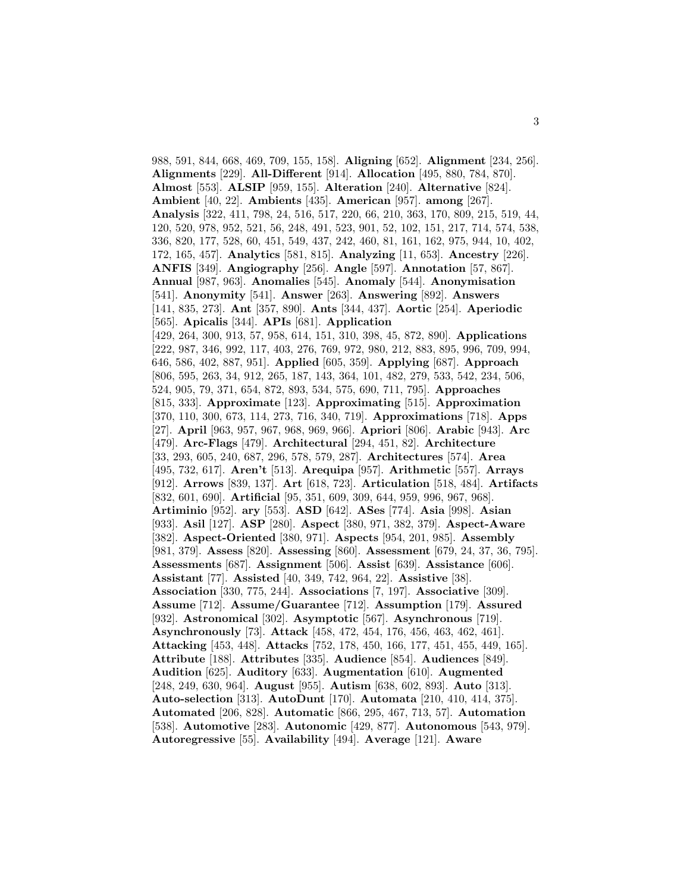988, 591, 844, 668, 469, 709, 155, 158]. **Aligning** [652]. **Alignment** [234, 256]. **Alignments** [229]. **All-Different** [914]. **Allocation** [495, 880, 784, 870]. **Almost** [553]. **ALSIP** [959, 155]. **Alteration** [240]. **Alternative** [824]. **Ambient** [40, 22]. **Ambients** [435]. **American** [957]. **among** [267]. **Analysis** [322, 411, 798, 24, 516, 517, 220, 66, 210, 363, 170, 809, 215, 519, 44, 120, 520, 978, 952, 521, 56, 248, 491, 523, 901, 52, 102, 151, 217, 714, 574, 538, 336, 820, 177, 528, 60, 451, 549, 437, 242, 460, 81, 161, 162, 975, 944, 10, 402, 172, 165, 457]. **Analytics** [581, 815]. **Analyzing** [11, 653]. **Ancestry** [226]. **ANFIS** [349]. **Angiography** [256]. **Angle** [597]. **Annotation** [57, 867]. **Annual** [987, 963]. **Anomalies** [545]. **Anomaly** [544]. **Anonymisation** [541]. **Anonymity** [541]. **Answer** [263]. **Answering** [892]. **Answers** [141, 835, 273]. **Ant** [357, 890]. **Ants** [344, 437]. **Aortic** [254]. **Aperiodic** [565]. **Apicalis** [344]. **APIs** [681]. **Application** [429, 264, 300, 913, 57, 958, 614, 151, 310, 398, 45, 872, 890]. **Applications** [222, 987, 346, 992, 117, 403, 276, 769, 972, 980, 212, 883, 895, 996, 709, 994, 646, 586, 402, 887, 951]. **Applied** [605, 359]. **Applying** [687]. **Approach** [806, 595, 263, 34, 912, 265, 187, 143, 364, 101, 482, 279, 533, 542, 234, 506, 524, 905, 79, 371, 654, 872, 893, 534, 575, 690, 711, 795]. **Approaches** [815, 333]. **Approximate** [123]. **Approximating** [515]. **Approximation** [370, 110, 300, 673, 114, 273, 716, 340, 719]. **Approximations** [718]. **Apps** [27]. **April** [963, 957, 967, 968, 969, 966]. **Apriori** [806]. **Arabic** [943]. **Arc** [479]. **Arc-Flags** [479]. **Architectural** [294, 451, 82]. **Architecture** [33, 293, 605, 240, 687, 296, 578, 579, 287]. **Architectures** [574]. **Area** [495, 732, 617]. **Aren't** [513]. **Arequipa** [957]. **Arithmetic** [557]. **Arrays** [912]. **Arrows** [839, 137]. **Art** [618, 723]. **Articulation** [518, 484]. **Artifacts** [832, 601, 690]. **Artificial** [95, 351, 609, 309, 644, 959, 996, 967, 968]. **Artiminio** [952]. **ary** [553]. **ASD** [642]. **ASes** [774]. **Asia** [998]. **Asian** [933]. **Asil** [127]. **ASP** [280]. **Aspect** [380, 971, 382, 379]. **Aspect-Aware** [382]. **Aspect-Oriented** [380, 971]. **Aspects** [954, 201, 985]. **Assembly** [981, 379]. **Assess** [820]. **Assessing** [860]. **Assessment** [679, 24, 37, 36, 795]. **Assessments** [687]. **Assignment** [506]. **Assist** [639]. **Assistance** [606]. **Assistant** [77]. **Assisted** [40, 349, 742, 964, 22]. **Assistive** [38]. **Association** [330, 775, 244]. **Associations** [7, 197]. **Associative** [309]. **Assume** [712]. **Assume/Guarantee** [712]. **Assumption** [179]. **Assured** [932]. **Astronomical** [302]. **Asymptotic** [567]. **Asynchronous** [719]. **Asynchronously** [73]. **Attack** [458, 472, 454, 176, 456, 463, 462, 461]. **Attacking** [453, 448]. **Attacks** [752, 178, 450, 166, 177, 451, 455, 449, 165]. **Attribute** [188]. **Attributes** [335]. **Audience** [854]. **Audiences** [849]. **Audition** [625]. **Auditory** [633]. **Augmentation** [610]. **Augmented** [248, 249, 630, 964]. **August** [955]. **Autism** [638, 602, 893]. **Auto** [313]. **Auto-selection** [313]. **AutoDunt** [170]. **Automata** [210, 410, 414, 375]. **Automated** [206, 828]. **Automatic** [866, 295, 467, 713, 57]. **Automation** [538]. **Automotive** [283]. **Autonomic** [429, 877]. **Autonomous** [543, 979]. **Autoregressive** [55]. **Availability** [494]. **Average** [121]. **Aware**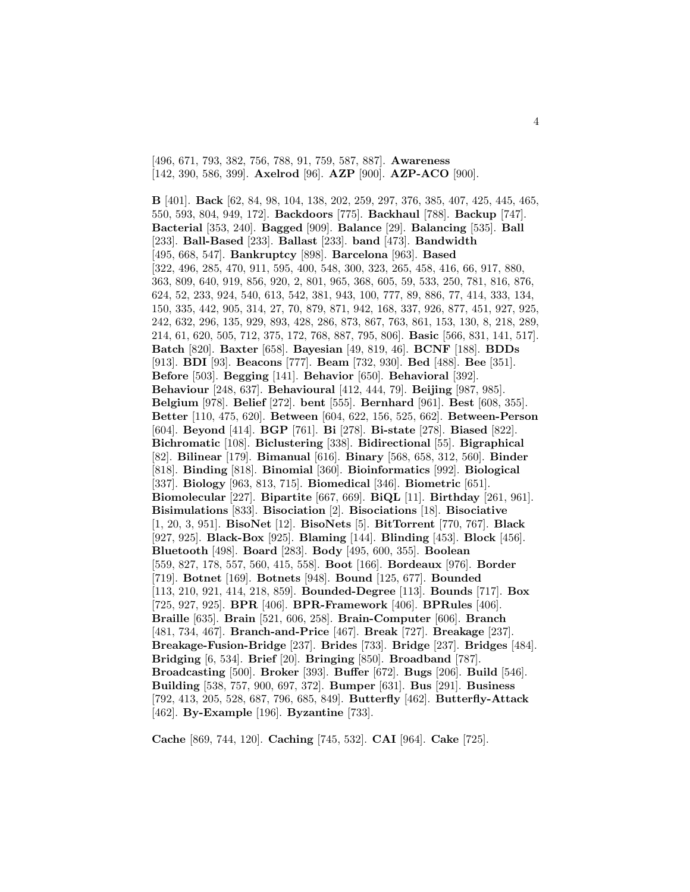[496, 671, 793, 382, 756, 788, 91, 759, 587, 887]. **Awareness** [142, 390, 586, 399]. **Axelrod** [96]. **AZP** [900]. **AZP-ACO** [900].

**B** [401]. **Back** [62, 84, 98, 104, 138, 202, 259, 297, 376, 385, 407, 425, 445, 465, 550, 593, 804, 949, 172]. **Backdoors** [775]. **Backhaul** [788]. **Backup** [747]. **Bacterial** [353, 240]. **Bagged** [909]. **Balance** [29]. **Balancing** [535]. **Ball** [233]. **Ball-Based** [233]. **Ballast** [233]. **band** [473]. **Bandwidth** [495, 668, 547]. **Bankruptcy** [898]. **Barcelona** [963]. **Based** [322, 496, 285, 470, 911, 595, 400, 548, 300, 323, 265, 458, 416, 66, 917, 880, 363, 809, 640, 919, 856, 920, 2, 801, 965, 368, 605, 59, 533, 250, 781, 816, 876, 624, 52, 233, 924, 540, 613, 542, 381, 943, 100, 777, 89, 886, 77, 414, 333, 134, 150, 335, 442, 905, 314, 27, 70, 879, 871, 942, 168, 337, 926, 877, 451, 927, 925, 242, 632, 296, 135, 929, 893, 428, 286, 873, 867, 763, 861, 153, 130, 8, 218, 289, 214, 61, 620, 505, 712, 375, 172, 768, 887, 795, 806]. **Basic** [566, 831, 141, 517]. **Batch** [820]. **Baxter** [658]. **Bayesian** [49, 819, 46]. **BCNF** [188]. **BDDs** [913]. **BDI** [93]. **Beacons** [777]. **Beam** [732, 930]. **Bed** [488]. **Bee** [351]. **Before** [503]. **Begging** [141]. **Behavior** [650]. **Behavioral** [392]. **Behaviour** [248, 637]. **Behavioural** [412, 444, 79]. **Beijing** [987, 985]. **Belgium** [978]. **Belief** [272]. **bent** [555]. **Bernhard** [961]. **Best** [608, 355]. **Better** [110, 475, 620]. **Between** [604, 622, 156, 525, 662]. **Between-Person** [604]. **Beyond** [414]. **BGP** [761]. **Bi** [278]. **Bi-state** [278]. **Biased** [822]. **Bichromatic** [108]. **Biclustering** [338]. **Bidirectional** [55]. **Bigraphical** [82]. **Bilinear** [179]. **Bimanual** [616]. **Binary** [568, 658, 312, 560]. **Binder** [818]. **Binding** [818]. **Binomial** [360]. **Bioinformatics** [992]. **Biological** [337]. **Biology** [963, 813, 715]. **Biomedical** [346]. **Biometric** [651]. **Biomolecular** [227]. **Bipartite** [667, 669]. **BiQL** [11]. **Birthday** [261, 961]. **Bisimulations** [833]. **Bisociation** [2]. **Bisociations** [18]. **Bisociative** [1, 20, 3, 951]. **BisoNet** [12]. **BisoNets** [5]. **BitTorrent** [770, 767]. **Black** [927, 925]. **Black-Box** [925]. **Blaming** [144]. **Blinding** [453]. **Block** [456]. **Bluetooth** [498]. **Board** [283]. **Body** [495, 600, 355]. **Boolean** [559, 827, 178, 557, 560, 415, 558]. **Boot** [166]. **Bordeaux** [976]. **Border** [719]. **Botnet** [169]. **Botnets** [948]. **Bound** [125, 677]. **Bounded** [113, 210, 921, 414, 218, 859]. **Bounded-Degree** [113]. **Bounds** [717]. **Box** [725, 927, 925]. **BPR** [406]. **BPR-Framework** [406]. **BPRules** [406]. **Braille** [635]. **Brain** [521, 606, 258]. **Brain-Computer** [606]. **Branch** [481, 734, 467]. **Branch-and-Price** [467]. **Break** [727]. **Breakage** [237]. **Breakage-Fusion-Bridge** [237]. **Brides** [733]. **Bridge** [237]. **Bridges** [484]. **Bridging** [6, 534]. **Brief** [20]. **Bringing** [850]. **Broadband** [787]. **Broadcasting** [500]. **Broker** [393]. **Buffer** [672]. **Bugs** [206]. **Build** [546]. **Building** [538, 757, 900, 697, 372]. **Bumper** [631]. **Bus** [291]. **Business** [792, 413, 205, 528, 687, 796, 685, 849]. **Butterfly** [462]. **Butterfly-Attack** [462]. **By-Example** [196]. **Byzantine** [733].

**Cache** [869, 744, 120]. **Caching** [745, 532]. **CAI** [964]. **Cake** [725].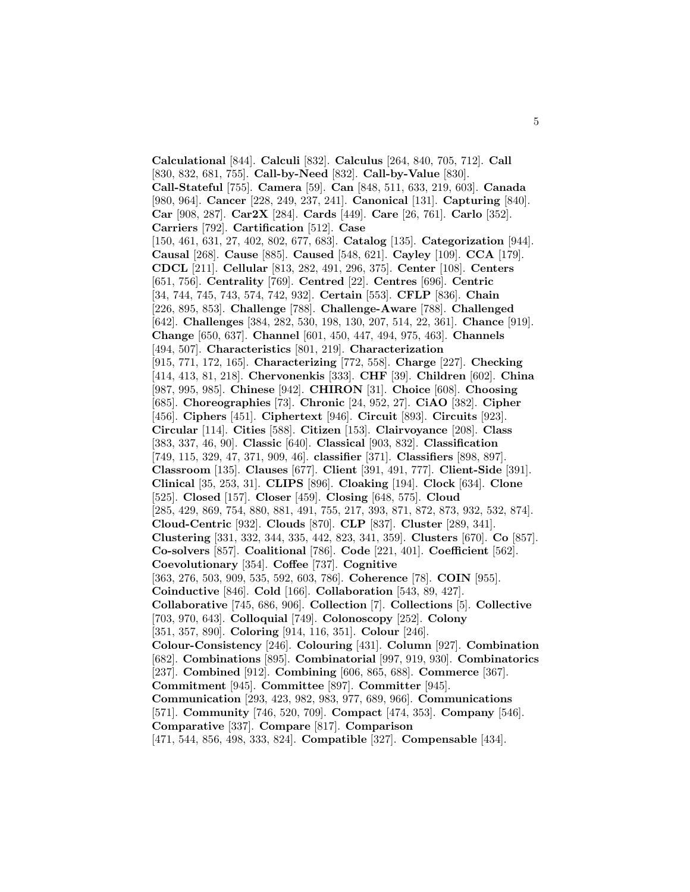**Calculational** [844]. **Calculi** [832]. **Calculus** [264, 840, 705, 712]. **Call** [830, 832, 681, 755]. **Call-by-Need** [832]. **Call-by-Value** [830]. **Call-Stateful** [755]. **Camera** [59]. **Can** [848, 511, 633, 219, 603]. **Canada** [980, 964]. **Cancer** [228, 249, 237, 241]. **Canonical** [131]. **Capturing** [840]. **Car** [908, 287]. **Car2X** [284]. **Cards** [449]. **Care** [26, 761]. **Carlo** [352]. **Carriers** [792]. **Cartification** [512]. **Case** [150, 461, 631, 27, 402, 802, 677, 683]. **Catalog** [135]. **Categorization** [944]. **Causal** [268]. **Cause** [885]. **Caused** [548, 621]. **Cayley** [109]. **CCA** [179]. **CDCL** [211]. **Cellular** [813, 282, 491, 296, 375]. **Center** [108]. **Centers** [651, 756]. **Centrality** [769]. **Centred** [22]. **Centres** [696]. **Centric** [34, 744, 745, 743, 574, 742, 932]. **Certain** [553]. **CFLP** [836]. **Chain** [226, 895, 853]. **Challenge** [788]. **Challenge-Aware** [788]. **Challenged** [642]. **Challenges** [384, 282, 530, 198, 130, 207, 514, 22, 361]. **Chance** [919]. **Change** [650, 637]. **Channel** [601, 450, 447, 494, 975, 463]. **Channels** [494, 507]. **Characteristics** [801, 219]. **Characterization** [915, 771, 172, 165]. **Characterizing** [772, 558]. **Charge** [227]. **Checking** [414, 413, 81, 218]. **Chervonenkis** [333]. **CHF** [39]. **Children** [602]. **China** [987, 995, 985]. **Chinese** [942]. **CHIRON** [31]. **Choice** [608]. **Choosing** [685]. **Choreographies** [73]. **Chronic** [24, 952, 27]. **CiAO** [382]. **Cipher** [456]. **Ciphers** [451]. **Ciphertext** [946]. **Circuit** [893]. **Circuits** [923]. **Circular** [114]. **Cities** [588]. **Citizen** [153]. **Clairvoyance** [208]. **Class** [383, 337, 46, 90]. **Classic** [640]. **Classical** [903, 832]. **Classification** [749, 115, 329, 47, 371, 909, 46]. **classifier** [371]. **Classifiers** [898, 897]. **Classroom** [135]. **Clauses** [677]. **Client** [391, 491, 777]. **Client-Side** [391]. **Clinical** [35, 253, 31]. **CLIPS** [896]. **Cloaking** [194]. **Clock** [634]. **Clone** [525]. **Closed** [157]. **Closer** [459]. **Closing** [648, 575]. **Cloud** [285, 429, 869, 754, 880, 881, 491, 755, 217, 393, 871, 872, 873, 932, 532, 874]. **Cloud-Centric** [932]. **Clouds** [870]. **CLP** [837]. **Cluster** [289, 341]. **Clustering** [331, 332, 344, 335, 442, 823, 341, 359]. **Clusters** [670]. **Co** [857]. **Co-solvers** [857]. **Coalitional** [786]. **Code** [221, 401]. **Coefficient** [562]. **Coevolutionary** [354]. **Coffee** [737]. **Cognitive** [363, 276, 503, 909, 535, 592, 603, 786]. **Coherence** [78]. **COIN** [955]. **Coinductive** [846]. **Cold** [166]. **Collaboration** [543, 89, 427]. **Collaborative** [745, 686, 906]. **Collection** [7]. **Collections** [5]. **Collective** [703, 970, 643]. **Colloquial** [749]. **Colonoscopy** [252]. **Colony** [351, 357, 890]. **Coloring** [914, 116, 351]. **Colour** [246]. **Colour-Consistency** [246]. **Colouring** [431]. **Column** [927]. **Combination** [682]. **Combinations** [895]. **Combinatorial** [997, 919, 930]. **Combinatorics** [237]. **Combined** [912]. **Combining** [606, 865, 688]. **Commerce** [367]. **Commitment** [945]. **Committee** [897]. **Committer** [945]. **Communication** [293, 423, 982, 983, 977, 689, 966]. **Communications** [571]. **Community** [746, 520, 709]. **Compact** [474, 353]. **Company** [546]. **Comparative** [337]. **Compare** [817]. **Comparison** [471, 544, 856, 498, 333, 824]. **Compatible** [327]. **Compensable** [434].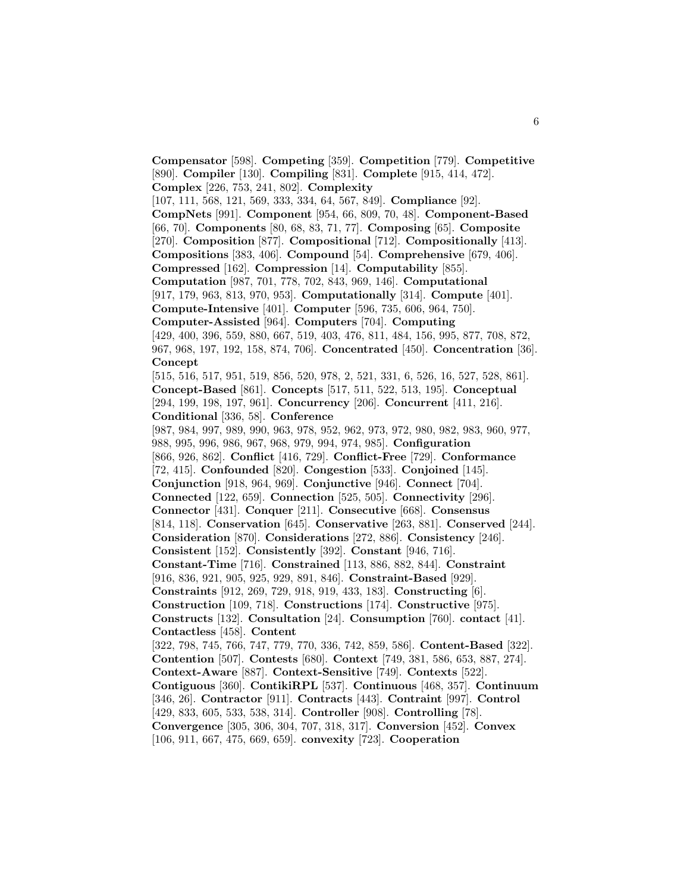**Compensator** [598]. **Competing** [359]. **Competition** [779]. **Competitive** [890]. **Compiler** [130]. **Compiling** [831]. **Complete** [915, 414, 472]. **Complex** [226, 753, 241, 802]. **Complexity** [107, 111, 568, 121, 569, 333, 334, 64, 567, 849]. **Compliance** [92]. **CompNets** [991]. **Component** [954, 66, 809, 70, 48]. **Component-Based** [66, 70]. **Components** [80, 68, 83, 71, 77]. **Composing** [65]. **Composite** [270]. **Composition** [877]. **Compositional** [712]. **Compositionally** [413]. **Compositions** [383, 406]. **Compound** [54]. **Comprehensive** [679, 406]. **Compressed** [162]. **Compression** [14]. **Computability** [855]. **Computation** [987, 701, 778, 702, 843, 969, 146]. **Computational** [917, 179, 963, 813, 970, 953]. **Computationally** [314]. **Compute** [401]. **Compute-Intensive** [401]. **Computer** [596, 735, 606, 964, 750]. **Computer-Assisted** [964]. **Computers** [704]. **Computing** [429, 400, 396, 559, 880, 667, 519, 403, 476, 811, 484, 156, 995, 877, 708, 872, 967, 968, 197, 192, 158, 874, 706]. **Concentrated** [450]. **Concentration** [36]. **Concept** [515, 516, 517, 951, 519, 856, 520, 978, 2, 521, 331, 6, 526, 16, 527, 528, 861]. **Concept-Based** [861]. **Concepts** [517, 511, 522, 513, 195]. **Conceptual** [294, 199, 198, 197, 961]. **Concurrency** [206]. **Concurrent** [411, 216]. **Conditional** [336, 58]. **Conference** [987, 984, 997, 989, 990, 963, 978, 952, 962, 973, 972, 980, 982, 983, 960, 977, 988, 995, 996, 986, 967, 968, 979, 994, 974, 985]. **Configuration** [866, 926, 862]. **Conflict** [416, 729]. **Conflict-Free** [729]. **Conformance** [72, 415]. **Confounded** [820]. **Congestion** [533]. **Conjoined** [145]. **Conjunction** [918, 964, 969]. **Conjunctive** [946]. **Connect** [704]. **Connected** [122, 659]. **Connection** [525, 505]. **Connectivity** [296]. **Connector** [431]. **Conquer** [211]. **Consecutive** [668]. **Consensus** [814, 118]. **Conservation** [645]. **Conservative** [263, 881]. **Conserved** [244]. **Consideration** [870]. **Considerations** [272, 886]. **Consistency** [246]. **Consistent** [152]. **Consistently** [392]. **Constant** [946, 716]. **Constant-Time** [716]. **Constrained** [113, 886, 882, 844]. **Constraint** [916, 836, 921, 905, 925, 929, 891, 846]. **Constraint-Based** [929]. **Constraints** [912, 269, 729, 918, 919, 433, 183]. **Constructing** [6]. **Construction** [109, 718]. **Constructions** [174]. **Constructive** [975]. **Constructs** [132]. **Consultation** [24]. **Consumption** [760]. **contact** [41]. **Contactless** [458]. **Content** [322, 798, 745, 766, 747, 779, 770, 336, 742, 859, 586]. **Content-Based** [322]. **Contention** [507]. **Contests** [680]. **Context** [749, 381, 586, 653, 887, 274]. **Context-Aware** [887]. **Context-Sensitive** [749]. **Contexts** [522]. **Contiguous** [360]. **ContikiRPL** [537]. **Continuous** [468, 357]. **Continuum** [346, 26]. **Contractor** [911]. **Contracts** [443]. **Contraint** [997]. **Control** [429, 833, 605, 533, 538, 314]. **Controller** [908]. **Controlling** [78]. **Convergence** [305, 306, 304, 707, 318, 317]. **Conversion** [452]. **Convex** [106, 911, 667, 475, 669, 659]. **convexity** [723]. **Cooperation**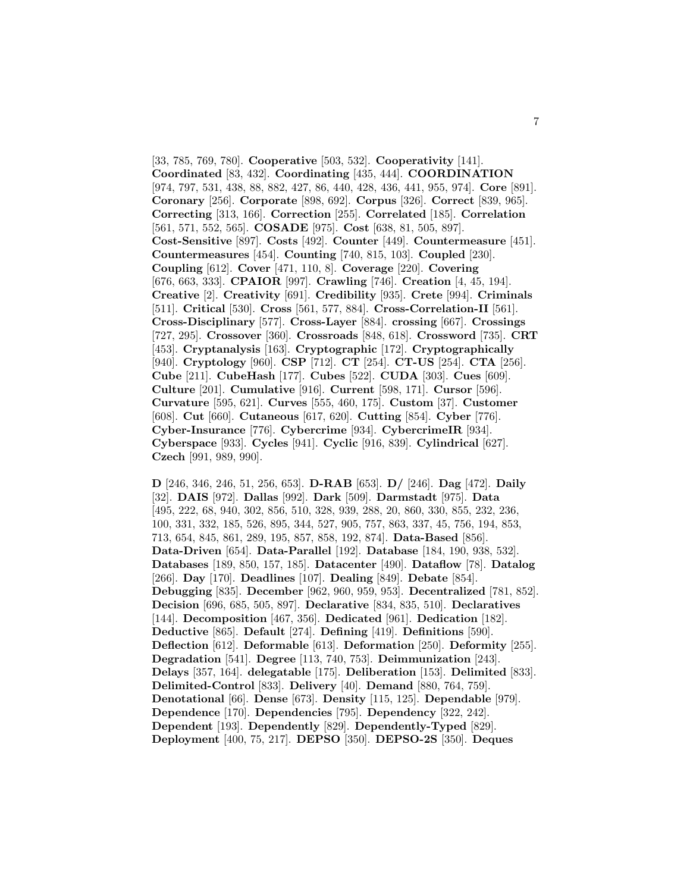[33, 785, 769, 780]. **Cooperative** [503, 532]. **Cooperativity** [141]. **Coordinated** [83, 432]. **Coordinating** [435, 444]. **COORDINATION** [974, 797, 531, 438, 88, 882, 427, 86, 440, 428, 436, 441, 955, 974]. **Core** [891]. **Coronary** [256]. **Corporate** [898, 692]. **Corpus** [326]. **Correct** [839, 965]. **Correcting** [313, 166]. **Correction** [255]. **Correlated** [185]. **Correlation** [561, 571, 552, 565]. **COSADE** [975]. **Cost** [638, 81, 505, 897]. **Cost-Sensitive** [897]. **Costs** [492]. **Counter** [449]. **Countermeasure** [451]. **Countermeasures** [454]. **Counting** [740, 815, 103]. **Coupled** [230]. **Coupling** [612]. **Cover** [471, 110, 8]. **Coverage** [220]. **Covering** [676, 663, 333]. **CPAIOR** [997]. **Crawling** [746]. **Creation** [4, 45, 194]. **Creative** [2]. **Creativity** [691]. **Credibility** [935]. **Crete** [994]. **Criminals** [511]. **Critical** [530]. **Cross** [561, 577, 884]. **Cross-Correlation-II** [561]. **Cross-Disciplinary** [577]. **Cross-Layer** [884]. **crossing** [667]. **Crossings** [727, 295]. **Crossover** [360]. **Crossroads** [848, 618]. **Crossword** [735]. **CRT** [453]. **Cryptanalysis** [163]. **Cryptographic** [172]. **Cryptographically** [940]. **Cryptology** [960]. **CSP** [712]. **CT** [254]. **CT-US** [254]. **CTA** [256]. **Cube** [211]. **CubeHash** [177]. **Cubes** [522]. **CUDA** [303]. **Cues** [609]. **Culture** [201]. **Cumulative** [916]. **Current** [598, 171]. **Cursor** [596]. **Curvature** [595, 621]. **Curves** [555, 460, 175]. **Custom** [37]. **Customer** [608]. **Cut** [660]. **Cutaneous** [617, 620]. **Cutting** [854]. **Cyber** [776]. **Cyber-Insurance** [776]. **Cybercrime** [934]. **CybercrimeIR** [934]. **Cyberspace** [933]. **Cycles** [941]. **Cyclic** [916, 839]. **Cylindrical** [627]. **Czech** [991, 989, 990].

**D** [246, 346, 246, 51, 256, 653]. **D-RAB** [653]. **D/** [246]. **Dag** [472]. **Daily** [32]. **DAIS** [972]. **Dallas** [992]. **Dark** [509]. **Darmstadt** [975]. **Data** [495, 222, 68, 940, 302, 856, 510, 328, 939, 288, 20, 860, 330, 855, 232, 236, 100, 331, 332, 185, 526, 895, 344, 527, 905, 757, 863, 337, 45, 756, 194, 853, 713, 654, 845, 861, 289, 195, 857, 858, 192, 874]. **Data-Based** [856]. **Data-Driven** [654]. **Data-Parallel** [192]. **Database** [184, 190, 938, 532]. **Databases** [189, 850, 157, 185]. **Datacenter** [490]. **Dataflow** [78]. **Datalog** [266]. **Day** [170]. **Deadlines** [107]. **Dealing** [849]. **Debate** [854]. **Debugging** [835]. **December** [962, 960, 959, 953]. **Decentralized** [781, 852]. **Decision** [696, 685, 505, 897]. **Declarative** [834, 835, 510]. **Declaratives** [144]. **Decomposition** [467, 356]. **Dedicated** [961]. **Dedication** [182]. **Deductive** [865]. **Default** [274]. **Defining** [419]. **Definitions** [590]. **Deflection** [612]. **Deformable** [613]. **Deformation** [250]. **Deformity** [255]. **Degradation** [541]. **Degree** [113, 740, 753]. **Deimmunization** [243]. **Delays** [357, 164]. **delegatable** [175]. **Deliberation** [153]. **Delimited** [833]. **Delimited-Control** [833]. **Delivery** [40]. **Demand** [880, 764, 759]. **Denotational** [66]. **Dense** [673]. **Density** [115, 125]. **Dependable** [979]. **Dependence** [170]. **Dependencies** [795]. **Dependency** [322, 242]. **Dependent** [193]. **Dependently** [829]. **Dependently-Typed** [829]. **Deployment** [400, 75, 217]. **DEPSO** [350]. **DEPSO-2S** [350]. **Deques**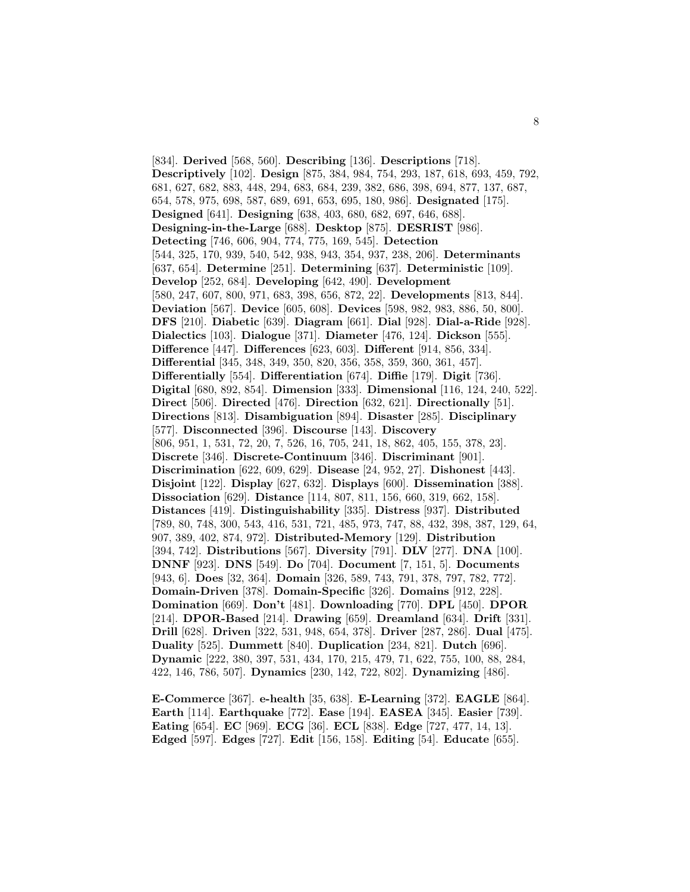[834]. **Derived** [568, 560]. **Describing** [136]. **Descriptions** [718]. **Descriptively** [102]. **Design** [875, 384, 984, 754, 293, 187, 618, 693, 459, 792, 681, 627, 682, 883, 448, 294, 683, 684, 239, 382, 686, 398, 694, 877, 137, 687, 654, 578, 975, 698, 587, 689, 691, 653, 695, 180, 986]. **Designated** [175]. **Designed** [641]. **Designing** [638, 403, 680, 682, 697, 646, 688]. **Designing-in-the-Large** [688]. **Desktop** [875]. **DESRIST** [986]. **Detecting** [746, 606, 904, 774, 775, 169, 545]. **Detection** [544, 325, 170, 939, 540, 542, 938, 943, 354, 937, 238, 206]. **Determinants** [637, 654]. **Determine** [251]. **Determining** [637]. **Deterministic** [109]. **Develop** [252, 684]. **Developing** [642, 490]. **Development** [580, 247, 607, 800, 971, 683, 398, 656, 872, 22]. **Developments** [813, 844]. **Deviation** [567]. **Device** [605, 608]. **Devices** [598, 982, 983, 886, 50, 800]. **DFS** [210]. **Diabetic** [639]. **Diagram** [661]. **Dial** [928]. **Dial-a-Ride** [928]. **Dialectics** [103]. **Dialogue** [371]. **Diameter** [476, 124]. **Dickson** [555]. **Difference** [447]. **Differences** [623, 603]. **Different** [914, 856, 334]. **Differential** [345, 348, 349, 350, 820, 356, 358, 359, 360, 361, 457]. **Differentially** [554]. **Differentiation** [674]. **Diffie** [179]. **Digit** [736]. **Digital** [680, 892, 854]. **Dimension** [333]. **Dimensional** [116, 124, 240, 522]. **Direct** [506]. **Directed** [476]. **Direction** [632, 621]. **Directionally** [51]. **Directions** [813]. **Disambiguation** [894]. **Disaster** [285]. **Disciplinary** [577]. **Disconnected** [396]. **Discourse** [143]. **Discovery** [806, 951, 1, 531, 72, 20, 7, 526, 16, 705, 241, 18, 862, 405, 155, 378, 23]. **Discrete** [346]. **Discrete-Continuum** [346]. **Discriminant** [901]. **Discrimination** [622, 609, 629]. **Disease** [24, 952, 27]. **Dishonest** [443]. **Disjoint** [122]. **Display** [627, 632]. **Displays** [600]. **Dissemination** [388]. **Dissociation** [629]. **Distance** [114, 807, 811, 156, 660, 319, 662, 158]. **Distances** [419]. **Distinguishability** [335]. **Distress** [937]. **Distributed** [789, 80, 748, 300, 543, 416, 531, 721, 485, 973, 747, 88, 432, 398, 387, 129, 64, 907, 389, 402, 874, 972]. **Distributed-Memory** [129]. **Distribution** [394, 742]. **Distributions** [567]. **Diversity** [791]. **DLV** [277]. **DNA** [100]. **DNNF** [923]. **DNS** [549]. **Do** [704]. **Document** [7, 151, 5]. **Documents** [943, 6]. **Does** [32, 364]. **Domain** [326, 589, 743, 791, 378, 797, 782, 772]. **Domain-Driven** [378]. **Domain-Specific** [326]. **Domains** [912, 228]. **Domination** [669]. **Don't** [481]. **Downloading** [770]. **DPL** [450]. **DPOR** [214]. **DPOR-Based** [214]. **Drawing** [659]. **Dreamland** [634]. **Drift** [331]. **Drill** [628]. **Driven** [322, 531, 948, 654, 378]. **Driver** [287, 286]. **Dual** [475]. **Duality** [525]. **Dummett** [840]. **Duplication** [234, 821]. **Dutch** [696]. **Dynamic** [222, 380, 397, 531, 434, 170, 215, 479, 71, 622, 755, 100, 88, 284, 422, 146, 786, 507]. **Dynamics** [230, 142, 722, 802]. **Dynamizing** [486].

**E-Commerce** [367]. **e-health** [35, 638]. **E-Learning** [372]. **EAGLE** [864]. **Earth** [114]. **Earthquake** [772]. **Ease** [194]. **EASEA** [345]. **Easier** [739]. **Eating** [654]. **EC** [969]. **ECG** [36]. **ECL** [838]. **Edge** [727, 477, 14, 13]. **Edged** [597]. **Edges** [727]. **Edit** [156, 158]. **Editing** [54]. **Educate** [655].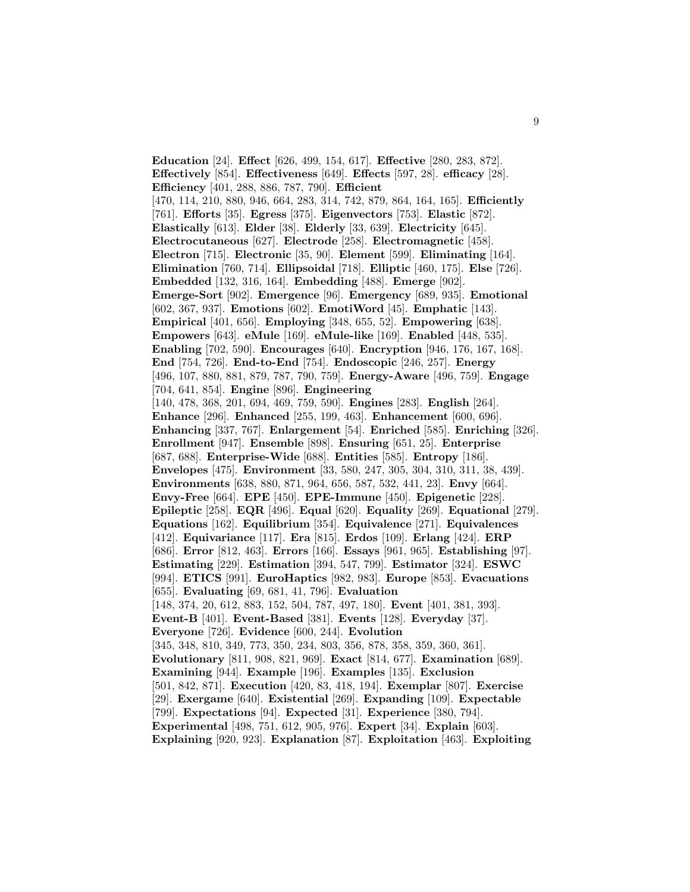**Education** [24]. **Effect** [626, 499, 154, 617]. **Effective** [280, 283, 872]. **Effectively** [854]. **Effectiveness** [649]. **Effects** [597, 28]. **efficacy** [28]. **Efficiency** [401, 288, 886, 787, 790]. **Efficient** [470, 114, 210, 880, 946, 664, 283, 314, 742, 879, 864, 164, 165]. **Efficiently** [761]. **Efforts** [35]. **Egress** [375]. **Eigenvectors** [753]. **Elastic** [872]. **Elastically** [613]. **Elder** [38]. **Elderly** [33, 639]. **Electricity** [645]. **Electrocutaneous** [627]. **Electrode** [258]. **Electromagnetic** [458]. **Electron** [715]. **Electronic** [35, 90]. **Element** [599]. **Eliminating** [164]. **Elimination** [760, 714]. **Ellipsoidal** [718]. **Elliptic** [460, 175]. **Else** [726]. **Embedded** [132, 316, 164]. **Embedding** [488]. **Emerge** [902]. **Emerge-Sort** [902]. **Emergence** [96]. **Emergency** [689, 935]. **Emotional** [602, 367, 937]. **Emotions** [602]. **EmotiWord** [45]. **Emphatic** [143]. **Empirical** [401, 656]. **Employing** [348, 655, 52]. **Empowering** [638]. **Empowers** [643]. **eMule** [169]. **eMule-like** [169]. **Enabled** [448, 535]. **Enabling** [702, 590]. **Encourages** [640]. **Encryption** [946, 176, 167, 168]. **End** [754, 726]. **End-to-End** [754]. **Endoscopic** [246, 257]. **Energy** [496, 107, 880, 881, 879, 787, 790, 759]. **Energy-Aware** [496, 759]. **Engage** [704, 641, 854]. **Engine** [896]. **Engineering** [140, 478, 368, 201, 694, 469, 759, 590]. **Engines** [283]. **English** [264]. **Enhance** [296]. **Enhanced** [255, 199, 463]. **Enhancement** [600, 696]. **Enhancing** [337, 767]. **Enlargement** [54]. **Enriched** [585]. **Enriching** [326]. **Enrollment** [947]. **Ensemble** [898]. **Ensuring** [651, 25]. **Enterprise** [687, 688]. **Enterprise-Wide** [688]. **Entities** [585]. **Entropy** [186]. **Envelopes** [475]. **Environment** [33, 580, 247, 305, 304, 310, 311, 38, 439]. **Environments** [638, 880, 871, 964, 656, 587, 532, 441, 23]. **Envy** [664]. **Envy-Free** [664]. **EPE** [450]. **EPE-Immune** [450]. **Epigenetic** [228]. **Epileptic** [258]. **EQR** [496]. **Equal** [620]. **Equality** [269]. **Equational** [279]. **Equations** [162]. **Equilibrium** [354]. **Equivalence** [271]. **Equivalences** [412]. **Equivariance** [117]. **Era** [815]. **Erdos** [109]. **Erlang** [424]. **ERP** [686]. **Error** [812, 463]. **Errors** [166]. **Essays** [961, 965]. **Establishing** [97]. **Estimating** [229]. **Estimation** [394, 547, 799]. **Estimator** [324]. **ESWC** [994]. **ETICS** [991]. **EuroHaptics** [982, 983]. **Europe** [853]. **Evacuations** [655]. **Evaluating** [69, 681, 41, 796]. **Evaluation** [148, 374, 20, 612, 883, 152, 504, 787, 497, 180]. **Event** [401, 381, 393]. **Event-B** [401]. **Event-Based** [381]. **Events** [128]. **Everyday** [37]. **Everyone** [726]. **Evidence** [600, 244]. **Evolution** [345, 348, 810, 349, 773, 350, 234, 803, 356, 878, 358, 359, 360, 361]. **Evolutionary** [811, 908, 821, 969]. **Exact** [814, 677]. **Examination** [689]. **Examining** [944]. **Example** [196]. **Examples** [135]. **Exclusion** [501, 842, 871]. **Execution** [420, 83, 418, 194]. **Exemplar** [807]. **Exercise** [29]. **Exergame** [640]. **Existential** [269]. **Expanding** [109]. **Expectable** [799]. **Expectations** [94]. **Expected** [31]. **Experience** [380, 794]. **Experimental** [498, 751, 612, 905, 976]. **Expert** [34]. **Explain** [603]. **Explaining** [920, 923]. **Explanation** [87]. **Exploitation** [463]. **Exploiting**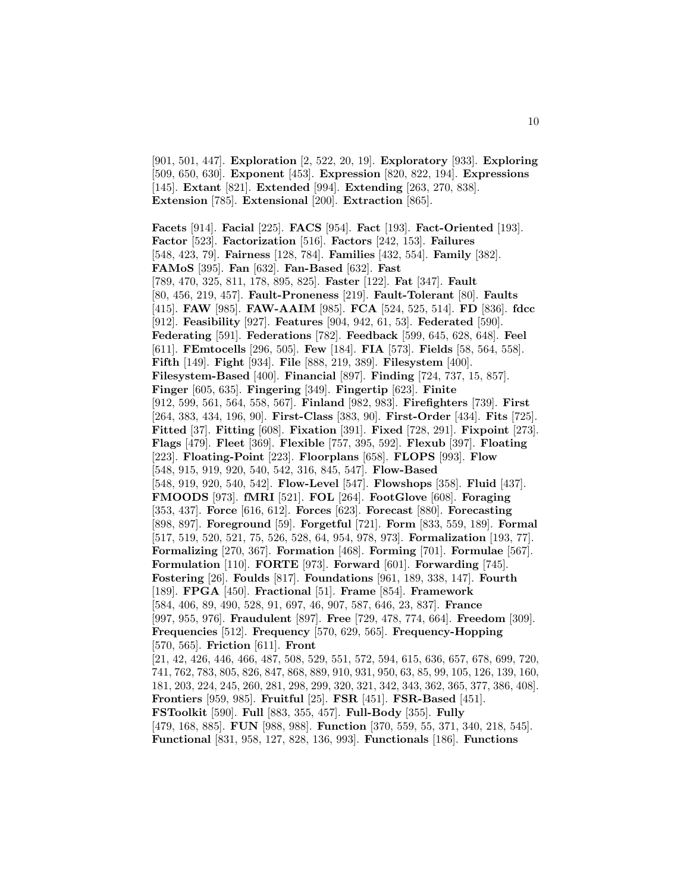[901, 501, 447]. **Exploration** [2, 522, 20, 19]. **Exploratory** [933]. **Exploring** [509, 650, 630]. **Exponent** [453]. **Expression** [820, 822, 194]. **Expressions** [145]. **Extant** [821]. **Extended** [994]. **Extending** [263, 270, 838]. **Extension** [785]. **Extensional** [200]. **Extraction** [865].

**Facets** [914]. **Facial** [225]. **FACS** [954]. **Fact** [193]. **Fact-Oriented** [193]. **Factor** [523]. **Factorization** [516]. **Factors** [242, 153]. **Failures** [548, 423, 79]. **Fairness** [128, 784]. **Families** [432, 554]. **Family** [382]. **FAMoS** [395]. **Fan** [632]. **Fan-Based** [632]. **Fast** [789, 470, 325, 811, 178, 895, 825]. **Faster** [122]. **Fat** [347]. **Fault** [80, 456, 219, 457]. **Fault-Proneness** [219]. **Fault-Tolerant** [80]. **Faults** [415]. **FAW** [985]. **FAW-AAIM** [985]. **FCA** [524, 525, 514]. **FD** [836]. **fdcc** [912]. **Feasibility** [927]. **Features** [904, 942, 61, 53]. **Federated** [590]. **Federating** [591]. **Federations** [782]. **Feedback** [599, 645, 628, 648]. **Feel** [611]. **FEmtocells** [296, 505]. **Few** [184]. **FIA** [573]. **Fields** [58, 564, 558]. **Fifth** [149]. **Fight** [934]. **File** [888, 219, 389]. **Filesystem** [400]. **Filesystem-Based** [400]. **Financial** [897]. **Finding** [724, 737, 15, 857]. **Finger** [605, 635]. **Fingering** [349]. **Fingertip** [623]. **Finite** [912, 599, 561, 564, 558, 567]. **Finland** [982, 983]. **Firefighters** [739]. **First** [264, 383, 434, 196, 90]. **First-Class** [383, 90]. **First-Order** [434]. **Fits** [725]. **Fitted** [37]. **Fitting** [608]. **Fixation** [391]. **Fixed** [728, 291]. **Fixpoint** [273]. **Flags** [479]. **Fleet** [369]. **Flexible** [757, 395, 592]. **Flexub** [397]. **Floating** [223]. **Floating-Point** [223]. **Floorplans** [658]. **FLOPS** [993]. **Flow** [548, 915, 919, 920, 540, 542, 316, 845, 547]. **Flow-Based** [548, 919, 920, 540, 542]. **Flow-Level** [547]. **Flowshops** [358]. **Fluid** [437]. **FMOODS** [973]. **fMRI** [521]. **FOL** [264]. **FootGlove** [608]. **Foraging** [353, 437]. **Force** [616, 612]. **Forces** [623]. **Forecast** [880]. **Forecasting** [898, 897]. **Foreground** [59]. **Forgetful** [721]. **Form** [833, 559, 189]. **Formal** [517, 519, 520, 521, 75, 526, 528, 64, 954, 978, 973]. **Formalization** [193, 77]. **Formalizing** [270, 367]. **Formation** [468]. **Forming** [701]. **Formulae** [567]. **Formulation** [110]. **FORTE** [973]. **Forward** [601]. **Forwarding** [745]. **Fostering** [26]. **Foulds** [817]. **Foundations** [961, 189, 338, 147]. **Fourth** [189]. **FPGA** [450]. **Fractional** [51]. **Frame** [854]. **Framework** [584, 406, 89, 490, 528, 91, 697, 46, 907, 587, 646, 23, 837]. **France** [997, 955, 976]. **Fraudulent** [897]. **Free** [729, 478, 774, 664]. **Freedom** [309]. **Frequencies** [512]. **Frequency** [570, 629, 565]. **Frequency-Hopping** [570, 565]. **Friction** [611]. **Front** [21, 42, 426, 446, 466, 487, 508, 529, 551, 572, 594, 615, 636, 657, 678, 699, 720, 741, 762, 783, 805, 826, 847, 868, 889, 910, 931, 950, 63, 85, 99, 105, 126, 139, 160, 181, 203, 224, 245, 260, 281, 298, 299, 320, 321, 342, 343, 362, 365, 377, 386, 408]. **Frontiers** [959, 985]. **Fruitful** [25]. **FSR** [451]. **FSR-Based** [451]. **FSToolkit** [590]. **Full** [883, 355, 457]. **Full-Body** [355]. **Fully** [479, 168, 885]. **FUN** [988, 988]. **Function** [370, 559, 55, 371, 340, 218, 545]. **Functional** [831, 958, 127, 828, 136, 993]. **Functionals** [186]. **Functions**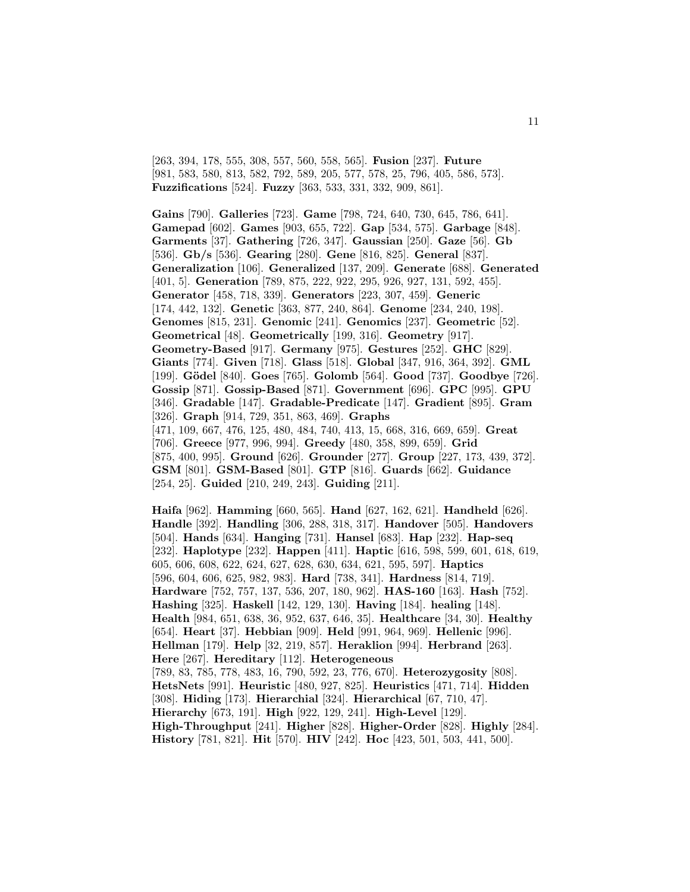[263, 394, 178, 555, 308, 557, 560, 558, 565]. **Fusion** [237]. **Future** [981, 583, 580, 813, 582, 792, 589, 205, 577, 578, 25, 796, 405, 586, 573]. **Fuzzifications** [524]. **Fuzzy** [363, 533, 331, 332, 909, 861].

**Gains** [790]. **Galleries** [723]. **Game** [798, 724, 640, 730, 645, 786, 641]. **Gamepad** [602]. **Games** [903, 655, 722]. **Gap** [534, 575]. **Garbage** [848]. **Garments** [37]. **Gathering** [726, 347]. **Gaussian** [250]. **Gaze** [56]. **Gb** [536]. **Gb/s** [536]. **Gearing** [280]. **Gene** [816, 825]. **General** [837]. **Generalization** [106]. **Generalized** [137, 209]. **Generate** [688]. **Generated** [401, 5]. **Generation** [789, 875, 222, 922, 295, 926, 927, 131, 592, 455]. **Generator** [458, 718, 339]. **Generators** [223, 307, 459]. **Generic** [174, 442, 132]. **Genetic** [363, 877, 240, 864]. **Genome** [234, 240, 198]. **Genomes** [815, 231]. **Genomic** [241]. **Genomics** [237]. **Geometric** [52]. **Geometrical** [48]. **Geometrically** [199, 316]. **Geometry** [917]. **Geometry-Based** [917]. **Germany** [975]. **Gestures** [252]. **GHC** [829]. **Giants** [774]. **Given** [718]. **Glass** [518]. **Global** [347, 916, 364, 392]. **GML** [199]. **G¨odel** [840]. **Goes** [765]. **Golomb** [564]. **Good** [737]. **Goodbye** [726]. **Gossip** [871]. **Gossip-Based** [871]. **Government** [696]. **GPC** [995]. **GPU** [346]. **Gradable** [147]. **Gradable-Predicate** [147]. **Gradient** [895]. **Gram** [326]. **Graph** [914, 729, 351, 863, 469]. **Graphs** [471, 109, 667, 476, 125, 480, 484, 740, 413, 15, 668, 316, 669, 659]. **Great** [706]. **Greece** [977, 996, 994]. **Greedy** [480, 358, 899, 659]. **Grid** [875, 400, 995]. **Ground** [626]. **Grounder** [277]. **Group** [227, 173, 439, 372]. **GSM** [801]. **GSM-Based** [801]. **GTP** [816]. **Guards** [662]. **Guidance** [254, 25]. **Guided** [210, 249, 243]. **Guiding** [211].

**Haifa** [962]. **Hamming** [660, 565]. **Hand** [627, 162, 621]. **Handheld** [626]. **Handle** [392]. **Handling** [306, 288, 318, 317]. **Handover** [505]. **Handovers** [504]. **Hands** [634]. **Hanging** [731]. **Hansel** [683]. **Hap** [232]. **Hap-seq** [232]. **Haplotype** [232]. **Happen** [411]. **Haptic** [616, 598, 599, 601, 618, 619, 605, 606, 608, 622, 624, 627, 628, 630, 634, 621, 595, 597]. **Haptics** [596, 604, 606, 625, 982, 983]. **Hard** [738, 341]. **Hardness** [814, 719]. **Hardware** [752, 757, 137, 536, 207, 180, 962]. **HAS-160** [163]. **Hash** [752]. **Hashing** [325]. **Haskell** [142, 129, 130]. **Having** [184]. **healing** [148]. **Health** [984, 651, 638, 36, 952, 637, 646, 35]. **Healthcare** [34, 30]. **Healthy** [654]. **Heart** [37]. **Hebbian** [909]. **Held** [991, 964, 969]. **Hellenic** [996]. **Hellman** [179]. **Help** [32, 219, 857]. **Heraklion** [994]. **Herbrand** [263]. **Here** [267]. **Hereditary** [112]. **Heterogeneous** [789, 83, 785, 778, 483, 16, 790, 592, 23, 776, 670]. **Heterozygosity** [808]. **HetsNets** [991]. **Heuristic** [480, 927, 825]. **Heuristics** [471, 714]. **Hidden** [308]. **Hiding** [173]. **Hierarchial** [324]. **Hierarchical** [67, 710, 47]. **Hierarchy** [673, 191]. **High** [922, 129, 241]. **High-Level** [129]. **High-Throughput** [241]. **Higher** [828]. **Higher-Order** [828]. **Highly** [284]. **History** [781, 821]. **Hit** [570]. **HIV** [242]. **Hoc** [423, 501, 503, 441, 500].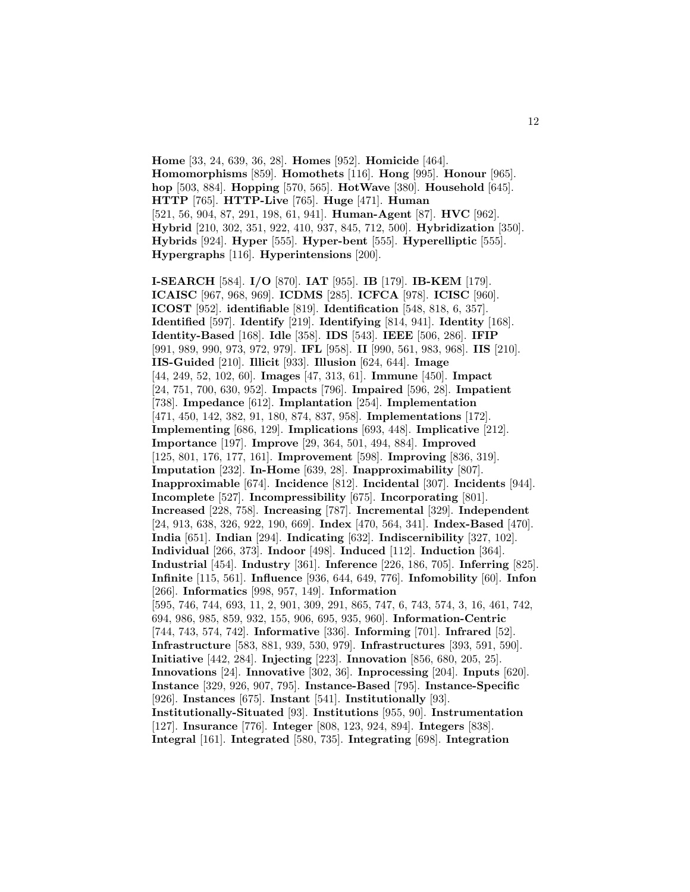**Home** [33, 24, 639, 36, 28]. **Homes** [952]. **Homicide** [464]. **Homomorphisms** [859]. **Homothets** [116]. **Hong** [995]. **Honour** [965]. **hop** [503, 884]. **Hopping** [570, 565]. **HotWave** [380]. **Household** [645]. **HTTP** [765]. **HTTP-Live** [765]. **Huge** [471]. **Human** [521, 56, 904, 87, 291, 198, 61, 941]. **Human-Agent** [87]. **HVC** [962]. **Hybrid** [210, 302, 351, 922, 410, 937, 845, 712, 500]. **Hybridization** [350]. **Hybrids** [924]. **Hyper** [555]. **Hyper-bent** [555]. **Hyperelliptic** [555]. **Hypergraphs** [116]. **Hyperintensions** [200].

**I-SEARCH** [584]. **I/O** [870]. **IAT** [955]. **IB** [179]. **IB-KEM** [179]. **ICAISC** [967, 968, 969]. **ICDMS** [285]. **ICFCA** [978]. **ICISC** [960]. **ICOST** [952]. **identifiable** [819]. **Identification** [548, 818, 6, 357]. **Identified** [597]. **Identify** [219]. **Identifying** [814, 941]. **Identity** [168]. **Identity-Based** [168]. **Idle** [358]. **IDS** [543]. **IEEE** [506, 286]. **IFIP** [991, 989, 990, 973, 972, 979]. **IFL** [958]. **II** [990, 561, 983, 968]. **IIS** [210]. **IIS-Guided** [210]. **Illicit** [933]. **Illusion** [624, 644]. **Image** [44, 249, 52, 102, 60]. **Images** [47, 313, 61]. **Immune** [450]. **Impact** [24, 751, 700, 630, 952]. **Impacts** [796]. **Impaired** [596, 28]. **Impatient** [738]. **Impedance** [612]. **Implantation** [254]. **Implementation** [471, 450, 142, 382, 91, 180, 874, 837, 958]. **Implementations** [172]. **Implementing** [686, 129]. **Implications** [693, 448]. **Implicative** [212]. **Importance** [197]. **Improve** [29, 364, 501, 494, 884]. **Improved** [125, 801, 176, 177, 161]. **Improvement** [598]. **Improving** [836, 319]. **Imputation** [232]. **In-Home** [639, 28]. **Inapproximability** [807]. **Inapproximable** [674]. **Incidence** [812]. **Incidental** [307]. **Incidents** [944]. **Incomplete** [527]. **Incompressibility** [675]. **Incorporating** [801]. **Increased** [228, 758]. **Increasing** [787]. **Incremental** [329]. **Independent** [24, 913, 638, 326, 922, 190, 669]. **Index** [470, 564, 341]. **Index-Based** [470]. **India** [651]. **Indian** [294]. **Indicating** [632]. **Indiscernibility** [327, 102]. **Individual** [266, 373]. **Indoor** [498]. **Induced** [112]. **Induction** [364]. **Industrial** [454]. **Industry** [361]. **Inference** [226, 186, 705]. **Inferring** [825]. **Infinite** [115, 561]. **Influence** [936, 644, 649, 776]. **Infomobility** [60]. **Infon** [266]. **Informatics** [998, 957, 149]. **Information** [595, 746, 744, 693, 11, 2, 901, 309, 291, 865, 747, 6, 743, 574, 3, 16, 461, 742, 694, 986, 985, 859, 932, 155, 906, 695, 935, 960]. **Information-Centric** [744, 743, 574, 742]. **Informative** [336]. **Informing** [701]. **Infrared** [52]. **Infrastructure** [583, 881, 939, 530, 979]. **Infrastructures** [393, 591, 590]. **Initiative** [442, 284]. **Injecting** [223]. **Innovation** [856, 680, 205, 25]. **Innovations** [24]. **Innovative** [302, 36]. **Inprocessing** [204]. **Inputs** [620]. **Instance** [329, 926, 907, 795]. **Instance-Based** [795]. **Instance-Specific** [926]. **Instances** [675]. **Instant** [541]. **Institutionally** [93]. **Institutionally-Situated** [93]. **Institutions** [955, 90]. **Instrumentation** [127]. **Insurance** [776]. **Integer** [808, 123, 924, 894]. **Integers** [838]. **Integral** [161]. **Integrated** [580, 735]. **Integrating** [698]. **Integration**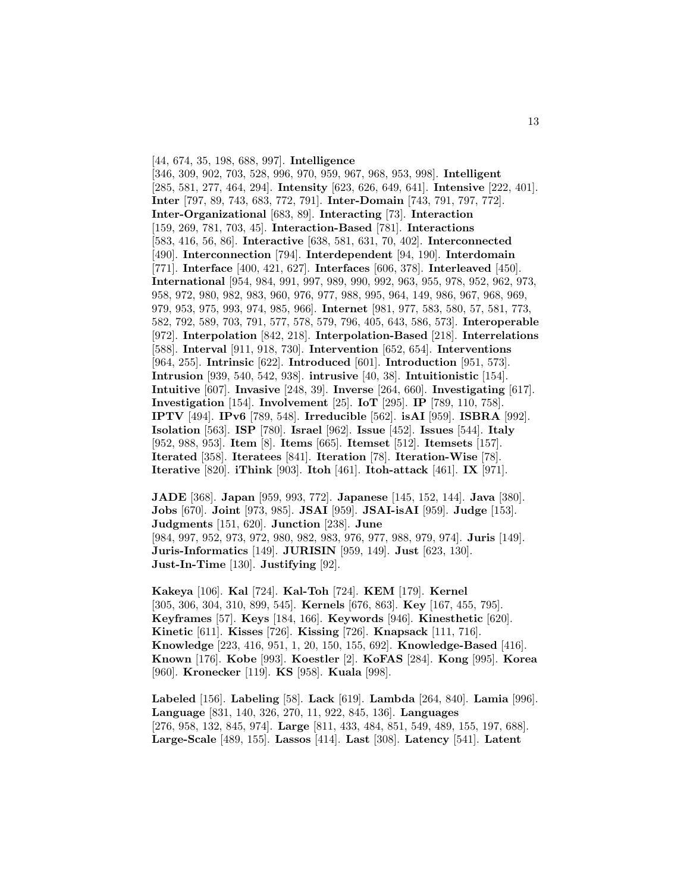[44, 674, 35, 198, 688, 997]. **Intelligence**

[346, 309, 902, 703, 528, 996, 970, 959, 967, 968, 953, 998]. **Intelligent** [285, 581, 277, 464, 294]. **Intensity** [623, 626, 649, 641]. **Intensive** [222, 401]. **Inter** [797, 89, 743, 683, 772, 791]. **Inter-Domain** [743, 791, 797, 772]. **Inter-Organizational** [683, 89]. **Interacting** [73]. **Interaction** [159, 269, 781, 703, 45]. **Interaction-Based** [781]. **Interactions** [583, 416, 56, 86]. **Interactive** [638, 581, 631, 70, 402]. **Interconnected** [490]. **Interconnection** [794]. **Interdependent** [94, 190]. **Interdomain** [771]. **Interface** [400, 421, 627]. **Interfaces** [606, 378]. **Interleaved** [450]. **International** [954, 984, 991, 997, 989, 990, 992, 963, 955, 978, 952, 962, 973, 958, 972, 980, 982, 983, 960, 976, 977, 988, 995, 964, 149, 986, 967, 968, 969, 979, 953, 975, 993, 974, 985, 966]. **Internet** [981, 977, 583, 580, 57, 581, 773, 582, 792, 589, 703, 791, 577, 578, 579, 796, 405, 643, 586, 573]. **Interoperable** [972]. **Interpolation** [842, 218]. **Interpolation-Based** [218]. **Interrelations** [588]. **Interval** [911, 918, 730]. **Intervention** [652, 654]. **Interventions** [964, 255]. **Intrinsic** [622]. **Introduced** [601]. **Introduction** [951, 573]. **Intrusion** [939, 540, 542, 938]. **intrusive** [40, 38]. **Intuitionistic** [154]. **Intuitive** [607]. **Invasive** [248, 39]. **Inverse** [264, 660]. **Investigating** [617]. **Investigation** [154]. **Involvement** [25]. **IoT** [295]. **IP** [789, 110, 758]. **IPTV** [494]. **IPv6** [789, 548]. **Irreducible** [562]. **isAI** [959]. **ISBRA** [992]. **Isolation** [563]. **ISP** [780]. **Israel** [962]. **Issue** [452]. **Issues** [544]. **Italy** [952, 988, 953]. **Item** [8]. **Items** [665]. **Itemset** [512]. **Itemsets** [157]. **Iterated** [358]. **Iteratees** [841]. **Iteration** [78]. **Iteration-Wise** [78]. **Iterative** [820]. **iThink** [903]. **Itoh** [461]. **Itoh-attack** [461]. **IX** [971].

**JADE** [368]. **Japan** [959, 993, 772]. **Japanese** [145, 152, 144]. **Java** [380]. **Jobs** [670]. **Joint** [973, 985]. **JSAI** [959]. **JSAI-isAI** [959]. **Judge** [153]. **Judgments** [151, 620]. **Junction** [238]. **June** [984, 997, 952, 973, 972, 980, 982, 983, 976, 977, 988, 979, 974]. **Juris** [149]. **Juris-Informatics** [149]. **JURISIN** [959, 149]. **Just** [623, 130]. **Just-In-Time** [130]. **Justifying** [92].

**Kakeya** [106]. **Kal** [724]. **Kal-Toh** [724]. **KEM** [179]. **Kernel** [305, 306, 304, 310, 899, 545]. **Kernels** [676, 863]. **Key** [167, 455, 795]. **Keyframes** [57]. **Keys** [184, 166]. **Keywords** [946]. **Kinesthetic** [620]. **Kinetic** [611]. **Kisses** [726]. **Kissing** [726]. **Knapsack** [111, 716]. **Knowledge** [223, 416, 951, 1, 20, 150, 155, 692]. **Knowledge-Based** [416]. **Known** [176]. **Kobe** [993]. **Koestler** [2]. **KoFAS** [284]. **Kong** [995]. **Korea** [960]. **Kronecker** [119]. **KS** [958]. **Kuala** [998].

**Labeled** [156]. **Labeling** [58]. **Lack** [619]. **Lambda** [264, 840]. **Lamia** [996]. **Language** [831, 140, 326, 270, 11, 922, 845, 136]. **Languages** [276, 958, 132, 845, 974]. **Large** [811, 433, 484, 851, 549, 489, 155, 197, 688]. **Large-Scale** [489, 155]. **Lassos** [414]. **Last** [308]. **Latency** [541]. **Latent**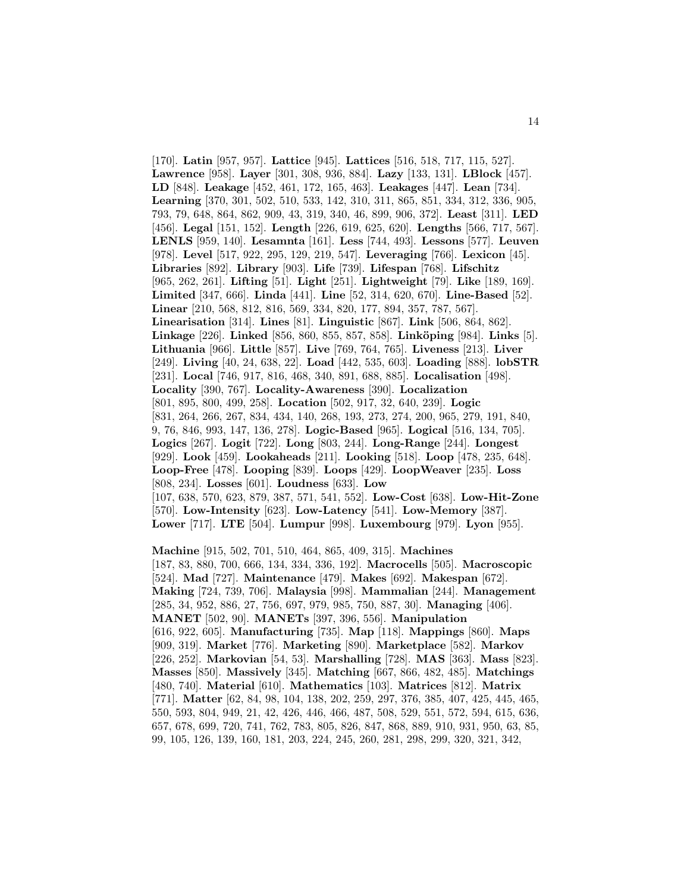[170]. **Latin** [957, 957]. **Lattice** [945]. **Lattices** [516, 518, 717, 115, 527]. **Lawrence** [958]. **Layer** [301, 308, 936, 884]. **Lazy** [133, 131]. **LBlock** [457]. **LD** [848]. **Leakage** [452, 461, 172, 165, 463]. **Leakages** [447]. **Lean** [734]. **Learning** [370, 301, 502, 510, 533, 142, 310, 311, 865, 851, 334, 312, 336, 905, 793, 79, 648, 864, 862, 909, 43, 319, 340, 46, 899, 906, 372]. **Least** [311]. **LED** [456]. **Legal** [151, 152]. **Length** [226, 619, 625, 620]. **Lengths** [566, 717, 567]. **LENLS** [959, 140]. **Lesamnta** [161]. **Less** [744, 493]. **Lessons** [577]. **Leuven** [978]. **Level** [517, 922, 295, 129, 219, 547]. **Leveraging** [766]. **Lexicon** [45]. **Libraries** [892]. **Library** [903]. **Life** [739]. **Lifespan** [768]. **Lifschitz** [965, 262, 261]. **Lifting** [51]. **Light** [251]. **Lightweight** [79]. **Like** [189, 169]. **Limited** [347, 666]. **Linda** [441]. **Line** [52, 314, 620, 670]. **Line-Based** [52]. **Linear** [210, 568, 812, 816, 569, 334, 820, 177, 894, 357, 787, 567]. **Linearisation** [314]. **Lines** [81]. **Linguistic** [867]. **Link** [506, 864, 862]. **Linkage** [226]. **Linked** [856, 860, 855, 857, 858]. **Link¨oping** [984]. **Links** [5]. **Lithuania** [966]. **Little** [857]. **Live** [769, 764, 765]. **Liveness** [213]. **Liver** [249]. **Living** [40, 24, 638, 22]. **Load** [442, 535, 603]. **Loading** [888]. **lobSTR** [231]. **Local** [746, 917, 816, 468, 340, 891, 688, 885]. **Localisation** [498]. **Locality** [390, 767]. **Locality-Awareness** [390]. **Localization** [801, 895, 800, 499, 258]. **Location** [502, 917, 32, 640, 239]. **Logic** [831, 264, 266, 267, 834, 434, 140, 268, 193, 273, 274, 200, 965, 279, 191, 840, 9, 76, 846, 993, 147, 136, 278]. **Logic-Based** [965]. **Logical** [516, 134, 705]. **Logics** [267]. **Logit** [722]. **Long** [803, 244]. **Long-Range** [244]. **Longest** [929]. **Look** [459]. **Lookaheads** [211]. **Looking** [518]. **Loop** [478, 235, 648]. **Loop-Free** [478]. **Looping** [839]. **Loops** [429]. **LoopWeaver** [235]. **Loss** [808, 234]. **Losses** [601]. **Loudness** [633]. **Low** [107, 638, 570, 623, 879, 387, 571, 541, 552]. **Low-Cost** [638]. **Low-Hit-Zone** [570]. **Low-Intensity** [623]. **Low-Latency** [541]. **Low-Memory** [387]. **Lower** [717]. **LTE** [504]. **Lumpur** [998]. **Luxembourg** [979]. **Lyon** [955].

**Machine** [915, 502, 701, 510, 464, 865, 409, 315]. **Machines** [187, 83, 880, 700, 666, 134, 334, 336, 192]. **Macrocells** [505]. **Macroscopic** [524]. **Mad** [727]. **Maintenance** [479]. **Makes** [692]. **Makespan** [672]. **Making** [724, 739, 706]. **Malaysia** [998]. **Mammalian** [244]. **Management** [285, 34, 952, 886, 27, 756, 697, 979, 985, 750, 887, 30]. **Managing** [406]. **MANET** [502, 90]. **MANETs** [397, 396, 556]. **Manipulation** [616, 922, 605]. **Manufacturing** [735]. **Map** [118]. **Mappings** [860]. **Maps** [909, 319]. **Market** [776]. **Marketing** [890]. **Marketplace** [582]. **Markov** [226, 252]. **Markovian** [54, 53]. **Marshalling** [728]. **MAS** [363]. **Mass** [823]. **Masses** [850]. **Massively** [345]. **Matching** [667, 866, 482, 485]. **Matchings** [480, 740]. **Material** [610]. **Mathematics** [103]. **Matrices** [812]. **Matrix** [771]. **Matter** [62, 84, 98, 104, 138, 202, 259, 297, 376, 385, 407, 425, 445, 465, 550, 593, 804, 949, 21, 42, 426, 446, 466, 487, 508, 529, 551, 572, 594, 615, 636, 657, 678, 699, 720, 741, 762, 783, 805, 826, 847, 868, 889, 910, 931, 950, 63, 85, 99, 105, 126, 139, 160, 181, 203, 224, 245, 260, 281, 298, 299, 320, 321, 342,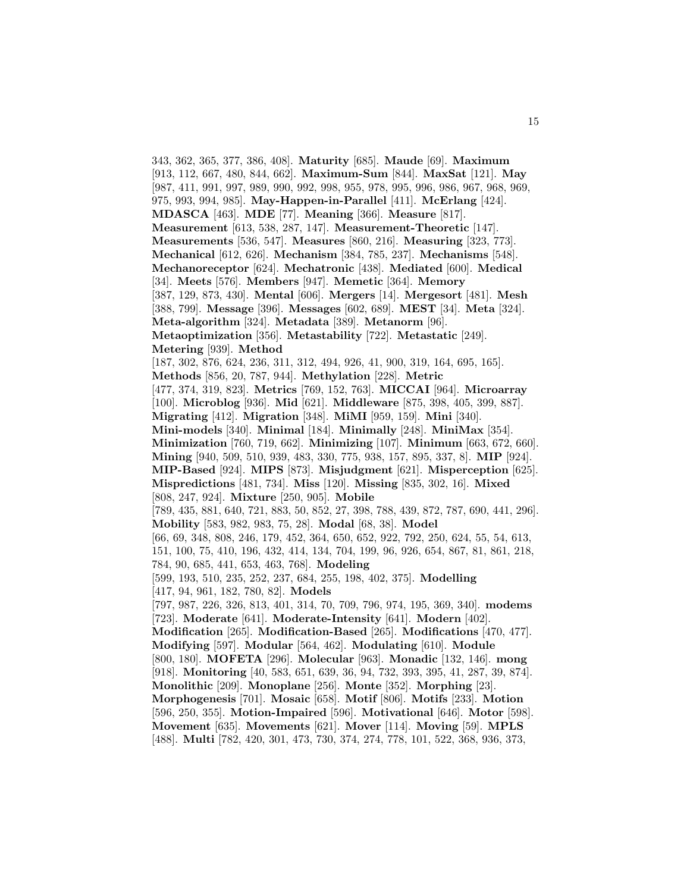343, 362, 365, 377, 386, 408]. **Maturity** [685]. **Maude** [69]. **Maximum** [913, 112, 667, 480, 844, 662]. **Maximum-Sum** [844]. **MaxSat** [121]. **May** [987, 411, 991, 997, 989, 990, 992, 998, 955, 978, 995, 996, 986, 967, 968, 969, 975, 993, 994, 985]. **May-Happen-in-Parallel** [411]. **McErlang** [424]. **MDASCA** [463]. **MDE** [77]. **Meaning** [366]. **Measure** [817]. **Measurement** [613, 538, 287, 147]. **Measurement-Theoretic** [147]. **Measurements** [536, 547]. **Measures** [860, 216]. **Measuring** [323, 773]. **Mechanical** [612, 626]. **Mechanism** [384, 785, 237]. **Mechanisms** [548]. **Mechanoreceptor** [624]. **Mechatronic** [438]. **Mediated** [600]. **Medical** [34]. **Meets** [576]. **Members** [947]. **Memetic** [364]. **Memory** [387, 129, 873, 430]. **Mental** [606]. **Mergers** [14]. **Mergesort** [481]. **Mesh** [388, 799]. **Message** [396]. **Messages** [602, 689]. **MEST** [34]. **Meta** [324]. **Meta-algorithm** [324]. **Metadata** [389]. **Metanorm** [96]. **Metaoptimization** [356]. **Metastability** [722]. **Metastatic** [249]. **Metering** [939]. **Method** [187, 302, 876, 624, 236, 311, 312, 494, 926, 41, 900, 319, 164, 695, 165]. **Methods** [856, 20, 787, 944]. **Methylation** [228]. **Metric** [477, 374, 319, 823]. **Metrics** [769, 152, 763]. **MICCAI** [964]. **Microarray** [100]. **Microblog** [936]. **Mid** [621]. **Middleware** [875, 398, 405, 399, 887]. **Migrating** [412]. **Migration** [348]. **MiMI** [959, 159]. **Mini** [340]. **Mini-models** [340]. **Minimal** [184]. **Minimally** [248]. **MiniMax** [354]. **Minimization** [760, 719, 662]. **Minimizing** [107]. **Minimum** [663, 672, 660]. **Mining** [940, 509, 510, 939, 483, 330, 775, 938, 157, 895, 337, 8]. **MIP** [924]. **MIP-Based** [924]. **MIPS** [873]. **Misjudgment** [621]. **Misperception** [625]. **Mispredictions** [481, 734]. **Miss** [120]. **Missing** [835, 302, 16]. **Mixed** [808, 247, 924]. **Mixture** [250, 905]. **Mobile** [789, 435, 881, 640, 721, 883, 50, 852, 27, 398, 788, 439, 872, 787, 690, 441, 296]. **Mobility** [583, 982, 983, 75, 28]. **Modal** [68, 38]. **Model** [66, 69, 348, 808, 246, 179, 452, 364, 650, 652, 922, 792, 250, 624, 55, 54, 613, 151, 100, 75, 410, 196, 432, 414, 134, 704, 199, 96, 926, 654, 867, 81, 861, 218, 784, 90, 685, 441, 653, 463, 768]. **Modeling** [599, 193, 510, 235, 252, 237, 684, 255, 198, 402, 375]. **Modelling** [417, 94, 961, 182, 780, 82]. **Models** [797, 987, 226, 326, 813, 401, 314, 70, 709, 796, 974, 195, 369, 340]. **modems** [723]. **Moderate** [641]. **Moderate-Intensity** [641]. **Modern** [402]. **Modification** [265]. **Modification-Based** [265]. **Modifications** [470, 477]. **Modifying** [597]. **Modular** [564, 462]. **Modulating** [610]. **Module** [800, 180]. **MOFETA** [296]. **Molecular** [963]. **Monadic** [132, 146]. **mong** [918]. **Monitoring** [40, 583, 651, 639, 36, 94, 732, 393, 395, 41, 287, 39, 874]. **Monolithic** [209]. **Monoplane** [256]. **Monte** [352]. **Morphing** [23]. **Morphogenesis** [701]. **Mosaic** [658]. **Motif** [806]. **Motifs** [233]. **Motion** [596, 250, 355]. **Motion-Impaired** [596]. **Motivational** [646]. **Motor** [598]. **Movement** [635]. **Movements** [621]. **Mover** [114]. **Moving** [59]. **MPLS** [488]. **Multi** [782, 420, 301, 473, 730, 374, 274, 778, 101, 522, 368, 936, 373,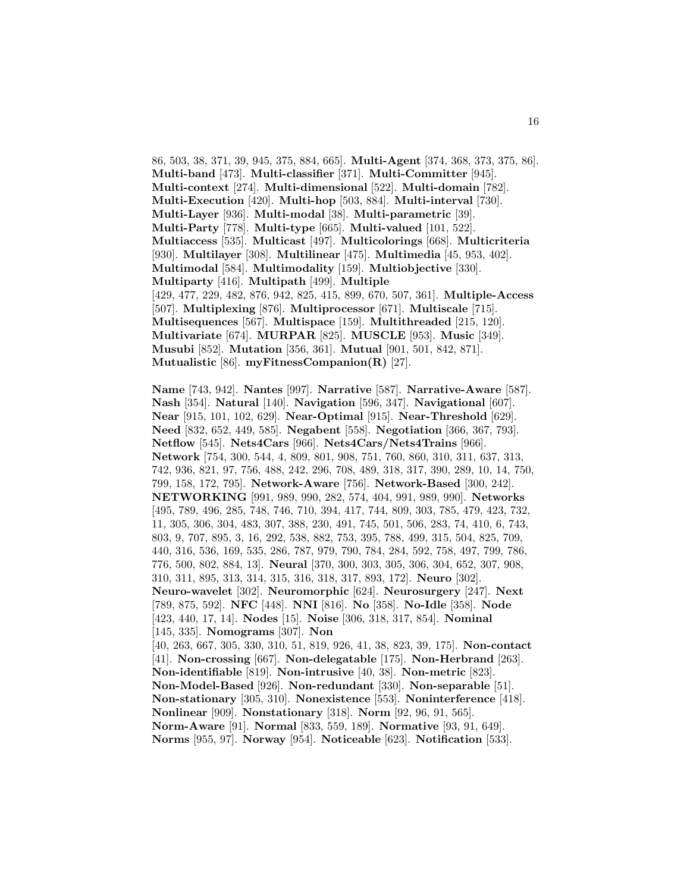86, 503, 38, 371, 39, 945, 375, 884, 665]. **Multi-Agent** [374, 368, 373, 375, 86]. **Multi-band** [473]. **Multi-classifier** [371]. **Multi-Committer** [945]. **Multi-context** [274]. **Multi-dimensional** [522]. **Multi-domain** [782]. **Multi-Execution** [420]. **Multi-hop** [503, 884]. **Multi-interval** [730]. **Multi-Layer** [936]. **Multi-modal** [38]. **Multi-parametric** [39]. **Multi-Party** [778]. **Multi-type** [665]. **Multi-valued** [101, 522]. **Multiaccess** [535]. **Multicast** [497]. **Multicolorings** [668]. **Multicriteria** [930]. **Multilayer** [308]. **Multilinear** [475]. **Multimedia** [45, 953, 402]. **Multimodal** [584]. **Multimodality** [159]. **Multiobjective** [330]. **Multiparty** [416]. **Multipath** [499]. **Multiple** [429, 477, 229, 482, 876, 942, 825, 415, 899, 670, 507, 361]. **Multiple-Access** [507]. **Multiplexing** [876]. **Multiprocessor** [671]. **Multiscale** [715]. **Multisequences** [567]. **Multispace** [159]. **Multithreaded** [215, 120]. **Multivariate** [674]. **MURPAR** [825]. **MUSCLE** [953]. **Music** [349]. **Musubi** [852]. **Mutation** [356, 361]. **Mutual** [901, 501, 842, 871]. **Mutualistic** [86]. **myFitnessCompanion(R)** [27].

**Name** [743, 942]. **Nantes** [997]. **Narrative** [587]. **Narrative-Aware** [587]. **Nash** [354]. **Natural** [140]. **Navigation** [596, 347]. **Navigational** [607]. **Near** [915, 101, 102, 629]. **Near-Optimal** [915]. **Near-Threshold** [629]. **Need** [832, 652, 449, 585]. **Negabent** [558]. **Negotiation** [366, 367, 793]. **Netflow** [545]. **Nets4Cars** [966]. **Nets4Cars/Nets4Trains** [966]. **Network** [754, 300, 544, 4, 809, 801, 908, 751, 760, 860, 310, 311, 637, 313, 742, 936, 821, 97, 756, 488, 242, 296, 708, 489, 318, 317, 390, 289, 10, 14, 750, 799, 158, 172, 795]. **Network-Aware** [756]. **Network-Based** [300, 242]. **NETWORKING** [991, 989, 990, 282, 574, 404, 991, 989, 990]. **Networks** [495, 789, 496, 285, 748, 746, 710, 394, 417, 744, 809, 303, 785, 479, 423, 732, 11, 305, 306, 304, 483, 307, 388, 230, 491, 745, 501, 506, 283, 74, 410, 6, 743, 803, 9, 707, 895, 3, 16, 292, 538, 882, 753, 395, 788, 499, 315, 504, 825, 709, 440, 316, 536, 169, 535, 286, 787, 979, 790, 784, 284, 592, 758, 497, 799, 786, 776, 500, 802, 884, 13]. **Neural** [370, 300, 303, 305, 306, 304, 652, 307, 908, 310, 311, 895, 313, 314, 315, 316, 318, 317, 893, 172]. **Neuro** [302]. **Neuro-wavelet** [302]. **Neuromorphic** [624]. **Neurosurgery** [247]. **Next** [789, 875, 592]. **NFC** [448]. **NNI** [816]. **No** [358]. **No-Idle** [358]. **Node** [423, 440, 17, 14]. **Nodes** [15]. **Noise** [306, 318, 317, 854]. **Nominal** [145, 335]. **Nomograms** [307]. **Non** [40, 263, 667, 305, 330, 310, 51, 819, 926, 41, 38, 823, 39, 175]. **Non-contact** [41]. **Non-crossing** [667]. **Non-delegatable** [175]. **Non-Herbrand** [263]. **Non-identifiable** [819]. **Non-intrusive** [40, 38]. **Non-metric** [823]. **Non-Model-Based** [926]. **Non-redundant** [330]. **Non-separable** [51]. **Non-stationary** [305, 310]. **Nonexistence** [553]. **Noninterference** [418]. **Nonlinear** [909]. **Nonstationary** [318]. **Norm** [92, 96, 91, 565]. **Norm-Aware** [91]. **Normal** [833, 559, 189]. **Normative** [93, 91, 649]. **Norms** [955, 97]. **Norway** [954]. **Noticeable** [623]. **Notification** [533].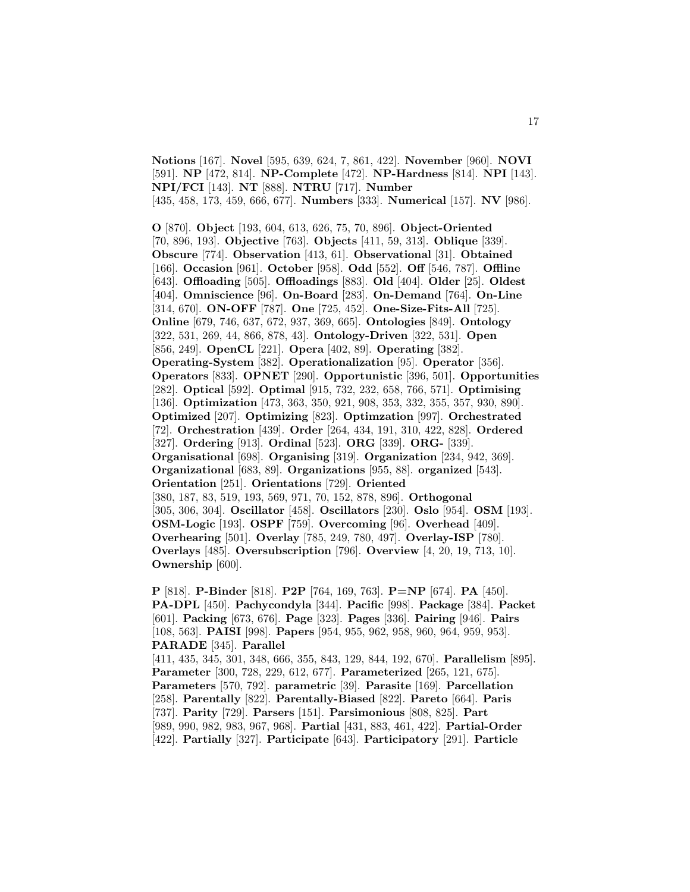**Notions** [167]. **Novel** [595, 639, 624, 7, 861, 422]. **November** [960]. **NOVI** [591]. **NP** [472, 814]. **NP-Complete** [472]. **NP-Hardness** [814]. **NPI** [143]. **NPI/FCI** [143]. **NT** [888]. **NTRU** [717]. **Number** [435, 458, 173, 459, 666, 677]. **Numbers** [333]. **Numerical** [157]. **NV** [986].

**O** [870]. **Object** [193, 604, 613, 626, 75, 70, 896]. **Object-Oriented** [70, 896, 193]. **Objective** [763]. **Objects** [411, 59, 313]. **Oblique** [339]. **Obscure** [774]. **Observation** [413, 61]. **Observational** [31]. **Obtained** [166]. **Occasion** [961]. **October** [958]. **Odd** [552]. **Off** [546, 787]. **Offline** [643]. **Offloading** [505]. **Offloadings** [883]. **Old** [404]. **Older** [25]. **Oldest** [404]. **Omniscience** [96]. **On-Board** [283]. **On-Demand** [764]. **On-Line** [314, 670]. **ON-OFF** [787]. **One** [725, 452]. **One-Size-Fits-All** [725]. **Online** [679, 746, 637, 672, 937, 369, 665]. **Ontologies** [849]. **Ontology** [322, 531, 269, 44, 866, 878, 43]. **Ontology-Driven** [322, 531]. **Open** [856, 249]. **OpenCL** [221]. **Opera** [402, 89]. **Operating** [382]. **Operating-System** [382]. **Operationalization** [95]. **Operator** [356]. **Operators** [833]. **OPNET** [290]. **Opportunistic** [396, 501]. **Opportunities** [282]. **Optical** [592]. **Optimal** [915, 732, 232, 658, 766, 571]. **Optimising** [136]. **Optimization** [473, 363, 350, 921, 908, 353, 332, 355, 357, 930, 890]. **Optimized** [207]. **Optimizing** [823]. **Optimzation** [997]. **Orchestrated** [72]. **Orchestration** [439]. **Order** [264, 434, 191, 310, 422, 828]. **Ordered** [327]. **Ordering** [913]. **Ordinal** [523]. **ORG** [339]. **ORG-** [339]. **Organisational** [698]. **Organising** [319]. **Organization** [234, 942, 369]. **Organizational** [683, 89]. **Organizations** [955, 88]. **organized** [543]. **Orientation** [251]. **Orientations** [729]. **Oriented** [380, 187, 83, 519, 193, 569, 971, 70, 152, 878, 896]. **Orthogonal** [305, 306, 304]. **Oscillator** [458]. **Oscillators** [230]. **Oslo** [954]. **OSM** [193]. **OSM-Logic** [193]. **OSPF** [759]. **Overcoming** [96]. **Overhead** [409]. **Overhearing** [501]. **Overlay** [785, 249, 780, 497]. **Overlay-ISP** [780]. **Overlays** [485]. **Oversubscription** [796]. **Overview** [4, 20, 19, 713, 10]. **Ownership** [600].

**P** [818]. **P-Binder** [818]. **P2P** [764, 169, 763]. **P=NP** [674]. **PA** [450]. **PA-DPL** [450]. **Pachycondyla** [344]. **Pacific** [998]. **Package** [384]. **Packet** [601]. **Packing** [673, 676]. **Page** [323]. **Pages** [336]. **Pairing** [946]. **Pairs** [108, 563]. **PAISI** [998]. **Papers** [954, 955, 962, 958, 960, 964, 959, 953]. **PARADE** [345]. **Parallel** [411, 435, 345, 301, 348, 666, 355, 843, 129, 844, 192, 670]. **Parallelism** [895]. **Parameter** [300, 728, 229, 612, 677]. **Parameterized** [265, 121, 675]. **Parameters** [570, 792]. **parametric** [39]. **Parasite** [169]. **Parcellation** [258]. **Parentally** [822]. **Parentally-Biased** [822]. **Pareto** [664]. **Paris** [737]. **Parity** [729]. **Parsers** [151]. **Parsimonious** [808, 825]. **Part** [989, 990, 982, 983, 967, 968]. **Partial** [431, 883, 461, 422]. **Partial-Order** [422]. **Partially** [327]. **Participate** [643]. **Participatory** [291]. **Particle**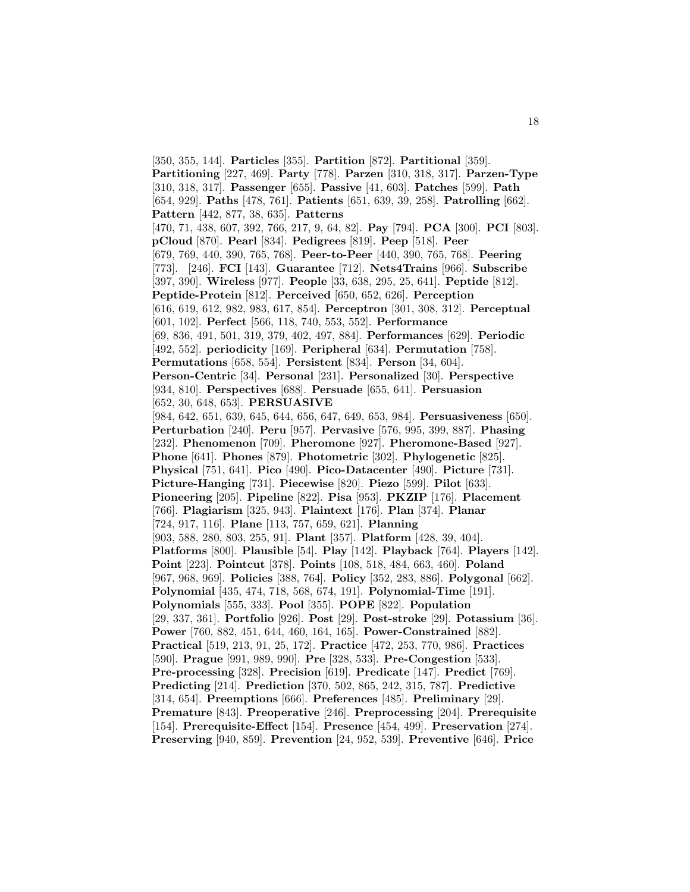[350, 355, 144]. **Particles** [355]. **Partition** [872]. **Partitional** [359]. **Partitioning** [227, 469]. **Party** [778]. **Parzen** [310, 318, 317]. **Parzen-Type** [310, 318, 317]. **Passenger** [655]. **Passive** [41, 603]. **Patches** [599]. **Path** [654, 929]. **Paths** [478, 761]. **Patients** [651, 639, 39, 258]. **Patrolling** [662]. **Pattern** [442, 877, 38, 635]. **Patterns** [470, 71, 438, 607, 392, 766, 217, 9, 64, 82]. **Pay** [794]. **PCA** [300]. **PCI** [803]. **pCloud** [870]. **Pearl** [834]. **Pedigrees** [819]. **Peep** [518]. **Peer** [679, 769, 440, 390, 765, 768]. **Peer-to-Peer** [440, 390, 765, 768]. **Peering** [773]. [246]. **FCI** [143]. **Guarantee** [712]. **Nets4Trains** [966]. **Subscribe** [397, 390]. **Wireless** [977]. **People** [33, 638, 295, 25, 641]. **Peptide** [812]. **Peptide-Protein** [812]. **Perceived** [650, 652, 626]. **Perception** [616, 619, 612, 982, 983, 617, 854]. **Perceptron** [301, 308, 312]. **Perceptual** [601, 102]. **Perfect** [566, 118, 740, 553, 552]. **Performance** [69, 836, 491, 501, 319, 379, 402, 497, 884]. **Performances** [629]. **Periodic** [492, 552]. **periodicity** [169]. **Peripheral** [634]. **Permutation** [758]. **Permutations** [658, 554]. **Persistent** [834]. **Person** [34, 604]. **Person-Centric** [34]. **Personal** [231]. **Personalized** [30]. **Perspective** [934, 810]. **Perspectives** [688]. **Persuade** [655, 641]. **Persuasion** [652, 30, 648, 653]. **PERSUASIVE** [984, 642, 651, 639, 645, 644, 656, 647, 649, 653, 984]. **Persuasiveness** [650]. **Perturbation** [240]. **Peru** [957]. **Pervasive** [576, 995, 399, 887]. **Phasing** [232]. **Phenomenon** [709]. **Pheromone** [927]. **Pheromone-Based** [927]. **Phone** [641]. **Phones** [879]. **Photometric** [302]. **Phylogenetic** [825]. **Physical** [751, 641]. **Pico** [490]. **Pico-Datacenter** [490]. **Picture** [731]. **Picture-Hanging** [731]. **Piecewise** [820]. **Piezo** [599]. **Pilot** [633]. **Pioneering** [205]. **Pipeline** [822]. **Pisa** [953]. **PKZIP** [176]. **Placement** [766]. **Plagiarism** [325, 943]. **Plaintext** [176]. **Plan** [374]. **Planar** [724, 917, 116]. **Plane** [113, 757, 659, 621]. **Planning** [903, 588, 280, 803, 255, 91]. **Plant** [357]. **Platform** [428, 39, 404]. **Platforms** [800]. **Plausible** [54]. **Play** [142]. **Playback** [764]. **Players** [142]. **Point** [223]. **Pointcut** [378]. **Points** [108, 518, 484, 663, 460]. **Poland** [967, 968, 969]. **Policies** [388, 764]. **Policy** [352, 283, 886]. **Polygonal** [662]. **Polynomial** [435, 474, 718, 568, 674, 191]. **Polynomial-Time** [191]. **Polynomials** [555, 333]. **Pool** [355]. **POPE** [822]. **Population** [29, 337, 361]. **Portfolio** [926]. **Post** [29]. **Post-stroke** [29]. **Potassium** [36]. **Power** [760, 882, 451, 644, 460, 164, 165]. **Power-Constrained** [882]. **Practical** [519, 213, 91, 25, 172]. **Practice** [472, 253, 770, 986]. **Practices** [590]. **Prague** [991, 989, 990]. **Pre** [328, 533]. **Pre-Congestion** [533]. **Pre-processing** [328]. **Precision** [619]. **Predicate** [147]. **Predict** [769]. **Predicting** [214]. **Prediction** [370, 502, 865, 242, 315, 787]. **Predictive** [314, 654]. **Preemptions** [666]. **Preferences** [485]. **Preliminary** [29]. **Premature** [843]. **Preoperative** [246]. **Preprocessing** [204]. **Prerequisite** [154]. **Prerequisite-Effect** [154]. **Presence** [454, 499]. **Preservation** [274]. **Preserving** [940, 859]. **Prevention** [24, 952, 539]. **Preventive** [646]. **Price**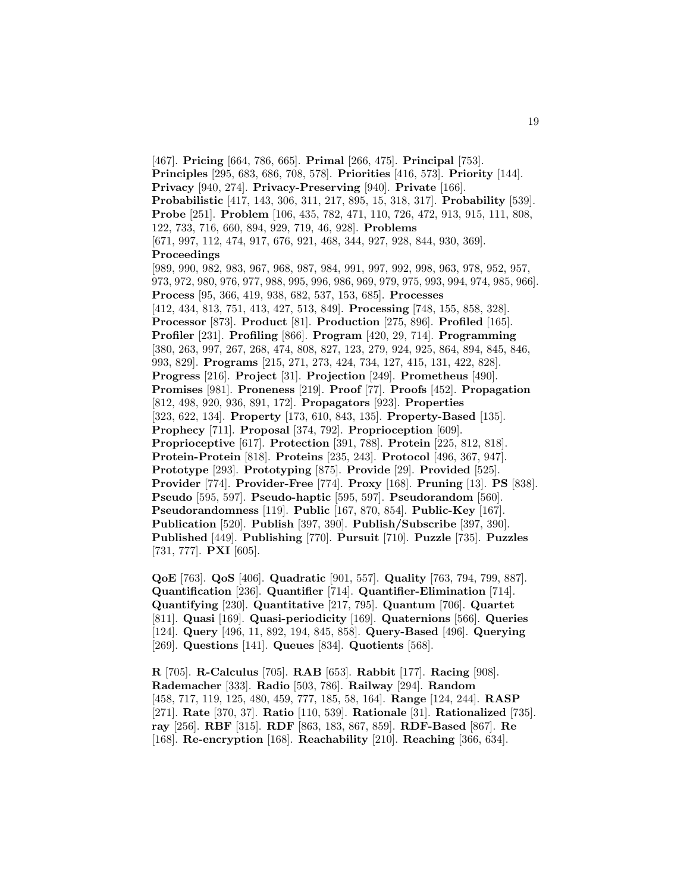[467]. **Pricing** [664, 786, 665]. **Primal** [266, 475]. **Principal** [753]. **Principles** [295, 683, 686, 708, 578]. **Priorities** [416, 573]. **Priority** [144]. **Privacy** [940, 274]. **Privacy-Preserving** [940]. **Private** [166]. **Probabilistic** [417, 143, 306, 311, 217, 895, 15, 318, 317]. **Probability** [539]. **Probe** [251]. **Problem** [106, 435, 782, 471, 110, 726, 472, 913, 915, 111, 808, 122, 733, 716, 660, 894, 929, 719, 46, 928]. **Problems** [671, 997, 112, 474, 917, 676, 921, 468, 344, 927, 928, 844, 930, 369]. **Proceedings** [989, 990, 982, 983, 967, 968, 987, 984, 991, 997, 992, 998, 963, 978, 952, 957, 973, 972, 980, 976, 977, 988, 995, 996, 986, 969, 979, 975, 993, 994, 974, 985, 966]. **Process** [95, 366, 419, 938, 682, 537, 153, 685]. **Processes** [412, 434, 813, 751, 413, 427, 513, 849]. **Processing** [748, 155, 858, 328]. **Processor** [873]. **Product** [81]. **Production** [275, 896]. **Profiled** [165]. **Profiler** [231]. **Profiling** [866]. **Program** [420, 29, 714]. **Programming** [380, 263, 997, 267, 268, 474, 808, 827, 123, 279, 924, 925, 864, 894, 845, 846, 993, 829]. **Programs** [215, 271, 273, 424, 734, 127, 415, 131, 422, 828]. **Progress** [216]. **Project** [31]. **Projection** [249]. **Prometheus** [490]. **Promises** [981]. **Proneness** [219]. **Proof** [77]. **Proofs** [452]. **Propagation** [812, 498, 920, 936, 891, 172]. **Propagators** [923]. **Properties** [323, 622, 134]. **Property** [173, 610, 843, 135]. **Property-Based** [135]. **Prophecy** [711]. **Proposal** [374, 792]. **Proprioception** [609]. **Proprioceptive** [617]. **Protection** [391, 788]. **Protein** [225, 812, 818]. **Protein-Protein** [818]. **Proteins** [235, 243]. **Protocol** [496, 367, 947]. **Prototype** [293]. **Prototyping** [875]. **Provide** [29]. **Provided** [525]. **Provider** [774]. **Provider-Free** [774]. **Proxy** [168]. **Pruning** [13]. **PS** [838]. **Pseudo** [595, 597]. **Pseudo-haptic** [595, 597]. **Pseudorandom** [560]. **Pseudorandomness** [119]. **Public** [167, 870, 854]. **Public-Key** [167]. **Publication** [520]. **Publish** [397, 390]. **Publish/Subscribe** [397, 390]. **Published** [449]. **Publishing** [770]. **Pursuit** [710]. **Puzzle** [735]. **Puzzles** [731, 777]. **PXI** [605].

**QoE** [763]. **QoS** [406]. **Quadratic** [901, 557]. **Quality** [763, 794, 799, 887]. **Quantification** [236]. **Quantifier** [714]. **Quantifier-Elimination** [714]. **Quantifying** [230]. **Quantitative** [217, 795]. **Quantum** [706]. **Quartet** [811]. **Quasi** [169]. **Quasi-periodicity** [169]. **Quaternions** [566]. **Queries** [124]. **Query** [496, 11, 892, 194, 845, 858]. **Query-Based** [496]. **Querying** [269]. **Questions** [141]. **Queues** [834]. **Quotients** [568].

**R** [705]. **R-Calculus** [705]. **RAB** [653]. **Rabbit** [177]. **Racing** [908]. **Rademacher** [333]. **Radio** [503, 786]. **Railway** [294]. **Random** [458, 717, 119, 125, 480, 459, 777, 185, 58, 164]. **Range** [124, 244]. **RASP** [271]. **Rate** [370, 37]. **Ratio** [110, 539]. **Rationale** [31]. **Rationalized** [735]. **ray** [256]. **RBF** [315]. **RDF** [863, 183, 867, 859]. **RDF-Based** [867]. **Re** [168]. **Re-encryption** [168]. **Reachability** [210]. **Reaching** [366, 634].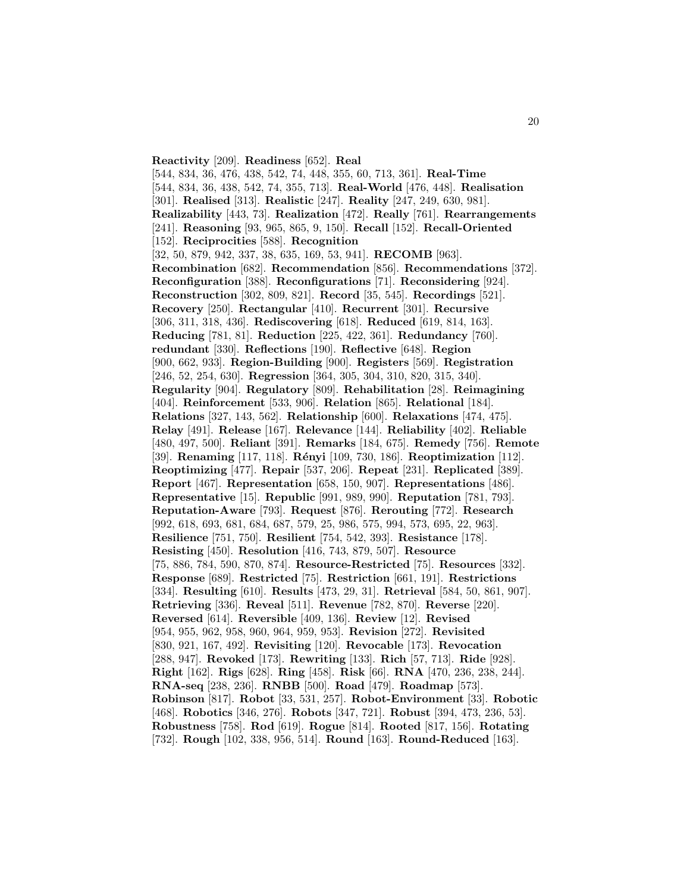**Reactivity** [209]. **Readiness** [652]. **Real** [544, 834, 36, 476, 438, 542, 74, 448, 355, 60, 713, 361]. **Real-Time** [544, 834, 36, 438, 542, 74, 355, 713]. **Real-World** [476, 448]. **Realisation** [301]. **Realised** [313]. **Realistic** [247]. **Reality** [247, 249, 630, 981]. **Realizability** [443, 73]. **Realization** [472]. **Really** [761]. **Rearrangements** [241]. **Reasoning** [93, 965, 865, 9, 150]. **Recall** [152]. **Recall-Oriented** [152]. **Reciprocities** [588]. **Recognition** [32, 50, 879, 942, 337, 38, 635, 169, 53, 941]. **RECOMB** [963]. **Recombination** [682]. **Recommendation** [856]. **Recommendations** [372]. **Reconfiguration** [388]. **Reconfigurations** [71]. **Reconsidering** [924]. **Reconstruction** [302, 809, 821]. **Record** [35, 545]. **Recordings** [521]. **Recovery** [250]. **Rectangular** [410]. **Recurrent** [301]. **Recursive** [306, 311, 318, 436]. **Rediscovering** [618]. **Reduced** [619, 814, 163]. **Reducing** [781, 81]. **Reduction** [225, 422, 361]. **Redundancy** [760]. **redundant** [330]. **Reflections** [190]. **Reflective** [648]. **Region** [900, 662, 933]. **Region-Building** [900]. **Registers** [569]. **Registration** [246, 52, 254, 630]. **Regression** [364, 305, 304, 310, 820, 315, 340]. **Regularity** [904]. **Regulatory** [809]. **Rehabilitation** [28]. **Reimagining** [404]. **Reinforcement** [533, 906]. **Relation** [865]. **Relational** [184]. **Relations** [327, 143, 562]. **Relationship** [600]. **Relaxations** [474, 475]. **Relay** [491]. **Release** [167]. **Relevance** [144]. **Reliability** [402]. **Reliable** [480, 497, 500]. **Reliant** [391]. **Remarks** [184, 675]. **Remedy** [756]. **Remote** [39]. **Renaming** [117, 118]. **R´enyi** [109, 730, 186]. **Reoptimization** [112]. **Reoptimizing** [477]. **Repair** [537, 206]. **Repeat** [231]. **Replicated** [389]. **Report** [467]. **Representation** [658, 150, 907]. **Representations** [486]. **Representative** [15]. **Republic** [991, 989, 990]. **Reputation** [781, 793]. **Reputation-Aware** [793]. **Request** [876]. **Rerouting** [772]. **Research** [992, 618, 693, 681, 684, 687, 579, 25, 986, 575, 994, 573, 695, 22, 963]. **Resilience** [751, 750]. **Resilient** [754, 542, 393]. **Resistance** [178]. **Resisting** [450]. **Resolution** [416, 743, 879, 507]. **Resource** [75, 886, 784, 590, 870, 874]. **Resource-Restricted** [75]. **Resources** [332]. **Response** [689]. **Restricted** [75]. **Restriction** [661, 191]. **Restrictions** [334]. **Resulting** [610]. **Results** [473, 29, 31]. **Retrieval** [584, 50, 861, 907]. **Retrieving** [336]. **Reveal** [511]. **Revenue** [782, 870]. **Reverse** [220]. **Reversed** [614]. **Reversible** [409, 136]. **Review** [12]. **Revised** [954, 955, 962, 958, 960, 964, 959, 953]. **Revision** [272]. **Revisited** [830, 921, 167, 492]. **Revisiting** [120]. **Revocable** [173]. **Revocation** [288, 947]. **Revoked** [173]. **Rewriting** [133]. **Rich** [57, 713]. **Ride** [928]. **Right** [162]. **Rigs** [628]. **Ring** [458]. **Risk** [66]. **RNA** [470, 236, 238, 244]. **RNA-seq** [238, 236]. **RNBB** [500]. **Road** [479]. **Roadmap** [573]. **Robinson** [817]. **Robot** [33, 531, 257]. **Robot-Environment** [33]. **Robotic** [468]. **Robotics** [346, 276]. **Robots** [347, 721]. **Robust** [394, 473, 236, 53]. **Robustness** [758]. **Rod** [619]. **Rogue** [814]. **Rooted** [817, 156]. **Rotating** [732]. **Rough** [102, 338, 956, 514]. **Round** [163]. **Round-Reduced** [163].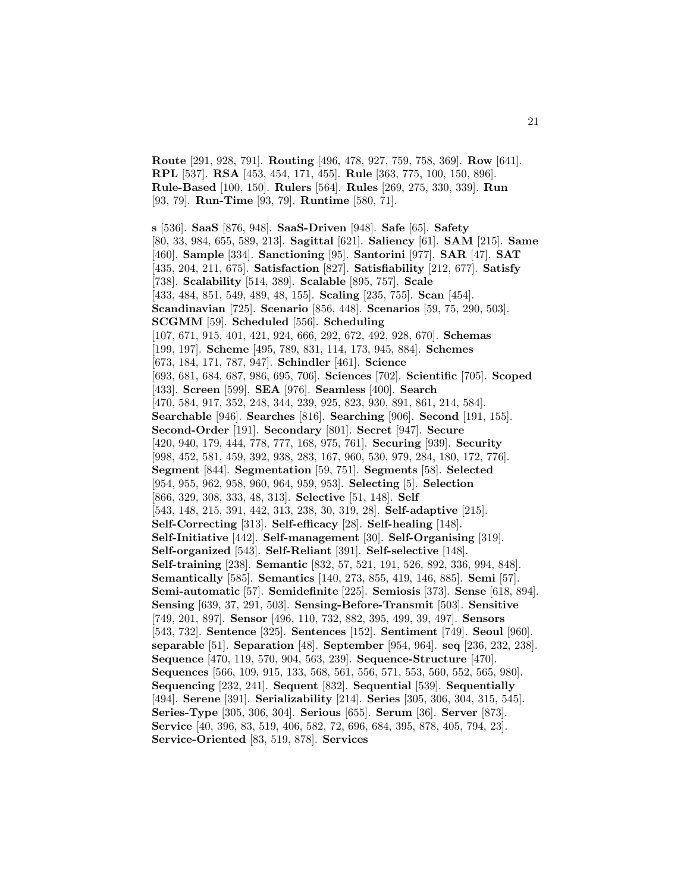**Route** [291, 928, 791]. **Routing** [496, 478, 927, 759, 758, 369]. **Row** [641]. **RPL** [537]. **RSA** [453, 454, 171, 455]. **Rule** [363, 775, 100, 150, 896]. **Rule-Based** [100, 150]. **Rulers** [564]. **Rules** [269, 275, 330, 339]. **Run** [93, 79]. **Run-Time** [93, 79]. **Runtime** [580, 71].

**s** [536]. **SaaS** [876, 948]. **SaaS-Driven** [948]. **Safe** [65]. **Safety** [80, 33, 984, 655, 589, 213]. **Sagittal** [621]. **Saliency** [61]. **SAM** [215]. **Same** [460]. **Sample** [334]. **Sanctioning** [95]. **Santorini** [977]. **SAR** [47]. **SAT** [435, 204, 211, 675]. **Satisfaction** [827]. **Satisfiability** [212, 677]. **Satisfy** [738]. **Scalability** [514, 389]. **Scalable** [895, 757]. **Scale** [433, 484, 851, 549, 489, 48, 155]. **Scaling** [235, 755]. **Scan** [454]. **Scandinavian** [725]. **Scenario** [856, 448]. **Scenarios** [59, 75, 290, 503]. **SCGMM** [59]. **Scheduled** [556]. **Scheduling** [107, 671, 915, 401, 421, 924, 666, 292, 672, 492, 928, 670]. **Schemas** [199, 197]. **Scheme** [495, 789, 831, 114, 173, 945, 884]. **Schemes** [673, 184, 171, 787, 947]. **Schindler** [461]. **Science** [693, 681, 684, 687, 986, 695, 706]. **Sciences** [702]. **Scientific** [705]. **Scoped** [433]. **Screen** [599]. **SEA** [976]. **Seamless** [400]. **Search** [470, 584, 917, 352, 248, 344, 239, 925, 823, 930, 891, 861, 214, 584]. **Searchable** [946]. **Searches** [816]. **Searching** [906]. **Second** [191, 155]. **Second-Order** [191]. **Secondary** [801]. **Secret** [947]. **Secure** [420, 940, 179, 444, 778, 777, 168, 975, 761]. **Securing** [939]. **Security** [998, 452, 581, 459, 392, 938, 283, 167, 960, 530, 979, 284, 180, 172, 776]. **Segment** [844]. **Segmentation** [59, 751]. **Segments** [58]. **Selected** [954, 955, 962, 958, 960, 964, 959, 953]. **Selecting** [5]. **Selection** [866, 329, 308, 333, 48, 313]. **Selective** [51, 148]. **Self** [543, 148, 215, 391, 442, 313, 238, 30, 319, 28]. **Self-adaptive** [215]. **Self-Correcting** [313]. **Self-efficacy** [28]. **Self-healing** [148]. **Self-Initiative** [442]. **Self-management** [30]. **Self-Organising** [319]. **Self-organized** [543]. **Self-Reliant** [391]. **Self-selective** [148]. **Self-training** [238]. **Semantic** [832, 57, 521, 191, 526, 892, 336, 994, 848]. **Semantically** [585]. **Semantics** [140, 273, 855, 419, 146, 885]. **Semi** [57]. **Semi-automatic** [57]. **Semidefinite** [225]. **Semiosis** [373]. **Sense** [618, 894]. **Sensing** [639, 37, 291, 503]. **Sensing-Before-Transmit** [503]. **Sensitive** [749, 201, 897]. **Sensor** [496, 110, 732, 882, 395, 499, 39, 497]. **Sensors** [543, 732]. **Sentence** [325]. **Sentences** [152]. **Sentiment** [749]. **Seoul** [960]. **separable** [51]. **Separation** [48]. **September** [954, 964]. **seq** [236, 232, 238]. **Sequence** [470, 119, 570, 904, 563, 239]. **Sequence-Structure** [470]. **Sequences** [566, 109, 915, 133, 568, 561, 556, 571, 553, 560, 552, 565, 980]. **Sequencing** [232, 241]. **Sequent** [832]. **Sequential** [539]. **Sequentially** [494]. **Serene** [391]. **Serializability** [214]. **Series** [305, 306, 304, 315, 545]. **Series-Type** [305, 306, 304]. **Serious** [655]. **Serum** [36]. **Server** [873]. **Service** [40, 396, 83, 519, 406, 582, 72, 696, 684, 395, 878, 405, 794, 23]. **Service-Oriented** [83, 519, 878]. **Services**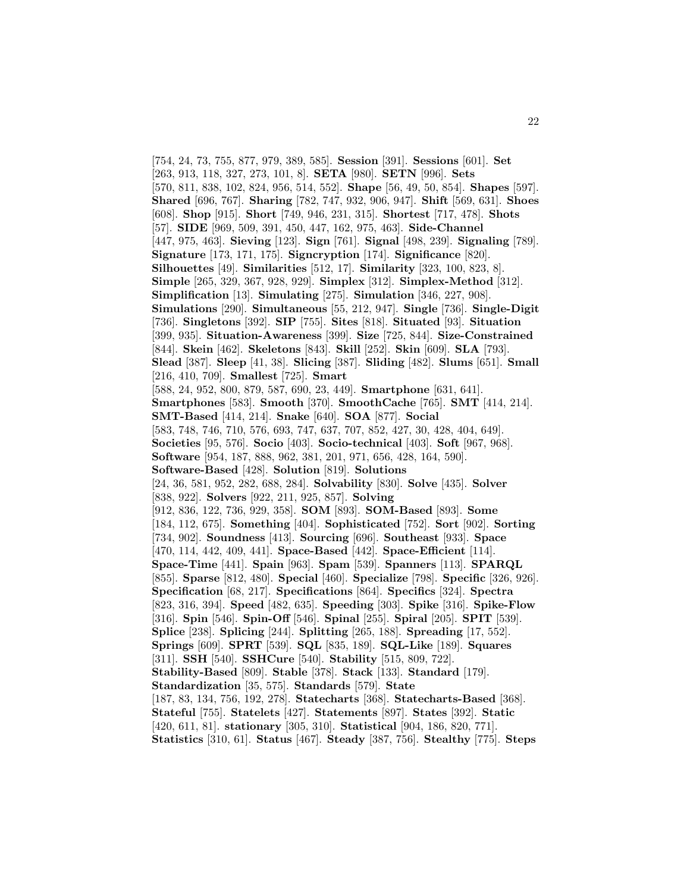[754, 24, 73, 755, 877, 979, 389, 585]. **Session** [391]. **Sessions** [601]. **Set** [263, 913, 118, 327, 273, 101, 8]. **SETA** [980]. **SETN** [996]. **Sets** [570, 811, 838, 102, 824, 956, 514, 552]. **Shape** [56, 49, 50, 854]. **Shapes** [597]. **Shared** [696, 767]. **Sharing** [782, 747, 932, 906, 947]. **Shift** [569, 631]. **Shoes** [608]. **Shop** [915]. **Short** [749, 946, 231, 315]. **Shortest** [717, 478]. **Shots** [57]. **SIDE** [969, 509, 391, 450, 447, 162, 975, 463]. **Side-Channel** [447, 975, 463]. **Sieving** [123]. **Sign** [761]. **Signal** [498, 239]. **Signaling** [789]. **Signature** [173, 171, 175]. **Signcryption** [174]. **Significance** [820]. **Silhouettes** [49]. **Similarities** [512, 17]. **Similarity** [323, 100, 823, 8]. **Simple** [265, 329, 367, 928, 929]. **Simplex** [312]. **Simplex-Method** [312]. **Simplification** [13]. **Simulating** [275]. **Simulation** [346, 227, 908]. **Simulations** [290]. **Simultaneous** [55, 212, 947]. **Single** [736]. **Single-Digit** [736]. **Singletons** [392]. **SIP** [755]. **Sites** [818]. **Situated** [93]. **Situation** [399, 935]. **Situation-Awareness** [399]. **Size** [725, 844]. **Size-Constrained** [844]. **Skein** [462]. **Skeletons** [843]. **Skill** [252]. **Skin** [609]. **SLA** [793]. **Slead** [387]. **Sleep** [41, 38]. **Slicing** [387]. **Sliding** [482]. **Slums** [651]. **Small** [216, 410, 709]. **Smallest** [725]. **Smart** [588, 24, 952, 800, 879, 587, 690, 23, 449]. **Smartphone** [631, 641]. **Smartphones** [583]. **Smooth** [370]. **SmoothCache** [765]. **SMT** [414, 214]. **SMT-Based** [414, 214]. **Snake** [640]. **SOA** [877]. **Social** [583, 748, 746, 710, 576, 693, 747, 637, 707, 852, 427, 30, 428, 404, 649]. **Societies** [95, 576]. **Socio** [403]. **Socio-technical** [403]. **Soft** [967, 968]. **Software** [954, 187, 888, 962, 381, 201, 971, 656, 428, 164, 590]. **Software-Based** [428]. **Solution** [819]. **Solutions** [24, 36, 581, 952, 282, 688, 284]. **Solvability** [830]. **Solve** [435]. **Solver** [838, 922]. **Solvers** [922, 211, 925, 857]. **Solving** [912, 836, 122, 736, 929, 358]. **SOM** [893]. **SOM-Based** [893]. **Some** [184, 112, 675]. **Something** [404]. **Sophisticated** [752]. **Sort** [902]. **Sorting** [734, 902]. **Soundness** [413]. **Sourcing** [696]. **Southeast** [933]. **Space** [470, 114, 442, 409, 441]. **Space-Based** [442]. **Space-Efficient** [114]. **Space-Time** [441]. **Spain** [963]. **Spam** [539]. **Spanners** [113]. **SPARQL** [855]. **Sparse** [812, 480]. **Special** [460]. **Specialize** [798]. **Specific** [326, 926]. **Specification** [68, 217]. **Specifications** [864]. **Specifics** [324]. **Spectra** [823, 316, 394]. **Speed** [482, 635]. **Speeding** [303]. **Spike** [316]. **Spike-Flow** [316]. **Spin** [546]. **Spin-Off** [546]. **Spinal** [255]. **Spiral** [205]. **SPIT** [539]. **Splice** [238]. **Splicing** [244]. **Splitting** [265, 188]. **Spreading** [17, 552]. **Springs** [609]. **SPRT** [539]. **SQL** [835, 189]. **SQL-Like** [189]. **Squares** [311]. **SSH** [540]. **SSHCure** [540]. **Stability** [515, 809, 722]. **Stability-Based** [809]. **Stable** [378]. **Stack** [133]. **Standard** [179]. **Standardization** [35, 575]. **Standards** [579]. **State** [187, 83, 134, 756, 192, 278]. **Statecharts** [368]. **Statecharts-Based** [368]. **Stateful** [755]. **Statelets** [427]. **Statements** [897]. **States** [392]. **Static** [420, 611, 81]. **stationary** [305, 310]. **Statistical** [904, 186, 820, 771]. **Statistics** [310, 61]. **Status** [467]. **Steady** [387, 756]. **Stealthy** [775]. **Steps**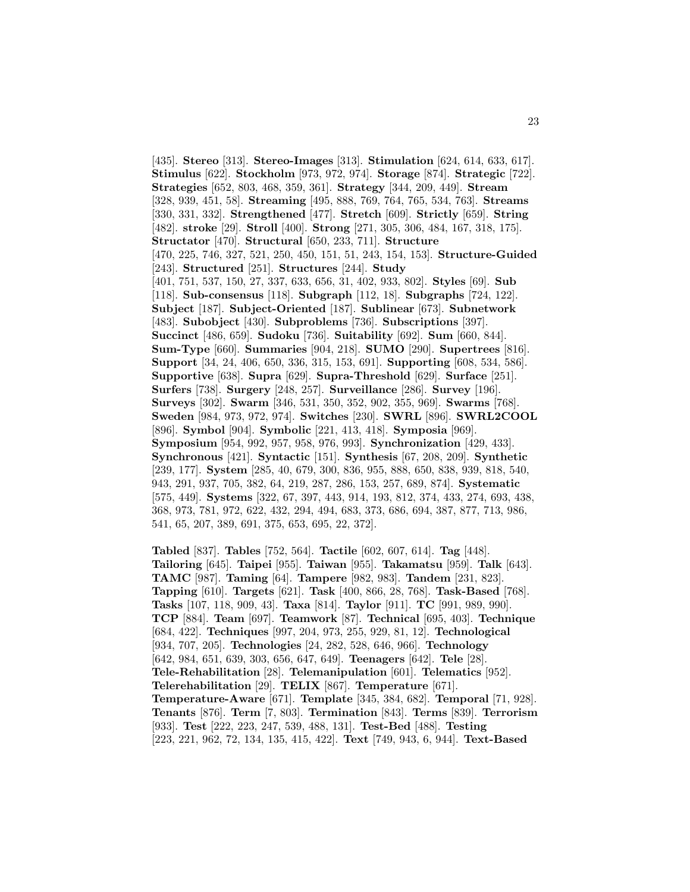[435]. **Stereo** [313]. **Stereo-Images** [313]. **Stimulation** [624, 614, 633, 617]. **Stimulus** [622]. **Stockholm** [973, 972, 974]. **Storage** [874]. **Strategic** [722]. **Strategies** [652, 803, 468, 359, 361]. **Strategy** [344, 209, 449]. **Stream** [328, 939, 451, 58]. **Streaming** [495, 888, 769, 764, 765, 534, 763]. **Streams** [330, 331, 332]. **Strengthened** [477]. **Stretch** [609]. **Strictly** [659]. **String** [482]. **stroke** [29]. **Stroll** [400]. **Strong** [271, 305, 306, 484, 167, 318, 175]. **Structator** [470]. **Structural** [650, 233, 711]. **Structure** [470, 225, 746, 327, 521, 250, 450, 151, 51, 243, 154, 153]. **Structure-Guided** [243]. **Structured** [251]. **Structures** [244]. **Study** [401, 751, 537, 150, 27, 337, 633, 656, 31, 402, 933, 802]. **Styles** [69]. **Sub** [118]. **Sub-consensus** [118]. **Subgraph** [112, 18]. **Subgraphs** [724, 122]. **Subject** [187]. **Subject-Oriented** [187]. **Sublinear** [673]. **Subnetwork** [483]. **Subobject** [430]. **Subproblems** [736]. **Subscriptions** [397]. **Succinct** [486, 659]. **Sudoku** [736]. **Suitability** [692]. **Sum** [660, 844]. **Sum-Type** [660]. **Summaries** [904, 218]. **SUMO** [290]. **Supertrees** [816]. **Support** [34, 24, 406, 650, 336, 315, 153, 691]. **Supporting** [608, 534, 586]. **Supportive** [638]. **Supra** [629]. **Supra-Threshold** [629]. **Surface** [251]. **Surfers** [738]. **Surgery** [248, 257]. **Surveillance** [286]. **Survey** [196]. **Surveys** [302]. **Swarm** [346, 531, 350, 352, 902, 355, 969]. **Swarms** [768]. **Sweden** [984, 973, 972, 974]. **Switches** [230]. **SWRL** [896]. **SWRL2COOL** [896]. **Symbol** [904]. **Symbolic** [221, 413, 418]. **Symposia** [969]. **Symposium** [954, 992, 957, 958, 976, 993]. **Synchronization** [429, 433]. **Synchronous** [421]. **Syntactic** [151]. **Synthesis** [67, 208, 209]. **Synthetic** [239, 177]. **System** [285, 40, 679, 300, 836, 955, 888, 650, 838, 939, 818, 540, 943, 291, 937, 705, 382, 64, 219, 287, 286, 153, 257, 689, 874]. **Systematic** [575, 449]. **Systems** [322, 67, 397, 443, 914, 193, 812, 374, 433, 274, 693, 438, 368, 973, 781, 972, 622, 432, 294, 494, 683, 373, 686, 694, 387, 877, 713, 986, 541, 65, 207, 389, 691, 375, 653, 695, 22, 372].

**Tabled** [837]. **Tables** [752, 564]. **Tactile** [602, 607, 614]. **Tag** [448]. **Tailoring** [645]. **Taipei** [955]. **Taiwan** [955]. **Takamatsu** [959]. **Talk** [643]. **TAMC** [987]. **Taming** [64]. **Tampere** [982, 983]. **Tandem** [231, 823]. **Tapping** [610]. **Targets** [621]. **Task** [400, 866, 28, 768]. **Task-Based** [768]. **Tasks** [107, 118, 909, 43]. **Taxa** [814]. **Taylor** [911]. **TC** [991, 989, 990]. **TCP** [884]. **Team** [697]. **Teamwork** [87]. **Technical** [695, 403]. **Technique** [684, 422]. **Techniques** [997, 204, 973, 255, 929, 81, 12]. **Technological** [934, 707, 205]. **Technologies** [24, 282, 528, 646, 966]. **Technology** [642, 984, 651, 639, 303, 656, 647, 649]. **Teenagers** [642]. **Tele** [28]. **Tele-Rehabilitation** [28]. **Telemanipulation** [601]. **Telematics** [952]. **Telerehabilitation** [29]. **TELIX** [867]. **Temperature** [671]. **Temperature-Aware** [671]. **Template** [345, 384, 682]. **Temporal** [71, 928]. **Tenants** [876]. **Term** [7, 803]. **Termination** [843]. **Terms** [839]. **Terrorism** [933]. **Test** [222, 223, 247, 539, 488, 131]. **Test-Bed** [488]. **Testing** [223, 221, 962, 72, 134, 135, 415, 422]. **Text** [749, 943, 6, 944]. **Text-Based**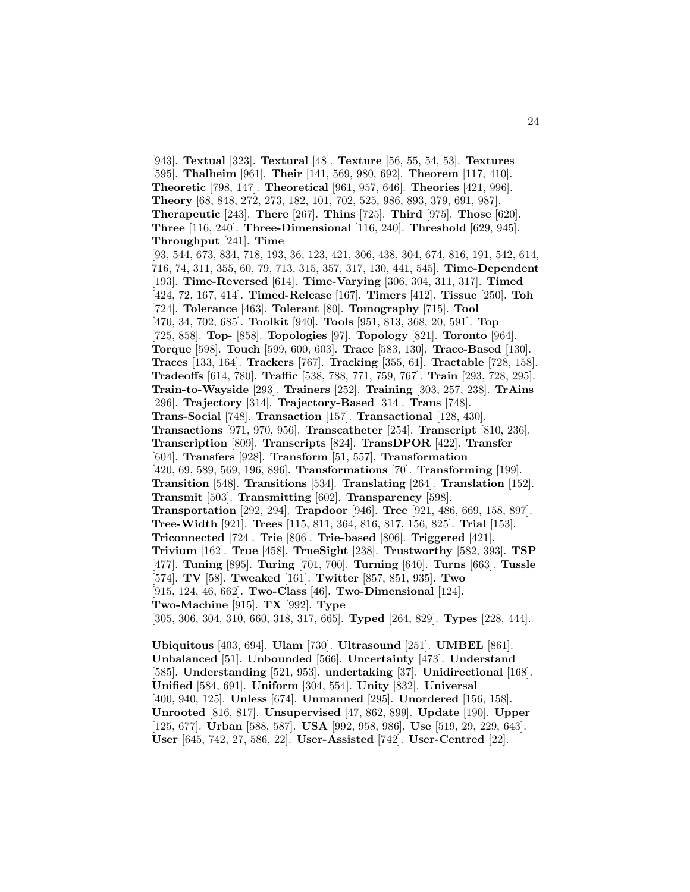[943]. **Textual** [323]. **Textural** [48]. **Texture** [56, 55, 54, 53]. **Textures** [595]. **Thalheim** [961]. **Their** [141, 569, 980, 692]. **Theorem** [117, 410]. **Theoretic** [798, 147]. **Theoretical** [961, 957, 646]. **Theories** [421, 996]. **Theory** [68, 848, 272, 273, 182, 101, 702, 525, 986, 893, 379, 691, 987]. **Therapeutic** [243]. **There** [267]. **Thins** [725]. **Third** [975]. **Those** [620]. **Three** [116, 240]. **Three-Dimensional** [116, 240]. **Threshold** [629, 945]. **Throughput** [241]. **Time** [93, 544, 673, 834, 718, 193, 36, 123, 421, 306, 438, 304, 674, 816, 191, 542, 614, 716, 74, 311, 355, 60, 79, 713, 315, 357, 317, 130, 441, 545]. **Time-Dependent** [193]. **Time-Reversed** [614]. **Time-Varying** [306, 304, 311, 317]. **Timed** [424, 72, 167, 414]. **Timed-Release** [167]. **Timers** [412]. **Tissue** [250]. **Toh** [724]. **Tolerance** [463]. **Tolerant** [80]. **Tomography** [715]. **Tool** [470, 34, 702, 685]. **Toolkit** [940]. **Tools** [951, 813, 368, 20, 591]. **Top** [725, 858]. **Top-** [858]. **Topologies** [97]. **Topology** [821]. **Toronto** [964]. **Torque** [598]. **Touch** [599, 600, 603]. **Trace** [583, 130]. **Trace-Based** [130]. **Traces** [133, 164]. **Trackers** [767]. **Tracking** [355, 61]. **Tractable** [728, 158]. **Tradeoffs** [614, 780]. **Traffic** [538, 788, 771, 759, 767]. **Train** [293, 728, 295]. **Train-to-Wayside** [293]. **Trainers** [252]. **Training** [303, 257, 238]. **TrAins** [296]. **Trajectory** [314]. **Trajectory-Based** [314]. **Trans** [748]. **Trans-Social** [748]. **Transaction** [157]. **Transactional** [128, 430]. **Transactions** [971, 970, 956]. **Transcatheter** [254]. **Transcript** [810, 236]. **Transcription** [809]. **Transcripts** [824]. **TransDPOR** [422]. **Transfer** [604]. **Transfers** [928]. **Transform** [51, 557]. **Transformation** [420, 69, 589, 569, 196, 896]. **Transformations** [70]. **Transforming** [199]. **Transition** [548]. **Transitions** [534]. **Translating** [264]. **Translation** [152]. **Transmit** [503]. **Transmitting** [602]. **Transparency** [598]. **Transportation** [292, 294]. **Trapdoor** [946]. **Tree** [921, 486, 669, 158, 897]. **Tree-Width** [921]. **Trees** [115, 811, 364, 816, 817, 156, 825]. **Trial** [153]. **Triconnected** [724]. **Trie** [806]. **Trie-based** [806]. **Triggered** [421]. **Trivium** [162]. **True** [458]. **TrueSight** [238]. **Trustworthy** [582, 393]. **TSP** [477]. **Tuning** [895]. **Turing** [701, 700]. **Turning** [640]. **Turns** [663]. **Tussle** [574]. **TV** [58]. **Tweaked** [161]. **Twitter** [857, 851, 935]. **Two** [915, 124, 46, 662]. **Two-Class** [46]. **Two-Dimensional** [124]. **Two-Machine** [915]. **TX** [992]. **Type** [305, 306, 304, 310, 660, 318, 317, 665]. **Typed** [264, 829]. **Types** [228, 444].

**Ubiquitous** [403, 694]. **Ulam** [730]. **Ultrasound** [251]. **UMBEL** [861]. **Unbalanced** [51]. **Unbounded** [566]. **Uncertainty** [473]. **Understand** [585]. **Understanding** [521, 953]. **undertaking** [37]. **Unidirectional** [168]. **Unified** [584, 691]. **Uniform** [304, 554]. **Unity** [832]. **Universal** [400, 940, 125]. **Unless** [674]. **Unmanned** [295]. **Unordered** [156, 158]. **Unrooted** [816, 817]. **Unsupervised** [47, 862, 899]. **Update** [190]. **Upper** [125, 677]. **Urban** [588, 587]. **USA** [992, 958, 986]. **Use** [519, 29, 229, 643]. **User** [645, 742, 27, 586, 22]. **User-Assisted** [742]. **User-Centred** [22].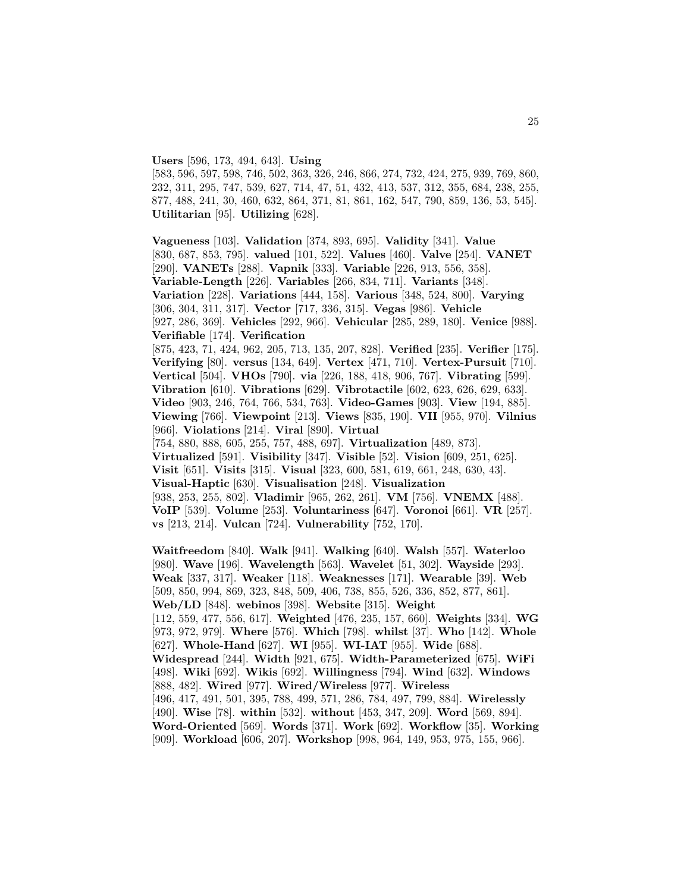#### **Users** [596, 173, 494, 643]. **Using**

[583, 596, 597, 598, 746, 502, 363, 326, 246, 866, 274, 732, 424, 275, 939, 769, 860, 232, 311, 295, 747, 539, 627, 714, 47, 51, 432, 413, 537, 312, 355, 684, 238, 255, 877, 488, 241, 30, 460, 632, 864, 371, 81, 861, 162, 547, 790, 859, 136, 53, 545]. **Utilitarian** [95]. **Utilizing** [628].

**Vagueness** [103]. **Validation** [374, 893, 695]. **Validity** [341]. **Value** [830, 687, 853, 795]. **valued** [101, 522]. **Values** [460]. **Valve** [254]. **VANET** [290]. **VANETs** [288]. **Vapnik** [333]. **Variable** [226, 913, 556, 358]. **Variable-Length** [226]. **Variables** [266, 834, 711]. **Variants** [348]. **Variation** [228]. **Variations** [444, 158]. **Various** [348, 524, 800]. **Varying** [306, 304, 311, 317]. **Vector** [717, 336, 315]. **Vegas** [986]. **Vehicle** [927, 286, 369]. **Vehicles** [292, 966]. **Vehicular** [285, 289, 180]. **Venice** [988]. **Verifiable** [174]. **Verification** [875, 423, 71, 424, 962, 205, 713, 135, 207, 828]. **Verified** [235]. **Verifier** [175]. **Verifying** [80]. **versus** [134, 649]. **Vertex** [471, 710]. **Vertex-Pursuit** [710]. **Vertical** [504]. **VHOs** [790]. **via** [226, 188, 418, 906, 767]. **Vibrating** [599]. **Vibration** [610]. **Vibrations** [629]. **Vibrotactile** [602, 623, 626, 629, 633]. **Video** [903, 246, 764, 766, 534, 763]. **Video-Games** [903]. **View** [194, 885]. **Viewing** [766]. **Viewpoint** [213]. **Views** [835, 190]. **VII** [955, 970]. **Vilnius** [966]. **Violations** [214]. **Viral** [890]. **Virtual** [754, 880, 888, 605, 255, 757, 488, 697]. **Virtualization** [489, 873]. **Virtualized** [591]. **Visibility** [347]. **Visible** [52]. **Vision** [609, 251, 625]. **Visit** [651]. **Visits** [315]. **Visual** [323, 600, 581, 619, 661, 248, 630, 43]. **Visual-Haptic** [630]. **Visualisation** [248]. **Visualization** [938, 253, 255, 802]. **Vladimir** [965, 262, 261]. **VM** [756]. **VNEMX** [488]. **VoIP** [539]. **Volume** [253]. **Voluntariness** [647]. **Voronoi** [661]. **VR** [257]. **vs** [213, 214]. **Vulcan** [724]. **Vulnerability** [752, 170]. **Waitfreedom** [840]. **Walk** [941]. **Walking** [640]. **Walsh** [557]. **Waterloo** [980]. **Wave** [196]. **Wavelength** [563]. **Wavelet** [51, 302]. **Wayside** [293]. **Weak** [337, 317]. **Weaker** [118]. **Weaknesses** [171]. **Wearable** [39]. **Web** [509, 850, 994, 869, 323, 848, 509, 406, 738, 855, 526, 336, 852, 877, 861]. **Web/LD** [848]. **webinos** [398]. **Website** [315]. **Weight** [112, 559, 477, 556, 617]. **Weighted** [476, 235, 157, 660]. **Weights** [334]. **WG** [973, 972, 979]. **Where** [576]. **Which** [798]. **whilst** [37]. **Who** [142]. **Whole** [627]. **Whole-Hand** [627]. **WI** [955]. **WI-IAT** [955]. **Wide** [688]. **Widespread** [244]. **Width** [921, 675]. **Width-Parameterized** [675]. **WiFi** [498]. **Wiki** [692]. **Wikis** [692]. **Willingness** [794]. **Wind** [632]. **Windows** [888, 482]. **Wired** [977]. **Wired/Wireless** [977]. **Wireless** [496, 417, 491, 501, 395, 788, 499, 571, 286, 784, 497, 799, 884]. **Wirelessly** [490]. **Wise** [78]. **within** [532]. **without** [453, 347, 209]. **Word** [569, 894]. **Word-Oriented** [569]. **Words** [371]. **Work** [692]. **Workflow** [35]. **Working** [909]. **Workload** [606, 207]. **Workshop** [998, 964, 149, 953, 975, 155, 966].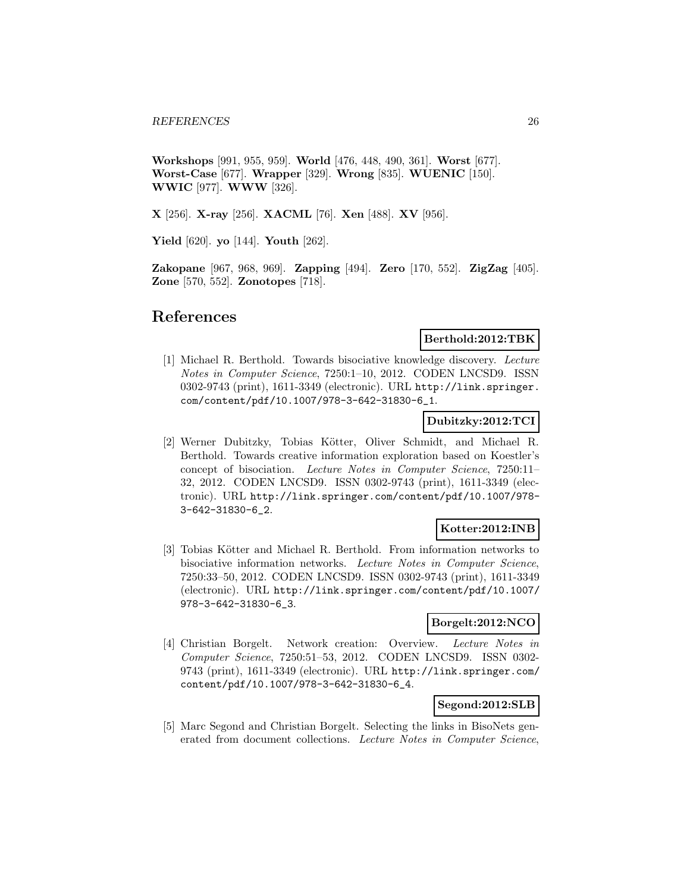**Workshops** [991, 955, 959]. **World** [476, 448, 490, 361]. **Worst** [677]. **Worst-Case** [677]. **Wrapper** [329]. **Wrong** [835]. **WUENIC** [150]. **WWIC** [977]. **WWW** [326].

**X** [256]. **X-ray** [256]. **XACML** [76]. **Xen** [488]. **XV** [956].

**Yield** [620]. **yo** [144]. **Youth** [262].

**Zakopane** [967, 968, 969]. **Zapping** [494]. **Zero** [170, 552]. **ZigZag** [405]. **Zone** [570, 552]. **Zonotopes** [718].

## **References**

#### **Berthold:2012:TBK**

[1] Michael R. Berthold. Towards bisociative knowledge discovery. Lecture Notes in Computer Science, 7250:1–10, 2012. CODEN LNCSD9. ISSN 0302-9743 (print), 1611-3349 (electronic). URL http://link.springer. com/content/pdf/10.1007/978-3-642-31830-6\_1.

### **Dubitzky:2012:TCI**

[2] Werner Dubitzky, Tobias Kötter, Oliver Schmidt, and Michael R. Berthold. Towards creative information exploration based on Koestler's concept of bisociation. Lecture Notes in Computer Science, 7250:11– 32, 2012. CODEN LNCSD9. ISSN 0302-9743 (print), 1611-3349 (electronic). URL http://link.springer.com/content/pdf/10.1007/978- 3-642-31830-6\_2.

#### **Kotter:2012:INB**

[3] Tobias Kötter and Michael R. Berthold. From information networks to bisociative information networks. Lecture Notes in Computer Science, 7250:33–50, 2012. CODEN LNCSD9. ISSN 0302-9743 (print), 1611-3349 (electronic). URL http://link.springer.com/content/pdf/10.1007/ 978-3-642-31830-6\_3.

## **Borgelt:2012:NCO**

[4] Christian Borgelt. Network creation: Overview. Lecture Notes in Computer Science, 7250:51–53, 2012. CODEN LNCSD9. ISSN 0302- 9743 (print), 1611-3349 (electronic). URL http://link.springer.com/ content/pdf/10.1007/978-3-642-31830-6\_4.

## **Segond:2012:SLB**

[5] Marc Segond and Christian Borgelt. Selecting the links in BisoNets generated from document collections. Lecture Notes in Computer Science,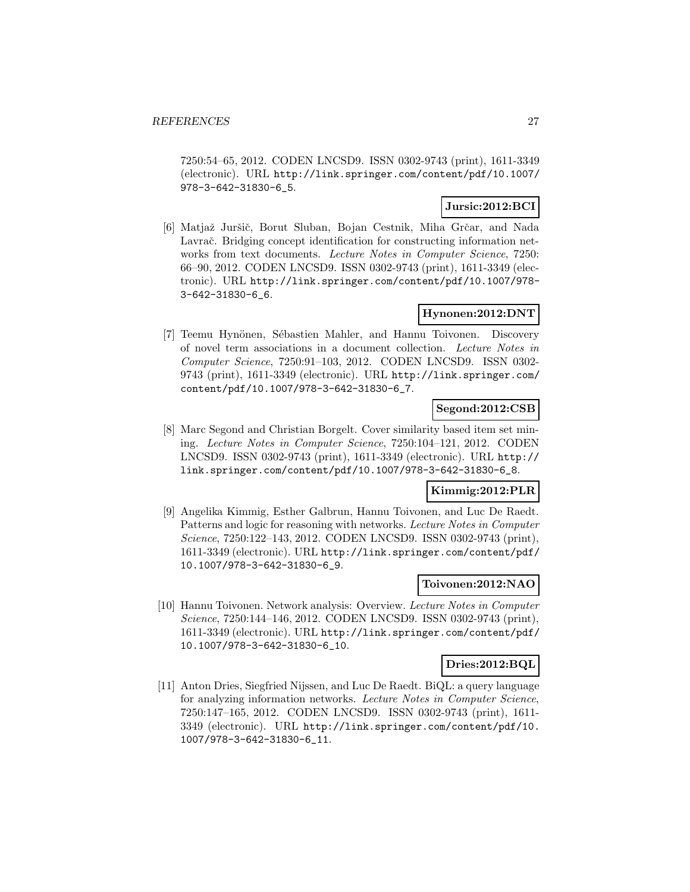7250:54–65, 2012. CODEN LNCSD9. ISSN 0302-9743 (print), 1611-3349 (electronic). URL http://link.springer.com/content/pdf/10.1007/ 978-3-642-31830-6\_5.

## **Jursic:2012:BCI**

[6] Matjaž Juršič, Borut Sluban, Bojan Cestnik, Miha Grčar, and Nada Lavrač. Bridging concept identification for constructing information networks from text documents. Lecture Notes in Computer Science, 7250: 66–90, 2012. CODEN LNCSD9. ISSN 0302-9743 (print), 1611-3349 (electronic). URL http://link.springer.com/content/pdf/10.1007/978- 3-642-31830-6\_6.

## **Hynonen:2012:DNT**

[7] Teemu Hynönen, Sébastien Mahler, and Hannu Toivonen. Discovery of novel term associations in a document collection. Lecture Notes in Computer Science, 7250:91–103, 2012. CODEN LNCSD9. ISSN 0302- 9743 (print), 1611-3349 (electronic). URL http://link.springer.com/ content/pdf/10.1007/978-3-642-31830-6\_7.

## **Segond:2012:CSB**

[8] Marc Segond and Christian Borgelt. Cover similarity based item set mining. Lecture Notes in Computer Science, 7250:104–121, 2012. CODEN LNCSD9. ISSN 0302-9743 (print), 1611-3349 (electronic). URL http:// link.springer.com/content/pdf/10.1007/978-3-642-31830-6\_8.

## **Kimmig:2012:PLR**

[9] Angelika Kimmig, Esther Galbrun, Hannu Toivonen, and Luc De Raedt. Patterns and logic for reasoning with networks. Lecture Notes in Computer Science, 7250:122–143, 2012. CODEN LNCSD9. ISSN 0302-9743 (print), 1611-3349 (electronic). URL http://link.springer.com/content/pdf/ 10.1007/978-3-642-31830-6\_9.

## **Toivonen:2012:NAO**

[10] Hannu Toivonen. Network analysis: Overview. Lecture Notes in Computer Science, 7250:144–146, 2012. CODEN LNCSD9. ISSN 0302-9743 (print), 1611-3349 (electronic). URL http://link.springer.com/content/pdf/ 10.1007/978-3-642-31830-6\_10.

#### **Dries:2012:BQL**

[11] Anton Dries, Siegfried Nijssen, and Luc De Raedt. BiQL: a query language for analyzing information networks. Lecture Notes in Computer Science, 7250:147–165, 2012. CODEN LNCSD9. ISSN 0302-9743 (print), 1611- 3349 (electronic). URL http://link.springer.com/content/pdf/10. 1007/978-3-642-31830-6\_11.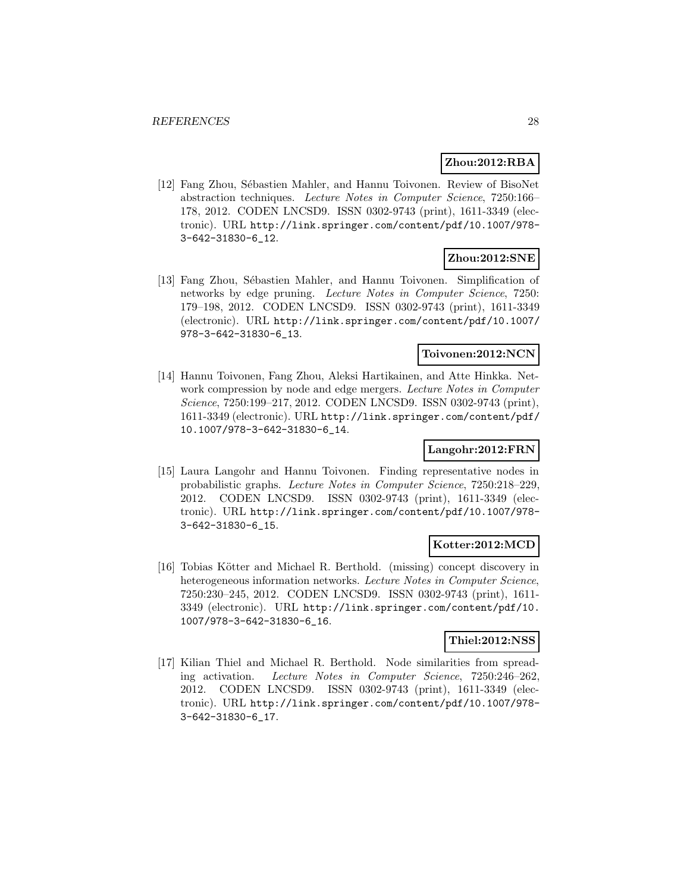#### **Zhou:2012:RBA**

[12] Fang Zhou, Sébastien Mahler, and Hannu Toivonen. Review of BisoNet abstraction techniques. Lecture Notes in Computer Science, 7250:166– 178, 2012. CODEN LNCSD9. ISSN 0302-9743 (print), 1611-3349 (electronic). URL http://link.springer.com/content/pdf/10.1007/978- 3-642-31830-6\_12.

### **Zhou:2012:SNE**

[13] Fang Zhou, Sébastien Mahler, and Hannu Toivonen. Simplification of networks by edge pruning. Lecture Notes in Computer Science, 7250: 179–198, 2012. CODEN LNCSD9. ISSN 0302-9743 (print), 1611-3349 (electronic). URL http://link.springer.com/content/pdf/10.1007/ 978-3-642-31830-6\_13.

## **Toivonen:2012:NCN**

[14] Hannu Toivonen, Fang Zhou, Aleksi Hartikainen, and Atte Hinkka. Network compression by node and edge mergers. Lecture Notes in Computer Science, 7250:199–217, 2012. CODEN LNCSD9. ISSN 0302-9743 (print), 1611-3349 (electronic). URL http://link.springer.com/content/pdf/ 10.1007/978-3-642-31830-6\_14.

## **Langohr:2012:FRN**

[15] Laura Langohr and Hannu Toivonen. Finding representative nodes in probabilistic graphs. Lecture Notes in Computer Science, 7250:218–229, 2012. CODEN LNCSD9. ISSN 0302-9743 (print), 1611-3349 (electronic). URL http://link.springer.com/content/pdf/10.1007/978- 3-642-31830-6\_15.

## **Kotter:2012:MCD**

[16] Tobias Kötter and Michael R. Berthold. (missing) concept discovery in heterogeneous information networks. Lecture Notes in Computer Science, 7250:230–245, 2012. CODEN LNCSD9. ISSN 0302-9743 (print), 1611- 3349 (electronic). URL http://link.springer.com/content/pdf/10. 1007/978-3-642-31830-6\_16.

#### **Thiel:2012:NSS**

[17] Kilian Thiel and Michael R. Berthold. Node similarities from spreading activation. Lecture Notes in Computer Science, 7250:246–262, 2012. CODEN LNCSD9. ISSN 0302-9743 (print), 1611-3349 (electronic). URL http://link.springer.com/content/pdf/10.1007/978- 3-642-31830-6\_17.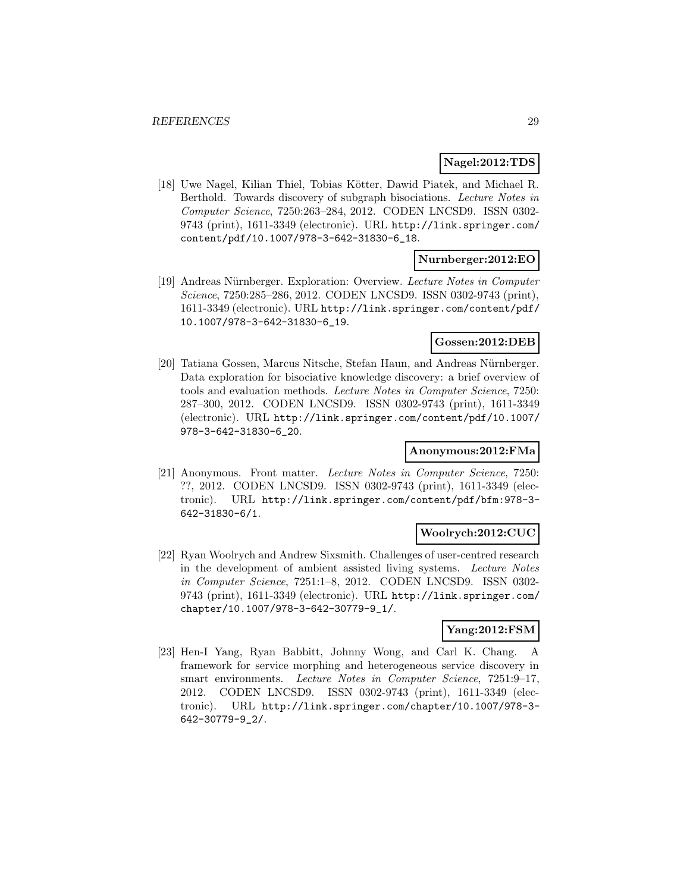### **Nagel:2012:TDS**

[18] Uwe Nagel, Kilian Thiel, Tobias Kötter, Dawid Piatek, and Michael R. Berthold. Towards discovery of subgraph bisociations. Lecture Notes in Computer Science, 7250:263–284, 2012. CODEN LNCSD9. ISSN 0302- 9743 (print), 1611-3349 (electronic). URL http://link.springer.com/ content/pdf/10.1007/978-3-642-31830-6\_18.

## **Nurnberger:2012:EO**

[19] Andreas N¨urnberger. Exploration: Overview. Lecture Notes in Computer Science, 7250:285–286, 2012. CODEN LNCSD9. ISSN 0302-9743 (print), 1611-3349 (electronic). URL http://link.springer.com/content/pdf/ 10.1007/978-3-642-31830-6\_19.

## **Gossen:2012:DEB**

[20] Tatiana Gossen, Marcus Nitsche, Stefan Haun, and Andreas Nürnberger. Data exploration for bisociative knowledge discovery: a brief overview of tools and evaluation methods. Lecture Notes in Computer Science, 7250: 287–300, 2012. CODEN LNCSD9. ISSN 0302-9743 (print), 1611-3349 (electronic). URL http://link.springer.com/content/pdf/10.1007/ 978-3-642-31830-6\_20.

## **Anonymous:2012:FMa**

[21] Anonymous. Front matter. Lecture Notes in Computer Science, 7250: ??, 2012. CODEN LNCSD9. ISSN 0302-9743 (print), 1611-3349 (electronic). URL http://link.springer.com/content/pdf/bfm:978-3- 642-31830-6/1.

#### **Woolrych:2012:CUC**

[22] Ryan Woolrych and Andrew Sixsmith. Challenges of user-centred research in the development of ambient assisted living systems. Lecture Notes in Computer Science, 7251:1–8, 2012. CODEN LNCSD9. ISSN 0302- 9743 (print), 1611-3349 (electronic). URL http://link.springer.com/ chapter/10.1007/978-3-642-30779-9\_1/.

## **Yang:2012:FSM**

[23] Hen-I Yang, Ryan Babbitt, Johnny Wong, and Carl K. Chang. A framework for service morphing and heterogeneous service discovery in smart environments. Lecture Notes in Computer Science, 7251:9–17, 2012. CODEN LNCSD9. ISSN 0302-9743 (print), 1611-3349 (electronic). URL http://link.springer.com/chapter/10.1007/978-3- 642-30779-9\_2/.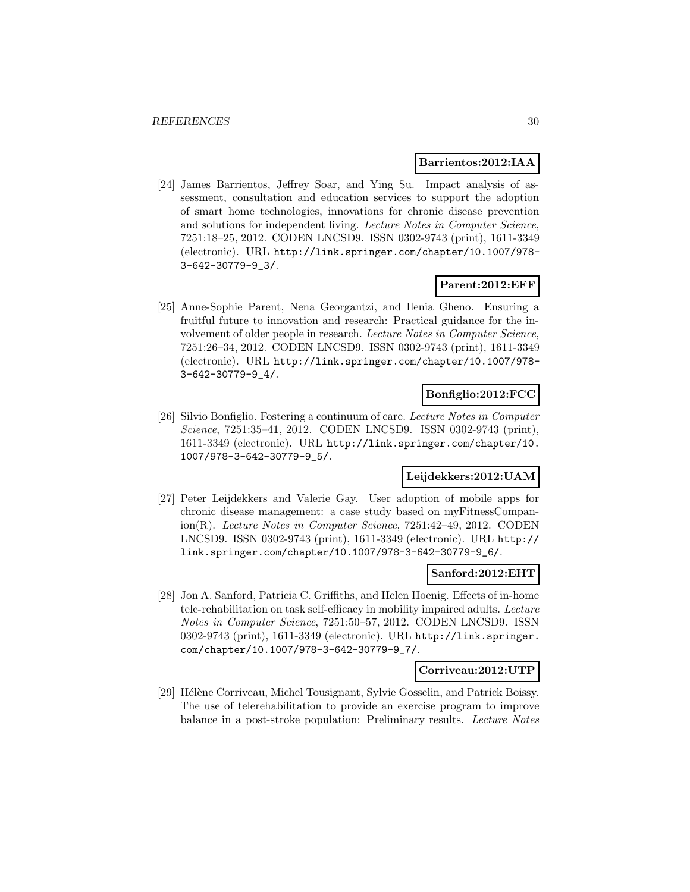#### **Barrientos:2012:IAA**

[24] James Barrientos, Jeffrey Soar, and Ying Su. Impact analysis of assessment, consultation and education services to support the adoption of smart home technologies, innovations for chronic disease prevention and solutions for independent living. Lecture Notes in Computer Science, 7251:18–25, 2012. CODEN LNCSD9. ISSN 0302-9743 (print), 1611-3349 (electronic). URL http://link.springer.com/chapter/10.1007/978- 3-642-30779-9\_3/.

#### **Parent:2012:EFF**

[25] Anne-Sophie Parent, Nena Georgantzi, and Ilenia Gheno. Ensuring a fruitful future to innovation and research: Practical guidance for the involvement of older people in research. Lecture Notes in Computer Science, 7251:26–34, 2012. CODEN LNCSD9. ISSN 0302-9743 (print), 1611-3349 (electronic). URL http://link.springer.com/chapter/10.1007/978- 3-642-30779-9\_4/.

## **Bonfiglio:2012:FCC**

[26] Silvio Bonfiglio. Fostering a continuum of care. Lecture Notes in Computer Science, 7251:35–41, 2012. CODEN LNCSD9. ISSN 0302-9743 (print), 1611-3349 (electronic). URL http://link.springer.com/chapter/10. 1007/978-3-642-30779-9\_5/.

#### **Leijdekkers:2012:UAM**

[27] Peter Leijdekkers and Valerie Gay. User adoption of mobile apps for chronic disease management: a case study based on myFitnessCompanion(R). Lecture Notes in Computer Science, 7251:42–49, 2012. CODEN LNCSD9. ISSN 0302-9743 (print), 1611-3349 (electronic). URL http:// link.springer.com/chapter/10.1007/978-3-642-30779-9\_6/.

#### **Sanford:2012:EHT**

[28] Jon A. Sanford, Patricia C. Griffiths, and Helen Hoenig. Effects of in-home tele-rehabilitation on task self-efficacy in mobility impaired adults. Lecture Notes in Computer Science, 7251:50–57, 2012. CODEN LNCSD9. ISSN 0302-9743 (print), 1611-3349 (electronic). URL http://link.springer. com/chapter/10.1007/978-3-642-30779-9\_7/.

#### **Corriveau:2012:UTP**

[29] Hélène Corriveau, Michel Tousignant, Sylvie Gosselin, and Patrick Boissy. The use of telerehabilitation to provide an exercise program to improve balance in a post-stroke population: Preliminary results. Lecture Notes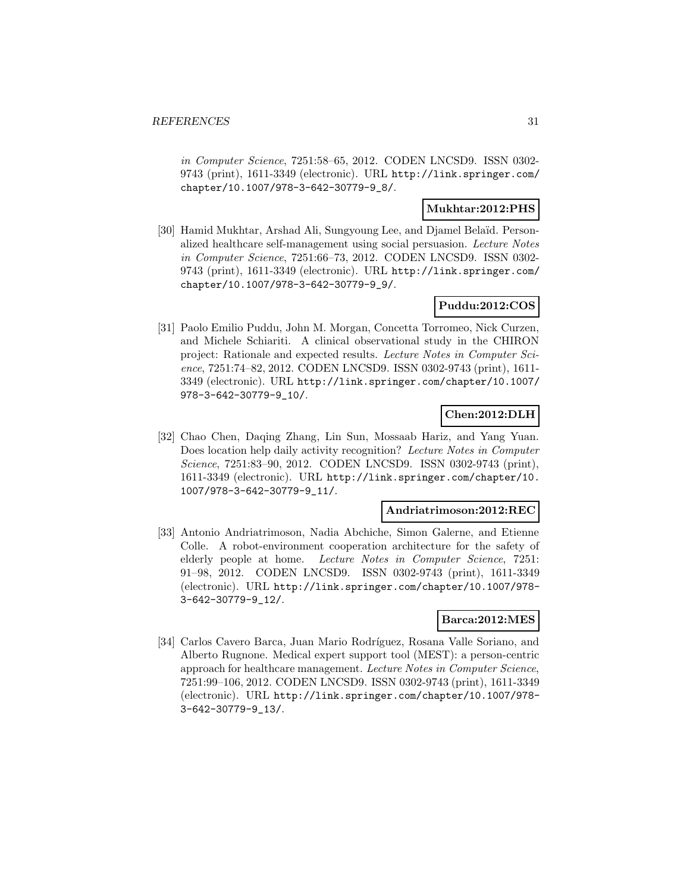in Computer Science, 7251:58–65, 2012. CODEN LNCSD9. ISSN 0302- 9743 (print), 1611-3349 (electronic). URL http://link.springer.com/ chapter/10.1007/978-3-642-30779-9\_8/.

#### **Mukhtar:2012:PHS**

[30] Hamid Mukhtar, Arshad Ali, Sungyoung Lee, and Djamel Bela¨ıd. Personalized healthcare self-management using social persuasion. Lecture Notes in Computer Science, 7251:66–73, 2012. CODEN LNCSD9. ISSN 0302- 9743 (print), 1611-3349 (electronic). URL http://link.springer.com/ chapter/10.1007/978-3-642-30779-9\_9/.

## **Puddu:2012:COS**

[31] Paolo Emilio Puddu, John M. Morgan, Concetta Torromeo, Nick Curzen, and Michele Schiariti. A clinical observational study in the CHIRON project: Rationale and expected results. Lecture Notes in Computer Science, 7251:74–82, 2012. CODEN LNCSD9. ISSN 0302-9743 (print), 1611- 3349 (electronic). URL http://link.springer.com/chapter/10.1007/ 978-3-642-30779-9\_10/.

## **Chen:2012:DLH**

[32] Chao Chen, Daqing Zhang, Lin Sun, Mossaab Hariz, and Yang Yuan. Does location help daily activity recognition? Lecture Notes in Computer Science, 7251:83–90, 2012. CODEN LNCSD9. ISSN 0302-9743 (print), 1611-3349 (electronic). URL http://link.springer.com/chapter/10. 1007/978-3-642-30779-9\_11/.

#### **Andriatrimoson:2012:REC**

[33] Antonio Andriatrimoson, Nadia Abchiche, Simon Galerne, and Etienne Colle. A robot-environment cooperation architecture for the safety of elderly people at home. Lecture Notes in Computer Science, 7251: 91–98, 2012. CODEN LNCSD9. ISSN 0302-9743 (print), 1611-3349 (electronic). URL http://link.springer.com/chapter/10.1007/978- 3-642-30779-9\_12/.

#### **Barca:2012:MES**

[34] Carlos Cavero Barca, Juan Mario Rodríguez, Rosana Valle Soriano, and Alberto Rugnone. Medical expert support tool (MEST): a person-centric approach for healthcare management. Lecture Notes in Computer Science, 7251:99–106, 2012. CODEN LNCSD9. ISSN 0302-9743 (print), 1611-3349 (electronic). URL http://link.springer.com/chapter/10.1007/978- 3-642-30779-9\_13/.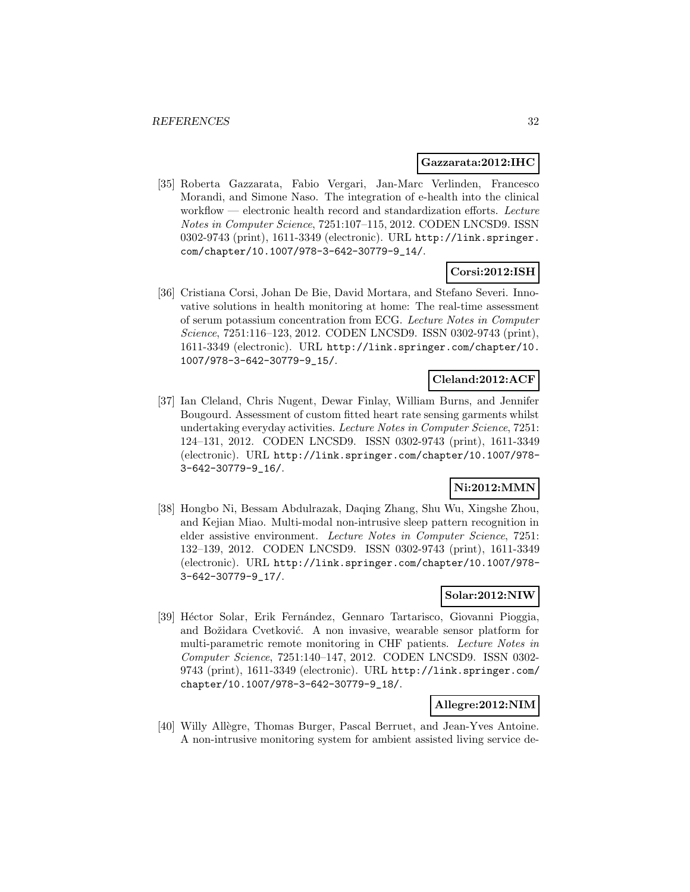#### **Gazzarata:2012:IHC**

[35] Roberta Gazzarata, Fabio Vergari, Jan-Marc Verlinden, Francesco Morandi, and Simone Naso. The integration of e-health into the clinical workflow — electronic health record and standardization efforts. Lecture Notes in Computer Science, 7251:107–115, 2012. CODEN LNCSD9. ISSN 0302-9743 (print), 1611-3349 (electronic). URL http://link.springer. com/chapter/10.1007/978-3-642-30779-9\_14/.

## **Corsi:2012:ISH**

[36] Cristiana Corsi, Johan De Bie, David Mortara, and Stefano Severi. Innovative solutions in health monitoring at home: The real-time assessment of serum potassium concentration from ECG. Lecture Notes in Computer Science, 7251:116–123, 2012. CODEN LNCSD9. ISSN 0302-9743 (print), 1611-3349 (electronic). URL http://link.springer.com/chapter/10. 1007/978-3-642-30779-9\_15/.

#### **Cleland:2012:ACF**

[37] Ian Cleland, Chris Nugent, Dewar Finlay, William Burns, and Jennifer Bougourd. Assessment of custom fitted heart rate sensing garments whilst undertaking everyday activities. Lecture Notes in Computer Science, 7251: 124–131, 2012. CODEN LNCSD9. ISSN 0302-9743 (print), 1611-3349 (electronic). URL http://link.springer.com/chapter/10.1007/978- 3-642-30779-9\_16/.

## **Ni:2012:MMN**

[38] Hongbo Ni, Bessam Abdulrazak, Daqing Zhang, Shu Wu, Xingshe Zhou, and Kejian Miao. Multi-modal non-intrusive sleep pattern recognition in elder assistive environment. Lecture Notes in Computer Science, 7251: 132–139, 2012. CODEN LNCSD9. ISSN 0302-9743 (print), 1611-3349 (electronic). URL http://link.springer.com/chapter/10.1007/978- 3-642-30779-9\_17/.

## **Solar:2012:NIW**

[39] Héctor Solar, Erik Fernández, Gennaro Tartarisco, Giovanni Pioggia, and Božidara Cvetković. A non invasive, wearable sensor platform for multi-parametric remote monitoring in CHF patients. Lecture Notes in Computer Science, 7251:140–147, 2012. CODEN LNCSD9. ISSN 0302- 9743 (print), 1611-3349 (electronic). URL http://link.springer.com/ chapter/10.1007/978-3-642-30779-9\_18/.

## **Allegre:2012:NIM**

[40] Willy Allègre, Thomas Burger, Pascal Berruet, and Jean-Yves Antoine. A non-intrusive monitoring system for ambient assisted living service de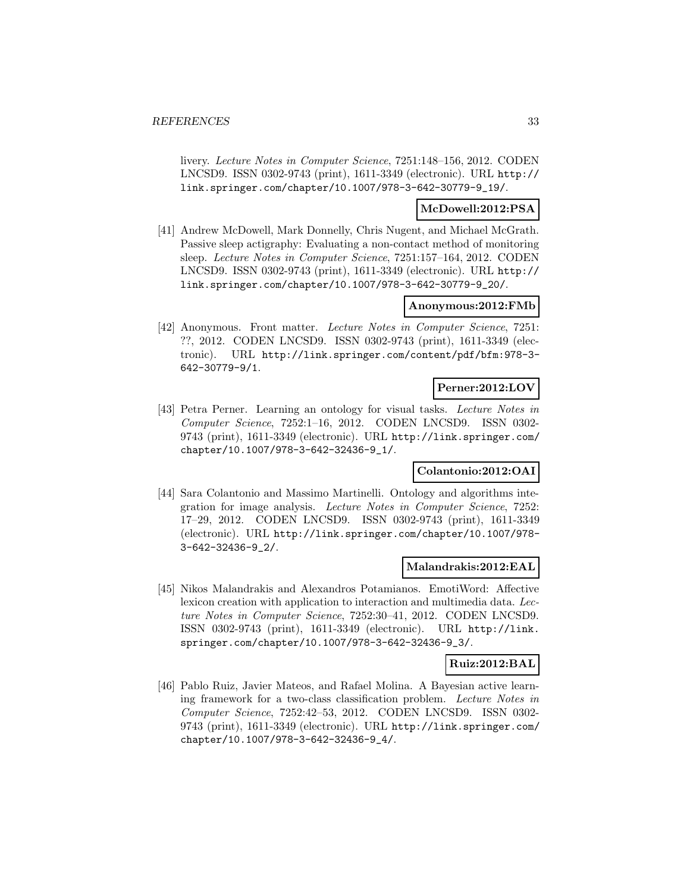livery. Lecture Notes in Computer Science, 7251:148–156, 2012. CODEN LNCSD9. ISSN 0302-9743 (print), 1611-3349 (electronic). URL http:// link.springer.com/chapter/10.1007/978-3-642-30779-9\_19/.

## **McDowell:2012:PSA**

[41] Andrew McDowell, Mark Donnelly, Chris Nugent, and Michael McGrath. Passive sleep actigraphy: Evaluating a non-contact method of monitoring sleep. Lecture Notes in Computer Science, 7251:157–164, 2012. CODEN LNCSD9. ISSN 0302-9743 (print), 1611-3349 (electronic). URL http:// link.springer.com/chapter/10.1007/978-3-642-30779-9\_20/.

## **Anonymous:2012:FMb**

[42] Anonymous. Front matter. Lecture Notes in Computer Science, 7251: ??, 2012. CODEN LNCSD9. ISSN 0302-9743 (print), 1611-3349 (electronic). URL http://link.springer.com/content/pdf/bfm:978-3- 642-30779-9/1.

#### **Perner:2012:LOV**

[43] Petra Perner. Learning an ontology for visual tasks. Lecture Notes in Computer Science, 7252:1–16, 2012. CODEN LNCSD9. ISSN 0302- 9743 (print), 1611-3349 (electronic). URL http://link.springer.com/ chapter/10.1007/978-3-642-32436-9\_1/.

## **Colantonio:2012:OAI**

[44] Sara Colantonio and Massimo Martinelli. Ontology and algorithms integration for image analysis. Lecture Notes in Computer Science, 7252: 17–29, 2012. CODEN LNCSD9. ISSN 0302-9743 (print), 1611-3349 (electronic). URL http://link.springer.com/chapter/10.1007/978- 3-642-32436-9\_2/.

#### **Malandrakis:2012:EAL**

[45] Nikos Malandrakis and Alexandros Potamianos. EmotiWord: Affective lexicon creation with application to interaction and multimedia data. Lecture Notes in Computer Science, 7252:30–41, 2012. CODEN LNCSD9. ISSN 0302-9743 (print), 1611-3349 (electronic). URL http://link. springer.com/chapter/10.1007/978-3-642-32436-9\_3/.

#### **Ruiz:2012:BAL**

[46] Pablo Ruiz, Javier Mateos, and Rafael Molina. A Bayesian active learning framework for a two-class classification problem. Lecture Notes in Computer Science, 7252:42–53, 2012. CODEN LNCSD9. ISSN 0302- 9743 (print), 1611-3349 (electronic). URL http://link.springer.com/ chapter/10.1007/978-3-642-32436-9\_4/.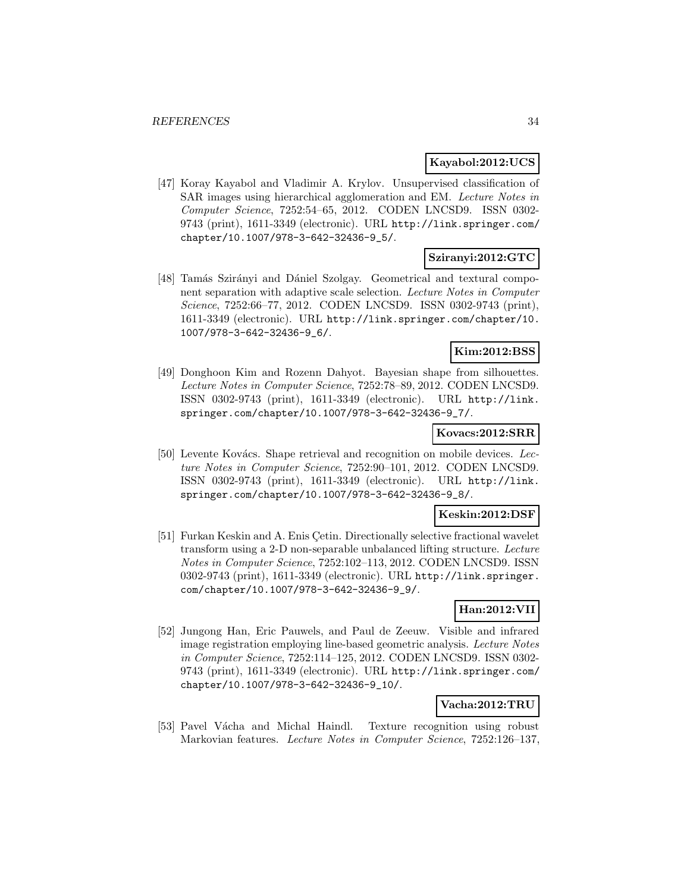## **Kayabol:2012:UCS**

[47] Koray Kayabol and Vladimir A. Krylov. Unsupervised classification of SAR images using hierarchical agglomeration and EM. Lecture Notes in Computer Science, 7252:54–65, 2012. CODEN LNCSD9. ISSN 0302- 9743 (print), 1611-3349 (electronic). URL http://link.springer.com/ chapter/10.1007/978-3-642-32436-9\_5/.

## **Sziranyi:2012:GTC**

[48] Tamás Szirányi and Dániel Szolgay. Geometrical and textural component separation with adaptive scale selection. Lecture Notes in Computer Science, 7252:66–77, 2012. CODEN LNCSD9. ISSN 0302-9743 (print), 1611-3349 (electronic). URL http://link.springer.com/chapter/10. 1007/978-3-642-32436-9\_6/.

## **Kim:2012:BSS**

[49] Donghoon Kim and Rozenn Dahyot. Bayesian shape from silhouettes. Lecture Notes in Computer Science, 7252:78–89, 2012. CODEN LNCSD9. ISSN 0302-9743 (print), 1611-3349 (electronic). URL http://link. springer.com/chapter/10.1007/978-3-642-32436-9\_7/.

#### **Kovacs:2012:SRR**

[50] Levente Kovács. Shape retrieval and recognition on mobile devices. Lecture Notes in Computer Science, 7252:90–101, 2012. CODEN LNCSD9. ISSN 0302-9743 (print), 1611-3349 (electronic). URL http://link. springer.com/chapter/10.1007/978-3-642-32436-9\_8/.

## **Keskin:2012:DSF**

[51] Furkan Keskin and A. Enis Cetin. Directionally selective fractional wavelet transform using a 2-D non-separable unbalanced lifting structure. Lecture Notes in Computer Science, 7252:102–113, 2012. CODEN LNCSD9. ISSN 0302-9743 (print), 1611-3349 (electronic). URL http://link.springer. com/chapter/10.1007/978-3-642-32436-9\_9/.

## **Han:2012:VII**

[52] Jungong Han, Eric Pauwels, and Paul de Zeeuw. Visible and infrared image registration employing line-based geometric analysis. Lecture Notes in Computer Science, 7252:114–125, 2012. CODEN LNCSD9. ISSN 0302- 9743 (print), 1611-3349 (electronic). URL http://link.springer.com/ chapter/10.1007/978-3-642-32436-9\_10/.

## **Vacha:2012:TRU**

[53] Pavel Vácha and Michal Haindl. Texture recognition using robust Markovian features. Lecture Notes in Computer Science, 7252:126–137,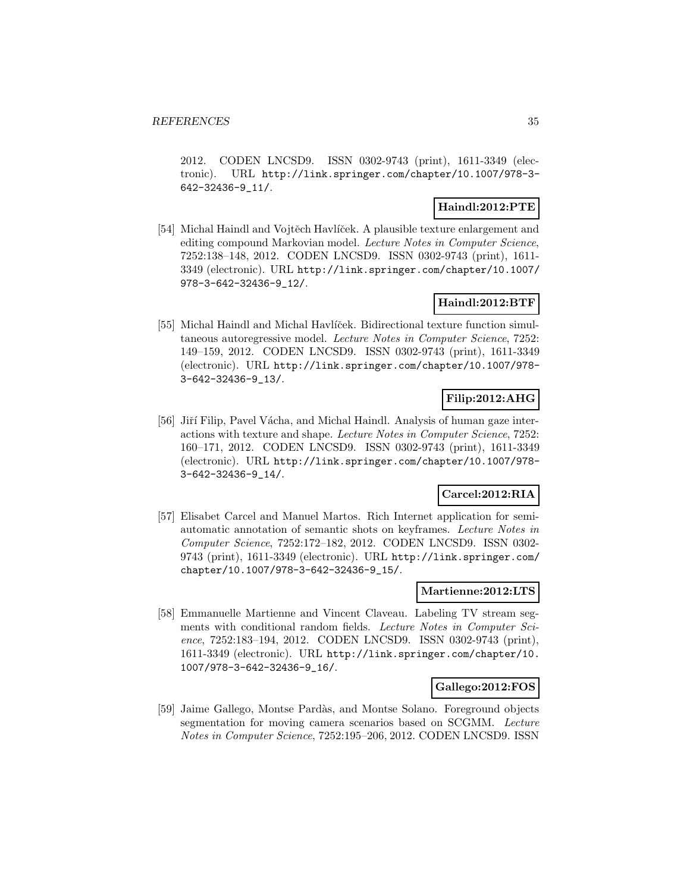2012. CODEN LNCSD9. ISSN 0302-9743 (print), 1611-3349 (electronic). URL http://link.springer.com/chapter/10.1007/978-3- 642-32436-9\_11/.

## **Haindl:2012:PTE**

[54] Michal Haindl and Vojtěch Havlíček. A plausible texture enlargement and editing compound Markovian model. Lecture Notes in Computer Science, 7252:138–148, 2012. CODEN LNCSD9. ISSN 0302-9743 (print), 1611- 3349 (electronic). URL http://link.springer.com/chapter/10.1007/ 978-3-642-32436-9\_12/.

## **Haindl:2012:BTF**

[55] Michal Haindl and Michal Havlíček. Bidirectional texture function simultaneous autoregressive model. Lecture Notes in Computer Science, 7252: 149–159, 2012. CODEN LNCSD9. ISSN 0302-9743 (print), 1611-3349 (electronic). URL http://link.springer.com/chapter/10.1007/978- 3-642-32436-9\_13/.

## **Filip:2012:AHG**

[56] Jiří Filip, Pavel Vácha, and Michal Haindl. Analysis of human gaze interactions with texture and shape. Lecture Notes in Computer Science, 7252: 160–171, 2012. CODEN LNCSD9. ISSN 0302-9743 (print), 1611-3349 (electronic). URL http://link.springer.com/chapter/10.1007/978- 3-642-32436-9\_14/.

## **Carcel:2012:RIA**

[57] Elisabet Carcel and Manuel Martos. Rich Internet application for semiautomatic annotation of semantic shots on keyframes. Lecture Notes in Computer Science, 7252:172–182, 2012. CODEN LNCSD9. ISSN 0302- 9743 (print), 1611-3349 (electronic). URL http://link.springer.com/ chapter/10.1007/978-3-642-32436-9\_15/.

#### **Martienne:2012:LTS**

[58] Emmanuelle Martienne and Vincent Claveau. Labeling TV stream segments with conditional random fields. Lecture Notes in Computer Science, 7252:183–194, 2012. CODEN LNCSD9. ISSN 0302-9743 (print), 1611-3349 (electronic). URL http://link.springer.com/chapter/10. 1007/978-3-642-32436-9\_16/.

## **Gallego:2012:FOS**

[59] Jaime Gallego, Montse Pard`as, and Montse Solano. Foreground objects segmentation for moving camera scenarios based on SCGMM. Lecture Notes in Computer Science, 7252:195–206, 2012. CODEN LNCSD9. ISSN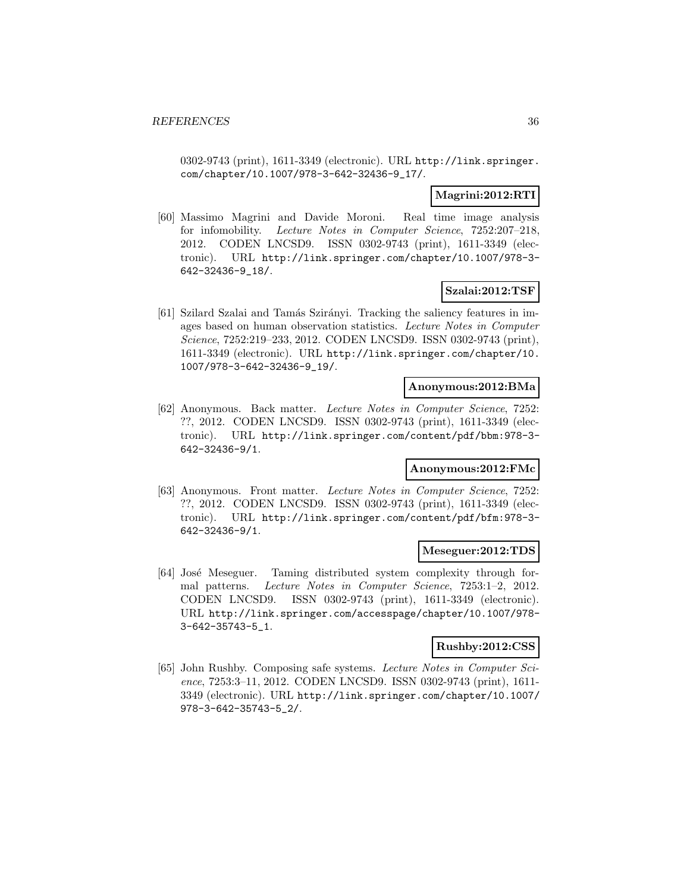0302-9743 (print), 1611-3349 (electronic). URL http://link.springer. com/chapter/10.1007/978-3-642-32436-9\_17/.

## **Magrini:2012:RTI**

[60] Massimo Magrini and Davide Moroni. Real time image analysis for infomobility. Lecture Notes in Computer Science, 7252:207–218, 2012. CODEN LNCSD9. ISSN 0302-9743 (print), 1611-3349 (electronic). URL http://link.springer.com/chapter/10.1007/978-3- 642-32436-9\_18/.

## **Szalai:2012:TSF**

[61] Szilard Szalai and Tamás Szirányi. Tracking the saliency features in images based on human observation statistics. Lecture Notes in Computer Science, 7252:219–233, 2012. CODEN LNCSD9. ISSN 0302-9743 (print), 1611-3349 (electronic). URL http://link.springer.com/chapter/10. 1007/978-3-642-32436-9\_19/.

#### **Anonymous:2012:BMa**

[62] Anonymous. Back matter. Lecture Notes in Computer Science, 7252: ??, 2012. CODEN LNCSD9. ISSN 0302-9743 (print), 1611-3349 (electronic). URL http://link.springer.com/content/pdf/bbm:978-3- 642-32436-9/1.

## **Anonymous:2012:FMc**

[63] Anonymous. Front matter. Lecture Notes in Computer Science, 7252: ??, 2012. CODEN LNCSD9. ISSN 0302-9743 (print), 1611-3349 (electronic). URL http://link.springer.com/content/pdf/bfm:978-3- 642-32436-9/1.

#### **Meseguer:2012:TDS**

[64] José Meseguer. Taming distributed system complexity through formal patterns. Lecture Notes in Computer Science, 7253:1–2, 2012. CODEN LNCSD9. ISSN 0302-9743 (print), 1611-3349 (electronic). URL http://link.springer.com/accesspage/chapter/10.1007/978- 3-642-35743-5\_1.

#### **Rushby:2012:CSS**

[65] John Rushby. Composing safe systems. Lecture Notes in Computer Science, 7253:3–11, 2012. CODEN LNCSD9. ISSN 0302-9743 (print), 1611- 3349 (electronic). URL http://link.springer.com/chapter/10.1007/ 978-3-642-35743-5\_2/.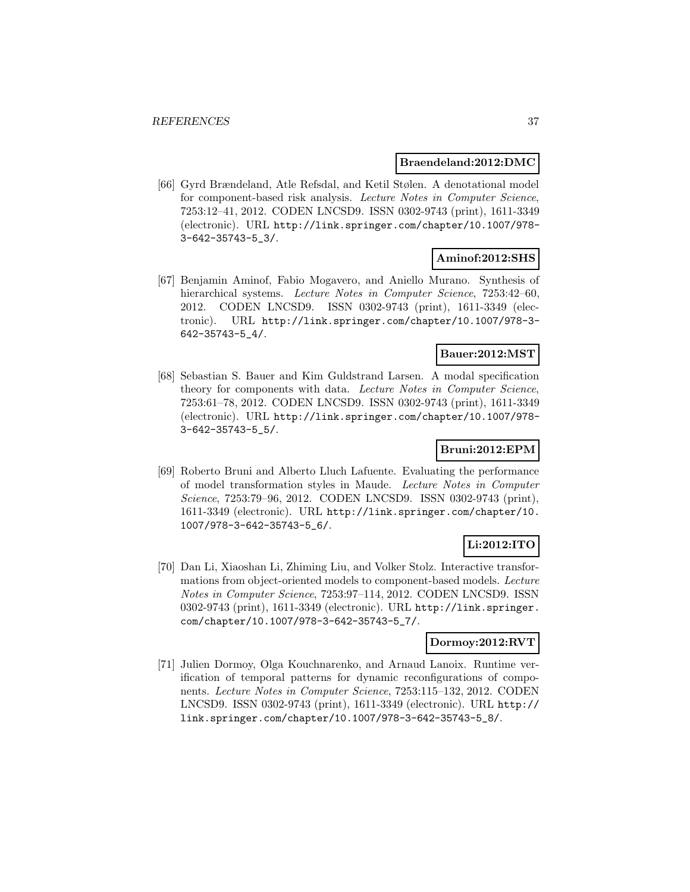#### **Braendeland:2012:DMC**

[66] Gyrd Brændeland, Atle Refsdal, and Ketil Stølen. A denotational model for component-based risk analysis. Lecture Notes in Computer Science, 7253:12–41, 2012. CODEN LNCSD9. ISSN 0302-9743 (print), 1611-3349 (electronic). URL http://link.springer.com/chapter/10.1007/978- 3-642-35743-5\_3/.

## **Aminof:2012:SHS**

[67] Benjamin Aminof, Fabio Mogavero, and Aniello Murano. Synthesis of hierarchical systems. Lecture Notes in Computer Science, 7253:42–60, 2012. CODEN LNCSD9. ISSN 0302-9743 (print), 1611-3349 (electronic). URL http://link.springer.com/chapter/10.1007/978-3- 642-35743-5\_4/.

## **Bauer:2012:MST**

[68] Sebastian S. Bauer and Kim Guldstrand Larsen. A modal specification theory for components with data. Lecture Notes in Computer Science, 7253:61–78, 2012. CODEN LNCSD9. ISSN 0302-9743 (print), 1611-3349 (electronic). URL http://link.springer.com/chapter/10.1007/978- 3-642-35743-5\_5/.

## **Bruni:2012:EPM**

[69] Roberto Bruni and Alberto Lluch Lafuente. Evaluating the performance of model transformation styles in Maude. Lecture Notes in Computer Science, 7253:79–96, 2012. CODEN LNCSD9. ISSN 0302-9743 (print), 1611-3349 (electronic). URL http://link.springer.com/chapter/10. 1007/978-3-642-35743-5\_6/.

# **Li:2012:ITO**

[70] Dan Li, Xiaoshan Li, Zhiming Liu, and Volker Stolz. Interactive transformations from object-oriented models to component-based models. Lecture Notes in Computer Science, 7253:97–114, 2012. CODEN LNCSD9. ISSN 0302-9743 (print), 1611-3349 (electronic). URL http://link.springer. com/chapter/10.1007/978-3-642-35743-5\_7/.

### **Dormoy:2012:RVT**

[71] Julien Dormoy, Olga Kouchnarenko, and Arnaud Lanoix. Runtime verification of temporal patterns for dynamic reconfigurations of components. Lecture Notes in Computer Science, 7253:115–132, 2012. CODEN LNCSD9. ISSN 0302-9743 (print), 1611-3349 (electronic). URL http:// link.springer.com/chapter/10.1007/978-3-642-35743-5\_8/.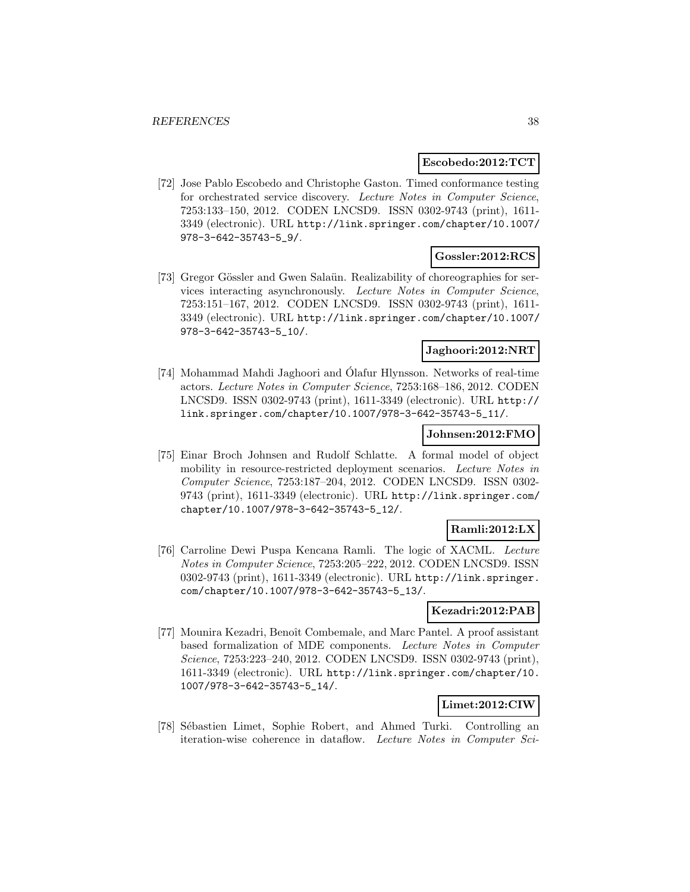### **Escobedo:2012:TCT**

[72] Jose Pablo Escobedo and Christophe Gaston. Timed conformance testing for orchestrated service discovery. Lecture Notes in Computer Science, 7253:133–150, 2012. CODEN LNCSD9. ISSN 0302-9743 (print), 1611- 3349 (electronic). URL http://link.springer.com/chapter/10.1007/ 978-3-642-35743-5\_9/.

### **Gossler:2012:RCS**

[73] Gregor Gössler and Gwen Salaün. Realizability of choreographies for services interacting asynchronously. Lecture Notes in Computer Science, 7253:151–167, 2012. CODEN LNCSD9. ISSN 0302-9743 (print), 1611- 3349 (electronic). URL http://link.springer.com/chapter/10.1007/ 978-3-642-35743-5\_10/.

#### **Jaghoori:2012:NRT**

[74] Mohammad Mahdi Jaghoori and Olafur Hlynsson. Networks of real-time ´ actors. Lecture Notes in Computer Science, 7253:168–186, 2012. CODEN LNCSD9. ISSN 0302-9743 (print), 1611-3349 (electronic). URL http:// link.springer.com/chapter/10.1007/978-3-642-35743-5\_11/.

#### **Johnsen:2012:FMO**

[75] Einar Broch Johnsen and Rudolf Schlatte. A formal model of object mobility in resource-restricted deployment scenarios. Lecture Notes in Computer Science, 7253:187–204, 2012. CODEN LNCSD9. ISSN 0302- 9743 (print), 1611-3349 (electronic). URL http://link.springer.com/ chapter/10.1007/978-3-642-35743-5\_12/.

## **Ramli:2012:LX**

[76] Carroline Dewi Puspa Kencana Ramli. The logic of XACML. Lecture Notes in Computer Science, 7253:205–222, 2012. CODEN LNCSD9. ISSN 0302-9743 (print), 1611-3349 (electronic). URL http://link.springer. com/chapter/10.1007/978-3-642-35743-5\_13/.

## **Kezadri:2012:PAB**

[77] Mounira Kezadri, Benoît Combemale, and Marc Pantel. A proof assistant based formalization of MDE components. Lecture Notes in Computer Science, 7253:223–240, 2012. CODEN LNCSD9. ISSN 0302-9743 (print), 1611-3349 (electronic). URL http://link.springer.com/chapter/10. 1007/978-3-642-35743-5\_14/.

## **Limet:2012:CIW**

[78] Sébastien Limet, Sophie Robert, and Ahmed Turki. Controlling an iteration-wise coherence in dataflow. Lecture Notes in Computer Sci-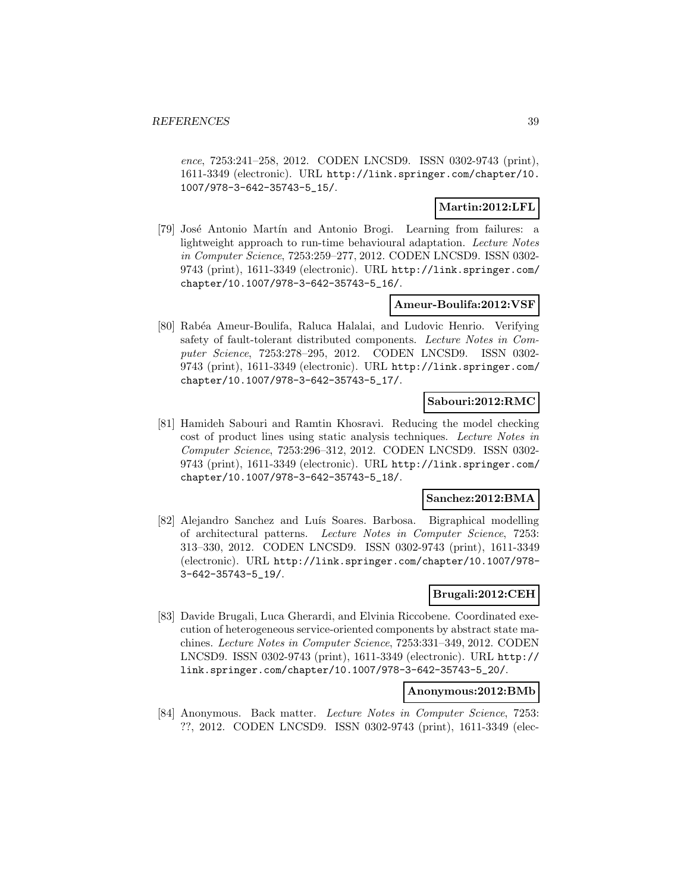ence, 7253:241–258, 2012. CODEN LNCSD9. ISSN 0302-9743 (print), 1611-3349 (electronic). URL http://link.springer.com/chapter/10. 1007/978-3-642-35743-5\_15/.

## **Martin:2012:LFL**

[79] José Antonio Martín and Antonio Brogi. Learning from failures: a lightweight approach to run-time behavioural adaptation. Lecture Notes in Computer Science, 7253:259–277, 2012. CODEN LNCSD9. ISSN 0302- 9743 (print), 1611-3349 (electronic). URL http://link.springer.com/ chapter/10.1007/978-3-642-35743-5\_16/.

### **Ameur-Boulifa:2012:VSF**

[80] Rab´ea Ameur-Boulifa, Raluca Halalai, and Ludovic Henrio. Verifying safety of fault-tolerant distributed components. Lecture Notes in Computer Science, 7253:278–295, 2012. CODEN LNCSD9. ISSN 0302- 9743 (print), 1611-3349 (electronic). URL http://link.springer.com/ chapter/10.1007/978-3-642-35743-5\_17/.

#### **Sabouri:2012:RMC**

[81] Hamideh Sabouri and Ramtin Khosravi. Reducing the model checking cost of product lines using static analysis techniques. Lecture Notes in Computer Science, 7253:296–312, 2012. CODEN LNCSD9. ISSN 0302- 9743 (print), 1611-3349 (electronic). URL http://link.springer.com/ chapter/10.1007/978-3-642-35743-5\_18/.

#### **Sanchez:2012:BMA**

[82] Alejandro Sanchez and Luís Soares. Barbosa. Bigraphical modelling of architectural patterns. Lecture Notes in Computer Science, 7253: 313–330, 2012. CODEN LNCSD9. ISSN 0302-9743 (print), 1611-3349 (electronic). URL http://link.springer.com/chapter/10.1007/978- 3-642-35743-5\_19/.

## **Brugali:2012:CEH**

[83] Davide Brugali, Luca Gherardi, and Elvinia Riccobene. Coordinated execution of heterogeneous service-oriented components by abstract state machines. Lecture Notes in Computer Science, 7253:331–349, 2012. CODEN LNCSD9. ISSN 0302-9743 (print), 1611-3349 (electronic). URL http:// link.springer.com/chapter/10.1007/978-3-642-35743-5\_20/.

#### **Anonymous:2012:BMb**

[84] Anonymous. Back matter. Lecture Notes in Computer Science, 7253: ??, 2012. CODEN LNCSD9. ISSN 0302-9743 (print), 1611-3349 (elec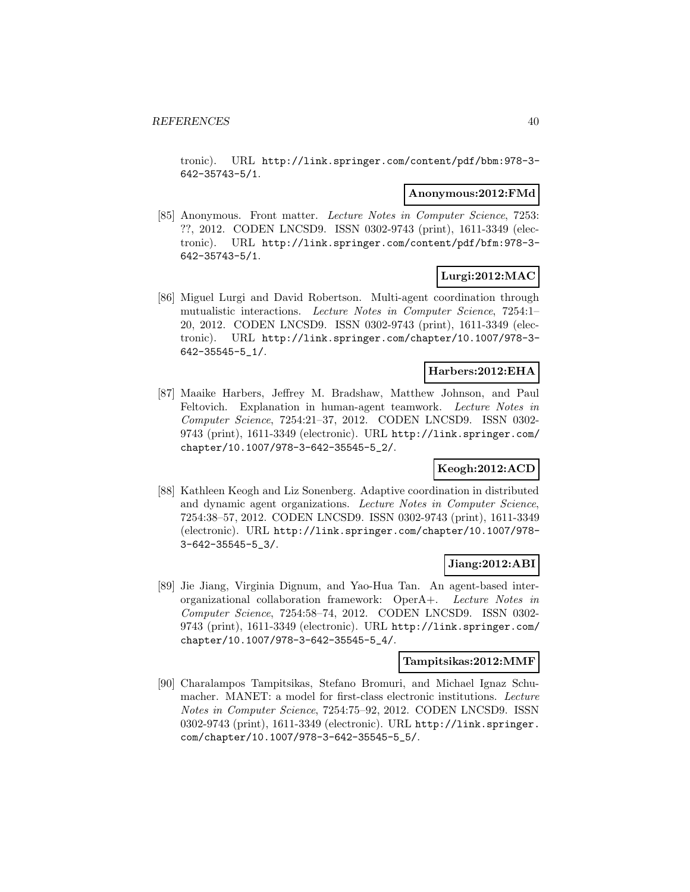tronic). URL http://link.springer.com/content/pdf/bbm:978-3- 642-35743-5/1.

#### **Anonymous:2012:FMd**

[85] Anonymous. Front matter. Lecture Notes in Computer Science, 7253: ??, 2012. CODEN LNCSD9. ISSN 0302-9743 (print), 1611-3349 (electronic). URL http://link.springer.com/content/pdf/bfm:978-3- 642-35743-5/1.

## **Lurgi:2012:MAC**

[86] Miguel Lurgi and David Robertson. Multi-agent coordination through mutualistic interactions. Lecture Notes in Computer Science, 7254:1– 20, 2012. CODEN LNCSD9. ISSN 0302-9743 (print), 1611-3349 (electronic). URL http://link.springer.com/chapter/10.1007/978-3- 642-35545-5\_1/.

# **Harbers:2012:EHA**

[87] Maaike Harbers, Jeffrey M. Bradshaw, Matthew Johnson, and Paul Feltovich. Explanation in human-agent teamwork. Lecture Notes in Computer Science, 7254:21–37, 2012. CODEN LNCSD9. ISSN 0302- 9743 (print), 1611-3349 (electronic). URL http://link.springer.com/ chapter/10.1007/978-3-642-35545-5\_2/.

## **Keogh:2012:ACD**

[88] Kathleen Keogh and Liz Sonenberg. Adaptive coordination in distributed and dynamic agent organizations. Lecture Notes in Computer Science, 7254:38–57, 2012. CODEN LNCSD9. ISSN 0302-9743 (print), 1611-3349 (electronic). URL http://link.springer.com/chapter/10.1007/978- 3-642-35545-5\_3/.

#### **Jiang:2012:ABI**

[89] Jie Jiang, Virginia Dignum, and Yao-Hua Tan. An agent-based interorganizational collaboration framework: OperA+. Lecture Notes in Computer Science, 7254:58–74, 2012. CODEN LNCSD9. ISSN 0302- 9743 (print), 1611-3349 (electronic). URL http://link.springer.com/ chapter/10.1007/978-3-642-35545-5\_4/.

#### **Tampitsikas:2012:MMF**

[90] Charalampos Tampitsikas, Stefano Bromuri, and Michael Ignaz Schumacher. MANET: a model for first-class electronic institutions. Lecture Notes in Computer Science, 7254:75–92, 2012. CODEN LNCSD9. ISSN 0302-9743 (print), 1611-3349 (electronic). URL http://link.springer. com/chapter/10.1007/978-3-642-35545-5\_5/.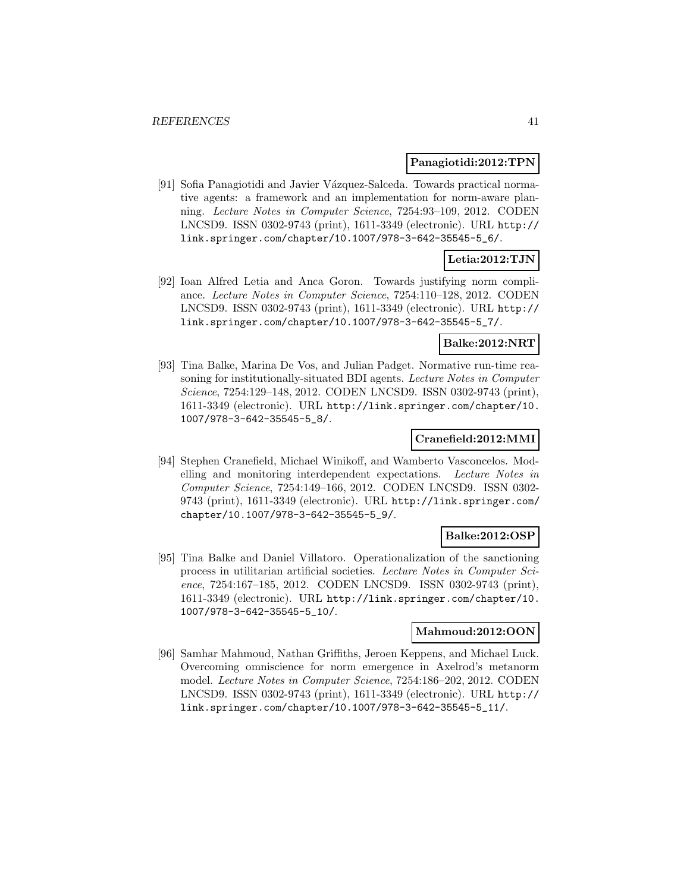#### **Panagiotidi:2012:TPN**

[91] Sofia Panagiotidi and Javier Vázquez-Salceda. Towards practical normative agents: a framework and an implementation for norm-aware planning. Lecture Notes in Computer Science, 7254:93–109, 2012. CODEN LNCSD9. ISSN 0302-9743 (print), 1611-3349 (electronic). URL http:// link.springer.com/chapter/10.1007/978-3-642-35545-5\_6/.

## **Letia:2012:TJN**

[92] Ioan Alfred Letia and Anca Goron. Towards justifying norm compliance. Lecture Notes in Computer Science, 7254:110–128, 2012. CODEN LNCSD9. ISSN 0302-9743 (print), 1611-3349 (electronic). URL http:// link.springer.com/chapter/10.1007/978-3-642-35545-5\_7/.

## **Balke:2012:NRT**

[93] Tina Balke, Marina De Vos, and Julian Padget. Normative run-time reasoning for institutionally-situated BDI agents. Lecture Notes in Computer Science, 7254:129–148, 2012. CODEN LNCSD9. ISSN 0302-9743 (print), 1611-3349 (electronic). URL http://link.springer.com/chapter/10. 1007/978-3-642-35545-5\_8/.

#### **Cranefield:2012:MMI**

[94] Stephen Cranefield, Michael Winikoff, and Wamberto Vasconcelos. Modelling and monitoring interdependent expectations. Lecture Notes in Computer Science, 7254:149–166, 2012. CODEN LNCSD9. ISSN 0302- 9743 (print), 1611-3349 (electronic). URL http://link.springer.com/ chapter/10.1007/978-3-642-35545-5\_9/.

#### **Balke:2012:OSP**

[95] Tina Balke and Daniel Villatoro. Operationalization of the sanctioning process in utilitarian artificial societies. Lecture Notes in Computer Science, 7254:167–185, 2012. CODEN LNCSD9. ISSN 0302-9743 (print), 1611-3349 (electronic). URL http://link.springer.com/chapter/10. 1007/978-3-642-35545-5\_10/.

## **Mahmoud:2012:OON**

[96] Samhar Mahmoud, Nathan Griffiths, Jeroen Keppens, and Michael Luck. Overcoming omniscience for norm emergence in Axelrod's metanorm model. Lecture Notes in Computer Science, 7254:186–202, 2012. CODEN LNCSD9. ISSN 0302-9743 (print), 1611-3349 (electronic). URL http:// link.springer.com/chapter/10.1007/978-3-642-35545-5\_11/.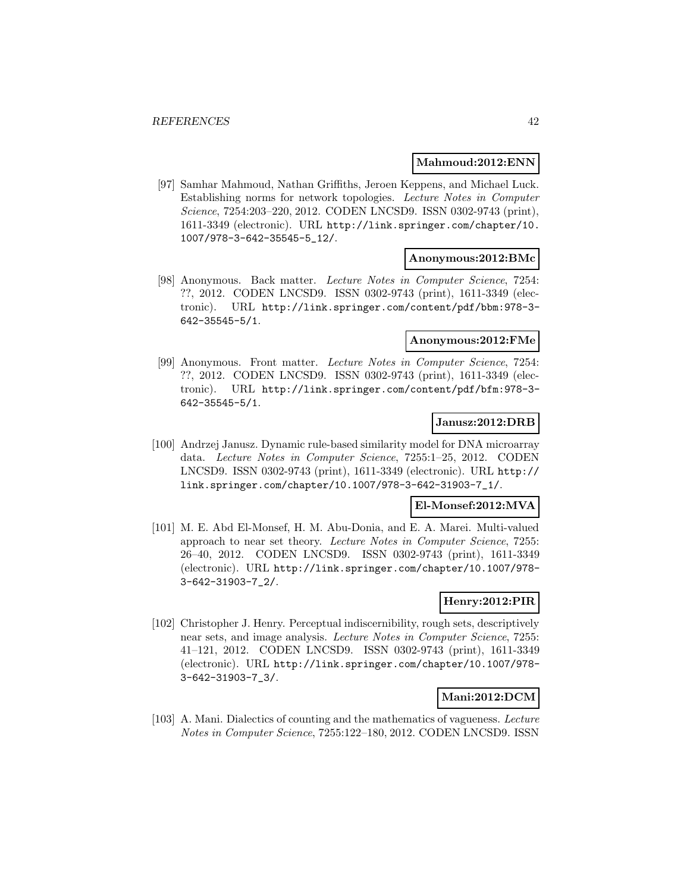#### **Mahmoud:2012:ENN**

[97] Samhar Mahmoud, Nathan Griffiths, Jeroen Keppens, and Michael Luck. Establishing norms for network topologies. Lecture Notes in Computer Science, 7254:203–220, 2012. CODEN LNCSD9. ISSN 0302-9743 (print), 1611-3349 (electronic). URL http://link.springer.com/chapter/10. 1007/978-3-642-35545-5\_12/.

#### **Anonymous:2012:BMc**

[98] Anonymous. Back matter. Lecture Notes in Computer Science, 7254: ??, 2012. CODEN LNCSD9. ISSN 0302-9743 (print), 1611-3349 (electronic). URL http://link.springer.com/content/pdf/bbm:978-3- 642-35545-5/1.

### **Anonymous:2012:FMe**

[99] Anonymous. Front matter. Lecture Notes in Computer Science, 7254: ??, 2012. CODEN LNCSD9. ISSN 0302-9743 (print), 1611-3349 (electronic). URL http://link.springer.com/content/pdf/bfm:978-3- 642-35545-5/1.

#### **Janusz:2012:DRB**

[100] Andrzej Janusz. Dynamic rule-based similarity model for DNA microarray data. Lecture Notes in Computer Science, 7255:1–25, 2012. CODEN LNCSD9. ISSN 0302-9743 (print), 1611-3349 (electronic). URL http:// link.springer.com/chapter/10.1007/978-3-642-31903-7\_1/.

### **El-Monsef:2012:MVA**

[101] M. E. Abd El-Monsef, H. M. Abu-Donia, and E. A. Marei. Multi-valued approach to near set theory. Lecture Notes in Computer Science, 7255: 26–40, 2012. CODEN LNCSD9. ISSN 0302-9743 (print), 1611-3349 (electronic). URL http://link.springer.com/chapter/10.1007/978- 3-642-31903-7\_2/.

#### **Henry:2012:PIR**

[102] Christopher J. Henry. Perceptual indiscernibility, rough sets, descriptively near sets, and image analysis. Lecture Notes in Computer Science, 7255: 41–121, 2012. CODEN LNCSD9. ISSN 0302-9743 (print), 1611-3349 (electronic). URL http://link.springer.com/chapter/10.1007/978- 3-642-31903-7\_3/.

## **Mani:2012:DCM**

[103] A. Mani. Dialectics of counting and the mathematics of vagueness. Lecture Notes in Computer Science, 7255:122–180, 2012. CODEN LNCSD9. ISSN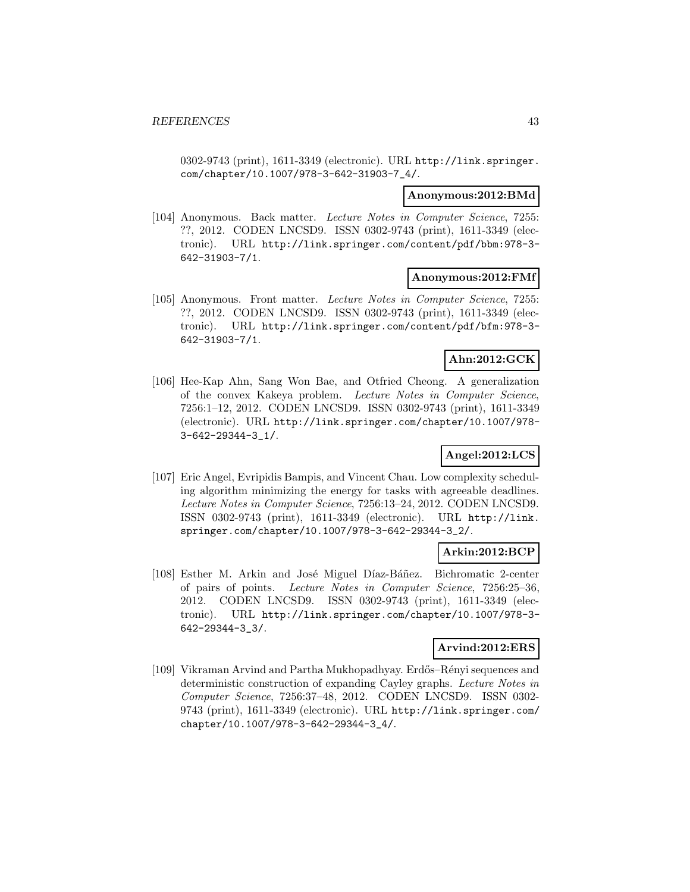0302-9743 (print), 1611-3349 (electronic). URL http://link.springer. com/chapter/10.1007/978-3-642-31903-7\_4/.

#### **Anonymous:2012:BMd**

[104] Anonymous. Back matter. Lecture Notes in Computer Science, 7255: ??, 2012. CODEN LNCSD9. ISSN 0302-9743 (print), 1611-3349 (electronic). URL http://link.springer.com/content/pdf/bbm:978-3- 642-31903-7/1.

#### **Anonymous:2012:FMf**

[105] Anonymous. Front matter. Lecture Notes in Computer Science, 7255: ??, 2012. CODEN LNCSD9. ISSN 0302-9743 (print), 1611-3349 (electronic). URL http://link.springer.com/content/pdf/bfm:978-3- 642-31903-7/1.

## **Ahn:2012:GCK**

[106] Hee-Kap Ahn, Sang Won Bae, and Otfried Cheong. A generalization of the convex Kakeya problem. Lecture Notes in Computer Science, 7256:1–12, 2012. CODEN LNCSD9. ISSN 0302-9743 (print), 1611-3349 (electronic). URL http://link.springer.com/chapter/10.1007/978- 3-642-29344-3\_1/.

## **Angel:2012:LCS**

[107] Eric Angel, Evripidis Bampis, and Vincent Chau. Low complexity scheduling algorithm minimizing the energy for tasks with agreeable deadlines. Lecture Notes in Computer Science, 7256:13–24, 2012. CODEN LNCSD9. ISSN 0302-9743 (print), 1611-3349 (electronic). URL http://link. springer.com/chapter/10.1007/978-3-642-29344-3\_2/.

## **Arkin:2012:BCP**

[108] Esther M. Arkin and José Miguel Díaz-Báñez. Bichromatic 2-center of pairs of points. Lecture Notes in Computer Science, 7256:25–36, 2012. CODEN LNCSD9. ISSN 0302-9743 (print), 1611-3349 (electronic). URL http://link.springer.com/chapter/10.1007/978-3- 642-29344-3\_3/.

#### **Arvind:2012:ERS**

[109] Vikraman Arvind and Partha Mukhopadhyay. Erdős–Rényi sequences and deterministic construction of expanding Cayley graphs. Lecture Notes in Computer Science, 7256:37–48, 2012. CODEN LNCSD9. ISSN 0302- 9743 (print), 1611-3349 (electronic). URL http://link.springer.com/ chapter/10.1007/978-3-642-29344-3\_4/.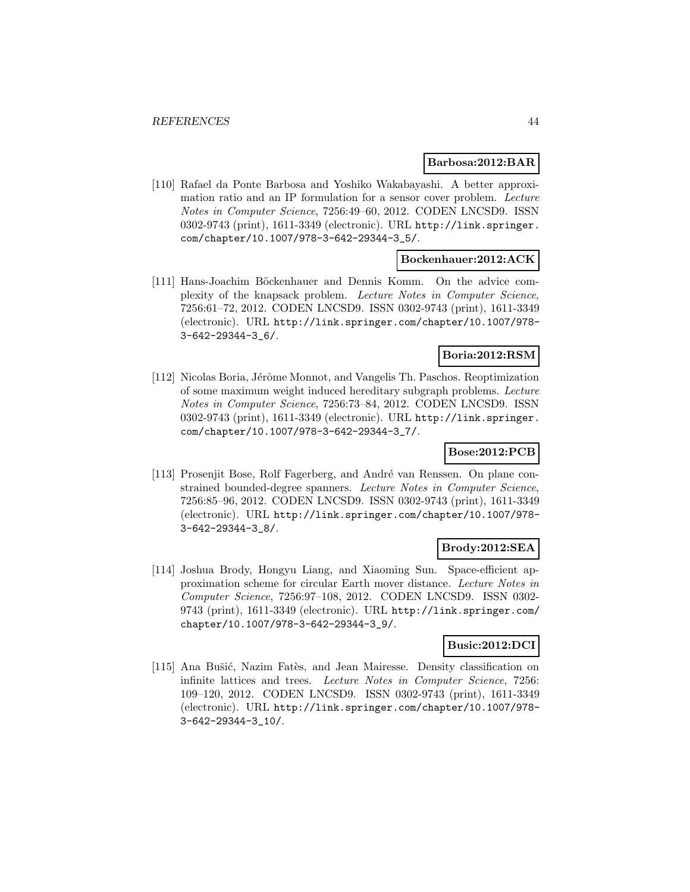#### **Barbosa:2012:BAR**

[110] Rafael da Ponte Barbosa and Yoshiko Wakabayashi. A better approximation ratio and an IP formulation for a sensor cover problem. Lecture Notes in Computer Science, 7256:49–60, 2012. CODEN LNCSD9. ISSN 0302-9743 (print), 1611-3349 (electronic). URL http://link.springer. com/chapter/10.1007/978-3-642-29344-3\_5/.

### **Bockenhauer:2012:ACK**

[111] Hans-Joachim Böckenhauer and Dennis Komm. On the advice complexity of the knapsack problem. Lecture Notes in Computer Science, 7256:61–72, 2012. CODEN LNCSD9. ISSN 0302-9743 (print), 1611-3349 (electronic). URL http://link.springer.com/chapter/10.1007/978- 3-642-29344-3\_6/.

#### **Boria:2012:RSM**

[112] Nicolas Boria, Jérôme Monnot, and Vangelis Th. Paschos. Reoptimization of some maximum weight induced hereditary subgraph problems. Lecture Notes in Computer Science, 7256:73–84, 2012. CODEN LNCSD9. ISSN 0302-9743 (print), 1611-3349 (electronic). URL http://link.springer. com/chapter/10.1007/978-3-642-29344-3\_7/.

## **Bose:2012:PCB**

[113] Prosenjit Bose, Rolf Fagerberg, and André van Renssen. On plane constrained bounded-degree spanners. Lecture Notes in Computer Science, 7256:85–96, 2012. CODEN LNCSD9. ISSN 0302-9743 (print), 1611-3349 (electronic). URL http://link.springer.com/chapter/10.1007/978- 3-642-29344-3\_8/.

#### **Brody:2012:SEA**

[114] Joshua Brody, Hongyu Liang, and Xiaoming Sun. Space-efficient approximation scheme for circular Earth mover distance. Lecture Notes in Computer Science, 7256:97–108, 2012. CODEN LNCSD9. ISSN 0302- 9743 (print), 1611-3349 (electronic). URL http://link.springer.com/ chapter/10.1007/978-3-642-29344-3\_9/.

#### **Busic:2012:DCI**

[115] Ana Bušić, Nazim Fatès, and Jean Mairesse. Density classification on infinite lattices and trees. Lecture Notes in Computer Science, 7256: 109–120, 2012. CODEN LNCSD9. ISSN 0302-9743 (print), 1611-3349 (electronic). URL http://link.springer.com/chapter/10.1007/978- 3-642-29344-3\_10/.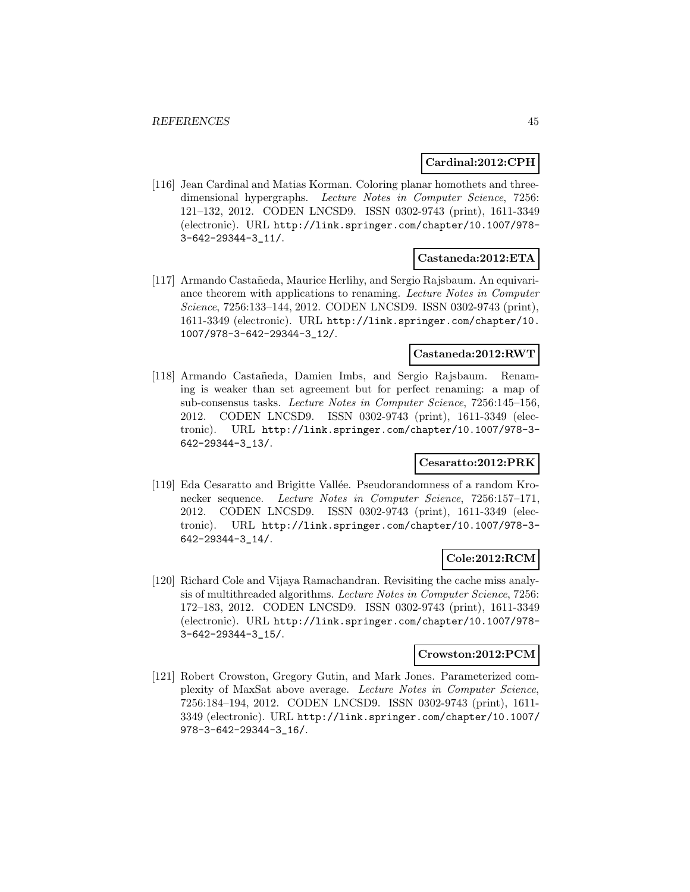### **Cardinal:2012:CPH**

[116] Jean Cardinal and Matias Korman. Coloring planar homothets and threedimensional hypergraphs. Lecture Notes in Computer Science, 7256: 121–132, 2012. CODEN LNCSD9. ISSN 0302-9743 (print), 1611-3349 (electronic). URL http://link.springer.com/chapter/10.1007/978- 3-642-29344-3\_11/.

### **Castaneda:2012:ETA**

[117] Armando Castañeda, Maurice Herlihy, and Sergio Rajsbaum. An equivariance theorem with applications to renaming. Lecture Notes in Computer Science, 7256:133–144, 2012. CODEN LNCSD9. ISSN 0302-9743 (print), 1611-3349 (electronic). URL http://link.springer.com/chapter/10. 1007/978-3-642-29344-3\_12/.

### **Castaneda:2012:RWT**

[118] Armando Castañeda, Damien Imbs, and Sergio Rajsbaum. Renaming is weaker than set agreement but for perfect renaming: a map of sub-consensus tasks. Lecture Notes in Computer Science, 7256:145–156, 2012. CODEN LNCSD9. ISSN 0302-9743 (print), 1611-3349 (electronic). URL http://link.springer.com/chapter/10.1007/978-3- 642-29344-3\_13/.

### **Cesaratto:2012:PRK**

[119] Eda Cesaratto and Brigitte Vallée. Pseudorandomness of a random Kronecker sequence. Lecture Notes in Computer Science, 7256:157–171, 2012. CODEN LNCSD9. ISSN 0302-9743 (print), 1611-3349 (electronic). URL http://link.springer.com/chapter/10.1007/978-3- 642-29344-3\_14/.

## **Cole:2012:RCM**

[120] Richard Cole and Vijaya Ramachandran. Revisiting the cache miss analysis of multithreaded algorithms. Lecture Notes in Computer Science, 7256: 172–183, 2012. CODEN LNCSD9. ISSN 0302-9743 (print), 1611-3349 (electronic). URL http://link.springer.com/chapter/10.1007/978- 3-642-29344-3\_15/.

### **Crowston:2012:PCM**

[121] Robert Crowston, Gregory Gutin, and Mark Jones. Parameterized complexity of MaxSat above average. Lecture Notes in Computer Science, 7256:184–194, 2012. CODEN LNCSD9. ISSN 0302-9743 (print), 1611- 3349 (electronic). URL http://link.springer.com/chapter/10.1007/ 978-3-642-29344-3\_16/.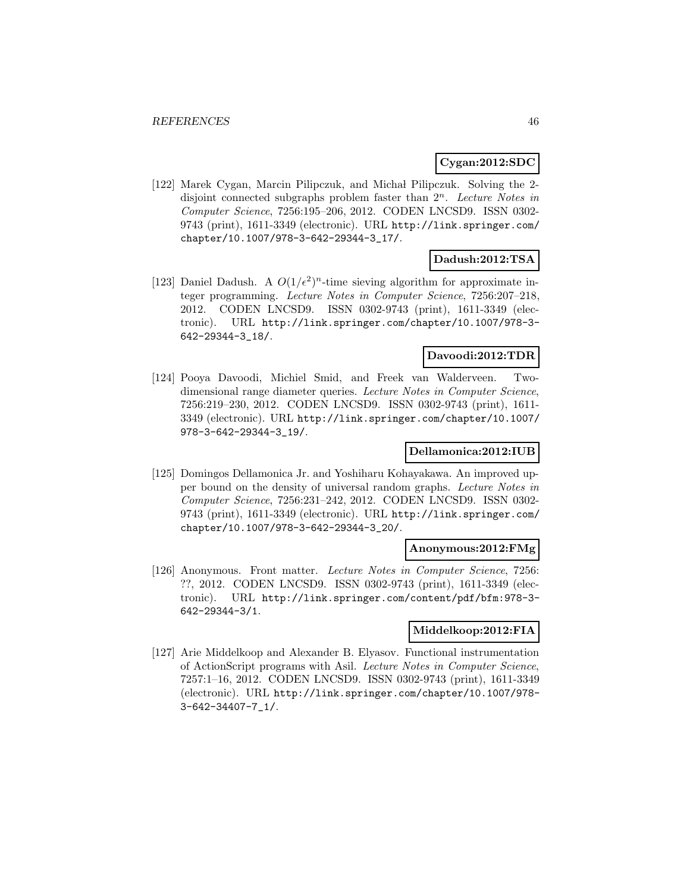## **Cygan:2012:SDC**

[122] Marek Cygan, Marcin Pilipczuk, and Michał Pilipczuk. Solving the 2disjoint connected subgraphs problem faster than  $2^n$ . Lecture Notes in Computer Science, 7256:195–206, 2012. CODEN LNCSD9. ISSN 0302- 9743 (print), 1611-3349 (electronic). URL http://link.springer.com/ chapter/10.1007/978-3-642-29344-3\_17/.

### **Dadush:2012:TSA**

[123] Daniel Dadush. A  $O(1/\epsilon^2)^n$ -time sieving algorithm for approximate integer programming. Lecture Notes in Computer Science, 7256:207–218, 2012. CODEN LNCSD9. ISSN 0302-9743 (print), 1611-3349 (electronic). URL http://link.springer.com/chapter/10.1007/978-3- 642-29344-3\_18/.

#### **Davoodi:2012:TDR**

[124] Pooya Davoodi, Michiel Smid, and Freek van Walderveen. Twodimensional range diameter queries. Lecture Notes in Computer Science, 7256:219–230, 2012. CODEN LNCSD9. ISSN 0302-9743 (print), 1611- 3349 (electronic). URL http://link.springer.com/chapter/10.1007/ 978-3-642-29344-3\_19/.

## **Dellamonica:2012:IUB**

[125] Domingos Dellamonica Jr. and Yoshiharu Kohayakawa. An improved upper bound on the density of universal random graphs. Lecture Notes in Computer Science, 7256:231–242, 2012. CODEN LNCSD9. ISSN 0302- 9743 (print), 1611-3349 (electronic). URL http://link.springer.com/ chapter/10.1007/978-3-642-29344-3\_20/.

#### **Anonymous:2012:FMg**

[126] Anonymous. Front matter. Lecture Notes in Computer Science, 7256: ??, 2012. CODEN LNCSD9. ISSN 0302-9743 (print), 1611-3349 (electronic). URL http://link.springer.com/content/pdf/bfm:978-3- 642-29344-3/1.

# **Middelkoop:2012:FIA**

[127] Arie Middelkoop and Alexander B. Elyasov. Functional instrumentation of ActionScript programs with Asil. Lecture Notes in Computer Science, 7257:1–16, 2012. CODEN LNCSD9. ISSN 0302-9743 (print), 1611-3349 (electronic). URL http://link.springer.com/chapter/10.1007/978- 3-642-34407-7\_1/.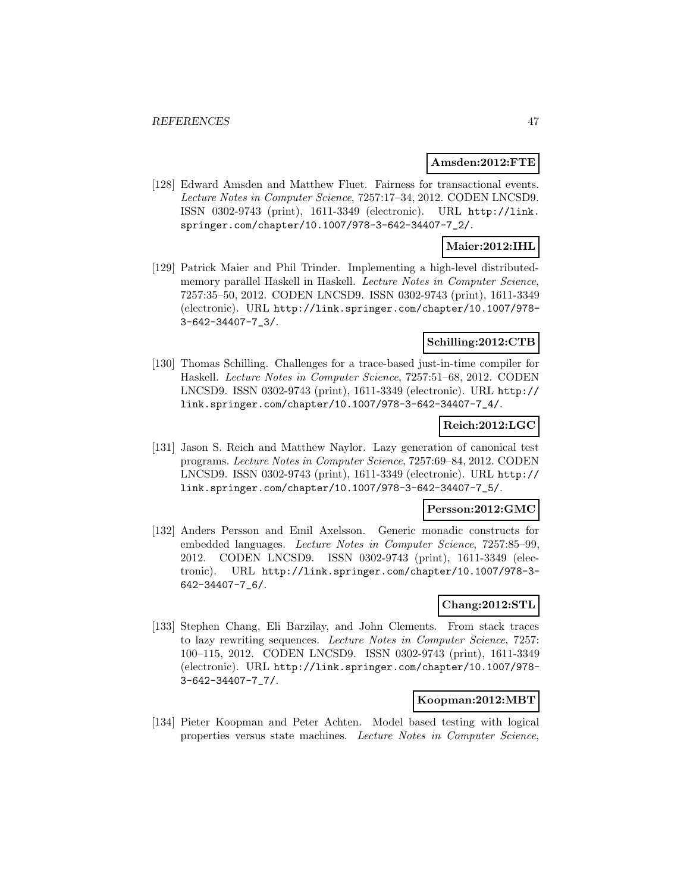#### **Amsden:2012:FTE**

[128] Edward Amsden and Matthew Fluet. Fairness for transactional events. Lecture Notes in Computer Science, 7257:17–34, 2012. CODEN LNCSD9. ISSN 0302-9743 (print), 1611-3349 (electronic). URL http://link. springer.com/chapter/10.1007/978-3-642-34407-7\_2/.

## **Maier:2012:IHL**

[129] Patrick Maier and Phil Trinder. Implementing a high-level distributedmemory parallel Haskell in Haskell. Lecture Notes in Computer Science, 7257:35–50, 2012. CODEN LNCSD9. ISSN 0302-9743 (print), 1611-3349 (electronic). URL http://link.springer.com/chapter/10.1007/978- 3-642-34407-7\_3/.

## **Schilling:2012:CTB**

[130] Thomas Schilling. Challenges for a trace-based just-in-time compiler for Haskell. Lecture Notes in Computer Science, 7257:51–68, 2012. CODEN LNCSD9. ISSN 0302-9743 (print), 1611-3349 (electronic). URL http:// link.springer.com/chapter/10.1007/978-3-642-34407-7\_4/.

## **Reich:2012:LGC**

[131] Jason S. Reich and Matthew Naylor. Lazy generation of canonical test programs. Lecture Notes in Computer Science, 7257:69–84, 2012. CODEN LNCSD9. ISSN 0302-9743 (print), 1611-3349 (electronic). URL http:// link.springer.com/chapter/10.1007/978-3-642-34407-7\_5/.

#### **Persson:2012:GMC**

[132] Anders Persson and Emil Axelsson. Generic monadic constructs for embedded languages. Lecture Notes in Computer Science, 7257:85–99, 2012. CODEN LNCSD9. ISSN 0302-9743 (print), 1611-3349 (electronic). URL http://link.springer.com/chapter/10.1007/978-3- 642-34407-7\_6/.

### **Chang:2012:STL**

[133] Stephen Chang, Eli Barzilay, and John Clements. From stack traces to lazy rewriting sequences. Lecture Notes in Computer Science, 7257: 100–115, 2012. CODEN LNCSD9. ISSN 0302-9743 (print), 1611-3349 (electronic). URL http://link.springer.com/chapter/10.1007/978- 3-642-34407-7\_7/.

#### **Koopman:2012:MBT**

[134] Pieter Koopman and Peter Achten. Model based testing with logical properties versus state machines. Lecture Notes in Computer Science,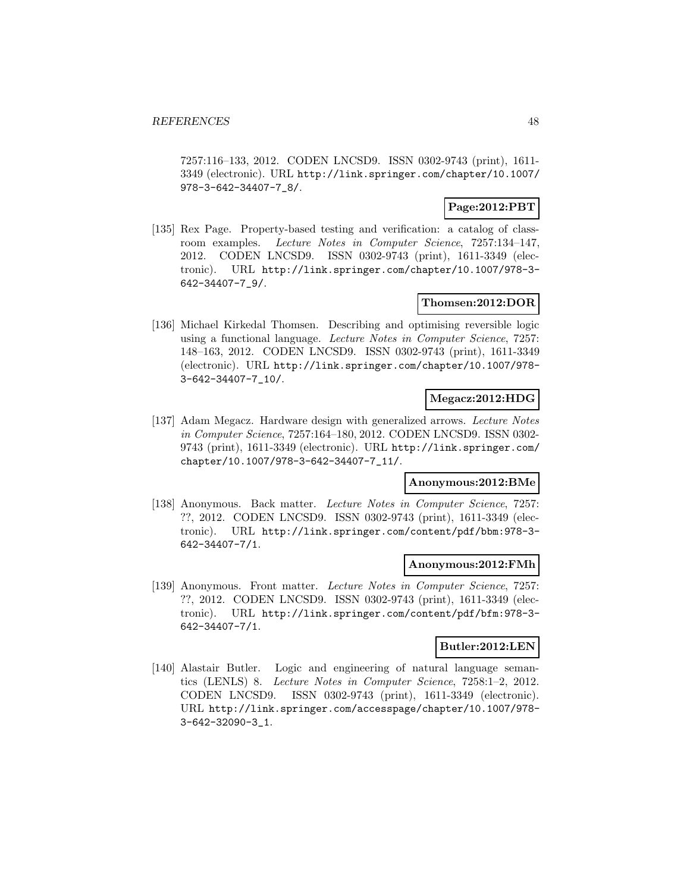7257:116–133, 2012. CODEN LNCSD9. ISSN 0302-9743 (print), 1611- 3349 (electronic). URL http://link.springer.com/chapter/10.1007/ 978-3-642-34407-7\_8/.

## **Page:2012:PBT**

[135] Rex Page. Property-based testing and verification: a catalog of classroom examples. Lecture Notes in Computer Science, 7257:134–147, 2012. CODEN LNCSD9. ISSN 0302-9743 (print), 1611-3349 (electronic). URL http://link.springer.com/chapter/10.1007/978-3- 642-34407-7\_9/.

## **Thomsen:2012:DOR**

[136] Michael Kirkedal Thomsen. Describing and optimising reversible logic using a functional language. Lecture Notes in Computer Science, 7257: 148–163, 2012. CODEN LNCSD9. ISSN 0302-9743 (print), 1611-3349 (electronic). URL http://link.springer.com/chapter/10.1007/978- 3-642-34407-7\_10/.

## **Megacz:2012:HDG**

[137] Adam Megacz. Hardware design with generalized arrows. Lecture Notes in Computer Science, 7257:164–180, 2012. CODEN LNCSD9. ISSN 0302- 9743 (print), 1611-3349 (electronic). URL http://link.springer.com/ chapter/10.1007/978-3-642-34407-7\_11/.

# **Anonymous:2012:BMe**

[138] Anonymous. Back matter. Lecture Notes in Computer Science, 7257: ??, 2012. CODEN LNCSD9. ISSN 0302-9743 (print), 1611-3349 (electronic). URL http://link.springer.com/content/pdf/bbm:978-3- 642-34407-7/1.

#### **Anonymous:2012:FMh**

[139] Anonymous. Front matter. Lecture Notes in Computer Science, 7257: ??, 2012. CODEN LNCSD9. ISSN 0302-9743 (print), 1611-3349 (electronic). URL http://link.springer.com/content/pdf/bfm:978-3- 642-34407-7/1.

#### **Butler:2012:LEN**

[140] Alastair Butler. Logic and engineering of natural language semantics (LENLS) 8. Lecture Notes in Computer Science, 7258:1–2, 2012. CODEN LNCSD9. ISSN 0302-9743 (print), 1611-3349 (electronic). URL http://link.springer.com/accesspage/chapter/10.1007/978- 3-642-32090-3\_1.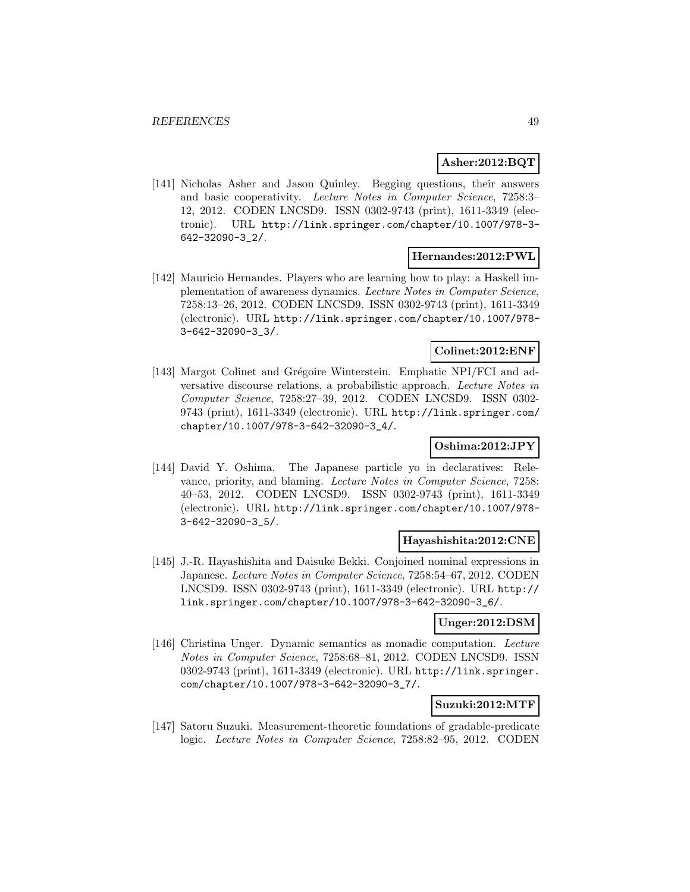## **Asher:2012:BQT**

[141] Nicholas Asher and Jason Quinley. Begging questions, their answers and basic cooperativity. Lecture Notes in Computer Science, 7258:3– 12, 2012. CODEN LNCSD9. ISSN 0302-9743 (print), 1611-3349 (electronic). URL http://link.springer.com/chapter/10.1007/978-3- 642-32090-3\_2/.

#### **Hernandes:2012:PWL**

[142] Mauricio Hernandes. Players who are learning how to play: a Haskell implementation of awareness dynamics. Lecture Notes in Computer Science, 7258:13–26, 2012. CODEN LNCSD9. ISSN 0302-9743 (print), 1611-3349 (electronic). URL http://link.springer.com/chapter/10.1007/978- 3-642-32090-3\_3/.

## **Colinet:2012:ENF**

[143] Margot Colinet and Grégoire Winterstein. Emphatic NPI/FCI and adversative discourse relations, a probabilistic approach. Lecture Notes in Computer Science, 7258:27–39, 2012. CODEN LNCSD9. ISSN 0302- 9743 (print), 1611-3349 (electronic). URL http://link.springer.com/ chapter/10.1007/978-3-642-32090-3\_4/.

# **Oshima:2012:JPY**

[144] David Y. Oshima. The Japanese particle yo in declaratives: Relevance, priority, and blaming. Lecture Notes in Computer Science, 7258: 40–53, 2012. CODEN LNCSD9. ISSN 0302-9743 (print), 1611-3349 (electronic). URL http://link.springer.com/chapter/10.1007/978- 3-642-32090-3\_5/.

## **Hayashishita:2012:CNE**

[145] J.-R. Hayashishita and Daisuke Bekki. Conjoined nominal expressions in Japanese. Lecture Notes in Computer Science, 7258:54–67, 2012. CODEN LNCSD9. ISSN 0302-9743 (print), 1611-3349 (electronic). URL http:// link.springer.com/chapter/10.1007/978-3-642-32090-3\_6/.

#### **Unger:2012:DSM**

[146] Christina Unger. Dynamic semantics as monadic computation. Lecture Notes in Computer Science, 7258:68–81, 2012. CODEN LNCSD9. ISSN 0302-9743 (print), 1611-3349 (electronic). URL http://link.springer. com/chapter/10.1007/978-3-642-32090-3\_7/.

## **Suzuki:2012:MTF**

[147] Satoru Suzuki. Measurement-theoretic foundations of gradable-predicate logic. Lecture Notes in Computer Science, 7258:82–95, 2012. CODEN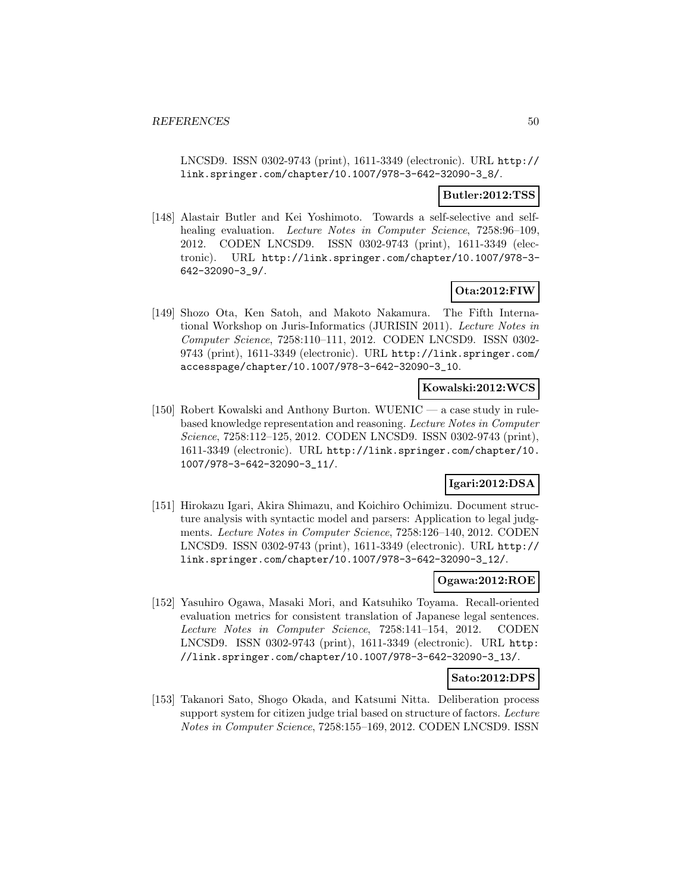LNCSD9. ISSN 0302-9743 (print), 1611-3349 (electronic). URL http:// link.springer.com/chapter/10.1007/978-3-642-32090-3\_8/.

## **Butler:2012:TSS**

[148] Alastair Butler and Kei Yoshimoto. Towards a self-selective and selfhealing evaluation. Lecture Notes in Computer Science, 7258:96-109, 2012. CODEN LNCSD9. ISSN 0302-9743 (print), 1611-3349 (electronic). URL http://link.springer.com/chapter/10.1007/978-3- 642-32090-3\_9/.

## **Ota:2012:FIW**

[149] Shozo Ota, Ken Satoh, and Makoto Nakamura. The Fifth International Workshop on Juris-Informatics (JURISIN 2011). Lecture Notes in Computer Science, 7258:110–111, 2012. CODEN LNCSD9. ISSN 0302- 9743 (print), 1611-3349 (electronic). URL http://link.springer.com/ accesspage/chapter/10.1007/978-3-642-32090-3\_10.

## **Kowalski:2012:WCS**

[150] Robert Kowalski and Anthony Burton. WUENIC — a case study in rulebased knowledge representation and reasoning. Lecture Notes in Computer Science, 7258:112–125, 2012. CODEN LNCSD9. ISSN 0302-9743 (print), 1611-3349 (electronic). URL http://link.springer.com/chapter/10. 1007/978-3-642-32090-3\_11/.

# **Igari:2012:DSA**

[151] Hirokazu Igari, Akira Shimazu, and Koichiro Ochimizu. Document structure analysis with syntactic model and parsers: Application to legal judgments. Lecture Notes in Computer Science, 7258:126–140, 2012. CODEN LNCSD9. ISSN 0302-9743 (print), 1611-3349 (electronic). URL http:// link.springer.com/chapter/10.1007/978-3-642-32090-3\_12/.

#### **Ogawa:2012:ROE**

[152] Yasuhiro Ogawa, Masaki Mori, and Katsuhiko Toyama. Recall-oriented evaluation metrics for consistent translation of Japanese legal sentences. Lecture Notes in Computer Science, 7258:141–154, 2012. CODEN LNCSD9. ISSN 0302-9743 (print), 1611-3349 (electronic). URL http: //link.springer.com/chapter/10.1007/978-3-642-32090-3\_13/.

## **Sato:2012:DPS**

[153] Takanori Sato, Shogo Okada, and Katsumi Nitta. Deliberation process support system for citizen judge trial based on structure of factors. Lecture Notes in Computer Science, 7258:155–169, 2012. CODEN LNCSD9. ISSN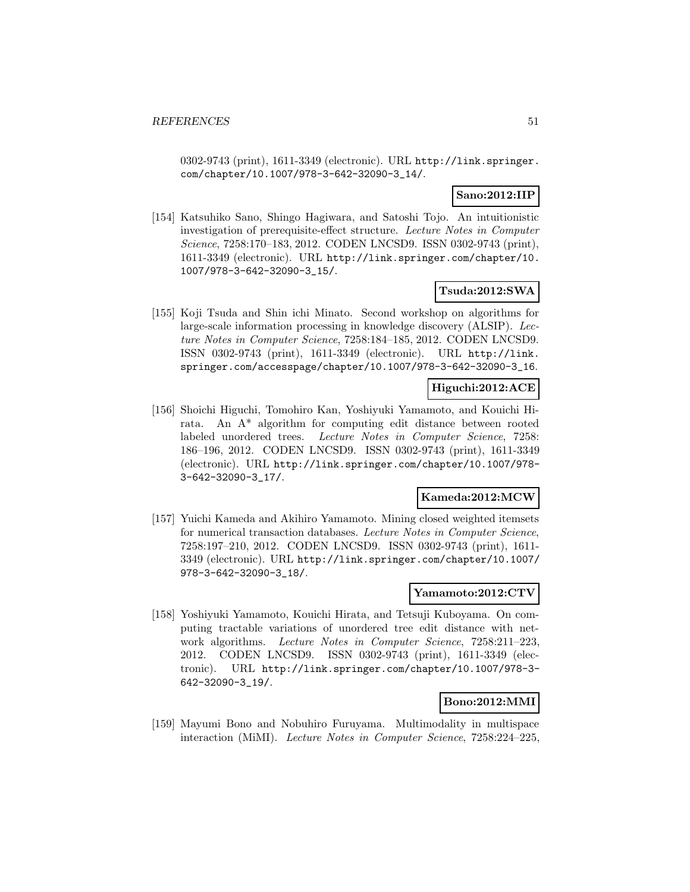0302-9743 (print), 1611-3349 (electronic). URL http://link.springer. com/chapter/10.1007/978-3-642-32090-3\_14/.

## **Sano:2012:IIP**

[154] Katsuhiko Sano, Shingo Hagiwara, and Satoshi Tojo. An intuitionistic investigation of prerequisite-effect structure. Lecture Notes in Computer Science, 7258:170–183, 2012. CODEN LNCSD9. ISSN 0302-9743 (print), 1611-3349 (electronic). URL http://link.springer.com/chapter/10. 1007/978-3-642-32090-3\_15/.

## **Tsuda:2012:SWA**

[155] Koji Tsuda and Shin ichi Minato. Second workshop on algorithms for large-scale information processing in knowledge discovery (ALSIP). Lecture Notes in Computer Science, 7258:184–185, 2012. CODEN LNCSD9. ISSN 0302-9743 (print), 1611-3349 (electronic). URL http://link. springer.com/accesspage/chapter/10.1007/978-3-642-32090-3\_16.

## **Higuchi:2012:ACE**

[156] Shoichi Higuchi, Tomohiro Kan, Yoshiyuki Yamamoto, and Kouichi Hirata. An A\* algorithm for computing edit distance between rooted labeled unordered trees. Lecture Notes in Computer Science, 7258: 186–196, 2012. CODEN LNCSD9. ISSN 0302-9743 (print), 1611-3349 (electronic). URL http://link.springer.com/chapter/10.1007/978- 3-642-32090-3\_17/.

#### **Kameda:2012:MCW**

[157] Yuichi Kameda and Akihiro Yamamoto. Mining closed weighted itemsets for numerical transaction databases. Lecture Notes in Computer Science, 7258:197–210, 2012. CODEN LNCSD9. ISSN 0302-9743 (print), 1611- 3349 (electronic). URL http://link.springer.com/chapter/10.1007/ 978-3-642-32090-3\_18/.

#### **Yamamoto:2012:CTV**

[158] Yoshiyuki Yamamoto, Kouichi Hirata, and Tetsuji Kuboyama. On computing tractable variations of unordered tree edit distance with network algorithms. Lecture Notes in Computer Science, 7258:211–223, 2012. CODEN LNCSD9. ISSN 0302-9743 (print), 1611-3349 (electronic). URL http://link.springer.com/chapter/10.1007/978-3- 642-32090-3\_19/.

## **Bono:2012:MMI**

[159] Mayumi Bono and Nobuhiro Furuyama. Multimodality in multispace interaction (MiMI). Lecture Notes in Computer Science, 7258:224–225,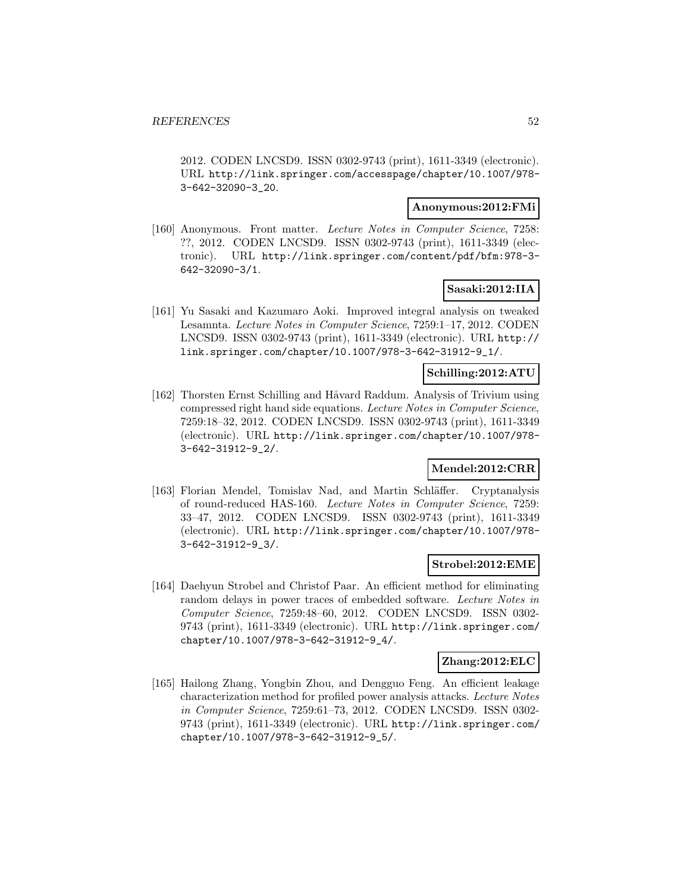2012. CODEN LNCSD9. ISSN 0302-9743 (print), 1611-3349 (electronic). URL http://link.springer.com/accesspage/chapter/10.1007/978- 3-642-32090-3\_20.

#### **Anonymous:2012:FMi**

[160] Anonymous. Front matter. Lecture Notes in Computer Science, 7258: ??, 2012. CODEN LNCSD9. ISSN 0302-9743 (print), 1611-3349 (electronic). URL http://link.springer.com/content/pdf/bfm:978-3- 642-32090-3/1.

## **Sasaki:2012:IIA**

[161] Yu Sasaki and Kazumaro Aoki. Improved integral analysis on tweaked Lesamnta. Lecture Notes in Computer Science, 7259:1–17, 2012. CODEN LNCSD9. ISSN 0302-9743 (print), 1611-3349 (electronic). URL http:// link.springer.com/chapter/10.1007/978-3-642-31912-9\_1/.

# **Schilling:2012:ATU**

[162] Thorsten Ernst Schilling and Håvard Raddum. Analysis of Trivium using compressed right hand side equations. Lecture Notes in Computer Science, 7259:18–32, 2012. CODEN LNCSD9. ISSN 0302-9743 (print), 1611-3349 (electronic). URL http://link.springer.com/chapter/10.1007/978- 3-642-31912-9\_2/.

## **Mendel:2012:CRR**

[163] Florian Mendel, Tomislav Nad, and Martin Schläffer. Cryptanalysis of round-reduced HAS-160. Lecture Notes in Computer Science, 7259: 33–47, 2012. CODEN LNCSD9. ISSN 0302-9743 (print), 1611-3349 (electronic). URL http://link.springer.com/chapter/10.1007/978- 3-642-31912-9\_3/.

#### **Strobel:2012:EME**

[164] Daehyun Strobel and Christof Paar. An efficient method for eliminating random delays in power traces of embedded software. Lecture Notes in Computer Science, 7259:48–60, 2012. CODEN LNCSD9. ISSN 0302- 9743 (print), 1611-3349 (electronic). URL http://link.springer.com/ chapter/10.1007/978-3-642-31912-9\_4/.

#### **Zhang:2012:ELC**

[165] Hailong Zhang, Yongbin Zhou, and Dengguo Feng. An efficient leakage characterization method for profiled power analysis attacks. Lecture Notes in Computer Science, 7259:61–73, 2012. CODEN LNCSD9. ISSN 0302- 9743 (print), 1611-3349 (electronic). URL http://link.springer.com/ chapter/10.1007/978-3-642-31912-9\_5/.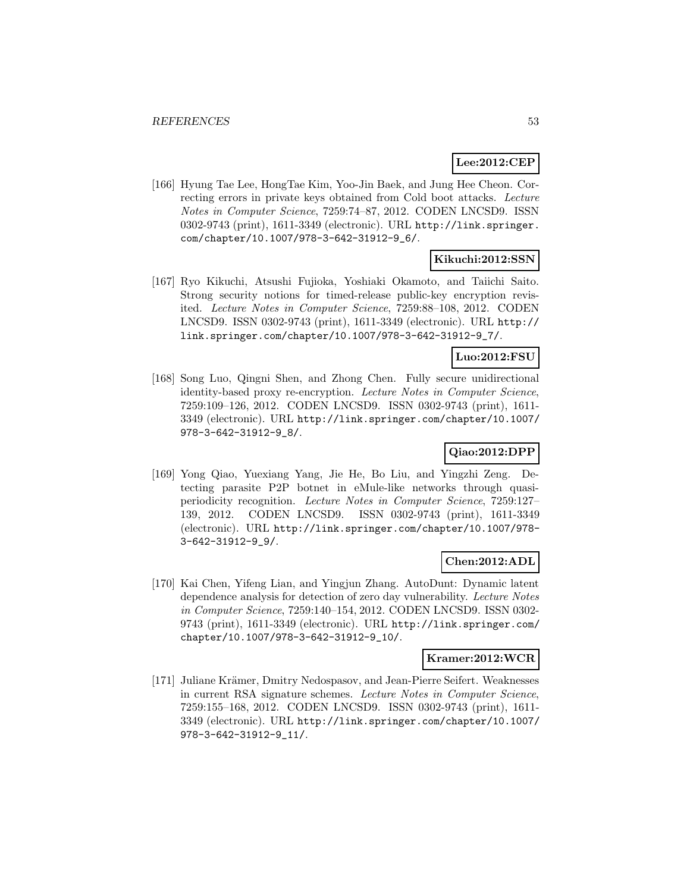# **Lee:2012:CEP**

[166] Hyung Tae Lee, HongTae Kim, Yoo-Jin Baek, and Jung Hee Cheon. Correcting errors in private keys obtained from Cold boot attacks. Lecture Notes in Computer Science, 7259:74–87, 2012. CODEN LNCSD9. ISSN 0302-9743 (print), 1611-3349 (electronic). URL http://link.springer. com/chapter/10.1007/978-3-642-31912-9\_6/.

### **Kikuchi:2012:SSN**

[167] Ryo Kikuchi, Atsushi Fujioka, Yoshiaki Okamoto, and Taiichi Saito. Strong security notions for timed-release public-key encryption revisited. Lecture Notes in Computer Science, 7259:88–108, 2012. CODEN LNCSD9. ISSN 0302-9743 (print), 1611-3349 (electronic). URL http:// link.springer.com/chapter/10.1007/978-3-642-31912-9\_7/.

### **Luo:2012:FSU**

[168] Song Luo, Qingni Shen, and Zhong Chen. Fully secure unidirectional identity-based proxy re-encryption. Lecture Notes in Computer Science, 7259:109–126, 2012. CODEN LNCSD9. ISSN 0302-9743 (print), 1611- 3349 (electronic). URL http://link.springer.com/chapter/10.1007/ 978-3-642-31912-9\_8/.

# **Qiao:2012:DPP**

[169] Yong Qiao, Yuexiang Yang, Jie He, Bo Liu, and Yingzhi Zeng. Detecting parasite P2P botnet in eMule-like networks through quasiperiodicity recognition. Lecture Notes in Computer Science, 7259:127– 139, 2012. CODEN LNCSD9. ISSN 0302-9743 (print), 1611-3349 (electronic). URL http://link.springer.com/chapter/10.1007/978- 3-642-31912-9\_9/.

## **Chen:2012:ADL**

[170] Kai Chen, Yifeng Lian, and Yingjun Zhang. AutoDunt: Dynamic latent dependence analysis for detection of zero day vulnerability. Lecture Notes in Computer Science, 7259:140–154, 2012. CODEN LNCSD9. ISSN 0302- 9743 (print), 1611-3349 (electronic). URL http://link.springer.com/ chapter/10.1007/978-3-642-31912-9\_10/.

#### **Kramer:2012:WCR**

[171] Juliane Krämer, Dmitry Nedospasov, and Jean-Pierre Seifert. Weaknesses in current RSA signature schemes. Lecture Notes in Computer Science, 7259:155–168, 2012. CODEN LNCSD9. ISSN 0302-9743 (print), 1611- 3349 (electronic). URL http://link.springer.com/chapter/10.1007/ 978-3-642-31912-9\_11/.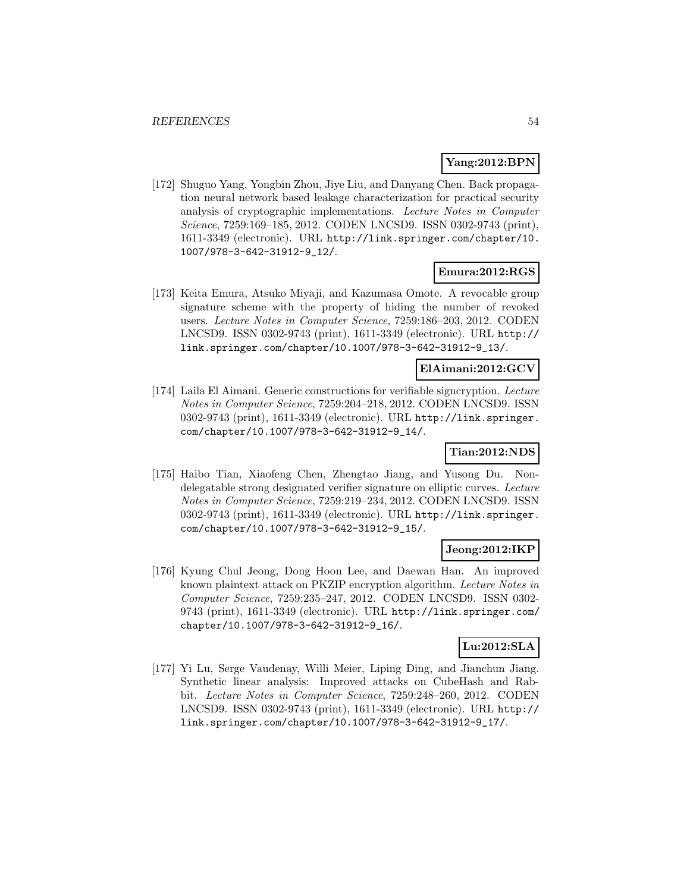## **Yang:2012:BPN**

[172] Shuguo Yang, Yongbin Zhou, Jiye Liu, and Danyang Chen. Back propagation neural network based leakage characterization for practical security analysis of cryptographic implementations. Lecture Notes in Computer Science, 7259:169–185, 2012. CODEN LNCSD9. ISSN 0302-9743 (print), 1611-3349 (electronic). URL http://link.springer.com/chapter/10. 1007/978-3-642-31912-9\_12/.

### **Emura:2012:RGS**

[173] Keita Emura, Atsuko Miyaji, and Kazumasa Omote. A revocable group signature scheme with the property of hiding the number of revoked users. Lecture Notes in Computer Science, 7259:186–203, 2012. CODEN LNCSD9. ISSN 0302-9743 (print), 1611-3349 (electronic). URL http:// link.springer.com/chapter/10.1007/978-3-642-31912-9\_13/.

## **ElAimani:2012:GCV**

[174] Laila El Aimani. Generic constructions for verifiable signcryption. Lecture Notes in Computer Science, 7259:204–218, 2012. CODEN LNCSD9. ISSN 0302-9743 (print), 1611-3349 (electronic). URL http://link.springer. com/chapter/10.1007/978-3-642-31912-9\_14/.

# **Tian:2012:NDS**

[175] Haibo Tian, Xiaofeng Chen, Zhengtao Jiang, and Yusong Du. Nondelegatable strong designated verifier signature on elliptic curves. Lecture Notes in Computer Science, 7259:219–234, 2012. CODEN LNCSD9. ISSN 0302-9743 (print), 1611-3349 (electronic). URL http://link.springer. com/chapter/10.1007/978-3-642-31912-9\_15/.

#### **Jeong:2012:IKP**

[176] Kyung Chul Jeong, Dong Hoon Lee, and Daewan Han. An improved known plaintext attack on PKZIP encryption algorithm. Lecture Notes in Computer Science, 7259:235–247, 2012. CODEN LNCSD9. ISSN 0302- 9743 (print), 1611-3349 (electronic). URL http://link.springer.com/ chapter/10.1007/978-3-642-31912-9\_16/.

## **Lu:2012:SLA**

[177] Yi Lu, Serge Vaudenay, Willi Meier, Liping Ding, and Jianchun Jiang. Synthetic linear analysis: Improved attacks on CubeHash and Rabbit. Lecture Notes in Computer Science, 7259:248–260, 2012. CODEN LNCSD9. ISSN 0302-9743 (print), 1611-3349 (electronic). URL http:// link.springer.com/chapter/10.1007/978-3-642-31912-9\_17/.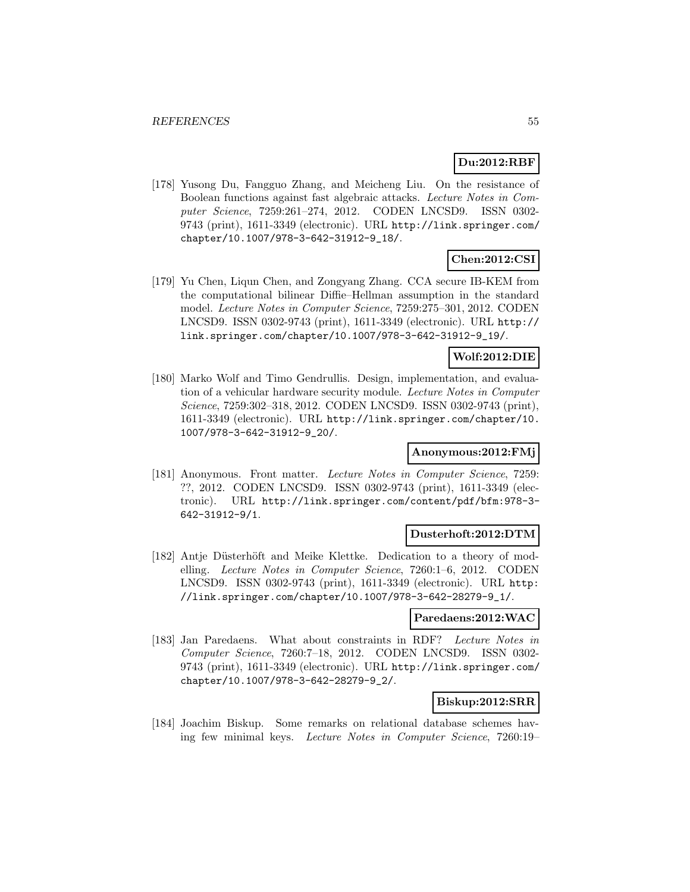# **Du:2012:RBF**

[178] Yusong Du, Fangguo Zhang, and Meicheng Liu. On the resistance of Boolean functions against fast algebraic attacks. Lecture Notes in Computer Science, 7259:261–274, 2012. CODEN LNCSD9. ISSN 0302- 9743 (print), 1611-3349 (electronic). URL http://link.springer.com/ chapter/10.1007/978-3-642-31912-9\_18/.

# **Chen:2012:CSI**

[179] Yu Chen, Liqun Chen, and Zongyang Zhang. CCA secure IB-KEM from the computational bilinear Diffie–Hellman assumption in the standard model. Lecture Notes in Computer Science, 7259:275–301, 2012. CODEN LNCSD9. ISSN 0302-9743 (print), 1611-3349 (electronic). URL http:// link.springer.com/chapter/10.1007/978-3-642-31912-9\_19/.

#### **Wolf:2012:DIE**

[180] Marko Wolf and Timo Gendrullis. Design, implementation, and evaluation of a vehicular hardware security module. Lecture Notes in Computer Science, 7259:302–318, 2012. CODEN LNCSD9. ISSN 0302-9743 (print), 1611-3349 (electronic). URL http://link.springer.com/chapter/10. 1007/978-3-642-31912-9\_20/.

## **Anonymous:2012:FMj**

[181] Anonymous. Front matter. Lecture Notes in Computer Science, 7259: ??, 2012. CODEN LNCSD9. ISSN 0302-9743 (print), 1611-3349 (electronic). URL http://link.springer.com/content/pdf/bfm:978-3- 642-31912-9/1.

#### **Dusterhoft:2012:DTM**

[182] Antje Düsterhöft and Meike Klettke. Dedication to a theory of modelling. Lecture Notes in Computer Science, 7260:1–6, 2012. CODEN LNCSD9. ISSN 0302-9743 (print), 1611-3349 (electronic). URL http: //link.springer.com/chapter/10.1007/978-3-642-28279-9\_1/.

#### **Paredaens:2012:WAC**

[183] Jan Paredaens. What about constraints in RDF? Lecture Notes in Computer Science, 7260:7–18, 2012. CODEN LNCSD9. ISSN 0302- 9743 (print), 1611-3349 (electronic). URL http://link.springer.com/ chapter/10.1007/978-3-642-28279-9\_2/.

#### **Biskup:2012:SRR**

[184] Joachim Biskup. Some remarks on relational database schemes having few minimal keys. Lecture Notes in Computer Science, 7260:19–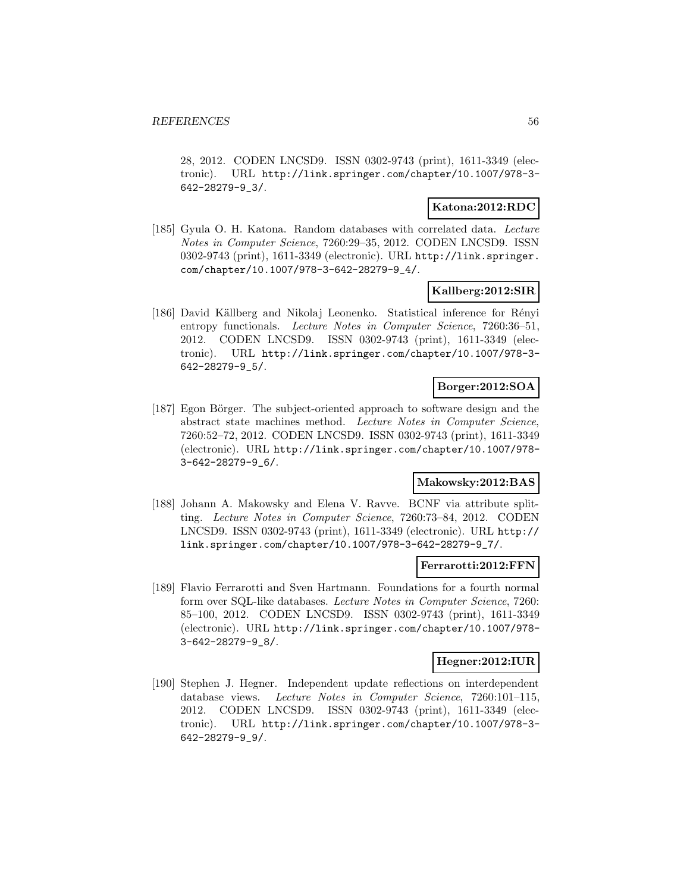28, 2012. CODEN LNCSD9. ISSN 0302-9743 (print), 1611-3349 (electronic). URL http://link.springer.com/chapter/10.1007/978-3- 642-28279-9\_3/.

### **Katona:2012:RDC**

[185] Gyula O. H. Katona. Random databases with correlated data. Lecture Notes in Computer Science, 7260:29–35, 2012. CODEN LNCSD9. ISSN 0302-9743 (print), 1611-3349 (electronic). URL http://link.springer. com/chapter/10.1007/978-3-642-28279-9\_4/.

## **Kallberg:2012:SIR**

[186] David Källberg and Nikolaj Leonenko. Statistical inference for Rényi entropy functionals. Lecture Notes in Computer Science, 7260:36-51, 2012. CODEN LNCSD9. ISSN 0302-9743 (print), 1611-3349 (electronic). URL http://link.springer.com/chapter/10.1007/978-3- 642-28279-9\_5/.

## **Borger:2012:SOA**

[187] Egon Börger. The subject-oriented approach to software design and the abstract state machines method. Lecture Notes in Computer Science, 7260:52–72, 2012. CODEN LNCSD9. ISSN 0302-9743 (print), 1611-3349 (electronic). URL http://link.springer.com/chapter/10.1007/978- 3-642-28279-9\_6/.

# **Makowsky:2012:BAS**

[188] Johann A. Makowsky and Elena V. Ravve. BCNF via attribute splitting. Lecture Notes in Computer Science, 7260:73–84, 2012. CODEN LNCSD9. ISSN 0302-9743 (print), 1611-3349 (electronic). URL http:// link.springer.com/chapter/10.1007/978-3-642-28279-9\_7/.

#### **Ferrarotti:2012:FFN**

[189] Flavio Ferrarotti and Sven Hartmann. Foundations for a fourth normal form over SQL-like databases. Lecture Notes in Computer Science, 7260: 85–100, 2012. CODEN LNCSD9. ISSN 0302-9743 (print), 1611-3349 (electronic). URL http://link.springer.com/chapter/10.1007/978- 3-642-28279-9\_8/.

### **Hegner:2012:IUR**

[190] Stephen J. Hegner. Independent update reflections on interdependent database views. Lecture Notes in Computer Science, 7260:101-115, 2012. CODEN LNCSD9. ISSN 0302-9743 (print), 1611-3349 (electronic). URL http://link.springer.com/chapter/10.1007/978-3- 642-28279-9\_9/.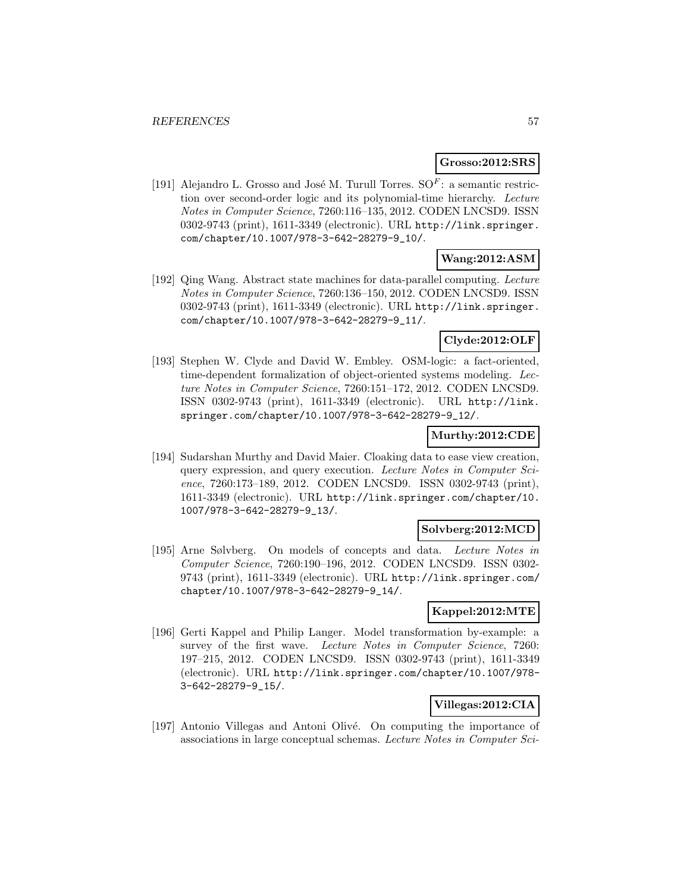#### **Grosso:2012:SRS**

[191] Alejandro L. Grosso and José M. Turull Torres.  $SOF$ : a semantic restriction over second-order logic and its polynomial-time hierarchy. Lecture Notes in Computer Science, 7260:116–135, 2012. CODEN LNCSD9. ISSN 0302-9743 (print), 1611-3349 (electronic). URL http://link.springer. com/chapter/10.1007/978-3-642-28279-9\_10/.

## **Wang:2012:ASM**

[192] Qing Wang. Abstract state machines for data-parallel computing. Lecture Notes in Computer Science, 7260:136–150, 2012. CODEN LNCSD9. ISSN 0302-9743 (print), 1611-3349 (electronic). URL http://link.springer. com/chapter/10.1007/978-3-642-28279-9\_11/.

# **Clyde:2012:OLF**

[193] Stephen W. Clyde and David W. Embley. OSM-logic: a fact-oriented, time-dependent formalization of object-oriented systems modeling. Lecture Notes in Computer Science, 7260:151–172, 2012. CODEN LNCSD9. ISSN 0302-9743 (print), 1611-3349 (electronic). URL http://link. springer.com/chapter/10.1007/978-3-642-28279-9\_12/.

## **Murthy:2012:CDE**

[194] Sudarshan Murthy and David Maier. Cloaking data to ease view creation, query expression, and query execution. Lecture Notes in Computer Science, 7260:173–189, 2012. CODEN LNCSD9. ISSN 0302-9743 (print), 1611-3349 (electronic). URL http://link.springer.com/chapter/10. 1007/978-3-642-28279-9\_13/.

#### **Solvberg:2012:MCD**

[195] Arne Sølvberg. On models of concepts and data. Lecture Notes in Computer Science, 7260:190–196, 2012. CODEN LNCSD9. ISSN 0302- 9743 (print), 1611-3349 (electronic). URL http://link.springer.com/ chapter/10.1007/978-3-642-28279-9\_14/.

## **Kappel:2012:MTE**

[196] Gerti Kappel and Philip Langer. Model transformation by-example: a survey of the first wave. Lecture Notes in Computer Science, 7260: 197–215, 2012. CODEN LNCSD9. ISSN 0302-9743 (print), 1611-3349 (electronic). URL http://link.springer.com/chapter/10.1007/978- 3-642-28279-9\_15/.

## **Villegas:2012:CIA**

[197] Antonio Villegas and Antoni Olivé. On computing the importance of associations in large conceptual schemas. Lecture Notes in Computer Sci-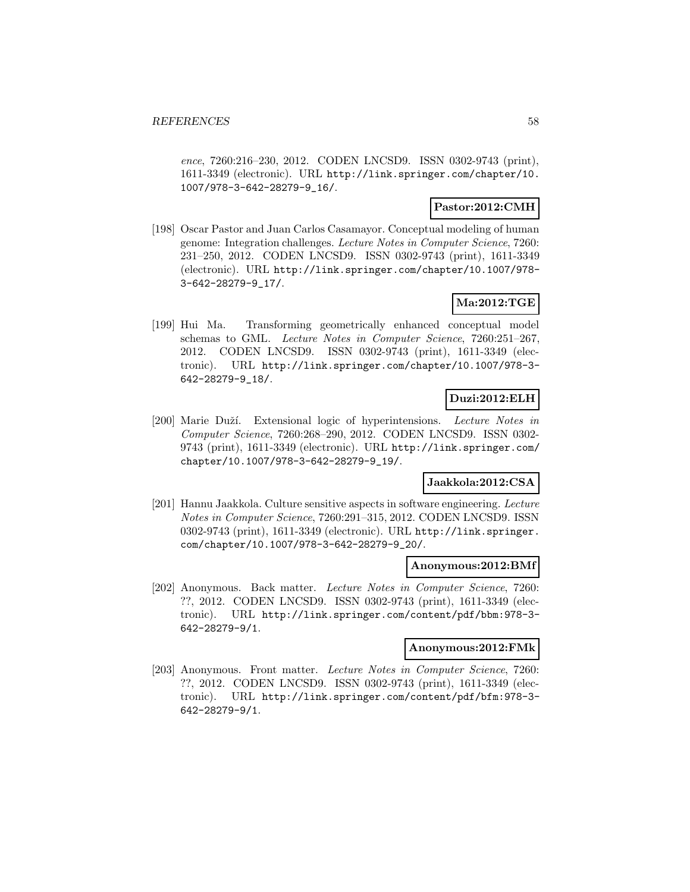ence, 7260:216–230, 2012. CODEN LNCSD9. ISSN 0302-9743 (print), 1611-3349 (electronic). URL http://link.springer.com/chapter/10. 1007/978-3-642-28279-9\_16/.

#### **Pastor:2012:CMH**

[198] Oscar Pastor and Juan Carlos Casamayor. Conceptual modeling of human genome: Integration challenges. Lecture Notes in Computer Science, 7260: 231–250, 2012. CODEN LNCSD9. ISSN 0302-9743 (print), 1611-3349 (electronic). URL http://link.springer.com/chapter/10.1007/978- 3-642-28279-9\_17/.

## **Ma:2012:TGE**

[199] Hui Ma. Transforming geometrically enhanced conceptual model schemas to GML. Lecture Notes in Computer Science, 7260:251–267, 2012. CODEN LNCSD9. ISSN 0302-9743 (print), 1611-3349 (electronic). URL http://link.springer.com/chapter/10.1007/978-3- 642-28279-9\_18/.

## **Duzi:2012:ELH**

[200] Marie Duží. Extensional logic of hyperintensions. Lecture Notes in Computer Science, 7260:268–290, 2012. CODEN LNCSD9. ISSN 0302- 9743 (print), 1611-3349 (electronic). URL http://link.springer.com/ chapter/10.1007/978-3-642-28279-9\_19/.

# **Jaakkola:2012:CSA**

[201] Hannu Jaakkola. Culture sensitive aspects in software engineering. Lecture Notes in Computer Science, 7260:291–315, 2012. CODEN LNCSD9. ISSN 0302-9743 (print), 1611-3349 (electronic). URL http://link.springer. com/chapter/10.1007/978-3-642-28279-9\_20/.

#### **Anonymous:2012:BMf**

[202] Anonymous. Back matter. Lecture Notes in Computer Science, 7260: ??, 2012. CODEN LNCSD9. ISSN 0302-9743 (print), 1611-3349 (electronic). URL http://link.springer.com/content/pdf/bbm:978-3- 642-28279-9/1.

#### **Anonymous:2012:FMk**

[203] Anonymous. Front matter. Lecture Notes in Computer Science, 7260: ??, 2012. CODEN LNCSD9. ISSN 0302-9743 (print), 1611-3349 (electronic). URL http://link.springer.com/content/pdf/bfm:978-3- 642-28279-9/1.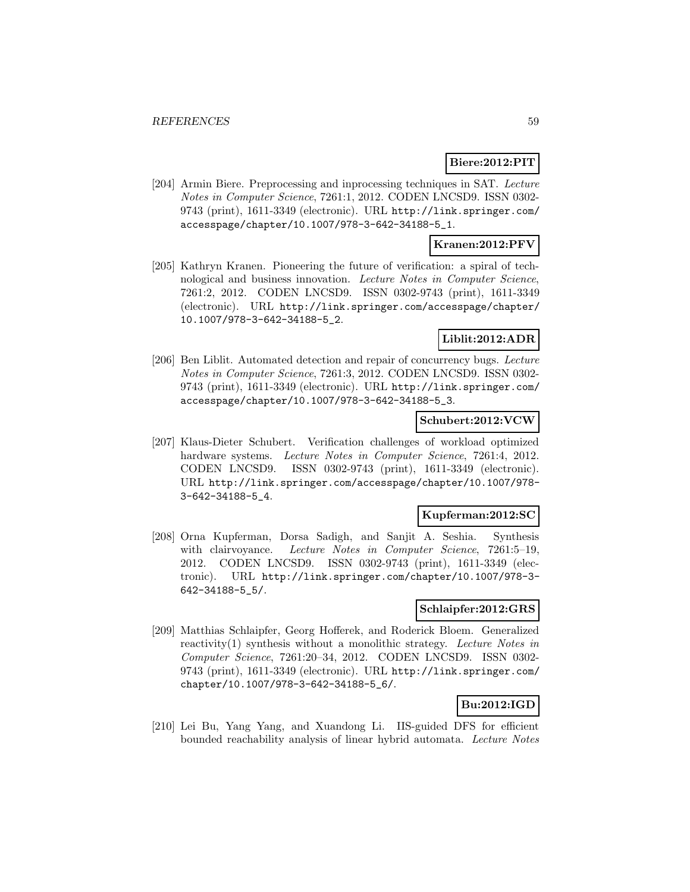## **Biere:2012:PIT**

[204] Armin Biere. Preprocessing and inprocessing techniques in SAT. Lecture Notes in Computer Science, 7261:1, 2012. CODEN LNCSD9. ISSN 0302- 9743 (print), 1611-3349 (electronic). URL http://link.springer.com/ accesspage/chapter/10.1007/978-3-642-34188-5\_1.

## **Kranen:2012:PFV**

[205] Kathryn Kranen. Pioneering the future of verification: a spiral of technological and business innovation. Lecture Notes in Computer Science, 7261:2, 2012. CODEN LNCSD9. ISSN 0302-9743 (print), 1611-3349 (electronic). URL http://link.springer.com/accesspage/chapter/ 10.1007/978-3-642-34188-5\_2.

## **Liblit:2012:ADR**

[206] Ben Liblit. Automated detection and repair of concurrency bugs. Lecture Notes in Computer Science, 7261:3, 2012. CODEN LNCSD9. ISSN 0302- 9743 (print), 1611-3349 (electronic). URL http://link.springer.com/ accesspage/chapter/10.1007/978-3-642-34188-5\_3.

## **Schubert:2012:VCW**

[207] Klaus-Dieter Schubert. Verification challenges of workload optimized hardware systems. Lecture Notes in Computer Science, 7261:4, 2012. CODEN LNCSD9. ISSN 0302-9743 (print), 1611-3349 (electronic). URL http://link.springer.com/accesspage/chapter/10.1007/978- 3-642-34188-5\_4.

### **Kupferman:2012:SC**

[208] Orna Kupferman, Dorsa Sadigh, and Sanjit A. Seshia. Synthesis with clairvoyance. Lecture Notes in Computer Science, 7261:5-19, 2012. CODEN LNCSD9. ISSN 0302-9743 (print), 1611-3349 (electronic). URL http://link.springer.com/chapter/10.1007/978-3- 642-34188-5\_5/.

#### **Schlaipfer:2012:GRS**

[209] Matthias Schlaipfer, Georg Hofferek, and Roderick Bloem. Generalized reactivity(1) synthesis without a monolithic strategy. Lecture Notes in Computer Science, 7261:20–34, 2012. CODEN LNCSD9. ISSN 0302- 9743 (print), 1611-3349 (electronic). URL http://link.springer.com/ chapter/10.1007/978-3-642-34188-5\_6/.

# **Bu:2012:IGD**

[210] Lei Bu, Yang Yang, and Xuandong Li. IIS-guided DFS for efficient bounded reachability analysis of linear hybrid automata. Lecture Notes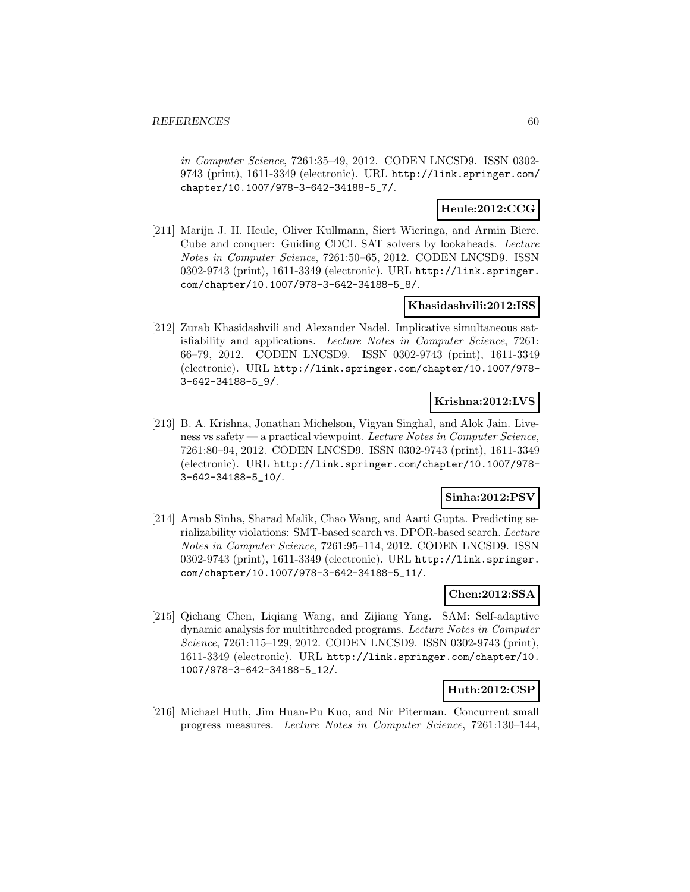in Computer Science, 7261:35–49, 2012. CODEN LNCSD9. ISSN 0302- 9743 (print), 1611-3349 (electronic). URL http://link.springer.com/ chapter/10.1007/978-3-642-34188-5\_7/.

## **Heule:2012:CCG**

[211] Marijn J. H. Heule, Oliver Kullmann, Siert Wieringa, and Armin Biere. Cube and conquer: Guiding CDCL SAT solvers by lookaheads. Lecture Notes in Computer Science, 7261:50–65, 2012. CODEN LNCSD9. ISSN 0302-9743 (print), 1611-3349 (electronic). URL http://link.springer. com/chapter/10.1007/978-3-642-34188-5\_8/.

#### **Khasidashvili:2012:ISS**

[212] Zurab Khasidashvili and Alexander Nadel. Implicative simultaneous satisfiability and applications. Lecture Notes in Computer Science, 7261: 66–79, 2012. CODEN LNCSD9. ISSN 0302-9743 (print), 1611-3349 (electronic). URL http://link.springer.com/chapter/10.1007/978- 3-642-34188-5\_9/.

# **Krishna:2012:LVS**

[213] B. A. Krishna, Jonathan Michelson, Vigyan Singhal, and Alok Jain. Liveness vs safety — a practical viewpoint. Lecture Notes in Computer Science, 7261:80–94, 2012. CODEN LNCSD9. ISSN 0302-9743 (print), 1611-3349 (electronic). URL http://link.springer.com/chapter/10.1007/978- 3-642-34188-5\_10/.

## **Sinha:2012:PSV**

[214] Arnab Sinha, Sharad Malik, Chao Wang, and Aarti Gupta. Predicting serializability violations: SMT-based search vs. DPOR-based search. Lecture Notes in Computer Science, 7261:95–114, 2012. CODEN LNCSD9. ISSN 0302-9743 (print), 1611-3349 (electronic). URL http://link.springer. com/chapter/10.1007/978-3-642-34188-5\_11/.

# **Chen:2012:SSA**

[215] Qichang Chen, Liqiang Wang, and Zijiang Yang. SAM: Self-adaptive dynamic analysis for multithreaded programs. Lecture Notes in Computer Science, 7261:115–129, 2012. CODEN LNCSD9. ISSN 0302-9743 (print), 1611-3349 (electronic). URL http://link.springer.com/chapter/10. 1007/978-3-642-34188-5\_12/.

#### **Huth:2012:CSP**

[216] Michael Huth, Jim Huan-Pu Kuo, and Nir Piterman. Concurrent small progress measures. Lecture Notes in Computer Science, 7261:130–144,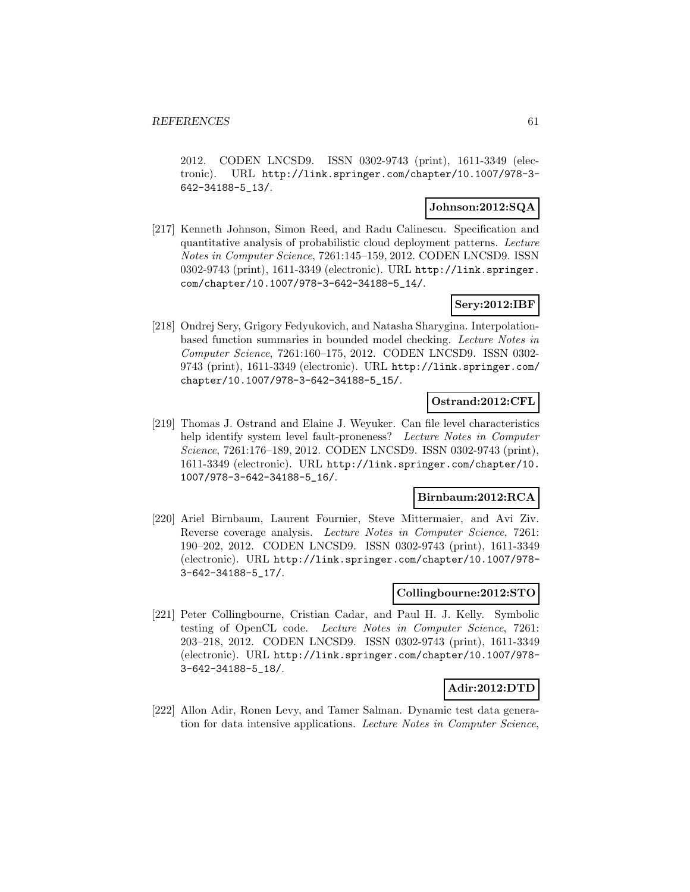2012. CODEN LNCSD9. ISSN 0302-9743 (print), 1611-3349 (electronic). URL http://link.springer.com/chapter/10.1007/978-3- 642-34188-5\_13/.

### **Johnson:2012:SQA**

[217] Kenneth Johnson, Simon Reed, and Radu Calinescu. Specification and quantitative analysis of probabilistic cloud deployment patterns. Lecture Notes in Computer Science, 7261:145–159, 2012. CODEN LNCSD9. ISSN 0302-9743 (print), 1611-3349 (electronic). URL http://link.springer. com/chapter/10.1007/978-3-642-34188-5\_14/.

## **Sery:2012:IBF**

[218] Ondrej Sery, Grigory Fedyukovich, and Natasha Sharygina. Interpolationbased function summaries in bounded model checking. Lecture Notes in Computer Science, 7261:160–175, 2012. CODEN LNCSD9. ISSN 0302- 9743 (print), 1611-3349 (electronic). URL http://link.springer.com/ chapter/10.1007/978-3-642-34188-5\_15/.

### **Ostrand:2012:CFL**

[219] Thomas J. Ostrand and Elaine J. Weyuker. Can file level characteristics help identify system level fault-proneness? Lecture Notes in Computer Science, 7261:176–189, 2012. CODEN LNCSD9. ISSN 0302-9743 (print), 1611-3349 (electronic). URL http://link.springer.com/chapter/10. 1007/978-3-642-34188-5\_16/.

#### **Birnbaum:2012:RCA**

[220] Ariel Birnbaum, Laurent Fournier, Steve Mittermaier, and Avi Ziv. Reverse coverage analysis. Lecture Notes in Computer Science, 7261: 190–202, 2012. CODEN LNCSD9. ISSN 0302-9743 (print), 1611-3349 (electronic). URL http://link.springer.com/chapter/10.1007/978- 3-642-34188-5\_17/.

#### **Collingbourne:2012:STO**

[221] Peter Collingbourne, Cristian Cadar, and Paul H. J. Kelly. Symbolic testing of OpenCL code. Lecture Notes in Computer Science, 7261: 203–218, 2012. CODEN LNCSD9. ISSN 0302-9743 (print), 1611-3349 (electronic). URL http://link.springer.com/chapter/10.1007/978- 3-642-34188-5\_18/.

#### **Adir:2012:DTD**

[222] Allon Adir, Ronen Levy, and Tamer Salman. Dynamic test data generation for data intensive applications. Lecture Notes in Computer Science,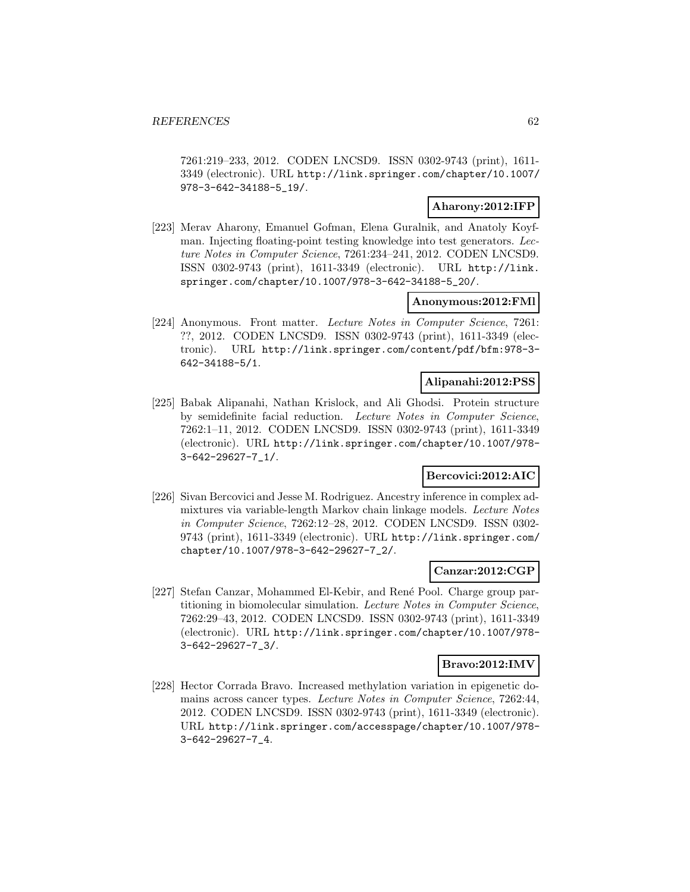7261:219–233, 2012. CODEN LNCSD9. ISSN 0302-9743 (print), 1611- 3349 (electronic). URL http://link.springer.com/chapter/10.1007/ 978-3-642-34188-5\_19/.

## **Aharony:2012:IFP**

[223] Merav Aharony, Emanuel Gofman, Elena Guralnik, and Anatoly Koyfman. Injecting floating-point testing knowledge into test generators. Lecture Notes in Computer Science, 7261:234–241, 2012. CODEN LNCSD9. ISSN 0302-9743 (print), 1611-3349 (electronic). URL http://link. springer.com/chapter/10.1007/978-3-642-34188-5\_20/.

## **Anonymous:2012:FMl**

[224] Anonymous. Front matter. Lecture Notes in Computer Science, 7261: ??, 2012. CODEN LNCSD9. ISSN 0302-9743 (print), 1611-3349 (electronic). URL http://link.springer.com/content/pdf/bfm:978-3- 642-34188-5/1.

#### **Alipanahi:2012:PSS**

[225] Babak Alipanahi, Nathan Krislock, and Ali Ghodsi. Protein structure by semidefinite facial reduction. Lecture Notes in Computer Science, 7262:1–11, 2012. CODEN LNCSD9. ISSN 0302-9743 (print), 1611-3349 (electronic). URL http://link.springer.com/chapter/10.1007/978- 3-642-29627-7\_1/.

## **Bercovici:2012:AIC**

[226] Sivan Bercovici and Jesse M. Rodriguez. Ancestry inference in complex admixtures via variable-length Markov chain linkage models. Lecture Notes in Computer Science, 7262:12–28, 2012. CODEN LNCSD9. ISSN 0302- 9743 (print), 1611-3349 (electronic). URL http://link.springer.com/ chapter/10.1007/978-3-642-29627-7\_2/.

#### **Canzar:2012:CGP**

[227] Stefan Canzar, Mohammed El-Kebir, and Ren´e Pool. Charge group partitioning in biomolecular simulation. Lecture Notes in Computer Science, 7262:29–43, 2012. CODEN LNCSD9. ISSN 0302-9743 (print), 1611-3349 (electronic). URL http://link.springer.com/chapter/10.1007/978- 3-642-29627-7\_3/.

#### **Bravo:2012:IMV**

[228] Hector Corrada Bravo. Increased methylation variation in epigenetic domains across cancer types. Lecture Notes in Computer Science, 7262:44, 2012. CODEN LNCSD9. ISSN 0302-9743 (print), 1611-3349 (electronic). URL http://link.springer.com/accesspage/chapter/10.1007/978- 3-642-29627-7\_4.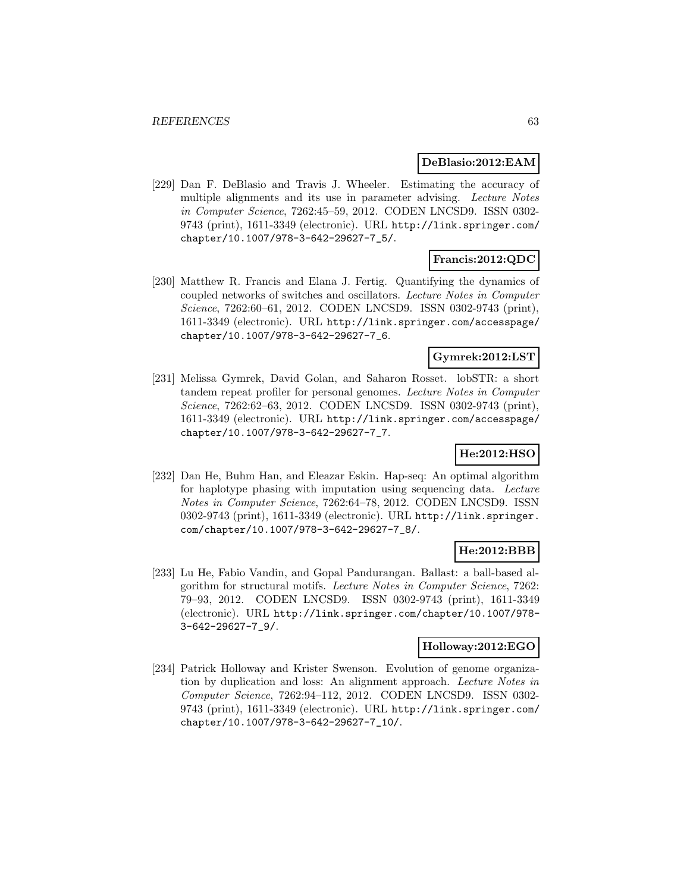#### **DeBlasio:2012:EAM**

[229] Dan F. DeBlasio and Travis J. Wheeler. Estimating the accuracy of multiple alignments and its use in parameter advising. Lecture Notes in Computer Science, 7262:45–59, 2012. CODEN LNCSD9. ISSN 0302- 9743 (print), 1611-3349 (electronic). URL http://link.springer.com/ chapter/10.1007/978-3-642-29627-7\_5/.

## **Francis:2012:QDC**

[230] Matthew R. Francis and Elana J. Fertig. Quantifying the dynamics of coupled networks of switches and oscillators. Lecture Notes in Computer Science, 7262:60–61, 2012. CODEN LNCSD9. ISSN 0302-9743 (print), 1611-3349 (electronic). URL http://link.springer.com/accesspage/ chapter/10.1007/978-3-642-29627-7\_6.

## **Gymrek:2012:LST**

[231] Melissa Gymrek, David Golan, and Saharon Rosset. lobSTR: a short tandem repeat profiler for personal genomes. Lecture Notes in Computer Science, 7262:62–63, 2012. CODEN LNCSD9. ISSN 0302-9743 (print), 1611-3349 (electronic). URL http://link.springer.com/accesspage/ chapter/10.1007/978-3-642-29627-7\_7.

## **He:2012:HSO**

[232] Dan He, Buhm Han, and Eleazar Eskin. Hap-seq: An optimal algorithm for haplotype phasing with imputation using sequencing data. Lecture Notes in Computer Science, 7262:64–78, 2012. CODEN LNCSD9. ISSN 0302-9743 (print), 1611-3349 (electronic). URL http://link.springer. com/chapter/10.1007/978-3-642-29627-7\_8/.

## **He:2012:BBB**

[233] Lu He, Fabio Vandin, and Gopal Pandurangan. Ballast: a ball-based algorithm for structural motifs. Lecture Notes in Computer Science, 7262: 79–93, 2012. CODEN LNCSD9. ISSN 0302-9743 (print), 1611-3349 (electronic). URL http://link.springer.com/chapter/10.1007/978- 3-642-29627-7\_9/.

### **Holloway:2012:EGO**

[234] Patrick Holloway and Krister Swenson. Evolution of genome organization by duplication and loss: An alignment approach. Lecture Notes in Computer Science, 7262:94–112, 2012. CODEN LNCSD9. ISSN 0302- 9743 (print), 1611-3349 (electronic). URL http://link.springer.com/ chapter/10.1007/978-3-642-29627-7\_10/.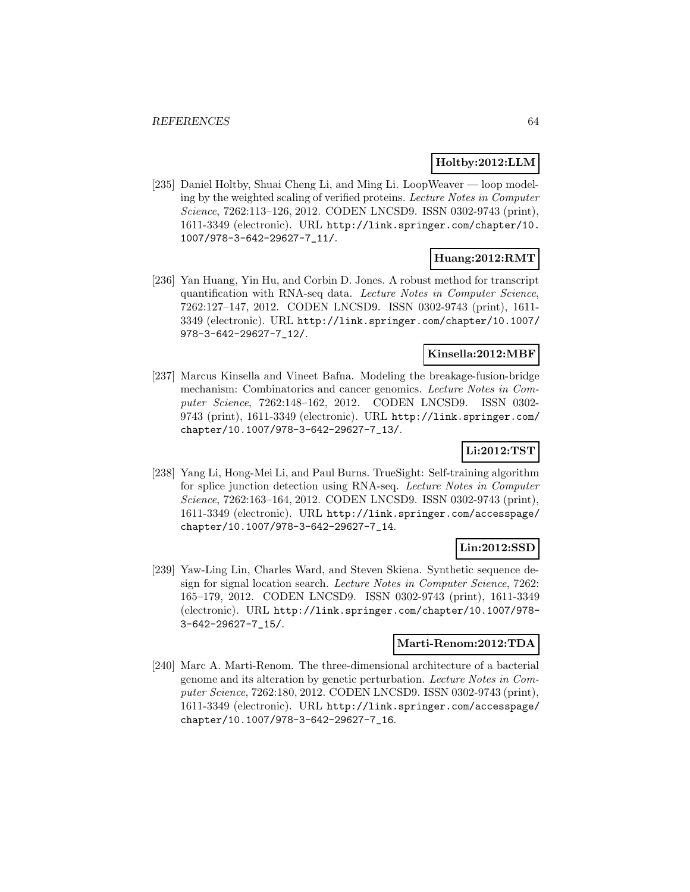### **Holtby:2012:LLM**

[235] Daniel Holtby, Shuai Cheng Li, and Ming Li. LoopWeaver — loop modeling by the weighted scaling of verified proteins. Lecture Notes in Computer Science, 7262:113–126, 2012. CODEN LNCSD9. ISSN 0302-9743 (print), 1611-3349 (electronic). URL http://link.springer.com/chapter/10. 1007/978-3-642-29627-7\_11/.

### **Huang:2012:RMT**

[236] Yan Huang, Yin Hu, and Corbin D. Jones. A robust method for transcript quantification with RNA-seq data. Lecture Notes in Computer Science, 7262:127–147, 2012. CODEN LNCSD9. ISSN 0302-9743 (print), 1611- 3349 (electronic). URL http://link.springer.com/chapter/10.1007/ 978-3-642-29627-7\_12/.

### **Kinsella:2012:MBF**

[237] Marcus Kinsella and Vineet Bafna. Modeling the breakage-fusion-bridge mechanism: Combinatorics and cancer genomics. Lecture Notes in Computer Science, 7262:148–162, 2012. CODEN LNCSD9. ISSN 0302- 9743 (print), 1611-3349 (electronic). URL http://link.springer.com/ chapter/10.1007/978-3-642-29627-7\_13/.

## **Li:2012:TST**

[238] Yang Li, Hong-Mei Li, and Paul Burns. TrueSight: Self-training algorithm for splice junction detection using RNA-seq. Lecture Notes in Computer Science, 7262:163–164, 2012. CODEN LNCSD9. ISSN 0302-9743 (print), 1611-3349 (electronic). URL http://link.springer.com/accesspage/ chapter/10.1007/978-3-642-29627-7\_14.

#### **Lin:2012:SSD**

[239] Yaw-Ling Lin, Charles Ward, and Steven Skiena. Synthetic sequence design for signal location search. Lecture Notes in Computer Science, 7262: 165–179, 2012. CODEN LNCSD9. ISSN 0302-9743 (print), 1611-3349 (electronic). URL http://link.springer.com/chapter/10.1007/978- 3-642-29627-7\_15/.

#### **Marti-Renom:2012:TDA**

[240] Marc A. Marti-Renom. The three-dimensional architecture of a bacterial genome and its alteration by genetic perturbation. Lecture Notes in Computer Science, 7262:180, 2012. CODEN LNCSD9. ISSN 0302-9743 (print), 1611-3349 (electronic). URL http://link.springer.com/accesspage/ chapter/10.1007/978-3-642-29627-7\_16.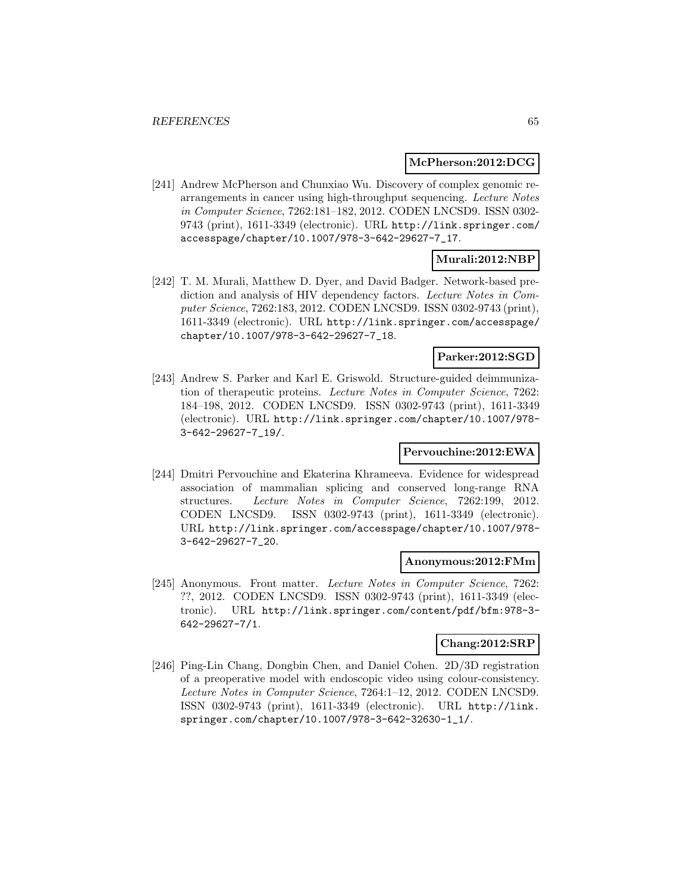#### **McPherson:2012:DCG**

[241] Andrew McPherson and Chunxiao Wu. Discovery of complex genomic rearrangements in cancer using high-throughput sequencing. Lecture Notes in Computer Science, 7262:181–182, 2012. CODEN LNCSD9. ISSN 0302- 9743 (print), 1611-3349 (electronic). URL http://link.springer.com/ accesspage/chapter/10.1007/978-3-642-29627-7\_17.

### **Murali:2012:NBP**

[242] T. M. Murali, Matthew D. Dyer, and David Badger. Network-based prediction and analysis of HIV dependency factors. Lecture Notes in Computer Science, 7262:183, 2012. CODEN LNCSD9. ISSN 0302-9743 (print), 1611-3349 (electronic). URL http://link.springer.com/accesspage/ chapter/10.1007/978-3-642-29627-7\_18.

## **Parker:2012:SGD**

[243] Andrew S. Parker and Karl E. Griswold. Structure-guided deimmunization of therapeutic proteins. Lecture Notes in Computer Science, 7262: 184–198, 2012. CODEN LNCSD9. ISSN 0302-9743 (print), 1611-3349 (electronic). URL http://link.springer.com/chapter/10.1007/978- 3-642-29627-7\_19/.

## **Pervouchine:2012:EWA**

[244] Dmitri Pervouchine and Ekaterina Khrameeva. Evidence for widespread association of mammalian splicing and conserved long-range RNA structures. Lecture Notes in Computer Science, 7262:199, 2012. CODEN LNCSD9. ISSN 0302-9743 (print), 1611-3349 (electronic). URL http://link.springer.com/accesspage/chapter/10.1007/978- 3-642-29627-7\_20.

#### **Anonymous:2012:FMm**

[245] Anonymous. Front matter. Lecture Notes in Computer Science, 7262: ??, 2012. CODEN LNCSD9. ISSN 0302-9743 (print), 1611-3349 (electronic). URL http://link.springer.com/content/pdf/bfm:978-3- 642-29627-7/1.

## **Chang:2012:SRP**

[246] Ping-Lin Chang, Dongbin Chen, and Daniel Cohen. 2D/3D registration of a preoperative model with endoscopic video using colour-consistency. Lecture Notes in Computer Science, 7264:1–12, 2012. CODEN LNCSD9. ISSN 0302-9743 (print), 1611-3349 (electronic). URL http://link. springer.com/chapter/10.1007/978-3-642-32630-1\_1/.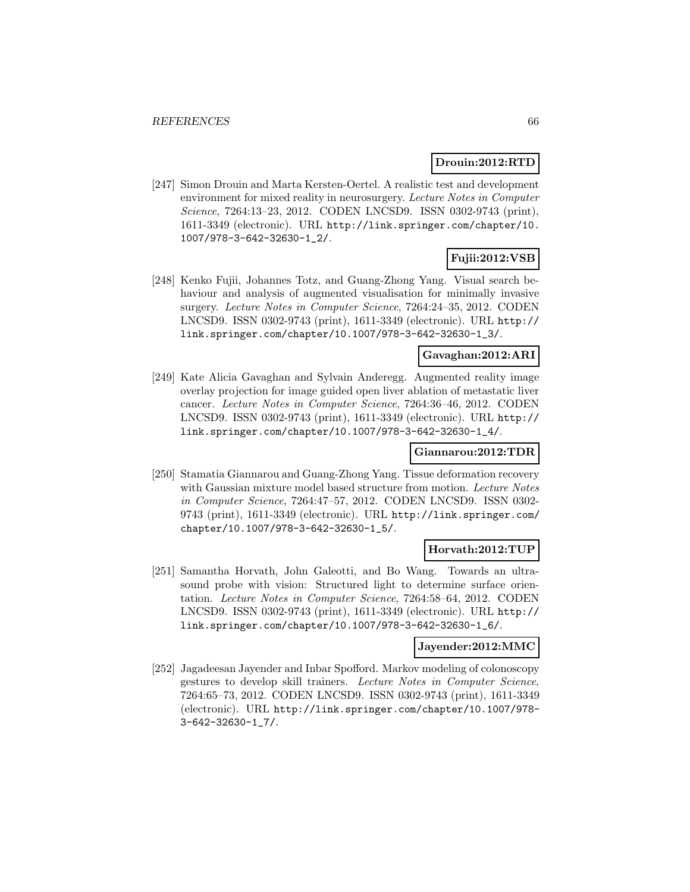### **Drouin:2012:RTD**

[247] Simon Drouin and Marta Kersten-Oertel. A realistic test and development environment for mixed reality in neurosurgery. Lecture Notes in Computer Science, 7264:13–23, 2012. CODEN LNCSD9. ISSN 0302-9743 (print), 1611-3349 (electronic). URL http://link.springer.com/chapter/10. 1007/978-3-642-32630-1\_2/.

# **Fujii:2012:VSB**

[248] Kenko Fujii, Johannes Totz, and Guang-Zhong Yang. Visual search behaviour and analysis of augmented visualisation for minimally invasive surgery. Lecture Notes in Computer Science, 7264:24–35, 2012. CODEN LNCSD9. ISSN 0302-9743 (print), 1611-3349 (electronic). URL http:// link.springer.com/chapter/10.1007/978-3-642-32630-1\_3/.

#### **Gavaghan:2012:ARI**

[249] Kate Alicia Gavaghan and Sylvain Anderegg. Augmented reality image overlay projection for image guided open liver ablation of metastatic liver cancer. Lecture Notes in Computer Science, 7264:36–46, 2012. CODEN LNCSD9. ISSN 0302-9743 (print), 1611-3349 (electronic). URL http:// link.springer.com/chapter/10.1007/978-3-642-32630-1\_4/.

## **Giannarou:2012:TDR**

[250] Stamatia Giannarou and Guang-Zhong Yang. Tissue deformation recovery with Gaussian mixture model based structure from motion. Lecture Notes in Computer Science, 7264:47–57, 2012. CODEN LNCSD9. ISSN 0302- 9743 (print), 1611-3349 (electronic). URL http://link.springer.com/ chapter/10.1007/978-3-642-32630-1\_5/.

#### **Horvath:2012:TUP**

[251] Samantha Horvath, John Galeotti, and Bo Wang. Towards an ultrasound probe with vision: Structured light to determine surface orientation. Lecture Notes in Computer Science, 7264:58–64, 2012. CODEN LNCSD9. ISSN 0302-9743 (print), 1611-3349 (electronic). URL http:// link.springer.com/chapter/10.1007/978-3-642-32630-1\_6/.

#### **Jayender:2012:MMC**

[252] Jagadeesan Jayender and Inbar Spofford. Markov modeling of colonoscopy gestures to develop skill trainers. Lecture Notes in Computer Science, 7264:65–73, 2012. CODEN LNCSD9. ISSN 0302-9743 (print), 1611-3349 (electronic). URL http://link.springer.com/chapter/10.1007/978- 3-642-32630-1\_7/.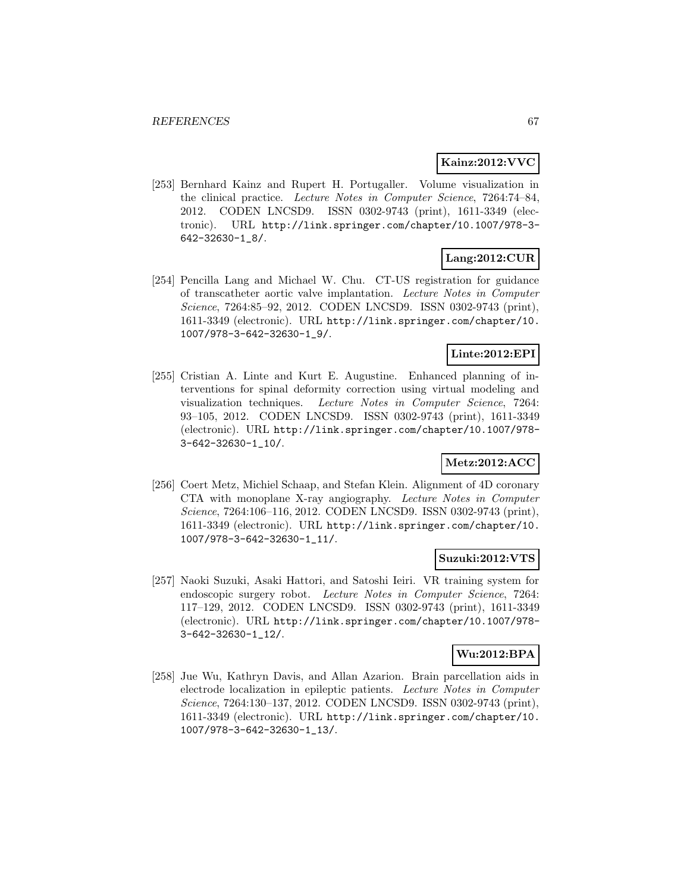### **Kainz:2012:VVC**

[253] Bernhard Kainz and Rupert H. Portugaller. Volume visualization in the clinical practice. Lecture Notes in Computer Science, 7264:74–84, 2012. CODEN LNCSD9. ISSN 0302-9743 (print), 1611-3349 (electronic). URL http://link.springer.com/chapter/10.1007/978-3- 642-32630-1\_8/.

# **Lang:2012:CUR**

[254] Pencilla Lang and Michael W. Chu. CT-US registration for guidance of transcatheter aortic valve implantation. Lecture Notes in Computer Science, 7264:85–92, 2012. CODEN LNCSD9. ISSN 0302-9743 (print), 1611-3349 (electronic). URL http://link.springer.com/chapter/10. 1007/978-3-642-32630-1\_9/.

## **Linte:2012:EPI**

[255] Cristian A. Linte and Kurt E. Augustine. Enhanced planning of interventions for spinal deformity correction using virtual modeling and visualization techniques. Lecture Notes in Computer Science, 7264: 93–105, 2012. CODEN LNCSD9. ISSN 0302-9743 (print), 1611-3349 (electronic). URL http://link.springer.com/chapter/10.1007/978- 3-642-32630-1\_10/.

## **Metz:2012:ACC**

[256] Coert Metz, Michiel Schaap, and Stefan Klein. Alignment of 4D coronary CTA with monoplane X-ray angiography. Lecture Notes in Computer Science, 7264:106–116, 2012. CODEN LNCSD9. ISSN 0302-9743 (print), 1611-3349 (electronic). URL http://link.springer.com/chapter/10. 1007/978-3-642-32630-1\_11/.

## **Suzuki:2012:VTS**

[257] Naoki Suzuki, Asaki Hattori, and Satoshi Ieiri. VR training system for endoscopic surgery robot. Lecture Notes in Computer Science, 7264: 117–129, 2012. CODEN LNCSD9. ISSN 0302-9743 (print), 1611-3349 (electronic). URL http://link.springer.com/chapter/10.1007/978- 3-642-32630-1\_12/.

## **Wu:2012:BPA**

[258] Jue Wu, Kathryn Davis, and Allan Azarion. Brain parcellation aids in electrode localization in epileptic patients. Lecture Notes in Computer Science, 7264:130–137, 2012. CODEN LNCSD9. ISSN 0302-9743 (print), 1611-3349 (electronic). URL http://link.springer.com/chapter/10. 1007/978-3-642-32630-1\_13/.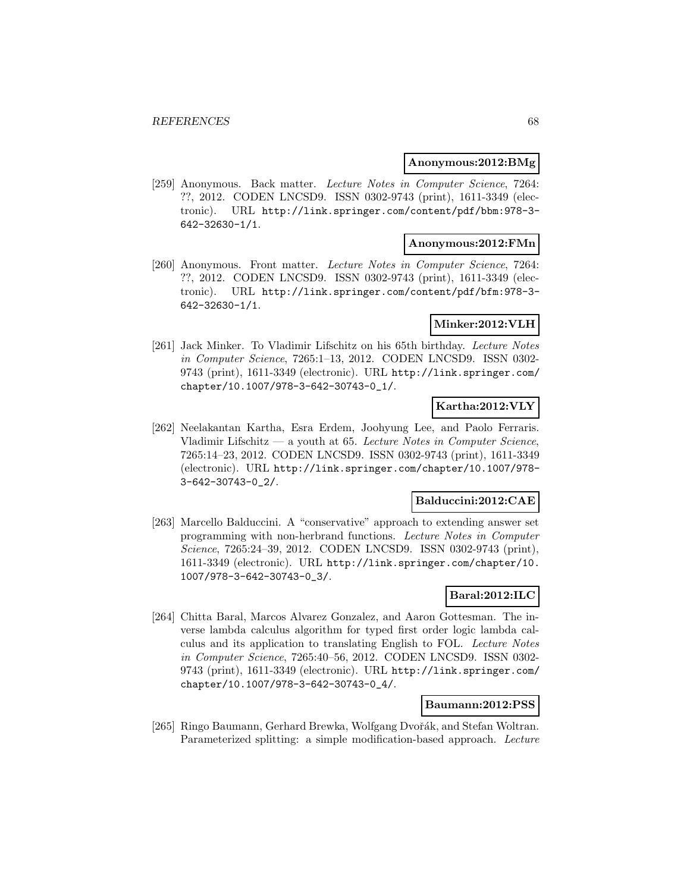#### **Anonymous:2012:BMg**

[259] Anonymous. Back matter. Lecture Notes in Computer Science, 7264: ??, 2012. CODEN LNCSD9. ISSN 0302-9743 (print), 1611-3349 (electronic). URL http://link.springer.com/content/pdf/bbm:978-3- 642-32630-1/1.

#### **Anonymous:2012:FMn**

[260] Anonymous. Front matter. Lecture Notes in Computer Science, 7264: ??, 2012. CODEN LNCSD9. ISSN 0302-9743 (print), 1611-3349 (electronic). URL http://link.springer.com/content/pdf/bfm:978-3- 642-32630-1/1.

### **Minker:2012:VLH**

[261] Jack Minker. To Vladimir Lifschitz on his 65th birthday. Lecture Notes in Computer Science, 7265:1–13, 2012. CODEN LNCSD9. ISSN 0302- 9743 (print), 1611-3349 (electronic). URL http://link.springer.com/ chapter/10.1007/978-3-642-30743-0\_1/.

## **Kartha:2012:VLY**

[262] Neelakantan Kartha, Esra Erdem, Joohyung Lee, and Paolo Ferraris. Vladimir Lifschitz — a youth at 65. Lecture Notes in Computer Science, 7265:14–23, 2012. CODEN LNCSD9. ISSN 0302-9743 (print), 1611-3349 (electronic). URL http://link.springer.com/chapter/10.1007/978- 3-642-30743-0\_2/.

## **Balduccini:2012:CAE**

[263] Marcello Balduccini. A "conservative" approach to extending answer set programming with non-herbrand functions. Lecture Notes in Computer Science, 7265:24–39, 2012. CODEN LNCSD9. ISSN 0302-9743 (print), 1611-3349 (electronic). URL http://link.springer.com/chapter/10. 1007/978-3-642-30743-0\_3/.

# **Baral:2012:ILC**

[264] Chitta Baral, Marcos Alvarez Gonzalez, and Aaron Gottesman. The inverse lambda calculus algorithm for typed first order logic lambda calculus and its application to translating English to FOL. Lecture Notes in Computer Science, 7265:40–56, 2012. CODEN LNCSD9. ISSN 0302- 9743 (print), 1611-3349 (electronic). URL http://link.springer.com/ chapter/10.1007/978-3-642-30743-0\_4/.

## **Baumann:2012:PSS**

[265] Ringo Baumann, Gerhard Brewka, Wolfgang Dvořák, and Stefan Woltran. Parameterized splitting: a simple modification-based approach. Lecture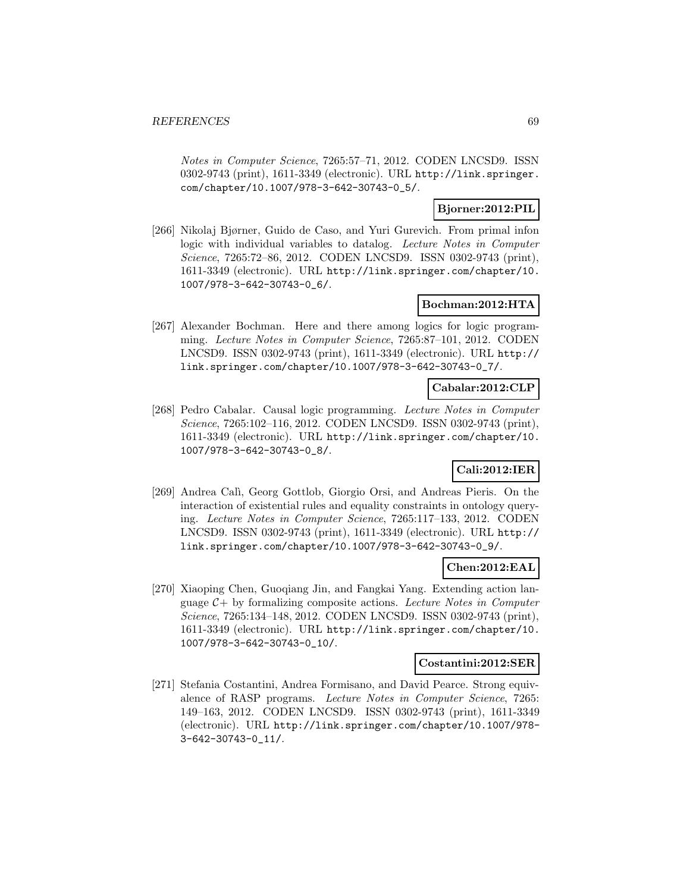Notes in Computer Science, 7265:57–71, 2012. CODEN LNCSD9. ISSN 0302-9743 (print), 1611-3349 (electronic). URL http://link.springer. com/chapter/10.1007/978-3-642-30743-0\_5/.

## **Bjorner:2012:PIL**

[266] Nikolaj Bjørner, Guido de Caso, and Yuri Gurevich. From primal infon logic with individual variables to datalog. Lecture Notes in Computer Science, 7265:72–86, 2012. CODEN LNCSD9. ISSN 0302-9743 (print), 1611-3349 (electronic). URL http://link.springer.com/chapter/10. 1007/978-3-642-30743-0\_6/.

## **Bochman:2012:HTA**

[267] Alexander Bochman. Here and there among logics for logic programming. Lecture Notes in Computer Science, 7265:87–101, 2012. CODEN LNCSD9. ISSN 0302-9743 (print), 1611-3349 (electronic). URL http:// link.springer.com/chapter/10.1007/978-3-642-30743-0\_7/.

### **Cabalar:2012:CLP**

[268] Pedro Cabalar. Causal logic programming. Lecture Notes in Computer Science, 7265:102–116, 2012. CODEN LNCSD9. ISSN 0302-9743 (print), 1611-3349 (electronic). URL http://link.springer.com/chapter/10. 1007/978-3-642-30743-0\_8/.

# **Cali:2012:IER**

[269] Andrea Cal`ı, Georg Gottlob, Giorgio Orsi, and Andreas Pieris. On the interaction of existential rules and equality constraints in ontology querying. Lecture Notes in Computer Science, 7265:117–133, 2012. CODEN LNCSD9. ISSN 0302-9743 (print), 1611-3349 (electronic). URL http:// link.springer.com/chapter/10.1007/978-3-642-30743-0\_9/.

## **Chen:2012:EAL**

[270] Xiaoping Chen, Guoqiang Jin, and Fangkai Yang. Extending action language  $C+$  by formalizing composite actions. Lecture Notes in Computer Science, 7265:134–148, 2012. CODEN LNCSD9. ISSN 0302-9743 (print), 1611-3349 (electronic). URL http://link.springer.com/chapter/10. 1007/978-3-642-30743-0\_10/.

#### **Costantini:2012:SER**

[271] Stefania Costantini, Andrea Formisano, and David Pearce. Strong equivalence of RASP programs. Lecture Notes in Computer Science, 7265: 149–163, 2012. CODEN LNCSD9. ISSN 0302-9743 (print), 1611-3349 (electronic). URL http://link.springer.com/chapter/10.1007/978- 3-642-30743-0\_11/.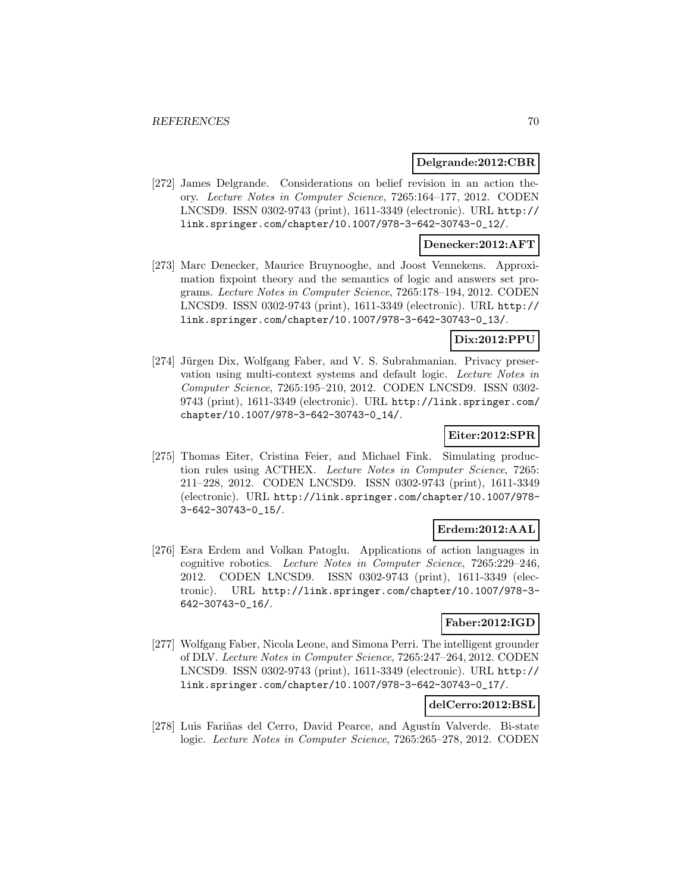#### **Delgrande:2012:CBR**

[272] James Delgrande. Considerations on belief revision in an action theory. Lecture Notes in Computer Science, 7265:164–177, 2012. CODEN LNCSD9. ISSN 0302-9743 (print), 1611-3349 (electronic). URL http:// link.springer.com/chapter/10.1007/978-3-642-30743-0\_12/.

## **Denecker:2012:AFT**

[273] Marc Denecker, Maurice Bruynooghe, and Joost Vennekens. Approximation fixpoint theory and the semantics of logic and answers set programs. Lecture Notes in Computer Science, 7265:178–194, 2012. CODEN LNCSD9. ISSN 0302-9743 (print), 1611-3349 (electronic). URL http:// link.springer.com/chapter/10.1007/978-3-642-30743-0\_13/.

## **Dix:2012:PPU**

[274] Jürgen Dix, Wolfgang Faber, and V. S. Subrahmanian. Privacy preservation using multi-context systems and default logic. Lecture Notes in Computer Science, 7265:195–210, 2012. CODEN LNCSD9. ISSN 0302- 9743 (print), 1611-3349 (electronic). URL http://link.springer.com/ chapter/10.1007/978-3-642-30743-0\_14/.

#### **Eiter:2012:SPR**

[275] Thomas Eiter, Cristina Feier, and Michael Fink. Simulating production rules using ACTHEX. Lecture Notes in Computer Science, 7265: 211–228, 2012. CODEN LNCSD9. ISSN 0302-9743 (print), 1611-3349 (electronic). URL http://link.springer.com/chapter/10.1007/978- 3-642-30743-0\_15/.

## **Erdem:2012:AAL**

[276] Esra Erdem and Volkan Patoglu. Applications of action languages in cognitive robotics. Lecture Notes in Computer Science, 7265:229–246, 2012. CODEN LNCSD9. ISSN 0302-9743 (print), 1611-3349 (electronic). URL http://link.springer.com/chapter/10.1007/978-3- 642-30743-0\_16/.

## **Faber:2012:IGD**

[277] Wolfgang Faber, Nicola Leone, and Simona Perri. The intelligent grounder of DLV. Lecture Notes in Computer Science, 7265:247–264, 2012. CODEN LNCSD9. ISSN 0302-9743 (print), 1611-3349 (electronic). URL http:// link.springer.com/chapter/10.1007/978-3-642-30743-0\_17/.

## **delCerro:2012:BSL**

[278] Luis Fariñas del Cerro, David Pearce, and Agustín Valverde. Bi-state logic. Lecture Notes in Computer Science, 7265:265–278, 2012. CODEN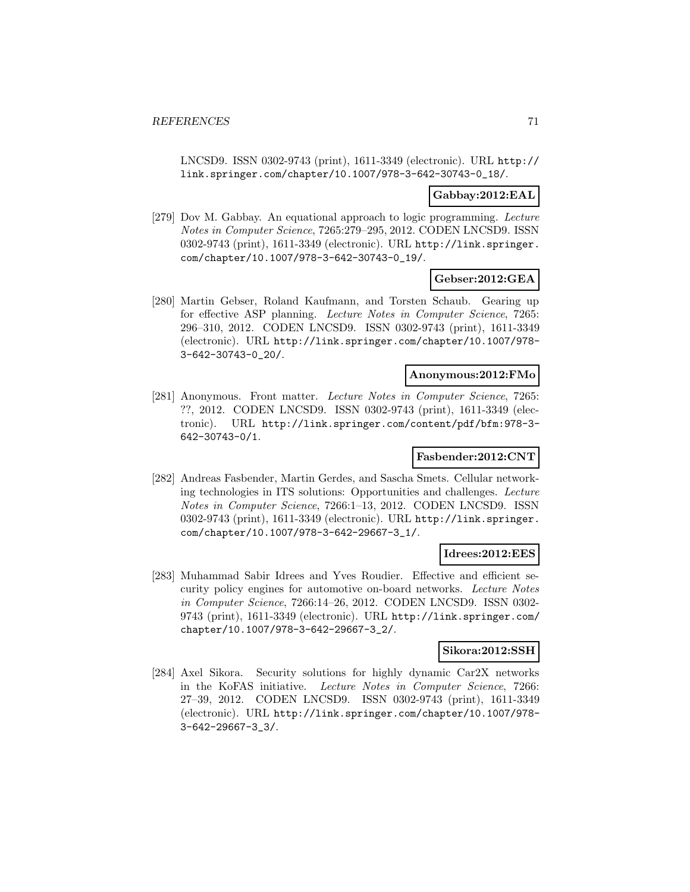LNCSD9. ISSN 0302-9743 (print), 1611-3349 (electronic). URL http:// link.springer.com/chapter/10.1007/978-3-642-30743-0\_18/.

### **Gabbay:2012:EAL**

[279] Dov M. Gabbay. An equational approach to logic programming. Lecture Notes in Computer Science, 7265:279–295, 2012. CODEN LNCSD9. ISSN 0302-9743 (print), 1611-3349 (electronic). URL http://link.springer. com/chapter/10.1007/978-3-642-30743-0\_19/.

### **Gebser:2012:GEA**

[280] Martin Gebser, Roland Kaufmann, and Torsten Schaub. Gearing up for effective ASP planning. Lecture Notes in Computer Science, 7265: 296–310, 2012. CODEN LNCSD9. ISSN 0302-9743 (print), 1611-3349 (electronic). URL http://link.springer.com/chapter/10.1007/978- 3-642-30743-0\_20/.

## **Anonymous:2012:FMo**

[281] Anonymous. Front matter. Lecture Notes in Computer Science, 7265: ??, 2012. CODEN LNCSD9. ISSN 0302-9743 (print), 1611-3349 (electronic). URL http://link.springer.com/content/pdf/bfm:978-3- 642-30743-0/1.

#### **Fasbender:2012:CNT**

[282] Andreas Fasbender, Martin Gerdes, and Sascha Smets. Cellular networking technologies in ITS solutions: Opportunities and challenges. Lecture Notes in Computer Science, 7266:1–13, 2012. CODEN LNCSD9. ISSN 0302-9743 (print), 1611-3349 (electronic). URL http://link.springer. com/chapter/10.1007/978-3-642-29667-3\_1/.

#### **Idrees:2012:EES**

[283] Muhammad Sabir Idrees and Yves Roudier. Effective and efficient security policy engines for automotive on-board networks. Lecture Notes in Computer Science, 7266:14–26, 2012. CODEN LNCSD9. ISSN 0302- 9743 (print), 1611-3349 (electronic). URL http://link.springer.com/ chapter/10.1007/978-3-642-29667-3\_2/.

#### **Sikora:2012:SSH**

[284] Axel Sikora. Security solutions for highly dynamic Car2X networks in the KoFAS initiative. Lecture Notes in Computer Science, 7266: 27–39, 2012. CODEN LNCSD9. ISSN 0302-9743 (print), 1611-3349 (electronic). URL http://link.springer.com/chapter/10.1007/978- 3-642-29667-3\_3/.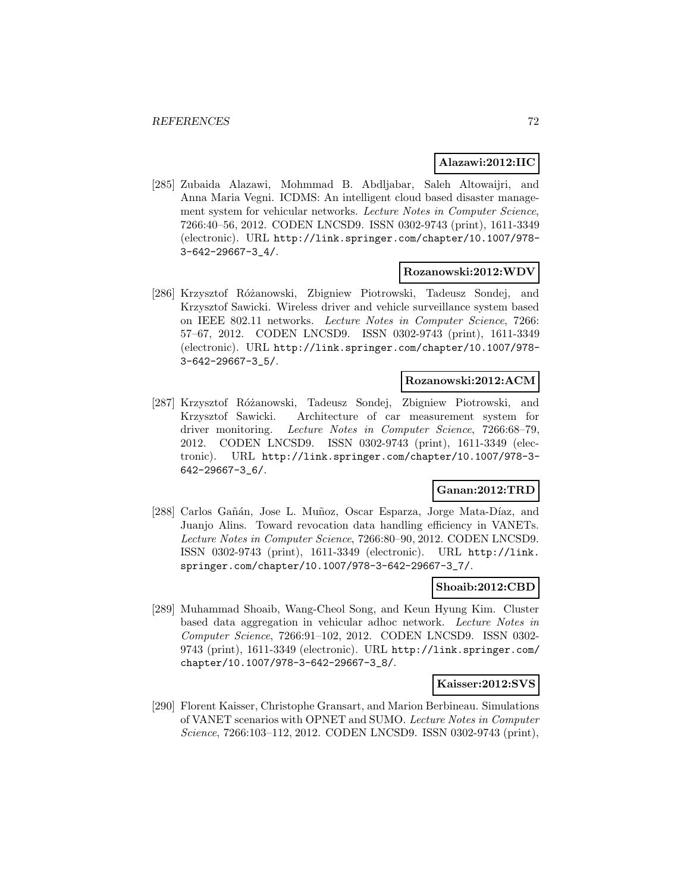#### **Alazawi:2012:IIC**

[285] Zubaida Alazawi, Mohmmad B. Abdljabar, Saleh Altowaijri, and Anna Maria Vegni. ICDMS: An intelligent cloud based disaster management system for vehicular networks. Lecture Notes in Computer Science, 7266:40–56, 2012. CODEN LNCSD9. ISSN 0302-9743 (print), 1611-3349 (electronic). URL http://link.springer.com/chapter/10.1007/978- 3-642-29667-3\_4/.

#### **Rozanowski:2012:WDV**

[286] Krzysztof Różanowski, Zbigniew Piotrowski, Tadeusz Sondej, and Krzysztof Sawicki. Wireless driver and vehicle surveillance system based on IEEE 802.11 networks. Lecture Notes in Computer Science, 7266: 57–67, 2012. CODEN LNCSD9. ISSN 0302-9743 (print), 1611-3349 (electronic). URL http://link.springer.com/chapter/10.1007/978- 3-642-29667-3\_5/.

#### **Rozanowski:2012:ACM**

[287] Krzysztof Różanowski, Tadeusz Sondej, Zbigniew Piotrowski, and Krzysztof Sawicki. Architecture of car measurement system for driver monitoring. Lecture Notes in Computer Science, 7266:68–79, 2012. CODEN LNCSD9. ISSN 0302-9743 (print), 1611-3349 (electronic). URL http://link.springer.com/chapter/10.1007/978-3- 642-29667-3\_6/.

## **Ganan:2012:TRD**

[288] Carlos Gañán, Jose L. Muñoz, Oscar Esparza, Jorge Mata-Díaz, and Juanjo Alins. Toward revocation data handling efficiency in VANETs. Lecture Notes in Computer Science, 7266:80–90, 2012. CODEN LNCSD9. ISSN 0302-9743 (print), 1611-3349 (electronic). URL http://link. springer.com/chapter/10.1007/978-3-642-29667-3\_7/.

#### **Shoaib:2012:CBD**

[289] Muhammad Shoaib, Wang-Cheol Song, and Keun Hyung Kim. Cluster based data aggregation in vehicular adhoc network. Lecture Notes in Computer Science, 7266:91–102, 2012. CODEN LNCSD9. ISSN 0302- 9743 (print), 1611-3349 (electronic). URL http://link.springer.com/ chapter/10.1007/978-3-642-29667-3\_8/.

#### **Kaisser:2012:SVS**

[290] Florent Kaisser, Christophe Gransart, and Marion Berbineau. Simulations of VANET scenarios with OPNET and SUMO. Lecture Notes in Computer Science, 7266:103–112, 2012. CODEN LNCSD9. ISSN 0302-9743 (print),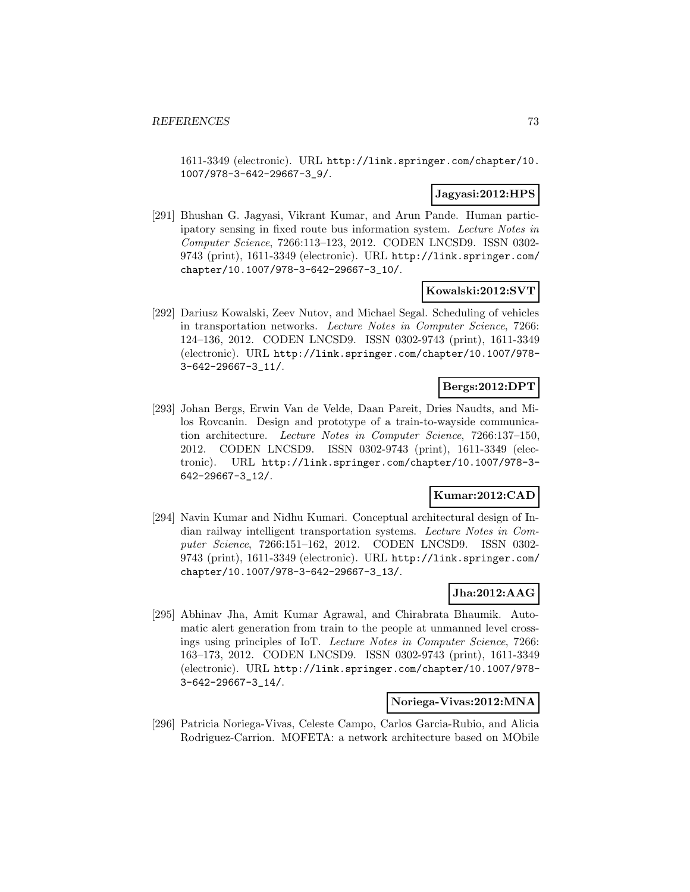1611-3349 (electronic). URL http://link.springer.com/chapter/10. 1007/978-3-642-29667-3\_9/.

# **Jagyasi:2012:HPS**

[291] Bhushan G. Jagyasi, Vikrant Kumar, and Arun Pande. Human participatory sensing in fixed route bus information system. Lecture Notes in Computer Science, 7266:113–123, 2012. CODEN LNCSD9. ISSN 0302- 9743 (print), 1611-3349 (electronic). URL http://link.springer.com/ chapter/10.1007/978-3-642-29667-3\_10/.

### **Kowalski:2012:SVT**

[292] Dariusz Kowalski, Zeev Nutov, and Michael Segal. Scheduling of vehicles in transportation networks. Lecture Notes in Computer Science, 7266: 124–136, 2012. CODEN LNCSD9. ISSN 0302-9743 (print), 1611-3349 (electronic). URL http://link.springer.com/chapter/10.1007/978- 3-642-29667-3\_11/.

# **Bergs:2012:DPT**

[293] Johan Bergs, Erwin Van de Velde, Daan Pareit, Dries Naudts, and Milos Rovcanin. Design and prototype of a train-to-wayside communication architecture. Lecture Notes in Computer Science, 7266:137–150, 2012. CODEN LNCSD9. ISSN 0302-9743 (print), 1611-3349 (electronic). URL http://link.springer.com/chapter/10.1007/978-3- 642-29667-3\_12/.

### **Kumar:2012:CAD**

[294] Navin Kumar and Nidhu Kumari. Conceptual architectural design of Indian railway intelligent transportation systems. Lecture Notes in Computer Science, 7266:151–162, 2012. CODEN LNCSD9. ISSN 0302- 9743 (print), 1611-3349 (electronic). URL http://link.springer.com/ chapter/10.1007/978-3-642-29667-3\_13/.

# **Jha:2012:AAG**

[295] Abhinav Jha, Amit Kumar Agrawal, and Chirabrata Bhaumik. Automatic alert generation from train to the people at unmanned level crossings using principles of IoT. Lecture Notes in Computer Science, 7266: 163–173, 2012. CODEN LNCSD9. ISSN 0302-9743 (print), 1611-3349 (electronic). URL http://link.springer.com/chapter/10.1007/978- 3-642-29667-3\_14/.

#### **Noriega-Vivas:2012:MNA**

[296] Patricia Noriega-Vivas, Celeste Campo, Carlos Garcia-Rubio, and Alicia Rodriguez-Carrion. MOFETA: a network architecture based on MObile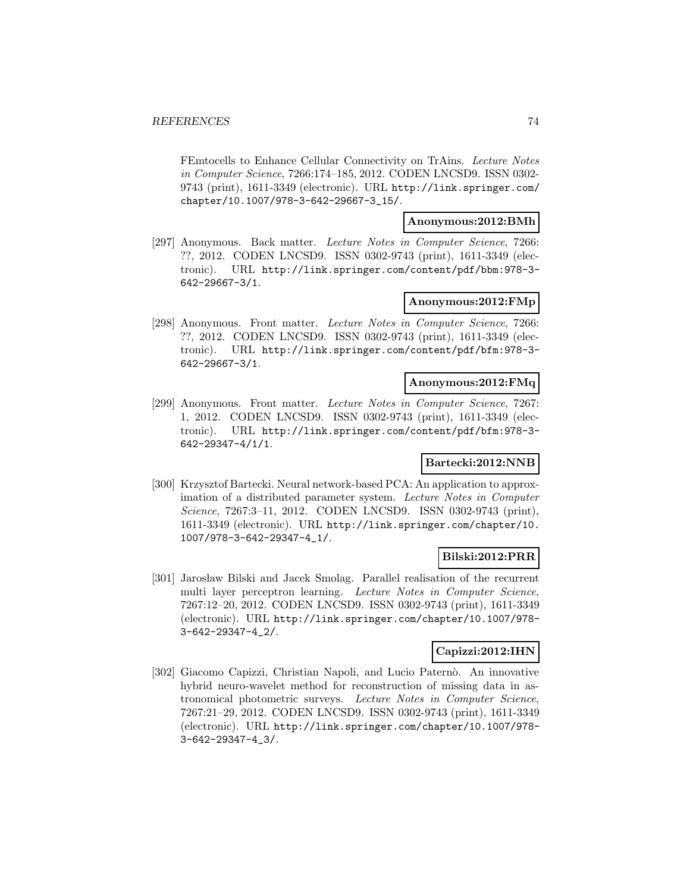FEmtocells to Enhance Cellular Connectivity on TrAins. Lecture Notes in Computer Science, 7266:174–185, 2012. CODEN LNCSD9. ISSN 0302- 9743 (print), 1611-3349 (electronic). URL http://link.springer.com/ chapter/10.1007/978-3-642-29667-3\_15/.

## **Anonymous:2012:BMh**

[297] Anonymous. Back matter. Lecture Notes in Computer Science, 7266: ??, 2012. CODEN LNCSD9. ISSN 0302-9743 (print), 1611-3349 (electronic). URL http://link.springer.com/content/pdf/bbm:978-3- 642-29667-3/1.

# **Anonymous:2012:FMp**

[298] Anonymous. Front matter. Lecture Notes in Computer Science, 7266: ??, 2012. CODEN LNCSD9. ISSN 0302-9743 (print), 1611-3349 (electronic). URL http://link.springer.com/content/pdf/bfm:978-3- 642-29667-3/1.

### **Anonymous:2012:FMq**

[299] Anonymous. Front matter. Lecture Notes in Computer Science, 7267: 1, 2012. CODEN LNCSD9. ISSN 0302-9743 (print), 1611-3349 (electronic). URL http://link.springer.com/content/pdf/bfm:978-3- 642-29347-4/1/1.

# **Bartecki:2012:NNB**

[300] Krzysztof Bartecki. Neural network-based PCA: An application to approximation of a distributed parameter system. Lecture Notes in Computer Science, 7267:3–11, 2012. CODEN LNCSD9. ISSN 0302-9743 (print), 1611-3349 (electronic). URL http://link.springer.com/chapter/10. 1007/978-3-642-29347-4\_1/.

# **Bilski:2012:PRR**

[301] Jarosław Bilski and Jacek Smolag. Parallel realisation of the recurrent multi layer perceptron learning. Lecture Notes in Computer Science, 7267:12–20, 2012. CODEN LNCSD9. ISSN 0302-9743 (print), 1611-3349 (electronic). URL http://link.springer.com/chapter/10.1007/978- 3-642-29347-4\_2/.

### **Capizzi:2012:IHN**

[302] Giacomo Capizzi, Christian Napoli, and Lucio Paternò. An innovative hybrid neuro-wavelet method for reconstruction of missing data in astronomical photometric surveys. Lecture Notes in Computer Science, 7267:21–29, 2012. CODEN LNCSD9. ISSN 0302-9743 (print), 1611-3349 (electronic). URL http://link.springer.com/chapter/10.1007/978- 3-642-29347-4\_3/.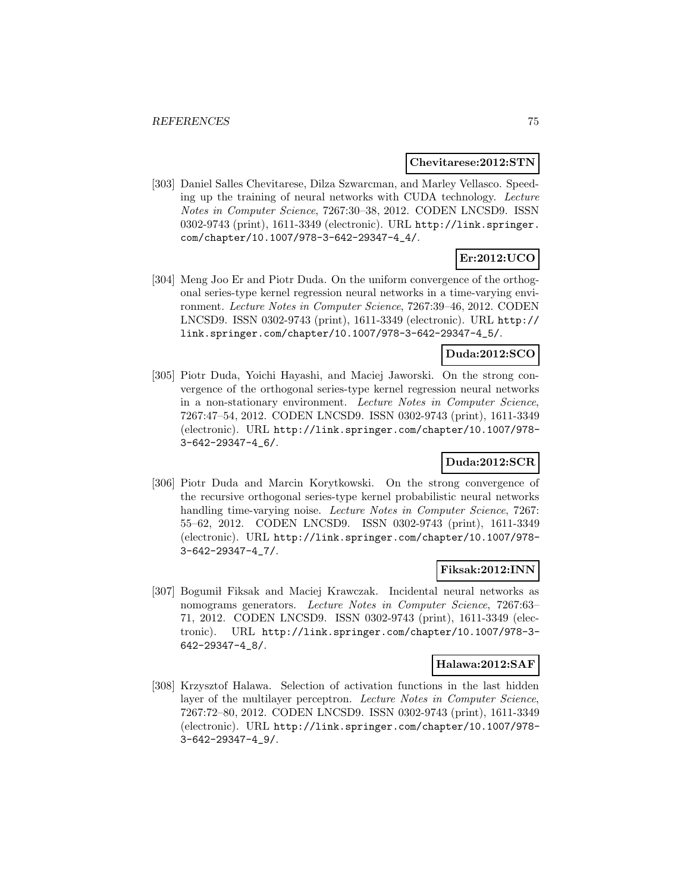#### **Chevitarese:2012:STN**

[303] Daniel Salles Chevitarese, Dilza Szwarcman, and Marley Vellasco. Speeding up the training of neural networks with CUDA technology. Lecture Notes in Computer Science, 7267:30–38, 2012. CODEN LNCSD9. ISSN 0302-9743 (print), 1611-3349 (electronic). URL http://link.springer. com/chapter/10.1007/978-3-642-29347-4\_4/.

# **Er:2012:UCO**

[304] Meng Joo Er and Piotr Duda. On the uniform convergence of the orthogonal series-type kernel regression neural networks in a time-varying environment. Lecture Notes in Computer Science, 7267:39–46, 2012. CODEN LNCSD9. ISSN 0302-9743 (print), 1611-3349 (electronic). URL http:// link.springer.com/chapter/10.1007/978-3-642-29347-4\_5/.

# **Duda:2012:SCO**

[305] Piotr Duda, Yoichi Hayashi, and Maciej Jaworski. On the strong convergence of the orthogonal series-type kernel regression neural networks in a non-stationary environment. Lecture Notes in Computer Science, 7267:47–54, 2012. CODEN LNCSD9. ISSN 0302-9743 (print), 1611-3349 (electronic). URL http://link.springer.com/chapter/10.1007/978- 3-642-29347-4\_6/.

# **Duda:2012:SCR**

[306] Piotr Duda and Marcin Korytkowski. On the strong convergence of the recursive orthogonal series-type kernel probabilistic neural networks handling time-varying noise. Lecture Notes in Computer Science, 7267: 55–62, 2012. CODEN LNCSD9. ISSN 0302-9743 (print), 1611-3349 (electronic). URL http://link.springer.com/chapter/10.1007/978- 3-642-29347-4\_7/.

### **Fiksak:2012:INN**

[307] Bogumil Fiksak and Maciej Krawczak. Incidental neural networks as nomograms generators. Lecture Notes in Computer Science, 7267:63– 71, 2012. CODEN LNCSD9. ISSN 0302-9743 (print), 1611-3349 (electronic). URL http://link.springer.com/chapter/10.1007/978-3- 642-29347-4\_8/.

### **Halawa:2012:SAF**

[308] Krzysztof Halawa. Selection of activation functions in the last hidden layer of the multilayer perceptron. Lecture Notes in Computer Science, 7267:72–80, 2012. CODEN LNCSD9. ISSN 0302-9743 (print), 1611-3349 (electronic). URL http://link.springer.com/chapter/10.1007/978- 3-642-29347-4\_9/.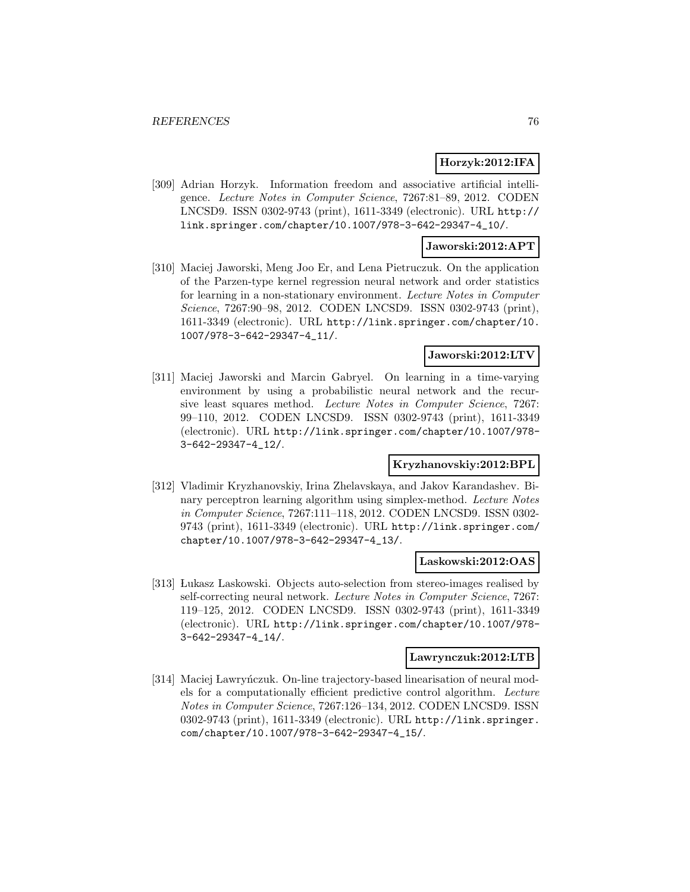### **Horzyk:2012:IFA**

[309] Adrian Horzyk. Information freedom and associative artificial intelligence. Lecture Notes in Computer Science, 7267:81–89, 2012. CODEN LNCSD9. ISSN 0302-9743 (print), 1611-3349 (electronic). URL http:// link.springer.com/chapter/10.1007/978-3-642-29347-4\_10/.

### **Jaworski:2012:APT**

[310] Maciej Jaworski, Meng Joo Er, and Lena Pietruczuk. On the application of the Parzen-type kernel regression neural network and order statistics for learning in a non-stationary environment. Lecture Notes in Computer Science, 7267:90–98, 2012. CODEN LNCSD9. ISSN 0302-9743 (print), 1611-3349 (electronic). URL http://link.springer.com/chapter/10. 1007/978-3-642-29347-4\_11/.

#### **Jaworski:2012:LTV**

[311] Maciej Jaworski and Marcin Gabryel. On learning in a time-varying environment by using a probabilistic neural network and the recursive least squares method. Lecture Notes in Computer Science, 7267: 99–110, 2012. CODEN LNCSD9. ISSN 0302-9743 (print), 1611-3349 (electronic). URL http://link.springer.com/chapter/10.1007/978- 3-642-29347-4\_12/.

# **Kryzhanovskiy:2012:BPL**

[312] Vladimir Kryzhanovskiy, Irina Zhelavskaya, and Jakov Karandashev. Binary perceptron learning algorithm using simplex-method. Lecture Notes in Computer Science, 7267:111–118, 2012. CODEN LNCSD9. ISSN 0302- 9743 (print), 1611-3349 (electronic). URL http://link.springer.com/ chapter/10.1007/978-3-642-29347-4\_13/.

### **Laskowski:2012:OAS**

[313] Lukasz Laskowski. Objects auto-selection from stereo-images realised by self-correcting neural network. Lecture Notes in Computer Science, 7267: 119–125, 2012. CODEN LNCSD9. ISSN 0302-9743 (print), 1611-3349 (electronic). URL http://link.springer.com/chapter/10.1007/978- 3-642-29347-4\_14/.

#### **Lawrynczuk:2012:LTB**

[314] Maciej Lawrynczuk. On-line trajectory-based linearisation of neural models for a computationally efficient predictive control algorithm. Lecture Notes in Computer Science, 7267:126–134, 2012. CODEN LNCSD9. ISSN 0302-9743 (print), 1611-3349 (electronic). URL http://link.springer. com/chapter/10.1007/978-3-642-29347-4\_15/.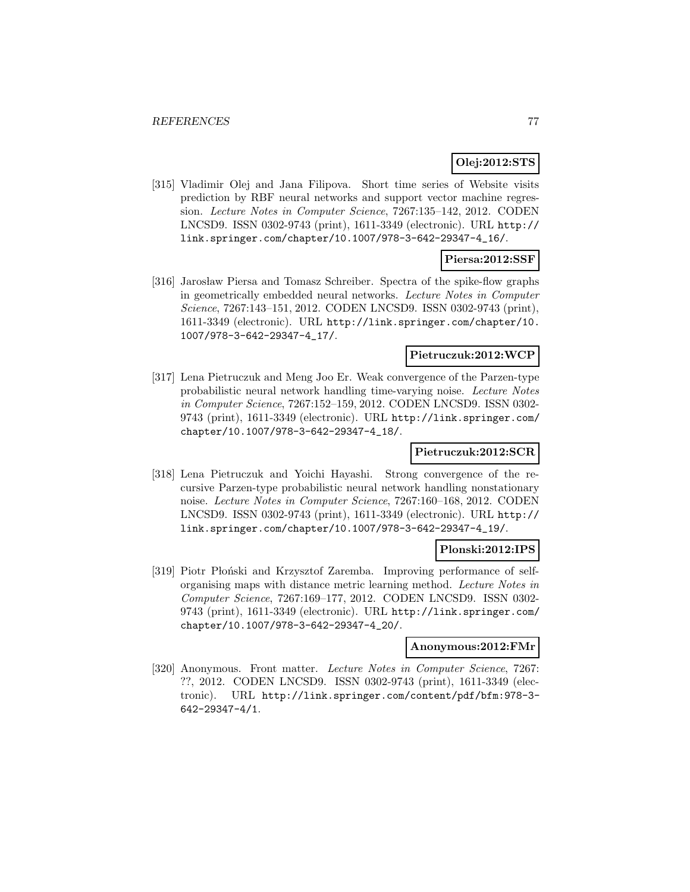# **Olej:2012:STS**

[315] Vladimir Olej and Jana Filipova. Short time series of Website visits prediction by RBF neural networks and support vector machine regression. Lecture Notes in Computer Science, 7267:135–142, 2012. CODEN LNCSD9. ISSN 0302-9743 (print), 1611-3349 (electronic). URL http:// link.springer.com/chapter/10.1007/978-3-642-29347-4\_16/.

# **Piersa:2012:SSF**

[316] Jarosław Piersa and Tomasz Schreiber. Spectra of the spike-flow graphs in geometrically embedded neural networks. Lecture Notes in Computer Science, 7267:143–151, 2012. CODEN LNCSD9. ISSN 0302-9743 (print), 1611-3349 (electronic). URL http://link.springer.com/chapter/10. 1007/978-3-642-29347-4\_17/.

### **Pietruczuk:2012:WCP**

[317] Lena Pietruczuk and Meng Joo Er. Weak convergence of the Parzen-type probabilistic neural network handling time-varying noise. Lecture Notes in Computer Science, 7267:152–159, 2012. CODEN LNCSD9. ISSN 0302- 9743 (print), 1611-3349 (electronic). URL http://link.springer.com/ chapter/10.1007/978-3-642-29347-4\_18/.

# **Pietruczuk:2012:SCR**

[318] Lena Pietruczuk and Yoichi Hayashi. Strong convergence of the recursive Parzen-type probabilistic neural network handling nonstationary noise. Lecture Notes in Computer Science, 7267:160–168, 2012. CODEN LNCSD9. ISSN 0302-9743 (print), 1611-3349 (electronic). URL http:// link.springer.com/chapter/10.1007/978-3-642-29347-4\_19/.

### **Plonski:2012:IPS**

[319] Piotr Płoński and Krzysztof Zaremba. Improving performance of selforganising maps with distance metric learning method. Lecture Notes in Computer Science, 7267:169–177, 2012. CODEN LNCSD9. ISSN 0302- 9743 (print), 1611-3349 (electronic). URL http://link.springer.com/ chapter/10.1007/978-3-642-29347-4\_20/.

#### **Anonymous:2012:FMr**

[320] Anonymous. Front matter. Lecture Notes in Computer Science, 7267: ??, 2012. CODEN LNCSD9. ISSN 0302-9743 (print), 1611-3349 (electronic). URL http://link.springer.com/content/pdf/bfm:978-3- 642-29347-4/1.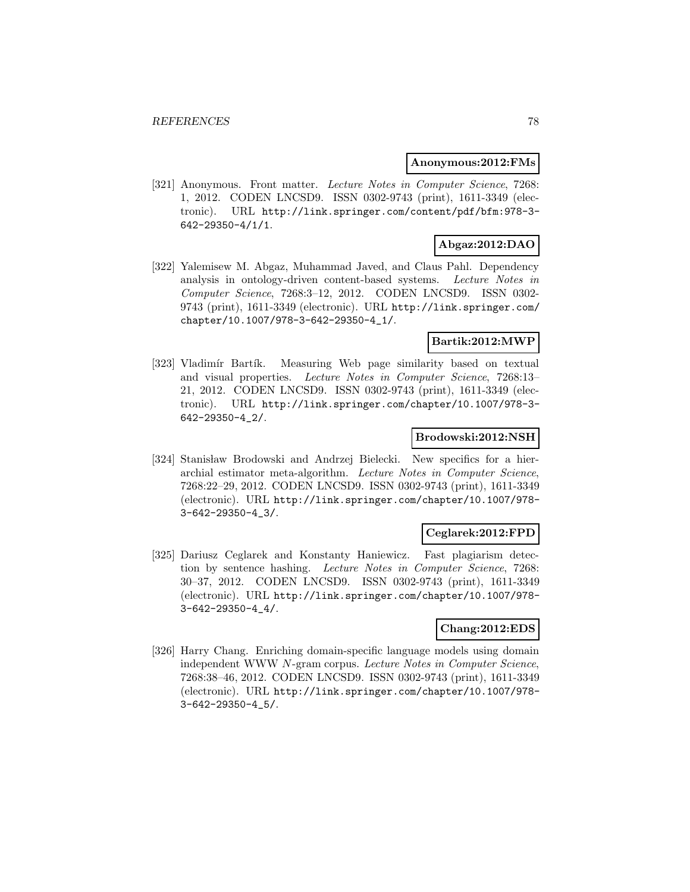#### **Anonymous:2012:FMs**

[321] Anonymous. Front matter. Lecture Notes in Computer Science, 7268: 1, 2012. CODEN LNCSD9. ISSN 0302-9743 (print), 1611-3349 (electronic). URL http://link.springer.com/content/pdf/bfm:978-3- 642-29350-4/1/1.

# **Abgaz:2012:DAO**

[322] Yalemisew M. Abgaz, Muhammad Javed, and Claus Pahl. Dependency analysis in ontology-driven content-based systems. Lecture Notes in Computer Science, 7268:3–12, 2012. CODEN LNCSD9. ISSN 0302- 9743 (print), 1611-3349 (electronic). URL http://link.springer.com/ chapter/10.1007/978-3-642-29350-4\_1/.

## **Bartik:2012:MWP**

[323] Vladimír Bartík. Measuring Web page similarity based on textual and visual properties. Lecture Notes in Computer Science, 7268:13– 21, 2012. CODEN LNCSD9. ISSN 0302-9743 (print), 1611-3349 (electronic). URL http://link.springer.com/chapter/10.1007/978-3- 642-29350-4\_2/.

### **Brodowski:2012:NSH**

[324] Stanisław Brodowski and Andrzej Bielecki. New specifics for a hierarchial estimator meta-algorithm. Lecture Notes in Computer Science, 7268:22–29, 2012. CODEN LNCSD9. ISSN 0302-9743 (print), 1611-3349 (electronic). URL http://link.springer.com/chapter/10.1007/978- 3-642-29350-4\_3/.

# **Ceglarek:2012:FPD**

[325] Dariusz Ceglarek and Konstanty Haniewicz. Fast plagiarism detection by sentence hashing. Lecture Notes in Computer Science, 7268: 30–37, 2012. CODEN LNCSD9. ISSN 0302-9743 (print), 1611-3349 (electronic). URL http://link.springer.com/chapter/10.1007/978- 3-642-29350-4\_4/.

# **Chang:2012:EDS**

[326] Harry Chang. Enriching domain-specific language models using domain independent WWW N-gram corpus. Lecture Notes in Computer Science, 7268:38–46, 2012. CODEN LNCSD9. ISSN 0302-9743 (print), 1611-3349 (electronic). URL http://link.springer.com/chapter/10.1007/978- 3-642-29350-4\_5/.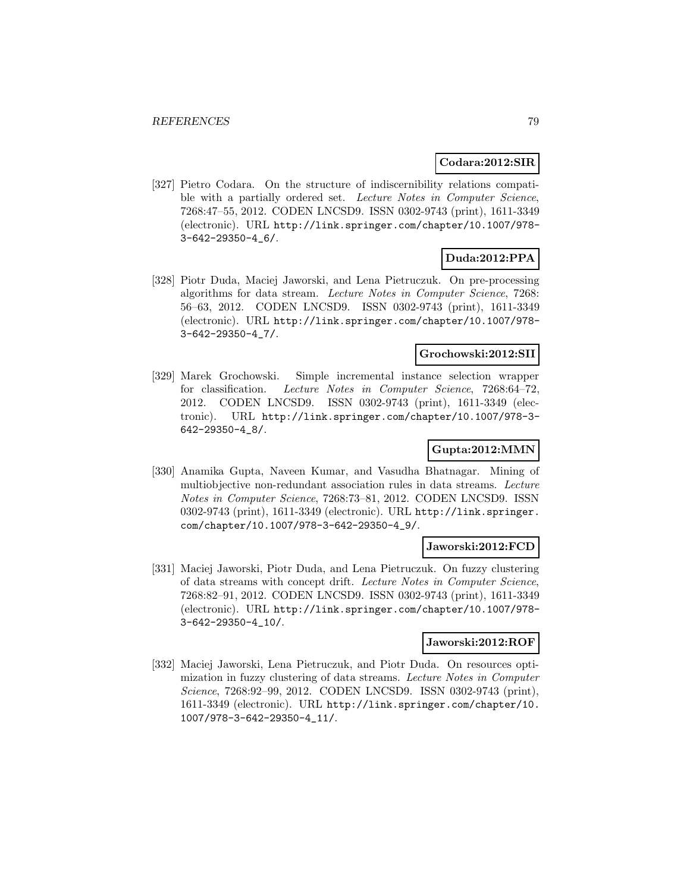### **Codara:2012:SIR**

[327] Pietro Codara. On the structure of indiscernibility relations compatible with a partially ordered set. Lecture Notes in Computer Science, 7268:47–55, 2012. CODEN LNCSD9. ISSN 0302-9743 (print), 1611-3349 (electronic). URL http://link.springer.com/chapter/10.1007/978- 3-642-29350-4\_6/.

# **Duda:2012:PPA**

[328] Piotr Duda, Maciej Jaworski, and Lena Pietruczuk. On pre-processing algorithms for data stream. Lecture Notes in Computer Science, 7268: 56–63, 2012. CODEN LNCSD9. ISSN 0302-9743 (print), 1611-3349 (electronic). URL http://link.springer.com/chapter/10.1007/978- 3-642-29350-4\_7/.

## **Grochowski:2012:SII**

[329] Marek Grochowski. Simple incremental instance selection wrapper for classification. Lecture Notes in Computer Science, 7268:64–72, 2012. CODEN LNCSD9. ISSN 0302-9743 (print), 1611-3349 (electronic). URL http://link.springer.com/chapter/10.1007/978-3- 642-29350-4\_8/.

# **Gupta:2012:MMN**

[330] Anamika Gupta, Naveen Kumar, and Vasudha Bhatnagar. Mining of multiobjective non-redundant association rules in data streams. Lecture Notes in Computer Science, 7268:73–81, 2012. CODEN LNCSD9. ISSN 0302-9743 (print), 1611-3349 (electronic). URL http://link.springer. com/chapter/10.1007/978-3-642-29350-4\_9/.

#### **Jaworski:2012:FCD**

[331] Maciej Jaworski, Piotr Duda, and Lena Pietruczuk. On fuzzy clustering of data streams with concept drift. Lecture Notes in Computer Science, 7268:82–91, 2012. CODEN LNCSD9. ISSN 0302-9743 (print), 1611-3349 (electronic). URL http://link.springer.com/chapter/10.1007/978- 3-642-29350-4\_10/.

### **Jaworski:2012:ROF**

[332] Maciej Jaworski, Lena Pietruczuk, and Piotr Duda. On resources optimization in fuzzy clustering of data streams. Lecture Notes in Computer Science, 7268:92–99, 2012. CODEN LNCSD9. ISSN 0302-9743 (print), 1611-3349 (electronic). URL http://link.springer.com/chapter/10. 1007/978-3-642-29350-4\_11/.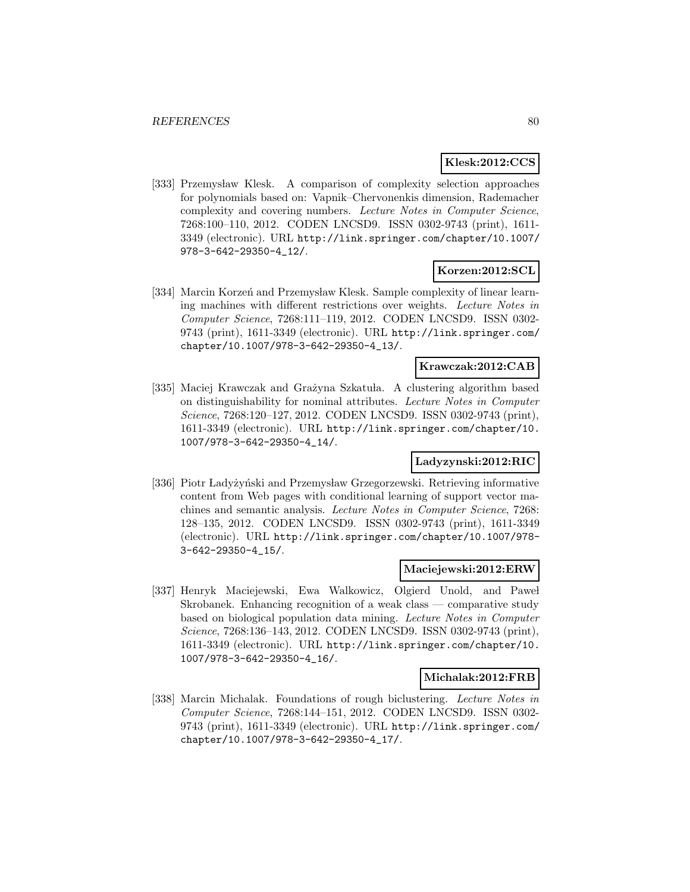### **Klesk:2012:CCS**

[333] Przemysław Klesk. A comparison of complexity selection approaches for polynomials based on: Vapnik–Chervonenkis dimension, Rademacher complexity and covering numbers. Lecture Notes in Computer Science, 7268:100–110, 2012. CODEN LNCSD9. ISSN 0302-9743 (print), 1611- 3349 (electronic). URL http://link.springer.com/chapter/10.1007/ 978-3-642-29350-4\_12/.

# **Korzen:2012:SCL**

[334] Marcin Korzeń and Przemysław Klesk. Sample complexity of linear learning machines with different restrictions over weights. Lecture Notes in Computer Science, 7268:111–119, 2012. CODEN LNCSD9. ISSN 0302- 9743 (print), 1611-3349 (electronic). URL http://link.springer.com/ chapter/10.1007/978-3-642-29350-4\_13/.

### **Krawczak:2012:CAB**

[335] Maciej Krawczak and Grażyna Szkatuła. A clustering algorithm based on distinguishability for nominal attributes. Lecture Notes in Computer Science, 7268:120–127, 2012. CODEN LNCSD9. ISSN 0302-9743 (print), 1611-3349 (electronic). URL http://link.springer.com/chapter/10. 1007/978-3-642-29350-4\_14/.

# **Ladyzynski:2012:RIC**

[336] Piotr Ladyżyński and Przemysław Grzegorzewski. Retrieving informative content from Web pages with conditional learning of support vector machines and semantic analysis. Lecture Notes in Computer Science, 7268: 128–135, 2012. CODEN LNCSD9. ISSN 0302-9743 (print), 1611-3349 (electronic). URL http://link.springer.com/chapter/10.1007/978- 3-642-29350-4\_15/.

### **Maciejewski:2012:ERW**

[337] Henryk Maciejewski, Ewa Walkowicz, Olgierd Unold, and Paweł Skrobanek. Enhancing recognition of a weak class — comparative study based on biological population data mining. Lecture Notes in Computer Science, 7268:136–143, 2012. CODEN LNCSD9. ISSN 0302-9743 (print), 1611-3349 (electronic). URL http://link.springer.com/chapter/10. 1007/978-3-642-29350-4\_16/.

#### **Michalak:2012:FRB**

[338] Marcin Michalak. Foundations of rough biclustering. Lecture Notes in Computer Science, 7268:144–151, 2012. CODEN LNCSD9. ISSN 0302- 9743 (print), 1611-3349 (electronic). URL http://link.springer.com/ chapter/10.1007/978-3-642-29350-4\_17/.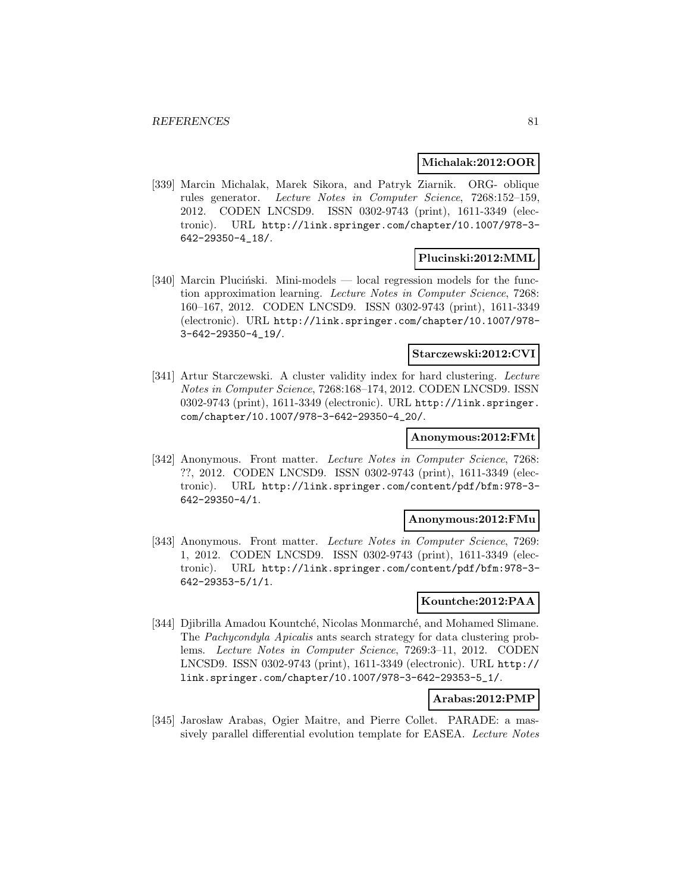#### **Michalak:2012:OOR**

[339] Marcin Michalak, Marek Sikora, and Patryk Ziarnik. ORG- oblique rules generator. Lecture Notes in Computer Science, 7268:152–159, 2012. CODEN LNCSD9. ISSN 0302-9743 (print), 1611-3349 (electronic). URL http://link.springer.com/chapter/10.1007/978-3- 642-29350-4\_18/.

### **Plucinski:2012:MML**

[340] Marcin Plucinski. Mini-models — local regression models for the function approximation learning. Lecture Notes in Computer Science, 7268: 160–167, 2012. CODEN LNCSD9. ISSN 0302-9743 (print), 1611-3349 (electronic). URL http://link.springer.com/chapter/10.1007/978- 3-642-29350-4\_19/.

### **Starczewski:2012:CVI**

[341] Artur Starczewski. A cluster validity index for hard clustering. Lecture Notes in Computer Science, 7268:168–174, 2012. CODEN LNCSD9. ISSN 0302-9743 (print), 1611-3349 (electronic). URL http://link.springer. com/chapter/10.1007/978-3-642-29350-4\_20/.

#### **Anonymous:2012:FMt**

[342] Anonymous. Front matter. Lecture Notes in Computer Science, 7268: ??, 2012. CODEN LNCSD9. ISSN 0302-9743 (print), 1611-3349 (electronic). URL http://link.springer.com/content/pdf/bfm:978-3- 642-29350-4/1.

### **Anonymous:2012:FMu**

[343] Anonymous. Front matter. Lecture Notes in Computer Science, 7269: 1, 2012. CODEN LNCSD9. ISSN 0302-9743 (print), 1611-3349 (electronic). URL http://link.springer.com/content/pdf/bfm:978-3- 642-29353-5/1/1.

### **Kountche:2012:PAA**

[344] Djibrilla Amadou Kountché, Nicolas Monmarché, and Mohamed Slimane. The Pachycondyla Apicalis ants search strategy for data clustering problems. Lecture Notes in Computer Science, 7269:3–11, 2012. CODEN LNCSD9. ISSN 0302-9743 (print), 1611-3349 (electronic). URL http:// link.springer.com/chapter/10.1007/978-3-642-29353-5\_1/.

#### **Arabas:2012:PMP**

[345] Jarosław Arabas, Ogier Maitre, and Pierre Collet. PARADE: a massively parallel differential evolution template for EASEA. Lecture Notes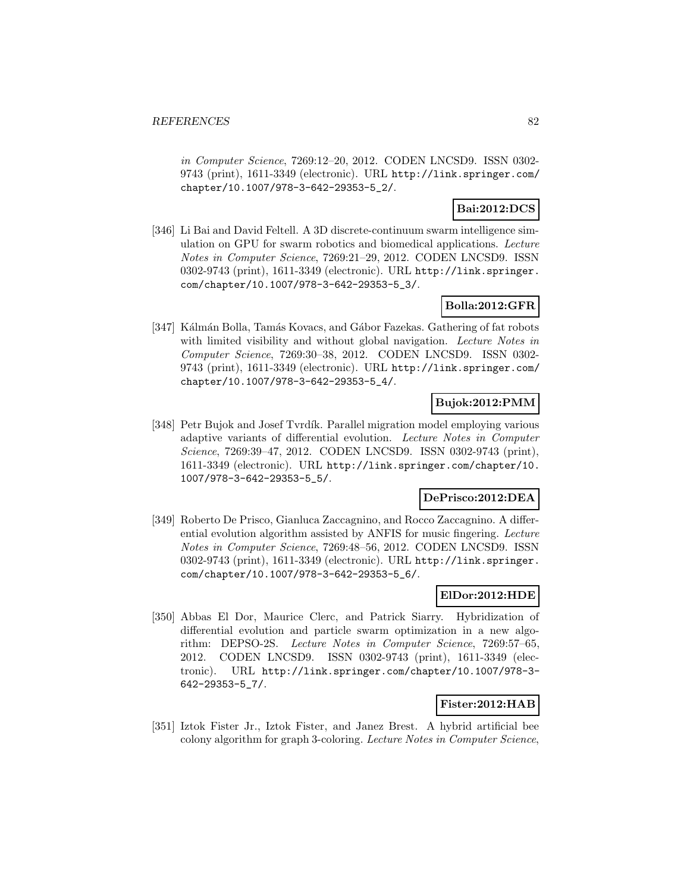in Computer Science, 7269:12–20, 2012. CODEN LNCSD9. ISSN 0302- 9743 (print), 1611-3349 (electronic). URL http://link.springer.com/ chapter/10.1007/978-3-642-29353-5\_2/.

# **Bai:2012:DCS**

[346] Li Bai and David Feltell. A 3D discrete-continuum swarm intelligence simulation on GPU for swarm robotics and biomedical applications. Lecture Notes in Computer Science, 7269:21–29, 2012. CODEN LNCSD9. ISSN 0302-9743 (print), 1611-3349 (electronic). URL http://link.springer. com/chapter/10.1007/978-3-642-29353-5\_3/.

# **Bolla:2012:GFR**

[347] Kálmán Bolla, Tamás Kovacs, and Gábor Fazekas. Gathering of fat robots with limited visibility and without global navigation. Lecture Notes in Computer Science, 7269:30–38, 2012. CODEN LNCSD9. ISSN 0302- 9743 (print), 1611-3349 (electronic). URL http://link.springer.com/ chapter/10.1007/978-3-642-29353-5\_4/.

# **Bujok:2012:PMM**

[348] Petr Bujok and Josef Tvrdík. Parallel migration model employing various adaptive variants of differential evolution. Lecture Notes in Computer Science, 7269:39–47, 2012. CODEN LNCSD9. ISSN 0302-9743 (print), 1611-3349 (electronic). URL http://link.springer.com/chapter/10. 1007/978-3-642-29353-5\_5/.

### **DePrisco:2012:DEA**

[349] Roberto De Prisco, Gianluca Zaccagnino, and Rocco Zaccagnino. A differential evolution algorithm assisted by ANFIS for music fingering. Lecture Notes in Computer Science, 7269:48–56, 2012. CODEN LNCSD9. ISSN 0302-9743 (print), 1611-3349 (electronic). URL http://link.springer. com/chapter/10.1007/978-3-642-29353-5\_6/.

# **ElDor:2012:HDE**

[350] Abbas El Dor, Maurice Clerc, and Patrick Siarry. Hybridization of differential evolution and particle swarm optimization in a new algorithm: DEPSO-2S. Lecture Notes in Computer Science, 7269:57–65, 2012. CODEN LNCSD9. ISSN 0302-9743 (print), 1611-3349 (electronic). URL http://link.springer.com/chapter/10.1007/978-3- 642-29353-5\_7/.

# **Fister:2012:HAB**

[351] Iztok Fister Jr., Iztok Fister, and Janez Brest. A hybrid artificial bee colony algorithm for graph 3-coloring. Lecture Notes in Computer Science,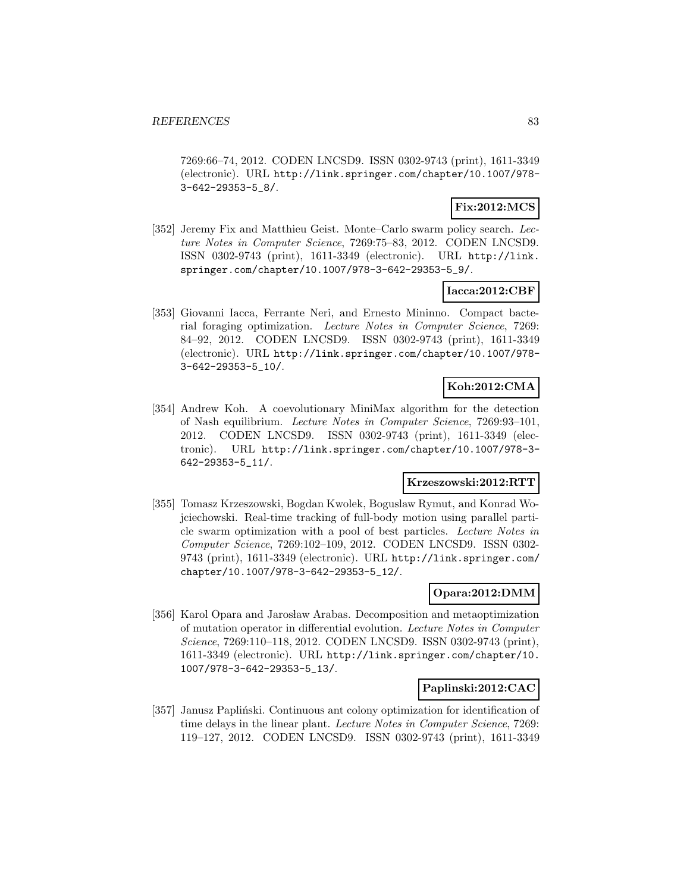7269:66–74, 2012. CODEN LNCSD9. ISSN 0302-9743 (print), 1611-3349 (electronic). URL http://link.springer.com/chapter/10.1007/978- 3-642-29353-5\_8/.

# **Fix:2012:MCS**

[352] Jeremy Fix and Matthieu Geist. Monte–Carlo swarm policy search. Lecture Notes in Computer Science, 7269:75–83, 2012. CODEN LNCSD9. ISSN 0302-9743 (print), 1611-3349 (electronic). URL http://link. springer.com/chapter/10.1007/978-3-642-29353-5\_9/.

### **Iacca:2012:CBF**

[353] Giovanni Iacca, Ferrante Neri, and Ernesto Mininno. Compact bacterial foraging optimization. Lecture Notes in Computer Science, 7269: 84–92, 2012. CODEN LNCSD9. ISSN 0302-9743 (print), 1611-3349 (electronic). URL http://link.springer.com/chapter/10.1007/978- 3-642-29353-5\_10/.

# **Koh:2012:CMA**

[354] Andrew Koh. A coevolutionary MiniMax algorithm for the detection of Nash equilibrium. Lecture Notes in Computer Science, 7269:93–101, 2012. CODEN LNCSD9. ISSN 0302-9743 (print), 1611-3349 (electronic). URL http://link.springer.com/chapter/10.1007/978-3- 642-29353-5\_11/.

# **Krzeszowski:2012:RTT**

[355] Tomasz Krzeszowski, Bogdan Kwolek, Boguslaw Rymut, and Konrad Wojciechowski. Real-time tracking of full-body motion using parallel particle swarm optimization with a pool of best particles. Lecture Notes in Computer Science, 7269:102–109, 2012. CODEN LNCSD9. ISSN 0302- 9743 (print), 1611-3349 (electronic). URL http://link.springer.com/ chapter/10.1007/978-3-642-29353-5\_12/.

### **Opara:2012:DMM**

[356] Karol Opara and Jarosław Arabas. Decomposition and metaoptimization of mutation operator in differential evolution. Lecture Notes in Computer Science, 7269:110–118, 2012. CODEN LNCSD9. ISSN 0302-9743 (print), 1611-3349 (electronic). URL http://link.springer.com/chapter/10. 1007/978-3-642-29353-5\_13/.

### **Paplinski:2012:CAC**

[357] Janusz Papliński. Continuous ant colony optimization for identification of time delays in the linear plant. Lecture Notes in Computer Science, 7269: 119–127, 2012. CODEN LNCSD9. ISSN 0302-9743 (print), 1611-3349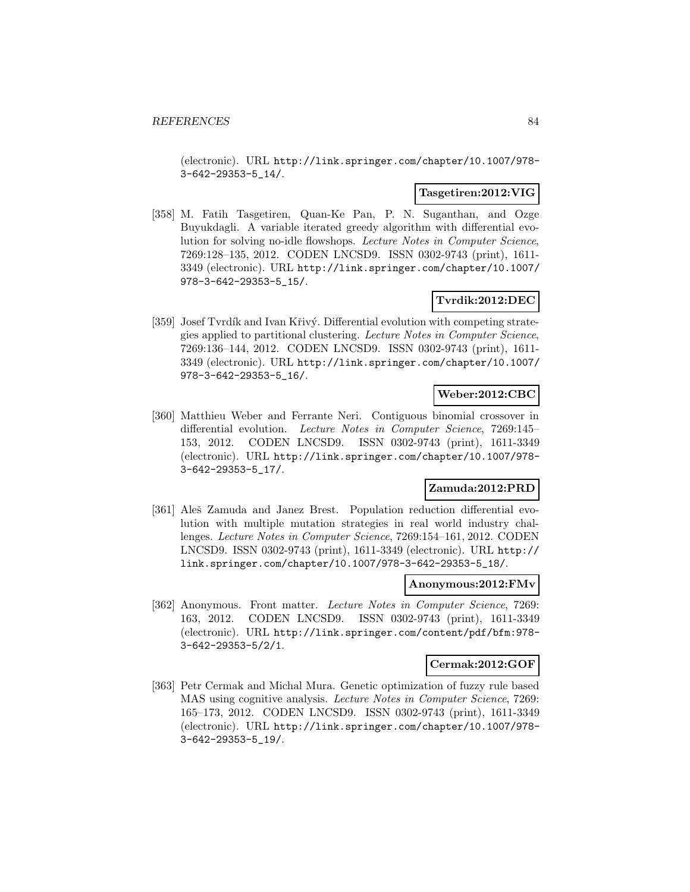(electronic). URL http://link.springer.com/chapter/10.1007/978- 3-642-29353-5\_14/.

#### **Tasgetiren:2012:VIG**

[358] M. Fatih Tasgetiren, Quan-Ke Pan, P. N. Suganthan, and Ozge Buyukdagli. A variable iterated greedy algorithm with differential evolution for solving no-idle flowshops. Lecture Notes in Computer Science, 7269:128–135, 2012. CODEN LNCSD9. ISSN 0302-9743 (print), 1611- 3349 (electronic). URL http://link.springer.com/chapter/10.1007/ 978-3-642-29353-5\_15/.

# **Tvrdik:2012:DEC**

[359] Josef Tvrdík and Ivan Křivý. Differential evolution with competing strategies applied to partitional clustering. Lecture Notes in Computer Science, 7269:136–144, 2012. CODEN LNCSD9. ISSN 0302-9743 (print), 1611- 3349 (electronic). URL http://link.springer.com/chapter/10.1007/ 978-3-642-29353-5\_16/.

# **Weber:2012:CBC**

[360] Matthieu Weber and Ferrante Neri. Contiguous binomial crossover in differential evolution. Lecture Notes in Computer Science, 7269:145– 153, 2012. CODEN LNCSD9. ISSN 0302-9743 (print), 1611-3349 (electronic). URL http://link.springer.com/chapter/10.1007/978- 3-642-29353-5\_17/.

# **Zamuda:2012:PRD**

[361] Aleš Zamuda and Janez Brest. Population reduction differential evolution with multiple mutation strategies in real world industry challenges. Lecture Notes in Computer Science, 7269:154–161, 2012. CODEN LNCSD9. ISSN 0302-9743 (print), 1611-3349 (electronic). URL http:// link.springer.com/chapter/10.1007/978-3-642-29353-5\_18/.

### **Anonymous:2012:FMv**

[362] Anonymous. Front matter. Lecture Notes in Computer Science, 7269: 163, 2012. CODEN LNCSD9. ISSN 0302-9743 (print), 1611-3349 (electronic). URL http://link.springer.com/content/pdf/bfm:978- 3-642-29353-5/2/1.

### **Cermak:2012:GOF**

[363] Petr Cermak and Michal Mura. Genetic optimization of fuzzy rule based MAS using cognitive analysis. Lecture Notes in Computer Science, 7269: 165–173, 2012. CODEN LNCSD9. ISSN 0302-9743 (print), 1611-3349 (electronic). URL http://link.springer.com/chapter/10.1007/978- 3-642-29353-5\_19/.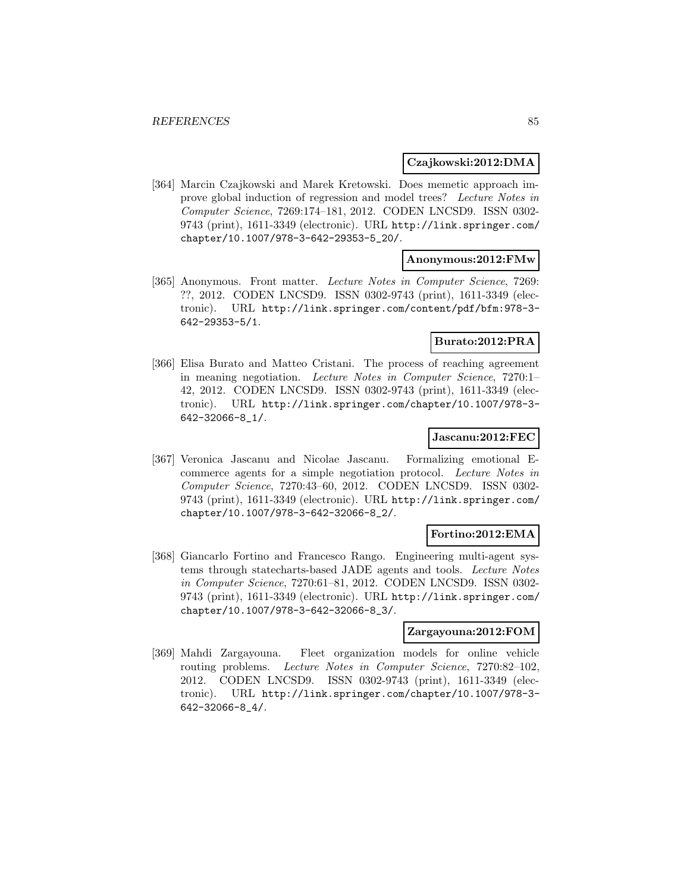#### **Czajkowski:2012:DMA**

[364] Marcin Czajkowski and Marek Kretowski. Does memetic approach improve global induction of regression and model trees? Lecture Notes in Computer Science, 7269:174–181, 2012. CODEN LNCSD9. ISSN 0302- 9743 (print), 1611-3349 (electronic). URL http://link.springer.com/ chapter/10.1007/978-3-642-29353-5\_20/.

### **Anonymous:2012:FMw**

[365] Anonymous. Front matter. Lecture Notes in Computer Science, 7269: ??, 2012. CODEN LNCSD9. ISSN 0302-9743 (print), 1611-3349 (electronic). URL http://link.springer.com/content/pdf/bfm:978-3- 642-29353-5/1.

# **Burato:2012:PRA**

[366] Elisa Burato and Matteo Cristani. The process of reaching agreement in meaning negotiation. Lecture Notes in Computer Science, 7270:1– 42, 2012. CODEN LNCSD9. ISSN 0302-9743 (print), 1611-3349 (electronic). URL http://link.springer.com/chapter/10.1007/978-3- 642-32066-8\_1/.

#### **Jascanu:2012:FEC**

[367] Veronica Jascanu and Nicolae Jascanu. Formalizing emotional Ecommerce agents for a simple negotiation protocol. Lecture Notes in Computer Science, 7270:43–60, 2012. CODEN LNCSD9. ISSN 0302- 9743 (print), 1611-3349 (electronic). URL http://link.springer.com/ chapter/10.1007/978-3-642-32066-8\_2/.

### **Fortino:2012:EMA**

[368] Giancarlo Fortino and Francesco Rango. Engineering multi-agent systems through statecharts-based JADE agents and tools. Lecture Notes in Computer Science, 7270:61–81, 2012. CODEN LNCSD9. ISSN 0302- 9743 (print), 1611-3349 (electronic). URL http://link.springer.com/ chapter/10.1007/978-3-642-32066-8\_3/.

# **Zargayouna:2012:FOM**

[369] Mahdi Zargayouna. Fleet organization models for online vehicle routing problems. Lecture Notes in Computer Science, 7270:82–102, 2012. CODEN LNCSD9. ISSN 0302-9743 (print), 1611-3349 (electronic). URL http://link.springer.com/chapter/10.1007/978-3- 642-32066-8\_4/.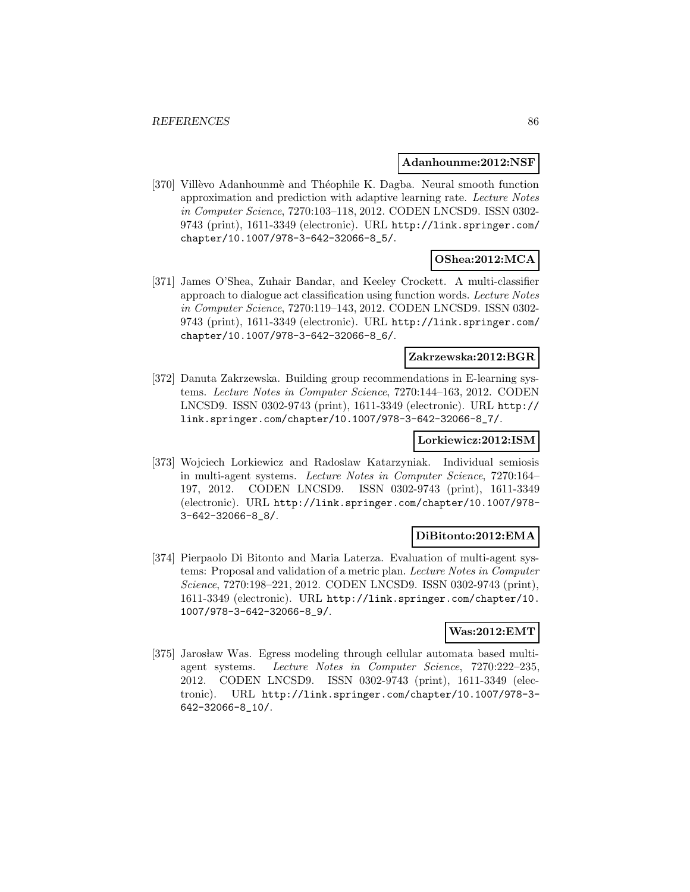#### **Adanhounme:2012:NSF**

[370] Villèvo Adanhounmè and Théophile K. Dagba. Neural smooth function approximation and prediction with adaptive learning rate. Lecture Notes in Computer Science, 7270:103–118, 2012. CODEN LNCSD9. ISSN 0302- 9743 (print), 1611-3349 (electronic). URL http://link.springer.com/ chapter/10.1007/978-3-642-32066-8\_5/.

# **OShea:2012:MCA**

[371] James O'Shea, Zuhair Bandar, and Keeley Crockett. A multi-classifier approach to dialogue act classification using function words. Lecture Notes in Computer Science, 7270:119–143, 2012. CODEN LNCSD9. ISSN 0302- 9743 (print), 1611-3349 (electronic). URL http://link.springer.com/ chapter/10.1007/978-3-642-32066-8\_6/.

### **Zakrzewska:2012:BGR**

[372] Danuta Zakrzewska. Building group recommendations in E-learning systems. Lecture Notes in Computer Science, 7270:144–163, 2012. CODEN LNCSD9. ISSN 0302-9743 (print), 1611-3349 (electronic). URL http:// link.springer.com/chapter/10.1007/978-3-642-32066-8\_7/.

#### **Lorkiewicz:2012:ISM**

[373] Wojciech Lorkiewicz and Radoslaw Katarzyniak. Individual semiosis in multi-agent systems. Lecture Notes in Computer Science, 7270:164– 197, 2012. CODEN LNCSD9. ISSN 0302-9743 (print), 1611-3349 (electronic). URL http://link.springer.com/chapter/10.1007/978- 3-642-32066-8\_8/.

#### **DiBitonto:2012:EMA**

[374] Pierpaolo Di Bitonto and Maria Laterza. Evaluation of multi-agent systems: Proposal and validation of a metric plan. Lecture Notes in Computer Science, 7270:198–221, 2012. CODEN LNCSD9. ISSN 0302-9743 (print), 1611-3349 (electronic). URL http://link.springer.com/chapter/10. 1007/978-3-642-32066-8\_9/.

# **Was:2012:EMT**

[375] Jarosław Was. Egress modeling through cellular automata based multiagent systems. Lecture Notes in Computer Science, 7270:222–235, 2012. CODEN LNCSD9. ISSN 0302-9743 (print), 1611-3349 (electronic). URL http://link.springer.com/chapter/10.1007/978-3- 642-32066-8\_10/.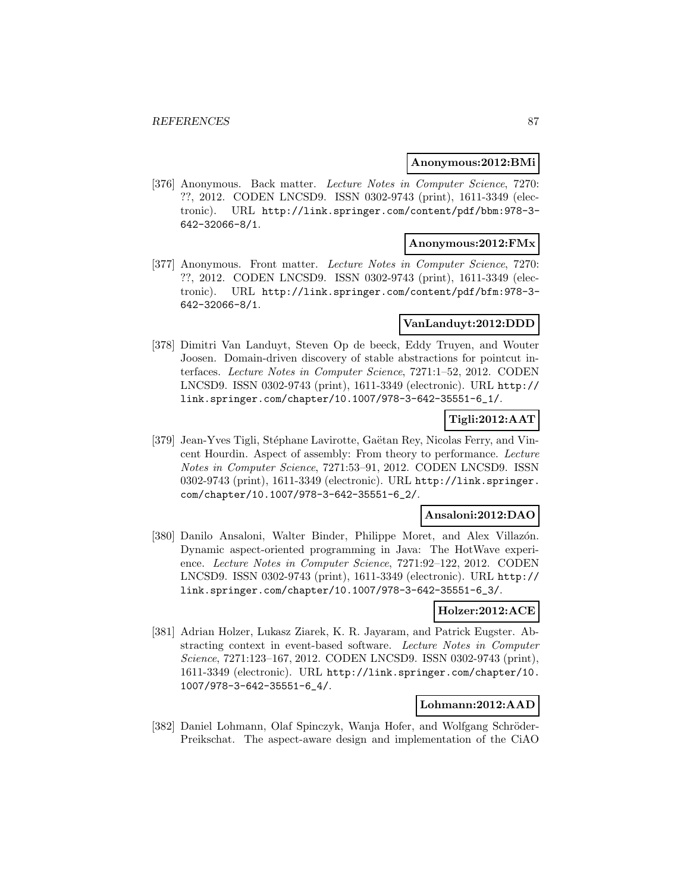#### **Anonymous:2012:BMi**

[376] Anonymous. Back matter. Lecture Notes in Computer Science, 7270: ??, 2012. CODEN LNCSD9. ISSN 0302-9743 (print), 1611-3349 (electronic). URL http://link.springer.com/content/pdf/bbm:978-3- 642-32066-8/1.

### **Anonymous:2012:FMx**

[377] Anonymous. Front matter. Lecture Notes in Computer Science, 7270: ??, 2012. CODEN LNCSD9. ISSN 0302-9743 (print), 1611-3349 (electronic). URL http://link.springer.com/content/pdf/bfm:978-3- 642-32066-8/1.

# **VanLanduyt:2012:DDD**

[378] Dimitri Van Landuyt, Steven Op de beeck, Eddy Truyen, and Wouter Joosen. Domain-driven discovery of stable abstractions for pointcut interfaces. Lecture Notes in Computer Science, 7271:1–52, 2012. CODEN LNCSD9. ISSN 0302-9743 (print), 1611-3349 (electronic). URL http:// link.springer.com/chapter/10.1007/978-3-642-35551-6\_1/.

# **Tigli:2012:AAT**

[379] Jean-Yves Tigli, Stéphane Lavirotte, Gaëtan Rey, Nicolas Ferry, and Vincent Hourdin. Aspect of assembly: From theory to performance. Lecture Notes in Computer Science, 7271:53–91, 2012. CODEN LNCSD9. ISSN 0302-9743 (print), 1611-3349 (electronic). URL http://link.springer. com/chapter/10.1007/978-3-642-35551-6\_2/.

## **Ansaloni:2012:DAO**

[380] Danilo Ansaloni, Walter Binder, Philippe Moret, and Alex Villazón. Dynamic aspect-oriented programming in Java: The HotWave experience. Lecture Notes in Computer Science, 7271:92–122, 2012. CODEN LNCSD9. ISSN 0302-9743 (print), 1611-3349 (electronic). URL http:// link.springer.com/chapter/10.1007/978-3-642-35551-6\_3/.

# **Holzer:2012:ACE**

[381] Adrian Holzer, Lukasz Ziarek, K. R. Jayaram, and Patrick Eugster. Abstracting context in event-based software. Lecture Notes in Computer Science, 7271:123–167, 2012. CODEN LNCSD9. ISSN 0302-9743 (print), 1611-3349 (electronic). URL http://link.springer.com/chapter/10. 1007/978-3-642-35551-6\_4/.

# **Lohmann:2012:AAD**

[382] Daniel Lohmann, Olaf Spinczyk, Wanja Hofer, and Wolfgang Schröder-Preikschat. The aspect-aware design and implementation of the CiAO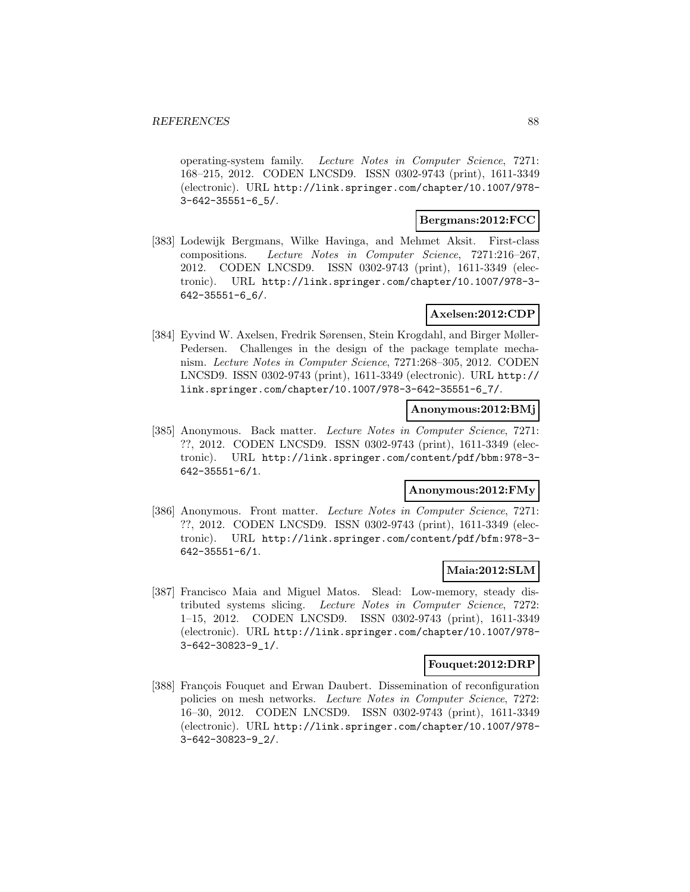operating-system family. Lecture Notes in Computer Science, 7271: 168–215, 2012. CODEN LNCSD9. ISSN 0302-9743 (print), 1611-3349 (electronic). URL http://link.springer.com/chapter/10.1007/978- 3-642-35551-6\_5/.

#### **Bergmans:2012:FCC**

[383] Lodewijk Bergmans, Wilke Havinga, and Mehmet Aksit. First-class compositions. Lecture Notes in Computer Science, 7271:216–267, 2012. CODEN LNCSD9. ISSN 0302-9743 (print), 1611-3349 (electronic). URL http://link.springer.com/chapter/10.1007/978-3- 642-35551-6\_6/.

# **Axelsen:2012:CDP**

[384] Eyvind W. Axelsen, Fredrik Sørensen, Stein Krogdahl, and Birger Møller-Pedersen. Challenges in the design of the package template mechanism. Lecture Notes in Computer Science, 7271:268–305, 2012. CODEN LNCSD9. ISSN 0302-9743 (print), 1611-3349 (electronic). URL http:// link.springer.com/chapter/10.1007/978-3-642-35551-6\_7/.

# **Anonymous:2012:BMj**

[385] Anonymous. Back matter. Lecture Notes in Computer Science, 7271: ??, 2012. CODEN LNCSD9. ISSN 0302-9743 (print), 1611-3349 (electronic). URL http://link.springer.com/content/pdf/bbm:978-3- 642-35551-6/1.

# **Anonymous:2012:FMy**

[386] Anonymous. Front matter. Lecture Notes in Computer Science, 7271: ??, 2012. CODEN LNCSD9. ISSN 0302-9743 (print), 1611-3349 (electronic). URL http://link.springer.com/content/pdf/bfm:978-3- 642-35551-6/1.

# **Maia:2012:SLM**

[387] Francisco Maia and Miguel Matos. Slead: Low-memory, steady distributed systems slicing. Lecture Notes in Computer Science, 7272: 1–15, 2012. CODEN LNCSD9. ISSN 0302-9743 (print), 1611-3349 (electronic). URL http://link.springer.com/chapter/10.1007/978- 3-642-30823-9\_1/.

### **Fouquet:2012:DRP**

[388] François Fouquet and Erwan Daubert. Dissemination of reconfiguration policies on mesh networks. Lecture Notes in Computer Science, 7272: 16–30, 2012. CODEN LNCSD9. ISSN 0302-9743 (print), 1611-3349 (electronic). URL http://link.springer.com/chapter/10.1007/978- 3-642-30823-9\_2/.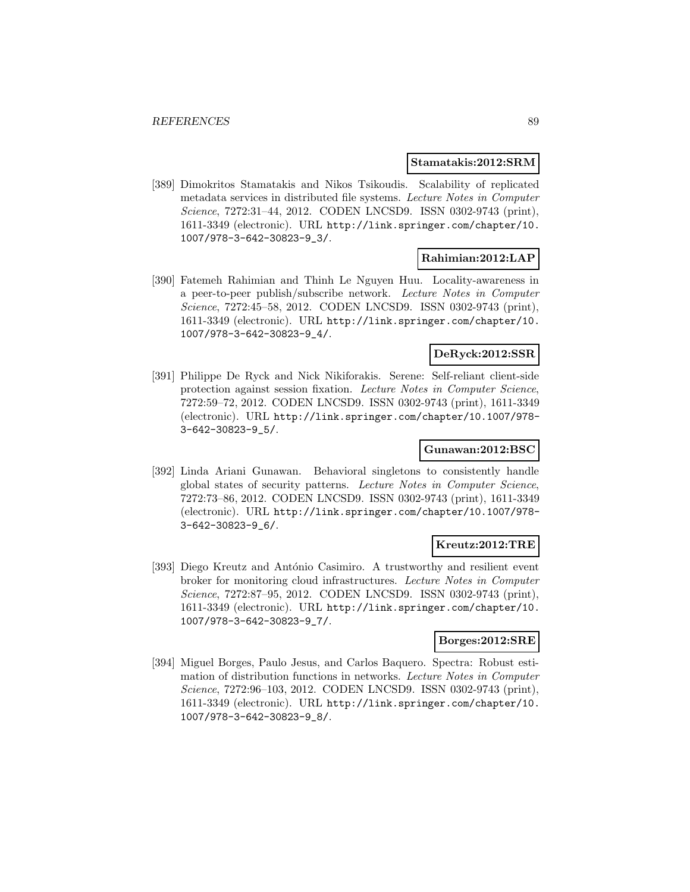#### **Stamatakis:2012:SRM**

[389] Dimokritos Stamatakis and Nikos Tsikoudis. Scalability of replicated metadata services in distributed file systems. Lecture Notes in Computer Science, 7272:31–44, 2012. CODEN LNCSD9. ISSN 0302-9743 (print), 1611-3349 (electronic). URL http://link.springer.com/chapter/10. 1007/978-3-642-30823-9\_3/.

### **Rahimian:2012:LAP**

[390] Fatemeh Rahimian and Thinh Le Nguyen Huu. Locality-awareness in a peer-to-peer publish/subscribe network. Lecture Notes in Computer Science, 7272:45–58, 2012. CODEN LNCSD9. ISSN 0302-9743 (print), 1611-3349 (electronic). URL http://link.springer.com/chapter/10. 1007/978-3-642-30823-9\_4/.

# **DeRyck:2012:SSR**

[391] Philippe De Ryck and Nick Nikiforakis. Serene: Self-reliant client-side protection against session fixation. Lecture Notes in Computer Science, 7272:59–72, 2012. CODEN LNCSD9. ISSN 0302-9743 (print), 1611-3349 (electronic). URL http://link.springer.com/chapter/10.1007/978- 3-642-30823-9\_5/.

## **Gunawan:2012:BSC**

[392] Linda Ariani Gunawan. Behavioral singletons to consistently handle global states of security patterns. Lecture Notes in Computer Science, 7272:73–86, 2012. CODEN LNCSD9. ISSN 0302-9743 (print), 1611-3349 (electronic). URL http://link.springer.com/chapter/10.1007/978- 3-642-30823-9\_6/.

### **Kreutz:2012:TRE**

[393] Diego Kreutz and António Casimiro. A trustworthy and resilient event broker for monitoring cloud infrastructures. Lecture Notes in Computer Science, 7272:87–95, 2012. CODEN LNCSD9. ISSN 0302-9743 (print), 1611-3349 (electronic). URL http://link.springer.com/chapter/10. 1007/978-3-642-30823-9\_7/.

#### **Borges:2012:SRE**

[394] Miguel Borges, Paulo Jesus, and Carlos Baquero. Spectra: Robust estimation of distribution functions in networks. Lecture Notes in Computer Science, 7272:96–103, 2012. CODEN LNCSD9. ISSN 0302-9743 (print), 1611-3349 (electronic). URL http://link.springer.com/chapter/10. 1007/978-3-642-30823-9\_8/.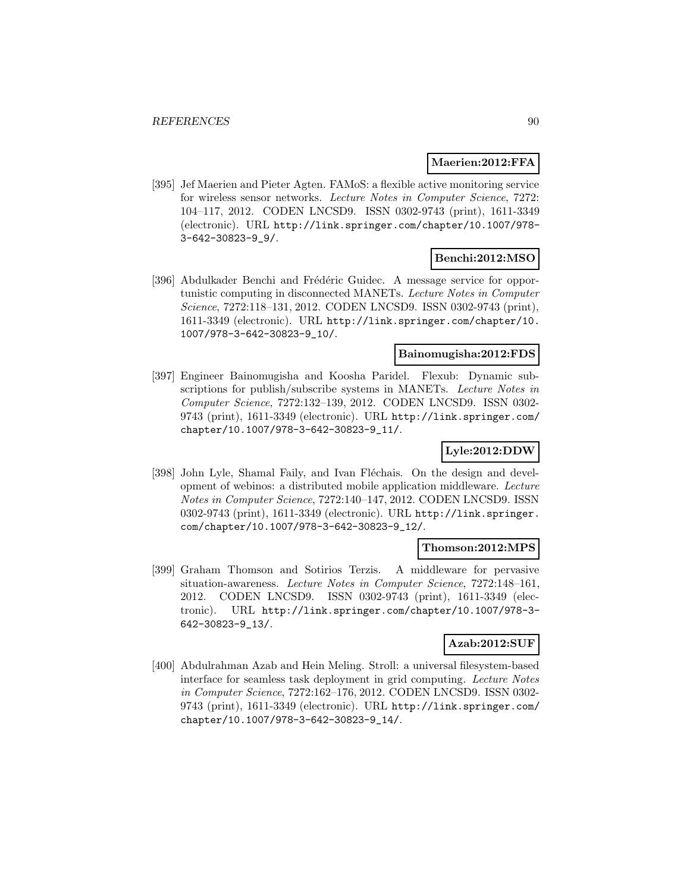### **Maerien:2012:FFA**

[395] Jef Maerien and Pieter Agten. FAMoS: a flexible active monitoring service for wireless sensor networks. Lecture Notes in Computer Science, 7272: 104–117, 2012. CODEN LNCSD9. ISSN 0302-9743 (print), 1611-3349 (electronic). URL http://link.springer.com/chapter/10.1007/978- 3-642-30823-9\_9/.

# **Benchi:2012:MSO**

[396] Abdulkader Benchi and Frédéric Guidec. A message service for opportunistic computing in disconnected MANETs. Lecture Notes in Computer Science, 7272:118–131, 2012. CODEN LNCSD9. ISSN 0302-9743 (print), 1611-3349 (electronic). URL http://link.springer.com/chapter/10. 1007/978-3-642-30823-9\_10/.

# **Bainomugisha:2012:FDS**

[397] Engineer Bainomugisha and Koosha Paridel. Flexub: Dynamic subscriptions for publish/subscribe systems in MANETs. Lecture Notes in Computer Science, 7272:132–139, 2012. CODEN LNCSD9. ISSN 0302- 9743 (print), 1611-3349 (electronic). URL http://link.springer.com/ chapter/10.1007/978-3-642-30823-9\_11/.

## **Lyle:2012:DDW**

[398] John Lyle, Shamal Faily, and Ivan Fléchais. On the design and development of webinos: a distributed mobile application middleware. Lecture Notes in Computer Science, 7272:140–147, 2012. CODEN LNCSD9. ISSN 0302-9743 (print), 1611-3349 (electronic). URL http://link.springer. com/chapter/10.1007/978-3-642-30823-9\_12/.

#### **Thomson:2012:MPS**

[399] Graham Thomson and Sotirios Terzis. A middleware for pervasive situation-awareness. Lecture Notes in Computer Science, 7272:148–161, 2012. CODEN LNCSD9. ISSN 0302-9743 (print), 1611-3349 (electronic). URL http://link.springer.com/chapter/10.1007/978-3- 642-30823-9\_13/.

## **Azab:2012:SUF**

[400] Abdulrahman Azab and Hein Meling. Stroll: a universal filesystem-based interface for seamless task deployment in grid computing. Lecture Notes in Computer Science, 7272:162–176, 2012. CODEN LNCSD9. ISSN 0302- 9743 (print), 1611-3349 (electronic). URL http://link.springer.com/ chapter/10.1007/978-3-642-30823-9\_14/.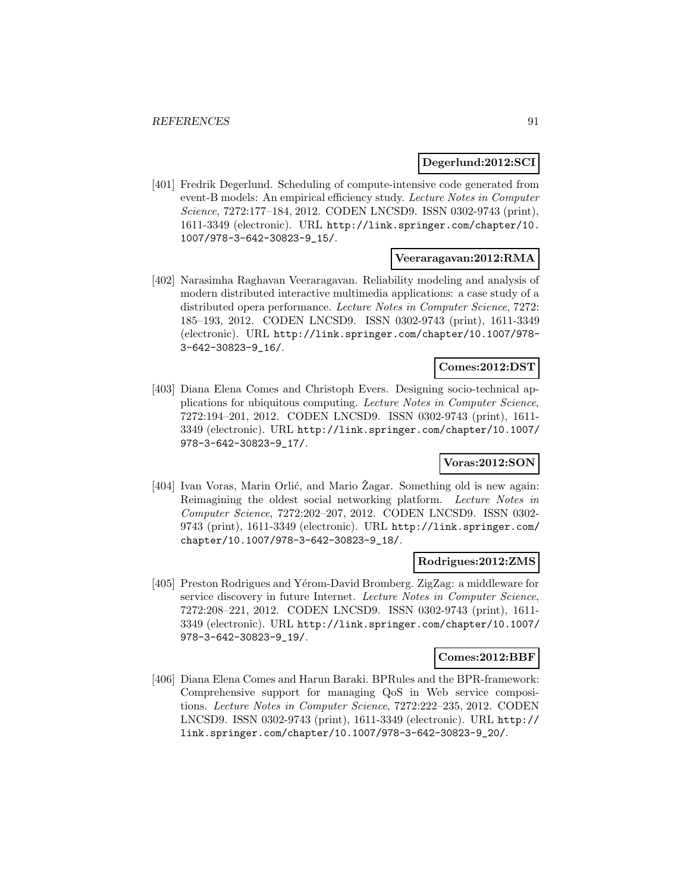### **Degerlund:2012:SCI**

[401] Fredrik Degerlund. Scheduling of compute-intensive code generated from event-B models: An empirical efficiency study. Lecture Notes in Computer Science, 7272:177–184, 2012. CODEN LNCSD9. ISSN 0302-9743 (print), 1611-3349 (electronic). URL http://link.springer.com/chapter/10. 1007/978-3-642-30823-9\_15/.

### **Veeraragavan:2012:RMA**

[402] Narasimha Raghavan Veeraragavan. Reliability modeling and analysis of modern distributed interactive multimedia applications: a case study of a distributed opera performance. Lecture Notes in Computer Science, 7272: 185–193, 2012. CODEN LNCSD9. ISSN 0302-9743 (print), 1611-3349 (electronic). URL http://link.springer.com/chapter/10.1007/978- 3-642-30823-9\_16/.

# **Comes:2012:DST**

[403] Diana Elena Comes and Christoph Evers. Designing socio-technical applications for ubiquitous computing. Lecture Notes in Computer Science, 7272:194–201, 2012. CODEN LNCSD9. ISSN 0302-9743 (print), 1611- 3349 (electronic). URL http://link.springer.com/chapter/10.1007/ 978-3-642-30823-9\_17/.

# **Voras:2012:SON**

[404] Ivan Voras, Marin Orlić, and Mario Zagar. Something old is new again: Reimagining the oldest social networking platform. Lecture Notes in Computer Science, 7272:202–207, 2012. CODEN LNCSD9. ISSN 0302- 9743 (print), 1611-3349 (electronic). URL http://link.springer.com/ chapter/10.1007/978-3-642-30823-9\_18/.

#### **Rodrigues:2012:ZMS**

[405] Preston Rodrigues and Yérom-David Bromberg. ZigZag: a middleware for service discovery in future Internet. Lecture Notes in Computer Science, 7272:208–221, 2012. CODEN LNCSD9. ISSN 0302-9743 (print), 1611- 3349 (electronic). URL http://link.springer.com/chapter/10.1007/ 978-3-642-30823-9\_19/.

#### **Comes:2012:BBF**

[406] Diana Elena Comes and Harun Baraki. BPRules and the BPR-framework: Comprehensive support for managing QoS in Web service compositions. Lecture Notes in Computer Science, 7272:222–235, 2012. CODEN LNCSD9. ISSN 0302-9743 (print), 1611-3349 (electronic). URL http:// link.springer.com/chapter/10.1007/978-3-642-30823-9\_20/.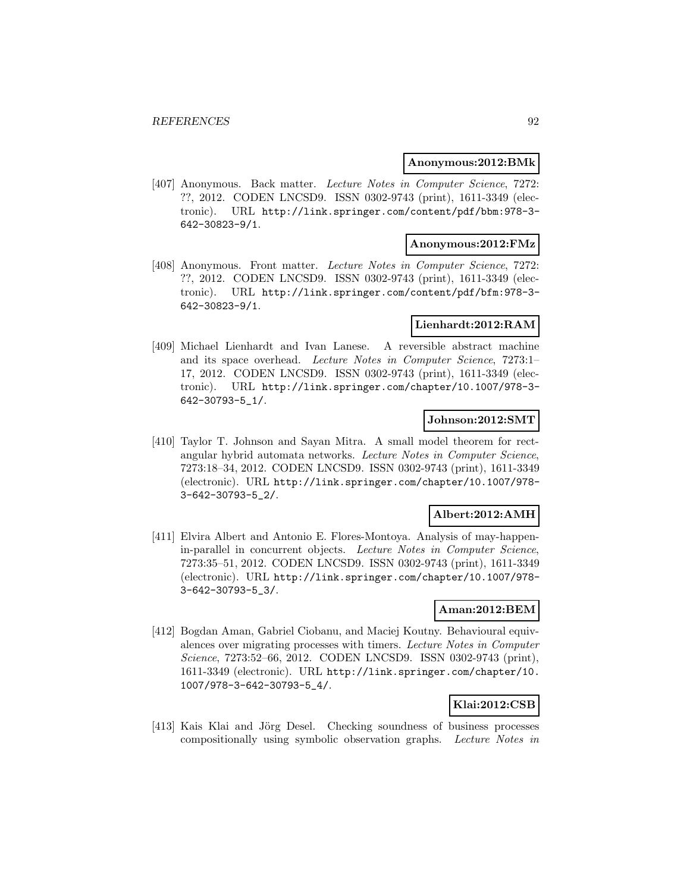#### **Anonymous:2012:BMk**

[407] Anonymous. Back matter. Lecture Notes in Computer Science, 7272: ??, 2012. CODEN LNCSD9. ISSN 0302-9743 (print), 1611-3349 (electronic). URL http://link.springer.com/content/pdf/bbm:978-3- 642-30823-9/1.

### **Anonymous:2012:FMz**

[408] Anonymous. Front matter. Lecture Notes in Computer Science, 7272: ??, 2012. CODEN LNCSD9. ISSN 0302-9743 (print), 1611-3349 (electronic). URL http://link.springer.com/content/pdf/bfm:978-3- 642-30823-9/1.

### **Lienhardt:2012:RAM**

[409] Michael Lienhardt and Ivan Lanese. A reversible abstract machine and its space overhead. Lecture Notes in Computer Science, 7273:1– 17, 2012. CODEN LNCSD9. ISSN 0302-9743 (print), 1611-3349 (electronic). URL http://link.springer.com/chapter/10.1007/978-3- 642-30793-5\_1/.

## **Johnson:2012:SMT**

[410] Taylor T. Johnson and Sayan Mitra. A small model theorem for rectangular hybrid automata networks. Lecture Notes in Computer Science, 7273:18–34, 2012. CODEN LNCSD9. ISSN 0302-9743 (print), 1611-3349 (electronic). URL http://link.springer.com/chapter/10.1007/978- 3-642-30793-5\_2/.

### **Albert:2012:AMH**

[411] Elvira Albert and Antonio E. Flores-Montoya. Analysis of may-happenin-parallel in concurrent objects. Lecture Notes in Computer Science, 7273:35–51, 2012. CODEN LNCSD9. ISSN 0302-9743 (print), 1611-3349 (electronic). URL http://link.springer.com/chapter/10.1007/978- 3-642-30793-5\_3/.

#### **Aman:2012:BEM**

[412] Bogdan Aman, Gabriel Ciobanu, and Maciej Koutny. Behavioural equivalences over migrating processes with timers. Lecture Notes in Computer Science, 7273:52-66, 2012. CODEN LNCSD9. ISSN 0302-9743 (print), 1611-3349 (electronic). URL http://link.springer.com/chapter/10. 1007/978-3-642-30793-5\_4/.

### **Klai:2012:CSB**

[413] Kais Klai and Jörg Desel. Checking soundness of business processes compositionally using symbolic observation graphs. Lecture Notes in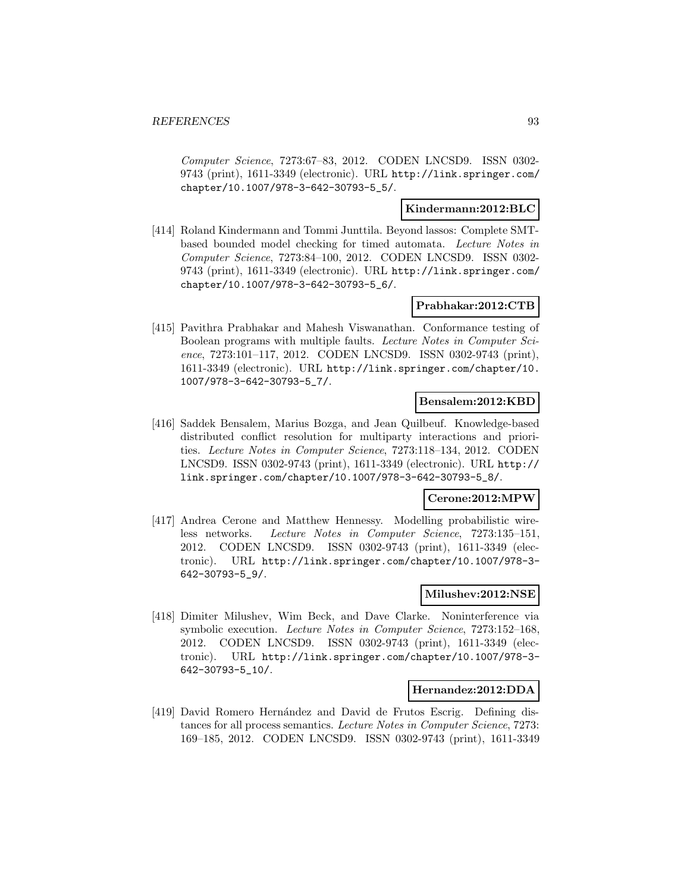Computer Science, 7273:67–83, 2012. CODEN LNCSD9. ISSN 0302- 9743 (print), 1611-3349 (electronic). URL http://link.springer.com/ chapter/10.1007/978-3-642-30793-5\_5/.

### **Kindermann:2012:BLC**

[414] Roland Kindermann and Tommi Junttila. Beyond lassos: Complete SMTbased bounded model checking for timed automata. Lecture Notes in Computer Science, 7273:84–100, 2012. CODEN LNCSD9. ISSN 0302- 9743 (print), 1611-3349 (electronic). URL http://link.springer.com/ chapter/10.1007/978-3-642-30793-5\_6/.

### **Prabhakar:2012:CTB**

[415] Pavithra Prabhakar and Mahesh Viswanathan. Conformance testing of Boolean programs with multiple faults. Lecture Notes in Computer Science, 7273:101–117, 2012. CODEN LNCSD9. ISSN 0302-9743 (print), 1611-3349 (electronic). URL http://link.springer.com/chapter/10. 1007/978-3-642-30793-5\_7/.

#### **Bensalem:2012:KBD**

[416] Saddek Bensalem, Marius Bozga, and Jean Quilbeuf. Knowledge-based distributed conflict resolution for multiparty interactions and priorities. Lecture Notes in Computer Science, 7273:118–134, 2012. CODEN LNCSD9. ISSN 0302-9743 (print), 1611-3349 (electronic). URL http:// link.springer.com/chapter/10.1007/978-3-642-30793-5\_8/.

# **Cerone:2012:MPW**

[417] Andrea Cerone and Matthew Hennessy. Modelling probabilistic wireless networks. Lecture Notes in Computer Science, 7273:135–151, 2012. CODEN LNCSD9. ISSN 0302-9743 (print), 1611-3349 (electronic). URL http://link.springer.com/chapter/10.1007/978-3- 642-30793-5\_9/.

# **Milushev:2012:NSE**

[418] Dimiter Milushev, Wim Beck, and Dave Clarke. Noninterference via symbolic execution. Lecture Notes in Computer Science, 7273:152–168, 2012. CODEN LNCSD9. ISSN 0302-9743 (print), 1611-3349 (electronic). URL http://link.springer.com/chapter/10.1007/978-3- 642-30793-5\_10/.

### **Hernandez:2012:DDA**

[419] David Romero Hernández and David de Frutos Escrig. Defining distances for all process semantics. Lecture Notes in Computer Science, 7273: 169–185, 2012. CODEN LNCSD9. ISSN 0302-9743 (print), 1611-3349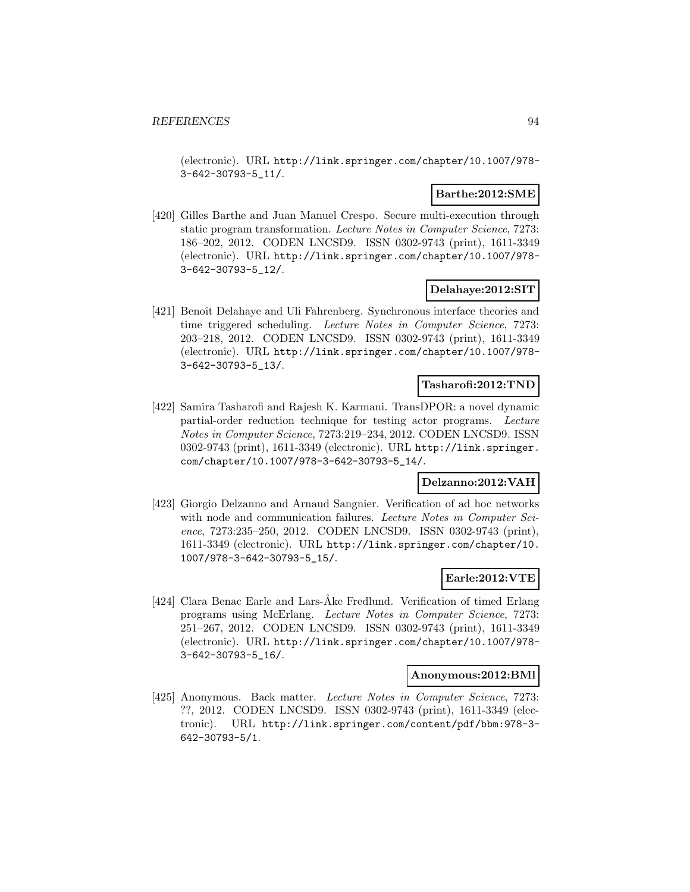(electronic). URL http://link.springer.com/chapter/10.1007/978- 3-642-30793-5\_11/.

## **Barthe:2012:SME**

[420] Gilles Barthe and Juan Manuel Crespo. Secure multi-execution through static program transformation. Lecture Notes in Computer Science, 7273: 186–202, 2012. CODEN LNCSD9. ISSN 0302-9743 (print), 1611-3349 (electronic). URL http://link.springer.com/chapter/10.1007/978- 3-642-30793-5\_12/.

### **Delahaye:2012:SIT**

[421] Benoît Delahaye and Uli Fahrenberg. Synchronous interface theories and time triggered scheduling. Lecture Notes in Computer Science, 7273: 203–218, 2012. CODEN LNCSD9. ISSN 0302-9743 (print), 1611-3349 (electronic). URL http://link.springer.com/chapter/10.1007/978- 3-642-30793-5\_13/.

#### **Tasharofi:2012:TND**

[422] Samira Tasharofi and Rajesh K. Karmani. TransDPOR: a novel dynamic partial-order reduction technique for testing actor programs. Lecture Notes in Computer Science, 7273:219–234, 2012. CODEN LNCSD9. ISSN 0302-9743 (print), 1611-3349 (electronic). URL http://link.springer. com/chapter/10.1007/978-3-642-30793-5\_14/.

# **Delzanno:2012:VAH**

[423] Giorgio Delzanno and Arnaud Sangnier. Verification of ad hoc networks with node and communication failures. Lecture Notes in Computer Science, 7273:235–250, 2012. CODEN LNCSD9. ISSN 0302-9743 (print), 1611-3349 (electronic). URL http://link.springer.com/chapter/10. 1007/978-3-642-30793-5\_15/.

### **Earle:2012:VTE**

[424] Clara Benac Earle and Lars-Åke Fredlund. Verification of timed Erlang programs using McErlang. Lecture Notes in Computer Science, 7273: 251–267, 2012. CODEN LNCSD9. ISSN 0302-9743 (print), 1611-3349 (electronic). URL http://link.springer.com/chapter/10.1007/978- 3-642-30793-5\_16/.

#### **Anonymous:2012:BMl**

[425] Anonymous. Back matter. Lecture Notes in Computer Science, 7273: ??, 2012. CODEN LNCSD9. ISSN 0302-9743 (print), 1611-3349 (electronic). URL http://link.springer.com/content/pdf/bbm:978-3- 642-30793-5/1.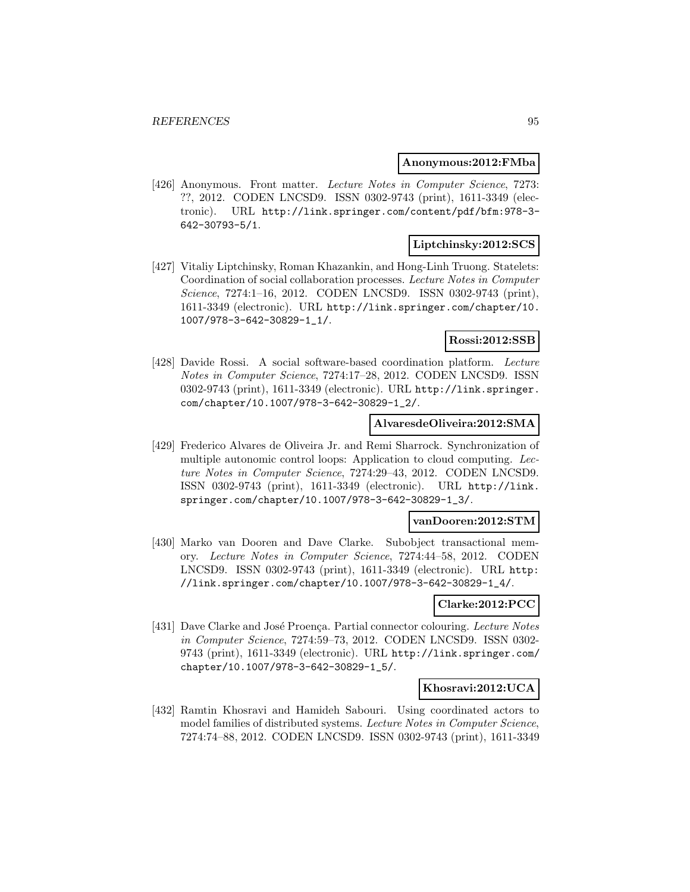#### **Anonymous:2012:FMba**

[426] Anonymous. Front matter. Lecture Notes in Computer Science, 7273: ??, 2012. CODEN LNCSD9. ISSN 0302-9743 (print), 1611-3349 (electronic). URL http://link.springer.com/content/pdf/bfm:978-3- 642-30793-5/1.

# **Liptchinsky:2012:SCS**

[427] Vitaliy Liptchinsky, Roman Khazankin, and Hong-Linh Truong. Statelets: Coordination of social collaboration processes. Lecture Notes in Computer Science, 7274:1–16, 2012. CODEN LNCSD9. ISSN 0302-9743 (print), 1611-3349 (electronic). URL http://link.springer.com/chapter/10. 1007/978-3-642-30829-1\_1/.

# **Rossi:2012:SSB**

[428] Davide Rossi. A social software-based coordination platform. Lecture Notes in Computer Science, 7274:17–28, 2012. CODEN LNCSD9. ISSN 0302-9743 (print), 1611-3349 (electronic). URL http://link.springer. com/chapter/10.1007/978-3-642-30829-1\_2/.

#### **AlvaresdeOliveira:2012:SMA**

[429] Frederico Alvares de Oliveira Jr. and Remi Sharrock. Synchronization of multiple autonomic control loops: Application to cloud computing. Lecture Notes in Computer Science, 7274:29–43, 2012. CODEN LNCSD9. ISSN 0302-9743 (print), 1611-3349 (electronic). URL http://link. springer.com/chapter/10.1007/978-3-642-30829-1\_3/.

### **vanDooren:2012:STM**

[430] Marko van Dooren and Dave Clarke. Subobject transactional memory. Lecture Notes in Computer Science, 7274:44–58, 2012. CODEN LNCSD9. ISSN 0302-9743 (print), 1611-3349 (electronic). URL http: //link.springer.com/chapter/10.1007/978-3-642-30829-1\_4/.

### **Clarke:2012:PCC**

[431] Dave Clarke and José Proença. Partial connector colouring. Lecture Notes in Computer Science, 7274:59–73, 2012. CODEN LNCSD9. ISSN 0302- 9743 (print), 1611-3349 (electronic). URL http://link.springer.com/ chapter/10.1007/978-3-642-30829-1\_5/.

### **Khosravi:2012:UCA**

[432] Ramtin Khosravi and Hamideh Sabouri. Using coordinated actors to model families of distributed systems. Lecture Notes in Computer Science, 7274:74–88, 2012. CODEN LNCSD9. ISSN 0302-9743 (print), 1611-3349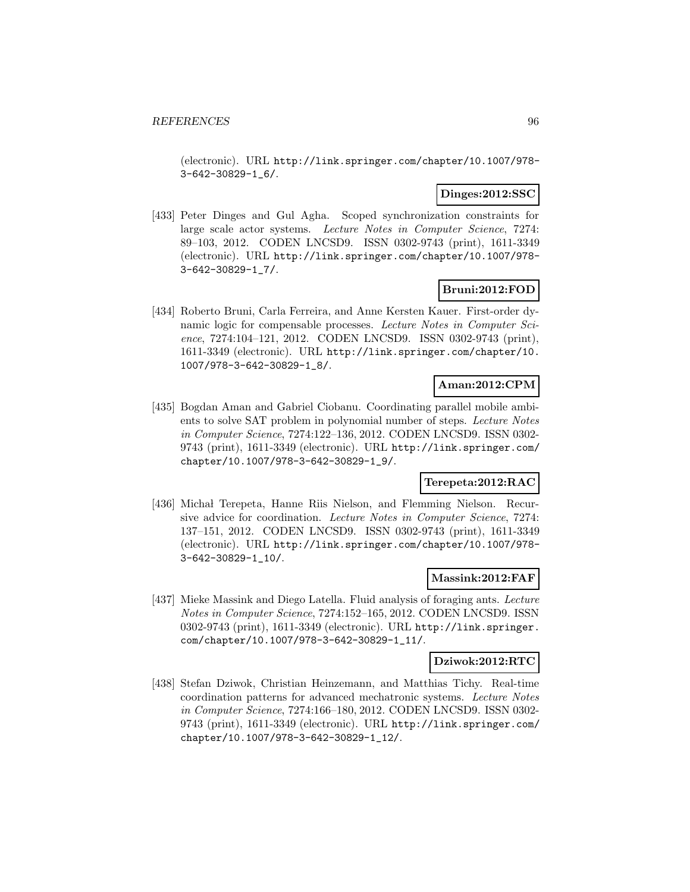(electronic). URL http://link.springer.com/chapter/10.1007/978- 3-642-30829-1\_6/.

### **Dinges:2012:SSC**

[433] Peter Dinges and Gul Agha. Scoped synchronization constraints for large scale actor systems. Lecture Notes in Computer Science, 7274: 89–103, 2012. CODEN LNCSD9. ISSN 0302-9743 (print), 1611-3349 (electronic). URL http://link.springer.com/chapter/10.1007/978- 3-642-30829-1\_7/.

# **Bruni:2012:FOD**

[434] Roberto Bruni, Carla Ferreira, and Anne Kersten Kauer. First-order dynamic logic for compensable processes. Lecture Notes in Computer Science, 7274:104–121, 2012. CODEN LNCSD9. ISSN 0302-9743 (print), 1611-3349 (electronic). URL http://link.springer.com/chapter/10. 1007/978-3-642-30829-1\_8/.

# **Aman:2012:CPM**

[435] Bogdan Aman and Gabriel Ciobanu. Coordinating parallel mobile ambients to solve SAT problem in polynomial number of steps. Lecture Notes in Computer Science, 7274:122–136, 2012. CODEN LNCSD9. ISSN 0302- 9743 (print), 1611-3349 (electronic). URL http://link.springer.com/ chapter/10.1007/978-3-642-30829-1\_9/.

# **Terepeta:2012:RAC**

[436] Michał Terepeta, Hanne Riis Nielson, and Flemming Nielson. Recursive advice for coordination. Lecture Notes in Computer Science, 7274: 137–151, 2012. CODEN LNCSD9. ISSN 0302-9743 (print), 1611-3349 (electronic). URL http://link.springer.com/chapter/10.1007/978- 3-642-30829-1\_10/.

### **Massink:2012:FAF**

[437] Mieke Massink and Diego Latella. Fluid analysis of foraging ants. Lecture Notes in Computer Science, 7274:152–165, 2012. CODEN LNCSD9. ISSN 0302-9743 (print), 1611-3349 (electronic). URL http://link.springer. com/chapter/10.1007/978-3-642-30829-1\_11/.

### **Dziwok:2012:RTC**

[438] Stefan Dziwok, Christian Heinzemann, and Matthias Tichy. Real-time coordination patterns for advanced mechatronic systems. Lecture Notes in Computer Science, 7274:166–180, 2012. CODEN LNCSD9. ISSN 0302- 9743 (print), 1611-3349 (electronic). URL http://link.springer.com/ chapter/10.1007/978-3-642-30829-1\_12/.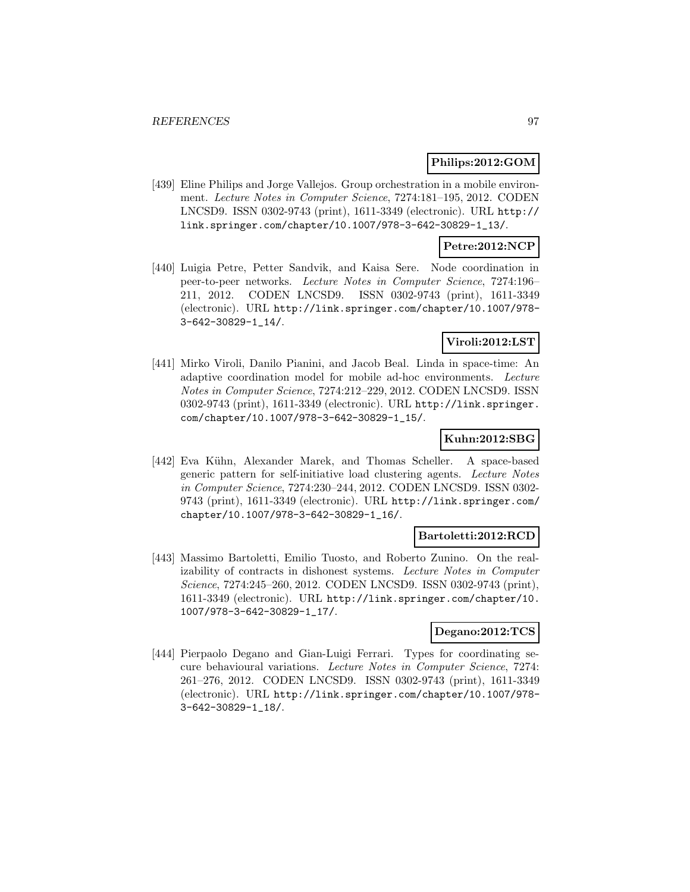### **Philips:2012:GOM**

[439] Eline Philips and Jorge Vallejos. Group orchestration in a mobile environment. Lecture Notes in Computer Science, 7274:181–195, 2012. CODEN LNCSD9. ISSN 0302-9743 (print), 1611-3349 (electronic). URL http:// link.springer.com/chapter/10.1007/978-3-642-30829-1\_13/.

### **Petre:2012:NCP**

[440] Luigia Petre, Petter Sandvik, and Kaisa Sere. Node coordination in peer-to-peer networks. Lecture Notes in Computer Science, 7274:196– 211, 2012. CODEN LNCSD9. ISSN 0302-9743 (print), 1611-3349 (electronic). URL http://link.springer.com/chapter/10.1007/978- 3-642-30829-1\_14/.

### **Viroli:2012:LST**

[441] Mirko Viroli, Danilo Pianini, and Jacob Beal. Linda in space-time: An adaptive coordination model for mobile ad-hoc environments. Lecture Notes in Computer Science, 7274:212–229, 2012. CODEN LNCSD9. ISSN 0302-9743 (print), 1611-3349 (electronic). URL http://link.springer. com/chapter/10.1007/978-3-642-30829-1\_15/.

### **Kuhn:2012:SBG**

[442] Eva Kühn, Alexander Marek, and Thomas Scheller. A space-based generic pattern for self-initiative load clustering agents. Lecture Notes in Computer Science, 7274:230–244, 2012. CODEN LNCSD9. ISSN 0302- 9743 (print), 1611-3349 (electronic). URL http://link.springer.com/ chapter/10.1007/978-3-642-30829-1\_16/.

### **Bartoletti:2012:RCD**

[443] Massimo Bartoletti, Emilio Tuosto, and Roberto Zunino. On the realizability of contracts in dishonest systems. Lecture Notes in Computer Science, 7274:245–260, 2012. CODEN LNCSD9. ISSN 0302-9743 (print), 1611-3349 (electronic). URL http://link.springer.com/chapter/10. 1007/978-3-642-30829-1\_17/.

# **Degano:2012:TCS**

[444] Pierpaolo Degano and Gian-Luigi Ferrari. Types for coordinating secure behavioural variations. Lecture Notes in Computer Science, 7274: 261–276, 2012. CODEN LNCSD9. ISSN 0302-9743 (print), 1611-3349 (electronic). URL http://link.springer.com/chapter/10.1007/978- 3-642-30829-1\_18/.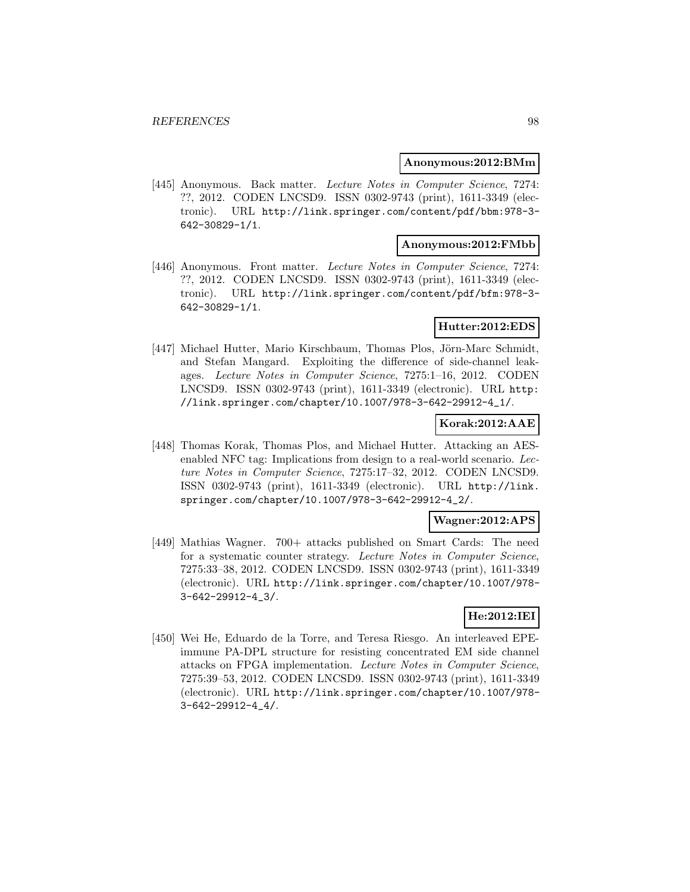#### **Anonymous:2012:BMm**

[445] Anonymous. Back matter. Lecture Notes in Computer Science, 7274: ??, 2012. CODEN LNCSD9. ISSN 0302-9743 (print), 1611-3349 (electronic). URL http://link.springer.com/content/pdf/bbm:978-3- 642-30829-1/1.

### **Anonymous:2012:FMbb**

[446] Anonymous. Front matter. Lecture Notes in Computer Science, 7274: ??, 2012. CODEN LNCSD9. ISSN 0302-9743 (print), 1611-3349 (electronic). URL http://link.springer.com/content/pdf/bfm:978-3- 642-30829-1/1.

### **Hutter:2012:EDS**

[447] Michael Hutter, Mario Kirschbaum, Thomas Plos, Jörn-Marc Schmidt, and Stefan Mangard. Exploiting the difference of side-channel leakages. Lecture Notes in Computer Science, 7275:1–16, 2012. CODEN LNCSD9. ISSN 0302-9743 (print), 1611-3349 (electronic). URL http: //link.springer.com/chapter/10.1007/978-3-642-29912-4\_1/.

### **Korak:2012:AAE**

[448] Thomas Korak, Thomas Plos, and Michael Hutter. Attacking an AESenabled NFC tag: Implications from design to a real-world scenario. Lecture Notes in Computer Science, 7275:17–32, 2012. CODEN LNCSD9. ISSN 0302-9743 (print), 1611-3349 (electronic). URL http://link. springer.com/chapter/10.1007/978-3-642-29912-4\_2/.

# **Wagner:2012:APS**

[449] Mathias Wagner. 700+ attacks published on Smart Cards: The need for a systematic counter strategy. Lecture Notes in Computer Science, 7275:33–38, 2012. CODEN LNCSD9. ISSN 0302-9743 (print), 1611-3349 (electronic). URL http://link.springer.com/chapter/10.1007/978- 3-642-29912-4\_3/.

# **He:2012:IEI**

[450] Wei He, Eduardo de la Torre, and Teresa Riesgo. An interleaved EPEimmune PA-DPL structure for resisting concentrated EM side channel attacks on FPGA implementation. Lecture Notes in Computer Science, 7275:39–53, 2012. CODEN LNCSD9. ISSN 0302-9743 (print), 1611-3349 (electronic). URL http://link.springer.com/chapter/10.1007/978- 3-642-29912-4\_4/.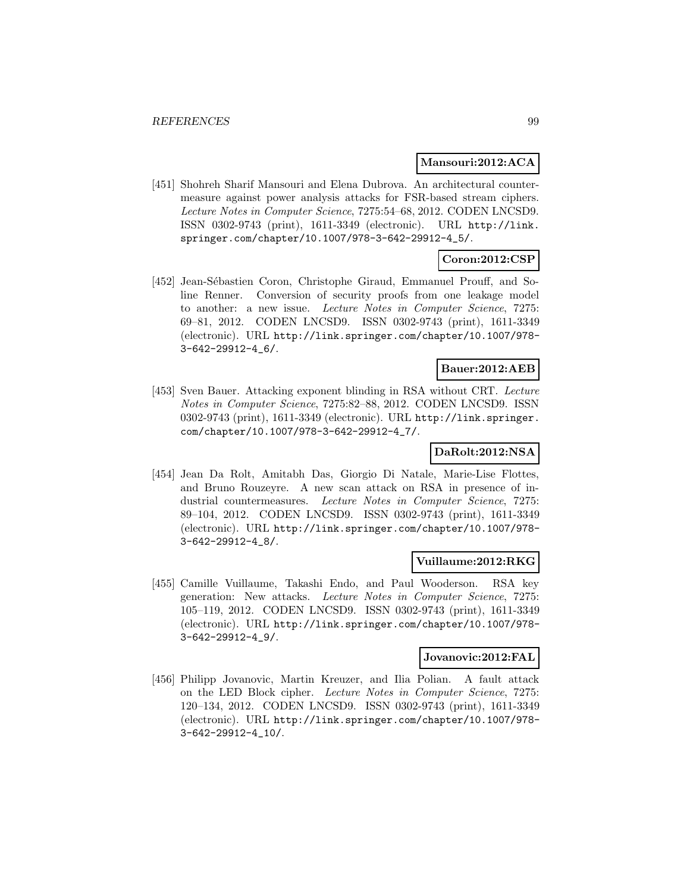#### **Mansouri:2012:ACA**

[451] Shohreh Sharif Mansouri and Elena Dubrova. An architectural countermeasure against power analysis attacks for FSR-based stream ciphers. Lecture Notes in Computer Science, 7275:54–68, 2012. CODEN LNCSD9. ISSN 0302-9743 (print), 1611-3349 (electronic). URL http://link. springer.com/chapter/10.1007/978-3-642-29912-4\_5/.

# **Coron:2012:CSP**

[452] Jean-Sébastien Coron, Christophe Giraud, Emmanuel Prouff, and Soline Renner. Conversion of security proofs from one leakage model to another: a new issue. Lecture Notes in Computer Science, 7275: 69–81, 2012. CODEN LNCSD9. ISSN 0302-9743 (print), 1611-3349 (electronic). URL http://link.springer.com/chapter/10.1007/978- 3-642-29912-4\_6/.

# **Bauer:2012:AEB**

[453] Sven Bauer. Attacking exponent blinding in RSA without CRT. Lecture Notes in Computer Science, 7275:82–88, 2012. CODEN LNCSD9. ISSN 0302-9743 (print), 1611-3349 (electronic). URL http://link.springer. com/chapter/10.1007/978-3-642-29912-4\_7/.

# **DaRolt:2012:NSA**

[454] Jean Da Rolt, Amitabh Das, Giorgio Di Natale, Marie-Lise Flottes, and Bruno Rouzeyre. A new scan attack on RSA in presence of industrial countermeasures. Lecture Notes in Computer Science, 7275: 89–104, 2012. CODEN LNCSD9. ISSN 0302-9743 (print), 1611-3349 (electronic). URL http://link.springer.com/chapter/10.1007/978- 3-642-29912-4\_8/.

### **Vuillaume:2012:RKG**

[455] Camille Vuillaume, Takashi Endo, and Paul Wooderson. RSA key generation: New attacks. Lecture Notes in Computer Science, 7275: 105–119, 2012. CODEN LNCSD9. ISSN 0302-9743 (print), 1611-3349 (electronic). URL http://link.springer.com/chapter/10.1007/978- 3-642-29912-4\_9/.

#### **Jovanovic:2012:FAL**

[456] Philipp Jovanovic, Martin Kreuzer, and Ilia Polian. A fault attack on the LED Block cipher. Lecture Notes in Computer Science, 7275: 120–134, 2012. CODEN LNCSD9. ISSN 0302-9743 (print), 1611-3349 (electronic). URL http://link.springer.com/chapter/10.1007/978- 3-642-29912-4\_10/.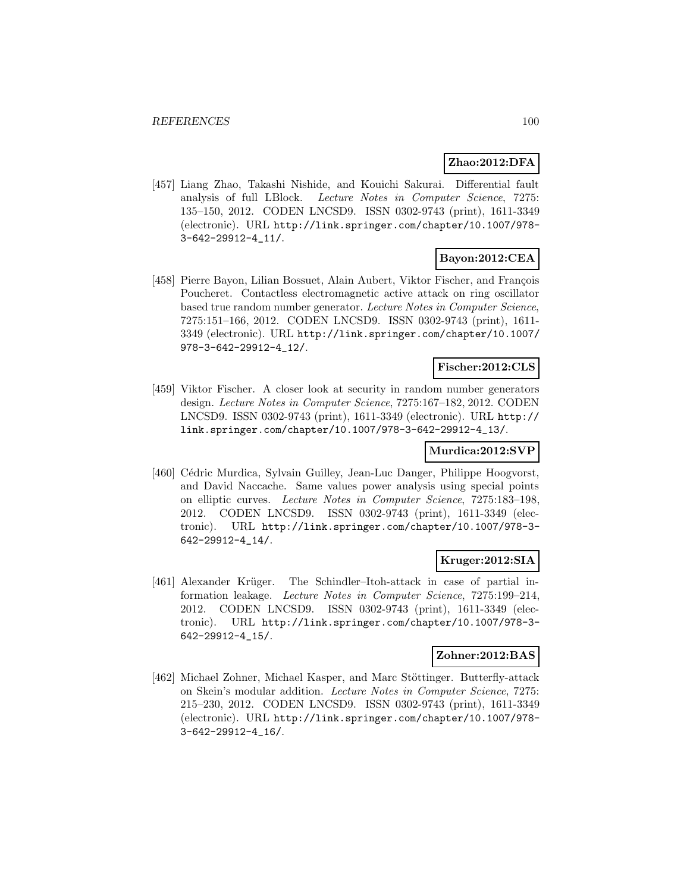### **Zhao:2012:DFA**

[457] Liang Zhao, Takashi Nishide, and Kouichi Sakurai. Differential fault analysis of full LBlock. Lecture Notes in Computer Science, 7275: 135–150, 2012. CODEN LNCSD9. ISSN 0302-9743 (print), 1611-3349 (electronic). URL http://link.springer.com/chapter/10.1007/978- 3-642-29912-4\_11/.

# **Bayon:2012:CEA**

[458] Pierre Bayon, Lilian Bossuet, Alain Aubert, Viktor Fischer, and François Poucheret. Contactless electromagnetic active attack on ring oscillator based true random number generator. Lecture Notes in Computer Science, 7275:151–166, 2012. CODEN LNCSD9. ISSN 0302-9743 (print), 1611- 3349 (electronic). URL http://link.springer.com/chapter/10.1007/ 978-3-642-29912-4\_12/.

# **Fischer:2012:CLS**

[459] Viktor Fischer. A closer look at security in random number generators design. Lecture Notes in Computer Science, 7275:167–182, 2012. CODEN LNCSD9. ISSN 0302-9743 (print), 1611-3349 (electronic). URL http:// link.springer.com/chapter/10.1007/978-3-642-29912-4\_13/.

## **Murdica:2012:SVP**

[460] Cédric Murdica, Sylvain Guilley, Jean-Luc Danger, Philippe Hoogvorst, and David Naccache. Same values power analysis using special points on elliptic curves. Lecture Notes in Computer Science, 7275:183–198, 2012. CODEN LNCSD9. ISSN 0302-9743 (print), 1611-3349 (electronic). URL http://link.springer.com/chapter/10.1007/978-3- 642-29912-4\_14/.

### **Kruger:2012:SIA**

[461] Alexander Krüger. The Schindler–Itoh-attack in case of partial information leakage. Lecture Notes in Computer Science, 7275:199–214, 2012. CODEN LNCSD9. ISSN 0302-9743 (print), 1611-3349 (electronic). URL http://link.springer.com/chapter/10.1007/978-3- 642-29912-4\_15/.

# **Zohner:2012:BAS**

[462] Michael Zohner, Michael Kasper, and Marc Stöttinger. Butterfly-attack on Skein's modular addition. Lecture Notes in Computer Science, 7275: 215–230, 2012. CODEN LNCSD9. ISSN 0302-9743 (print), 1611-3349 (electronic). URL http://link.springer.com/chapter/10.1007/978- 3-642-29912-4\_16/.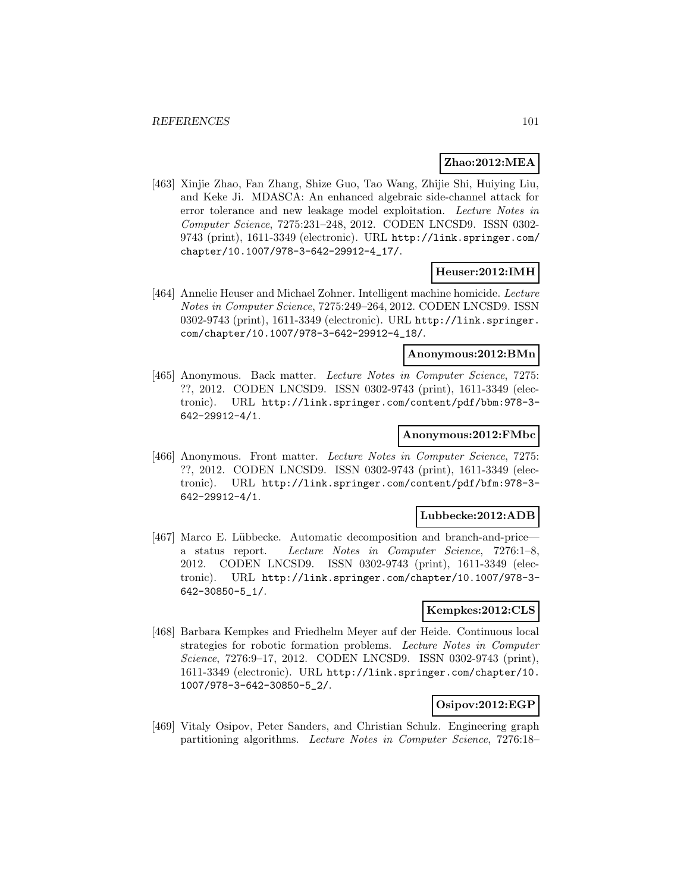## **Zhao:2012:MEA**

[463] Xinjie Zhao, Fan Zhang, Shize Guo, Tao Wang, Zhijie Shi, Huiying Liu, and Keke Ji. MDASCA: An enhanced algebraic side-channel attack for error tolerance and new leakage model exploitation. Lecture Notes in Computer Science, 7275:231–248, 2012. CODEN LNCSD9. ISSN 0302- 9743 (print), 1611-3349 (electronic). URL http://link.springer.com/ chapter/10.1007/978-3-642-29912-4\_17/.

### **Heuser:2012:IMH**

[464] Annelie Heuser and Michael Zohner. Intelligent machine homicide. Lecture Notes in Computer Science, 7275:249–264, 2012. CODEN LNCSD9. ISSN 0302-9743 (print), 1611-3349 (electronic). URL http://link.springer. com/chapter/10.1007/978-3-642-29912-4\_18/.

# **Anonymous:2012:BMn**

[465] Anonymous. Back matter. Lecture Notes in Computer Science, 7275: ??, 2012. CODEN LNCSD9. ISSN 0302-9743 (print), 1611-3349 (electronic). URL http://link.springer.com/content/pdf/bbm:978-3- 642-29912-4/1.

### **Anonymous:2012:FMbc**

[466] Anonymous. Front matter. Lecture Notes in Computer Science, 7275: ??, 2012. CODEN LNCSD9. ISSN 0302-9743 (print), 1611-3349 (electronic). URL http://link.springer.com/content/pdf/bfm:978-3- 642-29912-4/1.

#### **Lubbecke:2012:ADB**

[467] Marco E. Lübbecke. Automatic decomposition and branch-and-price a status report. Lecture Notes in Computer Science, 7276:1–8, 2012. CODEN LNCSD9. ISSN 0302-9743 (print), 1611-3349 (electronic). URL http://link.springer.com/chapter/10.1007/978-3- 642-30850-5\_1/.

### **Kempkes:2012:CLS**

[468] Barbara Kempkes and Friedhelm Meyer auf der Heide. Continuous local strategies for robotic formation problems. Lecture Notes in Computer Science, 7276:9-17, 2012. CODEN LNCSD9. ISSN 0302-9743 (print), 1611-3349 (electronic). URL http://link.springer.com/chapter/10. 1007/978-3-642-30850-5\_2/.

### **Osipov:2012:EGP**

[469] Vitaly Osipov, Peter Sanders, and Christian Schulz. Engineering graph partitioning algorithms. Lecture Notes in Computer Science, 7276:18–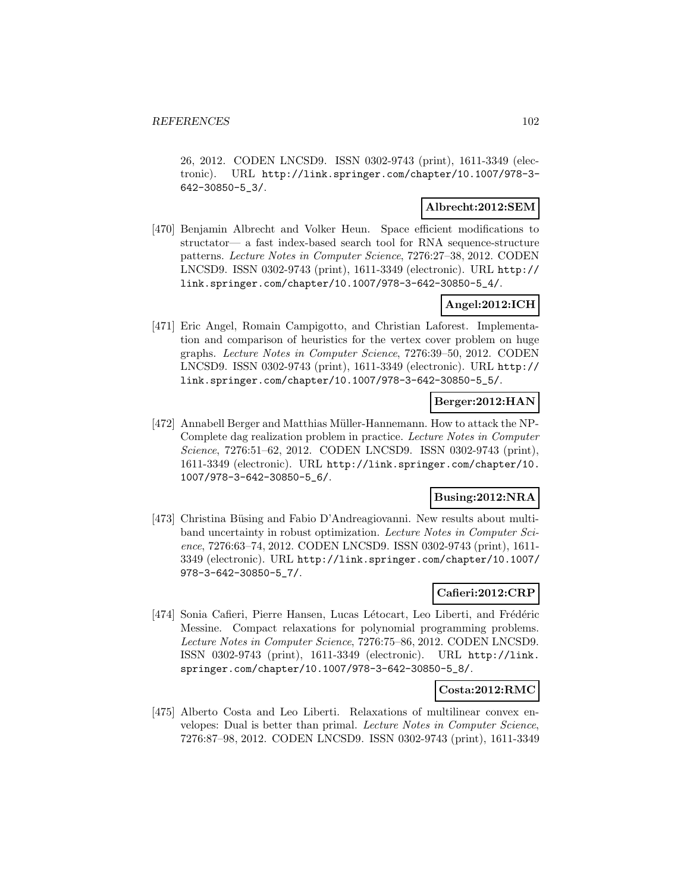26, 2012. CODEN LNCSD9. ISSN 0302-9743 (print), 1611-3349 (electronic). URL http://link.springer.com/chapter/10.1007/978-3- 642-30850-5\_3/.

### **Albrecht:2012:SEM**

[470] Benjamin Albrecht and Volker Heun. Space efficient modifications to structator— a fast index-based search tool for RNA sequence-structure patterns. Lecture Notes in Computer Science, 7276:27–38, 2012. CODEN LNCSD9. ISSN 0302-9743 (print), 1611-3349 (electronic). URL http:// link.springer.com/chapter/10.1007/978-3-642-30850-5\_4/.

# **Angel:2012:ICH**

[471] Eric Angel, Romain Campigotto, and Christian Laforest. Implementation and comparison of heuristics for the vertex cover problem on huge graphs. Lecture Notes in Computer Science, 7276:39–50, 2012. CODEN LNCSD9. ISSN 0302-9743 (print), 1611-3349 (electronic). URL http:// link.springer.com/chapter/10.1007/978-3-642-30850-5\_5/.

### **Berger:2012:HAN**

[472] Annabell Berger and Matthias Müller-Hannemann. How to attack the NP-Complete dag realization problem in practice. Lecture Notes in Computer Science, 7276:51–62, 2012. CODEN LNCSD9. ISSN 0302-9743 (print), 1611-3349 (electronic). URL http://link.springer.com/chapter/10. 1007/978-3-642-30850-5\_6/.

### **Busing:2012:NRA**

[473] Christina Büsing and Fabio D'Andreagiovanni. New results about multiband uncertainty in robust optimization. Lecture Notes in Computer Science, 7276:63–74, 2012. CODEN LNCSD9. ISSN 0302-9743 (print), 1611- 3349 (electronic). URL http://link.springer.com/chapter/10.1007/ 978-3-642-30850-5\_7/.

# **Cafieri:2012:CRP**

[474] Sonia Cafieri, Pierre Hansen, Lucas Létocart, Leo Liberti, and Frédéric Messine. Compact relaxations for polynomial programming problems. Lecture Notes in Computer Science, 7276:75–86, 2012. CODEN LNCSD9. ISSN 0302-9743 (print), 1611-3349 (electronic). URL http://link. springer.com/chapter/10.1007/978-3-642-30850-5\_8/.

#### **Costa:2012:RMC**

[475] Alberto Costa and Leo Liberti. Relaxations of multilinear convex envelopes: Dual is better than primal. Lecture Notes in Computer Science, 7276:87–98, 2012. CODEN LNCSD9. ISSN 0302-9743 (print), 1611-3349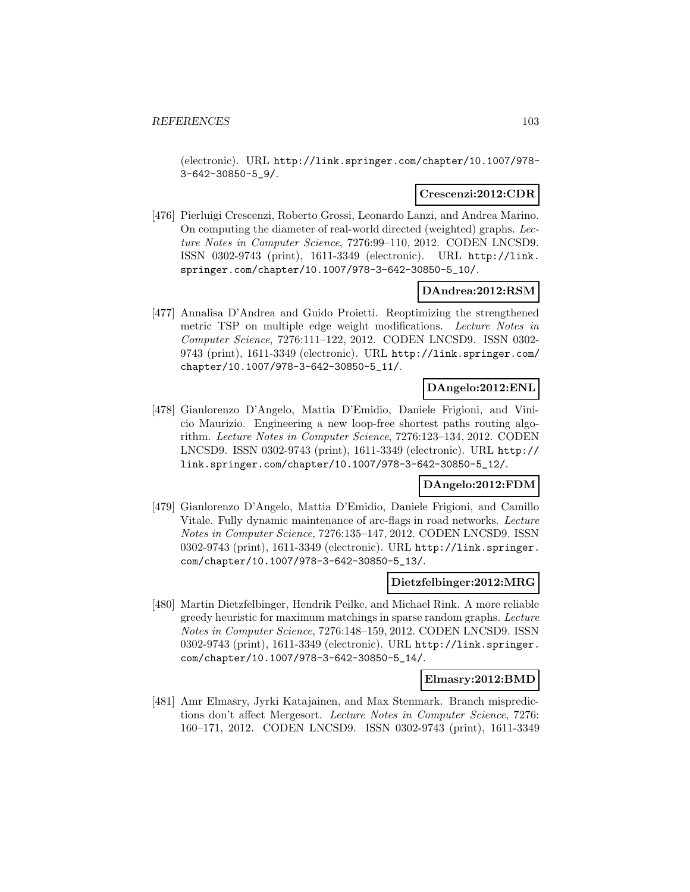(electronic). URL http://link.springer.com/chapter/10.1007/978- 3-642-30850-5\_9/.

### **Crescenzi:2012:CDR**

[476] Pierluigi Crescenzi, Roberto Grossi, Leonardo Lanzi, and Andrea Marino. On computing the diameter of real-world directed (weighted) graphs. Lecture Notes in Computer Science, 7276:99–110, 2012. CODEN LNCSD9. ISSN 0302-9743 (print), 1611-3349 (electronic). URL http://link. springer.com/chapter/10.1007/978-3-642-30850-5\_10/.

### **DAndrea:2012:RSM**

[477] Annalisa D'Andrea and Guido Proietti. Reoptimizing the strengthened metric TSP on multiple edge weight modifications. Lecture Notes in Computer Science, 7276:111–122, 2012. CODEN LNCSD9. ISSN 0302- 9743 (print), 1611-3349 (electronic). URL http://link.springer.com/ chapter/10.1007/978-3-642-30850-5\_11/.

# **DAngelo:2012:ENL**

[478] Gianlorenzo D'Angelo, Mattia D'Emidio, Daniele Frigioni, and Vinicio Maurizio. Engineering a new loop-free shortest paths routing algorithm. Lecture Notes in Computer Science, 7276:123–134, 2012. CODEN LNCSD9. ISSN 0302-9743 (print), 1611-3349 (electronic). URL http:// link.springer.com/chapter/10.1007/978-3-642-30850-5\_12/.

### **DAngelo:2012:FDM**

[479] Gianlorenzo D'Angelo, Mattia D'Emidio, Daniele Frigioni, and Camillo Vitale. Fully dynamic maintenance of arc-flags in road networks. Lecture Notes in Computer Science, 7276:135–147, 2012. CODEN LNCSD9. ISSN 0302-9743 (print), 1611-3349 (electronic). URL http://link.springer. com/chapter/10.1007/978-3-642-30850-5\_13/.

#### **Dietzfelbinger:2012:MRG**

[480] Martin Dietzfelbinger, Hendrik Peilke, and Michael Rink. A more reliable greedy heuristic for maximum matchings in sparse random graphs. Lecture Notes in Computer Science, 7276:148–159, 2012. CODEN LNCSD9. ISSN 0302-9743 (print), 1611-3349 (electronic). URL http://link.springer. com/chapter/10.1007/978-3-642-30850-5\_14/.

#### **Elmasry:2012:BMD**

[481] Amr Elmasry, Jyrki Katajainen, and Max Stenmark. Branch mispredictions don't affect Mergesort. Lecture Notes in Computer Science, 7276: 160–171, 2012. CODEN LNCSD9. ISSN 0302-9743 (print), 1611-3349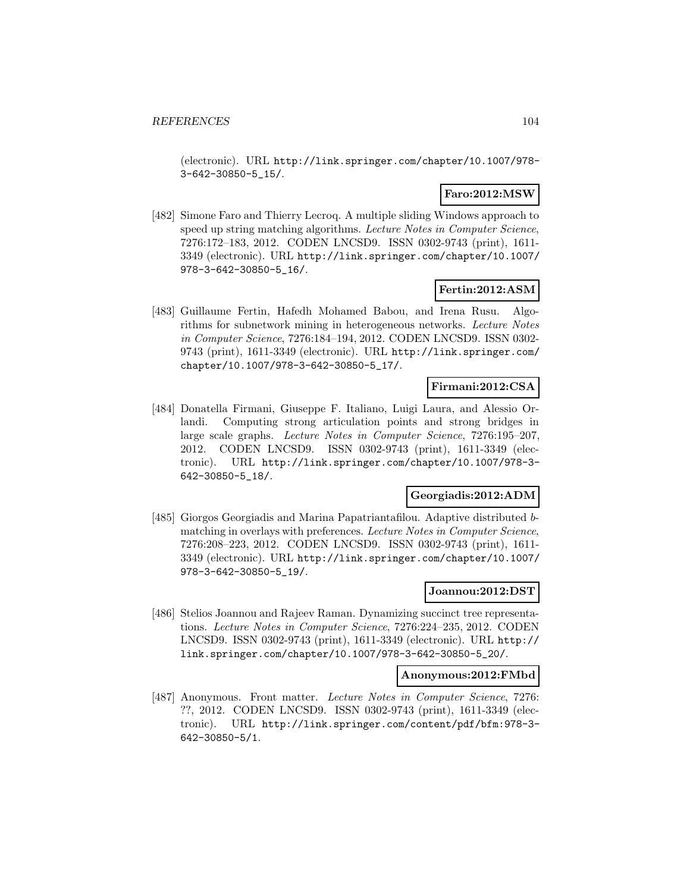(electronic). URL http://link.springer.com/chapter/10.1007/978- 3-642-30850-5\_15/.

# **Faro:2012:MSW**

[482] Simone Faro and Thierry Lecroq. A multiple sliding Windows approach to speed up string matching algorithms. Lecture Notes in Computer Science, 7276:172–183, 2012. CODEN LNCSD9. ISSN 0302-9743 (print), 1611- 3349 (electronic). URL http://link.springer.com/chapter/10.1007/ 978-3-642-30850-5\_16/.

### **Fertin:2012:ASM**

[483] Guillaume Fertin, Hafedh Mohamed Babou, and Irena Rusu. Algorithms for subnetwork mining in heterogeneous networks. Lecture Notes in Computer Science, 7276:184–194, 2012. CODEN LNCSD9. ISSN 0302- 9743 (print), 1611-3349 (electronic). URL http://link.springer.com/ chapter/10.1007/978-3-642-30850-5\_17/.

### **Firmani:2012:CSA**

[484] Donatella Firmani, Giuseppe F. Italiano, Luigi Laura, and Alessio Orlandi. Computing strong articulation points and strong bridges in large scale graphs. Lecture Notes in Computer Science, 7276:195–207, 2012. CODEN LNCSD9. ISSN 0302-9743 (print), 1611-3349 (electronic). URL http://link.springer.com/chapter/10.1007/978-3- 642-30850-5\_18/.

### **Georgiadis:2012:ADM**

[485] Giorgos Georgiadis and Marina Papatriantafilou. Adaptive distributed bmatching in overlays with preferences. Lecture Notes in Computer Science, 7276:208–223, 2012. CODEN LNCSD9. ISSN 0302-9743 (print), 1611- 3349 (electronic). URL http://link.springer.com/chapter/10.1007/ 978-3-642-30850-5\_19/.

### **Joannou:2012:DST**

[486] Stelios Joannou and Rajeev Raman. Dynamizing succinct tree representations. Lecture Notes in Computer Science, 7276:224–235, 2012. CODEN LNCSD9. ISSN 0302-9743 (print), 1611-3349 (electronic). URL http:// link.springer.com/chapter/10.1007/978-3-642-30850-5\_20/.

#### **Anonymous:2012:FMbd**

[487] Anonymous. Front matter. Lecture Notes in Computer Science, 7276: ??, 2012. CODEN LNCSD9. ISSN 0302-9743 (print), 1611-3349 (electronic). URL http://link.springer.com/content/pdf/bfm:978-3- 642-30850-5/1.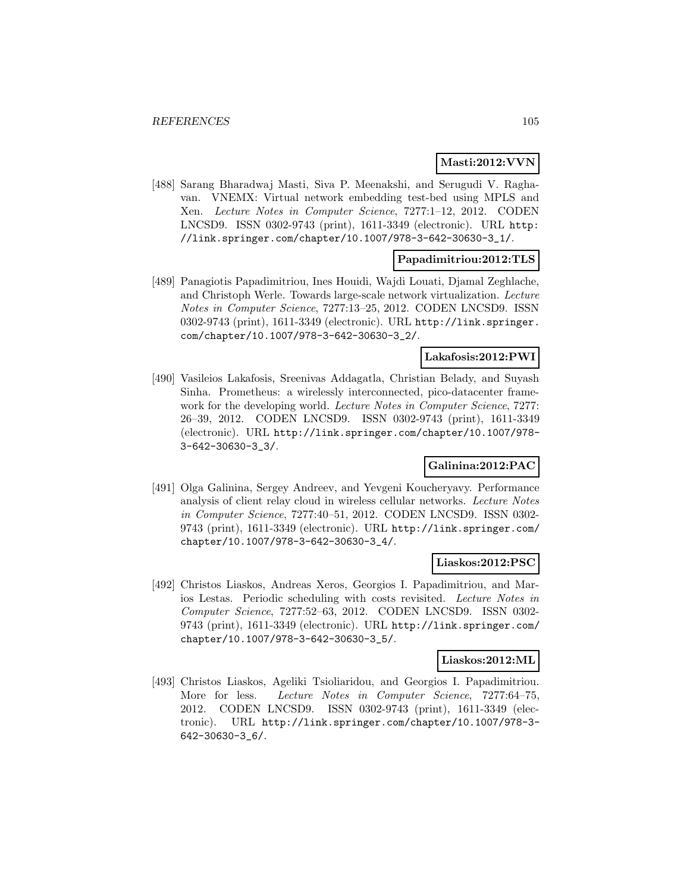## **Masti:2012:VVN**

[488] Sarang Bharadwaj Masti, Siva P. Meenakshi, and Serugudi V. Raghavan. VNEMX: Virtual network embedding test-bed using MPLS and Xen. Lecture Notes in Computer Science, 7277:1–12, 2012. CODEN LNCSD9. ISSN 0302-9743 (print), 1611-3349 (electronic). URL http: //link.springer.com/chapter/10.1007/978-3-642-30630-3\_1/.

# **Papadimitriou:2012:TLS**

[489] Panagiotis Papadimitriou, Ines Houidi, Wajdi Louati, Djamal Zeghlache, and Christoph Werle. Towards large-scale network virtualization. Lecture Notes in Computer Science, 7277:13–25, 2012. CODEN LNCSD9. ISSN 0302-9743 (print), 1611-3349 (electronic). URL http://link.springer. com/chapter/10.1007/978-3-642-30630-3\_2/.

# **Lakafosis:2012:PWI**

[490] Vasileios Lakafosis, Sreenivas Addagatla, Christian Belady, and Suyash Sinha. Prometheus: a wirelessly interconnected, pico-datacenter framework for the developing world. Lecture Notes in Computer Science, 7277: 26–39, 2012. CODEN LNCSD9. ISSN 0302-9743 (print), 1611-3349 (electronic). URL http://link.springer.com/chapter/10.1007/978- 3-642-30630-3\_3/.

# **Galinina:2012:PAC**

[491] Olga Galinina, Sergey Andreev, and Yevgeni Koucheryavy. Performance analysis of client relay cloud in wireless cellular networks. Lecture Notes in Computer Science, 7277:40–51, 2012. CODEN LNCSD9. ISSN 0302- 9743 (print), 1611-3349 (electronic). URL http://link.springer.com/ chapter/10.1007/978-3-642-30630-3\_4/.

# **Liaskos:2012:PSC**

[492] Christos Liaskos, Andreas Xeros, Georgios I. Papadimitriou, and Marios Lestas. Periodic scheduling with costs revisited. Lecture Notes in Computer Science, 7277:52–63, 2012. CODEN LNCSD9. ISSN 0302- 9743 (print), 1611-3349 (electronic). URL http://link.springer.com/ chapter/10.1007/978-3-642-30630-3\_5/.

### **Liaskos:2012:ML**

[493] Christos Liaskos, Ageliki Tsioliaridou, and Georgios I. Papadimitriou. More for less. Lecture Notes in Computer Science, 7277:64-75, 2012. CODEN LNCSD9. ISSN 0302-9743 (print), 1611-3349 (electronic). URL http://link.springer.com/chapter/10.1007/978-3- 642-30630-3\_6/.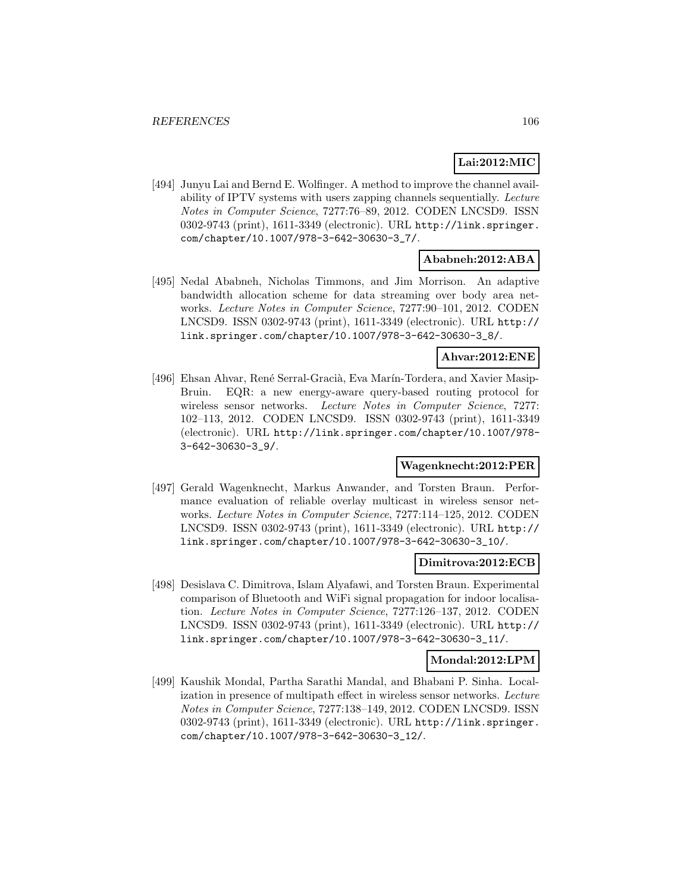# **Lai:2012:MIC**

[494] Junyu Lai and Bernd E. Wolfinger. A method to improve the channel availability of IPTV systems with users zapping channels sequentially. Lecture Notes in Computer Science, 7277:76–89, 2012. CODEN LNCSD9. ISSN 0302-9743 (print), 1611-3349 (electronic). URL http://link.springer. com/chapter/10.1007/978-3-642-30630-3\_7/.

# **Ababneh:2012:ABA**

[495] Nedal Ababneh, Nicholas Timmons, and Jim Morrison. An adaptive bandwidth allocation scheme for data streaming over body area networks. Lecture Notes in Computer Science, 7277:90–101, 2012. CODEN LNCSD9. ISSN 0302-9743 (print), 1611-3349 (electronic). URL http:// link.springer.com/chapter/10.1007/978-3-642-30630-3\_8/.

### **Ahvar:2012:ENE**

[496] Ehsan Ahvar, René Serral-Gracià, Eva Marín-Tordera, and Xavier Masip-Bruin. EQR: a new energy-aware query-based routing protocol for wireless sensor networks. Lecture Notes in Computer Science, 7277: 102–113, 2012. CODEN LNCSD9. ISSN 0302-9743 (print), 1611-3349 (electronic). URL http://link.springer.com/chapter/10.1007/978- 3-642-30630-3\_9/.

# **Wagenknecht:2012:PER**

[497] Gerald Wagenknecht, Markus Anwander, and Torsten Braun. Performance evaluation of reliable overlay multicast in wireless sensor networks. Lecture Notes in Computer Science, 7277:114–125, 2012. CODEN LNCSD9. ISSN 0302-9743 (print), 1611-3349 (electronic). URL http:// link.springer.com/chapter/10.1007/978-3-642-30630-3\_10/.

### **Dimitrova:2012:ECB**

[498] Desislava C. Dimitrova, Islam Alyafawi, and Torsten Braun. Experimental comparison of Bluetooth and WiFi signal propagation for indoor localisation. Lecture Notes in Computer Science, 7277:126–137, 2012. CODEN LNCSD9. ISSN 0302-9743 (print), 1611-3349 (electronic). URL http:// link.springer.com/chapter/10.1007/978-3-642-30630-3\_11/.

### **Mondal:2012:LPM**

[499] Kaushik Mondal, Partha Sarathi Mandal, and Bhabani P. Sinha. Localization in presence of multipath effect in wireless sensor networks. Lecture Notes in Computer Science, 7277:138–149, 2012. CODEN LNCSD9. ISSN 0302-9743 (print), 1611-3349 (electronic). URL http://link.springer. com/chapter/10.1007/978-3-642-30630-3\_12/.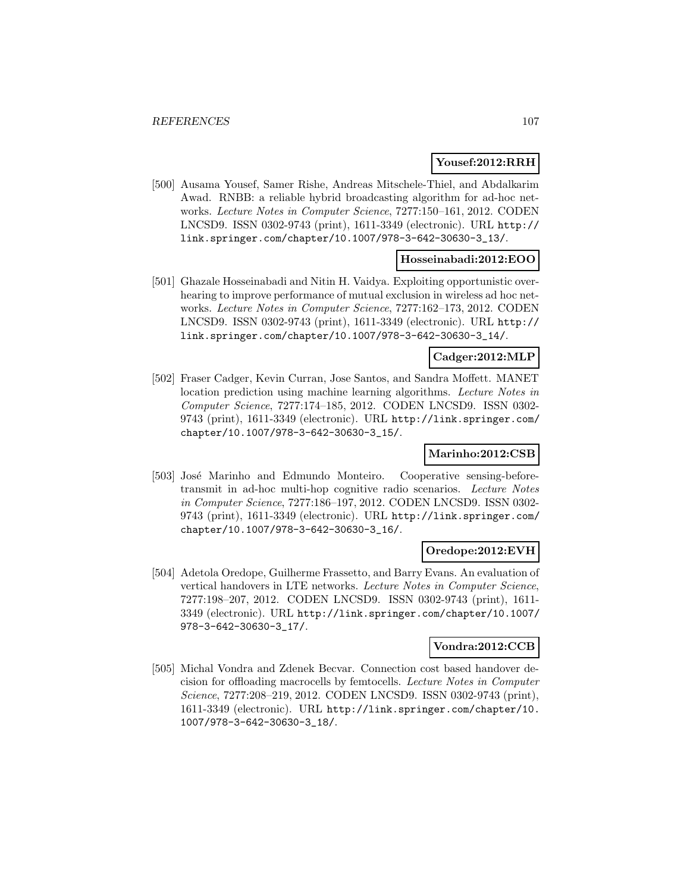### **Yousef:2012:RRH**

[500] Ausama Yousef, Samer Rishe, Andreas Mitschele-Thiel, and Abdalkarim Awad. RNBB: a reliable hybrid broadcasting algorithm for ad-hoc networks. Lecture Notes in Computer Science, 7277:150–161, 2012. CODEN LNCSD9. ISSN 0302-9743 (print), 1611-3349 (electronic). URL http:// link.springer.com/chapter/10.1007/978-3-642-30630-3\_13/.

# **Hosseinabadi:2012:EOO**

[501] Ghazale Hosseinabadi and Nitin H. Vaidya. Exploiting opportunistic overhearing to improve performance of mutual exclusion in wireless ad hoc networks. Lecture Notes in Computer Science, 7277:162–173, 2012. CODEN LNCSD9. ISSN 0302-9743 (print), 1611-3349 (electronic). URL http:// link.springer.com/chapter/10.1007/978-3-642-30630-3\_14/.

# **Cadger:2012:MLP**

[502] Fraser Cadger, Kevin Curran, Jose Santos, and Sandra Moffett. MANET location prediction using machine learning algorithms. Lecture Notes in Computer Science, 7277:174–185, 2012. CODEN LNCSD9. ISSN 0302- 9743 (print), 1611-3349 (electronic). URL http://link.springer.com/ chapter/10.1007/978-3-642-30630-3\_15/.

# **Marinho:2012:CSB**

[503] José Marinho and Edmundo Monteiro. Cooperative sensing-beforetransmit in ad-hoc multi-hop cognitive radio scenarios. Lecture Notes in Computer Science, 7277:186–197, 2012. CODEN LNCSD9. ISSN 0302- 9743 (print), 1611-3349 (electronic). URL http://link.springer.com/ chapter/10.1007/978-3-642-30630-3\_16/.

### **Oredope:2012:EVH**

[504] Adetola Oredope, Guilherme Frassetto, and Barry Evans. An evaluation of vertical handovers in LTE networks. Lecture Notes in Computer Science, 7277:198–207, 2012. CODEN LNCSD9. ISSN 0302-9743 (print), 1611- 3349 (electronic). URL http://link.springer.com/chapter/10.1007/ 978-3-642-30630-3\_17/.

### **Vondra:2012:CCB**

[505] Michal Vondra and Zdenek Becvar. Connection cost based handover decision for offloading macrocells by femtocells. Lecture Notes in Computer Science, 7277:208–219, 2012. CODEN LNCSD9. ISSN 0302-9743 (print), 1611-3349 (electronic). URL http://link.springer.com/chapter/10. 1007/978-3-642-30630-3\_18/.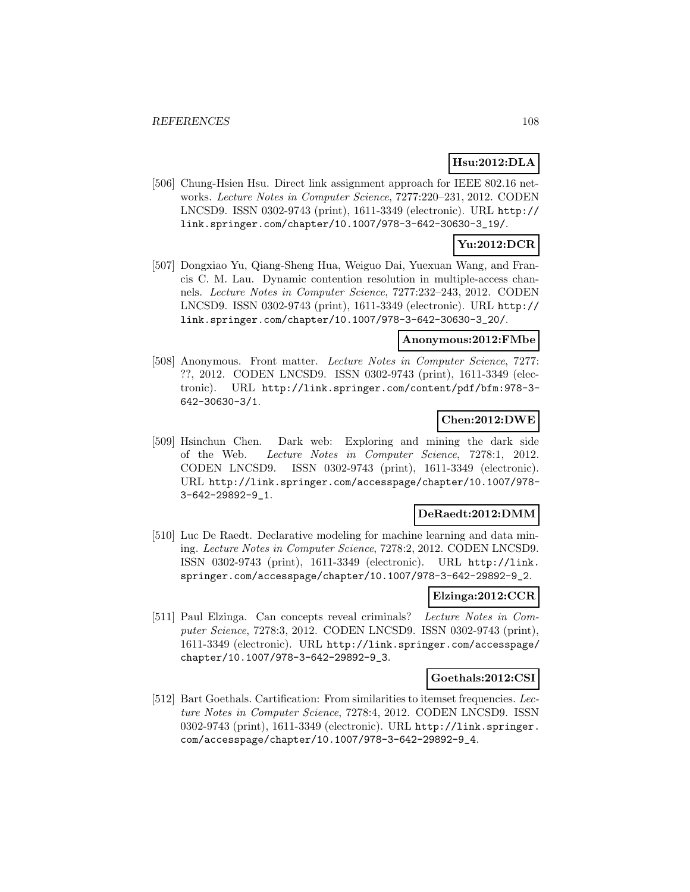# **Hsu:2012:DLA**

[506] Chung-Hsien Hsu. Direct link assignment approach for IEEE 802.16 networks. Lecture Notes in Computer Science, 7277:220–231, 2012. CODEN LNCSD9. ISSN 0302-9743 (print), 1611-3349 (electronic). URL http:// link.springer.com/chapter/10.1007/978-3-642-30630-3\_19/.

# **Yu:2012:DCR**

[507] Dongxiao Yu, Qiang-Sheng Hua, Weiguo Dai, Yuexuan Wang, and Francis C. M. Lau. Dynamic contention resolution in multiple-access channels. Lecture Notes in Computer Science, 7277:232–243, 2012. CODEN LNCSD9. ISSN 0302-9743 (print), 1611-3349 (electronic). URL http:// link.springer.com/chapter/10.1007/978-3-642-30630-3\_20/.

### **Anonymous:2012:FMbe**

[508] Anonymous. Front matter. Lecture Notes in Computer Science, 7277: ??, 2012. CODEN LNCSD9. ISSN 0302-9743 (print), 1611-3349 (electronic). URL http://link.springer.com/content/pdf/bfm:978-3- 642-30630-3/1.

# **Chen:2012:DWE**

[509] Hsinchun Chen. Dark web: Exploring and mining the dark side of the Web. Lecture Notes in Computer Science, 7278:1, 2012. CODEN LNCSD9. ISSN 0302-9743 (print), 1611-3349 (electronic). URL http://link.springer.com/accesspage/chapter/10.1007/978- 3-642-29892-9\_1.

### **DeRaedt:2012:DMM**

[510] Luc De Raedt. Declarative modeling for machine learning and data mining. Lecture Notes in Computer Science, 7278:2, 2012. CODEN LNCSD9. ISSN 0302-9743 (print), 1611-3349 (electronic). URL http://link. springer.com/accesspage/chapter/10.1007/978-3-642-29892-9\_2.

# **Elzinga:2012:CCR**

[511] Paul Elzinga. Can concepts reveal criminals? Lecture Notes in Computer Science, 7278:3, 2012. CODEN LNCSD9. ISSN 0302-9743 (print), 1611-3349 (electronic). URL http://link.springer.com/accesspage/ chapter/10.1007/978-3-642-29892-9\_3.

### **Goethals:2012:CSI**

[512] Bart Goethals. Cartification: From similarities to itemset frequencies. Lecture Notes in Computer Science, 7278:4, 2012. CODEN LNCSD9. ISSN 0302-9743 (print), 1611-3349 (electronic). URL http://link.springer. com/accesspage/chapter/10.1007/978-3-642-29892-9\_4.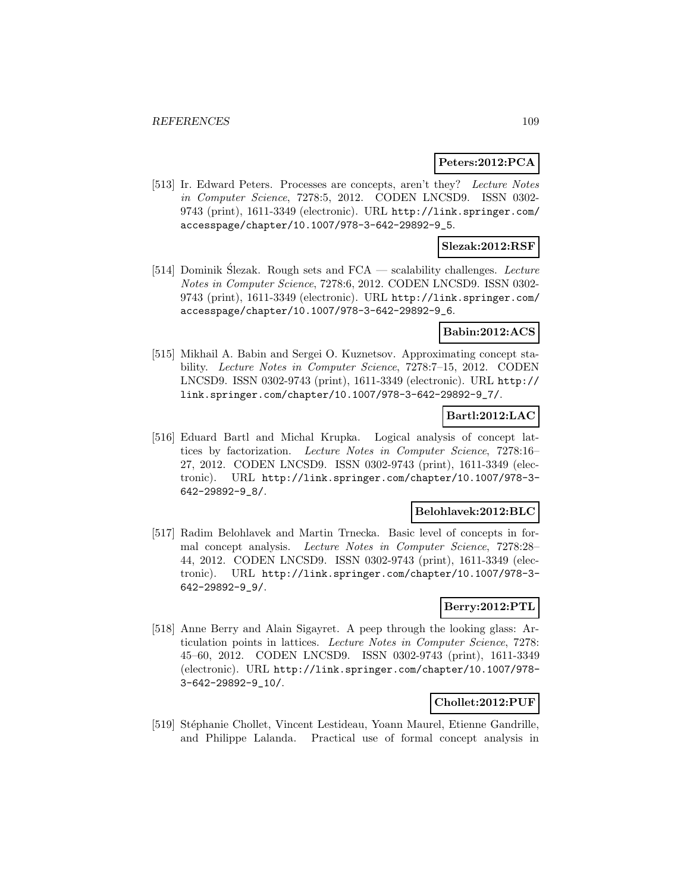#### **Peters:2012:PCA**

[513] Ir. Edward Peters. Processes are concepts, aren't they? Lecture Notes in Computer Science, 7278:5, 2012. CODEN LNCSD9. ISSN 0302- 9743 (print), 1611-3349 (electronic). URL http://link.springer.com/ accesspage/chapter/10.1007/978-3-642-29892-9\_5.

### **Slezak:2012:RSF**

[514] Dominik Slezak. Rough sets and  $FCA$  — scalability challenges. Lecture Notes in Computer Science, 7278:6, 2012. CODEN LNCSD9. ISSN 0302- 9743 (print), 1611-3349 (electronic). URL http://link.springer.com/ accesspage/chapter/10.1007/978-3-642-29892-9\_6.

### **Babin:2012:ACS**

[515] Mikhail A. Babin and Sergei O. Kuznetsov. Approximating concept stability. Lecture Notes in Computer Science, 7278:7–15, 2012. CODEN LNCSD9. ISSN 0302-9743 (print), 1611-3349 (electronic). URL http:// link.springer.com/chapter/10.1007/978-3-642-29892-9\_7/.

# **Bartl:2012:LAC**

[516] Eduard Bartl and Michal Krupka. Logical analysis of concept lattices by factorization. Lecture Notes in Computer Science, 7278:16– 27, 2012. CODEN LNCSD9. ISSN 0302-9743 (print), 1611-3349 (electronic). URL http://link.springer.com/chapter/10.1007/978-3- 642-29892-9\_8/.

#### **Belohlavek:2012:BLC**

[517] Radim Belohlavek and Martin Trnecka. Basic level of concepts in formal concept analysis. Lecture Notes in Computer Science, 7278:28– 44, 2012. CODEN LNCSD9. ISSN 0302-9743 (print), 1611-3349 (electronic). URL http://link.springer.com/chapter/10.1007/978-3- 642-29892-9\_9/.

# **Berry:2012:PTL**

[518] Anne Berry and Alain Sigayret. A peep through the looking glass: Articulation points in lattices. Lecture Notes in Computer Science, 7278: 45–60, 2012. CODEN LNCSD9. ISSN 0302-9743 (print), 1611-3349 (electronic). URL http://link.springer.com/chapter/10.1007/978- 3-642-29892-9\_10/.

#### **Chollet:2012:PUF**

[519] Stéphanie Chollet, Vincent Lestideau, Yoann Maurel, Etienne Gandrille, and Philippe Lalanda. Practical use of formal concept analysis in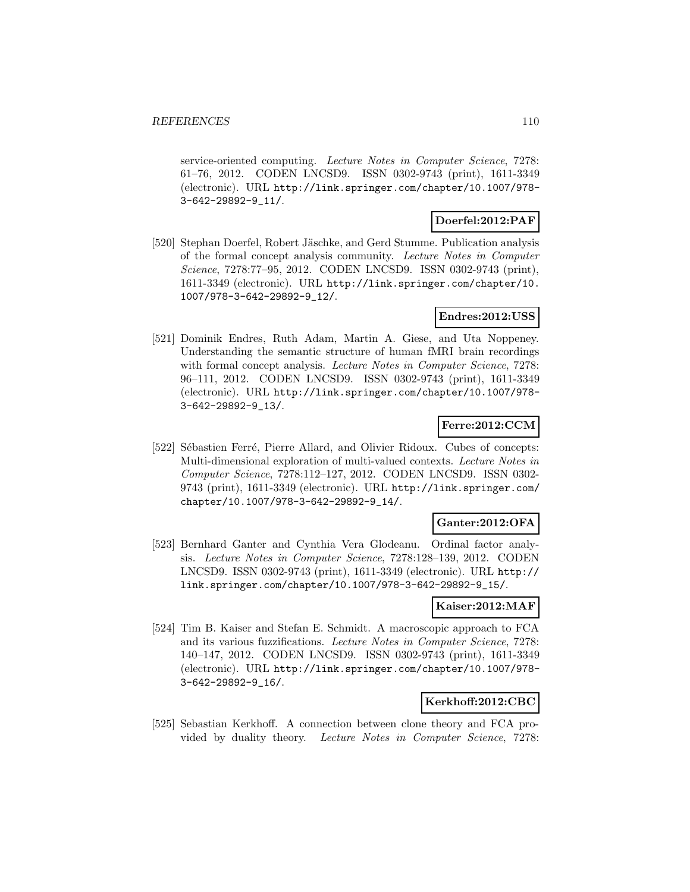service-oriented computing. Lecture Notes in Computer Science, 7278: 61–76, 2012. CODEN LNCSD9. ISSN 0302-9743 (print), 1611-3349 (electronic). URL http://link.springer.com/chapter/10.1007/978- 3-642-29892-9\_11/.

# **Doerfel:2012:PAF**

[520] Stephan Doerfel, Robert Jäschke, and Gerd Stumme. Publication analysis of the formal concept analysis community. Lecture Notes in Computer Science, 7278:77–95, 2012. CODEN LNCSD9. ISSN 0302-9743 (print), 1611-3349 (electronic). URL http://link.springer.com/chapter/10. 1007/978-3-642-29892-9\_12/.

# **Endres:2012:USS**

[521] Dominik Endres, Ruth Adam, Martin A. Giese, and Uta Noppeney. Understanding the semantic structure of human fMRI brain recordings with formal concept analysis. Lecture Notes in Computer Science, 7278: 96–111, 2012. CODEN LNCSD9. ISSN 0302-9743 (print), 1611-3349 (electronic). URL http://link.springer.com/chapter/10.1007/978- 3-642-29892-9\_13/.

# **Ferre:2012:CCM**

[522] Sébastien Ferré, Pierre Allard, and Olivier Ridoux. Cubes of concepts: Multi-dimensional exploration of multi-valued contexts. Lecture Notes in Computer Science, 7278:112–127, 2012. CODEN LNCSD9. ISSN 0302- 9743 (print), 1611-3349 (electronic). URL http://link.springer.com/ chapter/10.1007/978-3-642-29892-9\_14/.

# **Ganter:2012:OFA**

[523] Bernhard Ganter and Cynthia Vera Glodeanu. Ordinal factor analysis. Lecture Notes in Computer Science, 7278:128–139, 2012. CODEN LNCSD9. ISSN 0302-9743 (print), 1611-3349 (electronic). URL http:// link.springer.com/chapter/10.1007/978-3-642-29892-9\_15/.

#### **Kaiser:2012:MAF**

[524] Tim B. Kaiser and Stefan E. Schmidt. A macroscopic approach to FCA and its various fuzzifications. Lecture Notes in Computer Science, 7278: 140–147, 2012. CODEN LNCSD9. ISSN 0302-9743 (print), 1611-3349 (electronic). URL http://link.springer.com/chapter/10.1007/978- 3-642-29892-9\_16/.

#### **Kerkhoff:2012:CBC**

[525] Sebastian Kerkhoff. A connection between clone theory and FCA provided by duality theory. Lecture Notes in Computer Science, 7278: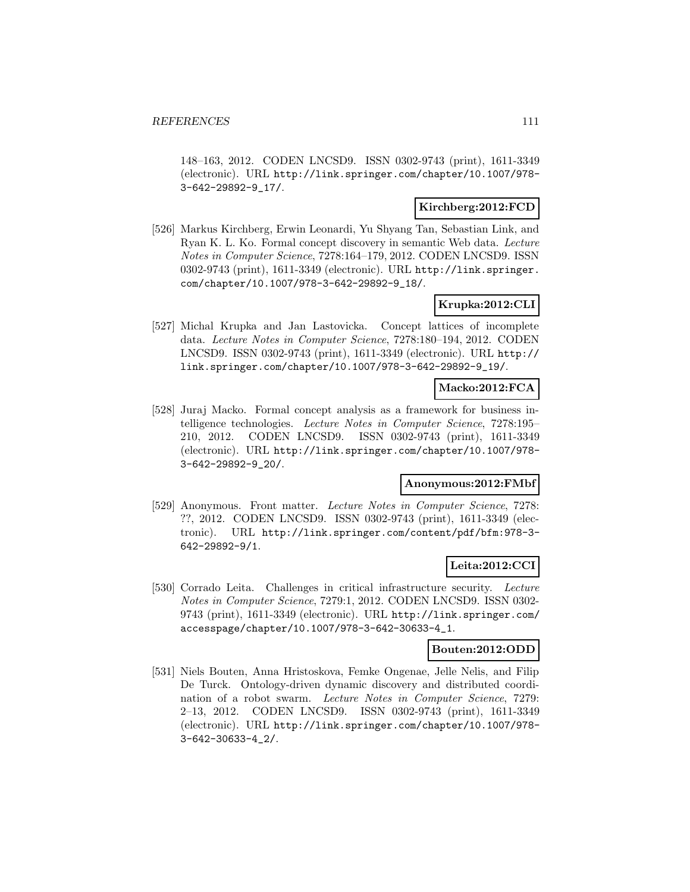148–163, 2012. CODEN LNCSD9. ISSN 0302-9743 (print), 1611-3349 (electronic). URL http://link.springer.com/chapter/10.1007/978- 3-642-29892-9\_17/.

### **Kirchberg:2012:FCD**

[526] Markus Kirchberg, Erwin Leonardi, Yu Shyang Tan, Sebastian Link, and Ryan K. L. Ko. Formal concept discovery in semantic Web data. Lecture Notes in Computer Science, 7278:164–179, 2012. CODEN LNCSD9. ISSN 0302-9743 (print), 1611-3349 (electronic). URL http://link.springer. com/chapter/10.1007/978-3-642-29892-9\_18/.

# **Krupka:2012:CLI**

[527] Michal Krupka and Jan Lastovicka. Concept lattices of incomplete data. Lecture Notes in Computer Science, 7278:180–194, 2012. CODEN LNCSD9. ISSN 0302-9743 (print), 1611-3349 (electronic). URL http:// link.springer.com/chapter/10.1007/978-3-642-29892-9\_19/.

# **Macko:2012:FCA**

[528] Juraj Macko. Formal concept analysis as a framework for business intelligence technologies. Lecture Notes in Computer Science, 7278:195– 210, 2012. CODEN LNCSD9. ISSN 0302-9743 (print), 1611-3349 (electronic). URL http://link.springer.com/chapter/10.1007/978- 3-642-29892-9\_20/.

# **Anonymous:2012:FMbf**

[529] Anonymous. Front matter. Lecture Notes in Computer Science, 7278: ??, 2012. CODEN LNCSD9. ISSN 0302-9743 (print), 1611-3349 (electronic). URL http://link.springer.com/content/pdf/bfm:978-3- 642-29892-9/1.

# **Leita:2012:CCI**

[530] Corrado Leita. Challenges in critical infrastructure security. Lecture Notes in Computer Science, 7279:1, 2012. CODEN LNCSD9. ISSN 0302- 9743 (print), 1611-3349 (electronic). URL http://link.springer.com/ accesspage/chapter/10.1007/978-3-642-30633-4\_1.

### **Bouten:2012:ODD**

[531] Niels Bouten, Anna Hristoskova, Femke Ongenae, Jelle Nelis, and Filip De Turck. Ontology-driven dynamic discovery and distributed coordination of a robot swarm. Lecture Notes in Computer Science, 7279: 2–13, 2012. CODEN LNCSD9. ISSN 0302-9743 (print), 1611-3349 (electronic). URL http://link.springer.com/chapter/10.1007/978- 3-642-30633-4\_2/.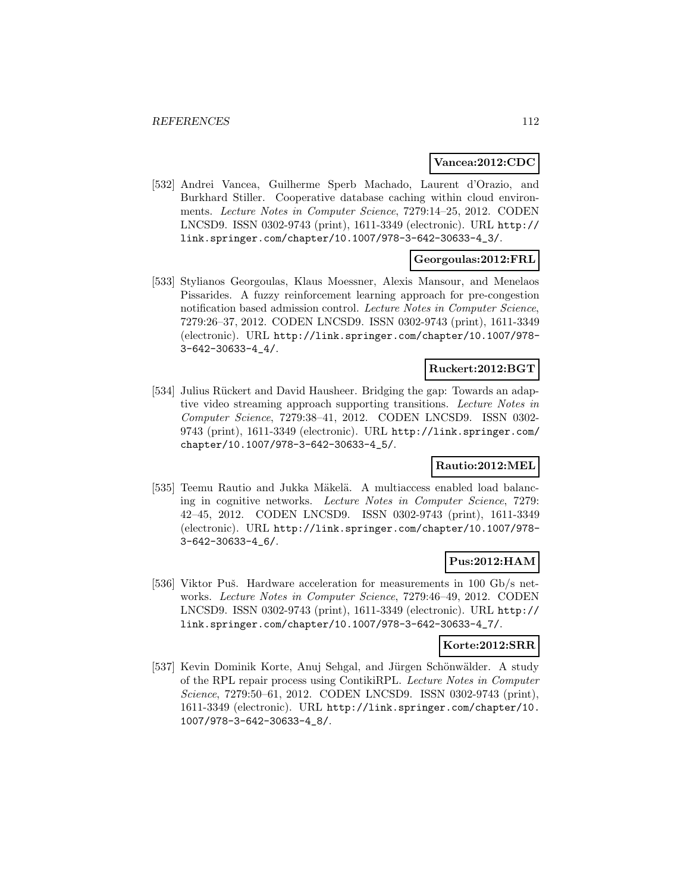#### **Vancea:2012:CDC**

[532] Andrei Vancea, Guilherme Sperb Machado, Laurent d'Orazio, and Burkhard Stiller. Cooperative database caching within cloud environments. Lecture Notes in Computer Science, 7279:14–25, 2012. CODEN LNCSD9. ISSN 0302-9743 (print), 1611-3349 (electronic). URL http:// link.springer.com/chapter/10.1007/978-3-642-30633-4\_3/.

# **Georgoulas:2012:FRL**

[533] Stylianos Georgoulas, Klaus Moessner, Alexis Mansour, and Menelaos Pissarides. A fuzzy reinforcement learning approach for pre-congestion notification based admission control. Lecture Notes in Computer Science, 7279:26–37, 2012. CODEN LNCSD9. ISSN 0302-9743 (print), 1611-3349 (electronic). URL http://link.springer.com/chapter/10.1007/978- 3-642-30633-4\_4/.

### **Ruckert:2012:BGT**

[534] Julius Rückert and David Hausheer. Bridging the gap: Towards an adaptive video streaming approach supporting transitions. Lecture Notes in Computer Science, 7279:38–41, 2012. CODEN LNCSD9. ISSN 0302- 9743 (print), 1611-3349 (electronic). URL http://link.springer.com/ chapter/10.1007/978-3-642-30633-4\_5/.

# **Rautio:2012:MEL**

[535] Teemu Rautio and Jukka Mäkelä. A multiaccess enabled load balancing in cognitive networks. Lecture Notes in Computer Science, 7279: 42–45, 2012. CODEN LNCSD9. ISSN 0302-9743 (print), 1611-3349 (electronic). URL http://link.springer.com/chapter/10.1007/978- 3-642-30633-4\_6/.

# **Pus:2012:HAM**

[536] Viktor Puš. Hardware acceleration for measurements in 100 Gb/s networks. Lecture Notes in Computer Science, 7279:46–49, 2012. CODEN LNCSD9. ISSN 0302-9743 (print), 1611-3349 (electronic). URL http:// link.springer.com/chapter/10.1007/978-3-642-30633-4\_7/.

### **Korte:2012:SRR**

[537] Kevin Dominik Korte, Anuj Sehgal, and Jürgen Schönwälder. A study of the RPL repair process using ContikiRPL. Lecture Notes in Computer Science, 7279:50–61, 2012. CODEN LNCSD9. ISSN 0302-9743 (print), 1611-3349 (electronic). URL http://link.springer.com/chapter/10. 1007/978-3-642-30633-4\_8/.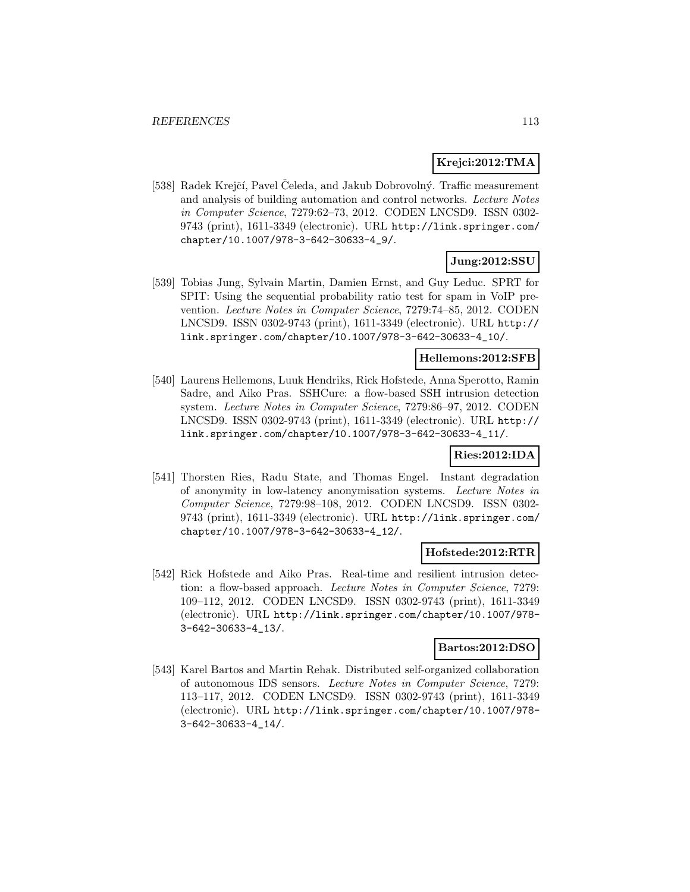### **Krejci:2012:TMA**

[538] Radek Krejčí, Pavel Čeleda, and Jakub Dobrovolný. Traffic measurement and analysis of building automation and control networks. Lecture Notes in Computer Science, 7279:62–73, 2012. CODEN LNCSD9. ISSN 0302- 9743 (print), 1611-3349 (electronic). URL http://link.springer.com/ chapter/10.1007/978-3-642-30633-4\_9/.

# **Jung:2012:SSU**

[539] Tobias Jung, Sylvain Martin, Damien Ernst, and Guy Leduc. SPRT for SPIT: Using the sequential probability ratio test for spam in VoIP prevention. Lecture Notes in Computer Science, 7279:74–85, 2012. CODEN LNCSD9. ISSN 0302-9743 (print), 1611-3349 (electronic). URL http:// link.springer.com/chapter/10.1007/978-3-642-30633-4\_10/.

### **Hellemons:2012:SFB**

[540] Laurens Hellemons, Luuk Hendriks, Rick Hofstede, Anna Sperotto, Ramin Sadre, and Aiko Pras. SSHCure: a flow-based SSH intrusion detection system. Lecture Notes in Computer Science, 7279:86–97, 2012. CODEN LNCSD9. ISSN 0302-9743 (print), 1611-3349 (electronic). URL http:// link.springer.com/chapter/10.1007/978-3-642-30633-4\_11/.

# **Ries:2012:IDA**

[541] Thorsten Ries, Radu State, and Thomas Engel. Instant degradation of anonymity in low-latency anonymisation systems. Lecture Notes in Computer Science, 7279:98–108, 2012. CODEN LNCSD9. ISSN 0302- 9743 (print), 1611-3349 (electronic). URL http://link.springer.com/ chapter/10.1007/978-3-642-30633-4\_12/.

#### **Hofstede:2012:RTR**

[542] Rick Hofstede and Aiko Pras. Real-time and resilient intrusion detection: a flow-based approach. Lecture Notes in Computer Science, 7279: 109–112, 2012. CODEN LNCSD9. ISSN 0302-9743 (print), 1611-3349 (electronic). URL http://link.springer.com/chapter/10.1007/978- 3-642-30633-4\_13/.

#### **Bartos:2012:DSO**

[543] Karel Bartos and Martin Rehak. Distributed self-organized collaboration of autonomous IDS sensors. Lecture Notes in Computer Science, 7279: 113–117, 2012. CODEN LNCSD9. ISSN 0302-9743 (print), 1611-3349 (electronic). URL http://link.springer.com/chapter/10.1007/978- 3-642-30633-4\_14/.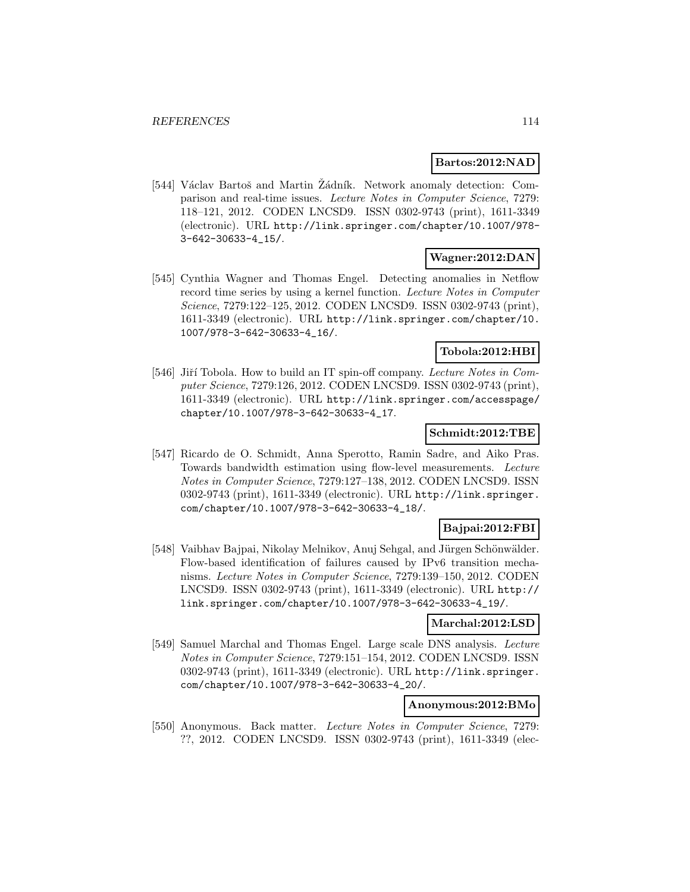### **Bartos:2012:NAD**

[544] Václav Bartoš and Martin Žádník. Network anomaly detection: Comparison and real-time issues. Lecture Notes in Computer Science, 7279: 118–121, 2012. CODEN LNCSD9. ISSN 0302-9743 (print), 1611-3349 (electronic). URL http://link.springer.com/chapter/10.1007/978- 3-642-30633-4\_15/.

# **Wagner:2012:DAN**

[545] Cynthia Wagner and Thomas Engel. Detecting anomalies in Netflow record time series by using a kernel function. Lecture Notes in Computer Science, 7279:122–125, 2012. CODEN LNCSD9. ISSN 0302-9743 (print), 1611-3349 (electronic). URL http://link.springer.com/chapter/10. 1007/978-3-642-30633-4\_16/.

# **Tobola:2012:HBI**

[546] Jiří Tobola. How to build an IT spin-off company. Lecture Notes in Computer Science, 7279:126, 2012. CODEN LNCSD9. ISSN 0302-9743 (print), 1611-3349 (electronic). URL http://link.springer.com/accesspage/ chapter/10.1007/978-3-642-30633-4\_17.

### **Schmidt:2012:TBE**

[547] Ricardo de O. Schmidt, Anna Sperotto, Ramin Sadre, and Aiko Pras. Towards bandwidth estimation using flow-level measurements. Lecture Notes in Computer Science, 7279:127–138, 2012. CODEN LNCSD9. ISSN 0302-9743 (print), 1611-3349 (electronic). URL http://link.springer. com/chapter/10.1007/978-3-642-30633-4\_18/.

# **Bajpai:2012:FBI**

[548] Vaibhav Bajpai, Nikolay Melnikov, Anuj Sehgal, and Jürgen Schönwälder. Flow-based identification of failures caused by IPv6 transition mechanisms. Lecture Notes in Computer Science, 7279:139–150, 2012. CODEN LNCSD9. ISSN 0302-9743 (print), 1611-3349 (electronic). URL http:// link.springer.com/chapter/10.1007/978-3-642-30633-4\_19/.

### **Marchal:2012:LSD**

[549] Samuel Marchal and Thomas Engel. Large scale DNS analysis. Lecture Notes in Computer Science, 7279:151–154, 2012. CODEN LNCSD9. ISSN 0302-9743 (print), 1611-3349 (electronic). URL http://link.springer. com/chapter/10.1007/978-3-642-30633-4\_20/.

# **Anonymous:2012:BMo**

[550] Anonymous. Back matter. Lecture Notes in Computer Science, 7279: ??, 2012. CODEN LNCSD9. ISSN 0302-9743 (print), 1611-3349 (elec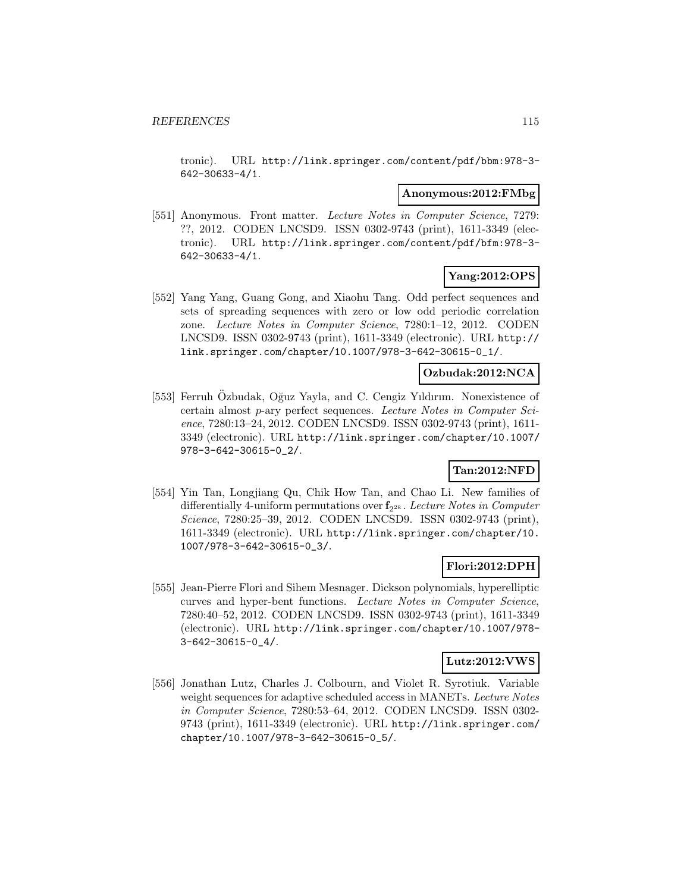tronic). URL http://link.springer.com/content/pdf/bbm:978-3- 642-30633-4/1.

#### **Anonymous:2012:FMbg**

[551] Anonymous. Front matter. Lecture Notes in Computer Science, 7279: ??, 2012. CODEN LNCSD9. ISSN 0302-9743 (print), 1611-3349 (electronic). URL http://link.springer.com/content/pdf/bfm:978-3- 642-30633-4/1.

### **Yang:2012:OPS**

[552] Yang Yang, Guang Gong, and Xiaohu Tang. Odd perfect sequences and sets of spreading sequences with zero or low odd periodic correlation zone. Lecture Notes in Computer Science, 7280:1–12, 2012. CODEN LNCSD9. ISSN 0302-9743 (print), 1611-3349 (electronic). URL http:// link.springer.com/chapter/10.1007/978-3-642-30615-0\_1/.

# **Ozbudak:2012:NCA**

[553] Ferruh Ozbudak, Oğuz Yayla, and C. Cengiz Yıldırım. Nonexistence of certain almost p-ary perfect sequences. Lecture Notes in Computer Science, 7280:13–24, 2012. CODEN LNCSD9. ISSN 0302-9743 (print), 1611- 3349 (electronic). URL http://link.springer.com/chapter/10.1007/ 978-3-642-30615-0\_2/.

# **Tan:2012:NFD**

[554] Yin Tan, Longjiang Qu, Chik How Tan, and Chao Li. New families of differentially 4-uniform permutations over  $f_{2^{2k}}$ . Lecture Notes in Computer Science, 7280:25–39, 2012. CODEN LNCSD9. ISSN 0302-9743 (print), 1611-3349 (electronic). URL http://link.springer.com/chapter/10. 1007/978-3-642-30615-0\_3/.

# **Flori:2012:DPH**

[555] Jean-Pierre Flori and Sihem Mesnager. Dickson polynomials, hyperelliptic curves and hyper-bent functions. Lecture Notes in Computer Science, 7280:40–52, 2012. CODEN LNCSD9. ISSN 0302-9743 (print), 1611-3349 (electronic). URL http://link.springer.com/chapter/10.1007/978- 3-642-30615-0\_4/.

#### **Lutz:2012:VWS**

[556] Jonathan Lutz, Charles J. Colbourn, and Violet R. Syrotiuk. Variable weight sequences for adaptive scheduled access in MANETs. Lecture Notes in Computer Science, 7280:53–64, 2012. CODEN LNCSD9. ISSN 0302- 9743 (print), 1611-3349 (electronic). URL http://link.springer.com/ chapter/10.1007/978-3-642-30615-0\_5/.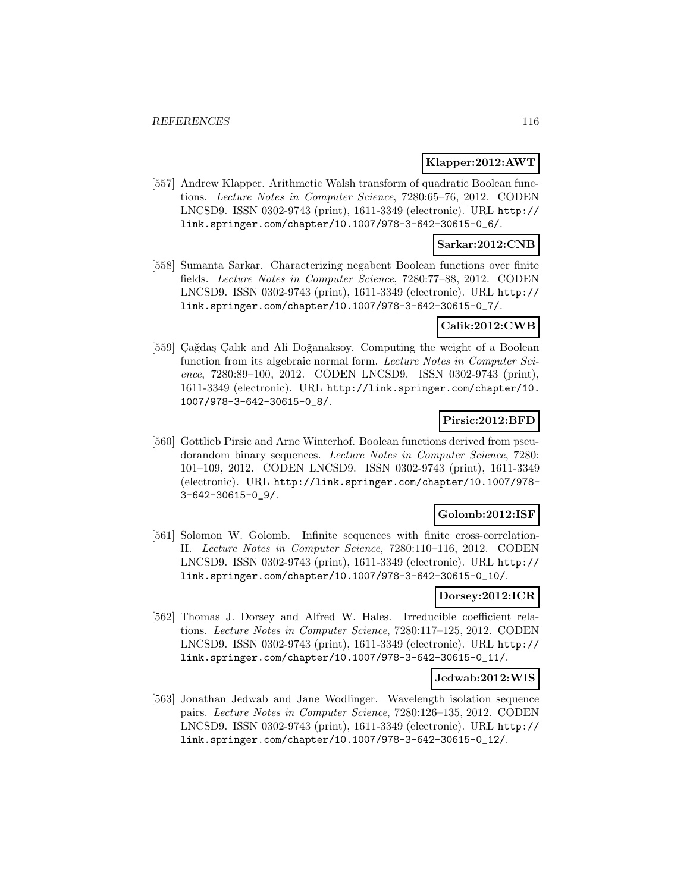### **Klapper:2012:AWT**

[557] Andrew Klapper. Arithmetic Walsh transform of quadratic Boolean functions. Lecture Notes in Computer Science, 7280:65–76, 2012. CODEN LNCSD9. ISSN 0302-9743 (print), 1611-3349 (electronic). URL http:// link.springer.com/chapter/10.1007/978-3-642-30615-0\_6/.

### **Sarkar:2012:CNB**

[558] Sumanta Sarkar. Characterizing negabent Boolean functions over finite fields. Lecture Notes in Computer Science, 7280:77–88, 2012. CODEN LNCSD9. ISSN 0302-9743 (print), 1611-3349 (electronic). URL http:// link.springer.com/chapter/10.1007/978-3-642-30615-0\_7/.

### **Calik:2012:CWB**

[559] Çağdaş Çalık and Ali Doğanaksoy. Computing the weight of a Boolean function from its algebraic normal form. Lecture Notes in Computer Science, 7280:89-100, 2012. CODEN LNCSD9. ISSN 0302-9743 (print), 1611-3349 (electronic). URL http://link.springer.com/chapter/10. 1007/978-3-642-30615-0\_8/.

# **Pirsic:2012:BFD**

[560] Gottlieb Pirsic and Arne Winterhof. Boolean functions derived from pseudorandom binary sequences. Lecture Notes in Computer Science, 7280: 101–109, 2012. CODEN LNCSD9. ISSN 0302-9743 (print), 1611-3349 (electronic). URL http://link.springer.com/chapter/10.1007/978- 3-642-30615-0\_9/.

#### **Golomb:2012:ISF**

[561] Solomon W. Golomb. Infinite sequences with finite cross-correlation-II. Lecture Notes in Computer Science, 7280:110–116, 2012. CODEN LNCSD9. ISSN 0302-9743 (print), 1611-3349 (electronic). URL http:// link.springer.com/chapter/10.1007/978-3-642-30615-0\_10/.

# **Dorsey:2012:ICR**

[562] Thomas J. Dorsey and Alfred W. Hales. Irreducible coefficient relations. Lecture Notes in Computer Science, 7280:117–125, 2012. CODEN LNCSD9. ISSN 0302-9743 (print), 1611-3349 (electronic). URL http:// link.springer.com/chapter/10.1007/978-3-642-30615-0\_11/.

#### **Jedwab:2012:WIS**

[563] Jonathan Jedwab and Jane Wodlinger. Wavelength isolation sequence pairs. Lecture Notes in Computer Science, 7280:126–135, 2012. CODEN LNCSD9. ISSN 0302-9743 (print), 1611-3349 (electronic). URL http:// link.springer.com/chapter/10.1007/978-3-642-30615-0\_12/.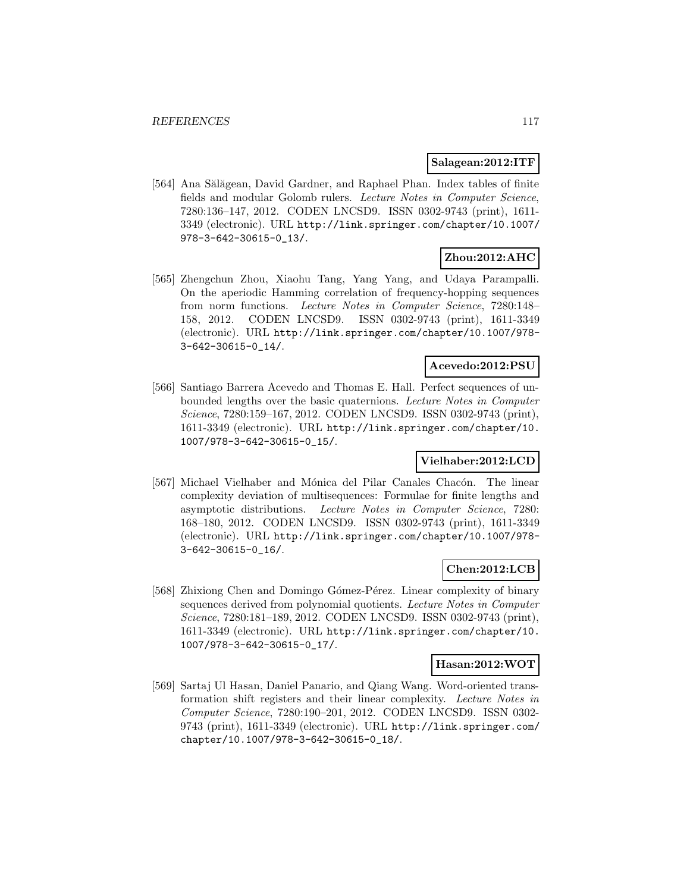### **Salagean:2012:ITF**

[564] Ana Sălăgean, David Gardner, and Raphael Phan. Index tables of finite fields and modular Golomb rulers. Lecture Notes in Computer Science, 7280:136–147, 2012. CODEN LNCSD9. ISSN 0302-9743 (print), 1611- 3349 (electronic). URL http://link.springer.com/chapter/10.1007/ 978-3-642-30615-0\_13/.

# **Zhou:2012:AHC**

[565] Zhengchun Zhou, Xiaohu Tang, Yang Yang, and Udaya Parampalli. On the aperiodic Hamming correlation of frequency-hopping sequences from norm functions. Lecture Notes in Computer Science, 7280:148– 158, 2012. CODEN LNCSD9. ISSN 0302-9743 (print), 1611-3349 (electronic). URL http://link.springer.com/chapter/10.1007/978- 3-642-30615-0\_14/.

### **Acevedo:2012:PSU**

[566] Santiago Barrera Acevedo and Thomas E. Hall. Perfect sequences of unbounded lengths over the basic quaternions. Lecture Notes in Computer Science, 7280:159–167, 2012. CODEN LNCSD9. ISSN 0302-9743 (print), 1611-3349 (electronic). URL http://link.springer.com/chapter/10. 1007/978-3-642-30615-0\_15/.

#### **Vielhaber:2012:LCD**

[567] Michael Vielhaber and Mónica del Pilar Canales Chacón. The linear complexity deviation of multisequences: Formulae for finite lengths and asymptotic distributions. Lecture Notes in Computer Science, 7280: 168–180, 2012. CODEN LNCSD9. ISSN 0302-9743 (print), 1611-3349 (electronic). URL http://link.springer.com/chapter/10.1007/978- 3-642-30615-0\_16/.

# **Chen:2012:LCB**

[568] Zhixiong Chen and Domingo Gómez-Pérez. Linear complexity of binary sequences derived from polynomial quotients. Lecture Notes in Computer Science, 7280:181–189, 2012. CODEN LNCSD9. ISSN 0302-9743 (print), 1611-3349 (electronic). URL http://link.springer.com/chapter/10. 1007/978-3-642-30615-0\_17/.

#### **Hasan:2012:WOT**

[569] Sartaj Ul Hasan, Daniel Panario, and Qiang Wang. Word-oriented transformation shift registers and their linear complexity. Lecture Notes in Computer Science, 7280:190–201, 2012. CODEN LNCSD9. ISSN 0302- 9743 (print), 1611-3349 (electronic). URL http://link.springer.com/ chapter/10.1007/978-3-642-30615-0\_18/.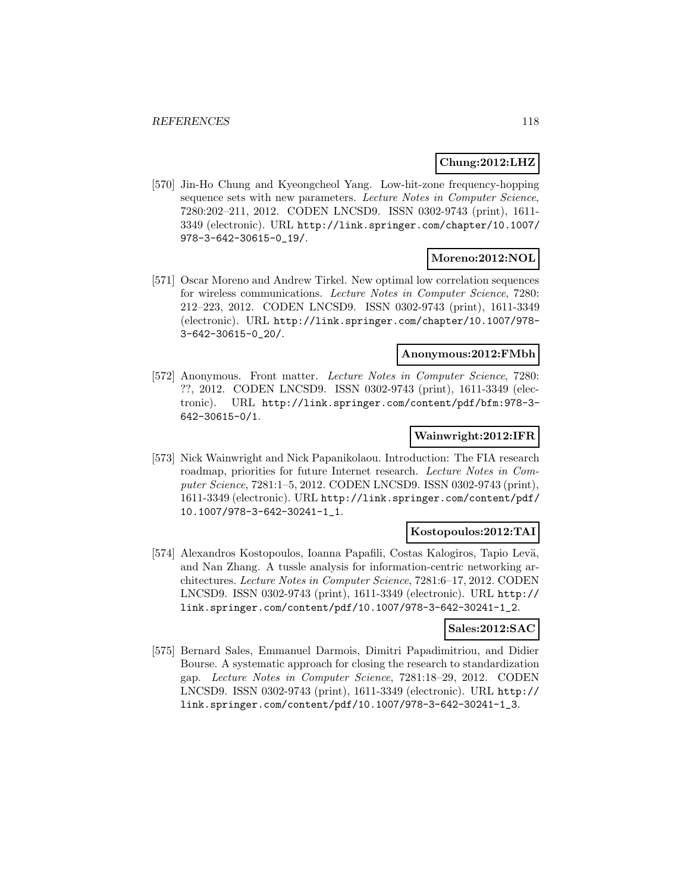### **Chung:2012:LHZ**

[570] Jin-Ho Chung and Kyeongcheol Yang. Low-hit-zone frequency-hopping sequence sets with new parameters. Lecture Notes in Computer Science, 7280:202–211, 2012. CODEN LNCSD9. ISSN 0302-9743 (print), 1611- 3349 (electronic). URL http://link.springer.com/chapter/10.1007/ 978-3-642-30615-0\_19/.

### **Moreno:2012:NOL**

[571] Oscar Moreno and Andrew Tirkel. New optimal low correlation sequences for wireless communications. Lecture Notes in Computer Science, 7280: 212–223, 2012. CODEN LNCSD9. ISSN 0302-9743 (print), 1611-3349 (electronic). URL http://link.springer.com/chapter/10.1007/978- 3-642-30615-0\_20/.

### **Anonymous:2012:FMbh**

[572] Anonymous. Front matter. Lecture Notes in Computer Science, 7280: ??, 2012. CODEN LNCSD9. ISSN 0302-9743 (print), 1611-3349 (electronic). URL http://link.springer.com/content/pdf/bfm:978-3- 642-30615-0/1.

#### **Wainwright:2012:IFR**

[573] Nick Wainwright and Nick Papanikolaou. Introduction: The FIA research roadmap, priorities for future Internet research. Lecture Notes in Computer Science, 7281:1–5, 2012. CODEN LNCSD9. ISSN 0302-9743 (print), 1611-3349 (electronic). URL http://link.springer.com/content/pdf/ 10.1007/978-3-642-30241-1\_1.

#### **Kostopoulos:2012:TAI**

[574] Alexandros Kostopoulos, Ioanna Papafili, Costas Kalogiros, Tapio Levä, and Nan Zhang. A tussle analysis for information-centric networking architectures. Lecture Notes in Computer Science, 7281:6–17, 2012. CODEN LNCSD9. ISSN 0302-9743 (print), 1611-3349 (electronic). URL http:// link.springer.com/content/pdf/10.1007/978-3-642-30241-1\_2.

#### **Sales:2012:SAC**

[575] Bernard Sales, Emmanuel Darmois, Dimitri Papadimitriou, and Didier Bourse. A systematic approach for closing the research to standardization gap. Lecture Notes in Computer Science, 7281:18–29, 2012. CODEN LNCSD9. ISSN 0302-9743 (print), 1611-3349 (electronic). URL http:// link.springer.com/content/pdf/10.1007/978-3-642-30241-1\_3.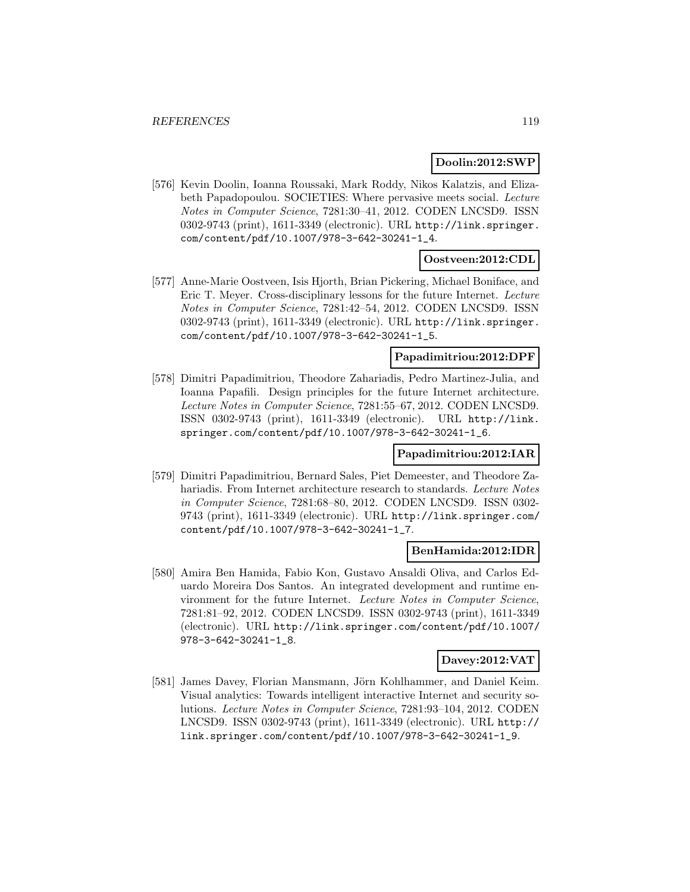### **Doolin:2012:SWP**

[576] Kevin Doolin, Ioanna Roussaki, Mark Roddy, Nikos Kalatzis, and Elizabeth Papadopoulou. SOCIETIES: Where pervasive meets social. Lecture Notes in Computer Science, 7281:30–41, 2012. CODEN LNCSD9. ISSN 0302-9743 (print), 1611-3349 (electronic). URL http://link.springer. com/content/pdf/10.1007/978-3-642-30241-1\_4.

# **Oostveen:2012:CDL**

[577] Anne-Marie Oostveen, Isis Hjorth, Brian Pickering, Michael Boniface, and Eric T. Meyer. Cross-disciplinary lessons for the future Internet. Lecture Notes in Computer Science, 7281:42–54, 2012. CODEN LNCSD9. ISSN 0302-9743 (print), 1611-3349 (electronic). URL http://link.springer. com/content/pdf/10.1007/978-3-642-30241-1\_5.

#### **Papadimitriou:2012:DPF**

[578] Dimitri Papadimitriou, Theodore Zahariadis, Pedro Martinez-Julia, and Ioanna Papafili. Design principles for the future Internet architecture. Lecture Notes in Computer Science, 7281:55–67, 2012. CODEN LNCSD9. ISSN 0302-9743 (print), 1611-3349 (electronic). URL http://link. springer.com/content/pdf/10.1007/978-3-642-30241-1\_6.

# **Papadimitriou:2012:IAR**

[579] Dimitri Papadimitriou, Bernard Sales, Piet Demeester, and Theodore Zahariadis. From Internet architecture research to standards. Lecture Notes in Computer Science, 7281:68–80, 2012. CODEN LNCSD9. ISSN 0302- 9743 (print), 1611-3349 (electronic). URL http://link.springer.com/ content/pdf/10.1007/978-3-642-30241-1\_7.

#### **BenHamida:2012:IDR**

[580] Amira Ben Hamida, Fabio Kon, Gustavo Ansaldi Oliva, and Carlos Eduardo Moreira Dos Santos. An integrated development and runtime environment for the future Internet. Lecture Notes in Computer Science, 7281:81–92, 2012. CODEN LNCSD9. ISSN 0302-9743 (print), 1611-3349 (electronic). URL http://link.springer.com/content/pdf/10.1007/ 978-3-642-30241-1\_8.

# **Davey:2012:VAT**

[581] James Davey, Florian Mansmann, Jörn Kohlhammer, and Daniel Keim. Visual analytics: Towards intelligent interactive Internet and security solutions. Lecture Notes in Computer Science, 7281:93–104, 2012. CODEN LNCSD9. ISSN 0302-9743 (print), 1611-3349 (electronic). URL http:// link.springer.com/content/pdf/10.1007/978-3-642-30241-1\_9.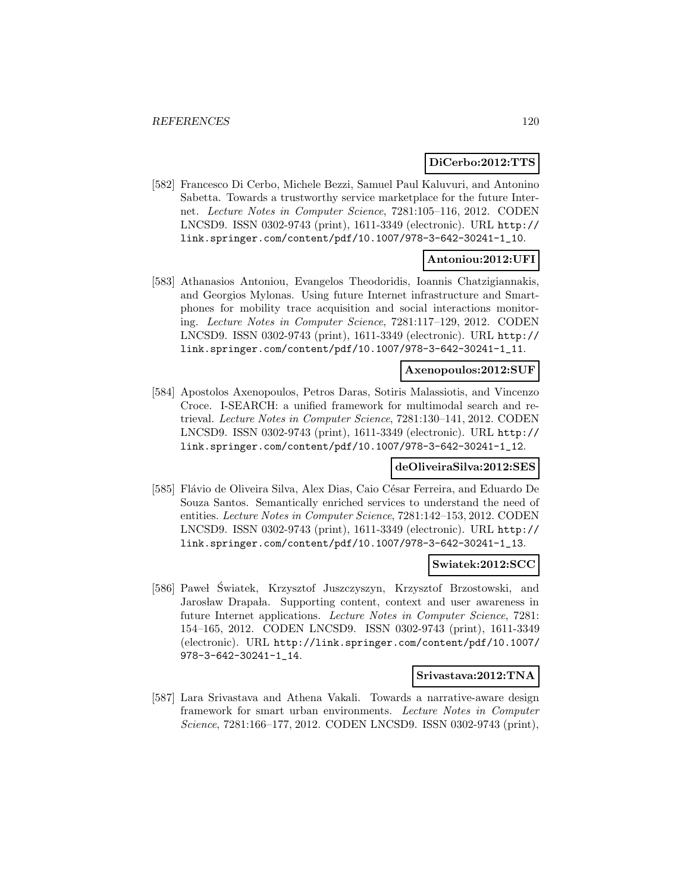### **DiCerbo:2012:TTS**

[582] Francesco Di Cerbo, Michele Bezzi, Samuel Paul Kaluvuri, and Antonino Sabetta. Towards a trustworthy service marketplace for the future Internet. Lecture Notes in Computer Science, 7281:105–116, 2012. CODEN LNCSD9. ISSN 0302-9743 (print), 1611-3349 (electronic). URL http:// link.springer.com/content/pdf/10.1007/978-3-642-30241-1\_10.

# **Antoniou:2012:UFI**

[583] Athanasios Antoniou, Evangelos Theodoridis, Ioannis Chatzigiannakis, and Georgios Mylonas. Using future Internet infrastructure and Smartphones for mobility trace acquisition and social interactions monitoring. Lecture Notes in Computer Science, 7281:117–129, 2012. CODEN LNCSD9. ISSN 0302-9743 (print), 1611-3349 (electronic). URL http:// link.springer.com/content/pdf/10.1007/978-3-642-30241-1\_11.

### **Axenopoulos:2012:SUF**

[584] Apostolos Axenopoulos, Petros Daras, Sotiris Malassiotis, and Vincenzo Croce. I-SEARCH: a unified framework for multimodal search and retrieval. Lecture Notes in Computer Science, 7281:130–141, 2012. CODEN LNCSD9. ISSN 0302-9743 (print), 1611-3349 (electronic). URL http:// link.springer.com/content/pdf/10.1007/978-3-642-30241-1\_12.

# **deOliveiraSilva:2012:SES**

[585] Flávio de Oliveira Silva, Alex Dias, Caio César Ferreira, and Eduardo De Souza Santos. Semantically enriched services to understand the need of entities. Lecture Notes in Computer Science, 7281:142–153, 2012. CODEN LNCSD9. ISSN 0302-9743 (print), 1611-3349 (electronic). URL http:// link.springer.com/content/pdf/10.1007/978-3-642-30241-1\_13.

#### **Swiatek:2012:SCC**

[586] Paweł Światek, Krzysztof Juszczyszyn, Krzysztof Brzostowski, and Jarosław Drapała. Supporting content, context and user awareness in future Internet applications. Lecture Notes in Computer Science, 7281: 154–165, 2012. CODEN LNCSD9. ISSN 0302-9743 (print), 1611-3349 (electronic). URL http://link.springer.com/content/pdf/10.1007/ 978-3-642-30241-1\_14.

#### **Srivastava:2012:TNA**

[587] Lara Srivastava and Athena Vakali. Towards a narrative-aware design framework for smart urban environments. Lecture Notes in Computer Science, 7281:166–177, 2012. CODEN LNCSD9. ISSN 0302-9743 (print),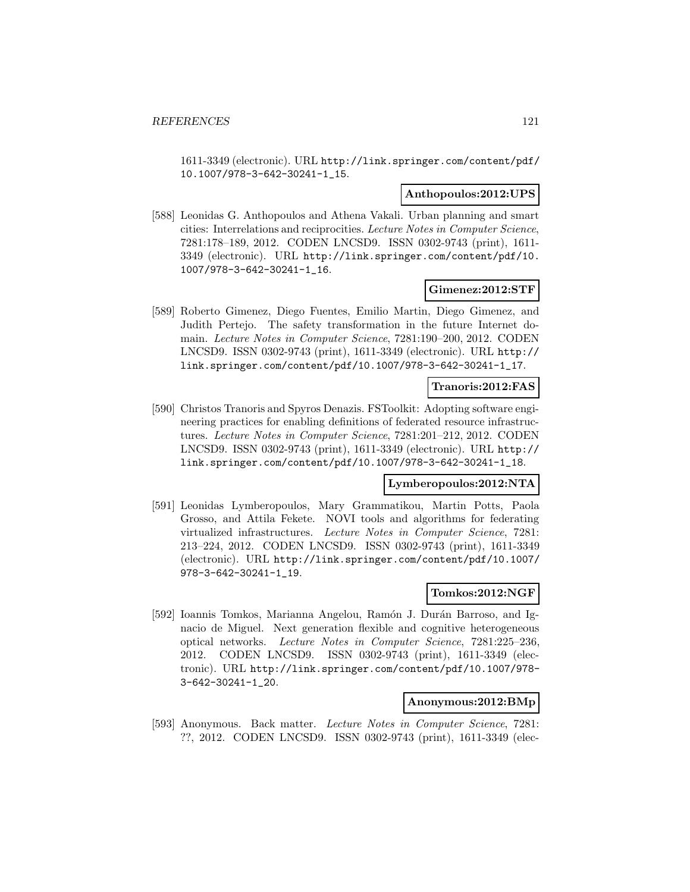1611-3349 (electronic). URL http://link.springer.com/content/pdf/ 10.1007/978-3-642-30241-1\_15.

#### **Anthopoulos:2012:UPS**

[588] Leonidas G. Anthopoulos and Athena Vakali. Urban planning and smart cities: Interrelations and reciprocities. Lecture Notes in Computer Science, 7281:178–189, 2012. CODEN LNCSD9. ISSN 0302-9743 (print), 1611- 3349 (electronic). URL http://link.springer.com/content/pdf/10. 1007/978-3-642-30241-1\_16.

#### **Gimenez:2012:STF**

[589] Roberto Gimenez, Diego Fuentes, Emilio Martin, Diego Gimenez, and Judith Pertejo. The safety transformation in the future Internet domain. Lecture Notes in Computer Science, 7281:190–200, 2012. CODEN LNCSD9. ISSN 0302-9743 (print), 1611-3349 (electronic). URL http:// link.springer.com/content/pdf/10.1007/978-3-642-30241-1\_17.

#### **Tranoris:2012:FAS**

[590] Christos Tranoris and Spyros Denazis. FSToolkit: Adopting software engineering practices for enabling definitions of federated resource infrastructures. Lecture Notes in Computer Science, 7281:201–212, 2012. CODEN LNCSD9. ISSN 0302-9743 (print), 1611-3349 (electronic). URL http:// link.springer.com/content/pdf/10.1007/978-3-642-30241-1\_18.

### **Lymberopoulos:2012:NTA**

[591] Leonidas Lymberopoulos, Mary Grammatikou, Martin Potts, Paola Grosso, and Attila Fekete. NOVI tools and algorithms for federating virtualized infrastructures. Lecture Notes in Computer Science, 7281: 213–224, 2012. CODEN LNCSD9. ISSN 0302-9743 (print), 1611-3349 (electronic). URL http://link.springer.com/content/pdf/10.1007/ 978-3-642-30241-1\_19.

### **Tomkos:2012:NGF**

[592] Ioannis Tomkos, Marianna Angelou, Ramón J. Durán Barroso, and Ignacio de Miguel. Next generation flexible and cognitive heterogeneous optical networks. Lecture Notes in Computer Science, 7281:225–236, 2012. CODEN LNCSD9. ISSN 0302-9743 (print), 1611-3349 (electronic). URL http://link.springer.com/content/pdf/10.1007/978- 3-642-30241-1\_20.

#### **Anonymous:2012:BMp**

[593] Anonymous. Back matter. Lecture Notes in Computer Science, 7281: ??, 2012. CODEN LNCSD9. ISSN 0302-9743 (print), 1611-3349 (elec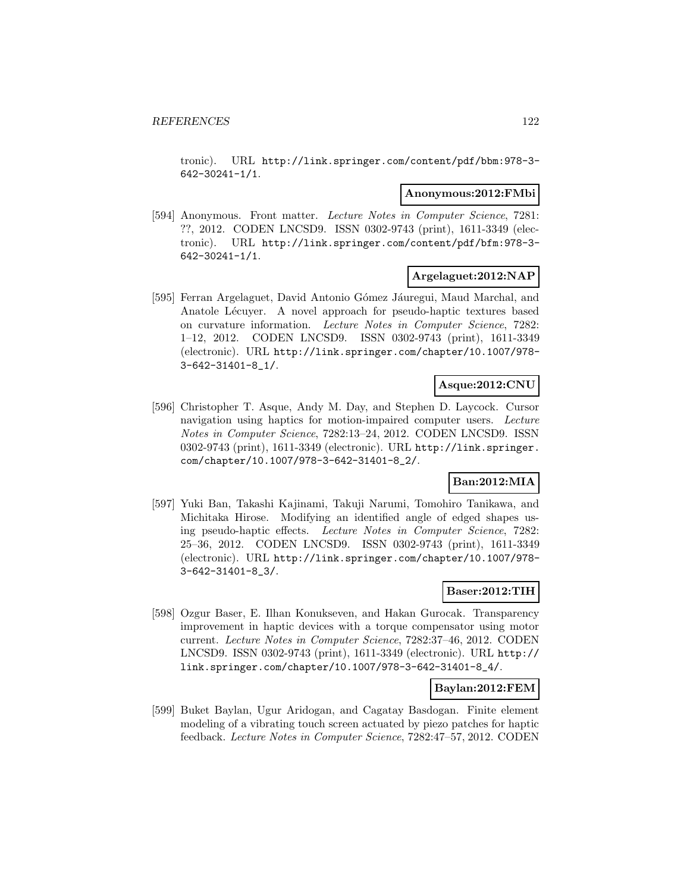tronic). URL http://link.springer.com/content/pdf/bbm:978-3- 642-30241-1/1.

### **Anonymous:2012:FMbi**

[594] Anonymous. Front matter. Lecture Notes in Computer Science, 7281: ??, 2012. CODEN LNCSD9. ISSN 0302-9743 (print), 1611-3349 (electronic). URL http://link.springer.com/content/pdf/bfm:978-3- 642-30241-1/1.

### **Argelaguet:2012:NAP**

[595] Ferran Argelaguet, David Antonio Gómez Jáuregui, Maud Marchal, and Anatole Lécuyer. A novel approach for pseudo-haptic textures based on curvature information. Lecture Notes in Computer Science, 7282: 1–12, 2012. CODEN LNCSD9. ISSN 0302-9743 (print), 1611-3349 (electronic). URL http://link.springer.com/chapter/10.1007/978- 3-642-31401-8\_1/.

### **Asque:2012:CNU**

[596] Christopher T. Asque, Andy M. Day, and Stephen D. Laycock. Cursor navigation using haptics for motion-impaired computer users. Lecture Notes in Computer Science, 7282:13–24, 2012. CODEN LNCSD9. ISSN 0302-9743 (print), 1611-3349 (electronic). URL http://link.springer. com/chapter/10.1007/978-3-642-31401-8\_2/.

# **Ban:2012:MIA**

[597] Yuki Ban, Takashi Kajinami, Takuji Narumi, Tomohiro Tanikawa, and Michitaka Hirose. Modifying an identified angle of edged shapes using pseudo-haptic effects. Lecture Notes in Computer Science, 7282: 25–36, 2012. CODEN LNCSD9. ISSN 0302-9743 (print), 1611-3349 (electronic). URL http://link.springer.com/chapter/10.1007/978- 3-642-31401-8\_3/.

#### **Baser:2012:TIH**

[598] Ozgur Baser, E. Ilhan Konukseven, and Hakan Gurocak. Transparency improvement in haptic devices with a torque compensator using motor current. Lecture Notes in Computer Science, 7282:37–46, 2012. CODEN LNCSD9. ISSN 0302-9743 (print), 1611-3349 (electronic). URL http:// link.springer.com/chapter/10.1007/978-3-642-31401-8\_4/.

# **Baylan:2012:FEM**

[599] Buket Baylan, Ugur Aridogan, and Cagatay Basdogan. Finite element modeling of a vibrating touch screen actuated by piezo patches for haptic feedback. Lecture Notes in Computer Science, 7282:47–57, 2012. CODEN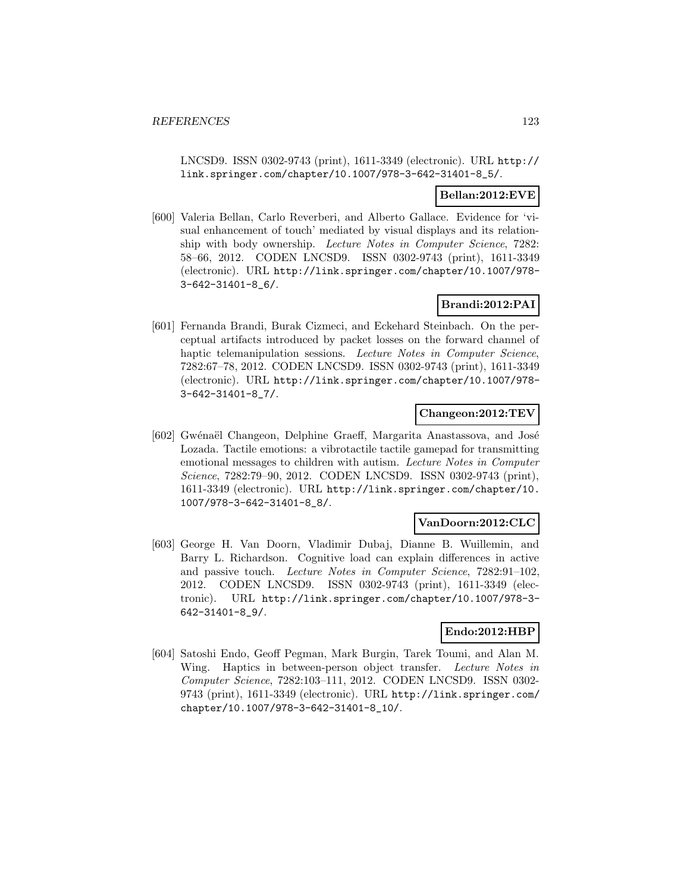LNCSD9. ISSN 0302-9743 (print), 1611-3349 (electronic). URL http:// link.springer.com/chapter/10.1007/978-3-642-31401-8\_5/.

# **Bellan:2012:EVE**

[600] Valeria Bellan, Carlo Reverberi, and Alberto Gallace. Evidence for 'visual enhancement of touch' mediated by visual displays and its relationship with body ownership. Lecture Notes in Computer Science, 7282: 58–66, 2012. CODEN LNCSD9. ISSN 0302-9743 (print), 1611-3349 (electronic). URL http://link.springer.com/chapter/10.1007/978- 3-642-31401-8\_6/.

# **Brandi:2012:PAI**

[601] Fernanda Brandi, Burak Cizmeci, and Eckehard Steinbach. On the perceptual artifacts introduced by packet losses on the forward channel of haptic telemanipulation sessions. Lecture Notes in Computer Science, 7282:67–78, 2012. CODEN LNCSD9. ISSN 0302-9743 (print), 1611-3349 (electronic). URL http://link.springer.com/chapter/10.1007/978- 3-642-31401-8\_7/.

### **Changeon:2012:TEV**

[602] Gwénaël Changeon, Delphine Graeff, Margarita Anastassova, and José Lozada. Tactile emotions: a vibrotactile tactile gamepad for transmitting emotional messages to children with autism. Lecture Notes in Computer Science, 7282:79–90, 2012. CODEN LNCSD9. ISSN 0302-9743 (print), 1611-3349 (electronic). URL http://link.springer.com/chapter/10. 1007/978-3-642-31401-8\_8/.

#### **VanDoorn:2012:CLC**

[603] George H. Van Doorn, Vladimir Dubaj, Dianne B. Wuillemin, and Barry L. Richardson. Cognitive load can explain differences in active and passive touch. Lecture Notes in Computer Science, 7282:91–102, 2012. CODEN LNCSD9. ISSN 0302-9743 (print), 1611-3349 (electronic). URL http://link.springer.com/chapter/10.1007/978-3- 642-31401-8\_9/.

# **Endo:2012:HBP**

[604] Satoshi Endo, Geoff Pegman, Mark Burgin, Tarek Toumi, and Alan M. Wing. Haptics in between-person object transfer. Lecture Notes in Computer Science, 7282:103–111, 2012. CODEN LNCSD9. ISSN 0302- 9743 (print), 1611-3349 (electronic). URL http://link.springer.com/ chapter/10.1007/978-3-642-31401-8\_10/.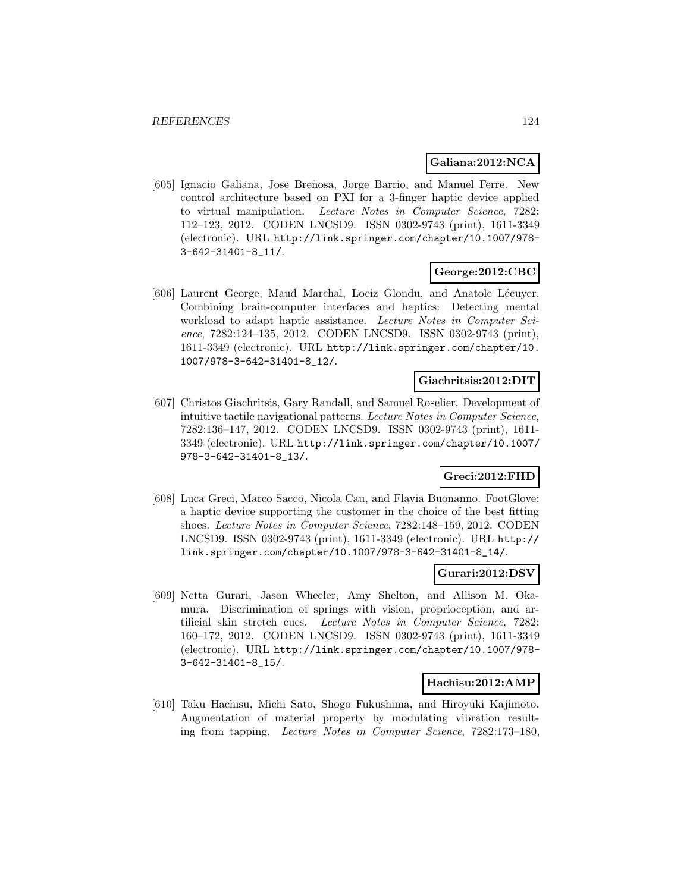#### **Galiana:2012:NCA**

[605] Ignacio Galiana, Jose Breñosa, Jorge Barrio, and Manuel Ferre. New control architecture based on PXI for a 3-finger haptic device applied to virtual manipulation. Lecture Notes in Computer Science, 7282: 112–123, 2012. CODEN LNCSD9. ISSN 0302-9743 (print), 1611-3349 (electronic). URL http://link.springer.com/chapter/10.1007/978- 3-642-31401-8\_11/.

### **George:2012:CBC**

[606] Laurent George, Maud Marchal, Loeiz Glondu, and Anatole Lécuyer. Combining brain-computer interfaces and haptics: Detecting mental workload to adapt haptic assistance. Lecture Notes in Computer Science, 7282:124–135, 2012. CODEN LNCSD9. ISSN 0302-9743 (print), 1611-3349 (electronic). URL http://link.springer.com/chapter/10. 1007/978-3-642-31401-8\_12/.

#### **Giachritsis:2012:DIT**

[607] Christos Giachritsis, Gary Randall, and Samuel Roselier. Development of intuitive tactile navigational patterns. Lecture Notes in Computer Science, 7282:136–147, 2012. CODEN LNCSD9. ISSN 0302-9743 (print), 1611- 3349 (electronic). URL http://link.springer.com/chapter/10.1007/ 978-3-642-31401-8\_13/.

# **Greci:2012:FHD**

[608] Luca Greci, Marco Sacco, Nicola Cau, and Flavia Buonanno. FootGlove: a haptic device supporting the customer in the choice of the best fitting shoes. Lecture Notes in Computer Science, 7282:148–159, 2012. CODEN LNCSD9. ISSN 0302-9743 (print), 1611-3349 (electronic). URL http:// link.springer.com/chapter/10.1007/978-3-642-31401-8\_14/.

### **Gurari:2012:DSV**

[609] Netta Gurari, Jason Wheeler, Amy Shelton, and Allison M. Okamura. Discrimination of springs with vision, proprioception, and artificial skin stretch cues. Lecture Notes in Computer Science, 7282: 160–172, 2012. CODEN LNCSD9. ISSN 0302-9743 (print), 1611-3349 (electronic). URL http://link.springer.com/chapter/10.1007/978- 3-642-31401-8\_15/.

#### **Hachisu:2012:AMP**

[610] Taku Hachisu, Michi Sato, Shogo Fukushima, and Hiroyuki Kajimoto. Augmentation of material property by modulating vibration resulting from tapping. Lecture Notes in Computer Science, 7282:173–180,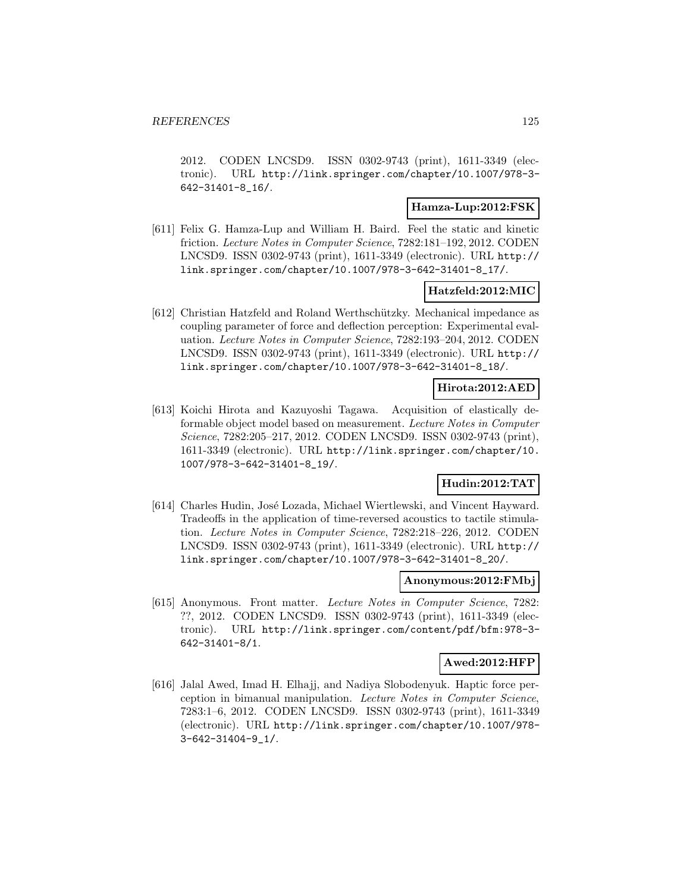2012. CODEN LNCSD9. ISSN 0302-9743 (print), 1611-3349 (electronic). URL http://link.springer.com/chapter/10.1007/978-3- 642-31401-8\_16/.

### **Hamza-Lup:2012:FSK**

[611] Felix G. Hamza-Lup and William H. Baird. Feel the static and kinetic friction. Lecture Notes in Computer Science, 7282:181–192, 2012. CODEN LNCSD9. ISSN 0302-9743 (print), 1611-3349 (electronic). URL http:// link.springer.com/chapter/10.1007/978-3-642-31401-8\_17/.

### **Hatzfeld:2012:MIC**

[612] Christian Hatzfeld and Roland Werthschützky. Mechanical impedance as coupling parameter of force and deflection perception: Experimental evaluation. Lecture Notes in Computer Science, 7282:193–204, 2012. CODEN LNCSD9. ISSN 0302-9743 (print), 1611-3349 (electronic). URL http:// link.springer.com/chapter/10.1007/978-3-642-31401-8\_18/.

# **Hirota:2012:AED**

[613] Koichi Hirota and Kazuyoshi Tagawa. Acquisition of elastically deformable object model based on measurement. Lecture Notes in Computer Science, 7282:205–217, 2012. CODEN LNCSD9. ISSN 0302-9743 (print), 1611-3349 (electronic). URL http://link.springer.com/chapter/10. 1007/978-3-642-31401-8\_19/.

# **Hudin:2012:TAT**

[614] Charles Hudin, José Lozada, Michael Wiertlewski, and Vincent Hayward. Tradeoffs in the application of time-reversed acoustics to tactile stimulation. Lecture Notes in Computer Science, 7282:218–226, 2012. CODEN LNCSD9. ISSN 0302-9743 (print), 1611-3349 (electronic). URL http:// link.springer.com/chapter/10.1007/978-3-642-31401-8\_20/.

#### **Anonymous:2012:FMbj**

[615] Anonymous. Front matter. Lecture Notes in Computer Science, 7282: ??, 2012. CODEN LNCSD9. ISSN 0302-9743 (print), 1611-3349 (electronic). URL http://link.springer.com/content/pdf/bfm:978-3- 642-31401-8/1.

#### **Awed:2012:HFP**

[616] Jalal Awed, Imad H. Elhajj, and Nadiya Slobodenyuk. Haptic force perception in bimanual manipulation. Lecture Notes in Computer Science, 7283:1–6, 2012. CODEN LNCSD9. ISSN 0302-9743 (print), 1611-3349 (electronic). URL http://link.springer.com/chapter/10.1007/978- 3-642-31404-9\_1/.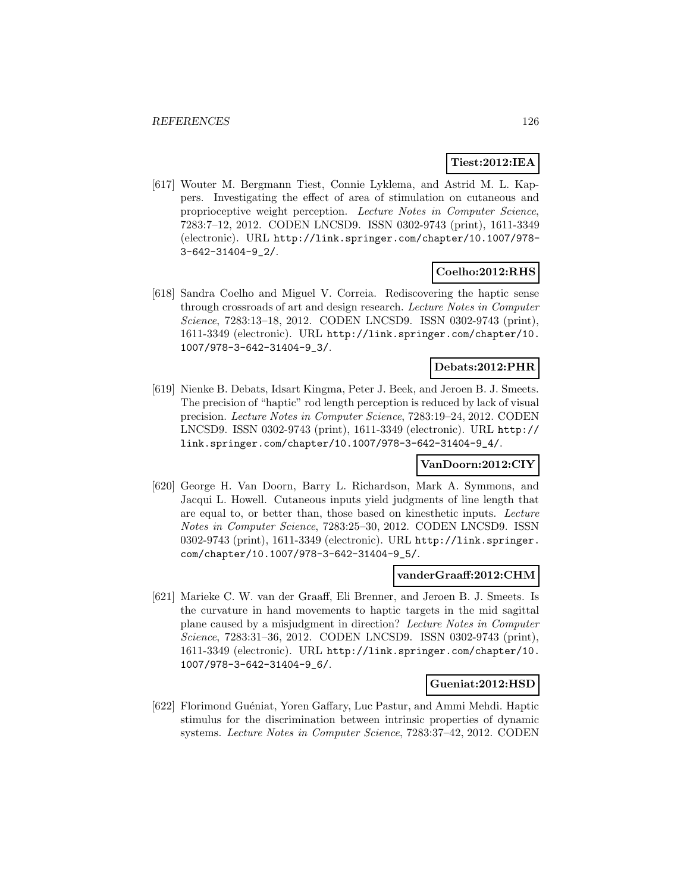# **Tiest:2012:IEA**

[617] Wouter M. Bergmann Tiest, Connie Lyklema, and Astrid M. L. Kappers. Investigating the effect of area of stimulation on cutaneous and proprioceptive weight perception. Lecture Notes in Computer Science, 7283:7–12, 2012. CODEN LNCSD9. ISSN 0302-9743 (print), 1611-3349 (electronic). URL http://link.springer.com/chapter/10.1007/978- 3-642-31404-9\_2/.

# **Coelho:2012:RHS**

[618] Sandra Coelho and Miguel V. Correia. Rediscovering the haptic sense through crossroads of art and design research. Lecture Notes in Computer Science, 7283:13–18, 2012. CODEN LNCSD9. ISSN 0302-9743 (print), 1611-3349 (electronic). URL http://link.springer.com/chapter/10. 1007/978-3-642-31404-9\_3/.

### **Debats:2012:PHR**

[619] Nienke B. Debats, Idsart Kingma, Peter J. Beek, and Jeroen B. J. Smeets. The precision of "haptic" rod length perception is reduced by lack of visual precision. Lecture Notes in Computer Science, 7283:19–24, 2012. CODEN LNCSD9. ISSN 0302-9743 (print), 1611-3349 (electronic). URL http:// link.springer.com/chapter/10.1007/978-3-642-31404-9\_4/.

# **VanDoorn:2012:CIY**

[620] George H. Van Doorn, Barry L. Richardson, Mark A. Symmons, and Jacqui L. Howell. Cutaneous inputs yield judgments of line length that are equal to, or better than, those based on kinesthetic inputs. Lecture Notes in Computer Science, 7283:25–30, 2012. CODEN LNCSD9. ISSN 0302-9743 (print), 1611-3349 (electronic). URL http://link.springer. com/chapter/10.1007/978-3-642-31404-9\_5/.

#### **vanderGraaff:2012:CHM**

[621] Marieke C. W. van der Graaff, Eli Brenner, and Jeroen B. J. Smeets. Is the curvature in hand movements to haptic targets in the mid sagittal plane caused by a misjudgment in direction? Lecture Notes in Computer Science, 7283:31–36, 2012. CODEN LNCSD9. ISSN 0302-9743 (print), 1611-3349 (electronic). URL http://link.springer.com/chapter/10. 1007/978-3-642-31404-9\_6/.

#### **Gueniat:2012:HSD**

[622] Florimond Guéniat, Yoren Gaffary, Luc Pastur, and Ammi Mehdi. Haptic stimulus for the discrimination between intrinsic properties of dynamic systems. Lecture Notes in Computer Science, 7283:37–42, 2012. CODEN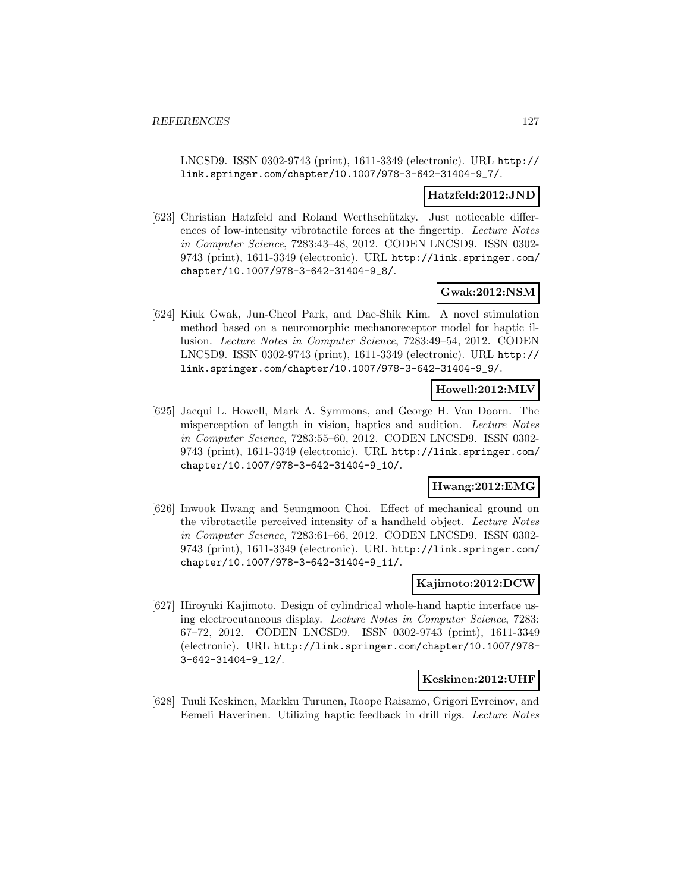LNCSD9. ISSN 0302-9743 (print), 1611-3349 (electronic). URL http:// link.springer.com/chapter/10.1007/978-3-642-31404-9\_7/.

#### **Hatzfeld:2012:JND**

[623] Christian Hatzfeld and Roland Werthschützky. Just noticeable differences of low-intensity vibrotactile forces at the fingertip. Lecture Notes in Computer Science, 7283:43–48, 2012. CODEN LNCSD9. ISSN 0302- 9743 (print), 1611-3349 (electronic). URL http://link.springer.com/ chapter/10.1007/978-3-642-31404-9\_8/.

# **Gwak:2012:NSM**

[624] Kiuk Gwak, Jun-Cheol Park, and Dae-Shik Kim. A novel stimulation method based on a neuromorphic mechanoreceptor model for haptic illusion. Lecture Notes in Computer Science, 7283:49–54, 2012. CODEN LNCSD9. ISSN 0302-9743 (print), 1611-3349 (electronic). URL http:// link.springer.com/chapter/10.1007/978-3-642-31404-9\_9/.

# **Howell:2012:MLV**

[625] Jacqui L. Howell, Mark A. Symmons, and George H. Van Doorn. The misperception of length in vision, haptics and audition. Lecture Notes in Computer Science, 7283:55–60, 2012. CODEN LNCSD9. ISSN 0302- 9743 (print), 1611-3349 (electronic). URL http://link.springer.com/ chapter/10.1007/978-3-642-31404-9\_10/.

#### **Hwang:2012:EMG**

[626] Inwook Hwang and Seungmoon Choi. Effect of mechanical ground on the vibrotactile perceived intensity of a handheld object. Lecture Notes in Computer Science, 7283:61–66, 2012. CODEN LNCSD9. ISSN 0302- 9743 (print), 1611-3349 (electronic). URL http://link.springer.com/ chapter/10.1007/978-3-642-31404-9\_11/.

#### **Kajimoto:2012:DCW**

[627] Hiroyuki Kajimoto. Design of cylindrical whole-hand haptic interface using electrocutaneous display. Lecture Notes in Computer Science, 7283: 67–72, 2012. CODEN LNCSD9. ISSN 0302-9743 (print), 1611-3349 (electronic). URL http://link.springer.com/chapter/10.1007/978- 3-642-31404-9\_12/.

#### **Keskinen:2012:UHF**

[628] Tuuli Keskinen, Markku Turunen, Roope Raisamo, Grigori Evreinov, and Eemeli Haverinen. Utilizing haptic feedback in drill rigs. Lecture Notes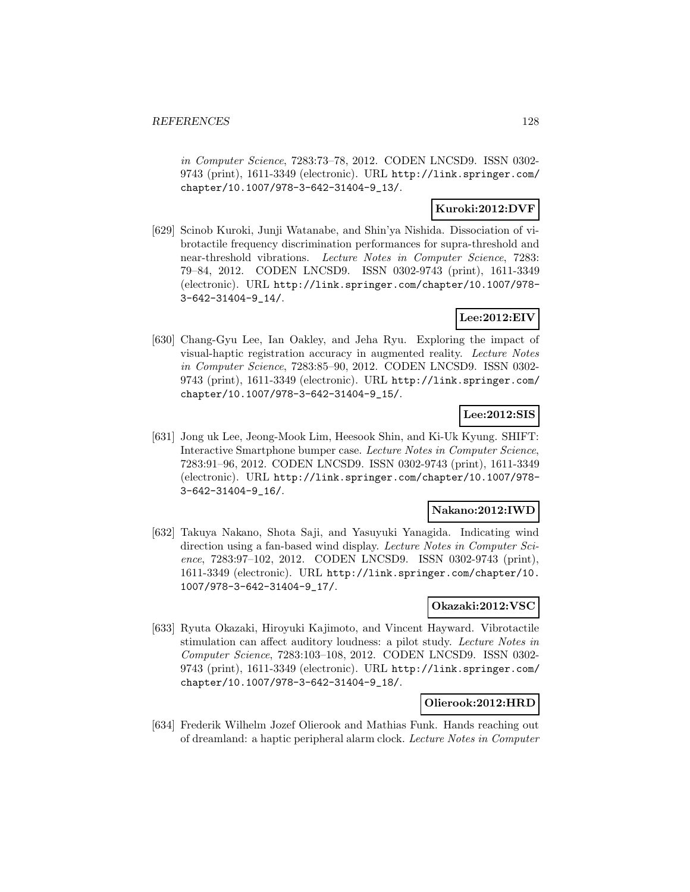in Computer Science, 7283:73–78, 2012. CODEN LNCSD9. ISSN 0302- 9743 (print), 1611-3349 (electronic). URL http://link.springer.com/ chapter/10.1007/978-3-642-31404-9\_13/.

# **Kuroki:2012:DVF**

[629] Scinob Kuroki, Junji Watanabe, and Shin'ya Nishida. Dissociation of vibrotactile frequency discrimination performances for supra-threshold and near-threshold vibrations. Lecture Notes in Computer Science, 7283: 79–84, 2012. CODEN LNCSD9. ISSN 0302-9743 (print), 1611-3349 (electronic). URL http://link.springer.com/chapter/10.1007/978- 3-642-31404-9\_14/.

### **Lee:2012:EIV**

[630] Chang-Gyu Lee, Ian Oakley, and Jeha Ryu. Exploring the impact of visual-haptic registration accuracy in augmented reality. Lecture Notes in Computer Science, 7283:85–90, 2012. CODEN LNCSD9. ISSN 0302- 9743 (print), 1611-3349 (electronic). URL http://link.springer.com/ chapter/10.1007/978-3-642-31404-9\_15/.

# **Lee:2012:SIS**

[631] Jong uk Lee, Jeong-Mook Lim, Heesook Shin, and Ki-Uk Kyung. SHIFT: Interactive Smartphone bumper case. Lecture Notes in Computer Science, 7283:91–96, 2012. CODEN LNCSD9. ISSN 0302-9743 (print), 1611-3349 (electronic). URL http://link.springer.com/chapter/10.1007/978- 3-642-31404-9\_16/.

#### **Nakano:2012:IWD**

[632] Takuya Nakano, Shota Saji, and Yasuyuki Yanagida. Indicating wind direction using a fan-based wind display. Lecture Notes in Computer Science, 7283:97–102, 2012. CODEN LNCSD9. ISSN 0302-9743 (print), 1611-3349 (electronic). URL http://link.springer.com/chapter/10. 1007/978-3-642-31404-9\_17/.

#### **Okazaki:2012:VSC**

[633] Ryuta Okazaki, Hiroyuki Kajimoto, and Vincent Hayward. Vibrotactile stimulation can affect auditory loudness: a pilot study. Lecture Notes in Computer Science, 7283:103–108, 2012. CODEN LNCSD9. ISSN 0302- 9743 (print), 1611-3349 (electronic). URL http://link.springer.com/ chapter/10.1007/978-3-642-31404-9\_18/.

#### **Olierook:2012:HRD**

[634] Frederik Wilhelm Jozef Olierook and Mathias Funk. Hands reaching out of dreamland: a haptic peripheral alarm clock. Lecture Notes in Computer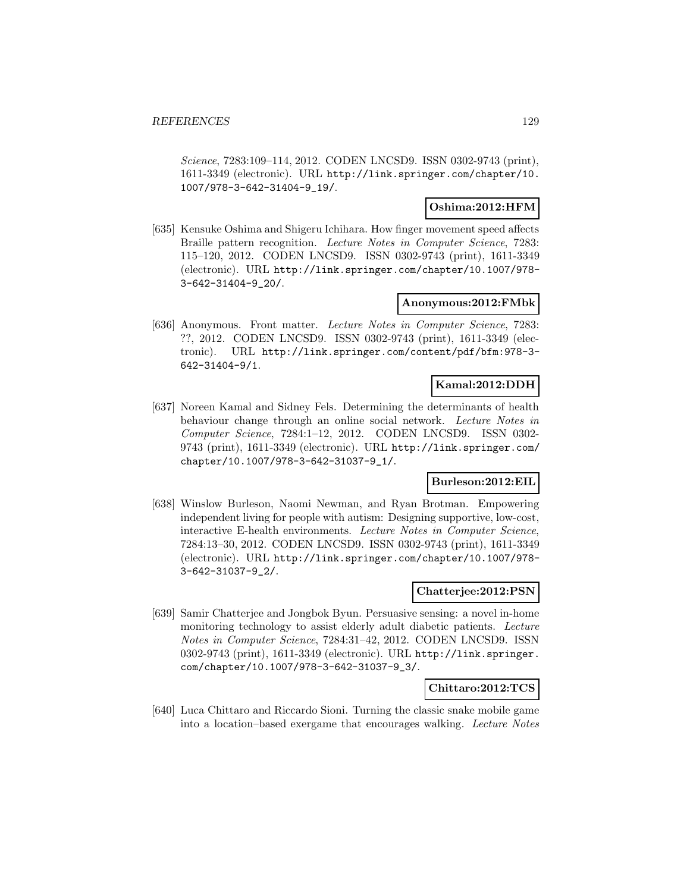Science, 7283:109–114, 2012. CODEN LNCSD9. ISSN 0302-9743 (print), 1611-3349 (electronic). URL http://link.springer.com/chapter/10. 1007/978-3-642-31404-9\_19/.

### **Oshima:2012:HFM**

[635] Kensuke Oshima and Shigeru Ichihara. How finger movement speed affects Braille pattern recognition. Lecture Notes in Computer Science, 7283: 115–120, 2012. CODEN LNCSD9. ISSN 0302-9743 (print), 1611-3349 (electronic). URL http://link.springer.com/chapter/10.1007/978- 3-642-31404-9\_20/.

### **Anonymous:2012:FMbk**

[636] Anonymous. Front matter. Lecture Notes in Computer Science, 7283: ??, 2012. CODEN LNCSD9. ISSN 0302-9743 (print), 1611-3349 (electronic). URL http://link.springer.com/content/pdf/bfm:978-3- 642-31404-9/1.

### **Kamal:2012:DDH**

[637] Noreen Kamal and Sidney Fels. Determining the determinants of health behaviour change through an online social network. Lecture Notes in Computer Science, 7284:1–12, 2012. CODEN LNCSD9. ISSN 0302- 9743 (print), 1611-3349 (electronic). URL http://link.springer.com/ chapter/10.1007/978-3-642-31037-9\_1/.

# **Burleson:2012:EIL**

[638] Winslow Burleson, Naomi Newman, and Ryan Brotman. Empowering independent living for people with autism: Designing supportive, low-cost, interactive E-health environments. Lecture Notes in Computer Science, 7284:13–30, 2012. CODEN LNCSD9. ISSN 0302-9743 (print), 1611-3349 (electronic). URL http://link.springer.com/chapter/10.1007/978- 3-642-31037-9\_2/.

#### **Chatterjee:2012:PSN**

[639] Samir Chatterjee and Jongbok Byun. Persuasive sensing: a novel in-home monitoring technology to assist elderly adult diabetic patients. Lecture Notes in Computer Science, 7284:31–42, 2012. CODEN LNCSD9. ISSN 0302-9743 (print), 1611-3349 (electronic). URL http://link.springer. com/chapter/10.1007/978-3-642-31037-9\_3/.

#### **Chittaro:2012:TCS**

[640] Luca Chittaro and Riccardo Sioni. Turning the classic snake mobile game into a location–based exergame that encourages walking. Lecture Notes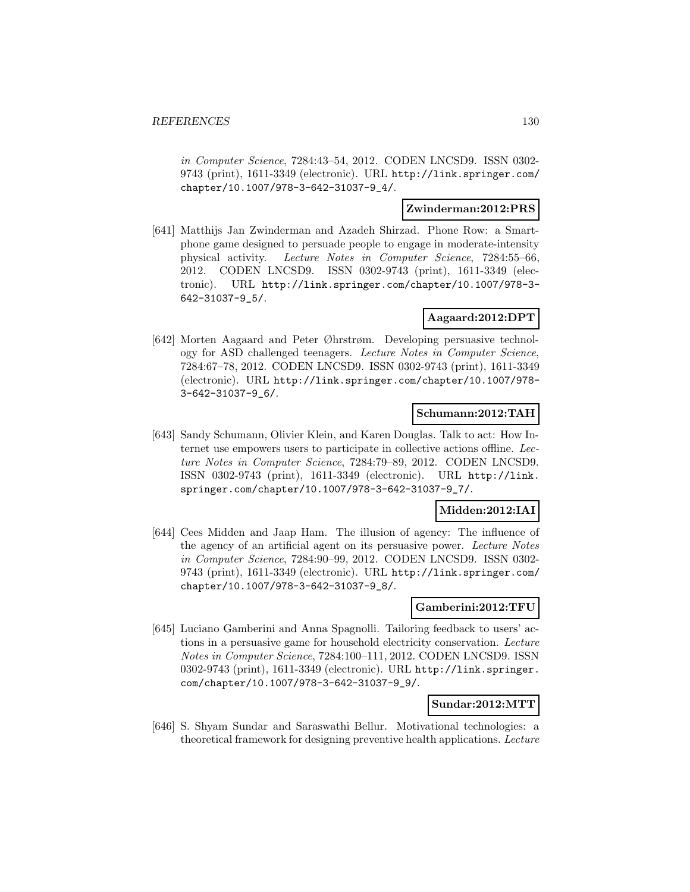in Computer Science, 7284:43–54, 2012. CODEN LNCSD9. ISSN 0302- 9743 (print), 1611-3349 (electronic). URL http://link.springer.com/ chapter/10.1007/978-3-642-31037-9\_4/.

# **Zwinderman:2012:PRS**

[641] Matthijs Jan Zwinderman and Azadeh Shirzad. Phone Row: a Smartphone game designed to persuade people to engage in moderate-intensity physical activity. Lecture Notes in Computer Science, 7284:55–66, 2012. CODEN LNCSD9. ISSN 0302-9743 (print), 1611-3349 (electronic). URL http://link.springer.com/chapter/10.1007/978-3- 642-31037-9\_5/.

### **Aagaard:2012:DPT**

[642] Morten Aagaard and Peter Øhrstrøm. Developing persuasive technology for ASD challenged teenagers. Lecture Notes in Computer Science, 7284:67–78, 2012. CODEN LNCSD9. ISSN 0302-9743 (print), 1611-3349 (electronic). URL http://link.springer.com/chapter/10.1007/978- 3-642-31037-9\_6/.

### **Schumann:2012:TAH**

[643] Sandy Schumann, Olivier Klein, and Karen Douglas. Talk to act: How Internet use empowers users to participate in collective actions offline. Lecture Notes in Computer Science, 7284:79–89, 2012. CODEN LNCSD9. ISSN 0302-9743 (print), 1611-3349 (electronic). URL http://link. springer.com/chapter/10.1007/978-3-642-31037-9\_7/.

# **Midden:2012:IAI**

[644] Cees Midden and Jaap Ham. The illusion of agency: The influence of the agency of an artificial agent on its persuasive power. Lecture Notes in Computer Science, 7284:90–99, 2012. CODEN LNCSD9. ISSN 0302- 9743 (print), 1611-3349 (electronic). URL http://link.springer.com/ chapter/10.1007/978-3-642-31037-9\_8/.

### **Gamberini:2012:TFU**

[645] Luciano Gamberini and Anna Spagnolli. Tailoring feedback to users' actions in a persuasive game for household electricity conservation. Lecture Notes in Computer Science, 7284:100–111, 2012. CODEN LNCSD9. ISSN 0302-9743 (print), 1611-3349 (electronic). URL http://link.springer. com/chapter/10.1007/978-3-642-31037-9\_9/.

### **Sundar:2012:MTT**

[646] S. Shyam Sundar and Saraswathi Bellur. Motivational technologies: a theoretical framework for designing preventive health applications. Lecture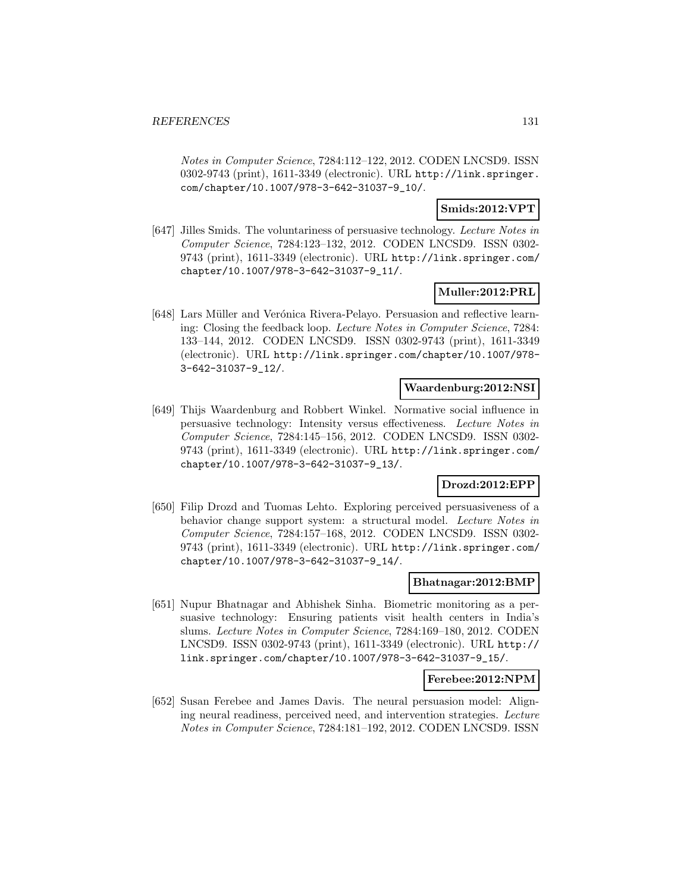Notes in Computer Science, 7284:112–122, 2012. CODEN LNCSD9. ISSN 0302-9743 (print), 1611-3349 (electronic). URL http://link.springer. com/chapter/10.1007/978-3-642-31037-9\_10/.

### **Smids:2012:VPT**

[647] Jilles Smids. The voluntariness of persuasive technology. Lecture Notes in Computer Science, 7284:123–132, 2012. CODEN LNCSD9. ISSN 0302- 9743 (print), 1611-3349 (electronic). URL http://link.springer.com/ chapter/10.1007/978-3-642-31037-9\_11/.

#### **Muller:2012:PRL**

[648] Lars Müller and Verónica Rivera-Pelayo. Persuasion and reflective learning: Closing the feedback loop. Lecture Notes in Computer Science, 7284: 133–144, 2012. CODEN LNCSD9. ISSN 0302-9743 (print), 1611-3349 (electronic). URL http://link.springer.com/chapter/10.1007/978- 3-642-31037-9\_12/.

#### **Waardenburg:2012:NSI**

[649] Thijs Waardenburg and Robbert Winkel. Normative social influence in persuasive technology: Intensity versus effectiveness. Lecture Notes in Computer Science, 7284:145–156, 2012. CODEN LNCSD9. ISSN 0302- 9743 (print), 1611-3349 (electronic). URL http://link.springer.com/ chapter/10.1007/978-3-642-31037-9\_13/.

# **Drozd:2012:EPP**

[650] Filip Drozd and Tuomas Lehto. Exploring perceived persuasiveness of a behavior change support system: a structural model. Lecture Notes in Computer Science, 7284:157–168, 2012. CODEN LNCSD9. ISSN 0302- 9743 (print), 1611-3349 (electronic). URL http://link.springer.com/ chapter/10.1007/978-3-642-31037-9\_14/.

#### **Bhatnagar:2012:BMP**

[651] Nupur Bhatnagar and Abhishek Sinha. Biometric monitoring as a persuasive technology: Ensuring patients visit health centers in India's slums. Lecture Notes in Computer Science, 7284:169–180, 2012. CODEN LNCSD9. ISSN 0302-9743 (print), 1611-3349 (electronic). URL http:// link.springer.com/chapter/10.1007/978-3-642-31037-9\_15/.

#### **Ferebee:2012:NPM**

[652] Susan Ferebee and James Davis. The neural persuasion model: Aligning neural readiness, perceived need, and intervention strategies. Lecture Notes in Computer Science, 7284:181–192, 2012. CODEN LNCSD9. ISSN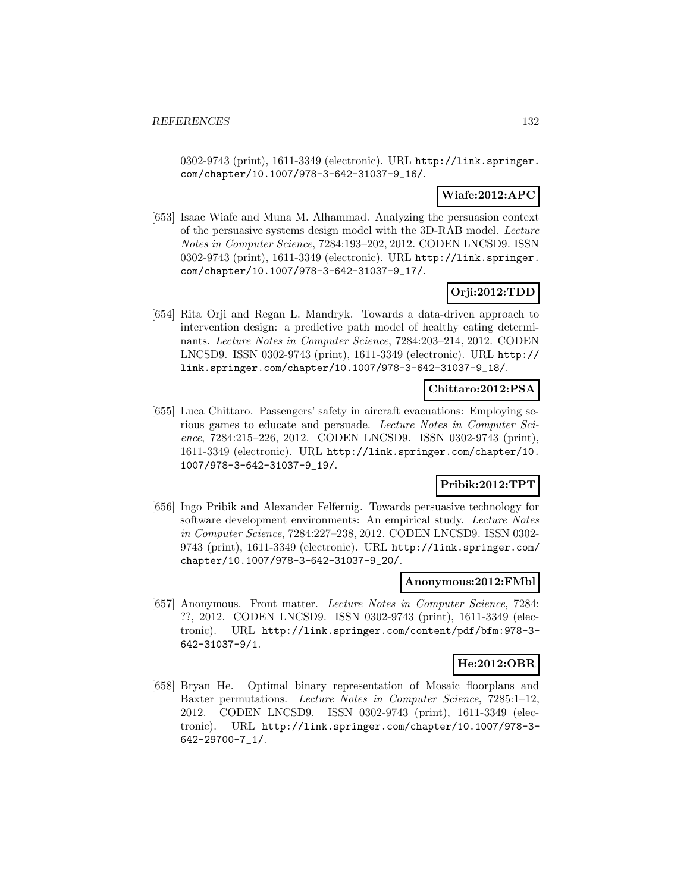0302-9743 (print), 1611-3349 (electronic). URL http://link.springer. com/chapter/10.1007/978-3-642-31037-9\_16/.

# **Wiafe:2012:APC**

[653] Isaac Wiafe and Muna M. Alhammad. Analyzing the persuasion context of the persuasive systems design model with the 3D-RAB model. Lecture Notes in Computer Science, 7284:193–202, 2012. CODEN LNCSD9. ISSN 0302-9743 (print), 1611-3349 (electronic). URL http://link.springer. com/chapter/10.1007/978-3-642-31037-9\_17/.

# **Orji:2012:TDD**

[654] Rita Orji and Regan L. Mandryk. Towards a data-driven approach to intervention design: a predictive path model of healthy eating determinants. Lecture Notes in Computer Science, 7284:203–214, 2012. CODEN LNCSD9. ISSN 0302-9743 (print), 1611-3349 (electronic). URL http:// link.springer.com/chapter/10.1007/978-3-642-31037-9\_18/.

### **Chittaro:2012:PSA**

[655] Luca Chittaro. Passengers' safety in aircraft evacuations: Employing serious games to educate and persuade. Lecture Notes in Computer Science, 7284:215–226, 2012. CODEN LNCSD9. ISSN 0302-9743 (print), 1611-3349 (electronic). URL http://link.springer.com/chapter/10. 1007/978-3-642-31037-9\_19/.

# **Pribik:2012:TPT**

[656] Ingo Pribik and Alexander Felfernig. Towards persuasive technology for software development environments: An empirical study. Lecture Notes in Computer Science, 7284:227–238, 2012. CODEN LNCSD9. ISSN 0302- 9743 (print), 1611-3349 (electronic). URL http://link.springer.com/ chapter/10.1007/978-3-642-31037-9\_20/.

#### **Anonymous:2012:FMbl**

[657] Anonymous. Front matter. Lecture Notes in Computer Science, 7284: ??, 2012. CODEN LNCSD9. ISSN 0302-9743 (print), 1611-3349 (electronic). URL http://link.springer.com/content/pdf/bfm:978-3- 642-31037-9/1.

### **He:2012:OBR**

[658] Bryan He. Optimal binary representation of Mosaic floorplans and Baxter permutations. Lecture Notes in Computer Science, 7285:1–12, 2012. CODEN LNCSD9. ISSN 0302-9743 (print), 1611-3349 (electronic). URL http://link.springer.com/chapter/10.1007/978-3- 642-29700-7\_1/.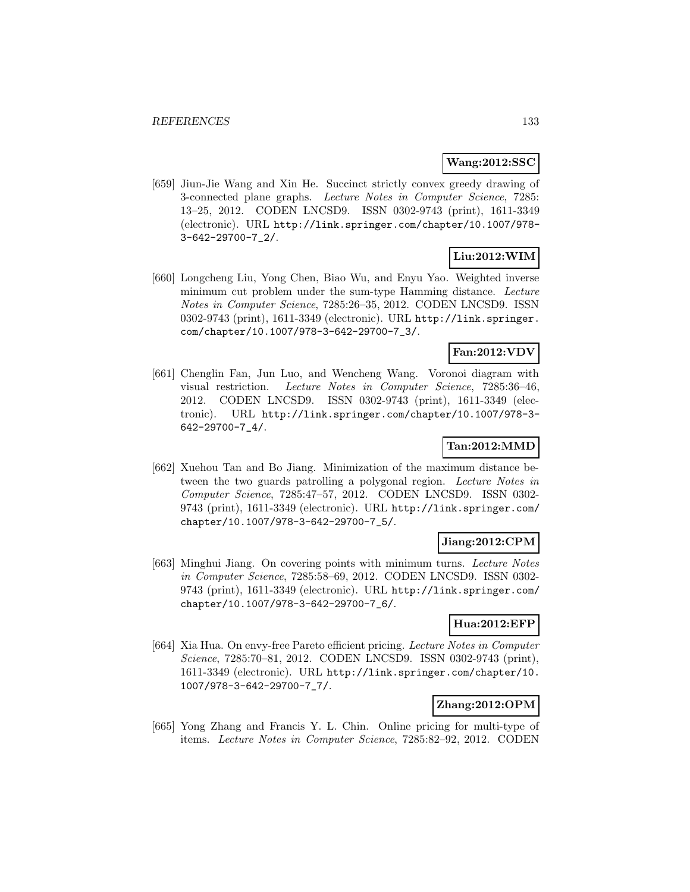### **Wang:2012:SSC**

[659] Jiun-Jie Wang and Xin He. Succinct strictly convex greedy drawing of 3-connected plane graphs. Lecture Notes in Computer Science, 7285: 13–25, 2012. CODEN LNCSD9. ISSN 0302-9743 (print), 1611-3349 (electronic). URL http://link.springer.com/chapter/10.1007/978- 3-642-29700-7\_2/.

# **Liu:2012:WIM**

[660] Longcheng Liu, Yong Chen, Biao Wu, and Enyu Yao. Weighted inverse minimum cut problem under the sum-type Hamming distance. Lecture Notes in Computer Science, 7285:26–35, 2012. CODEN LNCSD9. ISSN 0302-9743 (print), 1611-3349 (electronic). URL http://link.springer. com/chapter/10.1007/978-3-642-29700-7\_3/.

# **Fan:2012:VDV**

[661] Chenglin Fan, Jun Luo, and Wencheng Wang. Voronoi diagram with visual restriction. Lecture Notes in Computer Science, 7285:36–46, 2012. CODEN LNCSD9. ISSN 0302-9743 (print), 1611-3349 (electronic). URL http://link.springer.com/chapter/10.1007/978-3- 642-29700-7\_4/.

# **Tan:2012:MMD**

[662] Xuehou Tan and Bo Jiang. Minimization of the maximum distance between the two guards patrolling a polygonal region. Lecture Notes in Computer Science, 7285:47–57, 2012. CODEN LNCSD9. ISSN 0302- 9743 (print), 1611-3349 (electronic). URL http://link.springer.com/ chapter/10.1007/978-3-642-29700-7\_5/.

# **Jiang:2012:CPM**

[663] Minghui Jiang. On covering points with minimum turns. Lecture Notes in Computer Science, 7285:58–69, 2012. CODEN LNCSD9. ISSN 0302- 9743 (print), 1611-3349 (electronic). URL http://link.springer.com/ chapter/10.1007/978-3-642-29700-7\_6/.

# **Hua:2012:EFP**

[664] Xia Hua. On envy-free Pareto efficient pricing. Lecture Notes in Computer Science, 7285:70–81, 2012. CODEN LNCSD9. ISSN 0302-9743 (print), 1611-3349 (electronic). URL http://link.springer.com/chapter/10. 1007/978-3-642-29700-7\_7/.

# **Zhang:2012:OPM**

[665] Yong Zhang and Francis Y. L. Chin. Online pricing for multi-type of items. Lecture Notes in Computer Science, 7285:82–92, 2012. CODEN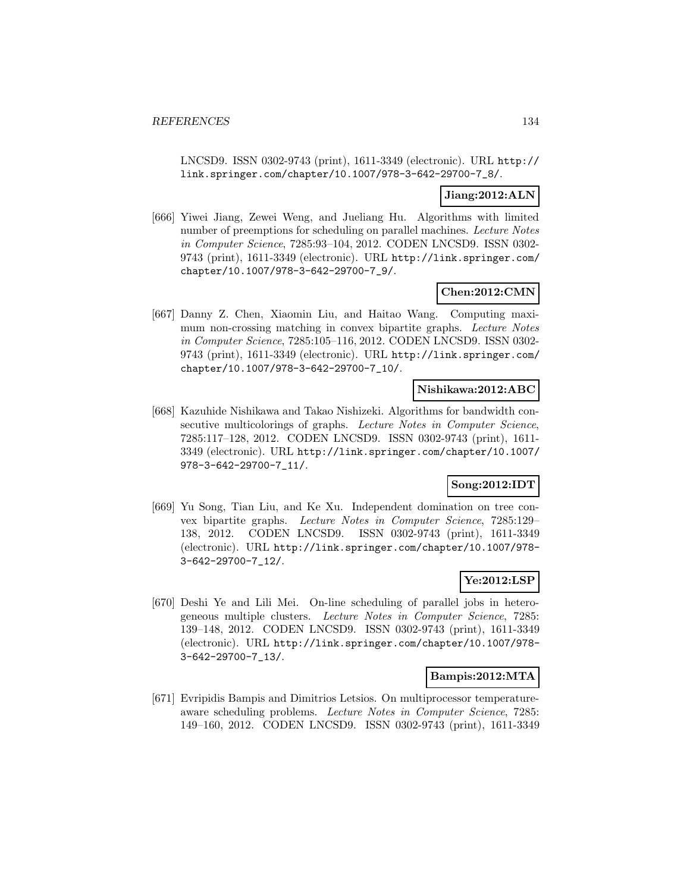LNCSD9. ISSN 0302-9743 (print), 1611-3349 (electronic). URL http:// link.springer.com/chapter/10.1007/978-3-642-29700-7\_8/.

### **Jiang:2012:ALN**

[666] Yiwei Jiang, Zewei Weng, and Jueliang Hu. Algorithms with limited number of preemptions for scheduling on parallel machines. Lecture Notes in Computer Science, 7285:93–104, 2012. CODEN LNCSD9. ISSN 0302- 9743 (print), 1611-3349 (electronic). URL http://link.springer.com/ chapter/10.1007/978-3-642-29700-7\_9/.

### **Chen:2012:CMN**

[667] Danny Z. Chen, Xiaomin Liu, and Haitao Wang. Computing maximum non-crossing matching in convex bipartite graphs. Lecture Notes in Computer Science, 7285:105–116, 2012. CODEN LNCSD9. ISSN 0302- 9743 (print), 1611-3349 (electronic). URL http://link.springer.com/ chapter/10.1007/978-3-642-29700-7\_10/.

# **Nishikawa:2012:ABC**

[668] Kazuhide Nishikawa and Takao Nishizeki. Algorithms for bandwidth consecutive multicolorings of graphs. Lecture Notes in Computer Science, 7285:117–128, 2012. CODEN LNCSD9. ISSN 0302-9743 (print), 1611- 3349 (electronic). URL http://link.springer.com/chapter/10.1007/ 978-3-642-29700-7\_11/.

### **Song:2012:IDT**

[669] Yu Song, Tian Liu, and Ke Xu. Independent domination on tree convex bipartite graphs. Lecture Notes in Computer Science, 7285:129– 138, 2012. CODEN LNCSD9. ISSN 0302-9743 (print), 1611-3349 (electronic). URL http://link.springer.com/chapter/10.1007/978- 3-642-29700-7\_12/.

# **Ye:2012:LSP**

[670] Deshi Ye and Lili Mei. On-line scheduling of parallel jobs in heterogeneous multiple clusters. Lecture Notes in Computer Science, 7285: 139–148, 2012. CODEN LNCSD9. ISSN 0302-9743 (print), 1611-3349 (electronic). URL http://link.springer.com/chapter/10.1007/978- 3-642-29700-7\_13/.

#### **Bampis:2012:MTA**

[671] Evripidis Bampis and Dimitrios Letsios. On multiprocessor temperatureaware scheduling problems. Lecture Notes in Computer Science, 7285: 149–160, 2012. CODEN LNCSD9. ISSN 0302-9743 (print), 1611-3349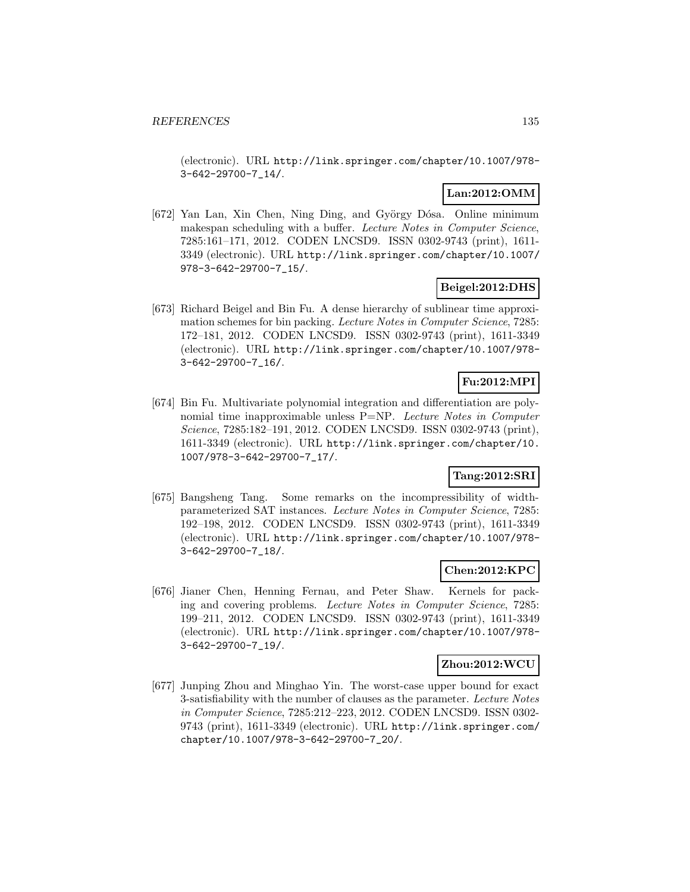(electronic). URL http://link.springer.com/chapter/10.1007/978- 3-642-29700-7\_14/.

# **Lan:2012:OMM**

[672] Yan Lan, Xin Chen, Ning Ding, and György Dósa. Online minimum makespan scheduling with a buffer. Lecture Notes in Computer Science, 7285:161–171, 2012. CODEN LNCSD9. ISSN 0302-9743 (print), 1611- 3349 (electronic). URL http://link.springer.com/chapter/10.1007/ 978-3-642-29700-7\_15/.

# **Beigel:2012:DHS**

[673] Richard Beigel and Bin Fu. A dense hierarchy of sublinear time approximation schemes for bin packing. Lecture Notes in Computer Science, 7285: 172–181, 2012. CODEN LNCSD9. ISSN 0302-9743 (print), 1611-3349 (electronic). URL http://link.springer.com/chapter/10.1007/978- 3-642-29700-7\_16/.

# **Fu:2012:MPI**

[674] Bin Fu. Multivariate polynomial integration and differentiation are polynomial time inapproximable unless P=NP. Lecture Notes in Computer Science, 7285:182–191, 2012. CODEN LNCSD9. ISSN 0302-9743 (print), 1611-3349 (electronic). URL http://link.springer.com/chapter/10. 1007/978-3-642-29700-7\_17/.

# **Tang:2012:SRI**

[675] Bangsheng Tang. Some remarks on the incompressibility of widthparameterized SAT instances. Lecture Notes in Computer Science, 7285: 192–198, 2012. CODEN LNCSD9. ISSN 0302-9743 (print), 1611-3349 (electronic). URL http://link.springer.com/chapter/10.1007/978- 3-642-29700-7\_18/.

# **Chen:2012:KPC**

[676] Jianer Chen, Henning Fernau, and Peter Shaw. Kernels for packing and covering problems. Lecture Notes in Computer Science, 7285: 199–211, 2012. CODEN LNCSD9. ISSN 0302-9743 (print), 1611-3349 (electronic). URL http://link.springer.com/chapter/10.1007/978- 3-642-29700-7\_19/.

#### **Zhou:2012:WCU**

[677] Junping Zhou and Minghao Yin. The worst-case upper bound for exact 3-satisfiability with the number of clauses as the parameter. Lecture Notes in Computer Science, 7285:212–223, 2012. CODEN LNCSD9. ISSN 0302- 9743 (print), 1611-3349 (electronic). URL http://link.springer.com/ chapter/10.1007/978-3-642-29700-7\_20/.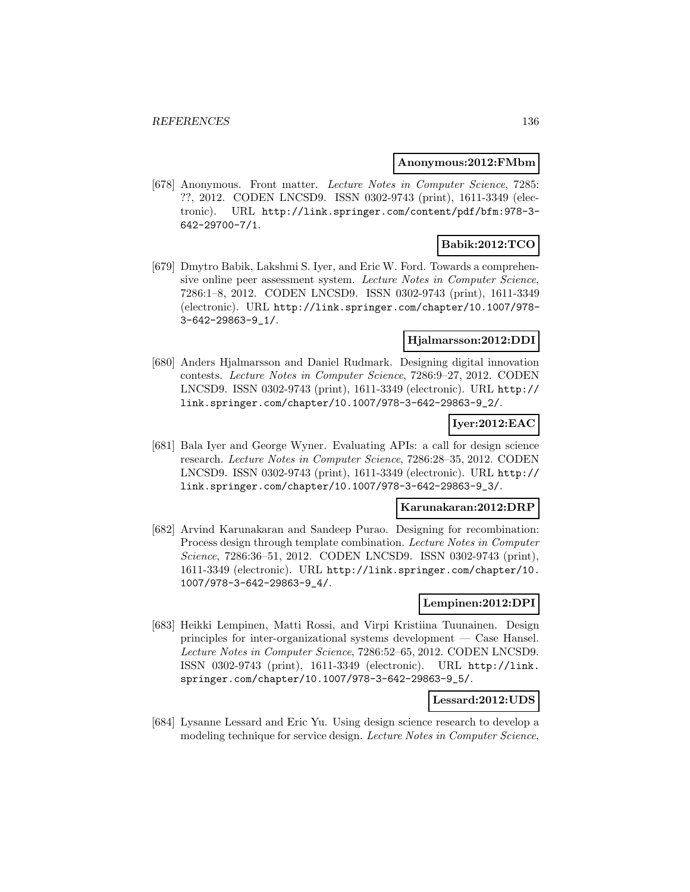#### **Anonymous:2012:FMbm**

[678] Anonymous. Front matter. Lecture Notes in Computer Science, 7285: ??, 2012. CODEN LNCSD9. ISSN 0302-9743 (print), 1611-3349 (electronic). URL http://link.springer.com/content/pdf/bfm:978-3- 642-29700-7/1.

# **Babik:2012:TCO**

[679] Dmytro Babik, Lakshmi S. Iyer, and Eric W. Ford. Towards a comprehensive online peer assessment system. Lecture Notes in Computer Science, 7286:1–8, 2012. CODEN LNCSD9. ISSN 0302-9743 (print), 1611-3349 (electronic). URL http://link.springer.com/chapter/10.1007/978- 3-642-29863-9\_1/.

# **Hjalmarsson:2012:DDI**

[680] Anders Hjalmarsson and Daniel Rudmark. Designing digital innovation contests. Lecture Notes in Computer Science, 7286:9–27, 2012. CODEN LNCSD9. ISSN 0302-9743 (print), 1611-3349 (electronic). URL http:// link.springer.com/chapter/10.1007/978-3-642-29863-9\_2/.

### **Iyer:2012:EAC**

[681] Bala Iyer and George Wyner. Evaluating APIs: a call for design science research. Lecture Notes in Computer Science, 7286:28–35, 2012. CODEN LNCSD9. ISSN 0302-9743 (print), 1611-3349 (electronic). URL http:// link.springer.com/chapter/10.1007/978-3-642-29863-9\_3/.

#### **Karunakaran:2012:DRP**

[682] Arvind Karunakaran and Sandeep Purao. Designing for recombination: Process design through template combination. Lecture Notes in Computer Science, 7286:36–51, 2012. CODEN LNCSD9. ISSN 0302-9743 (print), 1611-3349 (electronic). URL http://link.springer.com/chapter/10. 1007/978-3-642-29863-9\_4/.

#### **Lempinen:2012:DPI**

[683] Heikki Lempinen, Matti Rossi, and Virpi Kristiina Tuunainen. Design principles for inter-organizational systems development — Case Hansel. Lecture Notes in Computer Science, 7286:52–65, 2012. CODEN LNCSD9. ISSN 0302-9743 (print), 1611-3349 (electronic). URL http://link. springer.com/chapter/10.1007/978-3-642-29863-9\_5/.

#### **Lessard:2012:UDS**

[684] Lysanne Lessard and Eric Yu. Using design science research to develop a modeling technique for service design. Lecture Notes in Computer Science,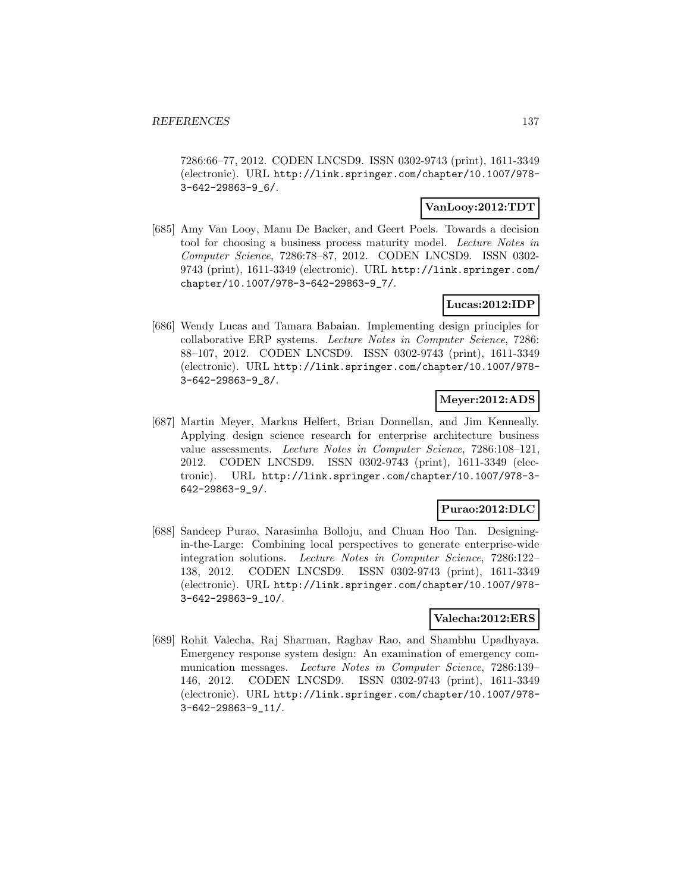7286:66–77, 2012. CODEN LNCSD9. ISSN 0302-9743 (print), 1611-3349 (electronic). URL http://link.springer.com/chapter/10.1007/978- 3-642-29863-9\_6/.

### **VanLooy:2012:TDT**

[685] Amy Van Looy, Manu De Backer, and Geert Poels. Towards a decision tool for choosing a business process maturity model. Lecture Notes in Computer Science, 7286:78–87, 2012. CODEN LNCSD9. ISSN 0302- 9743 (print), 1611-3349 (electronic). URL http://link.springer.com/ chapter/10.1007/978-3-642-29863-9\_7/.

### **Lucas:2012:IDP**

[686] Wendy Lucas and Tamara Babaian. Implementing design principles for collaborative ERP systems. Lecture Notes in Computer Science, 7286: 88–107, 2012. CODEN LNCSD9. ISSN 0302-9743 (print), 1611-3349 (electronic). URL http://link.springer.com/chapter/10.1007/978- 3-642-29863-9\_8/.

# **Meyer:2012:ADS**

[687] Martin Meyer, Markus Helfert, Brian Donnellan, and Jim Kenneally. Applying design science research for enterprise architecture business value assessments. Lecture Notes in Computer Science, 7286:108–121, 2012. CODEN LNCSD9. ISSN 0302-9743 (print), 1611-3349 (electronic). URL http://link.springer.com/chapter/10.1007/978-3- 642-29863-9\_9/.

# **Purao:2012:DLC**

[688] Sandeep Purao, Narasimha Bolloju, and Chuan Hoo Tan. Designingin-the-Large: Combining local perspectives to generate enterprise-wide integration solutions. Lecture Notes in Computer Science, 7286:122– 138, 2012. CODEN LNCSD9. ISSN 0302-9743 (print), 1611-3349 (electronic). URL http://link.springer.com/chapter/10.1007/978- 3-642-29863-9\_10/.

#### **Valecha:2012:ERS**

[689] Rohit Valecha, Raj Sharman, Raghav Rao, and Shambhu Upadhyaya. Emergency response system design: An examination of emergency communication messages. Lecture Notes in Computer Science, 7286:139– 146, 2012. CODEN LNCSD9. ISSN 0302-9743 (print), 1611-3349 (electronic). URL http://link.springer.com/chapter/10.1007/978- 3-642-29863-9\_11/.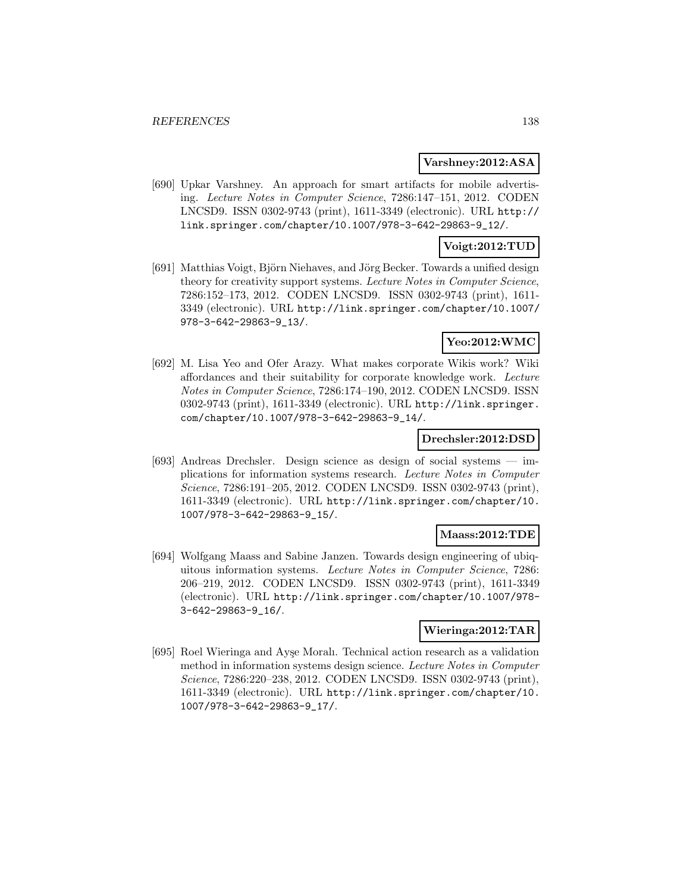#### **Varshney:2012:ASA**

[690] Upkar Varshney. An approach for smart artifacts for mobile advertising. Lecture Notes in Computer Science, 7286:147–151, 2012. CODEN LNCSD9. ISSN 0302-9743 (print), 1611-3349 (electronic). URL http:// link.springer.com/chapter/10.1007/978-3-642-29863-9\_12/.

# **Voigt:2012:TUD**

[691] Matthias Voigt, Björn Niehaves, and Jörg Becker. Towards a unified design theory for creativity support systems. Lecture Notes in Computer Science, 7286:152–173, 2012. CODEN LNCSD9. ISSN 0302-9743 (print), 1611- 3349 (electronic). URL http://link.springer.com/chapter/10.1007/ 978-3-642-29863-9\_13/.

### **Yeo:2012:WMC**

[692] M. Lisa Yeo and Ofer Arazy. What makes corporate Wikis work? Wiki affordances and their suitability for corporate knowledge work. Lecture Notes in Computer Science, 7286:174–190, 2012. CODEN LNCSD9. ISSN 0302-9743 (print), 1611-3349 (electronic). URL http://link.springer. com/chapter/10.1007/978-3-642-29863-9\_14/.

#### **Drechsler:2012:DSD**

[693] Andreas Drechsler. Design science as design of social systems — implications for information systems research. Lecture Notes in Computer Science, 7286:191–205, 2012. CODEN LNCSD9. ISSN 0302-9743 (print), 1611-3349 (electronic). URL http://link.springer.com/chapter/10. 1007/978-3-642-29863-9\_15/.

#### **Maass:2012:TDE**

[694] Wolfgang Maass and Sabine Janzen. Towards design engineering of ubiquitous information systems. Lecture Notes in Computer Science, 7286: 206–219, 2012. CODEN LNCSD9. ISSN 0302-9743 (print), 1611-3349 (electronic). URL http://link.springer.com/chapter/10.1007/978- 3-642-29863-9\_16/.

# **Wieringa:2012:TAR**

[695] Roel Wieringa and Ayşe Morali. Technical action research as a validation method in information systems design science. Lecture Notes in Computer Science, 7286:220–238, 2012. CODEN LNCSD9. ISSN 0302-9743 (print), 1611-3349 (electronic). URL http://link.springer.com/chapter/10. 1007/978-3-642-29863-9\_17/.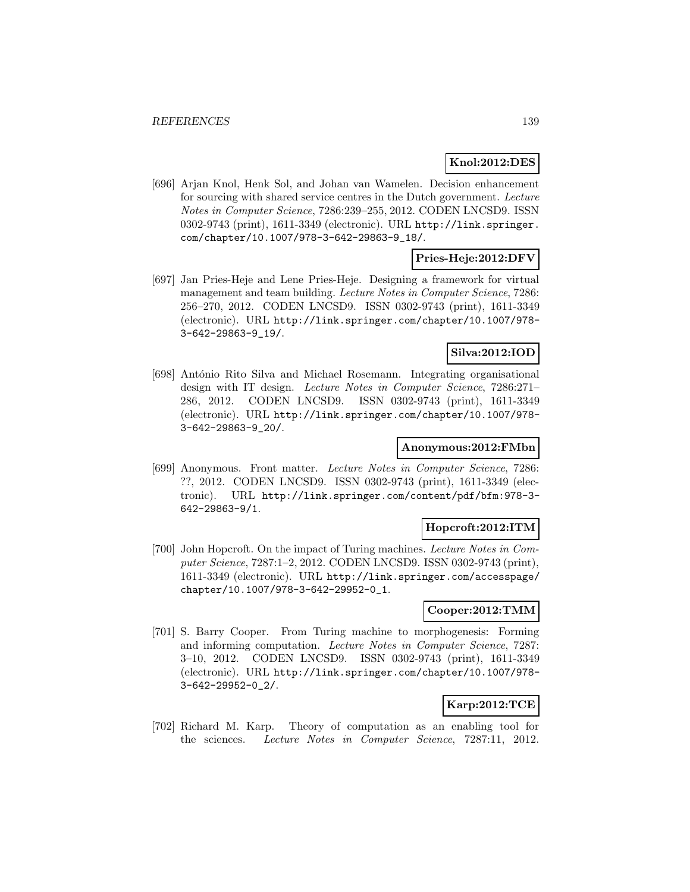### **Knol:2012:DES**

[696] Arjan Knol, Henk Sol, and Johan van Wamelen. Decision enhancement for sourcing with shared service centres in the Dutch government. Lecture Notes in Computer Science, 7286:239–255, 2012. CODEN LNCSD9. ISSN 0302-9743 (print), 1611-3349 (electronic). URL http://link.springer. com/chapter/10.1007/978-3-642-29863-9\_18/.

### **Pries-Heje:2012:DFV**

[697] Jan Pries-Heje and Lene Pries-Heje. Designing a framework for virtual management and team building. Lecture Notes in Computer Science, 7286: 256–270, 2012. CODEN LNCSD9. ISSN 0302-9743 (print), 1611-3349 (electronic). URL http://link.springer.com/chapter/10.1007/978- 3-642-29863-9\_19/.

# **Silva:2012:IOD**

[698] António Rito Silva and Michael Rosemann. Integrating organisational design with IT design. Lecture Notes in Computer Science, 7286:271– 286, 2012. CODEN LNCSD9. ISSN 0302-9743 (print), 1611-3349 (electronic). URL http://link.springer.com/chapter/10.1007/978- 3-642-29863-9\_20/.

### **Anonymous:2012:FMbn**

[699] Anonymous. Front matter. Lecture Notes in Computer Science, 7286: ??, 2012. CODEN LNCSD9. ISSN 0302-9743 (print), 1611-3349 (electronic). URL http://link.springer.com/content/pdf/bfm:978-3- 642-29863-9/1.

#### **Hopcroft:2012:ITM**

[700] John Hopcroft. On the impact of Turing machines. Lecture Notes in Computer Science, 7287:1–2, 2012. CODEN LNCSD9. ISSN 0302-9743 (print), 1611-3349 (electronic). URL http://link.springer.com/accesspage/ chapter/10.1007/978-3-642-29952-0\_1.

### **Cooper:2012:TMM**

[701] S. Barry Cooper. From Turing machine to morphogenesis: Forming and informing computation. Lecture Notes in Computer Science, 7287: 3–10, 2012. CODEN LNCSD9. ISSN 0302-9743 (print), 1611-3349 (electronic). URL http://link.springer.com/chapter/10.1007/978- 3-642-29952-0\_2/.

# **Karp:2012:TCE**

[702] Richard M. Karp. Theory of computation as an enabling tool for the sciences. Lecture Notes in Computer Science, 7287:11, 2012.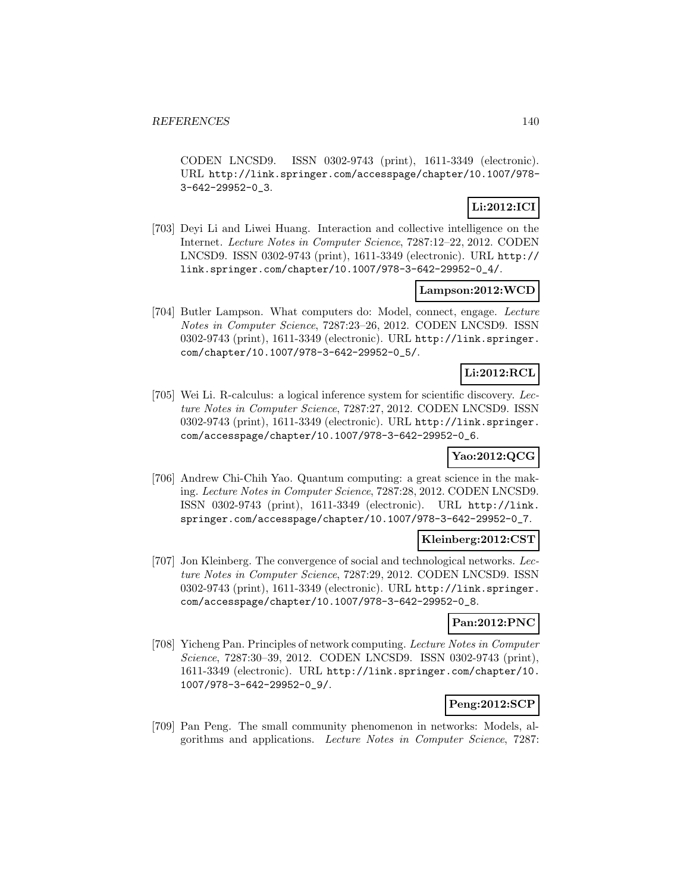CODEN LNCSD9. ISSN 0302-9743 (print), 1611-3349 (electronic). URL http://link.springer.com/accesspage/chapter/10.1007/978- 3-642-29952-0\_3.

# **Li:2012:ICI**

[703] Deyi Li and Liwei Huang. Interaction and collective intelligence on the Internet. Lecture Notes in Computer Science, 7287:12–22, 2012. CODEN LNCSD9. ISSN 0302-9743 (print), 1611-3349 (electronic). URL http:// link.springer.com/chapter/10.1007/978-3-642-29952-0\_4/.

### **Lampson:2012:WCD**

[704] Butler Lampson. What computers do: Model, connect, engage. Lecture Notes in Computer Science, 7287:23–26, 2012. CODEN LNCSD9. ISSN 0302-9743 (print), 1611-3349 (electronic). URL http://link.springer. com/chapter/10.1007/978-3-642-29952-0\_5/.

# **Li:2012:RCL**

[705] Wei Li. R-calculus: a logical inference system for scientific discovery. Lecture Notes in Computer Science, 7287:27, 2012. CODEN LNCSD9. ISSN 0302-9743 (print), 1611-3349 (electronic). URL http://link.springer. com/accesspage/chapter/10.1007/978-3-642-29952-0\_6.

# **Yao:2012:QCG**

[706] Andrew Chi-Chih Yao. Quantum computing: a great science in the making. Lecture Notes in Computer Science, 7287:28, 2012. CODEN LNCSD9. ISSN 0302-9743 (print), 1611-3349 (electronic). URL http://link. springer.com/accesspage/chapter/10.1007/978-3-642-29952-0\_7.

# **Kleinberg:2012:CST**

[707] Jon Kleinberg. The convergence of social and technological networks. Lecture Notes in Computer Science, 7287:29, 2012. CODEN LNCSD9. ISSN 0302-9743 (print), 1611-3349 (electronic). URL http://link.springer. com/accesspage/chapter/10.1007/978-3-642-29952-0\_8.

# **Pan:2012:PNC**

[708] Yicheng Pan. Principles of network computing. Lecture Notes in Computer Science, 7287:30–39, 2012. CODEN LNCSD9. ISSN 0302-9743 (print), 1611-3349 (electronic). URL http://link.springer.com/chapter/10. 1007/978-3-642-29952-0\_9/.

# **Peng:2012:SCP**

[709] Pan Peng. The small community phenomenon in networks: Models, algorithms and applications. Lecture Notes in Computer Science, 7287: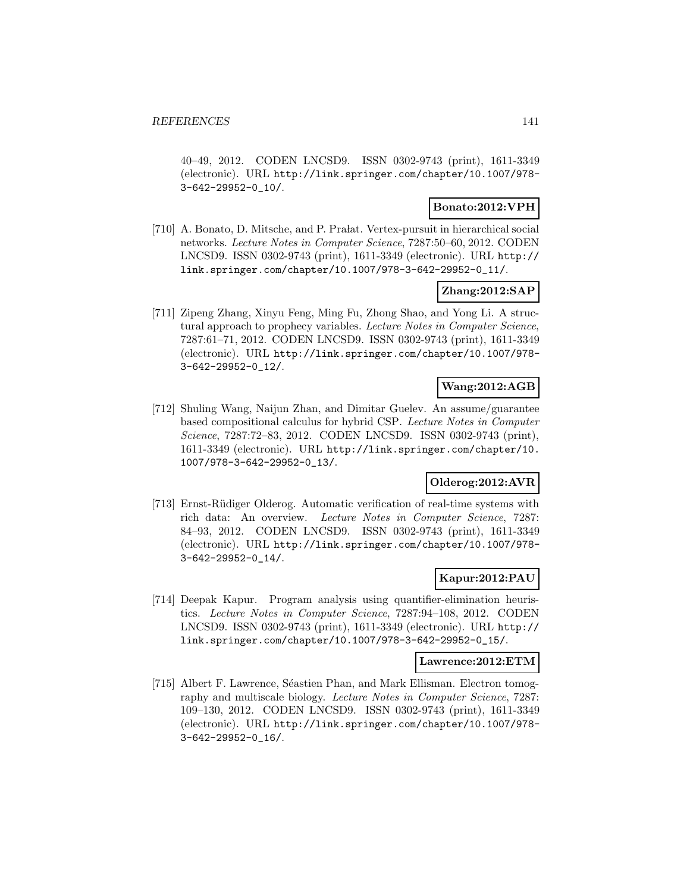40–49, 2012. CODEN LNCSD9. ISSN 0302-9743 (print), 1611-3349 (electronic). URL http://link.springer.com/chapter/10.1007/978- 3-642-29952-0\_10/.

# **Bonato:2012:VPH**

[710] A. Bonato, D. Mitsche, and P. Prałat. Vertex-pursuit in hierarchical social networks. Lecture Notes in Computer Science, 7287:50–60, 2012. CODEN LNCSD9. ISSN 0302-9743 (print), 1611-3349 (electronic). URL http:// link.springer.com/chapter/10.1007/978-3-642-29952-0\_11/.

# **Zhang:2012:SAP**

[711] Zipeng Zhang, Xinyu Feng, Ming Fu, Zhong Shao, and Yong Li. A structural approach to prophecy variables. Lecture Notes in Computer Science, 7287:61–71, 2012. CODEN LNCSD9. ISSN 0302-9743 (print), 1611-3349 (electronic). URL http://link.springer.com/chapter/10.1007/978- 3-642-29952-0\_12/.

# **Wang:2012:AGB**

[712] Shuling Wang, Naijun Zhan, and Dimitar Guelev. An assume/guarantee based compositional calculus for hybrid CSP. Lecture Notes in Computer Science, 7287:72–83, 2012. CODEN LNCSD9. ISSN 0302-9743 (print), 1611-3349 (electronic). URL http://link.springer.com/chapter/10. 1007/978-3-642-29952-0\_13/.

# **Olderog:2012:AVR**

[713] Ernst-Rüdiger Olderog. Automatic verification of real-time systems with rich data: An overview. Lecture Notes in Computer Science, 7287: 84–93, 2012. CODEN LNCSD9. ISSN 0302-9743 (print), 1611-3349 (electronic). URL http://link.springer.com/chapter/10.1007/978- 3-642-29952-0\_14/.

#### **Kapur:2012:PAU**

[714] Deepak Kapur. Program analysis using quantifier-elimination heuristics. Lecture Notes in Computer Science, 7287:94–108, 2012. CODEN LNCSD9. ISSN 0302-9743 (print), 1611-3349 (electronic). URL http:// link.springer.com/chapter/10.1007/978-3-642-29952-0\_15/.

#### **Lawrence:2012:ETM**

[715] Albert F. Lawrence, Séastien Phan, and Mark Ellisman. Electron tomography and multiscale biology. Lecture Notes in Computer Science, 7287: 109–130, 2012. CODEN LNCSD9. ISSN 0302-9743 (print), 1611-3349 (electronic). URL http://link.springer.com/chapter/10.1007/978- 3-642-29952-0\_16/.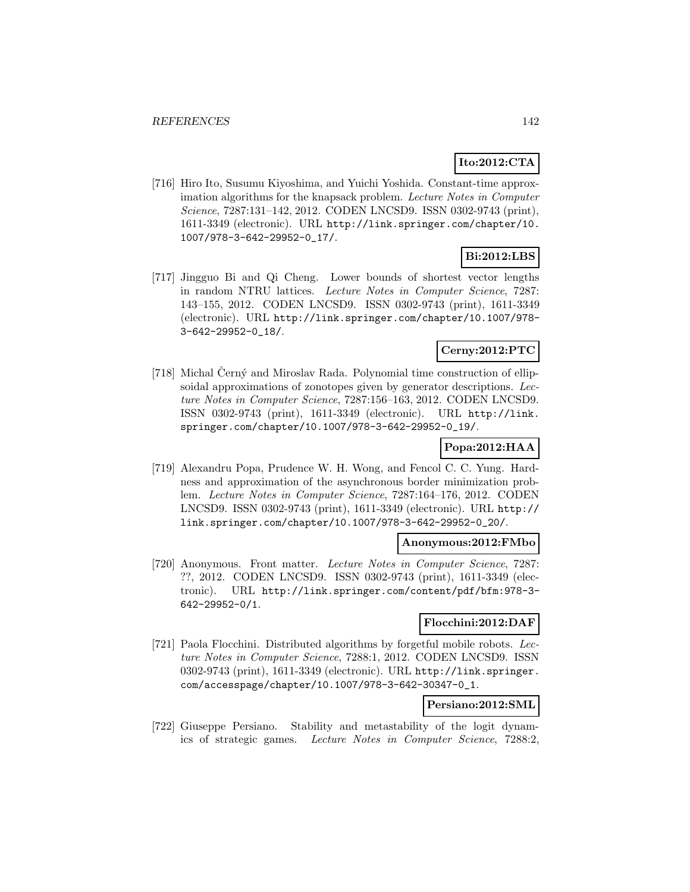# **Ito:2012:CTA**

[716] Hiro Ito, Susumu Kiyoshima, and Yuichi Yoshida. Constant-time approximation algorithms for the knapsack problem. Lecture Notes in Computer Science, 7287:131–142, 2012. CODEN LNCSD9. ISSN 0302-9743 (print), 1611-3349 (electronic). URL http://link.springer.com/chapter/10. 1007/978-3-642-29952-0\_17/.

# **Bi:2012:LBS**

[717] Jingguo Bi and Qi Cheng. Lower bounds of shortest vector lengths in random NTRU lattices. Lecture Notes in Computer Science, 7287: 143–155, 2012. CODEN LNCSD9. ISSN 0302-9743 (print), 1611-3349 (electronic). URL http://link.springer.com/chapter/10.1007/978- 3-642-29952-0\_18/.

### **Cerny:2012:PTC**

[718] Michal Cerný and Miroslav Rada. Polynomial time construction of ellipsoidal approximations of zonotopes given by generator descriptions. Lecture Notes in Computer Science, 7287:156–163, 2012. CODEN LNCSD9. ISSN 0302-9743 (print), 1611-3349 (electronic). URL http://link. springer.com/chapter/10.1007/978-3-642-29952-0\_19/.

# **Popa:2012:HAA**

[719] Alexandru Popa, Prudence W. H. Wong, and Fencol C. C. Yung. Hardness and approximation of the asynchronous border minimization problem. Lecture Notes in Computer Science, 7287:164–176, 2012. CODEN LNCSD9. ISSN 0302-9743 (print), 1611-3349 (electronic). URL http:// link.springer.com/chapter/10.1007/978-3-642-29952-0\_20/.

#### **Anonymous:2012:FMbo**

[720] Anonymous. Front matter. Lecture Notes in Computer Science, 7287: ??, 2012. CODEN LNCSD9. ISSN 0302-9743 (print), 1611-3349 (electronic). URL http://link.springer.com/content/pdf/bfm:978-3- 642-29952-0/1.

#### **Flocchini:2012:DAF**

[721] Paola Flocchini. Distributed algorithms by forgetful mobile robots. Lecture Notes in Computer Science, 7288:1, 2012. CODEN LNCSD9. ISSN 0302-9743 (print), 1611-3349 (electronic). URL http://link.springer. com/accesspage/chapter/10.1007/978-3-642-30347-0\_1.

# **Persiano:2012:SML**

[722] Giuseppe Persiano. Stability and metastability of the logit dynamics of strategic games. Lecture Notes in Computer Science, 7288:2,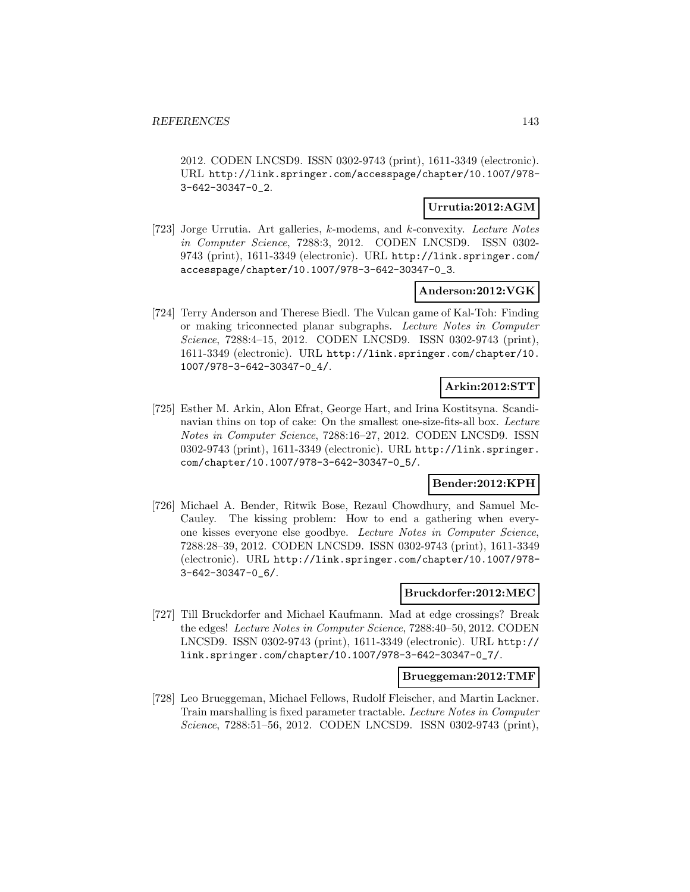2012. CODEN LNCSD9. ISSN 0302-9743 (print), 1611-3349 (electronic). URL http://link.springer.com/accesspage/chapter/10.1007/978- 3-642-30347-0\_2.

### **Urrutia:2012:AGM**

[723] Jorge Urrutia. Art galleries, k-modems, and k-convexity. Lecture Notes in Computer Science, 7288:3, 2012. CODEN LNCSD9. ISSN 0302- 9743 (print), 1611-3349 (electronic). URL http://link.springer.com/ accesspage/chapter/10.1007/978-3-642-30347-0\_3.

### **Anderson:2012:VGK**

[724] Terry Anderson and Therese Biedl. The Vulcan game of Kal-Toh: Finding or making triconnected planar subgraphs. Lecture Notes in Computer Science, 7288:4–15, 2012. CODEN LNCSD9. ISSN 0302-9743 (print), 1611-3349 (electronic). URL http://link.springer.com/chapter/10. 1007/978-3-642-30347-0\_4/.

# **Arkin:2012:STT**

[725] Esther M. Arkin, Alon Efrat, George Hart, and Irina Kostitsyna. Scandinavian thins on top of cake: On the smallest one-size-fits-all box. Lecture Notes in Computer Science, 7288:16–27, 2012. CODEN LNCSD9. ISSN 0302-9743 (print), 1611-3349 (electronic). URL http://link.springer. com/chapter/10.1007/978-3-642-30347-0\_5/.

# **Bender:2012:KPH**

[726] Michael A. Bender, Ritwik Bose, Rezaul Chowdhury, and Samuel Mc-Cauley. The kissing problem: How to end a gathering when everyone kisses everyone else goodbye. Lecture Notes in Computer Science, 7288:28–39, 2012. CODEN LNCSD9. ISSN 0302-9743 (print), 1611-3349 (electronic). URL http://link.springer.com/chapter/10.1007/978- 3-642-30347-0\_6/.

#### **Bruckdorfer:2012:MEC**

[727] Till Bruckdorfer and Michael Kaufmann. Mad at edge crossings? Break the edges! Lecture Notes in Computer Science, 7288:40–50, 2012. CODEN LNCSD9. ISSN 0302-9743 (print), 1611-3349 (electronic). URL http:// link.springer.com/chapter/10.1007/978-3-642-30347-0\_7/.

#### **Brueggeman:2012:TMF**

[728] Leo Brueggeman, Michael Fellows, Rudolf Fleischer, and Martin Lackner. Train marshalling is fixed parameter tractable. Lecture Notes in Computer Science, 7288:51–56, 2012. CODEN LNCSD9. ISSN 0302-9743 (print),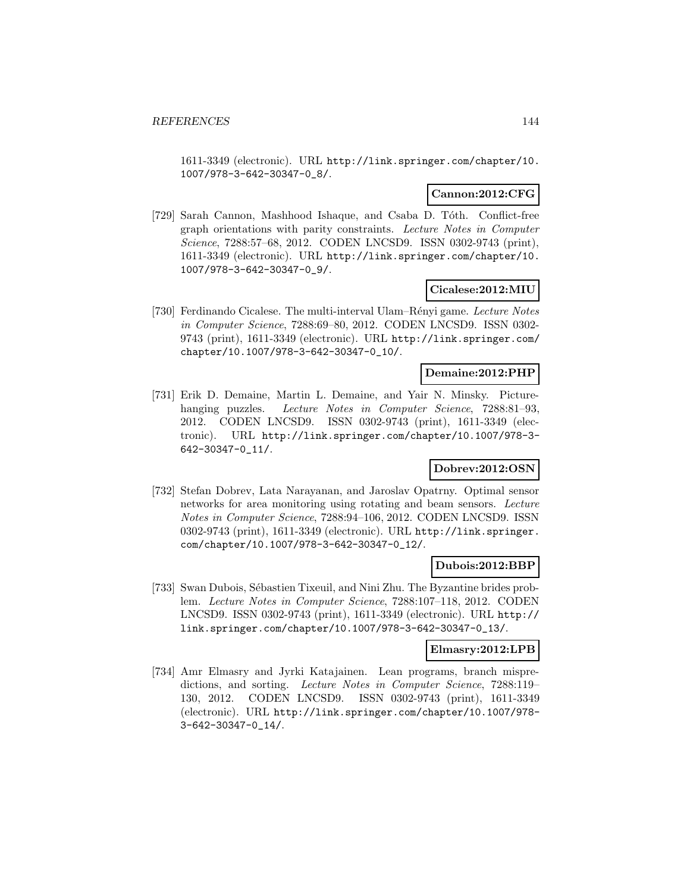1611-3349 (electronic). URL http://link.springer.com/chapter/10. 1007/978-3-642-30347-0\_8/.

### **Cannon:2012:CFG**

[729] Sarah Cannon, Mashhood Ishaque, and Csaba D. Tóth. Conflict-free graph orientations with parity constraints. Lecture Notes in Computer Science, 7288:57–68, 2012. CODEN LNCSD9. ISSN 0302-9743 (print), 1611-3349 (electronic). URL http://link.springer.com/chapter/10. 1007/978-3-642-30347-0\_9/.

### **Cicalese:2012:MIU**

[730] Ferdinando Cicalese. The multi-interval Ulam–Rényi game. Lecture Notes in Computer Science, 7288:69–80, 2012. CODEN LNCSD9. ISSN 0302- 9743 (print), 1611-3349 (electronic). URL http://link.springer.com/ chapter/10.1007/978-3-642-30347-0\_10/.

# **Demaine:2012:PHP**

[731] Erik D. Demaine, Martin L. Demaine, and Yair N. Minsky. Picturehanging puzzles. Lecture Notes in Computer Science, 7288:81-93, 2012. CODEN LNCSD9. ISSN 0302-9743 (print), 1611-3349 (electronic). URL http://link.springer.com/chapter/10.1007/978-3- 642-30347-0\_11/.

# **Dobrev:2012:OSN**

[732] Stefan Dobrev, Lata Narayanan, and Jaroslav Opatrny. Optimal sensor networks for area monitoring using rotating and beam sensors. Lecture Notes in Computer Science, 7288:94–106, 2012. CODEN LNCSD9. ISSN 0302-9743 (print), 1611-3349 (electronic). URL http://link.springer. com/chapter/10.1007/978-3-642-30347-0\_12/.

#### **Dubois:2012:BBP**

[733] Swan Dubois, Sébastien Tixeuil, and Nini Zhu. The Byzantine brides problem. Lecture Notes in Computer Science, 7288:107–118, 2012. CODEN LNCSD9. ISSN 0302-9743 (print), 1611-3349 (electronic). URL http:// link.springer.com/chapter/10.1007/978-3-642-30347-0\_13/.

# **Elmasry:2012:LPB**

[734] Amr Elmasry and Jyrki Katajainen. Lean programs, branch mispredictions, and sorting. Lecture Notes in Computer Science, 7288:119– 130, 2012. CODEN LNCSD9. ISSN 0302-9743 (print), 1611-3349 (electronic). URL http://link.springer.com/chapter/10.1007/978- 3-642-30347-0\_14/.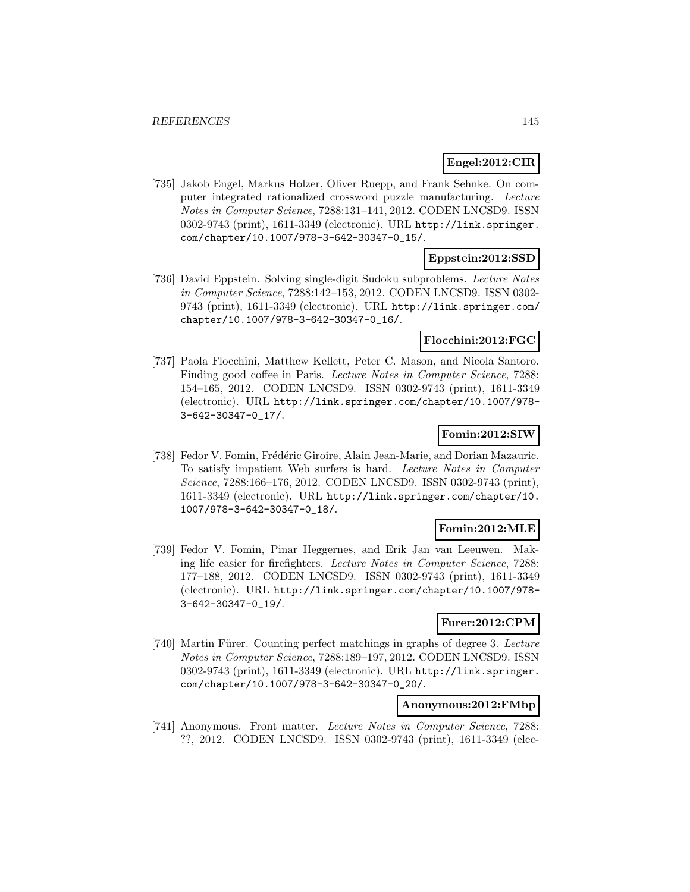## **Engel:2012:CIR**

[735] Jakob Engel, Markus Holzer, Oliver Ruepp, and Frank Sehnke. On computer integrated rationalized crossword puzzle manufacturing. Lecture Notes in Computer Science, 7288:131–141, 2012. CODEN LNCSD9. ISSN 0302-9743 (print), 1611-3349 (electronic). URL http://link.springer. com/chapter/10.1007/978-3-642-30347-0\_15/.

# **Eppstein:2012:SSD**

[736] David Eppstein. Solving single-digit Sudoku subproblems. Lecture Notes in Computer Science, 7288:142–153, 2012. CODEN LNCSD9. ISSN 0302- 9743 (print), 1611-3349 (electronic). URL http://link.springer.com/ chapter/10.1007/978-3-642-30347-0\_16/.

## **Flocchini:2012:FGC**

[737] Paola Flocchini, Matthew Kellett, Peter C. Mason, and Nicola Santoro. Finding good coffee in Paris. Lecture Notes in Computer Science, 7288: 154–165, 2012. CODEN LNCSD9. ISSN 0302-9743 (print), 1611-3349 (electronic). URL http://link.springer.com/chapter/10.1007/978- 3-642-30347-0\_17/.

# **Fomin:2012:SIW**

[738] Fedor V. Fomin, Frédéric Giroire, Alain Jean-Marie, and Dorian Mazauric. To satisfy impatient Web surfers is hard. Lecture Notes in Computer Science, 7288:166–176, 2012. CODEN LNCSD9. ISSN 0302-9743 (print), 1611-3349 (electronic). URL http://link.springer.com/chapter/10. 1007/978-3-642-30347-0\_18/.

## **Fomin:2012:MLE**

[739] Fedor V. Fomin, Pinar Heggernes, and Erik Jan van Leeuwen. Making life easier for firefighters. Lecture Notes in Computer Science, 7288: 177–188, 2012. CODEN LNCSD9. ISSN 0302-9743 (print), 1611-3349 (electronic). URL http://link.springer.com/chapter/10.1007/978- 3-642-30347-0\_19/.

## **Furer:2012:CPM**

[740] Martin Fürer. Counting perfect matchings in graphs of degree 3. Lecture Notes in Computer Science, 7288:189–197, 2012. CODEN LNCSD9. ISSN 0302-9743 (print), 1611-3349 (electronic). URL http://link.springer. com/chapter/10.1007/978-3-642-30347-0\_20/.

## **Anonymous:2012:FMbp**

[741] Anonymous. Front matter. Lecture Notes in Computer Science, 7288: ??, 2012. CODEN LNCSD9. ISSN 0302-9743 (print), 1611-3349 (elec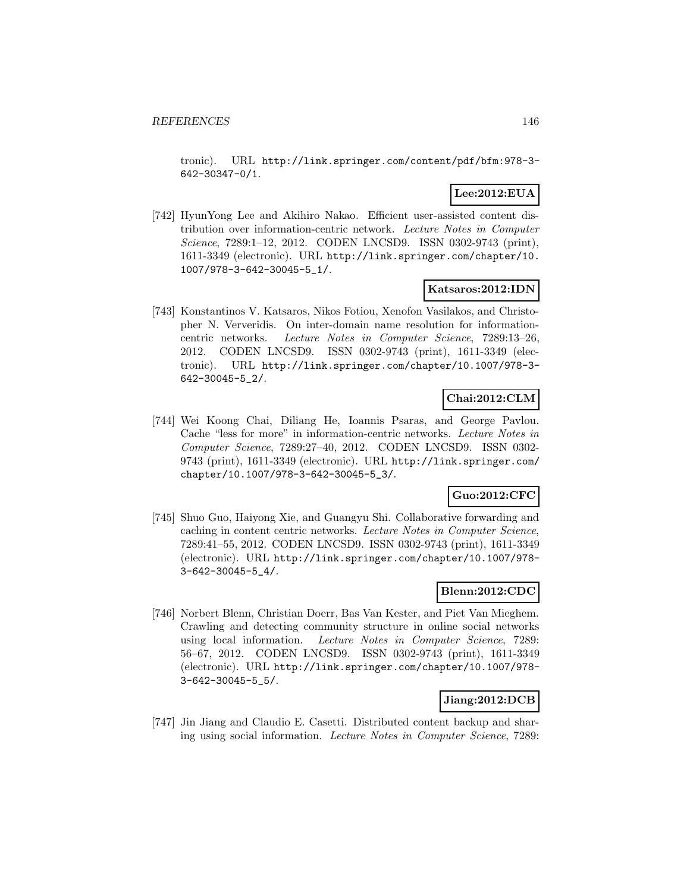tronic). URL http://link.springer.com/content/pdf/bfm:978-3- 642-30347-0/1.

# **Lee:2012:EUA**

[742] HyunYong Lee and Akihiro Nakao. Efficient user-assisted content distribution over information-centric network. Lecture Notes in Computer Science, 7289:1–12, 2012. CODEN LNCSD9. ISSN 0302-9743 (print), 1611-3349 (electronic). URL http://link.springer.com/chapter/10. 1007/978-3-642-30045-5\_1/.

## **Katsaros:2012:IDN**

[743] Konstantinos V. Katsaros, Nikos Fotiou, Xenofon Vasilakos, and Christopher N. Ververidis. On inter-domain name resolution for informationcentric networks. Lecture Notes in Computer Science, 7289:13–26, 2012. CODEN LNCSD9. ISSN 0302-9743 (print), 1611-3349 (electronic). URL http://link.springer.com/chapter/10.1007/978-3- 642-30045-5\_2/.

# **Chai:2012:CLM**

[744] Wei Koong Chai, Diliang He, Ioannis Psaras, and George Pavlou. Cache "less for more" in information-centric networks. Lecture Notes in Computer Science, 7289:27–40, 2012. CODEN LNCSD9. ISSN 0302- 9743 (print), 1611-3349 (electronic). URL http://link.springer.com/ chapter/10.1007/978-3-642-30045-5\_3/.

# **Guo:2012:CFC**

[745] Shuo Guo, Haiyong Xie, and Guangyu Shi. Collaborative forwarding and caching in content centric networks. Lecture Notes in Computer Science, 7289:41–55, 2012. CODEN LNCSD9. ISSN 0302-9743 (print), 1611-3349 (electronic). URL http://link.springer.com/chapter/10.1007/978- 3-642-30045-5\_4/.

## **Blenn:2012:CDC**

[746] Norbert Blenn, Christian Doerr, Bas Van Kester, and Piet Van Mieghem. Crawling and detecting community structure in online social networks using local information. Lecture Notes in Computer Science, 7289: 56–67, 2012. CODEN LNCSD9. ISSN 0302-9743 (print), 1611-3349 (electronic). URL http://link.springer.com/chapter/10.1007/978- 3-642-30045-5\_5/.

# **Jiang:2012:DCB**

[747] Jin Jiang and Claudio E. Casetti. Distributed content backup and sharing using social information. Lecture Notes in Computer Science, 7289: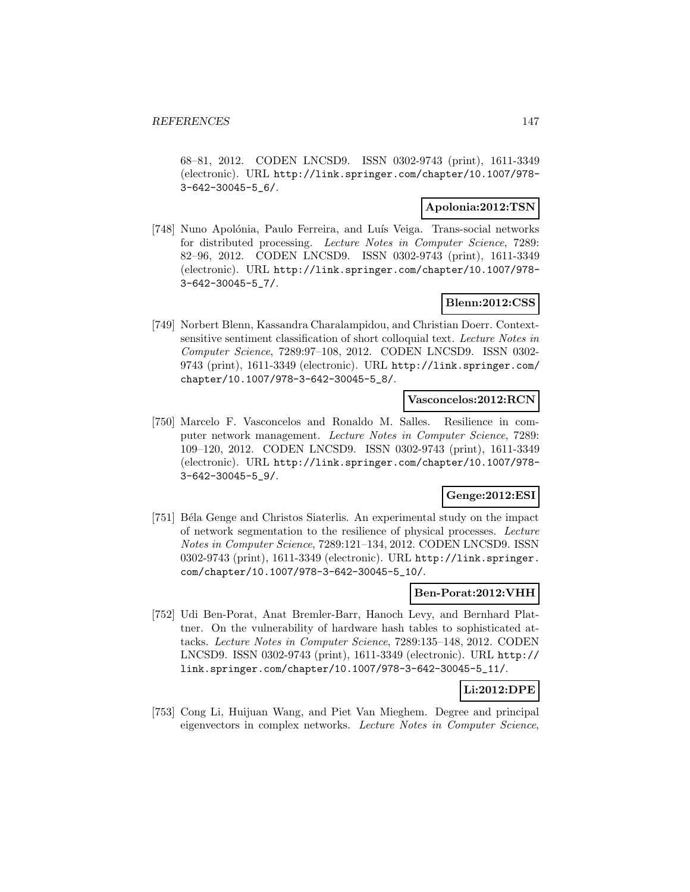68–81, 2012. CODEN LNCSD9. ISSN 0302-9743 (print), 1611-3349 (electronic). URL http://link.springer.com/chapter/10.1007/978- 3-642-30045-5\_6/.

## **Apolonia:2012:TSN**

[748] Nuno Apolónia, Paulo Ferreira, and Luís Veiga. Trans-social networks for distributed processing. Lecture Notes in Computer Science, 7289: 82–96, 2012. CODEN LNCSD9. ISSN 0302-9743 (print), 1611-3349 (electronic). URL http://link.springer.com/chapter/10.1007/978- 3-642-30045-5\_7/.

## **Blenn:2012:CSS**

[749] Norbert Blenn, Kassandra Charalampidou, and Christian Doerr. Contextsensitive sentiment classification of short colloquial text. Lecture Notes in Computer Science, 7289:97–108, 2012. CODEN LNCSD9. ISSN 0302- 9743 (print), 1611-3349 (electronic). URL http://link.springer.com/ chapter/10.1007/978-3-642-30045-5\_8/.

### **Vasconcelos:2012:RCN**

[750] Marcelo F. Vasconcelos and Ronaldo M. Salles. Resilience in computer network management. Lecture Notes in Computer Science, 7289: 109–120, 2012. CODEN LNCSD9. ISSN 0302-9743 (print), 1611-3349 (electronic). URL http://link.springer.com/chapter/10.1007/978- 3-642-30045-5\_9/.

### **Genge:2012:ESI**

[751] Béla Genge and Christos Siaterlis. An experimental study on the impact of network segmentation to the resilience of physical processes. Lecture Notes in Computer Science, 7289:121–134, 2012. CODEN LNCSD9. ISSN 0302-9743 (print), 1611-3349 (electronic). URL http://link.springer. com/chapter/10.1007/978-3-642-30045-5\_10/.

## **Ben-Porat:2012:VHH**

[752] Udi Ben-Porat, Anat Bremler-Barr, Hanoch Levy, and Bernhard Plattner. On the vulnerability of hardware hash tables to sophisticated attacks. Lecture Notes in Computer Science, 7289:135–148, 2012. CODEN LNCSD9. ISSN 0302-9743 (print), 1611-3349 (electronic). URL http:// link.springer.com/chapter/10.1007/978-3-642-30045-5\_11/.

## **Li:2012:DPE**

[753] Cong Li, Huijuan Wang, and Piet Van Mieghem. Degree and principal eigenvectors in complex networks. Lecture Notes in Computer Science,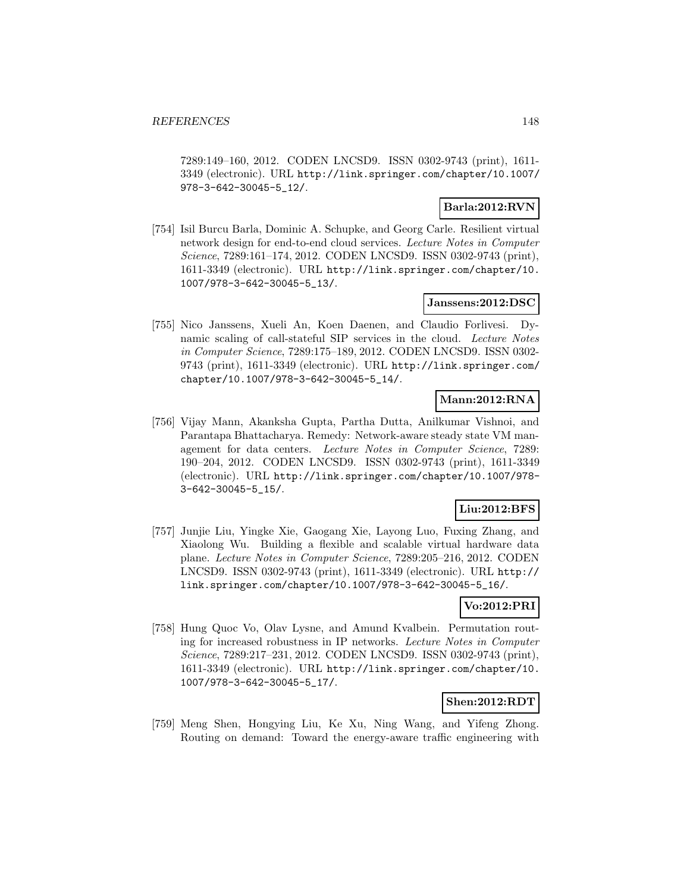7289:149–160, 2012. CODEN LNCSD9. ISSN 0302-9743 (print), 1611- 3349 (electronic). URL http://link.springer.com/chapter/10.1007/ 978-3-642-30045-5\_12/.

## **Barla:2012:RVN**

[754] Isil Burcu Barla, Dominic A. Schupke, and Georg Carle. Resilient virtual network design for end-to-end cloud services. Lecture Notes in Computer Science, 7289:161–174, 2012. CODEN LNCSD9. ISSN 0302-9743 (print), 1611-3349 (electronic). URL http://link.springer.com/chapter/10. 1007/978-3-642-30045-5\_13/.

## **Janssens:2012:DSC**

[755] Nico Janssens, Xueli An, Koen Daenen, and Claudio Forlivesi. Dynamic scaling of call-stateful SIP services in the cloud. Lecture Notes in Computer Science, 7289:175–189, 2012. CODEN LNCSD9. ISSN 0302- 9743 (print), 1611-3349 (electronic). URL http://link.springer.com/ chapter/10.1007/978-3-642-30045-5\_14/.

# **Mann:2012:RNA**

[756] Vijay Mann, Akanksha Gupta, Partha Dutta, Anilkumar Vishnoi, and Parantapa Bhattacharya. Remedy: Network-aware steady state VM management for data centers. Lecture Notes in Computer Science, 7289: 190–204, 2012. CODEN LNCSD9. ISSN 0302-9743 (print), 1611-3349 (electronic). URL http://link.springer.com/chapter/10.1007/978- 3-642-30045-5\_15/.

# **Liu:2012:BFS**

[757] Junjie Liu, Yingke Xie, Gaogang Xie, Layong Luo, Fuxing Zhang, and Xiaolong Wu. Building a flexible and scalable virtual hardware data plane. Lecture Notes in Computer Science, 7289:205–216, 2012. CODEN LNCSD9. ISSN 0302-9743 (print), 1611-3349 (electronic). URL http:// link.springer.com/chapter/10.1007/978-3-642-30045-5\_16/.

# **Vo:2012:PRI**

[758] Hung Quoc Vo, Olav Lysne, and Amund Kvalbein. Permutation routing for increased robustness in IP networks. Lecture Notes in Computer Science, 7289:217–231, 2012. CODEN LNCSD9. ISSN 0302-9743 (print), 1611-3349 (electronic). URL http://link.springer.com/chapter/10. 1007/978-3-642-30045-5\_17/.

### **Shen:2012:RDT**

[759] Meng Shen, Hongying Liu, Ke Xu, Ning Wang, and Yifeng Zhong. Routing on demand: Toward the energy-aware traffic engineering with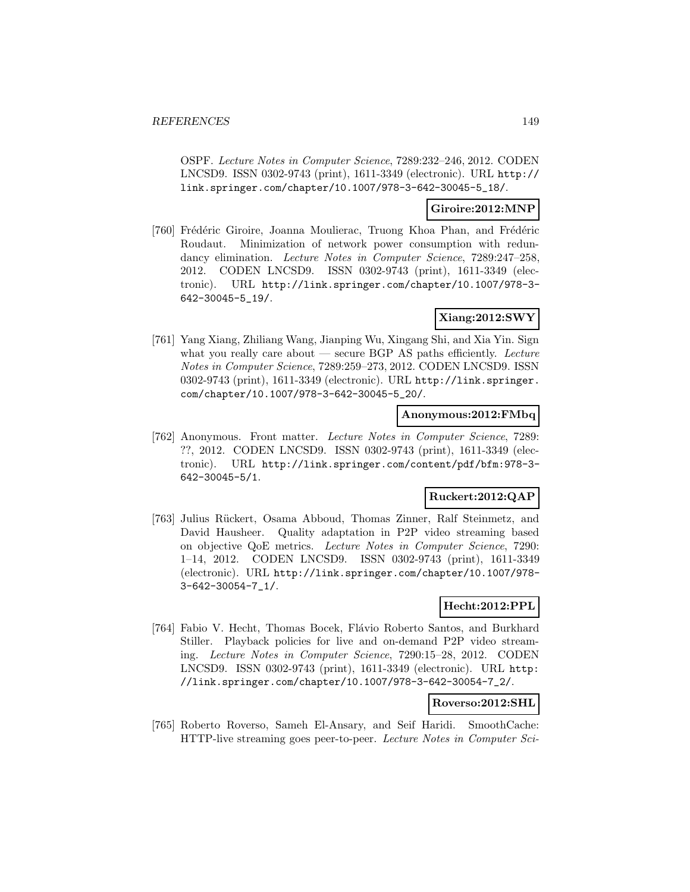OSPF. Lecture Notes in Computer Science, 7289:232–246, 2012. CODEN LNCSD9. ISSN 0302-9743 (print), 1611-3349 (electronic). URL http:// link.springer.com/chapter/10.1007/978-3-642-30045-5\_18/.

### **Giroire:2012:MNP**

[760] Frédéric Giroire, Joanna Moulierac, Truong Khoa Phan, and Frédéric Roudaut. Minimization of network power consumption with redundancy elimination. Lecture Notes in Computer Science, 7289:247–258, 2012. CODEN LNCSD9. ISSN 0302-9743 (print), 1611-3349 (electronic). URL http://link.springer.com/chapter/10.1007/978-3- 642-30045-5\_19/.

## **Xiang:2012:SWY**

[761] Yang Xiang, Zhiliang Wang, Jianping Wu, Xingang Shi, and Xia Yin. Sign what you really care about  $-$  secure BGP AS paths efficiently. Lecture Notes in Computer Science, 7289:259–273, 2012. CODEN LNCSD9. ISSN 0302-9743 (print), 1611-3349 (electronic). URL http://link.springer. com/chapter/10.1007/978-3-642-30045-5\_20/.

## **Anonymous:2012:FMbq**

[762] Anonymous. Front matter. Lecture Notes in Computer Science, 7289: ??, 2012. CODEN LNCSD9. ISSN 0302-9743 (print), 1611-3349 (electronic). URL http://link.springer.com/content/pdf/bfm:978-3- 642-30045-5/1.

### **Ruckert:2012:QAP**

[763] Julius Rückert, Osama Abboud, Thomas Zinner, Ralf Steinmetz, and David Hausheer. Quality adaptation in P2P video streaming based on objective QoE metrics. Lecture Notes in Computer Science, 7290: 1–14, 2012. CODEN LNCSD9. ISSN 0302-9743 (print), 1611-3349 (electronic). URL http://link.springer.com/chapter/10.1007/978- 3-642-30054-7\_1/.

## **Hecht:2012:PPL**

[764] Fabio V. Hecht, Thomas Bocek, Flávio Roberto Santos, and Burkhard Stiller. Playback policies for live and on-demand P2P video streaming. Lecture Notes in Computer Science, 7290:15–28, 2012. CODEN LNCSD9. ISSN 0302-9743 (print), 1611-3349 (electronic). URL http: //link.springer.com/chapter/10.1007/978-3-642-30054-7\_2/.

### **Roverso:2012:SHL**

[765] Roberto Roverso, Sameh El-Ansary, and Seif Haridi. SmoothCache: HTTP-live streaming goes peer-to-peer. Lecture Notes in Computer Sci-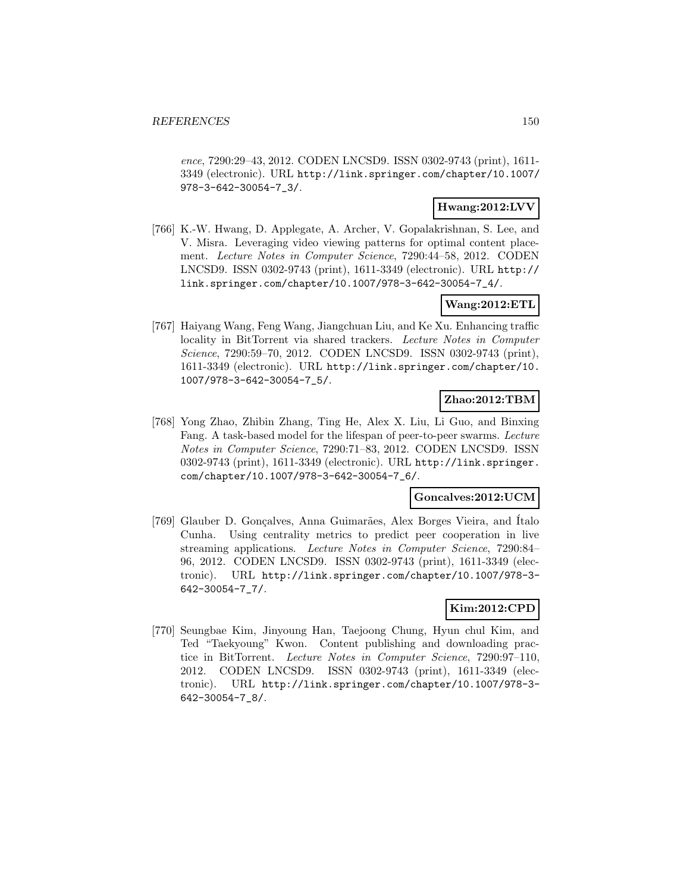ence, 7290:29–43, 2012. CODEN LNCSD9. ISSN 0302-9743 (print), 1611- 3349 (electronic). URL http://link.springer.com/chapter/10.1007/ 978-3-642-30054-7\_3/.

## **Hwang:2012:LVV**

[766] K.-W. Hwang, D. Applegate, A. Archer, V. Gopalakrishnan, S. Lee, and V. Misra. Leveraging video viewing patterns for optimal content placement. Lecture Notes in Computer Science, 7290:44–58, 2012. CODEN LNCSD9. ISSN 0302-9743 (print), 1611-3349 (electronic). URL http:// link.springer.com/chapter/10.1007/978-3-642-30054-7\_4/.

# **Wang:2012:ETL**

[767] Haiyang Wang, Feng Wang, Jiangchuan Liu, and Ke Xu. Enhancing traffic locality in BitTorrent via shared trackers. Lecture Notes in Computer Science, 7290:59–70, 2012. CODEN LNCSD9. ISSN 0302-9743 (print), 1611-3349 (electronic). URL http://link.springer.com/chapter/10. 1007/978-3-642-30054-7\_5/.

# **Zhao:2012:TBM**

[768] Yong Zhao, Zhibin Zhang, Ting He, Alex X. Liu, Li Guo, and Binxing Fang. A task-based model for the lifespan of peer-to-peer swarms. Lecture Notes in Computer Science, 7290:71–83, 2012. CODEN LNCSD9. ISSN 0302-9743 (print), 1611-3349 (electronic). URL http://link.springer. com/chapter/10.1007/978-3-642-30054-7\_6/.

### **Goncalves:2012:UCM**

[769] Glauber D. Gonçalves, Anna Guimarães, Alex Borges Vieira, and Italo Cunha. Using centrality metrics to predict peer cooperation in live streaming applications. Lecture Notes in Computer Science, 7290:84– 96, 2012. CODEN LNCSD9. ISSN 0302-9743 (print), 1611-3349 (electronic). URL http://link.springer.com/chapter/10.1007/978-3- 642-30054-7\_7/.

# **Kim:2012:CPD**

[770] Seungbae Kim, Jinyoung Han, Taejoong Chung, Hyun chul Kim, and Ted "Taekyoung" Kwon. Content publishing and downloading practice in BitTorrent. Lecture Notes in Computer Science, 7290:97–110, 2012. CODEN LNCSD9. ISSN 0302-9743 (print), 1611-3349 (electronic). URL http://link.springer.com/chapter/10.1007/978-3- 642-30054-7\_8/.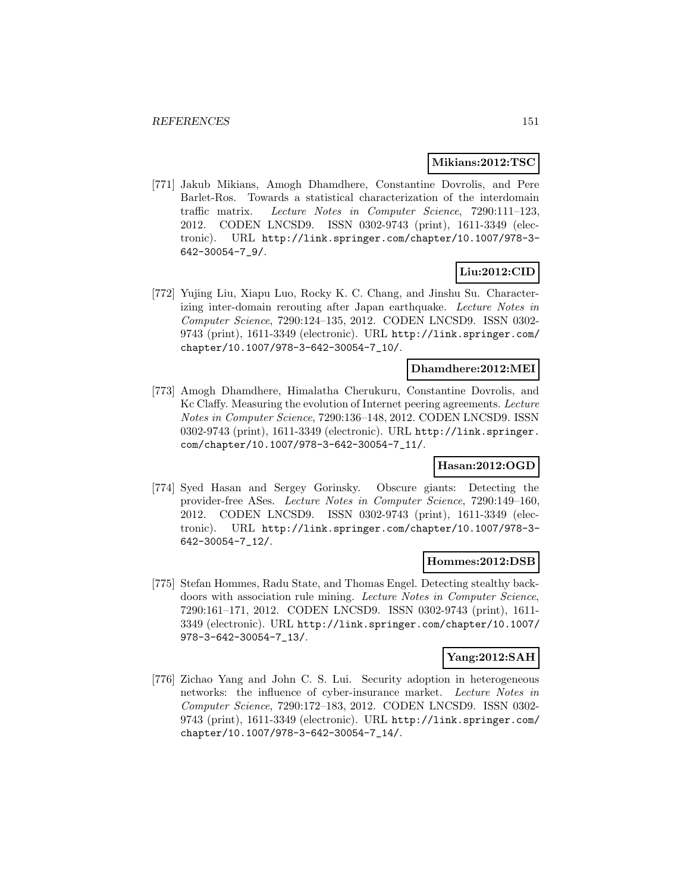### **Mikians:2012:TSC**

[771] Jakub Mikians, Amogh Dhamdhere, Constantine Dovrolis, and Pere Barlet-Ros. Towards a statistical characterization of the interdomain traffic matrix. Lecture Notes in Computer Science, 7290:111–123, 2012. CODEN LNCSD9. ISSN 0302-9743 (print), 1611-3349 (electronic). URL http://link.springer.com/chapter/10.1007/978-3- 642-30054-7\_9/.

# **Liu:2012:CID**

[772] Yujing Liu, Xiapu Luo, Rocky K. C. Chang, and Jinshu Su. Characterizing inter-domain rerouting after Japan earthquake. Lecture Notes in Computer Science, 7290:124–135, 2012. CODEN LNCSD9. ISSN 0302- 9743 (print), 1611-3349 (electronic). URL http://link.springer.com/ chapter/10.1007/978-3-642-30054-7\_10/.

## **Dhamdhere:2012:MEI**

[773] Amogh Dhamdhere, Himalatha Cherukuru, Constantine Dovrolis, and Kc Claffy. Measuring the evolution of Internet peering agreements. Lecture Notes in Computer Science, 7290:136–148, 2012. CODEN LNCSD9. ISSN 0302-9743 (print), 1611-3349 (electronic). URL http://link.springer. com/chapter/10.1007/978-3-642-30054-7\_11/.

## **Hasan:2012:OGD**

[774] Syed Hasan and Sergey Gorinsky. Obscure giants: Detecting the provider-free ASes. Lecture Notes in Computer Science, 7290:149–160, 2012. CODEN LNCSD9. ISSN 0302-9743 (print), 1611-3349 (electronic). URL http://link.springer.com/chapter/10.1007/978-3- 642-30054-7\_12/.

## **Hommes:2012:DSB**

[775] Stefan Hommes, Radu State, and Thomas Engel. Detecting stealthy backdoors with association rule mining. Lecture Notes in Computer Science, 7290:161–171, 2012. CODEN LNCSD9. ISSN 0302-9743 (print), 1611- 3349 (electronic). URL http://link.springer.com/chapter/10.1007/ 978-3-642-30054-7\_13/.

## **Yang:2012:SAH**

[776] Zichao Yang and John C. S. Lui. Security adoption in heterogeneous networks: the influence of cyber-insurance market. Lecture Notes in Computer Science, 7290:172–183, 2012. CODEN LNCSD9. ISSN 0302- 9743 (print), 1611-3349 (electronic). URL http://link.springer.com/ chapter/10.1007/978-3-642-30054-7\_14/.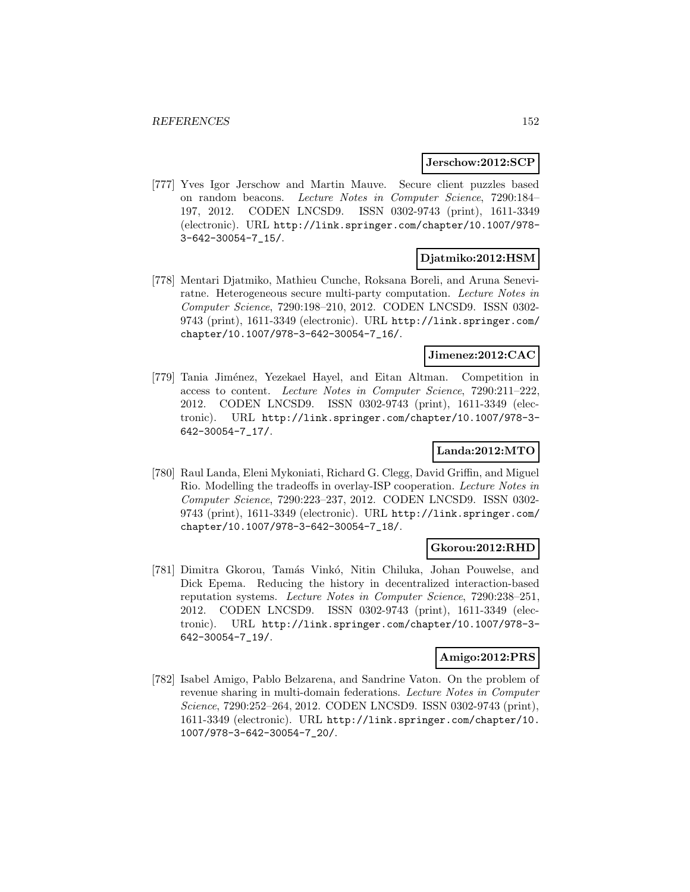### **Jerschow:2012:SCP**

[777] Yves Igor Jerschow and Martin Mauve. Secure client puzzles based on random beacons. Lecture Notes in Computer Science, 7290:184– 197, 2012. CODEN LNCSD9. ISSN 0302-9743 (print), 1611-3349 (electronic). URL http://link.springer.com/chapter/10.1007/978- 3-642-30054-7\_15/.

## **Djatmiko:2012:HSM**

[778] Mentari Djatmiko, Mathieu Cunche, Roksana Boreli, and Aruna Seneviratne. Heterogeneous secure multi-party computation. Lecture Notes in Computer Science, 7290:198–210, 2012. CODEN LNCSD9. ISSN 0302- 9743 (print), 1611-3349 (electronic). URL http://link.springer.com/ chapter/10.1007/978-3-642-30054-7\_16/.

### **Jimenez:2012:CAC**

[779] Tania Jim´enez, Yezekael Hayel, and Eitan Altman. Competition in access to content. Lecture Notes in Computer Science, 7290:211–222, 2012. CODEN LNCSD9. ISSN 0302-9743 (print), 1611-3349 (electronic). URL http://link.springer.com/chapter/10.1007/978-3- 642-30054-7\_17/.

# **Landa:2012:MTO**

[780] Raul Landa, Eleni Mykoniati, Richard G. Clegg, David Griffin, and Miguel Rio. Modelling the tradeoffs in overlay-ISP cooperation. Lecture Notes in Computer Science, 7290:223–237, 2012. CODEN LNCSD9. ISSN 0302- 9743 (print), 1611-3349 (electronic). URL http://link.springer.com/ chapter/10.1007/978-3-642-30054-7\_18/.

### **Gkorou:2012:RHD**

[781] Dimitra Gkorou, Tamás Vinkó, Nitin Chiluka, Johan Pouwelse, and Dick Epema. Reducing the history in decentralized interaction-based reputation systems. Lecture Notes in Computer Science, 7290:238–251, 2012. CODEN LNCSD9. ISSN 0302-9743 (print), 1611-3349 (electronic). URL http://link.springer.com/chapter/10.1007/978-3- 642-30054-7\_19/.

#### **Amigo:2012:PRS**

[782] Isabel Amigo, Pablo Belzarena, and Sandrine Vaton. On the problem of revenue sharing in multi-domain federations. Lecture Notes in Computer Science, 7290:252–264, 2012. CODEN LNCSD9. ISSN 0302-9743 (print), 1611-3349 (electronic). URL http://link.springer.com/chapter/10. 1007/978-3-642-30054-7\_20/.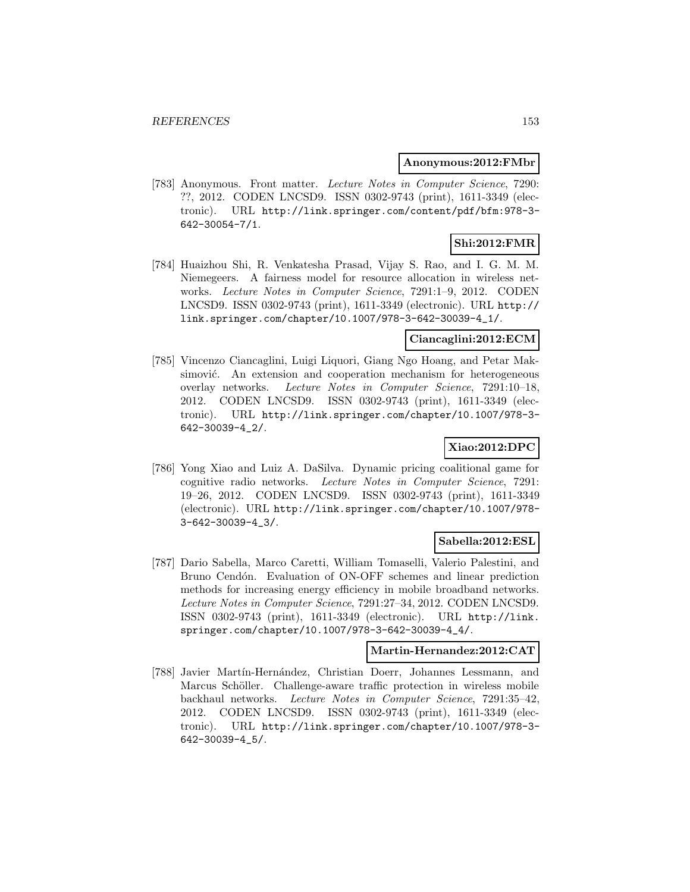### **Anonymous:2012:FMbr**

[783] Anonymous. Front matter. Lecture Notes in Computer Science, 7290: ??, 2012. CODEN LNCSD9. ISSN 0302-9743 (print), 1611-3349 (electronic). URL http://link.springer.com/content/pdf/bfm:978-3- 642-30054-7/1.

# **Shi:2012:FMR**

[784] Huaizhou Shi, R. Venkatesha Prasad, Vijay S. Rao, and I. G. M. M. Niemegeers. A fairness model for resource allocation in wireless networks. Lecture Notes in Computer Science, 7291:1–9, 2012. CODEN LNCSD9. ISSN 0302-9743 (print), 1611-3349 (electronic). URL http:// link.springer.com/chapter/10.1007/978-3-642-30039-4\_1/.

## **Ciancaglini:2012:ECM**

[785] Vincenzo Ciancaglini, Luigi Liquori, Giang Ngo Hoang, and Petar Maksimović. An extension and cooperation mechanism for heterogeneous overlay networks. Lecture Notes in Computer Science, 7291:10–18, 2012. CODEN LNCSD9. ISSN 0302-9743 (print), 1611-3349 (electronic). URL http://link.springer.com/chapter/10.1007/978-3- 642-30039-4\_2/.

# **Xiao:2012:DPC**

[786] Yong Xiao and Luiz A. DaSilva. Dynamic pricing coalitional game for cognitive radio networks. Lecture Notes in Computer Science, 7291: 19–26, 2012. CODEN LNCSD9. ISSN 0302-9743 (print), 1611-3349 (electronic). URL http://link.springer.com/chapter/10.1007/978- 3-642-30039-4\_3/.

### **Sabella:2012:ESL**

[787] Dario Sabella, Marco Caretti, William Tomaselli, Valerio Palestini, and Bruno Cendón. Evaluation of ON-OFF schemes and linear prediction methods for increasing energy efficiency in mobile broadband networks. Lecture Notes in Computer Science, 7291:27–34, 2012. CODEN LNCSD9. ISSN 0302-9743 (print), 1611-3349 (electronic). URL http://link. springer.com/chapter/10.1007/978-3-642-30039-4\_4/.

## **Martin-Hernandez:2012:CAT**

[788] Javier Martín-Hernández, Christian Doerr, Johannes Lessmann, and Marcus Schöller. Challenge-aware traffic protection in wireless mobile backhaul networks. Lecture Notes in Computer Science, 7291:35–42, 2012. CODEN LNCSD9. ISSN 0302-9743 (print), 1611-3349 (electronic). URL http://link.springer.com/chapter/10.1007/978-3- 642-30039-4\_5/.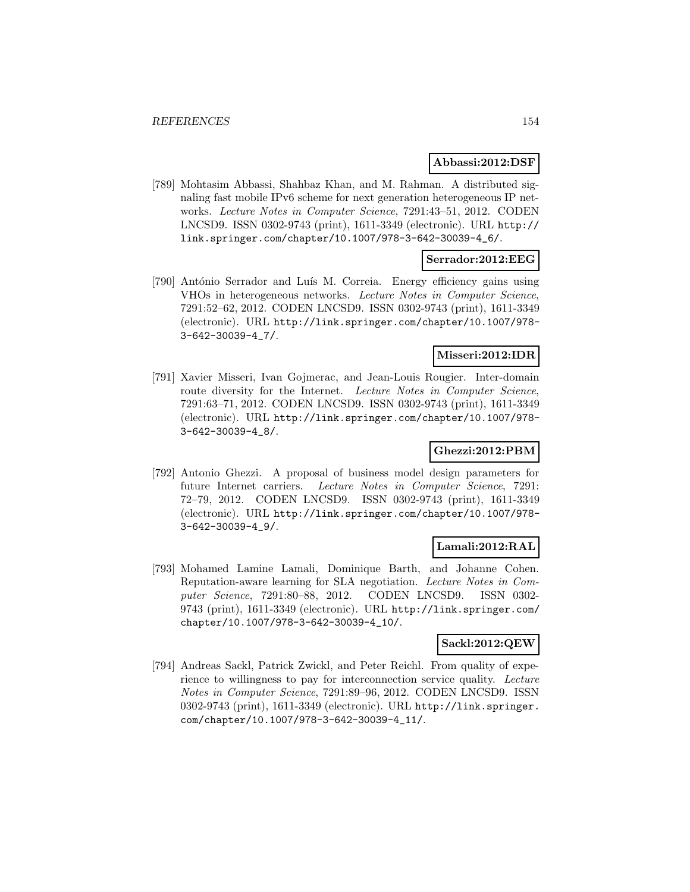### **Abbassi:2012:DSF**

[789] Mohtasim Abbassi, Shahbaz Khan, and M. Rahman. A distributed signaling fast mobile IPv6 scheme for next generation heterogeneous IP networks. Lecture Notes in Computer Science, 7291:43–51, 2012. CODEN LNCSD9. ISSN 0302-9743 (print), 1611-3349 (electronic). URL http:// link.springer.com/chapter/10.1007/978-3-642-30039-4\_6/.

### **Serrador:2012:EEG**

[790] António Serrador and Luís M. Correia. Energy efficiency gains using VHOs in heterogeneous networks. Lecture Notes in Computer Science, 7291:52–62, 2012. CODEN LNCSD9. ISSN 0302-9743 (print), 1611-3349 (electronic). URL http://link.springer.com/chapter/10.1007/978- 3-642-30039-4\_7/.

### **Misseri:2012:IDR**

[791] Xavier Misseri, Ivan Gojmerac, and Jean-Louis Rougier. Inter-domain route diversity for the Internet. Lecture Notes in Computer Science, 7291:63–71, 2012. CODEN LNCSD9. ISSN 0302-9743 (print), 1611-3349 (electronic). URL http://link.springer.com/chapter/10.1007/978- 3-642-30039-4\_8/.

## **Ghezzi:2012:PBM**

[792] Antonio Ghezzi. A proposal of business model design parameters for future Internet carriers. Lecture Notes in Computer Science, 7291: 72–79, 2012. CODEN LNCSD9. ISSN 0302-9743 (print), 1611-3349 (electronic). URL http://link.springer.com/chapter/10.1007/978- 3-642-30039-4\_9/.

## **Lamali:2012:RAL**

[793] Mohamed Lamine Lamali, Dominique Barth, and Johanne Cohen. Reputation-aware learning for SLA negotiation. Lecture Notes in Computer Science, 7291:80–88, 2012. CODEN LNCSD9. ISSN 0302- 9743 (print), 1611-3349 (electronic). URL http://link.springer.com/ chapter/10.1007/978-3-642-30039-4\_10/.

### **Sackl:2012:QEW**

[794] Andreas Sackl, Patrick Zwickl, and Peter Reichl. From quality of experience to willingness to pay for interconnection service quality. Lecture Notes in Computer Science, 7291:89–96, 2012. CODEN LNCSD9. ISSN 0302-9743 (print), 1611-3349 (electronic). URL http://link.springer. com/chapter/10.1007/978-3-642-30039-4\_11/.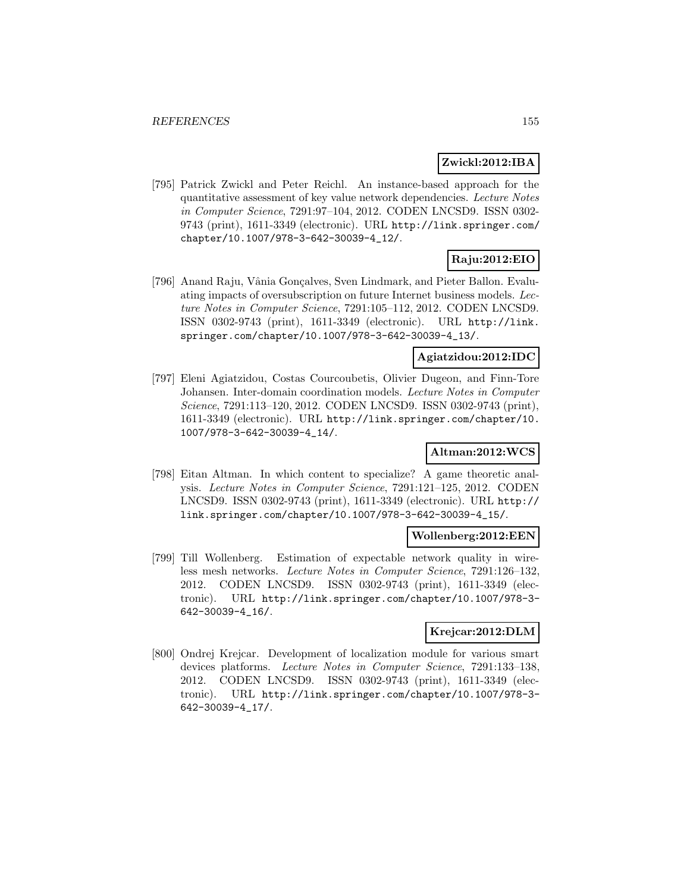## **Zwickl:2012:IBA**

[795] Patrick Zwickl and Peter Reichl. An instance-based approach for the quantitative assessment of key value network dependencies. Lecture Notes in Computer Science, 7291:97–104, 2012. CODEN LNCSD9. ISSN 0302- 9743 (print), 1611-3349 (electronic). URL http://link.springer.com/ chapter/10.1007/978-3-642-30039-4\_12/.

# **Raju:2012:EIO**

[796] Anand Raju, Vânia Gonçalves, Sven Lindmark, and Pieter Ballon. Evaluating impacts of oversubscription on future Internet business models. Lecture Notes in Computer Science, 7291:105–112, 2012. CODEN LNCSD9. ISSN 0302-9743 (print), 1611-3349 (electronic). URL http://link. springer.com/chapter/10.1007/978-3-642-30039-4\_13/.

## **Agiatzidou:2012:IDC**

[797] Eleni Agiatzidou, Costas Courcoubetis, Olivier Dugeon, and Finn-Tore Johansen. Inter-domain coordination models. Lecture Notes in Computer Science, 7291:113–120, 2012. CODEN LNCSD9. ISSN 0302-9743 (print), 1611-3349 (electronic). URL http://link.springer.com/chapter/10. 1007/978-3-642-30039-4\_14/.

## **Altman:2012:WCS**

[798] Eitan Altman. In which content to specialize? A game theoretic analysis. Lecture Notes in Computer Science, 7291:121–125, 2012. CODEN LNCSD9. ISSN 0302-9743 (print), 1611-3349 (electronic). URL http:// link.springer.com/chapter/10.1007/978-3-642-30039-4\_15/.

### **Wollenberg:2012:EEN**

[799] Till Wollenberg. Estimation of expectable network quality in wireless mesh networks. Lecture Notes in Computer Science, 7291:126–132, 2012. CODEN LNCSD9. ISSN 0302-9743 (print), 1611-3349 (electronic). URL http://link.springer.com/chapter/10.1007/978-3- 642-30039-4\_16/.

# **Krejcar:2012:DLM**

[800] Ondrej Krejcar. Development of localization module for various smart devices platforms. Lecture Notes in Computer Science, 7291:133–138, 2012. CODEN LNCSD9. ISSN 0302-9743 (print), 1611-3349 (electronic). URL http://link.springer.com/chapter/10.1007/978-3- 642-30039-4\_17/.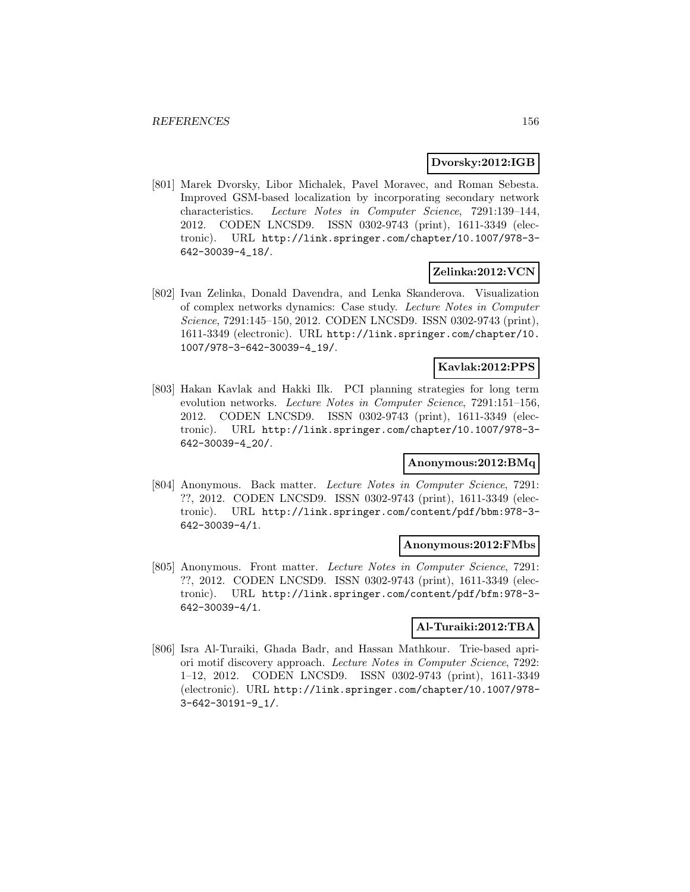### **Dvorsky:2012:IGB**

[801] Marek Dvorsky, Libor Michalek, Pavel Moravec, and Roman Sebesta. Improved GSM-based localization by incorporating secondary network characteristics. Lecture Notes in Computer Science, 7291:139–144, 2012. CODEN LNCSD9. ISSN 0302-9743 (print), 1611-3349 (electronic). URL http://link.springer.com/chapter/10.1007/978-3- 642-30039-4\_18/.

## **Zelinka:2012:VCN**

[802] Ivan Zelinka, Donald Davendra, and Lenka Skanderova. Visualization of complex networks dynamics: Case study. Lecture Notes in Computer Science, 7291:145–150, 2012. CODEN LNCSD9. ISSN 0302-9743 (print), 1611-3349 (electronic). URL http://link.springer.com/chapter/10. 1007/978-3-642-30039-4\_19/.

# **Kavlak:2012:PPS**

[803] Hakan Kavlak and Hakki Ilk. PCI planning strategies for long term evolution networks. Lecture Notes in Computer Science, 7291:151–156, 2012. CODEN LNCSD9. ISSN 0302-9743 (print), 1611-3349 (electronic). URL http://link.springer.com/chapter/10.1007/978-3- 642-30039-4\_20/.

## **Anonymous:2012:BMq**

[804] Anonymous. Back matter. Lecture Notes in Computer Science, 7291: ??, 2012. CODEN LNCSD9. ISSN 0302-9743 (print), 1611-3349 (electronic). URL http://link.springer.com/content/pdf/bbm:978-3- 642-30039-4/1.

#### **Anonymous:2012:FMbs**

[805] Anonymous. Front matter. Lecture Notes in Computer Science, 7291: ??, 2012. CODEN LNCSD9. ISSN 0302-9743 (print), 1611-3349 (electronic). URL http://link.springer.com/content/pdf/bfm:978-3- 642-30039-4/1.

#### **Al-Turaiki:2012:TBA**

[806] Isra Al-Turaiki, Ghada Badr, and Hassan Mathkour. Trie-based apriori motif discovery approach. Lecture Notes in Computer Science, 7292: 1–12, 2012. CODEN LNCSD9. ISSN 0302-9743 (print), 1611-3349 (electronic). URL http://link.springer.com/chapter/10.1007/978- 3-642-30191-9\_1/.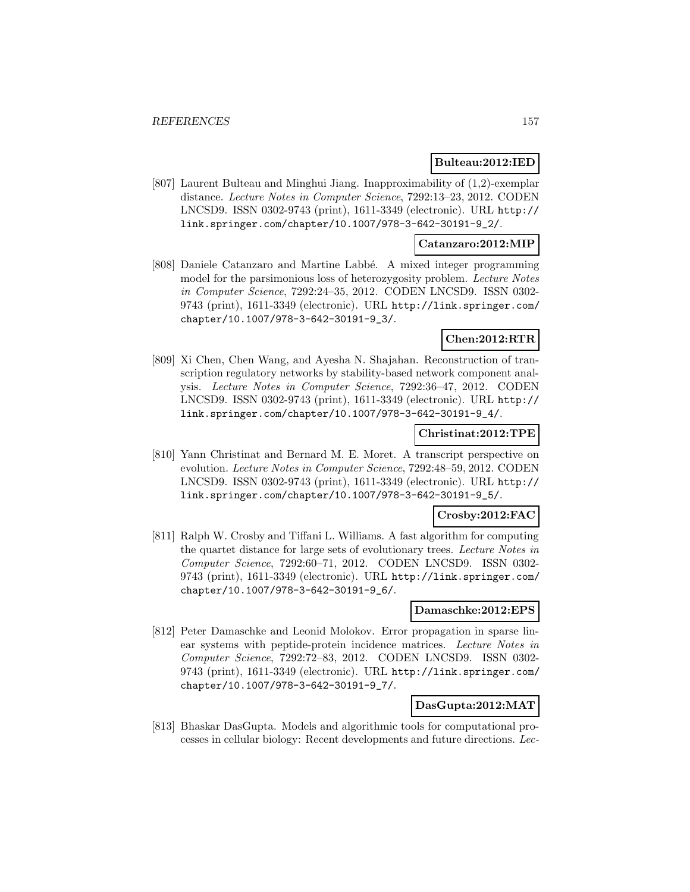## **Bulteau:2012:IED**

[807] Laurent Bulteau and Minghui Jiang. Inapproximability of (1,2)-exemplar distance. Lecture Notes in Computer Science, 7292:13–23, 2012. CODEN LNCSD9. ISSN 0302-9743 (print), 1611-3349 (electronic). URL http:// link.springer.com/chapter/10.1007/978-3-642-30191-9\_2/.

## **Catanzaro:2012:MIP**

[808] Daniele Catanzaro and Martine Labbé. A mixed integer programming model for the parsimonious loss of heterozygosity problem. Lecture Notes in Computer Science, 7292:24–35, 2012. CODEN LNCSD9. ISSN 0302- 9743 (print), 1611-3349 (electronic). URL http://link.springer.com/ chapter/10.1007/978-3-642-30191-9\_3/.

# **Chen:2012:RTR**

[809] Xi Chen, Chen Wang, and Ayesha N. Shajahan. Reconstruction of transcription regulatory networks by stability-based network component analysis. Lecture Notes in Computer Science, 7292:36–47, 2012. CODEN LNCSD9. ISSN 0302-9743 (print), 1611-3349 (electronic). URL http:// link.springer.com/chapter/10.1007/978-3-642-30191-9\_4/.

### **Christinat:2012:TPE**

[810] Yann Christinat and Bernard M. E. Moret. A transcript perspective on evolution. Lecture Notes in Computer Science, 7292:48–59, 2012. CODEN LNCSD9. ISSN 0302-9743 (print), 1611-3349 (electronic). URL http:// link.springer.com/chapter/10.1007/978-3-642-30191-9\_5/.

### **Crosby:2012:FAC**

[811] Ralph W. Crosby and Tiffani L. Williams. A fast algorithm for computing the quartet distance for large sets of evolutionary trees. Lecture Notes in Computer Science, 7292:60–71, 2012. CODEN LNCSD9. ISSN 0302- 9743 (print), 1611-3349 (electronic). URL http://link.springer.com/ chapter/10.1007/978-3-642-30191-9\_6/.

## **Damaschke:2012:EPS**

[812] Peter Damaschke and Leonid Molokov. Error propagation in sparse linear systems with peptide-protein incidence matrices. Lecture Notes in Computer Science, 7292:72–83, 2012. CODEN LNCSD9. ISSN 0302- 9743 (print), 1611-3349 (electronic). URL http://link.springer.com/ chapter/10.1007/978-3-642-30191-9\_7/.

## **DasGupta:2012:MAT**

[813] Bhaskar DasGupta. Models and algorithmic tools for computational processes in cellular biology: Recent developments and future directions. Lec-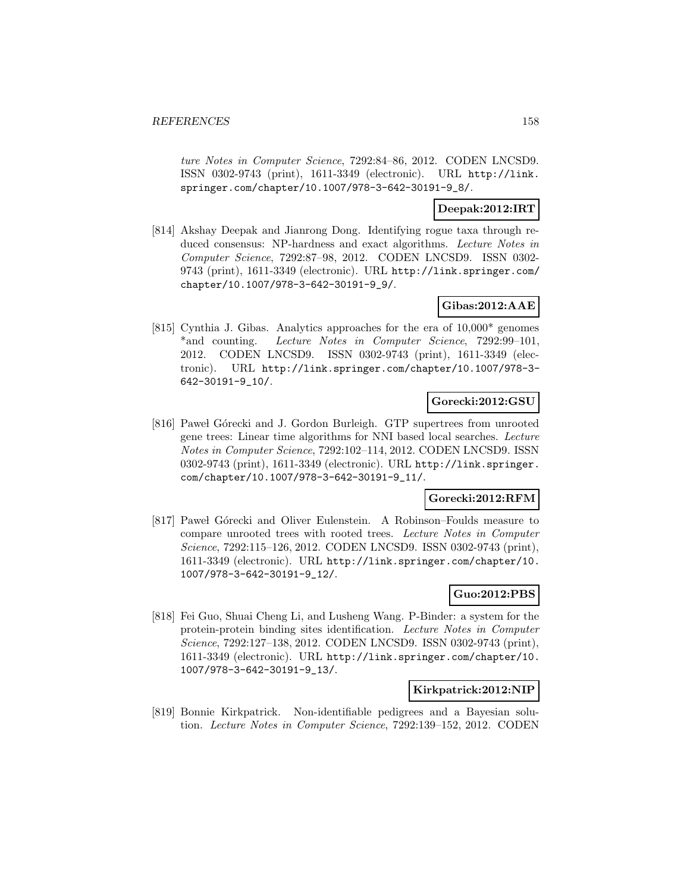ture Notes in Computer Science, 7292:84–86, 2012. CODEN LNCSD9. ISSN 0302-9743 (print), 1611-3349 (electronic). URL http://link. springer.com/chapter/10.1007/978-3-642-30191-9\_8/.

## **Deepak:2012:IRT**

[814] Akshay Deepak and Jianrong Dong. Identifying rogue taxa through reduced consensus: NP-hardness and exact algorithms. Lecture Notes in Computer Science, 7292:87–98, 2012. CODEN LNCSD9. ISSN 0302- 9743 (print), 1611-3349 (electronic). URL http://link.springer.com/ chapter/10.1007/978-3-642-30191-9\_9/.

# **Gibas:2012:AAE**

[815] Cynthia J. Gibas. Analytics approaches for the era of 10,000\* genomes \*and counting. Lecture Notes in Computer Science, 7292:99-101, 2012. CODEN LNCSD9. ISSN 0302-9743 (print), 1611-3349 (electronic). URL http://link.springer.com/chapter/10.1007/978-3- 642-30191-9\_10/.

## **Gorecki:2012:GSU**

[816] Pawel Górecki and J. Gordon Burleigh. GTP supertrees from unrooted gene trees: Linear time algorithms for NNI based local searches. Lecture Notes in Computer Science, 7292:102–114, 2012. CODEN LNCSD9. ISSN 0302-9743 (print), 1611-3349 (electronic). URL http://link.springer. com/chapter/10.1007/978-3-642-30191-9\_11/.

## **Gorecki:2012:RFM**

[817] Pawel Górecki and Oliver Eulenstein. A Robinson–Foulds measure to compare unrooted trees with rooted trees. Lecture Notes in Computer Science, 7292:115–126, 2012. CODEN LNCSD9. ISSN 0302-9743 (print), 1611-3349 (electronic). URL http://link.springer.com/chapter/10. 1007/978-3-642-30191-9\_12/.

## **Guo:2012:PBS**

[818] Fei Guo, Shuai Cheng Li, and Lusheng Wang. P-Binder: a system for the protein-protein binding sites identification. Lecture Notes in Computer Science, 7292:127–138, 2012. CODEN LNCSD9. ISSN 0302-9743 (print), 1611-3349 (electronic). URL http://link.springer.com/chapter/10. 1007/978-3-642-30191-9\_13/.

## **Kirkpatrick:2012:NIP**

[819] Bonnie Kirkpatrick. Non-identifiable pedigrees and a Bayesian solution. Lecture Notes in Computer Science, 7292:139–152, 2012. CODEN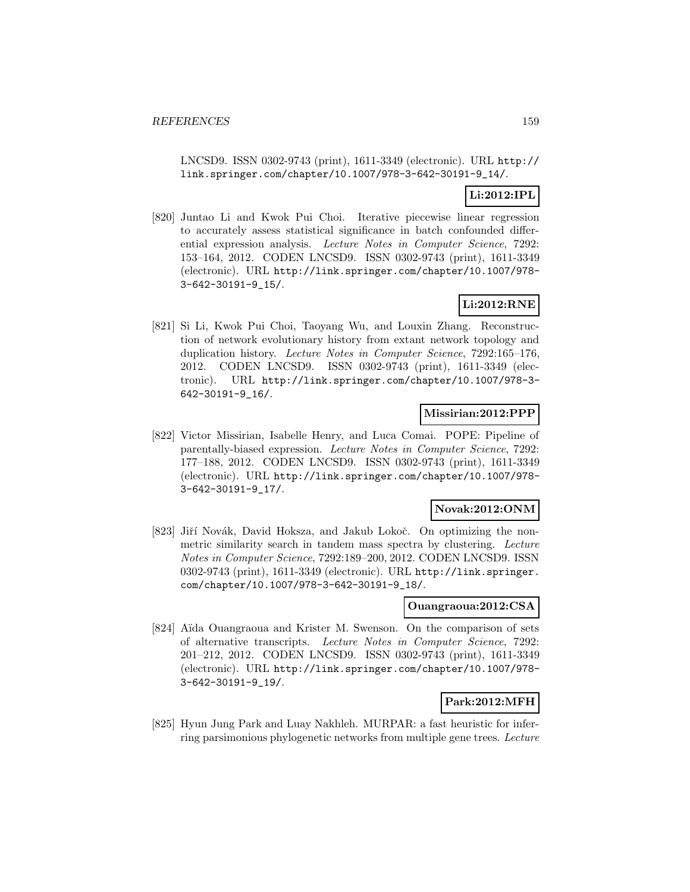LNCSD9. ISSN 0302-9743 (print), 1611-3349 (electronic). URL http:// link.springer.com/chapter/10.1007/978-3-642-30191-9\_14/.

# **Li:2012:IPL**

[820] Juntao Li and Kwok Pui Choi. Iterative piecewise linear regression to accurately assess statistical significance in batch confounded differential expression analysis. Lecture Notes in Computer Science, 7292: 153–164, 2012. CODEN LNCSD9. ISSN 0302-9743 (print), 1611-3349 (electronic). URL http://link.springer.com/chapter/10.1007/978- 3-642-30191-9\_15/.

# **Li:2012:RNE**

[821] Si Li, Kwok Pui Choi, Taoyang Wu, and Louxin Zhang. Reconstruction of network evolutionary history from extant network topology and duplication history. Lecture Notes in Computer Science, 7292:165-176, 2012. CODEN LNCSD9. ISSN 0302-9743 (print), 1611-3349 (electronic). URL http://link.springer.com/chapter/10.1007/978-3- 642-30191-9\_16/.

# **Missirian:2012:PPP**

[822] Victor Missirian, Isabelle Henry, and Luca Comai. POPE: Pipeline of parentally-biased expression. Lecture Notes in Computer Science, 7292: 177–188, 2012. CODEN LNCSD9. ISSN 0302-9743 (print), 1611-3349 (electronic). URL http://link.springer.com/chapter/10.1007/978- 3-642-30191-9\_17/.

### **Novak:2012:ONM**

[823] Jiří Novák, David Hoksza, and Jakub Lokoč. On optimizing the nonmetric similarity search in tandem mass spectra by clustering. Lecture Notes in Computer Science, 7292:189–200, 2012. CODEN LNCSD9. ISSN 0302-9743 (print), 1611-3349 (electronic). URL http://link.springer. com/chapter/10.1007/978-3-642-30191-9\_18/.

### **Ouangraoua:2012:CSA**

[824] Aïda Ouangraoua and Krister M. Swenson. On the comparison of sets of alternative transcripts. Lecture Notes in Computer Science, 7292: 201–212, 2012. CODEN LNCSD9. ISSN 0302-9743 (print), 1611-3349 (electronic). URL http://link.springer.com/chapter/10.1007/978- 3-642-30191-9\_19/.

### **Park:2012:MFH**

[825] Hyun Jung Park and Luay Nakhleh. MURPAR: a fast heuristic for inferring parsimonious phylogenetic networks from multiple gene trees. Lecture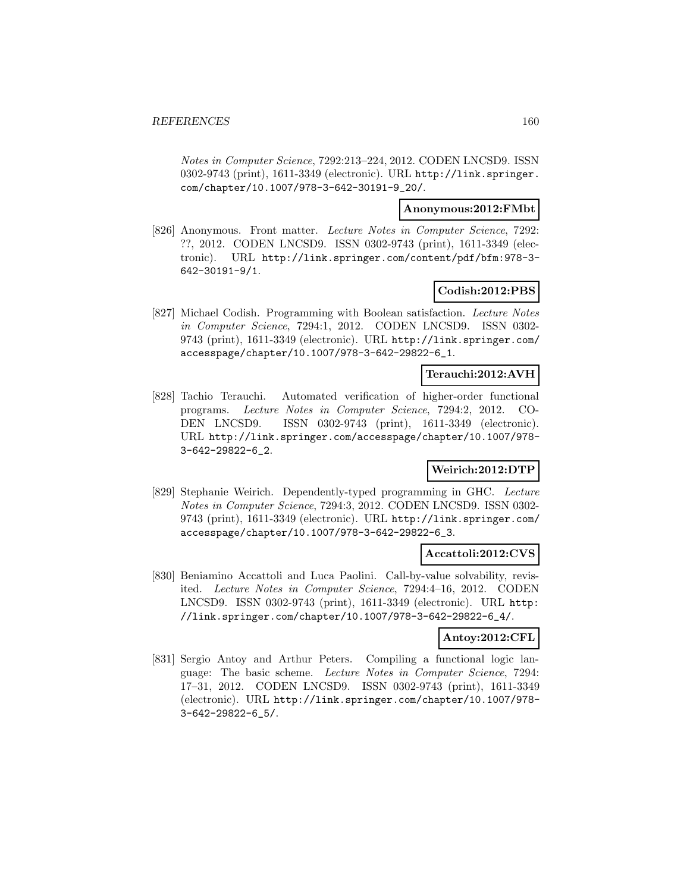Notes in Computer Science, 7292:213–224, 2012. CODEN LNCSD9. ISSN 0302-9743 (print), 1611-3349 (electronic). URL http://link.springer. com/chapter/10.1007/978-3-642-30191-9\_20/.

### **Anonymous:2012:FMbt**

[826] Anonymous. Front matter. Lecture Notes in Computer Science, 7292: ??, 2012. CODEN LNCSD9. ISSN 0302-9743 (print), 1611-3349 (electronic). URL http://link.springer.com/content/pdf/bfm:978-3- 642-30191-9/1.

## **Codish:2012:PBS**

[827] Michael Codish. Programming with Boolean satisfaction. Lecture Notes in Computer Science, 7294:1, 2012. CODEN LNCSD9. ISSN 0302- 9743 (print), 1611-3349 (electronic). URL http://link.springer.com/ accesspage/chapter/10.1007/978-3-642-29822-6\_1.

## **Terauchi:2012:AVH**

[828] Tachio Terauchi. Automated verification of higher-order functional programs. Lecture Notes in Computer Science, 7294:2, 2012. CO-DEN LNCSD9. ISSN 0302-9743 (print), 1611-3349 (electronic). URL http://link.springer.com/accesspage/chapter/10.1007/978- 3-642-29822-6\_2.

# **Weirich:2012:DTP**

[829] Stephanie Weirich. Dependently-typed programming in GHC. Lecture Notes in Computer Science, 7294:3, 2012. CODEN LNCSD9. ISSN 0302- 9743 (print), 1611-3349 (electronic). URL http://link.springer.com/ accesspage/chapter/10.1007/978-3-642-29822-6\_3.

### **Accattoli:2012:CVS**

[830] Beniamino Accattoli and Luca Paolini. Call-by-value solvability, revisited. Lecture Notes in Computer Science, 7294:4–16, 2012. CODEN LNCSD9. ISSN 0302-9743 (print), 1611-3349 (electronic). URL http: //link.springer.com/chapter/10.1007/978-3-642-29822-6\_4/.

## **Antoy:2012:CFL**

[831] Sergio Antoy and Arthur Peters. Compiling a functional logic language: The basic scheme. Lecture Notes in Computer Science, 7294: 17–31, 2012. CODEN LNCSD9. ISSN 0302-9743 (print), 1611-3349 (electronic). URL http://link.springer.com/chapter/10.1007/978- 3-642-29822-6\_5/.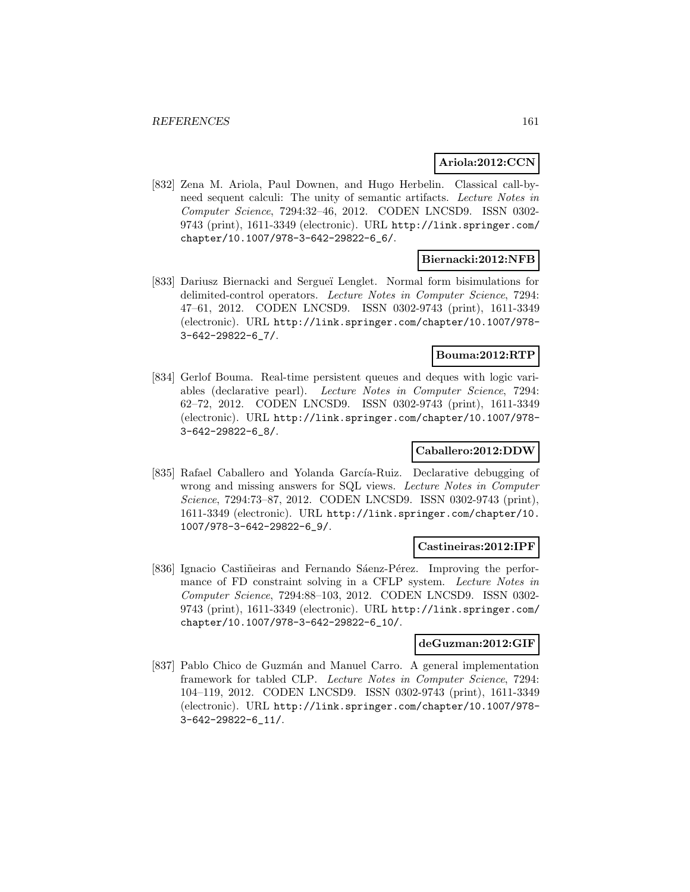## **Ariola:2012:CCN**

[832] Zena M. Ariola, Paul Downen, and Hugo Herbelin. Classical call-byneed sequent calculi: The unity of semantic artifacts. Lecture Notes in Computer Science, 7294:32–46, 2012. CODEN LNCSD9. ISSN 0302- 9743 (print), 1611-3349 (electronic). URL http://link.springer.com/ chapter/10.1007/978-3-642-29822-6\_6/.

## **Biernacki:2012:NFB**

[833] Dariusz Biernacki and Sergue¨ı Lenglet. Normal form bisimulations for delimited-control operators. Lecture Notes in Computer Science, 7294: 47–61, 2012. CODEN LNCSD9. ISSN 0302-9743 (print), 1611-3349 (electronic). URL http://link.springer.com/chapter/10.1007/978- 3-642-29822-6\_7/.

### **Bouma:2012:RTP**

[834] Gerlof Bouma. Real-time persistent queues and deques with logic variables (declarative pearl). Lecture Notes in Computer Science, 7294: 62–72, 2012. CODEN LNCSD9. ISSN 0302-9743 (print), 1611-3349 (electronic). URL http://link.springer.com/chapter/10.1007/978- 3-642-29822-6\_8/.

# **Caballero:2012:DDW**

[835] Rafael Caballero and Yolanda García-Ruiz. Declarative debugging of wrong and missing answers for SQL views. Lecture Notes in Computer Science, 7294:73–87, 2012. CODEN LNCSD9. ISSN 0302-9743 (print), 1611-3349 (electronic). URL http://link.springer.com/chapter/10. 1007/978-3-642-29822-6\_9/.

#### **Castineiras:2012:IPF**

[836] Ignacio Castiñeiras and Fernando Sáenz-Pérez. Improving the performance of FD constraint solving in a CFLP system. Lecture Notes in Computer Science, 7294:88–103, 2012. CODEN LNCSD9. ISSN 0302- 9743 (print), 1611-3349 (electronic). URL http://link.springer.com/ chapter/10.1007/978-3-642-29822-6\_10/.

### **deGuzman:2012:GIF**

[837] Pablo Chico de Guzmán and Manuel Carro. A general implementation framework for tabled CLP. Lecture Notes in Computer Science, 7294: 104–119, 2012. CODEN LNCSD9. ISSN 0302-9743 (print), 1611-3349 (electronic). URL http://link.springer.com/chapter/10.1007/978- 3-642-29822-6\_11/.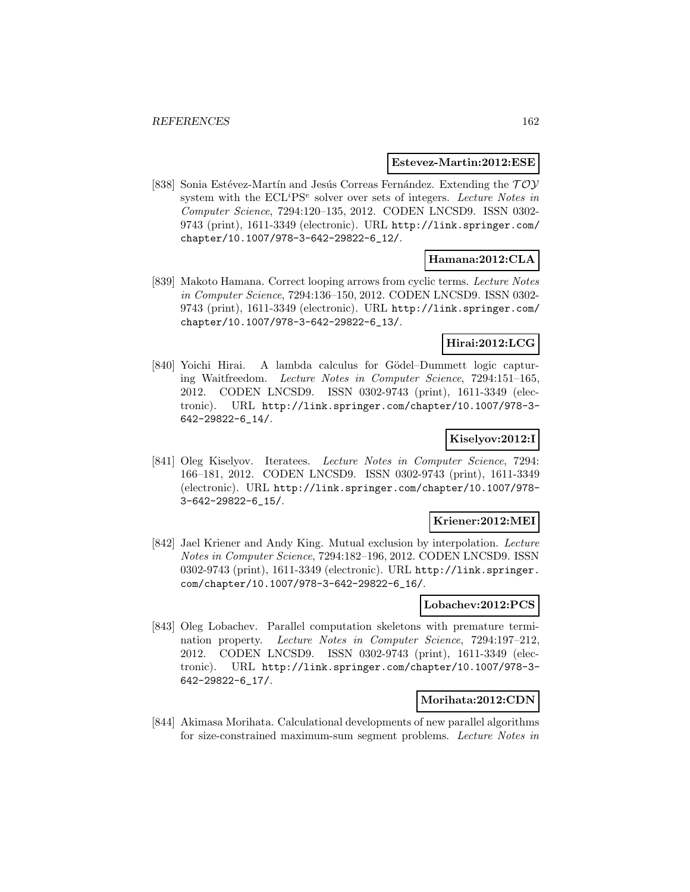### **Estevez-Martin:2012:ESE**

[838] Sonia Estévez-Martín and Jesús Correas Fernández. Extending the  $TOY$ system with the  $ECL^{i}PS^{e}$  solver over sets of integers. Lecture Notes in Computer Science, 7294:120–135, 2012. CODEN LNCSD9. ISSN 0302- 9743 (print), 1611-3349 (electronic). URL http://link.springer.com/ chapter/10.1007/978-3-642-29822-6\_12/.

# **Hamana:2012:CLA**

[839] Makoto Hamana. Correct looping arrows from cyclic terms. Lecture Notes in Computer Science, 7294:136–150, 2012. CODEN LNCSD9. ISSN 0302- 9743 (print), 1611-3349 (electronic). URL http://link.springer.com/ chapter/10.1007/978-3-642-29822-6\_13/.

## **Hirai:2012:LCG**

[840] Yoichi Hirai. A lambda calculus for Gödel–Dummett logic capturing Waitfreedom. Lecture Notes in Computer Science, 7294:151–165, 2012. CODEN LNCSD9. ISSN 0302-9743 (print), 1611-3349 (electronic). URL http://link.springer.com/chapter/10.1007/978-3- 642-29822-6\_14/.

## **Kiselyov:2012:I**

[841] Oleg Kiselyov. Iteratees. Lecture Notes in Computer Science, 7294: 166–181, 2012. CODEN LNCSD9. ISSN 0302-9743 (print), 1611-3349 (electronic). URL http://link.springer.com/chapter/10.1007/978- 3-642-29822-6\_15/.

## **Kriener:2012:MEI**

[842] Jael Kriener and Andy King. Mutual exclusion by interpolation. Lecture Notes in Computer Science, 7294:182–196, 2012. CODEN LNCSD9. ISSN 0302-9743 (print), 1611-3349 (electronic). URL http://link.springer. com/chapter/10.1007/978-3-642-29822-6\_16/.

### **Lobachev:2012:PCS**

[843] Oleg Lobachev. Parallel computation skeletons with premature termination property. Lecture Notes in Computer Science, 7294:197–212, 2012. CODEN LNCSD9. ISSN 0302-9743 (print), 1611-3349 (electronic). URL http://link.springer.com/chapter/10.1007/978-3- 642-29822-6\_17/.

### **Morihata:2012:CDN**

[844] Akimasa Morihata. Calculational developments of new parallel algorithms for size-constrained maximum-sum segment problems. Lecture Notes in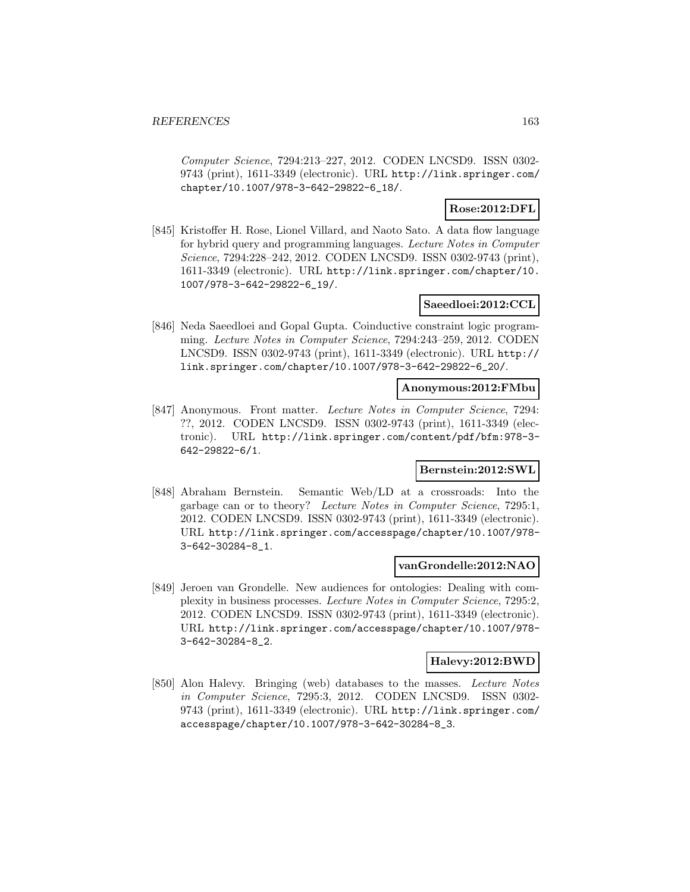Computer Science, 7294:213–227, 2012. CODEN LNCSD9. ISSN 0302- 9743 (print), 1611-3349 (electronic). URL http://link.springer.com/ chapter/10.1007/978-3-642-29822-6\_18/.

## **Rose:2012:DFL**

[845] Kristoffer H. Rose, Lionel Villard, and Naoto Sato. A data flow language for hybrid query and programming languages. Lecture Notes in Computer Science, 7294:228–242, 2012. CODEN LNCSD9. ISSN 0302-9743 (print), 1611-3349 (electronic). URL http://link.springer.com/chapter/10. 1007/978-3-642-29822-6\_19/.

## **Saeedloei:2012:CCL**

[846] Neda Saeedloei and Gopal Gupta. Coinductive constraint logic programming. Lecture Notes in Computer Science, 7294:243–259, 2012. CODEN LNCSD9. ISSN 0302-9743 (print), 1611-3349 (electronic). URL http:// link.springer.com/chapter/10.1007/978-3-642-29822-6\_20/.

## **Anonymous:2012:FMbu**

[847] Anonymous. Front matter. Lecture Notes in Computer Science, 7294: ??, 2012. CODEN LNCSD9. ISSN 0302-9743 (print), 1611-3349 (electronic). URL http://link.springer.com/content/pdf/bfm:978-3- 642-29822-6/1.

### **Bernstein:2012:SWL**

[848] Abraham Bernstein. Semantic Web/LD at a crossroads: Into the garbage can or to theory? Lecture Notes in Computer Science, 7295:1, 2012. CODEN LNCSD9. ISSN 0302-9743 (print), 1611-3349 (electronic). URL http://link.springer.com/accesspage/chapter/10.1007/978- 3-642-30284-8\_1.

### **vanGrondelle:2012:NAO**

[849] Jeroen van Grondelle. New audiences for ontologies: Dealing with complexity in business processes. Lecture Notes in Computer Science, 7295:2, 2012. CODEN LNCSD9. ISSN 0302-9743 (print), 1611-3349 (electronic). URL http://link.springer.com/accesspage/chapter/10.1007/978- 3-642-30284-8\_2.

#### **Halevy:2012:BWD**

[850] Alon Halevy. Bringing (web) databases to the masses. Lecture Notes in Computer Science, 7295:3, 2012. CODEN LNCSD9. ISSN 0302- 9743 (print), 1611-3349 (electronic). URL http://link.springer.com/ accesspage/chapter/10.1007/978-3-642-30284-8\_3.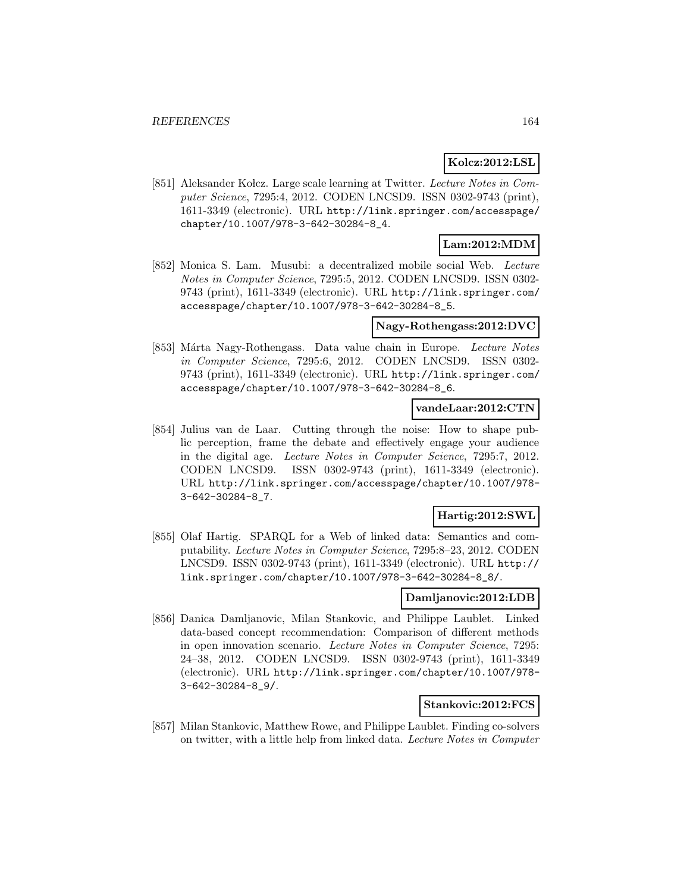### **Kolcz:2012:LSL**

[851] Aleksander Kolcz. Large scale learning at Twitter. Lecture Notes in Computer Science, 7295:4, 2012. CODEN LNCSD9. ISSN 0302-9743 (print), 1611-3349 (electronic). URL http://link.springer.com/accesspage/ chapter/10.1007/978-3-642-30284-8\_4.

# **Lam:2012:MDM**

[852] Monica S. Lam. Musubi: a decentralized mobile social Web. Lecture Notes in Computer Science, 7295:5, 2012. CODEN LNCSD9. ISSN 0302- 9743 (print), 1611-3349 (electronic). URL http://link.springer.com/ accesspage/chapter/10.1007/978-3-642-30284-8\_5.

### **Nagy-Rothengass:2012:DVC**

[853] Márta Nagy-Rothengass. Data value chain in Europe. Lecture Notes in Computer Science, 7295:6, 2012. CODEN LNCSD9. ISSN 0302- 9743 (print), 1611-3349 (electronic). URL http://link.springer.com/ accesspage/chapter/10.1007/978-3-642-30284-8\_6.

## **vandeLaar:2012:CTN**

[854] Julius van de Laar. Cutting through the noise: How to shape public perception, frame the debate and effectively engage your audience in the digital age. Lecture Notes in Computer Science, 7295:7, 2012. CODEN LNCSD9. ISSN 0302-9743 (print), 1611-3349 (electronic). URL http://link.springer.com/accesspage/chapter/10.1007/978- 3-642-30284-8\_7.

# **Hartig:2012:SWL**

[855] Olaf Hartig. SPARQL for a Web of linked data: Semantics and computability. Lecture Notes in Computer Science, 7295:8–23, 2012. CODEN LNCSD9. ISSN 0302-9743 (print), 1611-3349 (electronic). URL http:// link.springer.com/chapter/10.1007/978-3-642-30284-8\_8/.

## **Damljanovic:2012:LDB**

[856] Danica Damljanovic, Milan Stankovic, and Philippe Laublet. Linked data-based concept recommendation: Comparison of different methods in open innovation scenario. Lecture Notes in Computer Science, 7295: 24–38, 2012. CODEN LNCSD9. ISSN 0302-9743 (print), 1611-3349 (electronic). URL http://link.springer.com/chapter/10.1007/978- 3-642-30284-8\_9/.

## **Stankovic:2012:FCS**

[857] Milan Stankovic, Matthew Rowe, and Philippe Laublet. Finding co-solvers on twitter, with a little help from linked data. Lecture Notes in Computer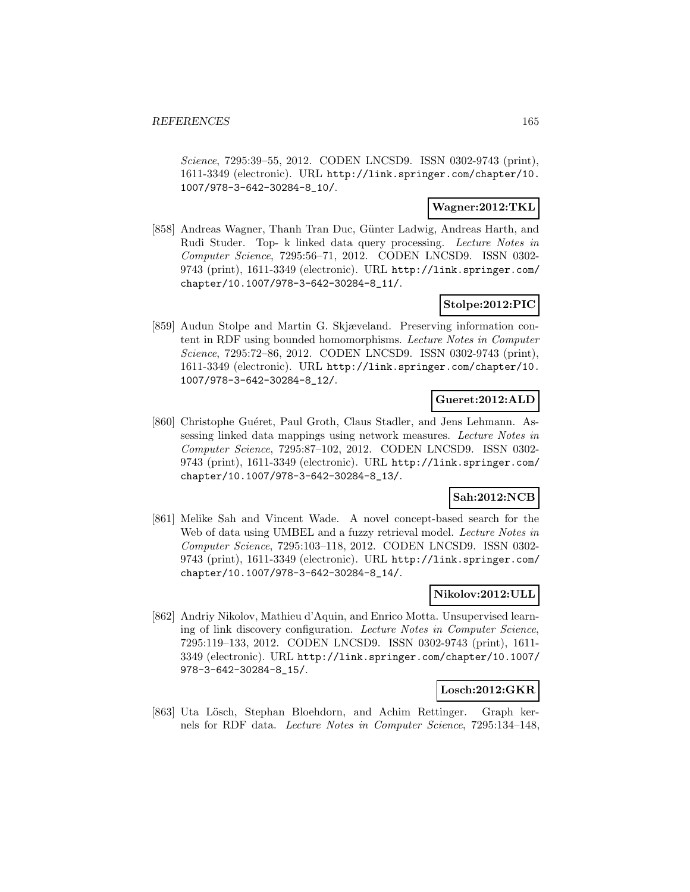Science, 7295:39–55, 2012. CODEN LNCSD9. ISSN 0302-9743 (print), 1611-3349 (electronic). URL http://link.springer.com/chapter/10. 1007/978-3-642-30284-8\_10/.

## **Wagner:2012:TKL**

[858] Andreas Wagner, Thanh Tran Duc, Günter Ladwig, Andreas Harth, and Rudi Studer. Top- k linked data query processing. Lecture Notes in Computer Science, 7295:56–71, 2012. CODEN LNCSD9. ISSN 0302- 9743 (print), 1611-3349 (electronic). URL http://link.springer.com/ chapter/10.1007/978-3-642-30284-8\_11/.

# **Stolpe:2012:PIC**

[859] Audun Stolpe and Martin G. Skjæveland. Preserving information content in RDF using bounded homomorphisms. Lecture Notes in Computer Science, 7295:72–86, 2012. CODEN LNCSD9. ISSN 0302-9743 (print), 1611-3349 (electronic). URL http://link.springer.com/chapter/10. 1007/978-3-642-30284-8\_12/.

# **Gueret:2012:ALD**

[860] Christophe Guéret, Paul Groth, Claus Stadler, and Jens Lehmann. Assessing linked data mappings using network measures. Lecture Notes in Computer Science, 7295:87–102, 2012. CODEN LNCSD9. ISSN 0302- 9743 (print), 1611-3349 (electronic). URL http://link.springer.com/ chapter/10.1007/978-3-642-30284-8\_13/.

# **Sah:2012:NCB**

[861] Melike Sah and Vincent Wade. A novel concept-based search for the Web of data using UMBEL and a fuzzy retrieval model. Lecture Notes in Computer Science, 7295:103–118, 2012. CODEN LNCSD9. ISSN 0302- 9743 (print), 1611-3349 (electronic). URL http://link.springer.com/ chapter/10.1007/978-3-642-30284-8\_14/.

# **Nikolov:2012:ULL**

[862] Andriy Nikolov, Mathieu d'Aquin, and Enrico Motta. Unsupervised learning of link discovery configuration. Lecture Notes in Computer Science, 7295:119–133, 2012. CODEN LNCSD9. ISSN 0302-9743 (print), 1611- 3349 (electronic). URL http://link.springer.com/chapter/10.1007/ 978-3-642-30284-8\_15/.

### **Losch:2012:GKR**

[863] Uta Lösch, Stephan Bloehdorn, and Achim Rettinger. Graph kernels for RDF data. Lecture Notes in Computer Science, 7295:134–148,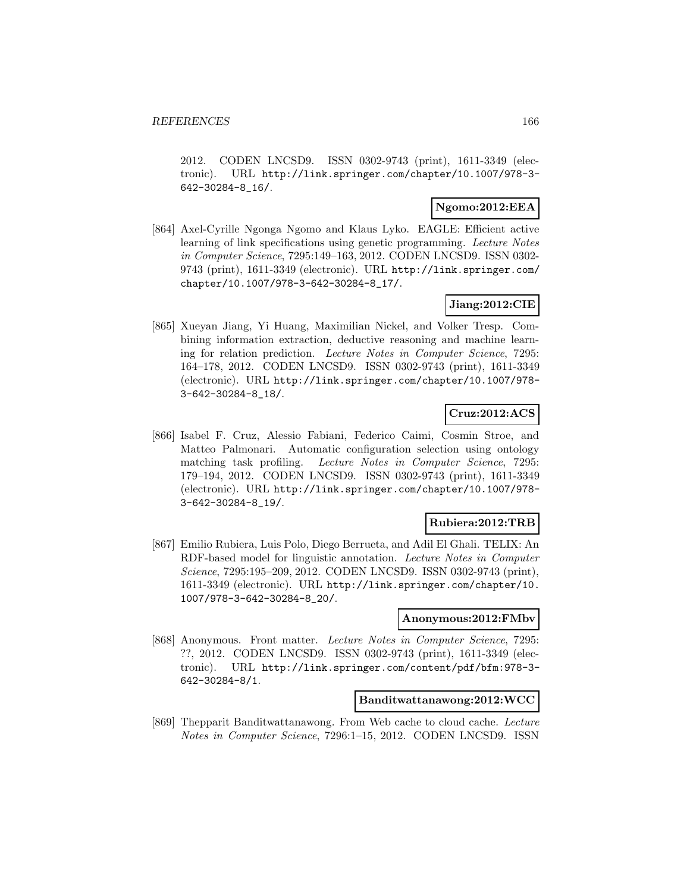2012. CODEN LNCSD9. ISSN 0302-9743 (print), 1611-3349 (electronic). URL http://link.springer.com/chapter/10.1007/978-3- 642-30284-8\_16/.

## **Ngomo:2012:EEA**

[864] Axel-Cyrille Ngonga Ngomo and Klaus Lyko. EAGLE: Efficient active learning of link specifications using genetic programming. Lecture Notes in Computer Science, 7295:149–163, 2012. CODEN LNCSD9. ISSN 0302- 9743 (print), 1611-3349 (electronic). URL http://link.springer.com/ chapter/10.1007/978-3-642-30284-8\_17/.

## **Jiang:2012:CIE**

[865] Xueyan Jiang, Yi Huang, Maximilian Nickel, and Volker Tresp. Combining information extraction, deductive reasoning and machine learning for relation prediction. Lecture Notes in Computer Science, 7295: 164–178, 2012. CODEN LNCSD9. ISSN 0302-9743 (print), 1611-3349 (electronic). URL http://link.springer.com/chapter/10.1007/978- 3-642-30284-8\_18/.

# **Cruz:2012:ACS**

[866] Isabel F. Cruz, Alessio Fabiani, Federico Caimi, Cosmin Stroe, and Matteo Palmonari. Automatic configuration selection using ontology matching task profiling. Lecture Notes in Computer Science, 7295: 179–194, 2012. CODEN LNCSD9. ISSN 0302-9743 (print), 1611-3349 (electronic). URL http://link.springer.com/chapter/10.1007/978- 3-642-30284-8\_19/.

### **Rubiera:2012:TRB**

[867] Emilio Rubiera, Luis Polo, Diego Berrueta, and Adil El Ghali. TELIX: An RDF-based model for linguistic annotation. Lecture Notes in Computer Science, 7295:195–209, 2012. CODEN LNCSD9. ISSN 0302-9743 (print), 1611-3349 (electronic). URL http://link.springer.com/chapter/10. 1007/978-3-642-30284-8\_20/.

## **Anonymous:2012:FMbv**

[868] Anonymous. Front matter. Lecture Notes in Computer Science, 7295: ??, 2012. CODEN LNCSD9. ISSN 0302-9743 (print), 1611-3349 (electronic). URL http://link.springer.com/content/pdf/bfm:978-3- 642-30284-8/1.

### **Banditwattanawong:2012:WCC**

[869] Thepparit Banditwattanawong. From Web cache to cloud cache. Lecture Notes in Computer Science, 7296:1–15, 2012. CODEN LNCSD9. ISSN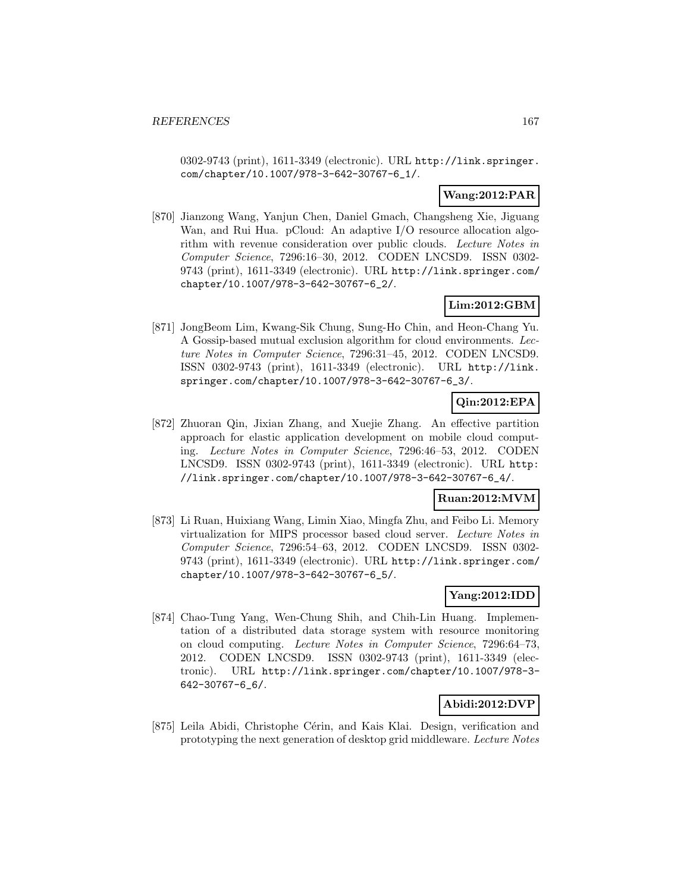0302-9743 (print), 1611-3349 (electronic). URL http://link.springer. com/chapter/10.1007/978-3-642-30767-6\_1/.

# **Wang:2012:PAR**

[870] Jianzong Wang, Yanjun Chen, Daniel Gmach, Changsheng Xie, Jiguang Wan, and Rui Hua. pCloud: An adaptive I/O resource allocation algorithm with revenue consideration over public clouds. Lecture Notes in Computer Science, 7296:16–30, 2012. CODEN LNCSD9. ISSN 0302- 9743 (print), 1611-3349 (electronic). URL http://link.springer.com/ chapter/10.1007/978-3-642-30767-6\_2/.

# **Lim:2012:GBM**

[871] JongBeom Lim, Kwang-Sik Chung, Sung-Ho Chin, and Heon-Chang Yu. A Gossip-based mutual exclusion algorithm for cloud environments. Lecture Notes in Computer Science, 7296:31–45, 2012. CODEN LNCSD9. ISSN 0302-9743 (print), 1611-3349 (electronic). URL http://link. springer.com/chapter/10.1007/978-3-642-30767-6\_3/.

# **Qin:2012:EPA**

[872] Zhuoran Qin, Jixian Zhang, and Xuejie Zhang. An effective partition approach for elastic application development on mobile cloud computing. Lecture Notes in Computer Science, 7296:46–53, 2012. CODEN LNCSD9. ISSN 0302-9743 (print), 1611-3349 (electronic). URL http: //link.springer.com/chapter/10.1007/978-3-642-30767-6\_4/.

# **Ruan:2012:MVM**

[873] Li Ruan, Huixiang Wang, Limin Xiao, Mingfa Zhu, and Feibo Li. Memory virtualization for MIPS processor based cloud server. Lecture Notes in Computer Science, 7296:54–63, 2012. CODEN LNCSD9. ISSN 0302- 9743 (print), 1611-3349 (electronic). URL http://link.springer.com/ chapter/10.1007/978-3-642-30767-6\_5/.

# **Yang:2012:IDD**

[874] Chao-Tung Yang, Wen-Chung Shih, and Chih-Lin Huang. Implementation of a distributed data storage system with resource monitoring on cloud computing. Lecture Notes in Computer Science, 7296:64–73, 2012. CODEN LNCSD9. ISSN 0302-9743 (print), 1611-3349 (electronic). URL http://link.springer.com/chapter/10.1007/978-3- 642-30767-6\_6/.

# **Abidi:2012:DVP**

[875] Leila Abidi, Christophe Cérin, and Kais Klai. Design, verification and prototyping the next generation of desktop grid middleware. Lecture Notes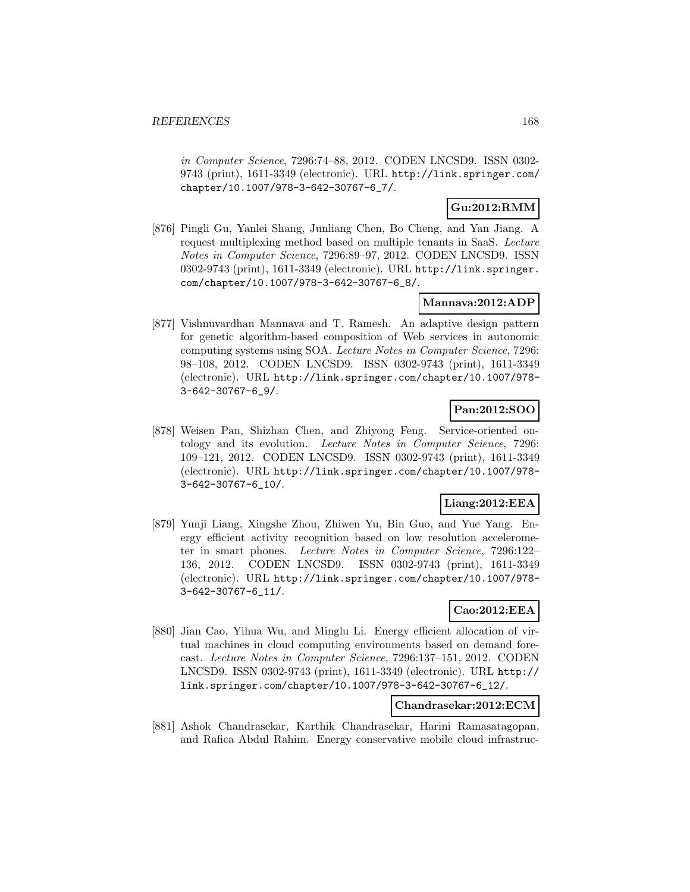in Computer Science, 7296:74–88, 2012. CODEN LNCSD9. ISSN 0302- 9743 (print), 1611-3349 (electronic). URL http://link.springer.com/ chapter/10.1007/978-3-642-30767-6\_7/.

# **Gu:2012:RMM**

[876] Pingli Gu, Yanlei Shang, Junliang Chen, Bo Cheng, and Yan Jiang. A request multiplexing method based on multiple tenants in SaaS. Lecture Notes in Computer Science, 7296:89–97, 2012. CODEN LNCSD9. ISSN 0302-9743 (print), 1611-3349 (electronic). URL http://link.springer. com/chapter/10.1007/978-3-642-30767-6\_8/.

## **Mannava:2012:ADP**

[877] Vishnuvardhan Mannava and T. Ramesh. An adaptive design pattern for genetic algorithm-based composition of Web services in autonomic computing systems using SOA. Lecture Notes in Computer Science, 7296: 98–108, 2012. CODEN LNCSD9. ISSN 0302-9743 (print), 1611-3349 (electronic). URL http://link.springer.com/chapter/10.1007/978- 3-642-30767-6\_9/.

# **Pan:2012:SOO**

[878] Weisen Pan, Shizhan Chen, and Zhiyong Feng. Service-oriented ontology and its evolution. Lecture Notes in Computer Science, 7296: 109–121, 2012. CODEN LNCSD9. ISSN 0302-9743 (print), 1611-3349 (electronic). URL http://link.springer.com/chapter/10.1007/978- 3-642-30767-6\_10/.

## **Liang:2012:EEA**

[879] Yunji Liang, Xingshe Zhou, Zhiwen Yu, Bin Guo, and Yue Yang. Energy efficient activity recognition based on low resolution accelerometer in smart phones. Lecture Notes in Computer Science, 7296:122– 136, 2012. CODEN LNCSD9. ISSN 0302-9743 (print), 1611-3349 (electronic). URL http://link.springer.com/chapter/10.1007/978- 3-642-30767-6\_11/.

## **Cao:2012:EEA**

[880] Jian Cao, Yihua Wu, and Minglu Li. Energy efficient allocation of virtual machines in cloud computing environments based on demand forecast. Lecture Notes in Computer Science, 7296:137–151, 2012. CODEN LNCSD9. ISSN 0302-9743 (print), 1611-3349 (electronic). URL http:// link.springer.com/chapter/10.1007/978-3-642-30767-6\_12/.

## **Chandrasekar:2012:ECM**

[881] Ashok Chandrasekar, Karthik Chandrasekar, Harini Ramasatagopan, and Rafica Abdul Rahim. Energy conservative mobile cloud infrastruc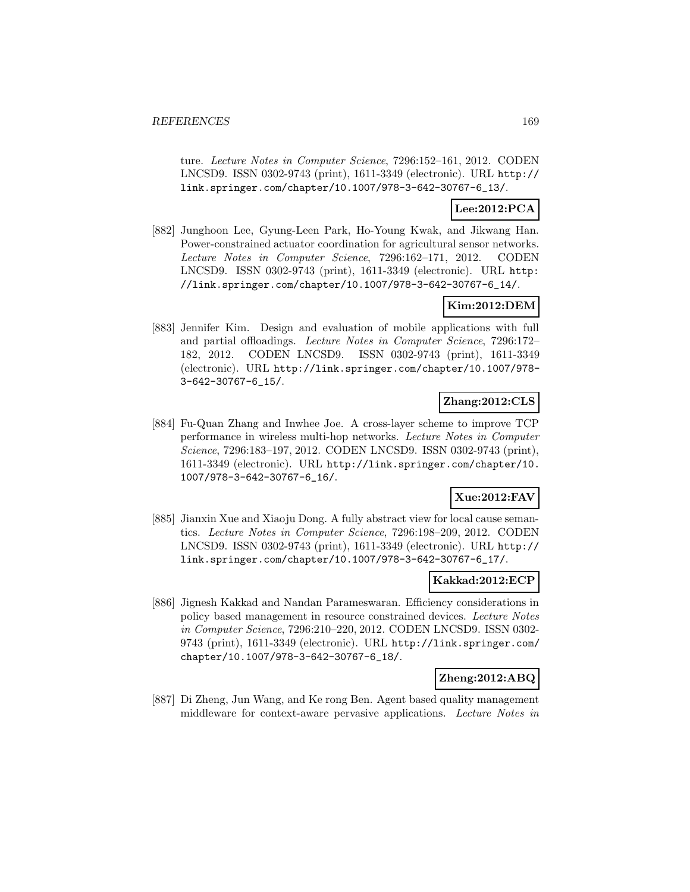ture. Lecture Notes in Computer Science, 7296:152–161, 2012. CODEN LNCSD9. ISSN 0302-9743 (print), 1611-3349 (electronic). URL http:// link.springer.com/chapter/10.1007/978-3-642-30767-6\_13/.

# **Lee:2012:PCA**

[882] Junghoon Lee, Gyung-Leen Park, Ho-Young Kwak, and Jikwang Han. Power-constrained actuator coordination for agricultural sensor networks. Lecture Notes in Computer Science, 7296:162–171, 2012. CODEN LNCSD9. ISSN 0302-9743 (print), 1611-3349 (electronic). URL http: //link.springer.com/chapter/10.1007/978-3-642-30767-6\_14/.

# **Kim:2012:DEM**

[883] Jennifer Kim. Design and evaluation of mobile applications with full and partial offloadings. Lecture Notes in Computer Science, 7296:172– 182, 2012. CODEN LNCSD9. ISSN 0302-9743 (print), 1611-3349 (electronic). URL http://link.springer.com/chapter/10.1007/978- 3-642-30767-6\_15/.

# **Zhang:2012:CLS**

[884] Fu-Quan Zhang and Inwhee Joe. A cross-layer scheme to improve TCP performance in wireless multi-hop networks. Lecture Notes in Computer Science, 7296:183–197, 2012. CODEN LNCSD9. ISSN 0302-9743 (print), 1611-3349 (electronic). URL http://link.springer.com/chapter/10. 1007/978-3-642-30767-6\_16/.

## **Xue:2012:FAV**

[885] Jianxin Xue and Xiaoju Dong. A fully abstract view for local cause semantics. Lecture Notes in Computer Science, 7296:198–209, 2012. CODEN LNCSD9. ISSN 0302-9743 (print), 1611-3349 (electronic). URL http:// link.springer.com/chapter/10.1007/978-3-642-30767-6\_17/.

### **Kakkad:2012:ECP**

[886] Jignesh Kakkad and Nandan Parameswaran. Efficiency considerations in policy based management in resource constrained devices. Lecture Notes in Computer Science, 7296:210–220, 2012. CODEN LNCSD9. ISSN 0302- 9743 (print), 1611-3349 (electronic). URL http://link.springer.com/ chapter/10.1007/978-3-642-30767-6\_18/.

## **Zheng:2012:ABQ**

[887] Di Zheng, Jun Wang, and Ke rong Ben. Agent based quality management middleware for context-aware pervasive applications. Lecture Notes in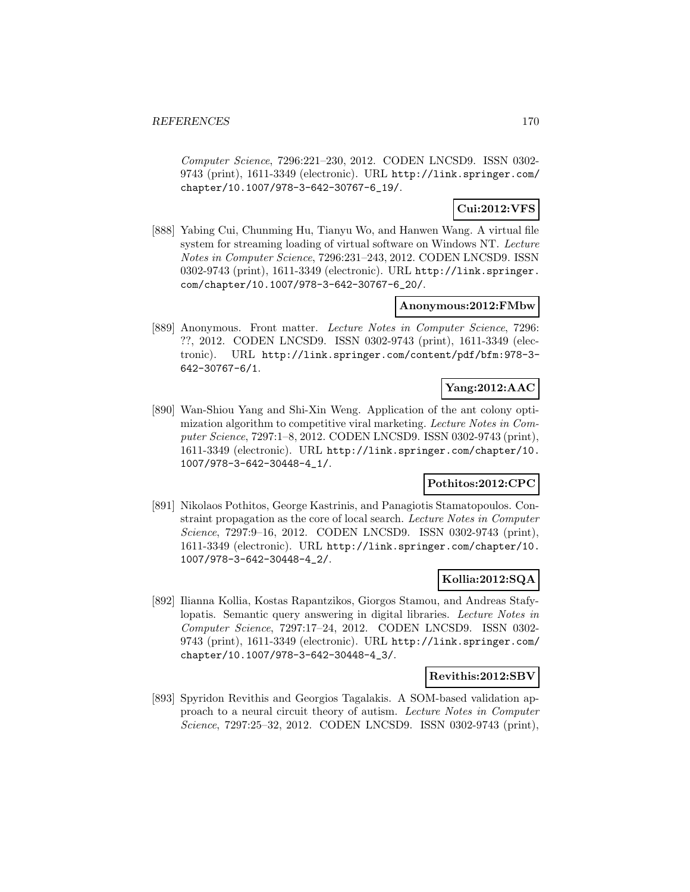Computer Science, 7296:221–230, 2012. CODEN LNCSD9. ISSN 0302- 9743 (print), 1611-3349 (electronic). URL http://link.springer.com/ chapter/10.1007/978-3-642-30767-6\_19/.

# **Cui:2012:VFS**

[888] Yabing Cui, Chunming Hu, Tianyu Wo, and Hanwen Wang. A virtual file system for streaming loading of virtual software on Windows NT. Lecture Notes in Computer Science, 7296:231–243, 2012. CODEN LNCSD9. ISSN 0302-9743 (print), 1611-3349 (electronic). URL http://link.springer. com/chapter/10.1007/978-3-642-30767-6\_20/.

## **Anonymous:2012:FMbw**

[889] Anonymous. Front matter. Lecture Notes in Computer Science, 7296: ??, 2012. CODEN LNCSD9. ISSN 0302-9743 (print), 1611-3349 (electronic). URL http://link.springer.com/content/pdf/bfm:978-3- 642-30767-6/1.

# **Yang:2012:AAC**

[890] Wan-Shiou Yang and Shi-Xin Weng. Application of the ant colony optimization algorithm to competitive viral marketing. Lecture Notes in Computer Science, 7297:1–8, 2012. CODEN LNCSD9. ISSN 0302-9743 (print), 1611-3349 (electronic). URL http://link.springer.com/chapter/10. 1007/978-3-642-30448-4\_1/.

# **Pothitos:2012:CPC**

[891] Nikolaos Pothitos, George Kastrinis, and Panagiotis Stamatopoulos. Constraint propagation as the core of local search. Lecture Notes in Computer Science, 7297:9–16, 2012. CODEN LNCSD9. ISSN 0302-9743 (print), 1611-3349 (electronic). URL http://link.springer.com/chapter/10. 1007/978-3-642-30448-4\_2/.

## **Kollia:2012:SQA**

[892] Ilianna Kollia, Kostas Rapantzikos, Giorgos Stamou, and Andreas Stafylopatis. Semantic query answering in digital libraries. Lecture Notes in Computer Science, 7297:17–24, 2012. CODEN LNCSD9. ISSN 0302- 9743 (print), 1611-3349 (electronic). URL http://link.springer.com/ chapter/10.1007/978-3-642-30448-4\_3/.

## **Revithis:2012:SBV**

[893] Spyridon Revithis and Georgios Tagalakis. A SOM-based validation approach to a neural circuit theory of autism. Lecture Notes in Computer Science, 7297:25–32, 2012. CODEN LNCSD9. ISSN 0302-9743 (print),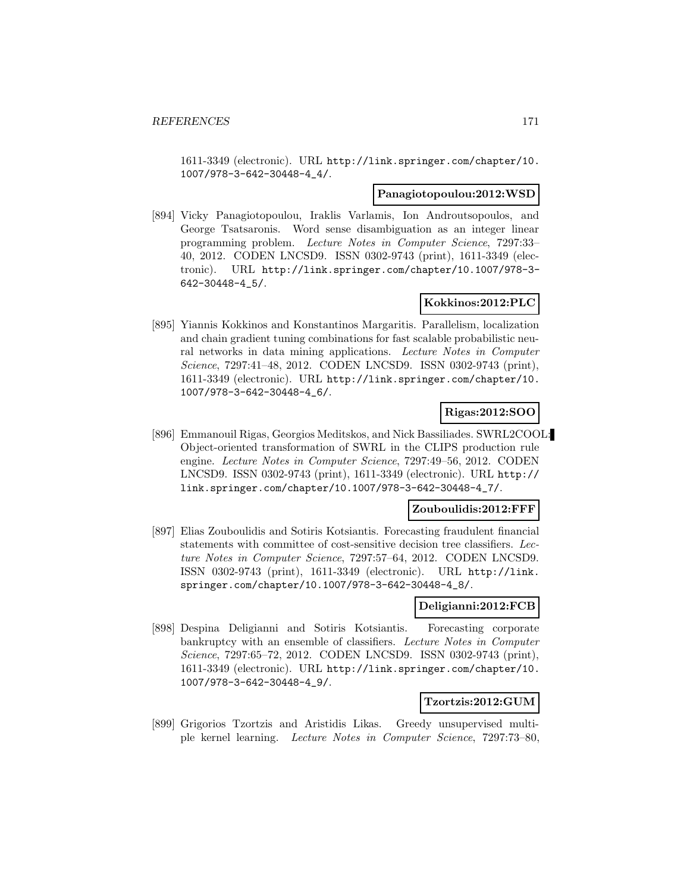1611-3349 (electronic). URL http://link.springer.com/chapter/10. 1007/978-3-642-30448-4\_4/.

### **Panagiotopoulou:2012:WSD**

[894] Vicky Panagiotopoulou, Iraklis Varlamis, Ion Androutsopoulos, and George Tsatsaronis. Word sense disambiguation as an integer linear programming problem. Lecture Notes in Computer Science, 7297:33– 40, 2012. CODEN LNCSD9. ISSN 0302-9743 (print), 1611-3349 (electronic). URL http://link.springer.com/chapter/10.1007/978-3- 642-30448-4\_5/.

## **Kokkinos:2012:PLC**

[895] Yiannis Kokkinos and Konstantinos Margaritis. Parallelism, localization and chain gradient tuning combinations for fast scalable probabilistic neural networks in data mining applications. Lecture Notes in Computer Science, 7297:41–48, 2012. CODEN LNCSD9. ISSN 0302-9743 (print), 1611-3349 (electronic). URL http://link.springer.com/chapter/10. 1007/978-3-642-30448-4\_6/.

## **Rigas:2012:SOO**

[896] Emmanouil Rigas, Georgios Meditskos, and Nick Bassiliades. SWRL2COOL: Object-oriented transformation of SWRL in the CLIPS production rule engine. Lecture Notes in Computer Science, 7297:49–56, 2012. CODEN LNCSD9. ISSN 0302-9743 (print), 1611-3349 (electronic). URL http:// link.springer.com/chapter/10.1007/978-3-642-30448-4\_7/.

### **Zouboulidis:2012:FFF**

[897] Elias Zouboulidis and Sotiris Kotsiantis. Forecasting fraudulent financial statements with committee of cost-sensitive decision tree classifiers. Lecture Notes in Computer Science, 7297:57–64, 2012. CODEN LNCSD9. ISSN 0302-9743 (print), 1611-3349 (electronic). URL http://link. springer.com/chapter/10.1007/978-3-642-30448-4\_8/.

### **Deligianni:2012:FCB**

[898] Despina Deligianni and Sotiris Kotsiantis. Forecasting corporate bankruptcy with an ensemble of classifiers. Lecture Notes in Computer Science, 7297:65–72, 2012. CODEN LNCSD9. ISSN 0302-9743 (print), 1611-3349 (electronic). URL http://link.springer.com/chapter/10. 1007/978-3-642-30448-4\_9/.

### **Tzortzis:2012:GUM**

[899] Grigorios Tzortzis and Aristidis Likas. Greedy unsupervised multiple kernel learning. Lecture Notes in Computer Science, 7297:73–80,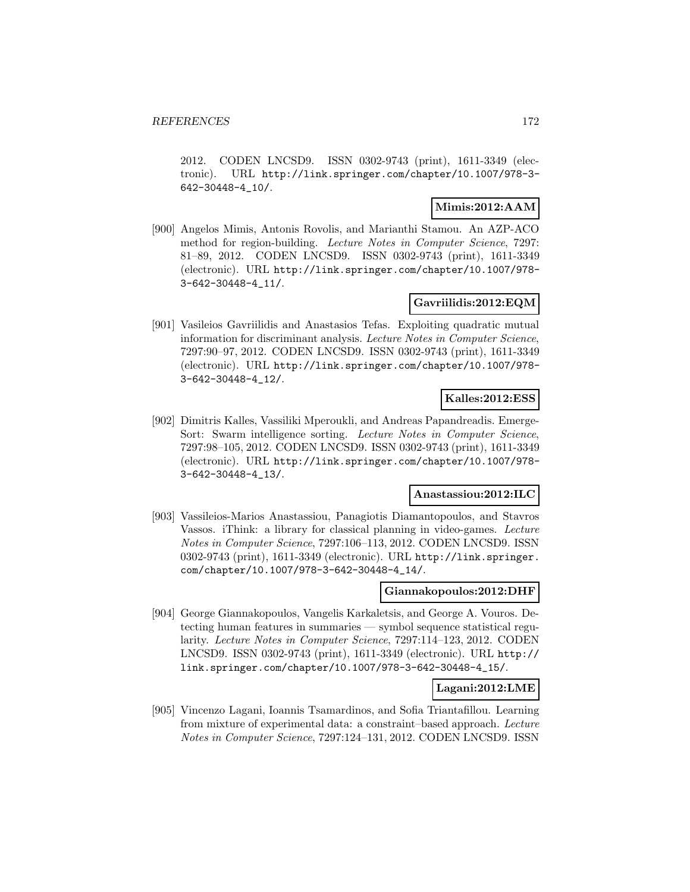2012. CODEN LNCSD9. ISSN 0302-9743 (print), 1611-3349 (electronic). URL http://link.springer.com/chapter/10.1007/978-3- 642-30448-4\_10/.

## **Mimis:2012:AAM**

[900] Angelos Mimis, Antonis Rovolis, and Marianthi Stamou. An AZP-ACO method for region-building. Lecture Notes in Computer Science, 7297: 81–89, 2012. CODEN LNCSD9. ISSN 0302-9743 (print), 1611-3349 (electronic). URL http://link.springer.com/chapter/10.1007/978- 3-642-30448-4\_11/.

# **Gavriilidis:2012:EQM**

[901] Vasileios Gavriilidis and Anastasios Tefas. Exploiting quadratic mutual information for discriminant analysis. Lecture Notes in Computer Science, 7297:90–97, 2012. CODEN LNCSD9. ISSN 0302-9743 (print), 1611-3349 (electronic). URL http://link.springer.com/chapter/10.1007/978- 3-642-30448-4\_12/.

## **Kalles:2012:ESS**

[902] Dimitris Kalles, Vassiliki Mperoukli, and Andreas Papandreadis. Emerge-Sort: Swarm intelligence sorting. Lecture Notes in Computer Science, 7297:98–105, 2012. CODEN LNCSD9. ISSN 0302-9743 (print), 1611-3349 (electronic). URL http://link.springer.com/chapter/10.1007/978- 3-642-30448-4\_13/.

### **Anastassiou:2012:ILC**

[903] Vassileios-Marios Anastassiou, Panagiotis Diamantopoulos, and Stavros Vassos. iThink: a library for classical planning in video-games. Lecture Notes in Computer Science, 7297:106–113, 2012. CODEN LNCSD9. ISSN 0302-9743 (print), 1611-3349 (electronic). URL http://link.springer. com/chapter/10.1007/978-3-642-30448-4\_14/.

### **Giannakopoulos:2012:DHF**

[904] George Giannakopoulos, Vangelis Karkaletsis, and George A. Vouros. Detecting human features in summaries — symbol sequence statistical regularity. Lecture Notes in Computer Science, 7297:114–123, 2012. CODEN LNCSD9. ISSN 0302-9743 (print), 1611-3349 (electronic). URL http:// link.springer.com/chapter/10.1007/978-3-642-30448-4\_15/.

### **Lagani:2012:LME**

[905] Vincenzo Lagani, Ioannis Tsamardinos, and Sofia Triantafillou. Learning from mixture of experimental data: a constraint–based approach. Lecture Notes in Computer Science, 7297:124–131, 2012. CODEN LNCSD9. ISSN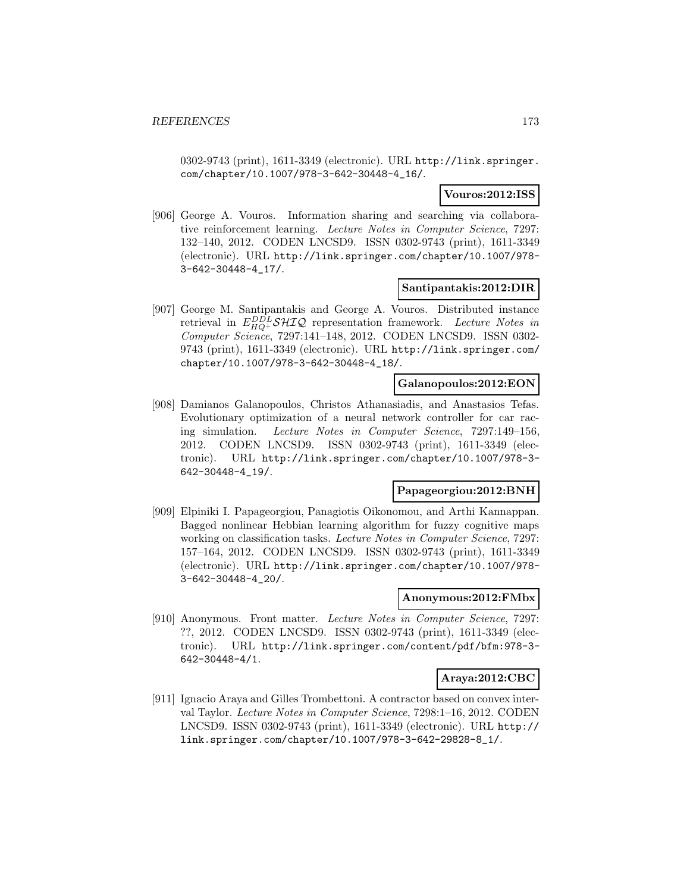0302-9743 (print), 1611-3349 (electronic). URL http://link.springer. com/chapter/10.1007/978-3-642-30448-4\_16/.

## **Vouros:2012:ISS**

[906] George A. Vouros. Information sharing and searching via collaborative reinforcement learning. Lecture Notes in Computer Science, 7297: 132–140, 2012. CODEN LNCSD9. ISSN 0302-9743 (print), 1611-3349 (electronic). URL http://link.springer.com/chapter/10.1007/978- 3-642-30448-4\_17/.

### **Santipantakis:2012:DIR**

[907] George M. Santipantakis and George A. Vouros. Distributed instance retrieval in  $E_{HQ+}^{DDL}$   $\mathcal{SHIQ}$  representation framework. Lecture Notes in Computer Science, 7297:141-148, 2012. CODEN LNCSD9. ISSN 0302-9743 (print), 1611-3349 (electronic). URL http://link.springer.com/ chapter/10.1007/978-3-642-30448-4\_18/.

### **Galanopoulos:2012:EON**

[908] Damianos Galanopoulos, Christos Athanasiadis, and Anastasios Tefas. Evolutionary optimization of a neural network controller for car racing simulation. Lecture Notes in Computer Science, 7297:149–156, 2012. CODEN LNCSD9. ISSN 0302-9743 (print), 1611-3349 (electronic). URL http://link.springer.com/chapter/10.1007/978-3- 642-30448-4\_19/.

### **Papageorgiou:2012:BNH**

[909] Elpiniki I. Papageorgiou, Panagiotis Oikonomou, and Arthi Kannappan. Bagged nonlinear Hebbian learning algorithm for fuzzy cognitive maps working on classification tasks. Lecture Notes in Computer Science, 7297: 157–164, 2012. CODEN LNCSD9. ISSN 0302-9743 (print), 1611-3349 (electronic). URL http://link.springer.com/chapter/10.1007/978- 3-642-30448-4\_20/.

#### **Anonymous:2012:FMbx**

[910] Anonymous. Front matter. Lecture Notes in Computer Science, 7297: ??, 2012. CODEN LNCSD9. ISSN 0302-9743 (print), 1611-3349 (electronic). URL http://link.springer.com/content/pdf/bfm:978-3- 642-30448-4/1.

### **Araya:2012:CBC**

[911] Ignacio Araya and Gilles Trombettoni. A contractor based on convex interval Taylor. Lecture Notes in Computer Science, 7298:1–16, 2012. CODEN LNCSD9. ISSN 0302-9743 (print), 1611-3349 (electronic). URL http:// link.springer.com/chapter/10.1007/978-3-642-29828-8\_1/.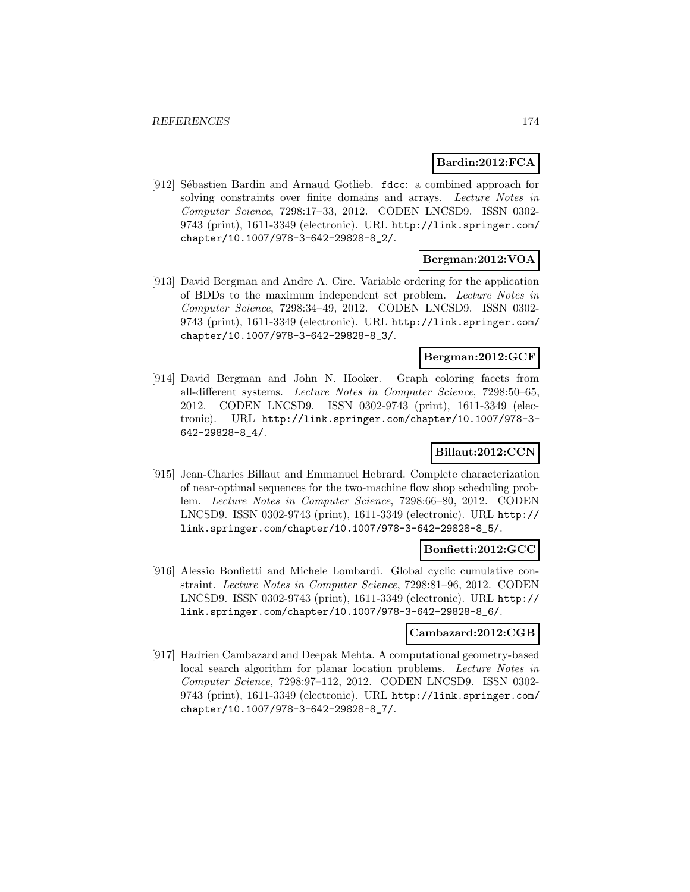## **Bardin:2012:FCA**

[912] Sébastien Bardin and Arnaud Gotlieb. fdcc: a combined approach for solving constraints over finite domains and arrays. Lecture Notes in Computer Science, 7298:17–33, 2012. CODEN LNCSD9. ISSN 0302- 9743 (print), 1611-3349 (electronic). URL http://link.springer.com/ chapter/10.1007/978-3-642-29828-8\_2/.

# **Bergman:2012:VOA**

[913] David Bergman and Andre A. Cire. Variable ordering for the application of BDDs to the maximum independent set problem. Lecture Notes in Computer Science, 7298:34–49, 2012. CODEN LNCSD9. ISSN 0302- 9743 (print), 1611-3349 (electronic). URL http://link.springer.com/ chapter/10.1007/978-3-642-29828-8\_3/.

## **Bergman:2012:GCF**

[914] David Bergman and John N. Hooker. Graph coloring facets from all-different systems. Lecture Notes in Computer Science, 7298:50–65, 2012. CODEN LNCSD9. ISSN 0302-9743 (print), 1611-3349 (electronic). URL http://link.springer.com/chapter/10.1007/978-3- 642-29828-8\_4/.

## **Billaut:2012:CCN**

[915] Jean-Charles Billaut and Emmanuel Hebrard. Complete characterization of near-optimal sequences for the two-machine flow shop scheduling problem. Lecture Notes in Computer Science, 7298:66–80, 2012. CODEN LNCSD9. ISSN 0302-9743 (print), 1611-3349 (electronic). URL http:// link.springer.com/chapter/10.1007/978-3-642-29828-8\_5/.

### **Bonfietti:2012:GCC**

[916] Alessio Bonfietti and Michele Lombardi. Global cyclic cumulative constraint. Lecture Notes in Computer Science, 7298:81–96, 2012. CODEN LNCSD9. ISSN 0302-9743 (print), 1611-3349 (electronic). URL http:// link.springer.com/chapter/10.1007/978-3-642-29828-8\_6/.

## **Cambazard:2012:CGB**

[917] Hadrien Cambazard and Deepak Mehta. A computational geometry-based local search algorithm for planar location problems. Lecture Notes in Computer Science, 7298:97–112, 2012. CODEN LNCSD9. ISSN 0302- 9743 (print), 1611-3349 (electronic). URL http://link.springer.com/ chapter/10.1007/978-3-642-29828-8\_7/.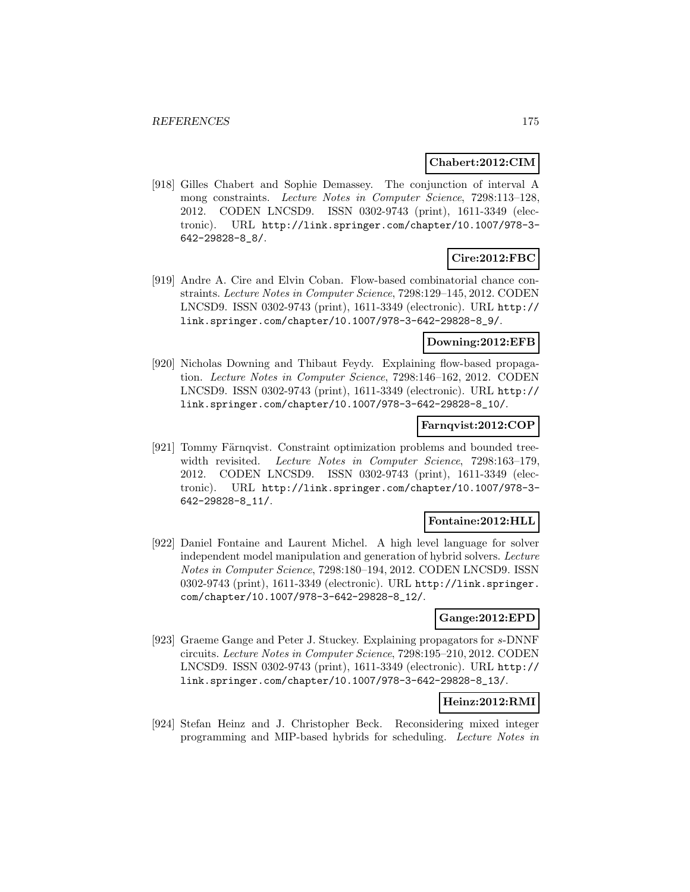## **Chabert:2012:CIM**

[918] Gilles Chabert and Sophie Demassey. The conjunction of interval A mong constraints. Lecture Notes in Computer Science, 7298:113–128, 2012. CODEN LNCSD9. ISSN 0302-9743 (print), 1611-3349 (electronic). URL http://link.springer.com/chapter/10.1007/978-3- 642-29828-8\_8/.

# **Cire:2012:FBC**

[919] Andre A. Cire and Elvin Coban. Flow-based combinatorial chance constraints. Lecture Notes in Computer Science, 7298:129–145, 2012. CODEN LNCSD9. ISSN 0302-9743 (print), 1611-3349 (electronic). URL http:// link.springer.com/chapter/10.1007/978-3-642-29828-8\_9/.

## **Downing:2012:EFB**

[920] Nicholas Downing and Thibaut Feydy. Explaining flow-based propagation. Lecture Notes in Computer Science, 7298:146–162, 2012. CODEN LNCSD9. ISSN 0302-9743 (print), 1611-3349 (electronic). URL http:// link.springer.com/chapter/10.1007/978-3-642-29828-8\_10/.

## **Farnqvist:2012:COP**

[921] Tommy Färnqvist. Constraint optimization problems and bounded treewidth revisited. Lecture Notes in Computer Science, 7298:163-179, 2012. CODEN LNCSD9. ISSN 0302-9743 (print), 1611-3349 (electronic). URL http://link.springer.com/chapter/10.1007/978-3- 642-29828-8\_11/.

## **Fontaine:2012:HLL**

[922] Daniel Fontaine and Laurent Michel. A high level language for solver independent model manipulation and generation of hybrid solvers. Lecture Notes in Computer Science, 7298:180–194, 2012. CODEN LNCSD9. ISSN 0302-9743 (print), 1611-3349 (electronic). URL http://link.springer. com/chapter/10.1007/978-3-642-29828-8\_12/.

## **Gange:2012:EPD**

[923] Graeme Gange and Peter J. Stuckey. Explaining propagators for s-DNNF circuits. Lecture Notes in Computer Science, 7298:195–210, 2012. CODEN LNCSD9. ISSN 0302-9743 (print), 1611-3349 (electronic). URL http:// link.springer.com/chapter/10.1007/978-3-642-29828-8\_13/.

## **Heinz:2012:RMI**

[924] Stefan Heinz and J. Christopher Beck. Reconsidering mixed integer programming and MIP-based hybrids for scheduling. Lecture Notes in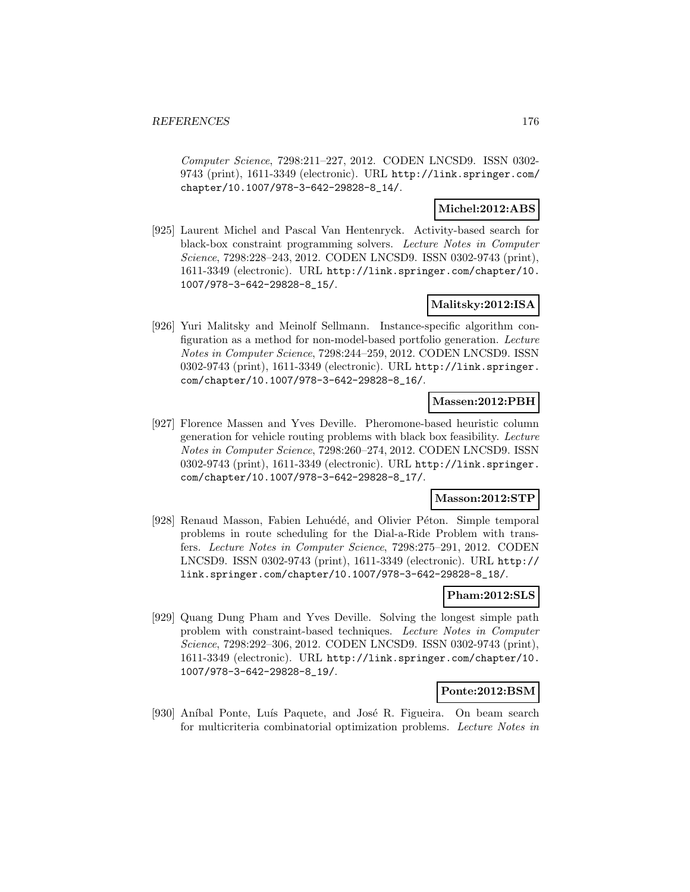Computer Science, 7298:211–227, 2012. CODEN LNCSD9. ISSN 0302- 9743 (print), 1611-3349 (electronic). URL http://link.springer.com/ chapter/10.1007/978-3-642-29828-8\_14/.

## **Michel:2012:ABS**

[925] Laurent Michel and Pascal Van Hentenryck. Activity-based search for black-box constraint programming solvers. Lecture Notes in Computer Science, 7298:228–243, 2012. CODEN LNCSD9. ISSN 0302-9743 (print), 1611-3349 (electronic). URL http://link.springer.com/chapter/10. 1007/978-3-642-29828-8\_15/.

## **Malitsky:2012:ISA**

[926] Yuri Malitsky and Meinolf Sellmann. Instance-specific algorithm configuration as a method for non-model-based portfolio generation. Lecture Notes in Computer Science, 7298:244–259, 2012. CODEN LNCSD9. ISSN 0302-9743 (print), 1611-3349 (electronic). URL http://link.springer. com/chapter/10.1007/978-3-642-29828-8\_16/.

### **Massen:2012:PBH**

[927] Florence Massen and Yves Deville. Pheromone-based heuristic column generation for vehicle routing problems with black box feasibility. Lecture Notes in Computer Science, 7298:260–274, 2012. CODEN LNCSD9. ISSN 0302-9743 (print), 1611-3349 (electronic). URL http://link.springer. com/chapter/10.1007/978-3-642-29828-8\_17/.

### **Masson:2012:STP**

[928] Renaud Masson, Fabien Lehuédé, and Olivier Péton. Simple temporal problems in route scheduling for the Dial-a-Ride Problem with transfers. Lecture Notes in Computer Science, 7298:275–291, 2012. CODEN LNCSD9. ISSN 0302-9743 (print), 1611-3349 (electronic). URL http:// link.springer.com/chapter/10.1007/978-3-642-29828-8\_18/.

### **Pham:2012:SLS**

[929] Quang Dung Pham and Yves Deville. Solving the longest simple path problem with constraint-based techniques. Lecture Notes in Computer Science, 7298:292–306, 2012. CODEN LNCSD9. ISSN 0302-9743 (print), 1611-3349 (electronic). URL http://link.springer.com/chapter/10. 1007/978-3-642-29828-8\_19/.

### **Ponte:2012:BSM**

[930] Aníbal Ponte, Luís Paquete, and José R. Figueira. On beam search for multicriteria combinatorial optimization problems. Lecture Notes in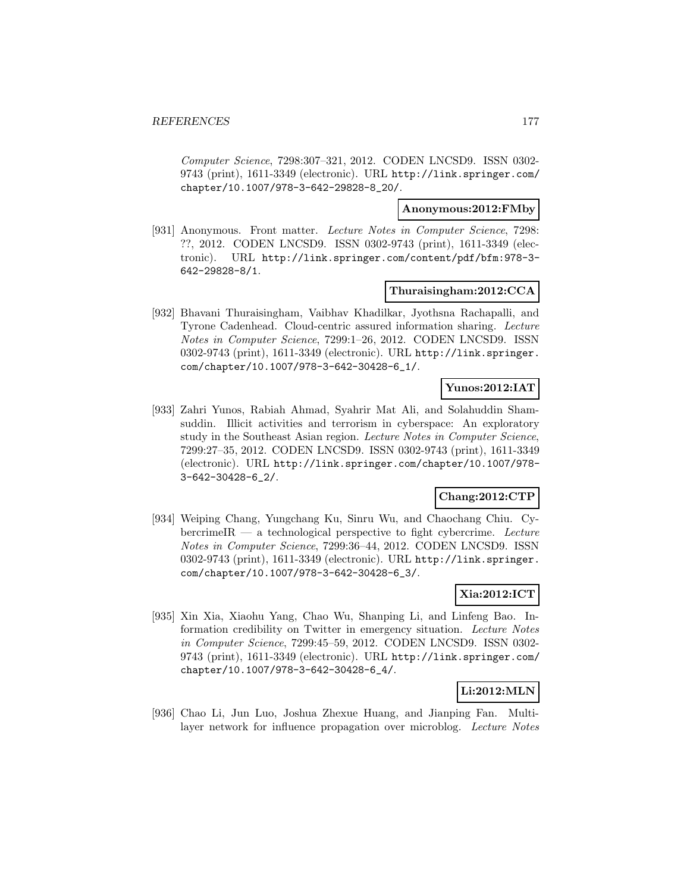Computer Science, 7298:307–321, 2012. CODEN LNCSD9. ISSN 0302- 9743 (print), 1611-3349 (electronic). URL http://link.springer.com/ chapter/10.1007/978-3-642-29828-8\_20/.

### **Anonymous:2012:FMby**

[931] Anonymous. Front matter. Lecture Notes in Computer Science, 7298: ??, 2012. CODEN LNCSD9. ISSN 0302-9743 (print), 1611-3349 (electronic). URL http://link.springer.com/content/pdf/bfm:978-3- 642-29828-8/1.

### **Thuraisingham:2012:CCA**

[932] Bhavani Thuraisingham, Vaibhav Khadilkar, Jyothsna Rachapalli, and Tyrone Cadenhead. Cloud-centric assured information sharing. Lecture Notes in Computer Science, 7299:1–26, 2012. CODEN LNCSD9. ISSN 0302-9743 (print), 1611-3349 (electronic). URL http://link.springer. com/chapter/10.1007/978-3-642-30428-6\_1/.

## **Yunos:2012:IAT**

[933] Zahri Yunos, Rabiah Ahmad, Syahrir Mat Ali, and Solahuddin Shamsuddin. Illicit activities and terrorism in cyberspace: An exploratory study in the Southeast Asian region. Lecture Notes in Computer Science, 7299:27–35, 2012. CODEN LNCSD9. ISSN 0302-9743 (print), 1611-3349 (electronic). URL http://link.springer.com/chapter/10.1007/978- 3-642-30428-6\_2/.

## **Chang:2012:CTP**

[934] Weiping Chang, Yungchang Ku, Sinru Wu, and Chaochang Chiu. Cy $b$ ercrimeIR — a technological perspective to fight cybercrime. Lecture Notes in Computer Science, 7299:36–44, 2012. CODEN LNCSD9. ISSN 0302-9743 (print), 1611-3349 (electronic). URL http://link.springer. com/chapter/10.1007/978-3-642-30428-6\_3/.

# **Xia:2012:ICT**

[935] Xin Xia, Xiaohu Yang, Chao Wu, Shanping Li, and Linfeng Bao. Information credibility on Twitter in emergency situation. Lecture Notes in Computer Science, 7299:45–59, 2012. CODEN LNCSD9. ISSN 0302- 9743 (print), 1611-3349 (electronic). URL http://link.springer.com/ chapter/10.1007/978-3-642-30428-6\_4/.

# **Li:2012:MLN**

[936] Chao Li, Jun Luo, Joshua Zhexue Huang, and Jianping Fan. Multilayer network for influence propagation over microblog. Lecture Notes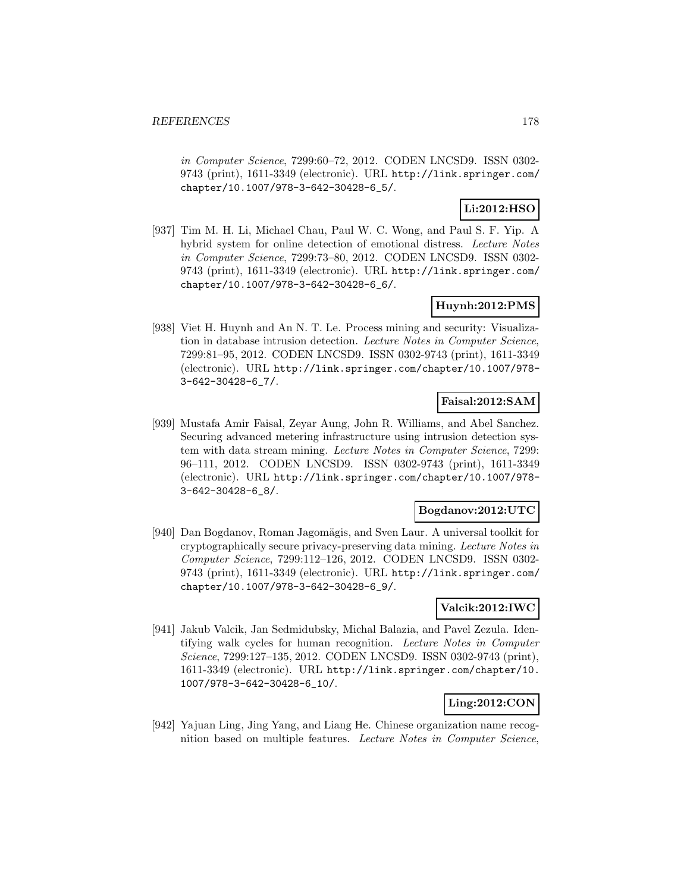in Computer Science, 7299:60–72, 2012. CODEN LNCSD9. ISSN 0302- 9743 (print), 1611-3349 (electronic). URL http://link.springer.com/ chapter/10.1007/978-3-642-30428-6\_5/.

# **Li:2012:HSO**

[937] Tim M. H. Li, Michael Chau, Paul W. C. Wong, and Paul S. F. Yip. A hybrid system for online detection of emotional distress. Lecture Notes in Computer Science, 7299:73–80, 2012. CODEN LNCSD9. ISSN 0302- 9743 (print), 1611-3349 (electronic). URL http://link.springer.com/ chapter/10.1007/978-3-642-30428-6\_6/.

## **Huynh:2012:PMS**

[938] Viet H. Huynh and An N. T. Le. Process mining and security: Visualization in database intrusion detection. Lecture Notes in Computer Science, 7299:81–95, 2012. CODEN LNCSD9. ISSN 0302-9743 (print), 1611-3349 (electronic). URL http://link.springer.com/chapter/10.1007/978- 3-642-30428-6\_7/.

# **Faisal:2012:SAM**

[939] Mustafa Amir Faisal, Zeyar Aung, John R. Williams, and Abel Sanchez. Securing advanced metering infrastructure using intrusion detection system with data stream mining. Lecture Notes in Computer Science, 7299: 96–111, 2012. CODEN LNCSD9. ISSN 0302-9743 (print), 1611-3349 (electronic). URL http://link.springer.com/chapter/10.1007/978- 3-642-30428-6\_8/.

### **Bogdanov:2012:UTC**

[940] Dan Bogdanov, Roman Jagomägis, and Sven Laur. A universal toolkit for cryptographically secure privacy-preserving data mining. Lecture Notes in Computer Science, 7299:112–126, 2012. CODEN LNCSD9. ISSN 0302- 9743 (print), 1611-3349 (electronic). URL http://link.springer.com/ chapter/10.1007/978-3-642-30428-6\_9/.

## **Valcik:2012:IWC**

[941] Jakub Valcik, Jan Sedmidubsky, Michal Balazia, and Pavel Zezula. Identifying walk cycles for human recognition. Lecture Notes in Computer Science, 7299:127–135, 2012. CODEN LNCSD9. ISSN 0302-9743 (print), 1611-3349 (electronic). URL http://link.springer.com/chapter/10. 1007/978-3-642-30428-6\_10/.

## **Ling:2012:CON**

[942] Yajuan Ling, Jing Yang, and Liang He. Chinese organization name recognition based on multiple features. Lecture Notes in Computer Science,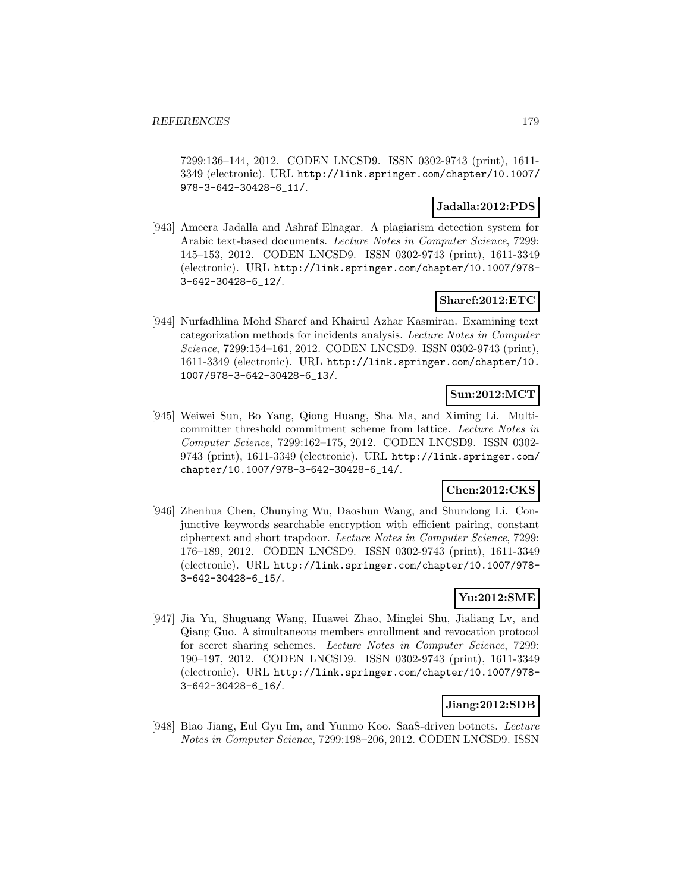7299:136–144, 2012. CODEN LNCSD9. ISSN 0302-9743 (print), 1611- 3349 (electronic). URL http://link.springer.com/chapter/10.1007/ 978-3-642-30428-6\_11/.

### **Jadalla:2012:PDS**

[943] Ameera Jadalla and Ashraf Elnagar. A plagiarism detection system for Arabic text-based documents. Lecture Notes in Computer Science, 7299: 145–153, 2012. CODEN LNCSD9. ISSN 0302-9743 (print), 1611-3349 (electronic). URL http://link.springer.com/chapter/10.1007/978- 3-642-30428-6\_12/.

# **Sharef:2012:ETC**

[944] Nurfadhlina Mohd Sharef and Khairul Azhar Kasmiran. Examining text categorization methods for incidents analysis. Lecture Notes in Computer Science, 7299:154–161, 2012. CODEN LNCSD9. ISSN 0302-9743 (print), 1611-3349 (electronic). URL http://link.springer.com/chapter/10. 1007/978-3-642-30428-6\_13/.

# **Sun:2012:MCT**

[945] Weiwei Sun, Bo Yang, Qiong Huang, Sha Ma, and Ximing Li. Multicommitter threshold commitment scheme from lattice. Lecture Notes in Computer Science, 7299:162–175, 2012. CODEN LNCSD9. ISSN 0302- 9743 (print), 1611-3349 (electronic). URL http://link.springer.com/ chapter/10.1007/978-3-642-30428-6\_14/.

# **Chen:2012:CKS**

[946] Zhenhua Chen, Chunying Wu, Daoshun Wang, and Shundong Li. Conjunctive keywords searchable encryption with efficient pairing, constant ciphertext and short trapdoor. Lecture Notes in Computer Science, 7299: 176–189, 2012. CODEN LNCSD9. ISSN 0302-9743 (print), 1611-3349 (electronic). URL http://link.springer.com/chapter/10.1007/978- 3-642-30428-6\_15/.

## **Yu:2012:SME**

[947] Jia Yu, Shuguang Wang, Huawei Zhao, Minglei Shu, Jialiang Lv, and Qiang Guo. A simultaneous members enrollment and revocation protocol for secret sharing schemes. Lecture Notes in Computer Science, 7299: 190–197, 2012. CODEN LNCSD9. ISSN 0302-9743 (print), 1611-3349 (electronic). URL http://link.springer.com/chapter/10.1007/978- 3-642-30428-6\_16/.

# **Jiang:2012:SDB**

[948] Biao Jiang, Eul Gyu Im, and Yunmo Koo. SaaS-driven botnets. Lecture Notes in Computer Science, 7299:198–206, 2012. CODEN LNCSD9. ISSN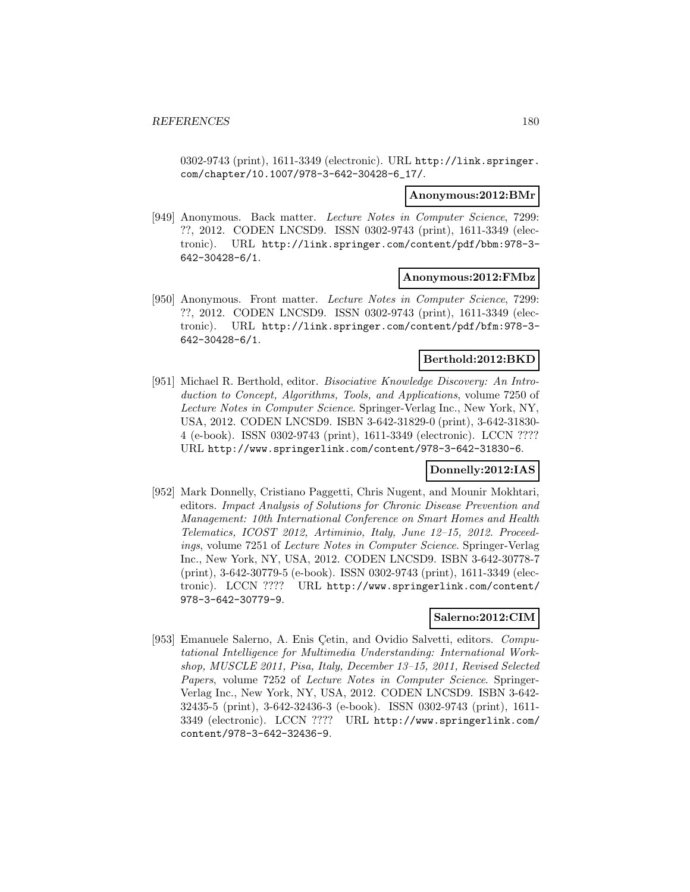0302-9743 (print), 1611-3349 (electronic). URL http://link.springer. com/chapter/10.1007/978-3-642-30428-6\_17/.

#### **Anonymous:2012:BMr**

[949] Anonymous. Back matter. Lecture Notes in Computer Science, 7299: ??, 2012. CODEN LNCSD9. ISSN 0302-9743 (print), 1611-3349 (electronic). URL http://link.springer.com/content/pdf/bbm:978-3- 642-30428-6/1.

### **Anonymous:2012:FMbz**

[950] Anonymous. Front matter. Lecture Notes in Computer Science, 7299: ??, 2012. CODEN LNCSD9. ISSN 0302-9743 (print), 1611-3349 (electronic). URL http://link.springer.com/content/pdf/bfm:978-3- 642-30428-6/1.

### **Berthold:2012:BKD**

[951] Michael R. Berthold, editor. Bisociative Knowledge Discovery: An Introduction to Concept, Algorithms, Tools, and Applications, volume 7250 of Lecture Notes in Computer Science. Springer-Verlag Inc., New York, NY, USA, 2012. CODEN LNCSD9. ISBN 3-642-31829-0 (print), 3-642-31830- 4 (e-book). ISSN 0302-9743 (print), 1611-3349 (electronic). LCCN ???? URL http://www.springerlink.com/content/978-3-642-31830-6.

### **Donnelly:2012:IAS**

[952] Mark Donnelly, Cristiano Paggetti, Chris Nugent, and Mounir Mokhtari, editors. Impact Analysis of Solutions for Chronic Disease Prevention and Management: 10th International Conference on Smart Homes and Health Telematics, ICOST 2012, Artiminio, Italy, June 12–15, 2012. Proceedings, volume 7251 of Lecture Notes in Computer Science. Springer-Verlag Inc., New York, NY, USA, 2012. CODEN LNCSD9. ISBN 3-642-30778-7 (print), 3-642-30779-5 (e-book). ISSN 0302-9743 (print), 1611-3349 (electronic). LCCN ???? URL http://www.springerlink.com/content/ 978-3-642-30779-9.

### **Salerno:2012:CIM**

[953] Emanuele Salerno, A. Enis Cetin, and Ovidio Salvetti, editors. Computational Intelligence for Multimedia Understanding: International Workshop, MUSCLE 2011, Pisa, Italy, December 13–15, 2011, Revised Selected Papers, volume 7252 of Lecture Notes in Computer Science. Springer-Verlag Inc., New York, NY, USA, 2012. CODEN LNCSD9. ISBN 3-642- 32435-5 (print), 3-642-32436-3 (e-book). ISSN 0302-9743 (print), 1611- 3349 (electronic). LCCN ???? URL http://www.springerlink.com/ content/978-3-642-32436-9.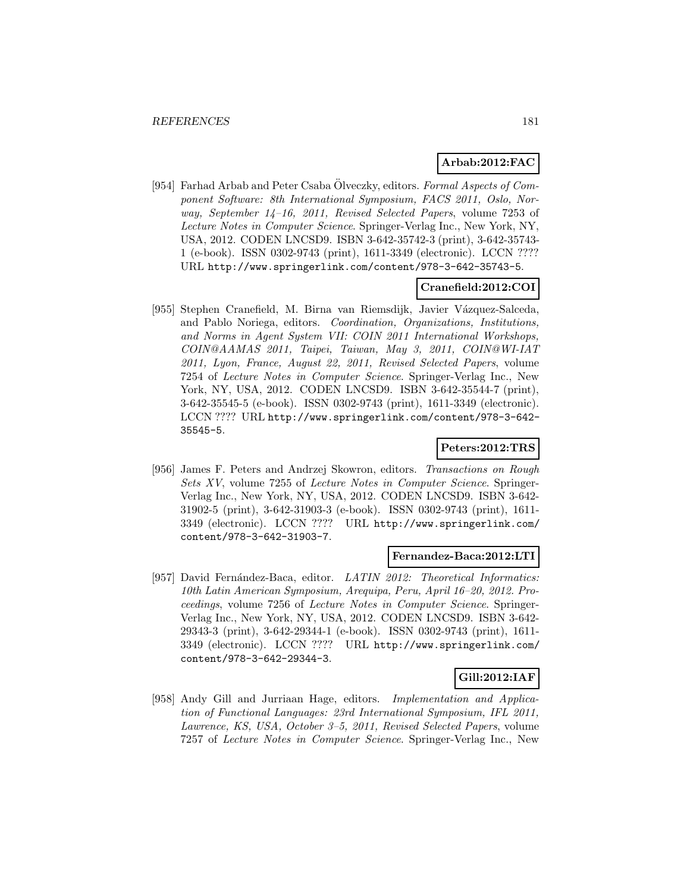# **Arbab:2012:FAC**

[954] Farhad Arbab and Peter Csaba  $\ddot{\text{O}}$ lveczky, editors. Formal Aspects of Component Software: 8th International Symposium, FACS 2011, Oslo, Norway, September 14–16, 2011, Revised Selected Papers, volume 7253 of Lecture Notes in Computer Science. Springer-Verlag Inc., New York, NY, USA, 2012. CODEN LNCSD9. ISBN 3-642-35742-3 (print), 3-642-35743- 1 (e-book). ISSN 0302-9743 (print), 1611-3349 (electronic). LCCN ???? URL http://www.springerlink.com/content/978-3-642-35743-5.

## **Cranefield:2012:COI**

[955] Stephen Cranefield, M. Birna van Riemsdijk, Javier Vázquez-Salceda, and Pablo Noriega, editors. Coordination, Organizations, Institutions, and Norms in Agent System VII: COIN 2011 International Workshops, COIN@AAMAS 2011, Taipei, Taiwan, May 3, 2011, COIN@WI-IAT 2011, Lyon, France, August 22, 2011, Revised Selected Papers, volume 7254 of Lecture Notes in Computer Science. Springer-Verlag Inc., New York, NY, USA, 2012. CODEN LNCSD9. ISBN 3-642-35544-7 (print), 3-642-35545-5 (e-book). ISSN 0302-9743 (print), 1611-3349 (electronic). LCCN ???? URL http://www.springerlink.com/content/978-3-642- 35545-5.

# **Peters:2012:TRS**

[956] James F. Peters and Andrzej Skowron, editors. Transactions on Rough Sets XV, volume 7255 of Lecture Notes in Computer Science. Springer-Verlag Inc., New York, NY, USA, 2012. CODEN LNCSD9. ISBN 3-642- 31902-5 (print), 3-642-31903-3 (e-book). ISSN 0302-9743 (print), 1611- 3349 (electronic). LCCN ???? URL http://www.springerlink.com/ content/978-3-642-31903-7.

## **Fernandez-Baca:2012:LTI**

[957] David Fernández-Baca, editor. LATIN 2012: Theoretical Informatics: 10th Latin American Symposium, Arequipa, Peru, April 16–20, 2012. Proceedings, volume 7256 of Lecture Notes in Computer Science. Springer-Verlag Inc., New York, NY, USA, 2012. CODEN LNCSD9. ISBN 3-642- 29343-3 (print), 3-642-29344-1 (e-book). ISSN 0302-9743 (print), 1611- 3349 (electronic). LCCN ???? URL http://www.springerlink.com/ content/978-3-642-29344-3.

# **Gill:2012:IAF**

[958] Andy Gill and Jurriaan Hage, editors. Implementation and Application of Functional Languages: 23rd International Symposium, IFL 2011, Lawrence, KS, USA, October 3–5, 2011, Revised Selected Papers, volume 7257 of Lecture Notes in Computer Science. Springer-Verlag Inc., New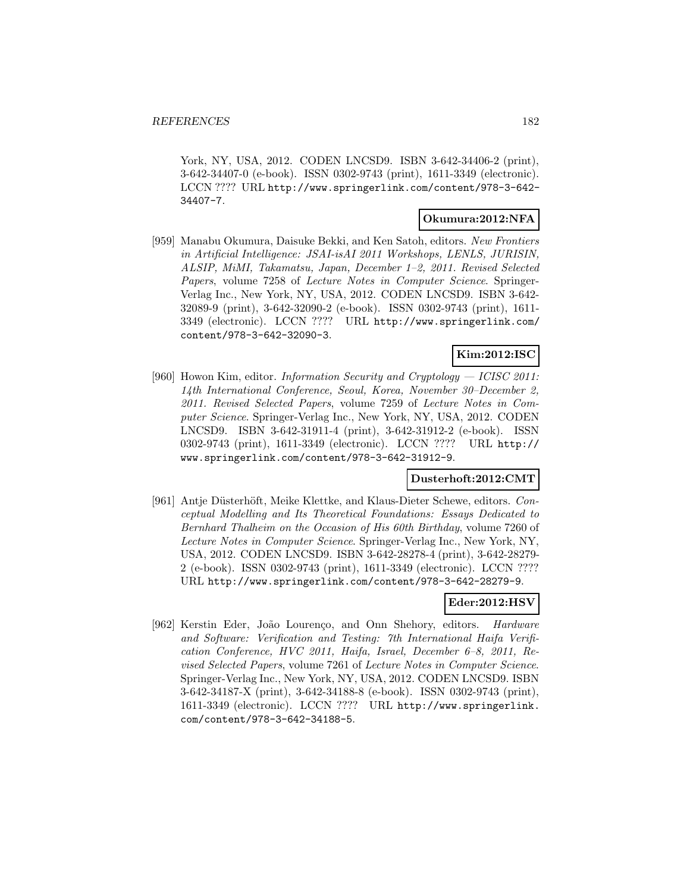York, NY, USA, 2012. CODEN LNCSD9. ISBN 3-642-34406-2 (print), 3-642-34407-0 (e-book). ISSN 0302-9743 (print), 1611-3349 (electronic). LCCN ???? URL http://www.springerlink.com/content/978-3-642- 34407-7.

#### **Okumura:2012:NFA**

[959] Manabu Okumura, Daisuke Bekki, and Ken Satoh, editors. New Frontiers in Artificial Intelligence: JSAI-isAI 2011 Workshops, LENLS, JURISIN, ALSIP, MiMI, Takamatsu, Japan, December 1–2, 2011. Revised Selected Papers, volume 7258 of Lecture Notes in Computer Science. Springer-Verlag Inc., New York, NY, USA, 2012. CODEN LNCSD9. ISBN 3-642- 32089-9 (print), 3-642-32090-2 (e-book). ISSN 0302-9743 (print), 1611- 3349 (electronic). LCCN ???? URL http://www.springerlink.com/ content/978-3-642-32090-3.

# **Kim:2012:ISC**

[960] Howon Kim, editor. Information Security and Cryptology — ICISC 2011: 14th International Conference, Seoul, Korea, November 30–December 2, 2011. Revised Selected Papers, volume 7259 of Lecture Notes in Computer Science. Springer-Verlag Inc., New York, NY, USA, 2012. CODEN LNCSD9. ISBN 3-642-31911-4 (print), 3-642-31912-2 (e-book). ISSN 0302-9743 (print), 1611-3349 (electronic). LCCN ???? URL http:// www.springerlink.com/content/978-3-642-31912-9.

#### **Dusterhoft:2012:CMT**

[961] Antje Düsterhöft, Meike Klettke, and Klaus-Dieter Schewe, editors. Conceptual Modelling and Its Theoretical Foundations: Essays Dedicated to Bernhard Thalheim on the Occasion of His 60th Birthday, volume 7260 of Lecture Notes in Computer Science. Springer-Verlag Inc., New York, NY, USA, 2012. CODEN LNCSD9. ISBN 3-642-28278-4 (print), 3-642-28279- 2 (e-book). ISSN 0302-9743 (print), 1611-3349 (electronic). LCCN ???? URL http://www.springerlink.com/content/978-3-642-28279-9.

#### **Eder:2012:HSV**

[962] Kerstin Eder, João Lourenço, and Onn Shehory, editors. Hardware and Software: Verification and Testing: 7th International Haifa Verification Conference, HVC 2011, Haifa, Israel, December 6–8, 2011, Revised Selected Papers, volume 7261 of Lecture Notes in Computer Science. Springer-Verlag Inc., New York, NY, USA, 2012. CODEN LNCSD9. ISBN 3-642-34187-X (print), 3-642-34188-8 (e-book). ISSN 0302-9743 (print), 1611-3349 (electronic). LCCN ???? URL http://www.springerlink. com/content/978-3-642-34188-5.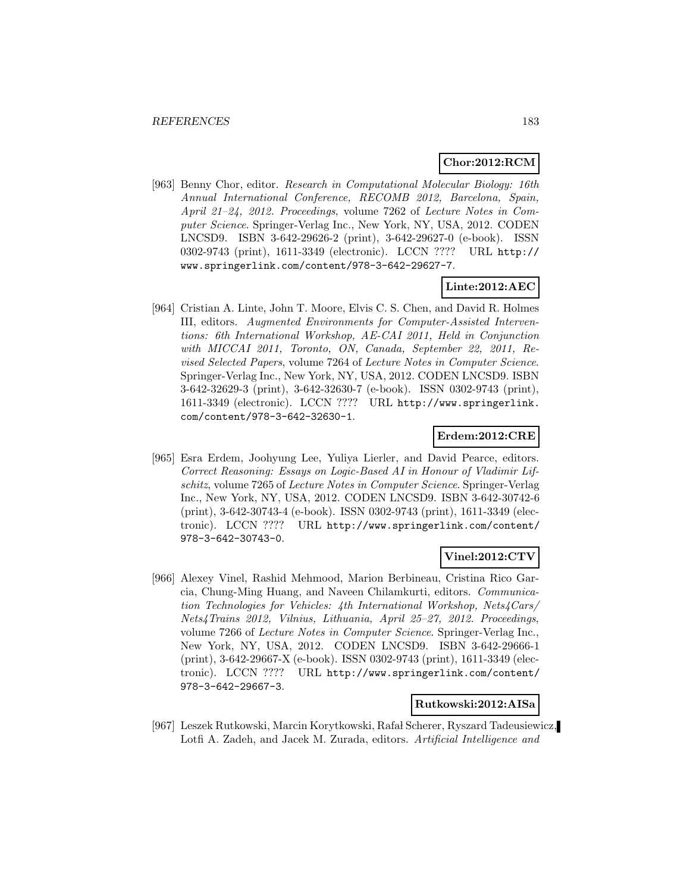# **Chor:2012:RCM**

[963] Benny Chor, editor. Research in Computational Molecular Biology: 16th Annual International Conference, RECOMB 2012, Barcelona, Spain, April 21–24, 2012. Proceedings, volume 7262 of Lecture Notes in Computer Science. Springer-Verlag Inc., New York, NY, USA, 2012. CODEN LNCSD9. ISBN 3-642-29626-2 (print), 3-642-29627-0 (e-book). ISSN 0302-9743 (print), 1611-3349 (electronic). LCCN ???? URL http:// www.springerlink.com/content/978-3-642-29627-7.

## **Linte:2012:AEC**

[964] Cristian A. Linte, John T. Moore, Elvis C. S. Chen, and David R. Holmes III, editors. Augmented Environments for Computer-Assisted Interventions: 6th International Workshop, AE-CAI 2011, Held in Conjunction with MICCAI 2011, Toronto, ON, Canada, September 22, 2011, Revised Selected Papers, volume 7264 of Lecture Notes in Computer Science. Springer-Verlag Inc., New York, NY, USA, 2012. CODEN LNCSD9. ISBN 3-642-32629-3 (print), 3-642-32630-7 (e-book). ISSN 0302-9743 (print), 1611-3349 (electronic). LCCN ???? URL http://www.springerlink. com/content/978-3-642-32630-1.

# **Erdem:2012:CRE**

[965] Esra Erdem, Joohyung Lee, Yuliya Lierler, and David Pearce, editors. Correct Reasoning: Essays on Logic-Based AI in Honour of Vladimir Lifschitz, volume 7265 of Lecture Notes in Computer Science. Springer-Verlag Inc., New York, NY, USA, 2012. CODEN LNCSD9. ISBN 3-642-30742-6 (print), 3-642-30743-4 (e-book). ISSN 0302-9743 (print), 1611-3349 (electronic). LCCN ???? URL http://www.springerlink.com/content/ 978-3-642-30743-0.

# **Vinel:2012:CTV**

[966] Alexey Vinel, Rashid Mehmood, Marion Berbineau, Cristina Rico Garcia, Chung-Ming Huang, and Naveen Chilamkurti, editors. Communication Technologies for Vehicles: 4th International Workshop, Nets4Cars/ Nets4Trains 2012, Vilnius, Lithuania, April 25–27, 2012. Proceedings, volume 7266 of Lecture Notes in Computer Science. Springer-Verlag Inc., New York, NY, USA, 2012. CODEN LNCSD9. ISBN 3-642-29666-1 (print), 3-642-29667-X (e-book). ISSN 0302-9743 (print), 1611-3349 (electronic). LCCN ???? URL http://www.springerlink.com/content/ 978-3-642-29667-3.

#### **Rutkowski:2012:AISa**

[967] Leszek Rutkowski, Marcin Korytkowski, Rafa l Scherer, Ryszard Tadeusiewicz, Lotfi A. Zadeh, and Jacek M. Zurada, editors. Artificial Intelligence and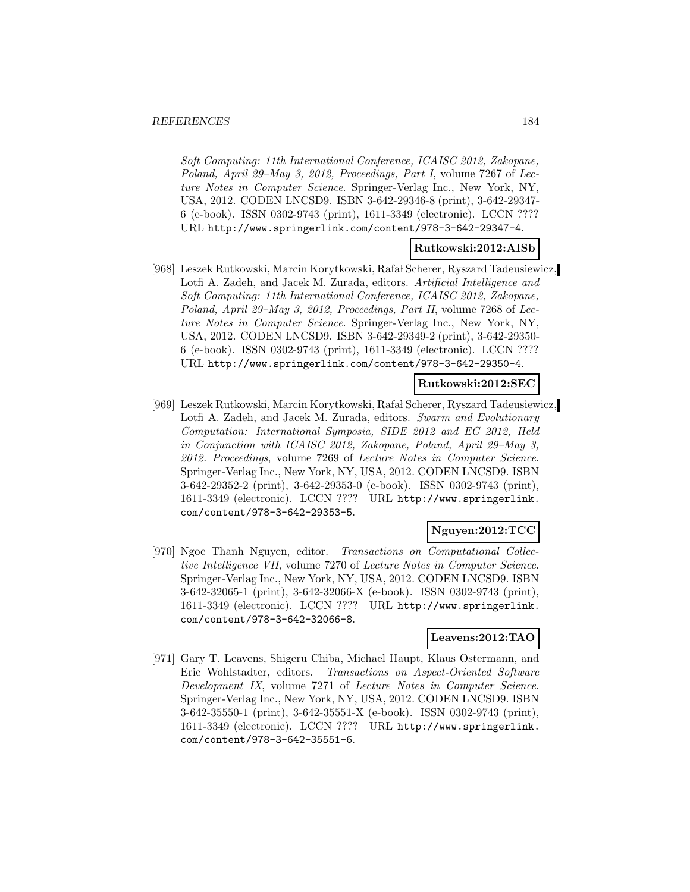Soft Computing: 11th International Conference, ICAISC 2012, Zakopane, Poland, April 29–May 3, 2012, Proceedings, Part I, volume 7267 of Lecture Notes in Computer Science. Springer-Verlag Inc., New York, NY, USA, 2012. CODEN LNCSD9. ISBN 3-642-29346-8 (print), 3-642-29347- 6 (e-book). ISSN 0302-9743 (print), 1611-3349 (electronic). LCCN ???? URL http://www.springerlink.com/content/978-3-642-29347-4.

### **Rutkowski:2012:AISb**

[968] Leszek Rutkowski, Marcin Korytkowski, Rafał Scherer, Ryszard Tadeusiewicz, Lotfi A. Zadeh, and Jacek M. Zurada, editors. Artificial Intelligence and Soft Computing: 11th International Conference, ICAISC 2012, Zakopane, Poland, April 29–May 3, 2012, Proceedings, Part II, volume 7268 of Lecture Notes in Computer Science. Springer-Verlag Inc., New York, NY, USA, 2012. CODEN LNCSD9. ISBN 3-642-29349-2 (print), 3-642-29350- 6 (e-book). ISSN 0302-9743 (print), 1611-3349 (electronic). LCCN ???? URL http://www.springerlink.com/content/978-3-642-29350-4.

#### **Rutkowski:2012:SEC**

[969] Leszek Rutkowski, Marcin Korytkowski, Rafa l Scherer, Ryszard Tadeusiewicz, Lotfi A. Zadeh, and Jacek M. Zurada, editors. Swarm and Evolutionary Computation: International Symposia, SIDE 2012 and EC 2012, Held in Conjunction with ICAISC 2012, Zakopane, Poland, April 29–May 3, 2012. Proceedings, volume 7269 of Lecture Notes in Computer Science. Springer-Verlag Inc., New York, NY, USA, 2012. CODEN LNCSD9. ISBN 3-642-29352-2 (print), 3-642-29353-0 (e-book). ISSN 0302-9743 (print), 1611-3349 (electronic). LCCN ???? URL http://www.springerlink. com/content/978-3-642-29353-5.

# **Nguyen:2012:TCC**

[970] Ngoc Thanh Nguyen, editor. Transactions on Computational Collective Intelligence VII, volume 7270 of Lecture Notes in Computer Science. Springer-Verlag Inc., New York, NY, USA, 2012. CODEN LNCSD9. ISBN 3-642-32065-1 (print), 3-642-32066-X (e-book). ISSN 0302-9743 (print), 1611-3349 (electronic). LCCN ???? URL http://www.springerlink. com/content/978-3-642-32066-8.

# **Leavens:2012:TAO**

[971] Gary T. Leavens, Shigeru Chiba, Michael Haupt, Klaus Ostermann, and Eric Wohlstadter, editors. Transactions on Aspect-Oriented Software Development IX, volume 7271 of Lecture Notes in Computer Science. Springer-Verlag Inc., New York, NY, USA, 2012. CODEN LNCSD9. ISBN 3-642-35550-1 (print), 3-642-35551-X (e-book). ISSN 0302-9743 (print), 1611-3349 (electronic). LCCN ???? URL http://www.springerlink. com/content/978-3-642-35551-6.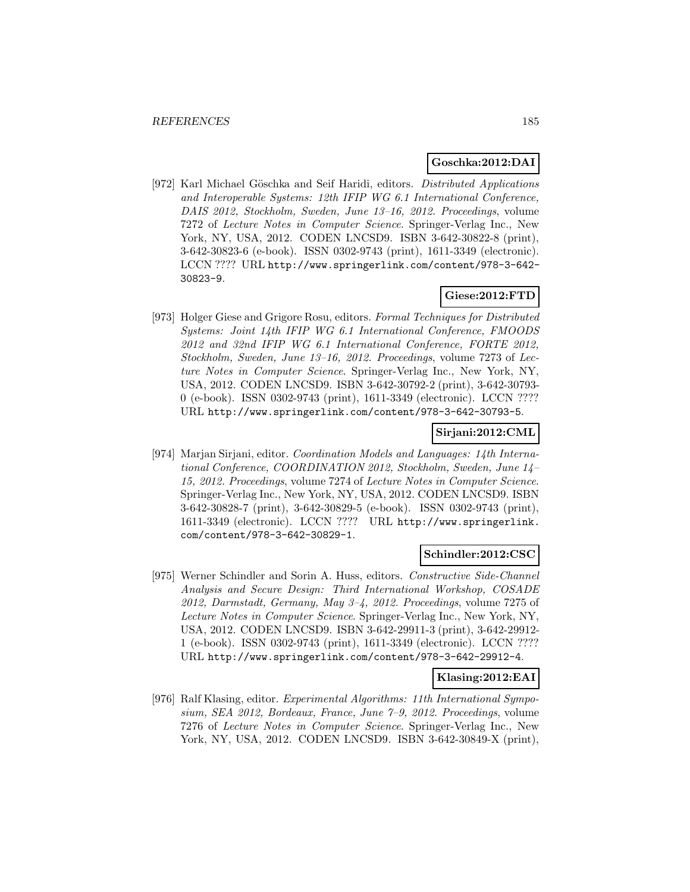## **Goschka:2012:DAI**

[972] Karl Michael Göschka and Seif Haridi, editors. *Distributed Applications* and Interoperable Systems: 12th IFIP WG 6.1 International Conference, DAIS 2012, Stockholm, Sweden, June 13–16, 2012. Proceedings, volume 7272 of Lecture Notes in Computer Science. Springer-Verlag Inc., New York, NY, USA, 2012. CODEN LNCSD9. ISBN 3-642-30822-8 (print), 3-642-30823-6 (e-book). ISSN 0302-9743 (print), 1611-3349 (electronic). LCCN ???? URL http://www.springerlink.com/content/978-3-642- 30823-9.

# **Giese:2012:FTD**

[973] Holger Giese and Grigore Rosu, editors. Formal Techniques for Distributed Systems: Joint 14th IFIP WG 6.1 International Conference, FMOODS 2012 and 32nd IFIP WG 6.1 International Conference, FORTE 2012, Stockholm, Sweden, June 13–16, 2012. Proceedings, volume 7273 of Lecture Notes in Computer Science. Springer-Verlag Inc., New York, NY, USA, 2012. CODEN LNCSD9. ISBN 3-642-30792-2 (print), 3-642-30793- 0 (e-book). ISSN 0302-9743 (print), 1611-3349 (electronic). LCCN ???? URL http://www.springerlink.com/content/978-3-642-30793-5.

#### **Sirjani:2012:CML**

[974] Marjan Sirjani, editor. Coordination Models and Languages: 14th International Conference, COORDINATION 2012, Stockholm, Sweden, June 14– 15, 2012. Proceedings, volume 7274 of Lecture Notes in Computer Science. Springer-Verlag Inc., New York, NY, USA, 2012. CODEN LNCSD9. ISBN 3-642-30828-7 (print), 3-642-30829-5 (e-book). ISSN 0302-9743 (print), 1611-3349 (electronic). LCCN ???? URL http://www.springerlink. com/content/978-3-642-30829-1.

#### **Schindler:2012:CSC**

[975] Werner Schindler and Sorin A. Huss, editors. Constructive Side-Channel Analysis and Secure Design: Third International Workshop, COSADE 2012, Darmstadt, Germany, May  $3-4$ , 2012. Proceedings, volume 7275 of Lecture Notes in Computer Science. Springer-Verlag Inc., New York, NY, USA, 2012. CODEN LNCSD9. ISBN 3-642-29911-3 (print), 3-642-29912- 1 (e-book). ISSN 0302-9743 (print), 1611-3349 (electronic). LCCN ???? URL http://www.springerlink.com/content/978-3-642-29912-4.

#### **Klasing:2012:EAI**

[976] Ralf Klasing, editor. Experimental Algorithms: 11th International Symposium, SEA 2012, Bordeaux, France, June 7–9, 2012. Proceedings, volume 7276 of Lecture Notes in Computer Science. Springer-Verlag Inc., New York, NY, USA, 2012. CODEN LNCSD9. ISBN 3-642-30849-X (print),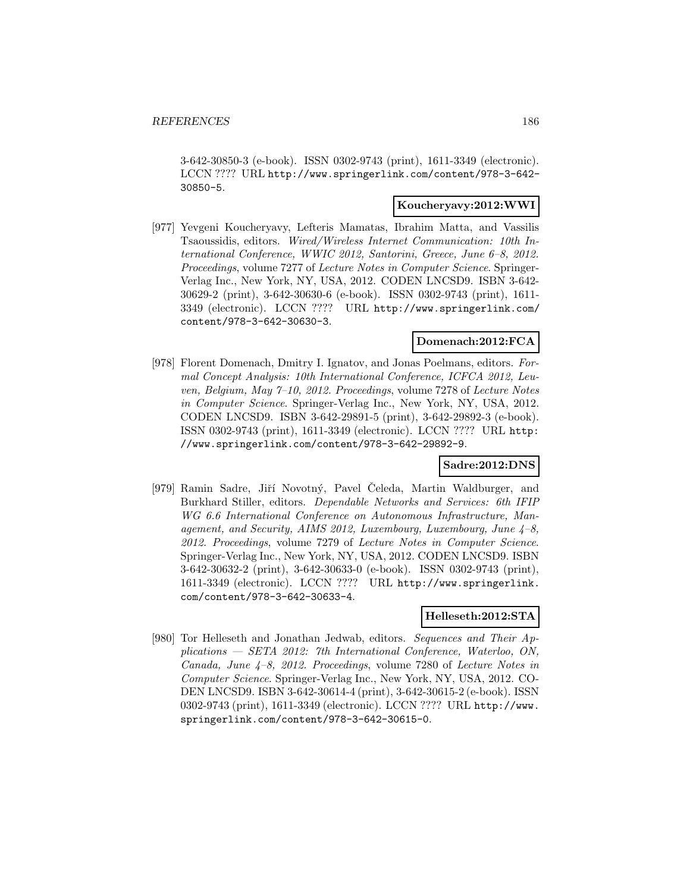3-642-30850-3 (e-book). ISSN 0302-9743 (print), 1611-3349 (electronic). LCCN ???? URL http://www.springerlink.com/content/978-3-642- 30850-5.

# **Koucheryavy:2012:WWI**

[977] Yevgeni Koucheryavy, Lefteris Mamatas, Ibrahim Matta, and Vassilis Tsaoussidis, editors. Wired/Wireless Internet Communication: 10th International Conference, WWIC 2012, Santorini, Greece, June 6–8, 2012. Proceedings, volume 7277 of Lecture Notes in Computer Science. Springer-Verlag Inc., New York, NY, USA, 2012. CODEN LNCSD9. ISBN 3-642- 30629-2 (print), 3-642-30630-6 (e-book). ISSN 0302-9743 (print), 1611- 3349 (electronic). LCCN ???? URL http://www.springerlink.com/ content/978-3-642-30630-3.

# **Domenach:2012:FCA**

[978] Florent Domenach, Dmitry I. Ignatov, and Jonas Poelmans, editors. Formal Concept Analysis: 10th International Conference, ICFCA 2012, Leuven, Belgium, May 7–10, 2012. Proceedings, volume 7278 of Lecture Notes in Computer Science. Springer-Verlag Inc., New York, NY, USA, 2012. CODEN LNCSD9. ISBN 3-642-29891-5 (print), 3-642-29892-3 (e-book). ISSN 0302-9743 (print), 1611-3349 (electronic). LCCN ???? URL http: //www.springerlink.com/content/978-3-642-29892-9.

# **Sadre:2012:DNS**

[979] Ramin Sadre, Jiří Novotný, Pavel Čeleda, Martin Waldburger, and Burkhard Stiller, editors. Dependable Networks and Services: 6th IFIP WG 6.6 International Conference on Autonomous Infrastructure, Management, and Security, AIMS 2012, Luxembourg, Luxembourg, June  $4-8$ , 2012. Proceedings, volume 7279 of Lecture Notes in Computer Science. Springer-Verlag Inc., New York, NY, USA, 2012. CODEN LNCSD9. ISBN 3-642-30632-2 (print), 3-642-30633-0 (e-book). ISSN 0302-9743 (print), 1611-3349 (electronic). LCCN ???? URL http://www.springerlink. com/content/978-3-642-30633-4.

# **Helleseth:2012:STA**

[980] Tor Helleseth and Jonathan Jedwab, editors. Sequences and Their Applications — SETA 2012: 7th International Conference, Waterloo, ON, Canada, June 4–8, 2012. Proceedings, volume 7280 of Lecture Notes in Computer Science. Springer-Verlag Inc., New York, NY, USA, 2012. CO-DEN LNCSD9. ISBN 3-642-30614-4 (print), 3-642-30615-2 (e-book). ISSN 0302-9743 (print), 1611-3349 (electronic). LCCN ???? URL http://www. springerlink.com/content/978-3-642-30615-0.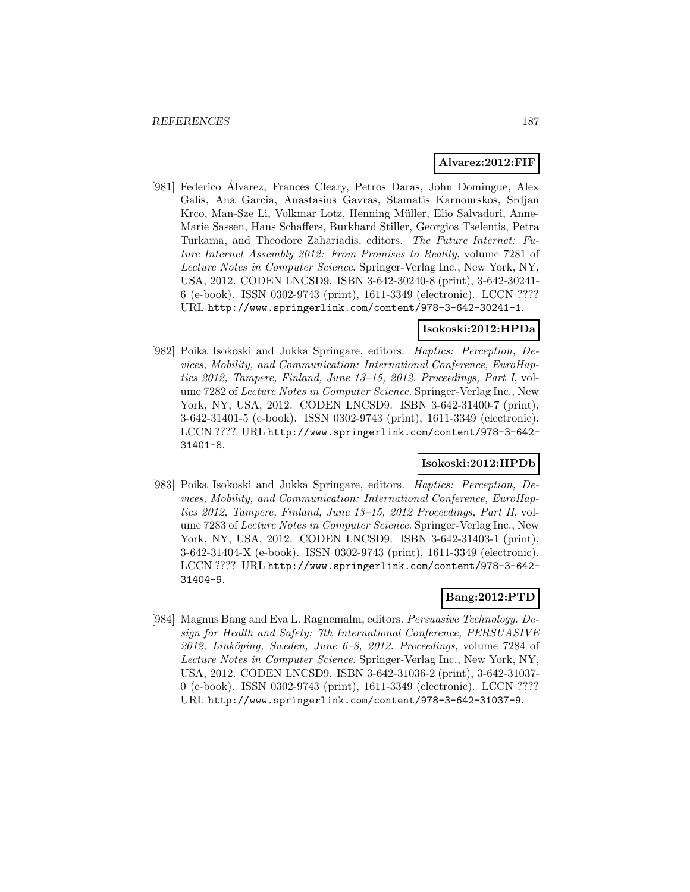#### **Alvarez:2012:FIF**

[981] Federico Alvarez, Frances Cleary, Petros Daras, John Domingue, Alex ´ Galis, Ana Garcia, Anastasius Gavras, Stamatis Karnourskos, Srdjan Krco, Man-Sze Li, Volkmar Lotz, Henning Müller, Elio Salvadori, Anne-Marie Sassen, Hans Schaffers, Burkhard Stiller, Georgios Tselentis, Petra Turkama, and Theodore Zahariadis, editors. The Future Internet: Future Internet Assembly 2012: From Promises to Reality, volume 7281 of Lecture Notes in Computer Science. Springer-Verlag Inc., New York, NY, USA, 2012. CODEN LNCSD9. ISBN 3-642-30240-8 (print), 3-642-30241- 6 (e-book). ISSN 0302-9743 (print), 1611-3349 (electronic). LCCN ???? URL http://www.springerlink.com/content/978-3-642-30241-1.

#### **Isokoski:2012:HPDa**

[982] Poika Isokoski and Jukka Springare, editors. Haptics: Perception, Devices, Mobility, and Communication: International Conference, EuroHaptics 2012, Tampere, Finland, June 13–15, 2012. Proceedings, Part I, volume 7282 of Lecture Notes in Computer Science. Springer-Verlag Inc., New York, NY, USA, 2012. CODEN LNCSD9. ISBN 3-642-31400-7 (print), 3-642-31401-5 (e-book). ISSN 0302-9743 (print), 1611-3349 (electronic). LCCN ???? URL http://www.springerlink.com/content/978-3-642- 31401-8.

#### **Isokoski:2012:HPDb**

[983] Poika Isokoski and Jukka Springare, editors. Haptics: Perception, Devices, Mobility, and Communication: International Conference, EuroHaptics 2012, Tampere, Finland, June 13–15, 2012 Proceedings, Part II, volume 7283 of Lecture Notes in Computer Science. Springer-Verlag Inc., New York, NY, USA, 2012. CODEN LNCSD9. ISBN 3-642-31403-1 (print), 3-642-31404-X (e-book). ISSN 0302-9743 (print), 1611-3349 (electronic). LCCN ???? URL http://www.springerlink.com/content/978-3-642- 31404-9.

# **Bang:2012:PTD**

[984] Magnus Bang and Eva L. Ragnemalm, editors. Persuasive Technology. Design for Health and Safety: 7th International Conference, PERSUASIVE  $2012$ , Linköping, Sweden, June 6–8, 2012. Proceedings, volume 7284 of Lecture Notes in Computer Science. Springer-Verlag Inc., New York, NY, USA, 2012. CODEN LNCSD9. ISBN 3-642-31036-2 (print), 3-642-31037- 0 (e-book). ISSN 0302-9743 (print), 1611-3349 (electronic). LCCN ???? URL http://www.springerlink.com/content/978-3-642-31037-9.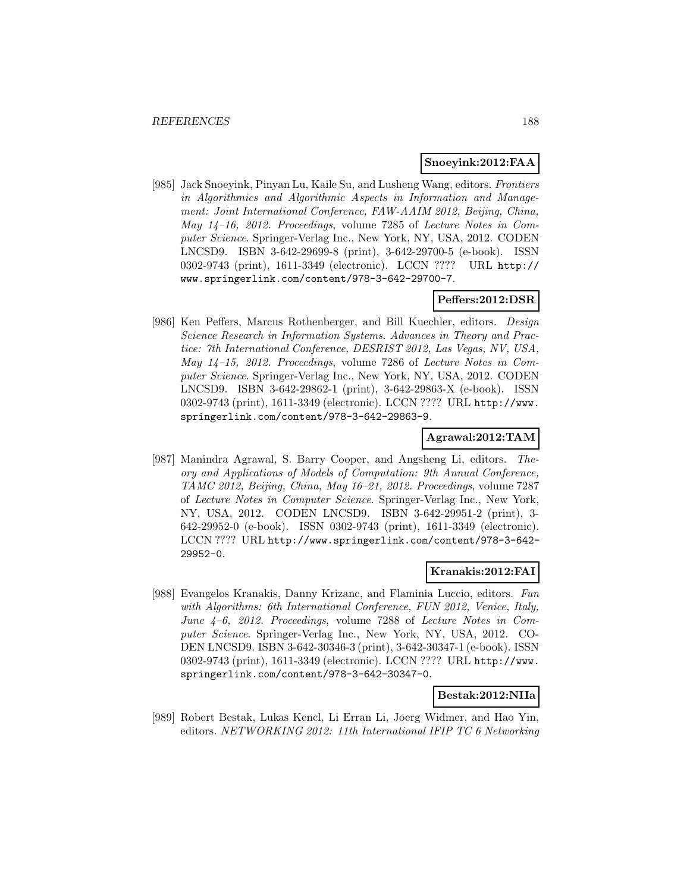## **Snoeyink:2012:FAA**

[985] Jack Snoeyink, Pinyan Lu, Kaile Su, and Lusheng Wang, editors. Frontiers in Algorithmics and Algorithmic Aspects in Information and Management: Joint International Conference, FAW-AAIM 2012, Beijing, China, May 14–16, 2012. Proceedings, volume 7285 of Lecture Notes in Computer Science. Springer-Verlag Inc., New York, NY, USA, 2012. CODEN LNCSD9. ISBN 3-642-29699-8 (print), 3-642-29700-5 (e-book). ISSN 0302-9743 (print), 1611-3349 (electronic). LCCN ???? URL http:// www.springerlink.com/content/978-3-642-29700-7.

# **Peffers:2012:DSR**

[986] Ken Peffers, Marcus Rothenberger, and Bill Kuechler, editors. Design Science Research in Information Systems. Advances in Theory and Practice: 7th International Conference, DESRIST 2012, Las Vegas, NV, USA, May 14–15, 2012. Proceedings, volume 7286 of Lecture Notes in Computer Science. Springer-Verlag Inc., New York, NY, USA, 2012. CODEN LNCSD9. ISBN 3-642-29862-1 (print), 3-642-29863-X (e-book). ISSN 0302-9743 (print), 1611-3349 (electronic). LCCN ???? URL http://www. springerlink.com/content/978-3-642-29863-9.

# **Agrawal:2012:TAM**

[987] Manindra Agrawal, S. Barry Cooper, and Angsheng Li, editors. Theory and Applications of Models of Computation: 9th Annual Conference, TAMC 2012, Beijing, China, May 16–21, 2012. Proceedings, volume 7287 of Lecture Notes in Computer Science. Springer-Verlag Inc., New York, NY, USA, 2012. CODEN LNCSD9. ISBN 3-642-29951-2 (print), 3- 642-29952-0 (e-book). ISSN 0302-9743 (print), 1611-3349 (electronic). LCCN ???? URL http://www.springerlink.com/content/978-3-642- 29952-0.

## **Kranakis:2012:FAI**

[988] Evangelos Kranakis, Danny Krizanc, and Flaminia Luccio, editors. Fun with Algorithms: 6th International Conference, FUN 2012, Venice, Italy, June 4–6, 2012. Proceedings, volume 7288 of Lecture Notes in Computer Science. Springer-Verlag Inc., New York, NY, USA, 2012. CO-DEN LNCSD9. ISBN 3-642-30346-3 (print), 3-642-30347-1 (e-book). ISSN 0302-9743 (print), 1611-3349 (electronic). LCCN ???? URL http://www. springerlink.com/content/978-3-642-30347-0.

**Bestak:2012:NIIa**

[989] Robert Bestak, Lukas Kencl, Li Erran Li, Joerg Widmer, and Hao Yin, editors. NETWORKING 2012: 11th International IFIP TC 6 Networking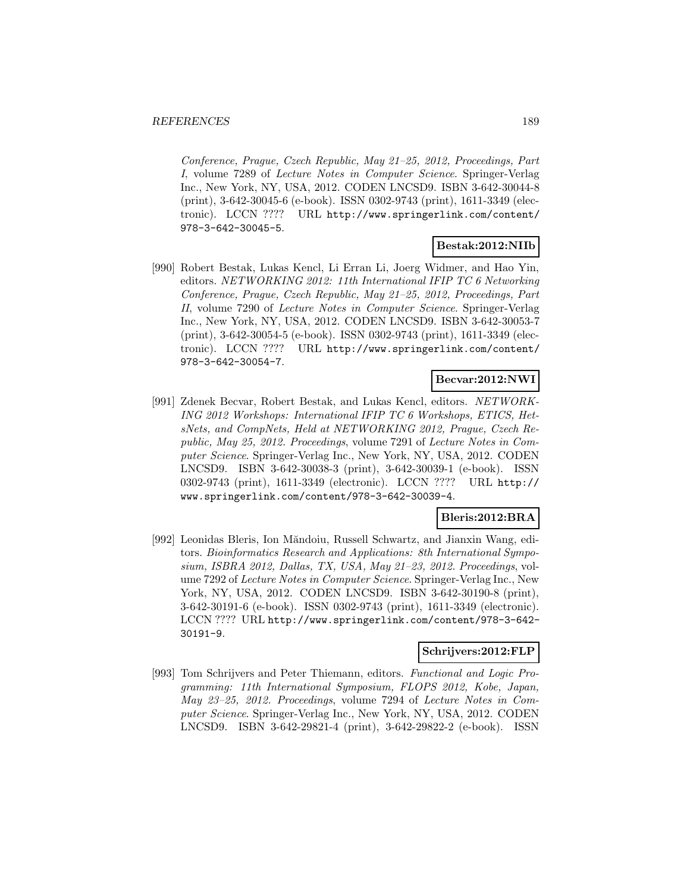Conference, Prague, Czech Republic, May 21–25, 2012, Proceedings, Part I, volume 7289 of Lecture Notes in Computer Science. Springer-Verlag Inc., New York, NY, USA, 2012. CODEN LNCSD9. ISBN 3-642-30044-8 (print), 3-642-30045-6 (e-book). ISSN 0302-9743 (print), 1611-3349 (electronic). LCCN ???? URL http://www.springerlink.com/content/ 978-3-642-30045-5.

# **Bestak:2012:NIIb**

[990] Robert Bestak, Lukas Kencl, Li Erran Li, Joerg Widmer, and Hao Yin, editors. NETWORKING 2012: 11th International IFIP TC 6 Networking Conference, Prague, Czech Republic, May 21–25, 2012, Proceedings, Part II, volume 7290 of Lecture Notes in Computer Science. Springer-Verlag Inc., New York, NY, USA, 2012. CODEN LNCSD9. ISBN 3-642-30053-7 (print), 3-642-30054-5 (e-book). ISSN 0302-9743 (print), 1611-3349 (electronic). LCCN ???? URL http://www.springerlink.com/content/ 978-3-642-30054-7.

## **Becvar:2012:NWI**

[991] Zdenek Becvar, Robert Bestak, and Lukas Kencl, editors. NETWORK-ING 2012 Workshops: International IFIP TC 6 Workshops, ETICS, HetsNets, and CompNets, Held at NETWORKING 2012, Prague, Czech Republic, May 25, 2012. Proceedings, volume 7291 of Lecture Notes in Computer Science. Springer-Verlag Inc., New York, NY, USA, 2012. CODEN LNCSD9. ISBN 3-642-30038-3 (print), 3-642-30039-1 (e-book). ISSN 0302-9743 (print), 1611-3349 (electronic). LCCN ???? URL http:// www.springerlink.com/content/978-3-642-30039-4.

## **Bleris:2012:BRA**

[992] Leonidas Bleris, Ion Măndoiu, Russell Schwartz, and Jianxin Wang, editors. Bioinformatics Research and Applications: 8th International Symposium, ISBRA 2012, Dallas, TX, USA, May 21–23, 2012. Proceedings, volume 7292 of Lecture Notes in Computer Science. Springer-Verlag Inc., New York, NY, USA, 2012. CODEN LNCSD9. ISBN 3-642-30190-8 (print), 3-642-30191-6 (e-book). ISSN 0302-9743 (print), 1611-3349 (electronic). LCCN ???? URL http://www.springerlink.com/content/978-3-642- 30191-9.

# **Schrijvers:2012:FLP**

[993] Tom Schrijvers and Peter Thiemann, editors. Functional and Logic Programming: 11th International Symposium, FLOPS 2012, Kobe, Japan, May 23–25, 2012. Proceedings, volume 7294 of Lecture Notes in Computer Science. Springer-Verlag Inc., New York, NY, USA, 2012. CODEN LNCSD9. ISBN 3-642-29821-4 (print), 3-642-29822-2 (e-book). ISSN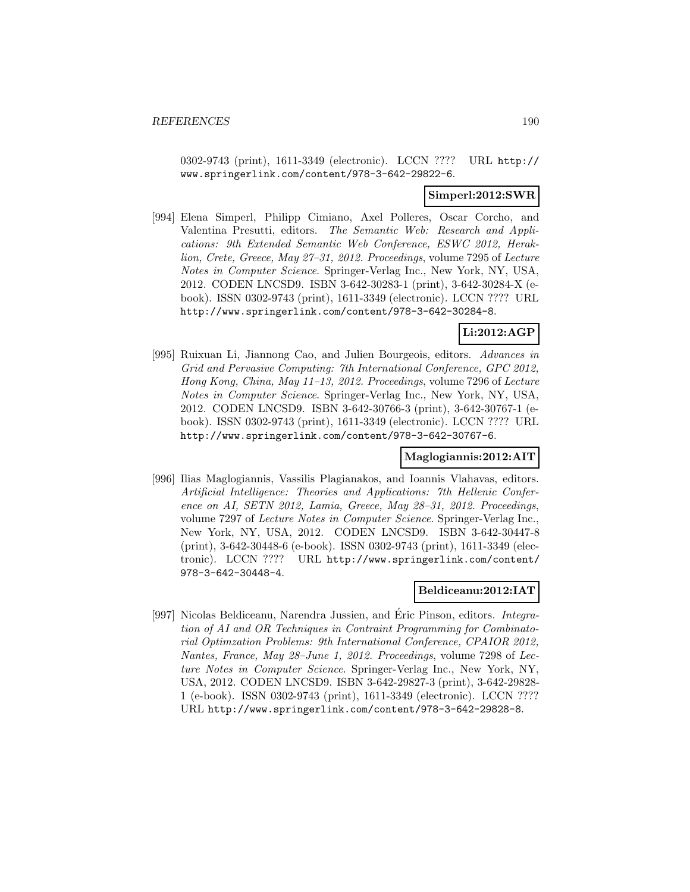0302-9743 (print), 1611-3349 (electronic). LCCN ???? URL http:// www.springerlink.com/content/978-3-642-29822-6.

#### **Simperl:2012:SWR**

[994] Elena Simperl, Philipp Cimiano, Axel Polleres, Oscar Corcho, and Valentina Presutti, editors. The Semantic Web: Research and Applications: 9th Extended Semantic Web Conference, ESWC 2012, Heraklion, Crete, Greece, May 27–31, 2012. Proceedings, volume 7295 of Lecture Notes in Computer Science. Springer-Verlag Inc., New York, NY, USA, 2012. CODEN LNCSD9. ISBN 3-642-30283-1 (print), 3-642-30284-X (ebook). ISSN 0302-9743 (print), 1611-3349 (electronic). LCCN ???? URL http://www.springerlink.com/content/978-3-642-30284-8.

# **Li:2012:AGP**

[995] Ruixuan Li, Jiannong Cao, and Julien Bourgeois, editors. Advances in Grid and Pervasive Computing: 7th International Conference, GPC 2012, Hong Kong, China, May 11–13, 2012. Proceedings, volume 7296 of Lecture Notes in Computer Science. Springer-Verlag Inc., New York, NY, USA, 2012. CODEN LNCSD9. ISBN 3-642-30766-3 (print), 3-642-30767-1 (ebook). ISSN 0302-9743 (print), 1611-3349 (electronic). LCCN ???? URL http://www.springerlink.com/content/978-3-642-30767-6.

### **Maglogiannis:2012:AIT**

[996] Ilias Maglogiannis, Vassilis Plagianakos, and Ioannis Vlahavas, editors. Artificial Intelligence: Theories and Applications: 7th Hellenic Conference on AI, SETN 2012, Lamia, Greece, May 28–31, 2012. Proceedings, volume 7297 of Lecture Notes in Computer Science. Springer-Verlag Inc., New York, NY, USA, 2012. CODEN LNCSD9. ISBN 3-642-30447-8 (print), 3-642-30448-6 (e-book). ISSN 0302-9743 (print), 1611-3349 (electronic). LCCN ???? URL http://www.springerlink.com/content/ 978-3-642-30448-4.

#### **Beldiceanu:2012:IAT**

[997] Nicolas Beldiceanu, Narendra Jussien, and Éric Pinson, editors. *Integra*tion of AI and OR Techniques in Contraint Programming for Combinatorial Optimzation Problems: 9th International Conference, CPAIOR 2012, Nantes, France, May 28–June 1, 2012. Proceedings, volume 7298 of Lecture Notes in Computer Science. Springer-Verlag Inc., New York, NY, USA, 2012. CODEN LNCSD9. ISBN 3-642-29827-3 (print), 3-642-29828- 1 (e-book). ISSN 0302-9743 (print), 1611-3349 (electronic). LCCN ???? URL http://www.springerlink.com/content/978-3-642-29828-8.